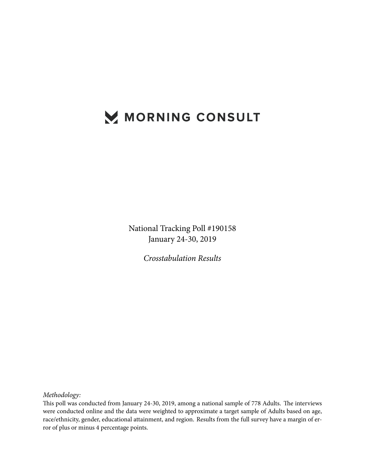# MORNING CONSULT

National Tracking Poll #190158 January 24-30, 2019

*Crosstabulation Results*

*Methodology:*

This poll was conducted from January 24-30, 2019, among a national sample of 778 Adults. The interviews were conducted online and the data were weighted to approximate a target sample of Adults based on age, race/ethnicity, gender, educational attainment, and region. Results from the full survey have a margin of error of plus or minus 4 percentage points.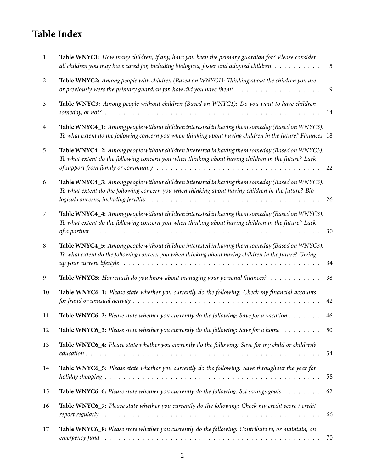## **Table Index**

| 1  | Table WNYC1: How many children, if any, have you been the primary guardian for? Please consider<br>all children you may have cared for, including biological, foster and adopted children.                                                                                                                                                 | 5            |
|----|--------------------------------------------------------------------------------------------------------------------------------------------------------------------------------------------------------------------------------------------------------------------------------------------------------------------------------------------|--------------|
| 2  | Table WNYC2: Among people with children (Based on WNYC1): Thinking about the children you are<br>or previously were the primary guardian for, how did you have them? $\ldots \ldots \ldots \ldots \ldots \ldots$                                                                                                                           | $\mathbf{9}$ |
| 3  | Table WNYC3: Among people without children (Based on WNYC1): Do you want to have children                                                                                                                                                                                                                                                  | 14           |
| 4  | Table WNYC4_1: Among people without children interested in having them someday (Based on WNYC3):<br>To what extent do the following concern you when thinking about having children in the future? Finances 18                                                                                                                             |              |
| 5  | Table WNYC4_2: Among people without children interested in having them someday (Based on WNYC3):<br>To what extent do the following concern you when thinking about having children in the future? Lack<br>of support from family or community $\dots \dots \dots \dots \dots \dots \dots \dots \dots \dots \dots \dots \dots \dots \dots$ | 22           |
| 6  | Table WNYC4_3: Among people without children interested in having them someday (Based on WNYC3):<br>To what extent do the following concern you when thinking about having children in the future? Bio-                                                                                                                                    | 26           |
| 7  | Table WNYC4_4: Among people without children interested in having them someday (Based on WNYC3):<br>To what extent do the following concern you when thinking about having children in the future? Lack                                                                                                                                    | 30           |
| 8  | Table WNYC4_5: Among people without children interested in having them someday (Based on WNYC3):<br>To what extent do the following concern you when thinking about having children in the future? Giving                                                                                                                                  | 34           |
| 9  | Table WNYC5: How much do you know about managing your personal finances?                                                                                                                                                                                                                                                                   | 38           |
| 10 | Table WNYC6_1: Please state whether you currently do the following: Check my financial accounts                                                                                                                                                                                                                                            | 42           |
| 11 | <b>Table WNYC6_2:</b> Please state whether you currently do the following: Save for a vacation $\dots \dots$                                                                                                                                                                                                                               | 46           |
| 12 | Table WNYC6_3: Please state whether you currently do the following: Save for a home $\dots \dots$                                                                                                                                                                                                                                          | 50           |
| 13 | Table WNYC6_4: Please state whether you currently do the following: Save for my child or children's                                                                                                                                                                                                                                        | 54           |
| 14 | Table WNYC6_5: Please state whether you currently do the following: Save throughout the year for                                                                                                                                                                                                                                           | 58           |
| 15 | Table WNYC6_6: Please state whether you currently do the following: Set savings goals                                                                                                                                                                                                                                                      | 62           |
| 16 | Table WNYC6_7: Please state whether you currently do the following: Check my credit score / credit                                                                                                                                                                                                                                         | 66           |
| 17 | Table WNYC6_8: Please state whether you currently do the following: Contribute to, or maintain, an                                                                                                                                                                                                                                         | 70           |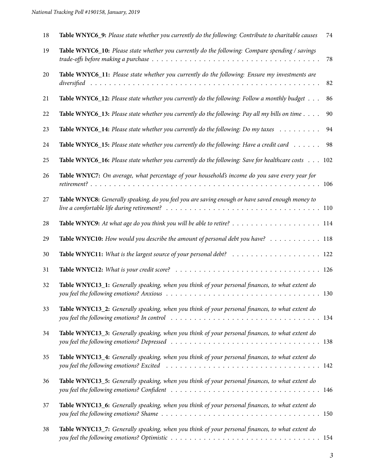| 18 | Table WNYC6_9: Please state whether you currently do the following: Contribute to charitable causes     | 74 |
|----|---------------------------------------------------------------------------------------------------------|----|
| 19 | Table WNYC6_10: Please state whether you currently do the following: Compare spending / savings         | 78 |
| 20 | Table WNYC6_11: Please state whether you currently do the following: Ensure my investments are          | 82 |
| 21 | Table WNYC6_12: Please state whether you currently do the following: Follow a monthly budget            | 86 |
| 22 | Table WNYC6_13: Please state whether you currently do the following: Pay all my bills on time $\dots$ . | 90 |
| 23 | Table WNYC6_14: Please state whether you currently do the following: Do my taxes $\dots \dots$          | 94 |
| 24 | Table WNYC6_15: Please state whether you currently do the following: Have a credit card $\dots \dots$   | 98 |
| 25 | Table WNYC6_16: Please state whether you currently do the following: Save for healthcare costs 102      |    |
| 26 | Table WNYC7: On average, what percentage of your household's income do you save every year for          |    |
| 27 | Table WNYC8: Generally speaking, do you feel you are saving enough or have saved enough money to        |    |
| 28 |                                                                                                         |    |
| 29 | Table WNYC10: How would you describe the amount of personal debt you have? 118                          |    |
| 30 |                                                                                                         |    |
| 31 |                                                                                                         |    |
| 32 | Table WNYC13_1: Generally speaking, when you think of your personal finances, to what extent do         |    |
| 33 | Table WNYC13_2: Generally speaking, when you think of your personal finances, to what extent do         |    |
| 34 | Table WNYC13_3: Generally speaking, when you think of your personal finances, to what extent do         |    |
| 35 | Table WNYC13_4: Generally speaking, when you think of your personal finances, to what extent do         |    |
| 36 | Table WNYC13_5: Generally speaking, when you think of your personal finances, to what extent do         |    |
| 37 | Table WNYC13_6: Generally speaking, when you think of your personal finances, to what extent do         |    |
| 38 | Table WNYC13_7: Generally speaking, when you think of your personal finances, to what extent do         |    |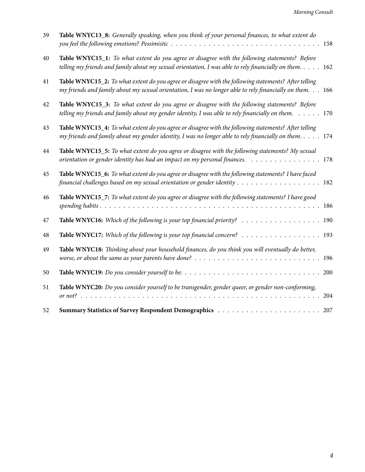| 39 | Table WNYC13_8: Generally speaking, when you think of your personal finances, to what extent do                                                                                                                      |     |
|----|----------------------------------------------------------------------------------------------------------------------------------------------------------------------------------------------------------------------|-----|
| 40 | Table WNYC15_1: To what extent do you agree or disagree with the following statements? Before<br>telling my friends and family about my sexual orientation, I was able to rely financially on them. $\dots$ . 162    |     |
| 41 | Table WNYC15_2: To what extent do you agree or disagree with the following statements? After telling<br>my friends and family about my sexual orientation, I was no longer able to rely financially on them. 166     |     |
| 42 | Table WNYC15_3: To what extent do you agree or disagree with the following statements? Before<br>telling my friends and family about my gender identity, I was able to rely financially on them. $\ldots \ldots$ 170 |     |
| 43 | Table WNYC15_4: To what extent do you agree or disagree with the following statements? After telling<br>my friends and family about my gender identity, I was no longer able to rely financially on them. 174        |     |
| 44 | Table WNYC15_5: To what extent do you agree or disagree with the following statements? My sexual<br>orientation or gender identity has had an impact on my personal finances. 178                                    |     |
| 45 | Table WNYC15_6: To what extent do you agree or disagree with the following statements? I have faced<br>financial challenges based on my sexual orientation or gender identity 182                                    |     |
| 46 | Table WNYC15_7: To what extent do you agree or disagree with the following statements? I have good                                                                                                                   |     |
| 47 | Table WNYC16: Which of the following is your top financial priority? 190                                                                                                                                             |     |
| 48 | Table WNYC17: Which of the following is your top financial concern? 193                                                                                                                                              |     |
| 49 | Table WNYC18: Thinking about your household finances, do you think you will eventually do better,                                                                                                                    |     |
| 50 |                                                                                                                                                                                                                      |     |
| 51 | Table WNYC20: Do you consider yourself to be transgender, gender queer, or gender non-conforming,                                                                                                                    | 204 |
| 52 |                                                                                                                                                                                                                      |     |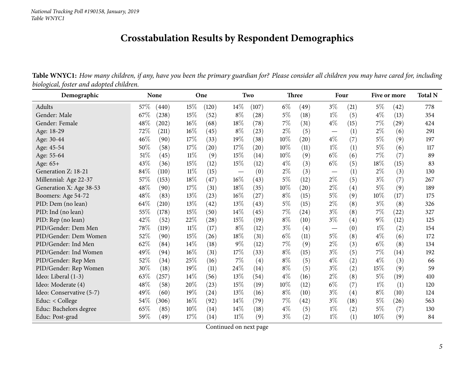### **Crosstabulation Results by Respondent Demographics**

Table WNYC1: How many children, if any, have you been the primary guardian for? Please consider all children you may have cared for, including *biological, foster and adopted children.*

<span id="page-4-0"></span>

| Demographic              | None   |       |        | One                |                                 | Two   |        | <b>Three</b> |                                 | Four |       | Five or more |     |
|--------------------------|--------|-------|--------|--------------------|---------------------------------|-------|--------|--------------|---------------------------------|------|-------|--------------|-----|
| Adults                   | 57\%   | (440) | 15%    | (120)              | 14\%                            | (107) | $6\%$  | (49)         | $3\%$                           | (21) | $5\%$ | (42)         | 778 |
| Gender: Male             | 67%    | (238) | 15%    | (52)               | $8\%$                           | (28)  | $5\%$  | (18)         | $1\%$                           | (5)  | $4\%$ | (13)         | 354 |
| Gender: Female           | 48%    | (202) | 16%    | (68)               | 18%                             | (78)  | $7\%$  | (31)         | $4\%$                           | (15) | 7%    | (29)         | 424 |
| Age: 18-29               | 72\%   | (211) | $16\%$ | (45)               | $8\%$                           | (23)  | $2\%$  | (5)          | $\hspace{0.1mm}-\hspace{0.1mm}$ | (1)  | $2\%$ | (6)          | 291 |
| Age: 30-44               | 46%    | (90)  | 17%    | (33)               | 19%                             | (38)  | 10%    | (20)         | $4\%$                           | (7)  | $5\%$ | (9)          | 197 |
| Age: 45-54               | 50%    | (58)  | 17%    | (20)               | 17%                             | (20)  | 10%    | (11)         | $1\%$                           | (1)  | $5\%$ | (6)          | 117 |
| Age: 55-64               | $51\%$ | (45)  | 11%    | (9)                | 15%                             | (14)  | 10%    | (9)          | $6\%$                           | (6)  | 7%    | (7)          | 89  |
| Age: 65+                 | 43\%   | (36)  | 15%    | (12)               | 15%                             | (12)  | $4\%$  | (3)          | $6\%$                           | (5)  | 18%   | (15)         | 83  |
| Generation Z: 18-21      | $84\%$ | (110) | $11\%$ | (15)               | $\hspace{0.1mm}-\hspace{0.1mm}$ | (0)   | $2\%$  | (3)          | $\overline{\phantom{0}}$        | (1)  | $2\%$ | (3)          | 130 |
| Millennial: Age 22-37    | 57%    | (153) | 18%    | (47)               | $16\%$                          | (43)  | $5\%$  | (12)         | $2\%$                           | (5)  | $3\%$ | (7)          | 267 |
| Generation X: Age 38-53  | 48\%   | (90)  | 17%    | (31)               | 18%                             | (35)  | $10\%$ | (20)         | $2\%$                           | (4)  | $5\%$ | (9)          | 189 |
| Boomers: Age 54-72       | $48\%$ | (83)  | 13%    | (23)               | 16%                             | (27)  | $8\%$  | (15)         | $5\%$                           | (9)  | 10%   | (17)         | 175 |
| PID: Dem (no lean)       | 64\%   | (210) | 13%    | (42)               | 13%                             | (43)  | 5%     | (15)         | $2\%$                           | (8)  | $3\%$ | (8)          | 326 |
| PID: Ind (no lean)       | 55%    | (178) | 15%    | (50)               | 14\%                            | (45)  | $7\%$  | (24)         | $3\%$                           | (8)  | $7\%$ | (22)         | 327 |
| PID: Rep (no lean)       | 42%    | (52)  | 22%    | (28)               | 15%                             | (19)  | $8\%$  | (10)         | $3\%$                           | (4)  | $9\%$ | (12)         | 125 |
| PID/Gender: Dem Men      | 78\%   | (119) | $11\%$ | (17)               | $8\%$                           | (12)  | $3\%$  | (4)          | $\hspace{0.1mm}-\hspace{0.1mm}$ | (0)  | $1\%$ | (2)          | 154 |
| PID/Gender: Dem Women    | 52%    | (90)  | 15%    | (26)               | 18%                             | (31)  | $6\%$  | (11)         | $5\%$                           | (8)  | $4\%$ | (6)          | 172 |
| PID/Gender: Ind Men      | 62%    | (84)  | 14%    | (18)               | 9%                              | (12)  | 7%     | (9)          | $2\%$                           | (3)  | $6\%$ | (8)          | 134 |
| PID/Gender: Ind Women    | 49%    | (94)  | 16%    | (31)               | 17%                             | (33)  | $8\%$  | (15)         | $3\%$                           | (5)  | $7\%$ | (14)         | 192 |
| PID/Gender: Rep Men      | 52%    | (34)  | 25%    | (16)               | $7\%$                           | (4)   | $8\%$  | (5)          | $4\%$                           | (2)  | $4\%$ | (3)          | 66  |
| PID/Gender: Rep Women    | $30\%$ | (18)  | 19%    | (11)               | 24%                             | (14)  | $8\%$  | (5)          | $3\%$                           | (2)  | 15%   | (9)          | 59  |
| Ideo: Liberal (1-3)      | 63%    | (257) | 14%    | (56)               | 13%                             | (54)  | $4\%$  | (16)         | $2\%$                           | (8)  | $5\%$ | (19)         | 410 |
| Ideo: Moderate (4)       | 48\%   | (58)  | 20%    | (23)               | 15%                             | (19)  | 10%    | (12)         | $6\%$                           | (7)  | $1\%$ | (1)          | 120 |
| Ideo: Conservative (5-7) | 49%    | (60)  | 19%    | $\left( 24\right)$ | 13%                             | (16)  | $8\%$  | (10)         | $3\%$                           | (4)  | $8\%$ | (10)         | 124 |
| Educ: < College          | 54\%   | (306) | 16%    | (92)               | 14%                             | (79)  | $7\%$  | (42)         | $3\%$                           | (18) | $5\%$ | (26)         | 563 |
| Educ: Bachelors degree   | 65%    | (85)  | 10%    | (14)               | 14\%                            | (18)  | $4\%$  | (5)          | $1\%$                           | (2)  | 5%    | (7)          | 130 |
| Educ: Post-grad          | 59%    | (49)  | 17%    | (14)               | $11\%$                          | (9)   | $3\%$  | (2)          | $1\%$                           | (1)  | 10%   | (9)          | 84  |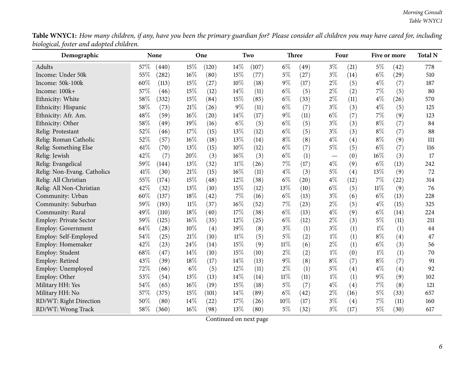| Table WNYC1: How many children, if any, have you been the primary guardian for? Please consider all children you may have cared for, including |  |  |
|------------------------------------------------------------------------------------------------------------------------------------------------|--|--|
| biological, foster and adopted children.                                                                                                       |  |  |

| Demographic                 | None |       |       | One                |        | Two   |        | <b>Three</b> |       | Four |        | Five or more |     |
|-----------------------------|------|-------|-------|--------------------|--------|-------|--------|--------------|-------|------|--------|--------------|-----|
| Adults                      | 57%  | (440) | 15%   | (120)              | 14%    | (107) | $6\%$  | (49)         | $3\%$ | (21) | $5\%$  | (42)         | 778 |
| Income: Under 50k           | 55%  | (282) | 16%   | (80)               | 15%    | (77)  | $5\%$  | (27)         | $3\%$ | (14) | $6\%$  | (29)         | 510 |
| Income: 50k-100k            | 60%  | (113) | 15%   | (27)               | $10\%$ | (18)  | $9\%$  | (17)         | $2\%$ | (5)  | $4\%$  | (7)          | 187 |
| Income: 100k+               | 57%  | (46)  | 15%   | (12)               | 14%    | (11)  | $6\%$  | (5)          | $2\%$ | (2)  | 7%     | (5)          | 80  |
| Ethnicity: White            | 58%  | (332) | 15%   | (84)               | 15%    | (85)  | $6\%$  | (33)         | $2\%$ | (11) | $4\%$  | (26)         | 570 |
| Ethnicity: Hispanic         | 58%  | (73)  | 21%   | (26)               | $9\%$  | (11)  | $6\%$  | (7)          | $3\%$ | (3)  | $4\%$  | (5)          | 125 |
| Ethnicity: Afr. Am.         | 48%  | (59)  | 16%   | $\left( 20\right)$ | 14%    | (17)  | $9\%$  | (11)         | $6\%$ | (7)  | $7\%$  | (9)          | 123 |
| Ethnicity: Other            | 58%  | (49)  | 19%   | (16)               | $6\%$  | (5)   | $6\%$  | (5)          | $3\%$ | (3)  | $8\%$  | (7)          | 84  |
| Relig: Protestant           | 52%  | (46)  | 17%   | (15)               | 13%    | (12)  | $6\%$  | (5)          | $3\%$ | (3)  | $8\%$  | (7)          | 88  |
| Relig: Roman Catholic       | 52%  | (57)  | 16%   | (18)               | 13%    | (14)  | $8\%$  | (8)          | $4\%$ | (4)  | $8\%$  | (9)          | 111 |
| Relig: Something Else       | 61%  | (70)  | 13%   | (15)               | 10%    | (12)  | $6\%$  | (7)          | $5\%$ | (5)  | $6\%$  | (7)          | 116 |
| Relig: Jewish               | 42%  | (7)   | 20%   | (3)                | 16%    | (3)   | $6\%$  | (1)          |       | (0)  | 16%    | (3)          | 17  |
| Relig: Evangelical          | 59%  | (144) | 13%   | (32)               | $11\%$ | (26)  | $7\%$  | (17)         | $4\%$ | (9)  | $6\%$  | (13)         | 242 |
| Relig: Non-Evang. Catholics | 41\% | (30)  | 21%   | (15)               | 16%    | (11)  | $4\%$  | (3)          | $5\%$ | (4)  | 13%    | (9)          | 72  |
| Relig: All Christian        | 55%  | (174) | 15%   | (48)               | $12\%$ | (38)  | $6\%$  | (20)         | $4\%$ | (12) | 7%     | (22)         | 314 |
| Relig: All Non-Christian    | 42%  | (32)  | 13%   | (10)               | 15%    | (12)  | 13%    | (10)         | $6\%$ | (5)  | $11\%$ | (9)          | 76  |
| Community: Urban            | 60%  | (137) | 18%   | (42)               | 7%     | (16)  | $6\%$  | (13)         | $3\%$ | (6)  | $6\%$  | (13)         | 228 |
| Community: Suburban         | 59%  | (193) | 11%   | (37)               | 16%    | (52)  | $7\%$  | (23)         | $2\%$ | (5)  | $4\%$  | (15)         | 325 |
| Community: Rural            | 49%  | (110) | 18%   | (40)               | 17%    | (38)  | $6\%$  | (13)         | $4\%$ | (9)  | $6\%$  | (14)         | 224 |
| Employ: Private Sector      | 59%  | (125) | 16%   | (35)               | 12%    | (25)  | $6\%$  | (12)         | $2\%$ | (3)  | $5\%$  | (11)         | 211 |
| <b>Employ: Government</b>   | 64%  | (28)  | 10%   | (4)                | 19%    | (8)   | $3\%$  | (1)          | $3\%$ | (1)  | $1\%$  | (1)          | 44  |
| Employ: Self-Employed       | 54%  | (25)  | 21\%  | (10)               | $11\%$ | (5)   | $5\%$  | (2)          | $1\%$ | (1)  | $8\%$  | (4)          | 47  |
| Employ: Homemaker           | 42%  | (23)  | 24%   | (14)               | 15%    | (9)   | $11\%$ | (6)          | $2\%$ | (1)  | $6\%$  | (3)          | 56  |
| Employ: Student             | 68%  | (47)  | 14%   | (10)               | $15\%$ | (10)  | $2\%$  | (2)          | $1\%$ | (0)  | $1\%$  | (1)          | 70  |
| Employ: Retired             | 43%  | (39)  | 18%   | (17)               | 14\%   | (13)  | $9\%$  | (8)          | $8\%$ | (7)  | $8\%$  | (7)          | 91  |
| Employ: Unemployed          | 72%  | (66)  | $6\%$ | (5)                | 12%    | (11)  | $2\%$  | (1)          | $5\%$ | (4)  | $4\%$  | (4)          | 92  |
| Employ: Other               | 53%  | (54)  | 13%   | (13)               | 14%    | (14)  | $11\%$ | (11)         | $1\%$ | (1)  | $9\%$  | (9)          | 102 |
| Military HH: Yes            | 54%  | (65)  | 16%   | (19)               | 15%    | (18)  | $5\%$  | (7)          | $4\%$ | (4)  | $7\%$  | (8)          | 121 |
| Military HH: No             | 57%  | (375) | 15%   | (101)              | 14%    | (89)  | $6\%$  | (42)         | $2\%$ | (16) | $5\%$  | (33)         | 657 |
| RD/WT: Right Direction      | 50%  | (80)  | 14%   | (22)               | 17%    | (26)  | 10%    | (17)         | $3\%$ | (4)  | 7%     | (11)         | 160 |
| RD/WT: Wrong Track          | 58%  | (360) | 16%   | (98)               | 13%    | (80)  | 5%     | (32)         | $3\%$ | (17) | $5\%$  | (30)         | 617 |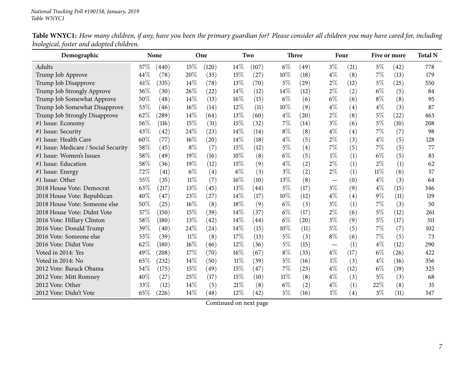| Demographic                          | <b>None</b> |                     | One    |                    |        | Two   |        | Three |       | Four |        | Five or more |     |
|--------------------------------------|-------------|---------------------|--------|--------------------|--------|-------|--------|-------|-------|------|--------|--------------|-----|
| Adults                               | 57%         | (440)               | 15%    | (120)              | 14%    | (107) | $6\%$  | (49)  | $3\%$ | (21) | $5\%$  | (42)         | 778 |
| Trump Job Approve                    | 44%         | (78)                | 20%    | (35)               | 15%    | (27)  | 10%    | (18)  | $4\%$ | (8)  | 7%     | (13)         | 179 |
| Trump Job Disapprove                 | 61%         | (335)               | 14%    | (78)               | 13%    | (70)  | $5\%$  | (29)  | $2\%$ | (12) | 5%     | (25)         | 550 |
| Trump Job Strongly Approve           | 36%         | (30)                | 26%    | (22)               | 14%    | (12)  | 14\%   | (12)  | $2\%$ | (2)  | $6\%$  | (5)          | 84  |
| Trump Job Somewhat Approve           | 50%         | (48)                | 14%    | (13)               | 16%    | (15)  | $6\%$  | (6)   | $6\%$ | (6)  | $8\%$  | (8)          | 95  |
| Trump Job Somewhat Disapprove        | 53%         | (46)                | 16%    | (14)               | 12%    | (11)  | 10%    | (9)   | $4\%$ | (4)  | $4\%$  | (3)          | 87  |
| Trump Job Strongly Disapprove        | 62%         | $\left( 289\right)$ | 14%    | (64)               | 13%    | (60)  | $4\%$  | (20)  | $2\%$ | (8)  | 5%     | (22)         | 463 |
| #1 Issue: Economy                    | 56%         | (116)               | 15%    | (31)               | 15%    | (32)  | 7%     | (14)  | $3\%$ | (6)  | $5\%$  | (10)         | 208 |
| #1 Issue: Security                   | 43%         | (42)                | 24\%   | (23)               | 14\%   | (14)  | $8\%$  | (8)   | $4\%$ | (4)  | 7%     | (7)          | 98  |
| #1 Issue: Health Care                | 60%         | (77)                | 16%    | (20)               | 14\%   | (18)  | $4\%$  | (5)   | $2\%$ | (3)  | $4\%$  | (5)          | 128 |
| #1 Issue: Medicare / Social Security | 58%         | (45)                | $8\%$  | (7)                | 15%    | (12)  | $5\%$  | (4)   | $7\%$ | (5)  | 7%     | (5)          | 77  |
| #1 Issue: Women's Issues             | 58%         | (49)                | 19%    | (16)               | 10%    | (8)   | $6\%$  | (5)   | $1\%$ | (1)  | $6\%$  | (5)          | 83  |
| #1 Issue: Education                  | 58%         | (36)                | 19%    | (12)               | 15%    | (9)   | $4\%$  | (2)   | $2\%$ | (1)  | $2\%$  | (1)          | 62  |
| #1 Issue: Energy                     | 72%         | (41)                | $6\%$  | (4)                | $6\%$  | (3)   | $3\%$  | (2)   | $2\%$ | (1)  | $11\%$ | (6)          | 57  |
| #1 Issue: Other                      | 55%         | (35)                | $11\%$ | (7)                | 16%    | (10)  | 13%    | (8)   |       | (0)  | $4\%$  | (3)          | 64  |
| 2018 House Vote: Democrat            | 63%         | (217)               | 13%    | (45)               | 13%    | (44)  | $5\%$  | (17)  | $3\%$ | (9)  | $4\%$  | (15)         | 346 |
| 2018 House Vote: Republican          | 40%         | (47)                | 23%    | (27)               | 14\%   | (17)  | $10\%$ | (12)  | $4\%$ | (4)  | $9\%$  | (11)         | 119 |
| 2018 House Vote: Someone else        | 50%         | (25)                | 16%    | (8)                | 18%    | (9)   | $6\%$  | (3)   | $3\%$ | (1)  | 7%     | (3)          | 50  |
| 2018 House Vote: Didnt Vote          | 57%         | (150)               | 15%    | (39)               | 14\%   | (37)  | $6\%$  | (17)  | $2\%$ | (6)  | 5%     | (12)         | 261 |
| 2016 Vote: Hillary Clinton           | 58%         | (180)               | 13\%   | $\left( 42\right)$ | 14\%   | (44)  | $6\%$  | (20)  | $3\%$ | (9)  | 5%     | (17)         | 311 |
| 2016 Vote: Donald Trump              | 39%         | (40)                | 24\%   | (24)               | 14\%   | (15)  | 10%    | (11)  | $5\%$ | (5)  | 7%     | (7)          | 102 |
| 2016 Vote: Someone else              | 53%         | (39)                | $11\%$ | (8)                | 17%    | (13)  | $5\%$  | (3)   | $8\%$ | (6)  | 7%     | (5)          | 73  |
| 2016 Vote: Didnt Vote                | 62%         | (180)               | 16%    | (46)               | $12\%$ | (36)  | $5\%$  | (15)  |       | (1)  | $4\%$  | (12)         | 290 |
| Voted in 2014: Yes                   | 49%         | $\left( 208\right)$ | 17%    | (70)               | 16%    | (67)  | $8\%$  | (33)  | $4\%$ | (17) | $6\%$  | (26)         | 422 |
| Voted in 2014: No                    | 65%         | (232)               | 14%    | (50)               | 11%    | (39)  | $5\%$  | (16)  | $1\%$ | (3)  | $4\%$  | (16)         | 356 |
| 2012 Vote: Barack Obama              | 54%         | (175)               | 15%    | (49)               | 15%    | (47)  | 7%     | (23)  | $4\%$ | (12) | $6\%$  | (19)         | 325 |
| 2012 Vote: Mitt Romney               | 40%         | (27)                | 25%    | (17)               | 15%    | (10)  | $11\%$ | (8)   | $4\%$ | (3)  | $5\%$  | (3)          | 68  |
| 2012 Vote: Other                     | 33%         | (12)                | 14%    | (5)                | 21%    | (8)   | $6\%$  | (2)   | $4\%$ | (1)  | 22%    | (8)          | 35  |
| 2012 Vote: Didn't Vote               | 65%         | (226)               | 14%    | (48)               | 12%    | (42)  | $5\%$  | (16)  | $1\%$ | (4)  | $3\%$  | (11)         | 347 |

Table WNYC1: How many children, if any, have you been the primary guardian for? Please consider all children you may have cared for, including *biological, foster and adopted children.*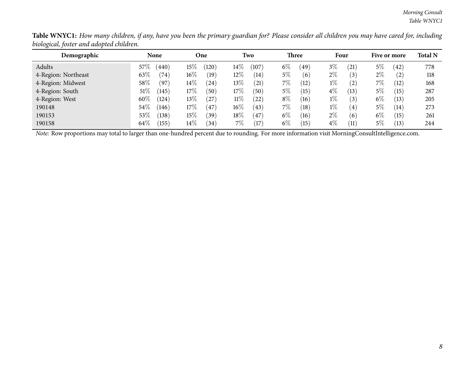| Demographic         | <b>None</b> |                | One    |           |        | Two               |       | Three |       | Four             |       | Five or more      |     |
|---------------------|-------------|----------------|--------|-----------|--------|-------------------|-------|-------|-------|------------------|-------|-------------------|-----|
| Adults              | 57%         | (440)          | $15\%$ | (120)     | $14\%$ | (107)             | $6\%$ | (49)  | $3\%$ | (21)             | 5%    | (42)              | 778 |
| 4-Region: Northeast | 63%         | $^{\prime}74)$ | $16\%$ | (19)      | $12\%$ | (14)              | $5\%$ | (6)   | $2\%$ | (3)              | $2\%$ | $\left( 2\right)$ | 118 |
| 4-Region: Midwest   | 58\%        | (97)           | $14\%$ | (24)      | $13\%$ | $\left(21\right)$ | $7\%$ | (12)  | $1\%$ | (2)              | $7\%$ | (12)              | 168 |
| 4-Region: South     | $51\%$      | (145)          | $17\%$ | (50)      | $17\%$ | (50)              | 5%    | 15    | $4\%$ | (13)             | 5%    | (15)              | 287 |
| 4-Region: West      | $60\%$      | (124)          | $13\%$ | $^{(27)}$ | $11\%$ | $22^{\circ}$      | $8\%$ | (16)  | $1\%$ | $\left(3\right)$ | $6\%$ | (13)              | 205 |
| 190148              | 54\%        | (146)          | $17\%$ | (47)      | $16\%$ | 43                | $7\%$ | (18)  | $1\%$ | $\left(4\right)$ | $5\%$ | $\left(14\right)$ | 273 |
| 190153              | 53%         | (138)          | $15\%$ | (39)      | $18\%$ | 47                | $6\%$ | (16)  | $2\%$ | (6)              | $6\%$ | (15)              | 261 |
| 190158              | $64\%$      | (155)          | $14\%$ | 34)       | $7\%$  | 17                | $6\%$ | 15    | $4\%$ | (11)             | 5%    | (13)              | 244 |

Table WNYC1: How many children, if any, have you been the primary guardian for? Please consider all children you may have cared for, including *biological, foster and adopted children.*  $\overline{\phantom{0}}$ 

*Note:* Row proportions may total to larger than one-hundred percen<sup>t</sup> due to rounding. For more information visit [MorningConsultIntelligence.com](https://morningconsultintelligence.com).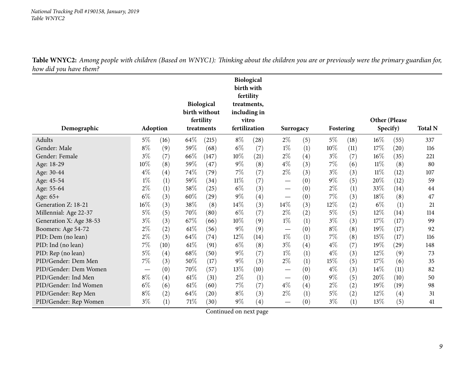<span id="page-8-0"></span>

| Demographic                                      | <b>Adoption</b>                        |             |             | <b>Biological</b><br>birth without<br>fertility<br>treatments |        | Biological<br>birth with<br>fertility<br>treatments,<br>including in<br>vitro<br>fertilization | Surrogacy                              |            | Fostering |            | <b>Other (Please</b> | Specify)     | <b>Total N</b> |
|--------------------------------------------------|----------------------------------------|-------------|-------------|---------------------------------------------------------------|--------|------------------------------------------------------------------------------------------------|----------------------------------------|------------|-----------|------------|----------------------|--------------|----------------|
| Adults                                           |                                        |             |             |                                                               | $8\%$  |                                                                                                |                                        |            | $5\%$     |            |                      |              |                |
| Gender: Male                                     | 5%<br>$8\%$                            | (16)        | 64\%<br>59% | (215)<br>(68)                                                 | $6\%$  | (28)                                                                                           | $2\%$<br>$1\%$                         | (5)        | 10%       | (18)       | $16\%$<br>17\%       | (55)         | 337            |
| Gender: Female                                   | $3\%$                                  | (9)         | 66%         | (147)                                                         | 10%    | (7)<br>(21)                                                                                    | $2\%$                                  | (1)        | $3\%$     | (11)       | $16\%$               | (20)         | 116<br>221     |
|                                                  | 10%                                    | (7)         | 59%         |                                                               | $9\%$  |                                                                                                | $4\%$                                  | (4)        | 7%        | (7)        | $11\%$               | (35)         |                |
| Age: 18-29                                       | $4\%$                                  | (8)         | 74%         | (47)<br>(79)                                                  | 7%     | (8)                                                                                            | $2\%$                                  | (3)        | $3\%$     | (6)        | $11\%$               | (8)          | 80<br>107      |
| Age: 30-44                                       | $1\%$                                  | (4)         | 59%         | (34)                                                          | $11\%$ | (7)<br>(7)                                                                                     |                                        | (3)        | $9\%$     | (3)        | 20%                  | (12)         | 59             |
| Age: 45-54                                       | $2\%$                                  | (1)         | 58%         |                                                               | $6\%$  |                                                                                                |                                        | (0)        | $2\%$     | (5)        | 33%                  | (12)<br>(14) | 44             |
| Age: 55-64                                       | $6\%$                                  | (1)<br>(3)  | 60%         | (25)<br>(29)                                                  | $9\%$  | (3)<br>(4)                                                                                     |                                        | (0)        | 7%        | (1)<br>(3) | 18%                  | (8)          | 47             |
| Age: 65+<br>Generation Z: 18-21                  | 16%                                    | (3)         | 38%         | (8)                                                           | 14\%   | (3)                                                                                            | $\overline{\phantom{0}}$<br>14\%       | (0)        | 12%       |            | $6\%$                |              | 21             |
|                                                  | $5\%$                                  | (5)         | 70%         | (80)                                                          | $6\%$  | (7)                                                                                            | $2\%$                                  | (3)<br>(2) | $5\%$     | (2)<br>(5) | 12%                  | (1)<br>(14)  | 114            |
| Millennial: Age 22-37<br>Generation X: Age 38-53 | $3\%$                                  |             | 67\%        | (66)                                                          | 10%    | (9)                                                                                            | $1\%$                                  |            | $3\%$     |            | 17%                  |              | 99             |
|                                                  | $2\%$                                  | (3)         | 61\%        | (56)                                                          | $9\%$  |                                                                                                |                                        | (1)        | $8\%$     | (3)        | 19%                  | (17)<br>(17) | 92             |
| Boomers: Age 54-72<br>PID: Dem (no lean)         | $2\%$                                  | (2)         | 64%         | (74)                                                          | 12%    | (9)<br>(14)                                                                                    | $1\%$                                  | (0)        | 7%        | (8)        | 15%                  |              | 116            |
| PID: Ind (no lean)                               | $7\%$                                  | (3)<br>(10) | 61\%        | (91)                                                          | $6\%$  | (8)                                                                                            | $3\%$                                  | (1)        | $4\%$     | (8)<br>(7) | 19%                  | (17)<br>(29) | 148            |
| PID: Rep (no lean)                               | $5\%$                                  | (4)         | 68%         | (50)                                                          | $9\%$  | (7)                                                                                            | $1\%$                                  | (4)<br>(1) | $4\%$     | (3)        | 12%                  | (9)          | 73             |
| PID/Gender: Dem Men                              | $7\%$                                  | (3)         | 50%         | (17)                                                          | $9\%$  | (3)                                                                                            | $2\%$                                  | (1)        | 15%       | (5)        | 17%                  | (6)          | 35             |
| PID/Gender: Dem Women                            |                                        | (0)         | 70%         | (57)                                                          | 13%    | (10)                                                                                           |                                        | (0)        | $4\%$     | (3)        | 14\%                 | (11)         | 82             |
| PID/Gender: Ind Men                              | $\overbrace{\phantom{aaaaa}}$<br>$8\%$ | (4)         | $61\%$      | (31)                                                          | $2\%$  |                                                                                                | $\overline{\phantom{0}}$               |            | $9\%$     |            | 20%                  | (10)         | 50             |
| PID/Gender: Ind Women                            | $6\%$                                  |             | $61\%$      | (60)                                                          | 7%     | (1)                                                                                            | $\overbrace{\phantom{13333}}$<br>$4\%$ | (0)        | $2\%$     | (5)        | 19%                  |              | 98             |
| PID/Gender: Rep Men                              | $8\%$                                  | (6)         | 64%         | (20)                                                          | $8\%$  | (7)<br>(3)                                                                                     | $2\%$                                  | (4)        | $5\%$     | (2)        | 12%                  | (19)<br>(4)  | 31             |
| PID/Gender: Rep Women                            | $3\%$                                  | (2)<br>(1)  | $71\%$      | (30)                                                          | $9\%$  | (4)                                                                                            |                                        | (1)<br>(0) | $3\%$     | (2)<br>(1) | 13%                  | (5)          | 41             |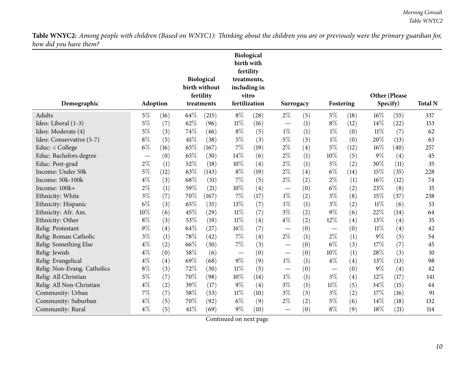|                             |                 |      |      |                            | fertility | Biological<br>birth with |                          |     |           |                   |                      |      |                |
|-----------------------------|-----------------|------|------|----------------------------|-----------|--------------------------|--------------------------|-----|-----------|-------------------|----------------------|------|----------------|
|                             |                 |      |      | <b>Biological</b>          |           | treatments,              |                          |     |           |                   |                      |      |                |
|                             |                 |      |      | birth without<br>fertility |           | including in<br>vitro    |                          |     |           |                   | <b>Other (Please</b> |      |                |
| Demographic                 | <b>Adoption</b> |      |      | treatments                 |           | fertilization            | Surrogacy                |     | Fostering |                   | Specify)             |      | <b>Total N</b> |
| Adults                      | $5\%$           | (16) | 64%  | (215)                      | $8\%$     | (28)                     | $2\%$                    | (5) | $5\%$     | (18)              | $16\%$               | (55) | 337            |
| Ideo: Liberal (1-3)         | $5\%$           | (7)  | 62%  | (96)                       | $11\%$    | (16)                     | $\overline{\phantom{0}}$ | (1) | $8\%$     | (12)              | 14%                  | (22) | 153            |
| Ideo: Moderate (4)          | $5\%$           | (3)  | 74%  | (46)                       | $8\%$     | (5)                      | $1\%$                    | (1) | $1\%$     | (0)               | $11\%$               | (7)  | 62             |
| Ideo: Conservative (5-7)    | $8\%$           | (5)  | 61\% | (38)                       | $5\%$     | (3)                      | $5\%$                    | (3) | $1\%$     | (0)               | 20%                  | (13) | 63             |
| Educ: < College             | $6\%$           | (16) | 65%  | (167)                      | $7\%$     | (19)                     | $2\%$                    | (4) | $5\%$     | (12)              | $16\%$               | (40) | 257            |
| Educ: Bachelors degree      |                 | (0)  | 65%  | (30)                       | 14%       | (6)                      | $2\%$                    | (1) | 10%       | (5)               | $9\%$                | (4)  | 45             |
| Educ: Post-grad             | $2\%$           | (1)  | 52%  | (18)                       | $10\%$    | (4)                      | $2\%$                    | (1) | $5\%$     | (2)               | 30%                  | (11) | 35             |
| Income: Under 50k           | 5%              | (12) | 63%  | (143)                      | $8\%$     | (19)                     | $2\%$                    | (4) | $6\%$     | (14)              | 15%                  | (35) | 228            |
| Income: 50k-100k            | $4\%$           | (3)  | 68%  | (51)                       | $7\%$     | (5)                      | $2\%$                    | (2) | $2\%$     | (1)               | 16%                  | (12) | 74             |
| Income: 100k+               | 2%              | (1)  | 59%  | (21)                       | 10%       | (4)                      | $\overline{\phantom{0}}$ | (0) | $6\%$     | (2)               | 23%                  | (8)  | 35             |
| Ethnicity: White            | $3\%$           | (7)  | 70%  | (167)                      | 7%        | (17)                     | $1\%$                    | (2) | $3\%$     | (8)               | 15%                  | (37) | 238            |
| Ethnicity: Hispanic         | $6\%$           | (3)  | 65%  | (35)                       | 13%       | (7)                      | $1\%$                    | (1) | $3\%$     | (2)               | $11\%$               | (6)  | 53             |
| Ethnicity: Afr. Am.         | 10%             | (6)  | 45%  | (29)                       | $11\%$    | (7)                      | $3\%$                    | (2) | $9\%$     | (6)               | 22%                  | (14) | 64             |
| Ethnicity: Other            | $8\%$           | (3)  | 53%  | (19)                       | $11\%$    | (4)                      | $4\%$                    | (2) | 12%       | (4)               | 13%                  | (4)  | 35             |
| Relig: Protestant           | 9%              | (4)  | 64%  | (27)                       | 16%       | (7)                      | $\overline{\phantom{0}}$ | (0) |           | (0)               | $11\%$               | (4)  | 42             |
| Relig: Roman Catholic       | $3\%$           | (1)  | 78%  | (42)                       | 7%        | (4)                      | $2\%$                    | (1) | $2\%$     | (1)               | $9\%$                | (5)  | 54             |
| Relig: Something Else       | $4\%$           | (2)  | 66%  | (30)                       | $7\%$     | (3)                      | $\overline{\phantom{0}}$ | (0) | $6\%$     | (3)               | 17%                  | (7)  | 45             |
| Relig: Jewish               | $4\%$           | (0)  | 58%  | (6)                        |           | (0)                      | $\overline{\phantom{0}}$ | (0) | 10%       | (1)               | 28%                  | (3)  | 10             |
| Relig: Evangelical          | $4\%$           | (4)  | 69%  | (68)                       | $9\%$     | (9)                      | $1\%$                    | (1) | $4\%$     | (4)               | 13%                  | (13) | 98             |
| Relig: Non-Evang. Catholics | $8\%$           | (3)  | 72%  | (30)                       | $11\%$    | (5)                      |                          | (0) |           | (0)               | $9\%$                | (4)  | 42             |
| Relig: All Christian        | $5\%$           | (7)  | 70%  | (98)                       | 10%       | (14)                     | $1\%$                    | (1) | $3\%$     | $\left( 4\right)$ | 12%                  | (17) | 141            |
| Relig: All Non-Christian    | $4\%$           | (2)  | 39%  | (17)                       | $9\%$     | (4)                      | $3\%$                    | (1) | $11\%$    | (5)               | 34%                  | (15) | 44             |
| Community: Urban            | 7%              | (7)  | 58%  | (53)                       | $11\%$    | (10)                     | $3\%$                    | (3) | $3\%$     | (2)               | 17%                  | (16) | 91             |
| Community: Suburban         | $4\%$           | (5)  | 70%  | (92)                       | $6\%$     | (9)                      | $2\%$                    | (2) | $5\%$     | (6)               | 14%                  | (18) | 132            |
| Community: Rural            | $4\%$           | (5)  | 61\% | (69)                       | $9\%$     | (10)                     | $\overline{\phantom{0}}$ | (0) | $8\%$     | (9)               | 18%                  | (21) | 114            |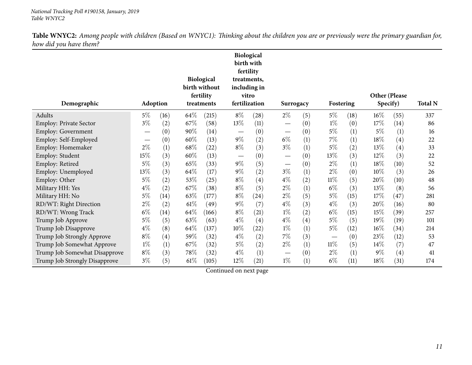| Demographic                   | Adoption                        |                   |        | Biological<br>birth without<br>fertility<br>treatments |                                 | <b>Biological</b><br>birth with<br>fertility<br>treatments,<br>including in<br>vitro<br>fertilization | Surrogacy                       |     | Fostering |      | Specify) | Other (Please     | <b>Total N</b> |
|-------------------------------|---------------------------------|-------------------|--------|--------------------------------------------------------|---------------------------------|-------------------------------------------------------------------------------------------------------|---------------------------------|-----|-----------|------|----------|-------------------|----------------|
|                               |                                 |                   |        |                                                        |                                 |                                                                                                       |                                 |     |           |      |          |                   |                |
| Adults                        | $5\%$                           | (16)              | 64\%   | (215)                                                  | $8\%$                           | (28)                                                                                                  | $2\%$                           | (5) | $5\%$     | (18) | $16\%$   | (55)              | 337            |
| <b>Employ: Private Sector</b> | $3\%$                           | (2)               | 67\%   | (58)                                                   | 13\%                            | (11)                                                                                                  |                                 | (0) | $1\%$     | (0)  | 17\%     | (14)              | 86             |
| <b>Employ: Government</b>     | $\hspace{0.1mm}-\hspace{0.1mm}$ | (0)               | 90%    | (14)                                                   | $\hspace{0.1mm}-\hspace{0.1mm}$ | (0)                                                                                                   | $\qquad \qquad \longleftarrow$  | (0) | $5\%$     | (1)  | 5%       | (1)               | 16             |
| Employ: Self-Employed         |                                 | (0)               | 60%    | (13)                                                   | $9\%$                           | (2)                                                                                                   | $6\%$                           | (1) | 7%        | (1)  | $18\%$   | $\left( 4\right)$ | 22             |
| Employ: Homemaker             | $2\%$                           | (1)               | 68\%   | (22)                                                   | $8\%$                           | (3)                                                                                                   | $3\%$                           | (1) | $5\%$     | (2)  | 13%      | $\left( 4\right)$ | 33             |
| Employ: Student               | $15\%$                          | (3)               | 60%    | (13)                                                   | $\overbrace{\phantom{13333}}$   | (0)                                                                                                   | $\hspace{0.1mm}-\hspace{0.1mm}$ | (0) | 13\%      | (3)  | 12%      | (3)               | 22             |
| Employ: Retired               | $5\%$                           | (3)               | 65%    | (33)                                                   | $9\%$                           | (5)                                                                                                   |                                 | (0) | $2\%$     | (1)  | 18\%     | (10)              | 52             |
| Employ: Unemployed            | 13%                             | (3)               | 64%    | (17)                                                   | $9\%$                           | (2)                                                                                                   | $3\%$                           | (1) | $2\%$     | (0)  | $10\%$   | (3)               | 26             |
| Employ: Other                 | $5\%$                           | (2)               | 53%    | (25)                                                   | $8\%$                           | (4)                                                                                                   | $4\%$                           | (2) | $11\%$    | (5)  | 20%      | (10)              | 48             |
| Military HH: Yes              | $4\%$                           | (2)               | 67\%   | (38)                                                   | $8\%$                           | (5)                                                                                                   | $2\%$                           | (1) | $6\%$     | (3)  | 13%      | (8)               | 56             |
| Military HH: No               | $5\%$                           | (14)              | 63%    | (177)                                                  | $8\%$                           | (24)                                                                                                  | $2\%$                           | (5) | 5%        | (15) | 17\%     | (47)              | 281            |
| RD/WT: Right Direction        | $2\%$                           | (2)               | $61\%$ | (49)                                                   | $9\%$                           | (7)                                                                                                   | $4\%$                           | (3) | $4\%$     | (3)  | 20%      | (16)              | 80             |
| RD/WT: Wrong Track            | $6\%$                           | (14)              | 64\%   | (166)                                                  | $8\%$                           | (21)                                                                                                  | $1\%$                           | (2) | $6\%$     | (15) | 15\%     | (39)              | 257            |
| Trump Job Approve             | $5\%$                           | (5)               | 63%    | (63)                                                   | $4\%$                           | (4)                                                                                                   | $4\%$                           | (4) | $5\%$     | (5)  | 19%      | (19)              | 101            |
| Trump Job Disapprove          | $4\%$                           | (8)               | 64%    | (137)                                                  | $10\%$                          | (22)                                                                                                  | $1\%$                           | (1) | $5\%$     | (12) | $16\%$   | (34)              | 214            |
| Trump Job Strongly Approve    | $8\%$                           | $\left( 4\right)$ | 59%    | (32)                                                   | $4\%$                           | (2)                                                                                                   | $7\%$                           | (3) |           | (0)  | 23\%     | (12)              | 53             |
| Trump Job Somewhat Approve    | $1\%$                           | (1)               | 67%    | (32)                                                   | $5\%$                           | (2)                                                                                                   | $2\%$                           | (1) | $11\%$    | (5)  | 14%      | (7)               | 47             |
| Trump Job Somewhat Disapprove | $8\%$                           | (3)               | 78\%   | (32)                                                   | $4\%$                           | (1)                                                                                                   | $\qquad \qquad \longleftarrow$  | (0) | $2\%$     | (1)  | $9\%$    | (4)               | 41             |
| Trump Job Strongly Disapprove | $3\%$                           | (5)               | 61\%   | (105)                                                  | 12%                             | (21)                                                                                                  | $1\%$                           | (1) | $6\%$     | (11) | 18%      | (31)              | 174            |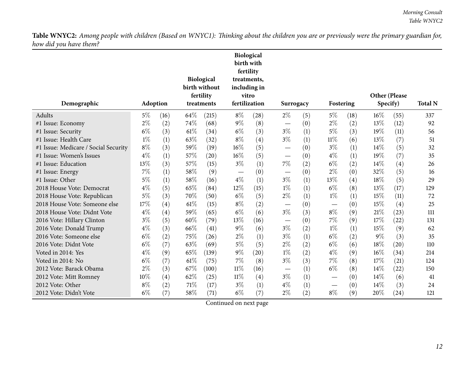|                                      |       |          |      | <b>Biological</b> |        | <b>Biological</b><br>birth with<br>fertility<br>treatments, |                               |           |        |           |               |      |                |
|--------------------------------------|-------|----------|------|-------------------|--------|-------------------------------------------------------------|-------------------------------|-----------|--------|-----------|---------------|------|----------------|
|                                      |       |          |      | birth without     |        | including in                                                |                               |           |        |           |               |      |                |
|                                      |       |          |      | fertility         |        | vitro                                                       |                               |           |        |           | Other (Please |      |                |
| Demographic                          |       | Adoption |      | treatments        |        | fertilization                                               |                               | Surrogacy |        | Fostering | Specify)      |      | <b>Total N</b> |
| Adults                               | $5\%$ | (16)     | 64\% | (215)             | $8\%$  | (28)                                                        | $2\%$                         | (5)       | 5%     | (18)      | 16%           | (55) | 337            |
| #1 Issue: Economy                    | $2\%$ | (2)      | 74%  | (68)              | $9\%$  | (8)                                                         | $\qquad \qquad$               | (0)       | $2\%$  | (2)       | 13%           | (12) | 92             |
| #1 Issue: Security                   | $6\%$ | (3)      | 61%  | (34)              | $6\%$  | (3)                                                         | $3\%$                         | (1)       | $5\%$  | (3)       | 19%           | (11) | 56             |
| #1 Issue: Health Care                | $1\%$ | (1)      | 63%  | (32)              | $8\%$  | (4)                                                         | $3\%$                         | (1)       | $11\%$ | (6)       | 13%           | (7)  | 51             |
| #1 Issue: Medicare / Social Security | $8\%$ | (3)      | 59%  | (19)              | 16%    | (5)                                                         |                               | (0)       | $3\%$  | (1)       | 14%           | (5)  | 32             |
| #1 Issue: Women's Issues             | $4\%$ | (1)      | 57%  | (20)              | 16%    | (5)                                                         | $\overline{\phantom{0}}$      | (0)       | $4\%$  | (1)       | 19%           | (7)  | 35             |
| #1 Issue: Education                  | 13%   | (3)      | 57%  | (15)              | $3\%$  | (1)                                                         | 7%                            | (2)       | $6\%$  | (2)       | 14%           | (4)  | 26             |
| #1 Issue: Energy                     | 7%    | (1)      | 58%  | (9)               | —      | (0)                                                         |                               | (0)       | $2\%$  | (0)       | 32%           | (5)  | 16             |
| #1 Issue: Other                      | 5%    | (1)      | 58%  | (16)              | $4\%$  | (1)                                                         | $3\%$                         | (1)       | 13%    | (4)       | 18%           | (5)  | 29             |
| 2018 House Vote: Democrat            | $4\%$ | (5)      | 65%  | (84)              | 12%    | (15)                                                        | $1\%$                         | (1)       | $6\%$  | (8)       | 13%           | (17) | 129            |
| 2018 House Vote: Republican          | 5%    | (3)      | 70%  | (50)              | $6\%$  | (5)                                                         | $2\%$                         | (1)       | $1\%$  | (1)       | 15%           | (11) | 72             |
| 2018 House Vote: Someone else        | 17%   | (4)      | 61%  | (15)              | $8\%$  | (2)                                                         |                               | (0)       |        | (0)       | 15%           | (4)  | 25             |
| 2018 House Vote: Didnt Vote          | $4\%$ | (4)      | 59%  | (65)              | $6\%$  | (6)                                                         | $3\%$                         | (3)       | $8\%$  | (9)       | 21%           | (23) | 111            |
| 2016 Vote: Hillary Clinton           | $3\%$ | (5)      | 60%  | (79)              | 13%    | (16)                                                        | $\qquad \qquad -$             | (0)       | $7\%$  | (9)       | 17%           | (22) | 131            |
| 2016 Vote: Donald Trump              | $4\%$ | (3)      | 66\% | (41)              | $9\%$  | (6)                                                         | $3\%$                         | (2)       | $1\%$  | (1)       | 15%           | (9)  | 62             |
| 2016 Vote: Someone else              | $6\%$ | (2)      | 75%  | (26)              | $2\%$  | (1)                                                         | $3\%$                         | (1)       | $6\%$  | (2)       | $9\%$         | (3)  | 35             |
| 2016 Vote: Didnt Vote                | $6\%$ | (7)      | 63%  | (69)              | $5\%$  | (5)                                                         | $2\%$                         | (2)       | $6\%$  | (6)       | 18%           | (20) | 110            |
| Voted in 2014: Yes                   | $4\%$ | (9)      | 65%  | (139)             | $9\%$  | (20)                                                        | $1\%$                         | (2)       | $4\%$  | (9)       | 16%           | (34) | 214            |
| Voted in 2014: No                    | $6\%$ | (7)      | 61\% | (75)              | 7%     | (8)                                                         | $3\%$                         | (3)       | 7%     | (8)       | 17%           | (21) | 124            |
| 2012 Vote: Barack Obama              | $2\%$ | (3)      | 67%  | (100)             | $11\%$ | (16)                                                        | $\overbrace{\phantom{13333}}$ | (1)       | $6\%$  | (8)       | 14\%          | (22) | 150            |
| 2012 Vote: Mitt Romney               | 10%   | (4)      | 62%  | (25)              | $11\%$ | (4)                                                         | $3\%$                         | (1)       |        | (0)       | 14\%          | (6)  | 41             |
| 2012 Vote: Other                     | $8\%$ | (2)      | 71%  | (17)              | $3\%$  | (1)                                                         | $4\%$                         | (1)       |        | (0)       | 14%           | (3)  | 24             |
| 2012 Vote: Didn't Vote               | $6\%$ | (7)      | 58%  | (71)              | $6\%$  | (7)                                                         | $2\%$                         | (2)       | $8\%$  | (9)       | 20%           | (24) | 121            |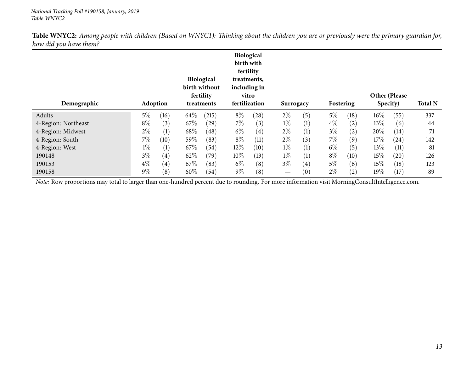| Demographic                                                                                                                                    | Adoption |                   |      | <b>Biological</b><br>birth without<br>fertility<br>treatments | <b>Biological</b><br>birth with<br>fertility<br>including in<br>vitro<br>fertilization | treatments, | Surrogacy         |     | Fostering |      | Other (Please<br>Specify) |      | <b>Total N</b> |
|------------------------------------------------------------------------------------------------------------------------------------------------|----------|-------------------|------|---------------------------------------------------------------|----------------------------------------------------------------------------------------|-------------|-------------------|-----|-----------|------|---------------------------|------|----------------|
| Adults                                                                                                                                         | $5\%$    | (16)              | 64\% | (215)                                                         | $8\%$                                                                                  | (28)        | $2\%$             | (5) | $5\%$     | (18) | $16\%$                    | (55) | 337            |
|                                                                                                                                                |          |                   |      |                                                               |                                                                                        |             |                   |     |           |      |                           |      |                |
| 4-Region: Northeast                                                                                                                            | $8\%$    | (3)               | 67\% | (29)                                                          | 7%                                                                                     | (3)         | $1\%$             | (1) | $4\%$     | (2)  | 13\%                      | (6)  | 44             |
| 4-Region: Midwest                                                                                                                              | $2\%$    | (1)               | 68\% | (48)                                                          | $6\%$                                                                                  | (4)         | $2\%$             | (1) | $3\%$     | (2)  | 20%                       | (14) | 71             |
| 4-Region: South                                                                                                                                | $7\%$    | (10)              | 59\% | (83)                                                          | $8\%$                                                                                  | (11)        | $2\%$             | (3) | $7\%$     | (9)  | $17\%$                    | (24) | 142            |
| 4-Region: West                                                                                                                                 | $1\%$    | (1)               | 67\% | (54)                                                          | $12\%$                                                                                 | (10)        | $1\%$             | (1) | $6\%$     | (5)  | $13\%$                    | (11) | 81             |
| 190148                                                                                                                                         | $3\%$    | $\left( 4\right)$ | 62\% | (79)                                                          | $10\%$                                                                                 | (13)        | $1\%$             | (1) | $8\%$     | (10) | 15%                       | (20) | 126            |
| 190153                                                                                                                                         | $4\%$    | $\left( 4\right)$ | 67\% | (83)                                                          | $6\%$                                                                                  | (8)         | $3\%$             | (4) | $5\%$     | (6)  | 15\%                      | (18) | 123            |
| 190158                                                                                                                                         | $9\%$    | (8)               | 60%  | (54)                                                          | $9\%$                                                                                  | (8)         | $\hspace{0.05cm}$ | (0) | $2\%$     | (2)  | 19%                       | (17) | 89             |
| Note: Row proportions may total to larger than one-hundred percent due to rounding. For more information visit MorningConsultIntelligence.com. |          |                   |      |                                                               |                                                                                        |             |                   |     |           |      |                           |      |                |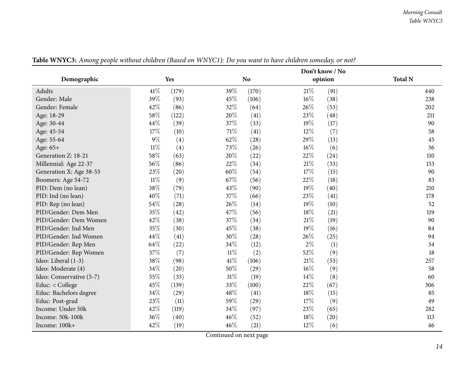<span id="page-13-0"></span>

|                          |        |            |        |                |        | Don't know / No |                |
|--------------------------|--------|------------|--------|----------------|--------|-----------------|----------------|
| Demographic              |        | <b>Yes</b> |        | N <sub>o</sub> |        | opinion         | <b>Total N</b> |
| Adults                   | 41\%   | (179)      | 39%    | (170)          | $21\%$ | (91)            | 440            |
| Gender: Male             | 39%    | (93)       | 45%    | (106)          | $16\%$ | (38)            | 238            |
| Gender: Female           | 42%    | (86)       | 32%    | (64)           | 26%    | (53)            | 202            |
| Age: 18-29               | 58%    | (122)      | 20%    | (41)           | 23%    | (48)            | 211            |
| Age: 30-44               | 44\%   | (39)       | 37%    | (33)           | 19%    | (17)            | 90             |
| Age: 45-54               | 17%    | (10)       | 71\%   | (41)           | 12%    | (7)             | 58             |
| Age: 55-64               | $9\%$  | (4)        | 62%    | (28)           | 29%    | (13)            | 45             |
| Age: 65+                 | $11\%$ | (4)        | 73%    | (26)           | 16%    | (6)             | 36             |
| Generation Z: 18-21      | 58%    | (63)       | 20%    | (22)           | 22%    | (24)            | 110            |
| Millennial: Age 22-37    | 56%    | (86)       | 22\%   | (34)           | 21%    | (33)            | 153            |
| Generation X: Age 38-53  | 23%    | (20)       | 60%    | (54)           | 17%    | (15)            | 90             |
| Boomers: Age 54-72       | $11\%$ | (9)        | 67%    | (56)           | 22%    | (18)            | 83             |
| PID: Dem (no lean)       | 38%    | (79)       | 43%    | (90)           | 19%    | (40)            | 210            |
| PID: Ind (no lean)       | 40%    | (71)       | 37%    | (66)           | 23%    | (41)            | 178            |
| PID: Rep (no lean)       | 54%    | (28)       | 26%    | (14)           | 19%    | (10)            | 52             |
| PID/Gender: Dem Men      | 35%    | (42)       | 47%    | (56)           | 18%    | (21)            | 119            |
| PID/Gender: Dem Women    | 42%    | (38)       | 37%    | (34)           | 21%    | (19)            | 90             |
| PID/Gender: Ind Men      | 35%    | (30)       | 45%    | (38)           | 19%    | (16)            | 84             |
| PID/Gender: Ind Women    | 44%    | (41)       | $30\%$ | (28)           | 26%    | (25)            | 94             |
| PID/Gender: Rep Men      | 64\%   | (22)       | 34%    | (12)           | $2\%$  | (1)             | 34             |
| PID/Gender: Rep Women    | 37%    | (7)        | $11\%$ | (2)            | 52%    | (9)             | 18             |
| Ideo: Liberal (1-3)      | 38%    | (98)       | $41\%$ | (106)          | $21\%$ | (53)            | 257            |
| Ideo: Moderate (4)       | 34%    | (20)       | 50%    | (29)           | 16%    | (9)             | 58             |
| Ideo: Conservative (5-7) | 55%    | (33)       | $31\%$ | (19)           | 14\%   | (8)             | 60             |
| Educ: < College          | 45%    | (139)      | 33%    | (100)          | 22%    | (67)            | 306            |
| Educ: Bachelors degree   | 34%    | (29)       | 48%    | (41)           | 18%    | (15)            | 85             |
| Educ: Post-grad          | 23%    | (11)       | 59%    | (29)           | 17%    | (9)             | 49             |
| Income: Under 50k        | 42%    | (119)      | 34%    | (97)           | 23%    | (65)            | 282            |
| Income: 50k-100k         | 36%    | (40)       | 46%    | (52)           | 18%    | (20)            | 113            |
| Income: 100k+            | 42%    | (19)       | 46%    | (21)           | 12%    | (6)             | 46             |

Table WNYC3: Among people without children (Based on WNYC1): Do you want to have children someday, or not?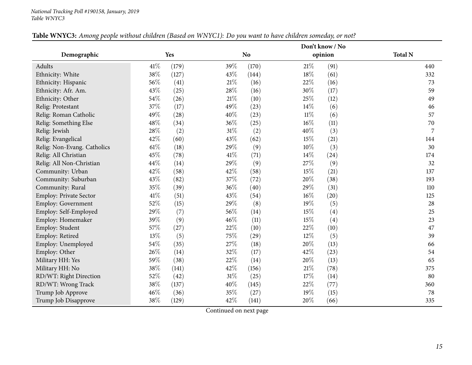|                             |      |       |        |                |        | Don't know / No |                |
|-----------------------------|------|-------|--------|----------------|--------|-----------------|----------------|
| Demographic                 |      | Yes   |        | N <sub>o</sub> |        | opinion         | <b>Total N</b> |
| <b>Adults</b>               | 41\% | (179) | 39%    | (170)          | $21\%$ | (91)            | 440            |
| Ethnicity: White            | 38%  | (127) | 43%    | (144)          | 18%    | (61)            | 332            |
| Ethnicity: Hispanic         | 56%  | (41)  | $21\%$ | (16)           | 22%    | (16)            | 73             |
| Ethnicity: Afr. Am.         | 43%  | (25)  | 28\%   | (16)           | $30\%$ | (17)            | 59             |
| Ethnicity: Other            | 54%  | (26)  | $21\%$ | (10)           | $25\%$ | (12)            | 49             |
| Relig: Protestant           | 37%  | (17)  | 49%    | (23)           | 14\%   | (6)             | 46             |
| Relig: Roman Catholic       | 49%  | (28)  | 40%    | (23)           | $11\%$ | (6)             | 57             |
| Relig: Something Else       | 48%  | (34)  | 36%    | (25)           | $16\%$ | (11)            | 70             |
| Relig: Jewish               | 28%  | (2)   | 31%    | (2)            | 40%    | (3)             | 7              |
| Relig: Evangelical          | 42%  | (60)  | 43%    | (62)           | 15%    | (21)            | 144            |
| Relig: Non-Evang. Catholics | 61%  | (18)  | 29%    | (9)            | 10%    | (3)             | 30             |
| Relig: All Christian        | 45%  | (78)  | $41\%$ | (71)           | 14\%   | (24)            | 174            |
| Relig: All Non-Christian    | 44%  | (14)  | 29%    | (9)            | 27%    | (9)             | 32             |
| Community: Urban            | 42%  | (58)  | 42%    | (58)           | $15\%$ | (21)            | 137            |
| Community: Suburban         | 43%  | (82)  | 37%    | (72)           | 20%    | (38)            | 193            |
| Community: Rural            | 35%  | (39)  | 36%    | (40)           | 29%    | (31)            | 110            |
| Employ: Private Sector      | 41%  | (51)  | 43%    | (54)           | $16\%$ | (20)            | 125            |
| Employ: Government          | 52%  | (15)  | 29%    | (8)            | $19\%$ | (5)             | 28             |
| Employ: Self-Employed       | 29%  | (7)   | 56%    | (14)           | 15%    | (4)             | 25             |
| Employ: Homemaker           | 39%  | (9)   | 46%    | (11)           | 15%    | (4)             | 23             |
| Employ: Student             | 57%  | (27)  | $22\%$ | (10)           | 22%    | (10)            | 47             |
| Employ: Retired             | 13%  | (5)   | 75%    | (29)           | 12%    | (5)             | 39             |
| Employ: Unemployed          | 54%  | (35)  | 27%    | (18)           | 20%    | (13)            | 66             |
| Employ: Other               | 26%  | (14)  | 32%    | (17)           | 42%    | (23)            | 54             |
| Military HH: Yes            | 59%  | (38)  | 22%    | (14)           | 20%    | (13)            | 65             |
| Military HH: No             | 38%  | (141) | 42%    | (156)          | $21\%$ | (78)            | 375            |
| RD/WT: Right Direction      | 52%  | (42)  | $31\%$ | (25)           | 17%    | (14)            | 80             |
| RD/WT: Wrong Track          | 38%  | (137) | 40%    | (145)          | 22%    | (77)            | 360            |
| Trump Job Approve           | 46%  | (36)  | 35%    | (27)           | 19%    | (15)            | 78             |
| Trump Job Disapprove        | 38%  | (129) | 42%    | (141)          | 20%    | (66)            | 335            |

### Table WNYC3: Among people without children (Based on WNYC1): Do you want to have children someday, or not?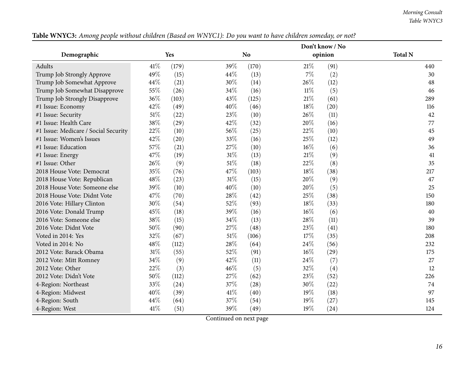*Morning Consult Table WNYC3*

|                                      |        |       |      |                |        | Don't know / No |                |
|--------------------------------------|--------|-------|------|----------------|--------|-----------------|----------------|
| Demographic                          |        | Yes   |      | N <sub>o</sub> |        | opinion         | <b>Total N</b> |
| Adults                               | 41\%   | (179) | 39%  | (170)          | 21\%   | (91)            | 440            |
| Trump Job Strongly Approve           | 49%    | (15)  | 44%  | (13)           | $7\%$  | (2)             | 30             |
| Trump Job Somewhat Approve           | 44%    | (21)  | 30%  | (14)           | 26%    | (12)            | 48             |
| Trump Job Somewhat Disapprove        | 55%    | (26)  | 34%  | (16)           | $11\%$ | (5)             | 46             |
| Trump Job Strongly Disapprove        | 36%    | (103) | 43%  | (125)          | 21%    | (61)            | 289            |
| #1 Issue: Economy                    | 42%    | (49)  | 40%  | (46)           | 18%    | (20)            | 116            |
| #1 Issue: Security                   | $51\%$ | (22)  | 23%  | (10)           | 26%    | (11)            | 42             |
| #1 Issue: Health Care                | 38%    | (29)  | 42%  | (32)           | 20%    | (16)            | 77             |
| #1 Issue: Medicare / Social Security | 22%    | (10)  | 56%  | (25)           | 22%    | (10)            | 45             |
| #1 Issue: Women's Issues             | 42%    | (20)  | 33\% | (16)           | 25\%   | (12)            | 49             |
| #1 Issue: Education                  | 57%    | (21)  | 27%  | (10)           | $16\%$ | (6)             | 36             |
| #1 Issue: Energy                     | 47%    | (19)  | 31%  | (13)           | 21%    | (9)             | 41             |
| #1 Issue: Other                      | 26%    | (9)   | 51%  | (18)           | 22%    | (8)             | 35             |
| 2018 House Vote: Democrat            | 35%    | (76)  | 47%  | (103)          | $18\%$ | (38)            | 217            |
| 2018 House Vote: Republican          | 48%    | (23)  | 31%  | (15)           | 20%    | (9)             | 47             |
| 2018 House Vote: Someone else        | 39%    | (10)  | 40%  | (10)           | 20%    | (5)             | 25             |
| 2018 House Vote: Didnt Vote          | 47%    | (70)  | 28%  | (42)           | 25%    | (38)            | 150            |
| 2016 Vote: Hillary Clinton           | 30%    | (54)  | 52%  | (93)           | 18\%   | (33)            | 180            |
| 2016 Vote: Donald Trump              | 45%    | (18)  | 39%  | (16)           | $16\%$ | (6)             | 40             |
| 2016 Vote: Someone else              | 38%    | (15)  | 34\% | (13)           | 28\%   | (11)            | 39             |
| 2016 Vote: Didnt Vote                | 50%    | (90)  | 27%  | (48)           | 23%    | (41)            | 180            |
| Voted in 2014: Yes                   | 32%    | (67)  | 51%  | (106)          | 17%    | (35)            | 208            |
| Voted in 2014: No                    | 48%    | (112) | 28%  | (64)           | 24\%   | (56)            | 232            |
| 2012 Vote: Barack Obama              | $31\%$ | (55)  | 52\% | (91)           | $16\%$ | (29)            | 175            |
| 2012 Vote: Mitt Romney               | 34%    | (9)   | 42\% | (11)           | 24\%   | (7)             | 27             |
| 2012 Vote: Other                     | 22%    | (3)   | 46%  | (5)            | 32%    | (4)             | 12             |
| 2012 Vote: Didn't Vote               | 50%    | (112) | 27%  | (62)           | 23%    | (52)            | 226            |
| 4-Region: Northeast                  | 33%    | (24)  | 37%  | (28)           | 30%    | (22)            | 74             |
| 4-Region: Midwest                    | 40%    | (39)  | 41\% | (40)           | 19%    | (18)            | 97             |
| 4-Region: South                      | 44%    | (64)  | 37%  | (54)           | $19\%$ | (27)            | 145            |
| 4-Region: West                       | 41\%   | (51)  | 39%  | (49)           | $19\%$ | (24)            | 124            |

Table WNYC3: Among people without children (Based on WNYC1): Do you want to have children someday, or not?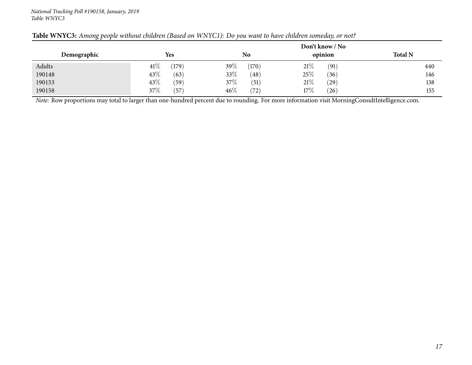|             |                |                | Don't know / No     |                |
|-------------|----------------|----------------|---------------------|----------------|
| Demographic | Yes            | No             | opinion             | <b>Total N</b> |
| Adults      | 41%<br>(179)   | 39\%<br>(170)  | 21%<br>(91)         | 440            |
| 190148      | $43\%$<br>(63) | 33%<br>(48)    | 25%<br>(36)         | 146            |
| 190153      | 43\%<br>(59)   | $37\%$<br>(51) | $21\%$<br>$^{(29)}$ | 138            |
| 190158      | $37\%$<br>(57) | 46%<br>(72)    | 17%<br>(26)         | 155            |

#### Table WNYC3: Among people without children (Based on WNYC1): Do you want to have children someday, or not?

*Note:* Row proportions may total to larger than one-hundred percen<sup>t</sup> due to rounding. For more information visit [MorningConsultIntelligence.com](https://morningconsultintelligence.com).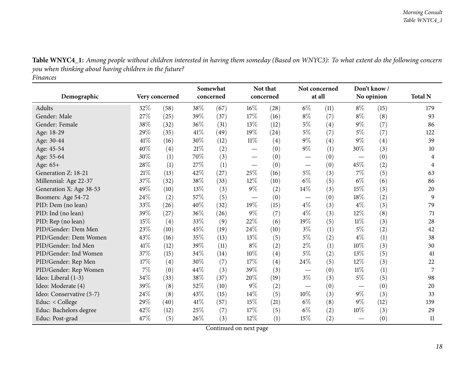<span id="page-17-0"></span>

| Demographic              |        | Very concerned | Somewhat<br>concerned |      |        | Not that<br>concerned |       | Not concerned<br>at all | Don't know /<br>No opinion |      | <b>Total N</b> |
|--------------------------|--------|----------------|-----------------------|------|--------|-----------------------|-------|-------------------------|----------------------------|------|----------------|
|                          |        |                |                       |      |        |                       |       |                         |                            |      |                |
| Adults                   | 32%    | (58)           | 38%                   | (67) | 16%    | (28)                  | $6\%$ | (11)                    | $8\%$                      | (15) | 179            |
| Gender: Male             | 27%    | (25)           | 39%                   | (37) | 17%    | (16)                  | $8\%$ | (7)                     | $8\%$                      | (8)  | 93             |
| Gender: Female           | 38%    | (32)           | 36%                   | (31) | 13%    | (12)                  | $5\%$ | (4)                     | $9\%$                      | (7)  | 86             |
| Age: 18-29               | 29%    | (35)           | 41\%                  | (49) | 19%    | (24)                  | $5\%$ | (7)                     | $5\%$                      | (7)  | 122            |
| Age: 30-44               | 41%    | (16)           | 30%                   | (12) | $11\%$ | (4)                   | $9\%$ | (4)                     | $9\%$                      | (4)  | 39             |
| Age: 45-54               | 40%    | (4)            | $21\%$                | (2)  |        | (0)                   | $9\%$ | (1)                     | 30%                        | (3)  | 10             |
| Age: 55-64               | 30%    | (1)            | 70%                   | (3)  |        | (0)                   |       | (0)                     |                            | (0)  | 4              |
| Age: 65+                 | $28\%$ | (1)            | 27%                   | (1)  |        | (0)                   |       | (0)                     | 45%                        | (2)  | 4              |
| Generation Z: 18-21      | 21\%   | (13)           | 42%                   | (27) | 25%    | (16)                  | $5\%$ | (3)                     | 7%                         | (5)  | 63             |
| Millennial: Age 22-37    | $37\%$ | (32)           | 38\%                  | (33) | 12%    | (10)                  | $6\%$ | (5)                     | $6\%$                      | (6)  | 86             |
| Generation X: Age 38-53  | 49%    | (10)           | 13%                   | (3)  | $9\%$  | (2)                   | 14%   | (3)                     | 15%                        | (3)  | 20             |
| Boomers: Age 54-72       | $24\%$ | (2)            | 57%                   | (5)  |        | (0)                   |       | (0)                     | 18%                        | (2)  | 9              |
| PID: Dem (no lean)       | 33%    | (26)           | 40%                   | (32) | 19%    | (15)                  | $4\%$ | (3)                     | $4\%$                      | (3)  | 79             |
| PID: Ind (no lean)       | 39%    | (27)           | 36\%                  | (26) | 9%     | (7)                   | $4\%$ | (3)                     | 12%                        | (8)  | 71             |
| PID: Rep (no lean)       | 15%    | (4)            | 33%                   | (9)  | 22%    | (6)                   | 19%   | (5)                     | $11\%$                     | (3)  | 28             |
| PID/Gender: Dem Men      | 23%    | (10)           | 45%                   | (19) | 24%    | (10)                  | $3\%$ | (1)                     | 5%                         | (2)  | 42             |
| PID/Gender: Dem Women    | 43%    | (16)           | 35%                   | (13) | 13%    | (5)                   | $5\%$ | (2)                     | $4\%$                      | (1)  | 38             |
| PID/Gender: Ind Men      | 41%    | (12)           | 39%                   | (11) | $8\%$  | (2)                   | $2\%$ | (1)                     | 10%                        | (3)  | 30             |
| PID/Gender: Ind Women    | 37%    | (15)           | 34%                   | (14) | 10%    | (4)                   | 5%    | (2)                     | 13%                        | (5)  | 41             |
| PID/Gender: Rep Men      | 17%    | (4)            | 30%                   | (7)  | 17%    | (4)                   | 24%   | (5)                     | 12%                        | (3)  | 22             |
| PID/Gender: Rep Women    | $7\%$  | (0)            | 44%                   | (3)  | 39%    | (3)                   |       | (0)                     | $11\%$                     | (1)  | 7              |
| Ideo: Liberal (1-3)      | 34%    | (33)           | 38%                   | (37) | 20%    | (19)                  | $3\%$ | (3)                     | $5\%$                      | (5)  | 98             |
| Ideo: Moderate (4)       | 39%    | (8)            | 52%                   | (10) | 9%     | (2)                   |       | (0)                     |                            | (0)  | 20             |
| Ideo: Conservative (5-7) | 24\%   | (8)            | 43%                   | (15) | 14%    | (5)                   | 10%   | (3)                     | $9\%$                      | (3)  | 33             |
| Educ: < College          | 29%    | (40)           | 41\%                  | (57) | 15%    | (21)                  | $6\%$ | (8)                     | $9\%$                      | (12) | 139            |
| Educ: Bachelors degree   | 42%    | (12)           | 25%                   | (7)  | 17%    | (5)                   | $6\%$ | (2)                     | 10%                        | (3)  | 29             |
| Educ: Post-grad          | 47%    | (5)            | 26%                   | (3)  | 12%    | (1)                   | 15%   | (2)                     |                            | (0)  | 11             |

Table WNYC4\_1: Among people without children interested in having them someday (Based on WNYC3): To what extent do the following concern *you when thinking about having children in the future?*

*Finances*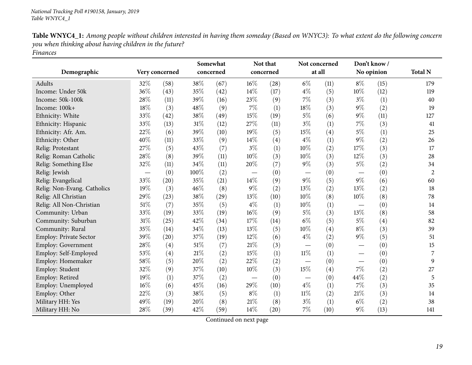| Table WNYC4_1: Among people without children interested in having them someday (Based on WNYC3): To what extent do the following concern |
|------------------------------------------------------------------------------------------------------------------------------------------|
| you when thinking about having children in the future?                                                                                   |
| <b>Finances</b>                                                                                                                          |

| Demographic                 |     | Very concerned | Somewhat<br>concerned |      | Not that<br>concerned             |      | Not concerned<br>at all         |      | Don't know/<br>No opinion     |      | <b>Total N</b> |
|-----------------------------|-----|----------------|-----------------------|------|-----------------------------------|------|---------------------------------|------|-------------------------------|------|----------------|
|                             |     |                |                       |      |                                   |      |                                 |      |                               |      |                |
| Adults                      | 32% | (58)           | 38\%                  | (67) | $16\%$                            | (28) | $6\%$                           | (11) | $8\%$                         | (15) | 179            |
| Income: Under 50k           | 36% | (43)           | 35%                   | (42) | 14%                               | (17) | $4\%$                           | (5)  | 10%                           | (12) | 119            |
| Income: 50k-100k            | 28% | (11)           | 39%                   | (16) | 23%                               | (9)  | $7\%$                           | (3)  | $3\%$                         | (1)  | 40             |
| Income: 100k+               | 18% | (3)            | 48\%                  | (9)  | $7\%$                             | (1)  | $18\%$                          | (3)  | $9\%$                         | (2)  | 19             |
| Ethnicity: White            | 33% | (42)           | 38%                   | (49) | 15%                               | (19) | $5\%$                           | (6)  | $9\%$                         | (11) | 127            |
| Ethnicity: Hispanic         | 33% | (13)           | $31\%$                | (12) | 27%                               | (11) | $3\%$                           | (1)  | $7\%$                         | (3)  | 41             |
| Ethnicity: Afr. Am.         | 22% | (6)            | 39%                   | (10) | 19%                               | (5)  | 15%                             | (4)  | $5\%$                         | (1)  | 25             |
| Ethnicity: Other            | 40% | (11)           | 33%                   | (9)  | 14\%                              | (4)  | $4\%$                           | (1)  | 9%                            | (2)  | 26             |
| Relig: Protestant           | 27% | (5)            | 43%                   | (7)  | $3\%$                             | (1)  | 10%                             | (2)  | 17%                           | (3)  | 17             |
| Relig: Roman Catholic       | 28% | (8)            | 39%                   | (11) | 10%                               | (3)  | 10%                             | (3)  | 12%                           | (3)  | 28             |
| Relig: Something Else       | 32% | (11)           | 34\%                  | (11) | 20%                               | (7)  | $9\%$                           | (3)  | $5\%$                         | (2)  | 34             |
| Relig: Jewish               |     | (0)            | 100%                  | (2)  | $\overbrace{\phantom{123221111}}$ | (0)  |                                 | (0)  |                               | (0)  | $\overline{c}$ |
| Relig: Evangelical          | 33% | (20)           | 35%                   | (21) | 14%                               | (9)  | $9\%$                           | (5)  | $9\%$                         | (6)  | 60             |
| Relig: Non-Evang. Catholics | 19% | (3)            | 46%                   | (8)  | $9\%$                             | (2)  | 13%                             | (2)  | 13%                           | (2)  | 18             |
| Relig: All Christian        | 29% | (23)           | 38\%                  | (29) | 13%                               | (10) | 10%                             | (8)  | 10%                           | (8)  | 78             |
| Relig: All Non-Christian    | 51% | (7)            | 35%                   | (5)  | $4\%$                             | (1)  | 10%                             | (1)  |                               | (0)  | 14             |
| Community: Urban            | 33% | (19)           | 33%                   | (19) | 16%                               | (9)  | $5\%$                           | (3)  | 13%                           | (8)  | 58             |
| Community: Suburban         | 31% | (25)           | 42%                   | (34) | 17%                               | (14) | $6\%$                           | (5)  | $5\%$                         | (4)  | 82             |
| Community: Rural            | 35% | (14)           | 34\%                  | (13) | 13%                               | (5)  | 10%                             | (4)  | $8\%$                         | (3)  | 39             |
| Employ: Private Sector      | 39% | (20)           | 37%                   | (19) | 12%                               | (6)  | $4\%$                           | (2)  | $9\%$                         | (5)  | 51             |
| Employ: Government          | 28% | (4)            | $51\%$                | (7)  | $21\%$                            | (3)  | $\hspace{0.1mm}-\hspace{0.1mm}$ | (0)  | $\overbrace{\phantom{13333}}$ | (0)  | 15             |
| Employ: Self-Employed       | 53% | (4)            | $21\%$                | (2)  | 15%                               | (1)  | $11\%$                          | (1)  |                               | (0)  | 7              |
| Employ: Homemaker           | 58% | (5)            | 20%                   | (2)  | 22%                               | (2)  |                                 | (0)  | $\overbrace{\phantom{aaaaa}}$ | (0)  | 9              |
| Employ: Student             | 32% | (9)            | 37%                   | (10) | 10%                               | (3)  | 15%                             | (4)  | 7%                            | (2)  | 27             |
| Employ: Retired             | 19% | (1)            | 37%                   | (2)  | $\overline{\phantom{m}}$          | (0)  | $\hspace{0.05cm}$               | (0)  | 44%                           | (2)  | 5              |
| Employ: Unemployed          | 16% | (6)            | 45%                   | (16) | 29%                               | (10) | $4\%$                           | (1)  | 7%                            | (3)  | 35             |
| Employ: Other               | 22% | (3)            | 38%                   | (5)  | $8\%$                             | (1)  | $11\%$                          | (2)  | 21%                           | (3)  | 14             |
| Military HH: Yes            | 49% | (19)           | 20%                   | (8)  | 21%                               | (8)  | $3\%$                           | (1)  | $6\%$                         | (2)  | 38             |
| Military HH: No             | 28% | (39)           | 42%                   | (59) | 14%                               | (20) | $7\%$                           | (10) | $9\%$                         | (13) | 141            |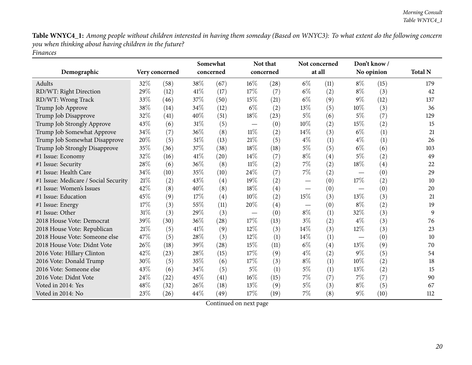Table WNYC4\_1: Among people without children interested in having them someday (Based on WNYC3): To what extent do the following concern *you when thinking about having children in the future? Finances*

|                                      |      |                | Somewhat |           |        | Not that  |        | Not concerned |        | Don't know/ |                |
|--------------------------------------|------|----------------|----------|-----------|--------|-----------|--------|---------------|--------|-------------|----------------|
| Demographic                          |      | Very concerned |          | concerned |        | concerned | at all |               |        | No opinion  | <b>Total N</b> |
| Adults                               | 32%  | (58)           | 38%      | (67)      | 16%    | (28)      | $6\%$  | (11)          | $8\%$  | (15)        | 179            |
| RD/WT: Right Direction               | 29%  | (12)           | 41\%     | (17)      | 17%    | (7)       | $6\%$  | (2)           | $8\%$  | (3)         | 42             |
| RD/WT: Wrong Track                   | 33%  | (46)           | 37%      | (50)      | 15%    | (21)      | $6\%$  | (9)           | $9\%$  | (12)        | 137            |
| Trump Job Approve                    | 38%  | (14)           | 34%      | (12)      | $6\%$  | (2)       | 13%    | (5)           | 10%    | (3)         | 36             |
| Trump Job Disapprove                 | 32%  | (41)           | 40%      | (51)      | $18\%$ | (23)      | 5%     | (6)           | $5\%$  | (7)         | 129            |
| Trump Job Strongly Approve           | 43%  | (6)            | $31\%$   | (5)       |        | (0)       | 10%    | (2)           | 15%    | (2)         | 15             |
| Trump Job Somewhat Approve           | 34%  | (7)            | 36%      | (8)       | $11\%$ | (2)       | 14\%   | (3)           | $6\%$  | (1)         | 21             |
| Trump Job Somewhat Disapprove        | 20%  | (5)            | 51\%     | (13)      | 21%    | (5)       | $4\%$  | (1)           | $4\%$  | (1)         | 26             |
| Trump Job Strongly Disapprove        | 35%  | (36)           | 37%      | (38)      | $18\%$ | (18)      | $5\%$  | (5)           | $6\%$  | (6)         | 103            |
| #1 Issue: Economy                    | 32%  | (16)           | $41\%$   | (20)      | $14\%$ | (7)       | $8\%$  | (4)           | 5%     | (2)         | 49             |
| #1 Issue: Security                   | 28%  | (6)            | 36%      | (8)       | 11%    | (2)       | $7\%$  | (2)           | 18%    | (4)         | 22             |
| #1 Issue: Health Care                | 34\% | (10)           | 35%      | (10)      | 24%    | (7)       | $7\%$  | (2)           |        | (0)         | 29             |
| #1 Issue: Medicare / Social Security | 21%  | (2)            | 43%      | (4)       | 19%    | (2)       |        | (0)           | 17%    | (2)         | 10             |
| #1 Issue: Women's Issues             | 42%  | (8)            | 40%      | (8)       | 18%    | (4)       |        | (0)           |        | (0)         | 20             |
| #1 Issue: Education                  | 45%  | (9)            | 17%      | (4)       | 10%    | (2)       | $15\%$ | (3)           | 13%    | (3)         | 21             |
| #1 Issue: Energy                     | 17%  | (3)            | 55%      | (11)      | 20%    | (4)       |        | (0)           | $8\%$  | (2)         | 19             |
| #1 Issue: Other                      | 31%  | (3)            | 29%      | (3)       |        | (0)       | $8\%$  | (1)           | 32%    | (3)         | 9              |
| 2018 House Vote: Democrat            | 39%  | (30)           | 36%      | (28)      | 17%    | (13)      | $3\%$  | (2)           | $4\%$  | (3)         | 76             |
| 2018 House Vote: Republican          | 21\% | (5)            | 41\%     | (9)       | 12%    | (3)       | 14%    | (3)           | $12\%$ | (3)         | 23             |
| 2018 House Vote: Someone else        | 47\% | (5)            | 28%      | (3)       | 12%    | (1)       | 14%    | (1)           |        | (0)         | 10             |
| 2018 House Vote: Didnt Vote          | 26\% | (18)           | 39%      | (28)      | 15%    | (11)      | $6\%$  | (4)           | 13%    | (9)         | 70             |
| 2016 Vote: Hillary Clinton           | 42%  | (23)           | 28\%     | (15)      | 17%    | (9)       | $4\%$  | (2)           | $9\%$  | (5)         | 54             |
| 2016 Vote: Donald Trump              | 30%  | (5)            | 35%      | (6)       | 17%    | (3)       | $8\%$  | (1)           | $10\%$ | (2)         | 18             |
| 2016 Vote: Someone else              | 43\% | (6)            | 34\%     | (5)       | $5\%$  | (1)       | $5\%$  | (1)           | 13%    | (2)         | 15             |
| 2016 Vote: Didnt Vote                | 24\% | (22)           | 45\%     | (41)      | $16\%$ | (15)      | $7\%$  | (7)           | $7\%$  | (7)         | 90             |
| Voted in 2014: Yes                   | 48%  | (32)           | 26%      | (18)      | 13%    | (9)       | $5\%$  | (3)           | $8\%$  | (5)         | 67             |
| Voted in 2014: No                    | 23%  | (26)           | 44\%     | (49)      | 17%    | (19)      | $7\%$  | (8)           | $9\%$  | (10)        | 112            |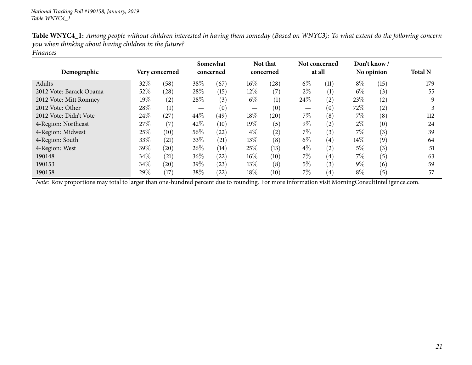| Demographic             |        | Very concerned |        | Somewhat<br>concerned |        | Not that<br>concerned | Not concerned | at all            |        | Don't know/<br>No opinion | <b>Total N</b> |
|-------------------------|--------|----------------|--------|-----------------------|--------|-----------------------|---------------|-------------------|--------|---------------------------|----------------|
| Adults                  | 32\%   | (58)           | 38%    | (67)                  | 16%    | (28)                  | $6\%$         | (11)              | $8\%$  | (15)                      | 179            |
| 2012 Vote: Barack Obama | 52%    | (28)           | 28\%   | (15)                  | 12\%   | (7)                   | $2\%$         | (1)               | $6\%$  | (3)                       | 55             |
| 2012 Vote: Mitt Romney  | $19\%$ | (2)            | 28\%   | (3)                   | $6\%$  | (1)                   | 24\%          | (2)               | 23\%   | (2)                       | 9              |
| 2012 Vote: Other        | 28\%   | (1)            |        | (0)                   |        | (0)                   |               | (0)               | 72%    | (2)                       |                |
| 2012 Vote: Didn't Vote  | 24\%   | (27)           | 44%    | (49)                  | 18%    | (20)                  | $7\%$         | (8)               | $7\%$  | (8)                       | 112            |
| 4-Region: Northeast     | 27\%   | (7)            | 42%    | (10)                  | 19%    | (5)                   | $9\%$         | (2)               | $2\%$  | (0)                       | 24             |
| 4-Region: Midwest       | 25%    | (10)           | $56\%$ | (22)                  | $4\%$  | (2)                   | 7%            | (3)               | $7\%$  | (3)                       | 39             |
| 4-Region: South         | 33\%   | (21)           | 33\%   | (21)                  | 13\%   | (8)                   | $6\%$         | $\left( 4\right)$ | $14\%$ | (9)                       | 64             |
| 4-Region: West          | 39\%   | (20)           | 26%    | (14)                  | 25\%   | (13)                  | $4\%$         | (2)               | $5\%$  | (3)                       | 51             |
| 190148                  | 34\%   | (21)           | $36\%$ | (22)                  | $16\%$ | (10)                  | $7\%$         | $\left( 4\right)$ | $7\%$  | (5)                       | 63             |
| 190153                  | 34\%   | (20)           | 39%    | (23)                  | 13%    | (8)                   | $5\%$         | (3)               | $9\%$  | (6)                       | 59             |
| 190158                  | 29\%   | (17)           | 38\%   | $^{(22)}$             | 18%    | (10)                  | 7%            | $\left( 4\right)$ | $8\%$  | (5)                       | 57             |

Table WNYC4\_1: Among people without children interested in having them someday (Based on WNYC3): To what extent do the following concern *you when thinking about having children in the future? Finances*

*Note:* Row proportions may total to larger than one-hundred percen<sup>t</sup> due to rounding. For more information visit [MorningConsultIntelligence.com](https://morningconsultintelligence.com).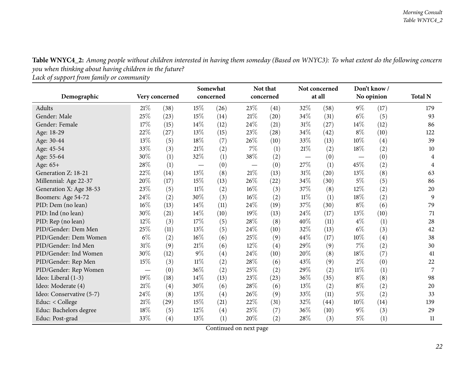Table WNYC4\_2: Among people without children interested in having them someday (Based on WNYC3): To what extent do the following concern *you when thinking about having children in the future?*

*Lack of support from family or community*

<span id="page-21-0"></span>

|                          |       |                | Somewhat                        |           |        | Not that  | Not concerned |        | Don't know/ |            |                |
|--------------------------|-------|----------------|---------------------------------|-----------|--------|-----------|---------------|--------|-------------|------------|----------------|
| Demographic              |       | Very concerned |                                 | concerned |        | concerned |               | at all |             | No opinion | <b>Total N</b> |
| Adults                   | 21%   | (38)           | 15%                             | (26)      | 23%    | (41)      | 32%           | (58)   | $9\%$       | (17)       | 179            |
| Gender: Male             | 25%   | (23)           | $15\%$                          | (14)      | $21\%$ | (20)      | 34%           | (31)   | $6\%$       | (5)        | 93             |
| Gender: Female           | 17%   | (15)           | 14\%                            | (12)      | 24%    | (21)      | $31\%$        | (27)   | 14%         | (12)       | 86             |
| Age: 18-29               | 22%   | (27)           | 13%                             | (15)      | 23%    | (28)      | 34\%          | (42)   | $8\%$       | (10)       | 122            |
| Age: 30-44               | 13%   | (5)            | 18%                             | (7)       | 26%    | (10)      | 33\%          | (13)   | $10\%$      | (4)        | 39             |
| Age: 45-54               | 33%   | (3)            | $21\%$                          | (2)       | $7\%$  | (1)       | 21%           | (2)    | 18%         | (2)        | 10             |
| Age: 55-64               | 30%   | (1)            | 32\%                            | (1)       | 38%    | (2)       |               | (0)    |             | (0)        | 4              |
| Age: 65+                 | 28%   | (1)            | $\hspace{0.1mm}-\hspace{0.1mm}$ | (0)       |        | (0)       | 27\%          | (1)    | 45%         | (2)        | 4              |
| Generation Z: 18-21      | 22%   | (14)           | 13%                             | (8)       | 21%    | (13)      | 31%           | (20)   | 13%         | (8)        | 63             |
| Millennial: Age 22-37    | 20%   | (17)           | 15%                             | (13)      | 26%    | (22)      | 34%           | (30)   | $5\%$       | (5)        | 86             |
| Generation X: Age 38-53  | 23%   | (5)            | $11\%$                          | (2)       | 16%    | (3)       | 37%           | (8)    | 12%         | (2)        | 20             |
| Boomers: Age 54-72       | 24\%  | (2)            | 30\%                            | (3)       | 16%    | (2)       | $11\%$        | (1)    | 18%         | (2)        | 9              |
| PID: Dem (no lean)       | 16%   | (13)           | 14%                             | (11)      | 24%    | (19)      | 37%           | (30)   | $8\%$       | (6)        | 79             |
| PID: Ind (no lean)       | 30%   | (21)           | 14\%                            | (10)      | 19%    | (13)      | 24\%          | (17)   | 13%         | (10)       | 71             |
| PID: Rep (no lean)       | 12%   | (3)            | $17\%$                          | (5)       | 28%    | (8)       | 40%           | (11)   | $4\%$       | (1)        | 28             |
| PID/Gender: Dem Men      | 25%   | (11)           | 13\%                            | (5)       | 24%    | (10)      | 32%           | (13)   | $6\%$       | (3)        | 42             |
| PID/Gender: Dem Women    | $6\%$ | (2)            | $16\%$                          | (6)       | 25%    | (9)       | 44\%          | (17)   | 10%         | (4)        | 38             |
| PID/Gender: Ind Men      | 31%   | (9)            | $21\%$                          | (6)       | $12\%$ | (4)       | 29%           | (9)    | $7\%$       | (2)        | 30             |
| PID/Gender: Ind Women    | 30%   | (12)           | $9\%$                           | (4)       | 24%    | (10)      | 20%           | (8)    | 18%         | (7)        | 41             |
| PID/Gender: Rep Men      | 15%   | (3)            | $11\%$                          | (2)       | 28%    | (6)       | 43\%          | (9)    | $2\%$       | (0)        | 22             |
| PID/Gender: Rep Women    |       | (0)            | 36%                             | (2)       | 25%    | (2)       | 29%           | (2)    | $11\%$      | (1)        | 7              |
| Ideo: Liberal (1-3)      | 19%   | (18)           | $14\%$                          | (13)      | 23%    | (23)      | 36%           | (35)   | $8\%$       | (8)        | 98             |
| Ideo: Moderate (4)       | 21%   | (4)            | 30%                             | (6)       | 28\%   | (6)       | 13%           | (2)    | $8\%$       | (2)        | 20             |
| Ideo: Conservative (5-7) | 24%   | (8)            | 13%                             | (4)       | 26%    | (9)       | 33\%          | (11)   | $5\%$       | (2)        | 33             |
| Educ: < College          | 21%   | (29)           | $15\%$                          | (21)      | 22\%   | (31)      | 32%           | (44)   | $10\%$      | (14)       | 139            |
| Educ: Bachelors degree   | 18%   | (5)            | 12%                             | (4)       | 25%    | (7)       | 36%           | (10)   | $9\%$       | (3)        | 29             |
| Educ: Post-grad          | 33%   | (4)            | 13%                             | (1)       | 20%    | (2)       | 28\%          | (3)    | $5\%$       | (1)        | 11             |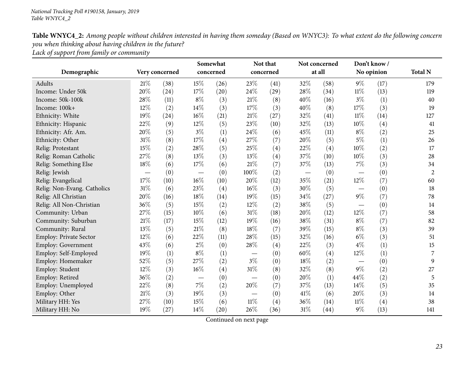| Table WNYC4_2: Among people without children interested in having them someday (Based on WNYC3): To what extent do the following concern |
|------------------------------------------------------------------------------------------------------------------------------------------|
| you when thinking about having children in the future?                                                                                   |
| Lack of support from family or community                                                                                                 |

|                               |        |                |                                 | Somewhat               |                   | Not that |        | Not concerned |                          | Don't know/ |                |
|-------------------------------|--------|----------------|---------------------------------|------------------------|-------------------|----------|--------|---------------|--------------------------|-------------|----------------|
| Demographic                   |        | Very concerned |                                 | concerned<br>concerned |                   |          |        | at all        |                          | No opinion  | <b>Total N</b> |
| <b>Adults</b>                 | 21%    | (38)           | 15%                             | (26)                   | 23%               | (41)     | 32%    | (58)          | $9\%$                    | (17)        | 179            |
| Income: Under 50k             | 20%    | (24)           | 17%                             | (20)                   | 24%               | (29)     | 28%    | (34)          | $11\%$                   | (13)        | 119            |
| Income: 50k-100k              | 28%    | (11)           | $8\%$                           | (3)                    | $21\%$            | (8)      | 40%    | (16)          | $3\%$                    | (1)         | 40             |
| Income: 100k+                 | 12\%   | (2)            | 14%                             | (3)                    | 17%               | (3)      | 40%    | (8)           | 17%                      | (3)         | 19             |
| Ethnicity: White              | 19%    | (24)           | $16\%$                          | (21)                   | $21\%$            | (27)     | 32%    | (41)          | $11\%$                   | (14)        | 127            |
| Ethnicity: Hispanic           | 22%    | (9)            | 12%                             | (5)                    | 23%               | (10)     | 32%    | (13)          | 10%                      | (4)         | 41             |
| Ethnicity: Afr. Am.           | 20%    | (5)            | $3\%$                           | (1)                    | 24%               | (6)      | 45%    | (11)          | $8\%$                    | (2)         | 25             |
| Ethnicity: Other              | $31\%$ | (8)            | 17%                             | (4)                    | 27%               | (7)      | 20%    | (5)           | $5\%$                    | (1)         | 26             |
| Relig: Protestant             | 15%    | (2)            | 28\%                            | (5)                    | 25%               | (4)      | 22%    | (4)           | 10%                      | (2)         | 17             |
| Relig: Roman Catholic         | 27%    | (8)            | 13%                             | (3)                    | 13%               | (4)      | 37%    | (10)          | 10%                      | (3)         | 28             |
| Relig: Something Else         | 18%    | (6)            | 17%                             | (6)                    | 21%               | (7)      | 37%    | (13)          | 7%                       | (3)         | 34             |
| Relig: Jewish                 |        | (0)            | $\qquad \qquad \longleftarrow$  | (0)                    | 100%              | (2)      |        | (0)           |                          | (0)         | $\overline{2}$ |
| Relig: Evangelical            | $17\%$ | (10)           | $16\%$                          | (10)                   | 20%               | (12)     | 35%    | (21)          | 12%                      | (7)         | 60             |
| Relig: Non-Evang. Catholics   | 31%    | (6)            | 23%                             | (4)                    | 16%               | (3)      | 30%    | (5)           |                          | (0)         | 18             |
| Relig: All Christian          | 20%    | (16)           | 18%                             | (14)                   | 19%               | (15)     | 34%    | (27)          | $9\%$                    | (7)         | 78             |
| Relig: All Non-Christian      | 36%    | (5)            | 15%                             | (2)                    | 12%               | (2)      | 38%    | (5)           | $\overline{\phantom{0}}$ | (0)         | 14             |
| Community: Urban              | 27%    | (15)           | $10\%$                          | (6)                    | $31\%$            | (18)     | 20%    | (12)          | 12%                      | (7)         | 58             |
| Community: Suburban           | $21\%$ | (17)           | 15%                             | (12)                   | 19%               | (16)     | 38%    | (31)          | $8\%$                    | (7)         | 82             |
| Community: Rural              | 13\%   | (5)            | $21\%$                          | (8)                    | 18%               | (7)      | 39%    | (15)          | $8\%$                    | (3)         | 39             |
| <b>Employ: Private Sector</b> | 12%    | (6)            | 22%                             | (11)                   | 28%               | (15)     | 32%    | (16)          | $6\%$                    | (3)         | 51             |
| Employ: Government            | 43%    | (6)            | $2\%$                           | (0)                    | 28%               | (4)      | 22%    | (3)           | $4\%$                    | (1)         | 15             |
| Employ: Self-Employed         | 19%    | (1)            | $8\%$                           | (1)                    |                   | (0)      | 60%    | (4)           | 12%                      | (1)         | 7              |
| Employ: Homemaker             | 52\%   | (5)            | 27%                             | (2)                    | $3\%$             | (0)      | 18%    | (2)           |                          | (0)         | 9              |
| Employ: Student               | 12\%   | (3)            | $16\%$                          | $\left( 4\right)$      | $31\%$            | (8)      | 32%    | (8)           | $9\%$                    | (2)         | 27             |
| Employ: Retired               | 36%    | (2)            | $\hspace{0.1mm}-\hspace{0.1mm}$ | (0)                    |                   | (0)      | 20%    | (1)           | 44%                      | (2)         | 5              |
| Employ: Unemployed            | 22%    | (8)            | $7\%$                           | (2)                    | 20%               | (7)      | 37%    | (13)          | 14%                      | (5)         | 35             |
| Employ: Other                 | 21%    | (3)            | 19%                             | (3)                    | $\hspace{0.05cm}$ | (0)      | 41\%   | (6)           | 20%                      | (3)         | 14             |
| Military HH: Yes              | 27%    | (10)           | 15%                             | (6)                    | $11\%$            | (4)      | 36%    | (14)          | 11%                      | (4)         | 38             |
| Military HH: No               | 19%    | (27)           | $14\%$                          | (20)                   | 26%               | (36)     | $31\%$ | (44)          | $9\%$                    | (13)        | 141            |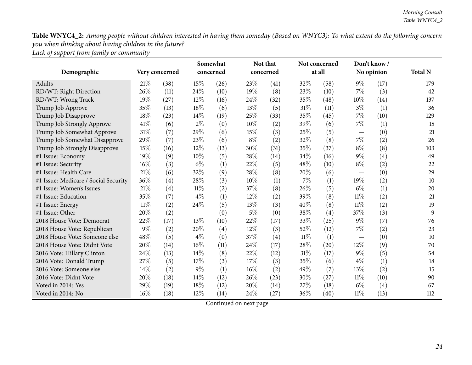Table WNYC4\_2: Among people without children interested in having them someday (Based on WNYC3): To what extent do the following concern *you when thinking about having children in the future? Lack of support from family or community*

|                                      |       |                |           | Somewhat |           | Not that |        | Not concerned | Don't know/ |      |                |
|--------------------------------------|-------|----------------|-----------|----------|-----------|----------|--------|---------------|-------------|------|----------------|
| Demographic                          |       | Very concerned | concerned |          | concerned |          | at all |               | No opinion  |      | <b>Total N</b> |
| Adults                               | 21%   | (38)           | 15%       | (26)     | 23%       | (41)     | 32%    | (58)          | $9\%$       | (17) | 179            |
| RD/WT: Right Direction               | 26%   | (11)           | 24\%      | (10)     | 19%       | (8)      | 23%    | (10)          | $7\%$       | (3)  | 42             |
| RD/WT: Wrong Track                   | 19%   | (27)           | 12%       | (16)     | 24%       | (32)     | 35\%   | (48)          | $10\%$      | (14) | 137            |
| Trump Job Approve                    | 35%   | (13)           | 18%       | (6)      | 13\%      | (5)      | $31\%$ | (11)          | $3\%$       | (1)  | 36             |
| Trump Job Disapprove                 | 18%   | (23)           | $14\%$    | (19)     | 25%       | (33)     | 35%    | (45)          | $7\%$       | (10) | 129            |
| Trump Job Strongly Approve           | 41\%  | (6)            | $2\%$     | (0)      | 10%       | (2)      | 39%    | (6)           | $7\%$       | (1)  | 15             |
| Trump Job Somewhat Approve           | 31%   | (7)            | 29%       | (6)      | 15%       | (3)      | 25%    | (5)           |             | (0)  | 21             |
| Trump Job Somewhat Disapprove        | 29%   | (7)            | 23\%      | (6)      | $8\%$     | (2)      | 32%    | (8)           | $7\%$       | (2)  | 26             |
| Trump Job Strongly Disapprove        | 15%   | (16)           | $12\%$    | (13)     | $30\%$    | (31)     | 35%    | (37)          | $8\%$       | (8)  | 103            |
| #1 Issue: Economy                    | 19%   | (9)            | 10%       | (5)      | 28\%      | (14)     | 34\%   | (16)          | $9\%$       | (4)  | 49             |
| #1 Issue: Security                   | 16%   | (3)            | $6\%$     | (1)      | 22%       | (5)      | 48%    | (10)          | $8\%$       | (2)  | 22             |
| #1 Issue: Health Care                | 21%   | (6)            | 32%       | (9)      | 28%       | (8)      | 20%    | (6)           |             | (0)  | 29             |
| #1 Issue: Medicare / Social Security | 36%   | (4)            | 28\%      | (3)      | 10%       | (1)      | $7\%$  | (1)           | 19%         | (2)  | 10             |
| #1 Issue: Women's Issues             | 21%   | (4)            | $11\%$    | (2)      | 37%       | (8)      | 26\%   | (5)           | $6\%$       | (1)  | 20             |
| #1 Issue: Education                  | 35%   | (7)            | $4\%$     | (1)      | 12%       | (2)      | 39%    | (8)           | 11%         | (2)  | 21             |
| #1 Issue: Energy                     | 11%   | (2)            | 24\%      | (5)      | 13%       | (3)      | 40%    | (8)           | 11%         | (2)  | 19             |
| #1 Issue: Other                      | 20%   | (2)            |           | (0)      | $5\%$     | (0)      | 38%    | (4)           | 37%         | (3)  | 9              |
| 2018 House Vote: Democrat            | 22%   | (17)           | 13%       | (10)     | 22%       | (17)     | 33%    | (25)          | $9\%$       | (7)  | 76             |
| 2018 House Vote: Republican          | $9\%$ | (2)            | 20%       | (4)      | 12%       | (3)      | 52%    | (12)          | 7%          | (2)  | 23             |
| 2018 House Vote: Someone else        | 48%   | (5)            | $4\%$     | (0)      | 37%       | (4)      | 11%    | (1)           |             | (0)  | 10             |
| 2018 House Vote: Didnt Vote          | 20%   | (14)           | $16\%$    | (11)     | 24%       | (17)     | 28%    | (20)          | 12%         | (9)  | 70             |
| 2016 Vote: Hillary Clinton           | 24%   | (13)           | 14%       | (8)      | 22%       | (12)     | 31%    | (17)          | $9\%$       | (5)  | 54             |
| 2016 Vote: Donald Trump              | 27\%  | (5)            | 17%       | (3)      | 17%       | (3)      | 35\%   | (6)           | $4\%$       | (1)  | 18             |
| 2016 Vote: Someone else              | 14%   | (2)            | $9\%$     | (1)      | 16%       | (2)      | 49\%   | (7)           | 13%         | (2)  | 15             |
| 2016 Vote: Didnt Vote                | 20%   | (18)           | 14\%      | (12)     | 26%       | (23)     | 30%    | (27)          | 11%         | (10) | 90             |
| Voted in 2014: Yes                   | 29%   | (19)           | 18%       | (12)     | 20%       | (14)     | 27%    | (18)          | $6\%$       | (4)  | 67             |
| Voted in 2014: No                    | 16%   | (18)           | $12\%$    | (14)     | 24%       | (27)     | 36%    | (40)          | 11%         | (13) | 112            |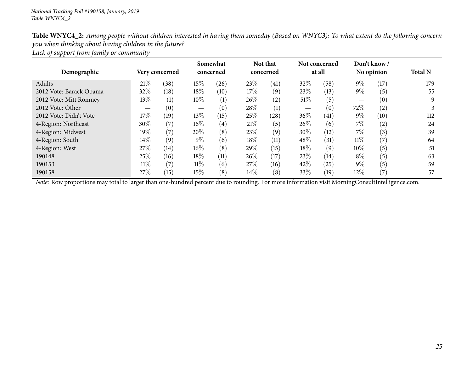| Table WNYC4_2: Among people without children interested in having them someday (Based on WNYC3): To what extent do the following concern |
|------------------------------------------------------------------------------------------------------------------------------------------|
| you when thinking about having children in the future?                                                                                   |
| Lack of support from family or community                                                                                                 |

| Demographic             |        | Very concerned |        | Somewhat<br>concerned |        | Not that<br>concerned |        | Not concerned<br>at all |        | Don't know/<br>No opinion | <b>Total N</b> |
|-------------------------|--------|----------------|--------|-----------------------|--------|-----------------------|--------|-------------------------|--------|---------------------------|----------------|
| Adults                  | 21\%   | (38)           | 15%    | (26)                  | 23\%   | $\left(41\right)$     | 32%    | (58)                    | $9\%$  | (17)                      | 179            |
| 2012 Vote: Barack Obama | 32%    | (18)           | 18%    | (10)                  | 17\%   | (9)                   | 23%    | (13)                    | $9\%$  | (5)                       | 55             |
| 2012 Vote: Mitt Romney  | 13\%   | (1)            | $10\%$ | $\left(1\right)$      | 26\%   | (2)                   | $51\%$ | (5)                     |        | (0)                       | 9              |
| 2012 Vote: Other        |        | (0)            | —      | (0)                   | 28\%   | (1)                   |        | (0)                     | 72\%   | (2)                       |                |
| 2012 Vote: Didn't Vote  | 17%    | (19)           | 13\%   | (15)                  | 25\%   | (28)                  | 36%    | (41)                    | $9\%$  | (10)                      | 112            |
| 4-Region: Northeast     | 30\%   | (7)            | $16\%$ | $\left( 4\right)$     | 21%    | (5)                   | 26%    | (6)                     | $7\%$  | (2)                       | 24             |
| 4-Region: Midwest       | $19\%$ | (7)            | $20\%$ | (8)                   | 23\%   | (9)                   | 30%    | (12)                    | $7\%$  | (3)                       | 39             |
| 4-Region: South         | $14\%$ | (9)            | $9\%$  | (6)                   | 18%    | (11)                  | 48%    | (31)                    | $11\%$ | (7)                       | 64             |
| 4-Region: West          | 27\%   | (14)           | $16\%$ | (8)                   | 29%    | (15)                  | 18%    | (9)                     | $10\%$ | (5)                       | 51             |
| 190148                  | 25\%   | (16)           | 18%    | (11)                  | 26\%   | (17)                  | 23%    | (14)                    | $8\%$  | (5)                       | 63             |
| 190153                  | $11\%$ | (7)            | $11\%$ | (6)                   | 27\%   | (16)                  | 42%    | (25)                    | $9\%$  | $\left(5\right)$          | 59             |
| 190158                  | 27\%   | (15)           | $15\%$ | (8)                   | $14\%$ | (8)                   | 33%    | (19)                    | $12\%$ | (7)                       | 57             |

*Note:* Row proportions may total to larger than one-hundred percen<sup>t</sup> due to rounding. For more information visit [MorningConsultIntelligence.com](https://morningconsultintelligence.com).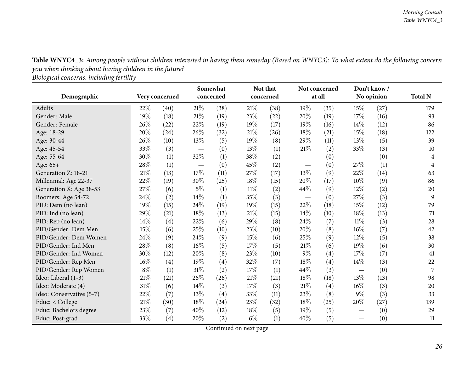Table WNYC4\_3: Among people without children interested in having them someday (Based on WNYC3): To what extent do the following concern *you when thinking about having children in the future?*

*Biological concerns, including fertility*

<span id="page-25-0"></span>

|                          |       |                |                                 | Somewhat  |        | Not that  |        | Not concerned     |                                 | Don't know/ |                |
|--------------------------|-------|----------------|---------------------------------|-----------|--------|-----------|--------|-------------------|---------------------------------|-------------|----------------|
| Demographic              |       | Very concerned |                                 | concerned |        | concerned | at all |                   | No opinion                      |             | <b>Total N</b> |
| Adults                   | 22%   | (40)           | 21%                             | (38)      | 21%    | (38)      | $19\%$ | (35)              | 15%                             | (27)        | 179            |
| Gender: Male             | 19%   | (18)           | $21\%$                          | (19)      | 23%    | (22)      | 20%    | (19)              | 17%                             | (16)        | 93             |
| Gender: Female           | 26%   | (22)           | 22%                             | (19)      | 19%    | (17)      | $19\%$ | (16)              | 14%                             | (12)        | 86             |
| Age: 18-29               | 20%   | (24)           | 26%                             | (32)      | 21%    | (26)      | 18%    | (21)              | 15%                             | (18)        | 122            |
| Age: 30-44               | 26%   | (10)           | $13\%$                          | (5)       | 19%    | (8)       | 29%    | (11)              | 13%                             | (5)         | 39             |
| Age: 45-54               | 33%   | (3)            | $\hspace{0.1mm}-\hspace{0.1mm}$ | (0)       | 13%    | (1)       | 21\%   | (2)               | 33%                             | (3)         | 10             |
| Age: 55-64               | 30%   | (1)            | 32\%                            | (1)       | 38%    | (2)       |        | (0)               | $\overline{\phantom{m}}$        | (0)         | 4              |
| Age: 65+                 | 28%   | (1)            |                                 | (0)       | 45%    | (2)       |        | (0)               | 27%                             | (1)         | 4              |
| Generation Z: 18-21      | 21%   | (13)           | 17%                             | (11)      | 27%    | (17)      | $13\%$ | (9)               | 22%                             | (14)        | 63             |
| Millennial: Age 22-37    | 22%   | (19)           | 30%                             | (25)      | 18%    | (15)      | 20%    | (17)              | 10%                             | (9)         | 86             |
| Generation X: Age 38-53  | 27%   | (6)            | $5\%$                           | (1)       | $11\%$ | (2)       | 44\%   | (9)               | 12%                             | (2)         | 20             |
| Boomers: Age 54-72       | 24%   | (2)            | $14\%$                          | (1)       | 35%    | (3)       |        | (0)               | 27%                             | (3)         | 9              |
| PID: Dem (no lean)       | 19%   | (15)           | 24\%                            | (19)      | 19%    | (15)      | 22%    | (18)              | 15%                             | (12)        | 79             |
| PID: Ind (no lean)       | 29%   | (21)           | 18%                             | (13)      | 21%    | (15)      | 14\%   | (10)              | 18%                             | (13)        | 71             |
| PID: Rep (no lean)       | 14%   | (4)            | 22\%                            | (6)       | 29%    | (8)       | 24\%   | (7)               | $11\%$                          | (3)         | 28             |
| PID/Gender: Dem Men      | 15%   | (6)            | 25%                             | (10)      | 23%    | (10)      | 20%    | (8)               | $16\%$                          | (7)         | 42             |
| PID/Gender: Dem Women    | 24%   | (9)            | 24%                             | (9)       | 15%    | (6)       | 25%    | (9)               | $12\%$                          | (5)         | 38             |
| PID/Gender: Ind Men      | 28%   | (8)            | 16%                             | (5)       | 17%    | (5)       | $21\%$ | (6)               | 19%                             | (6)         | 30             |
| PID/Gender: Ind Women    | 30%   | (12)           | 20%                             | (8)       | 23%    | (10)      | $9\%$  | $\left( 4\right)$ | 17%                             | (7)         | 41             |
| PID/Gender: Rep Men      | 16%   | (4)            | 19%                             | (4)       | 32%    | (7)       | 18%    | (4)               | 14%                             | (3)         | 22             |
| PID/Gender: Rep Women    | $8\%$ | (1)            | $31\%$                          | (2)       | 17%    | (1)       | 44\%   | (3)               |                                 | (0)         | 7              |
| Ideo: Liberal (1-3)      | 21%   | (21)           | 26%                             | (26)      | 21%    | (21)      | 18%    | (18)              | 13%                             | (13)        | 98             |
| Ideo: Moderate (4)       | 31%   | (6)            | 14\%                            | (3)       | 17%    | (3)       | 21\%   | (4)               | 16%                             | (3)         | 20             |
| Ideo: Conservative (5-7) | 22%   | (7)            | 13%                             | (4)       | 33%    | (11)      | 23%    | (8)               | $9\%$                           | (3)         | 33             |
| Educ: < College          | 21%   | (30)           | 18%                             | (24)      | 23%    | (32)      | 18%    | (25)              | 20%                             | (27)        | 139            |
| Educ: Bachelors degree   | 23%   | (7)            | 40%                             | (12)      | $18\%$ | (5)       | $19\%$ | (5)               | $\overbrace{\phantom{123321}}$  | (0)         | 29             |
| Educ: Post-grad          | 33%   | (4)            | 20%                             | (2)       | $6\%$  | (1)       | 40%    | (5)               | $\hspace{0.1mm}-\hspace{0.1mm}$ | (0)         | 11             |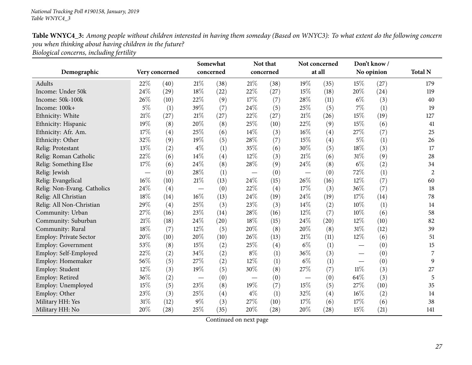| Table WNYC4_3: Among people without children interested in having them someday (Based on WNYC3): To what extent do the following concern |
|------------------------------------------------------------------------------------------------------------------------------------------|
| you when thinking about having children in the future?                                                                                   |
| Biological concerns, including fertility                                                                                                 |

|                               |        |                | Somewhat                        |                        |                                  | Not that | Not concerned |        | Don't know/ |            |                |
|-------------------------------|--------|----------------|---------------------------------|------------------------|----------------------------------|----------|---------------|--------|-------------|------------|----------------|
| Demographic                   |        | Very concerned |                                 | concerned<br>concerned |                                  |          |               | at all |             | No opinion | <b>Total N</b> |
| Adults                        | 22%    | (40)           | $21\%$                          | (38)                   | $21\%$                           | (38)     | 19%           | (35)   | 15%         | (27)       | 179            |
| Income: Under 50k             | 24\%   | (29)           | 18%                             | (22)                   | 22%                              | (27)     | 15%           | (18)   | 20%         | (24)       | 119            |
| Income: 50k-100k              | 26%    | (10)           | 22%                             | (9)                    | 17%                              | (7)      | 28%           | (11)   | $6\%$       | (3)        | 40             |
| Income: 100k+                 | $5\%$  | (1)            | 39%                             | (7)                    | 24%                              | (5)      | 25%           | (5)    | 7%          | (1)        | 19             |
| Ethnicity: White              | $21\%$ | (27)           | $21\%$                          | (27)                   | 22%                              | (27)     | 21\%          | (26)   | 15%         | (19)       | 127            |
| Ethnicity: Hispanic           | 19%    | (8)            | 20%                             | (8)                    | 25%                              | (10)     | 22%           | (9)    | 15%         | (6)        | 41             |
| Ethnicity: Afr. Am.           | 17%    | (4)            | 25%                             | (6)                    | 14%                              | (3)      | 16%           | (4)    | 27%         | (7)        | 25             |
| Ethnicity: Other              | 32%    | (9)            | 19%                             | (5)                    | 28%                              | (7)      | 15%           | (4)    | $5\%$       | (1)        | 26             |
| Relig: Protestant             | 13%    | (2)            | $4\%$                           | (1)                    | 35%                              | (6)      | 30%           | (5)    | 18%         | (3)        | $17\,$         |
| Relig: Roman Catholic         | 22%    | (6)            | $14\%$                          | (4)                    | 12%                              | (3)      | 21%           | (6)    | 31%         | (9)        | 28             |
| Relig: Something Else         | 17%    | (6)            | 24\%                            | (8)                    | 28%                              | (9)      | 24\%          | (8)    | $6\%$       | (2)        | 34             |
| Relig: Jewish                 |        | (0)            | 28\%                            | (1)                    |                                  | (0)      |               | (0)    | 72%         | (1)        | $\overline{c}$ |
| Relig: Evangelical            | $16\%$ | (10)           | $21\%$                          | (13)                   | 24%                              | (15)     | 26%           | (16)   | 12%         | (7)        | 60             |
| Relig: Non-Evang. Catholics   | 24\%   | (4)            |                                 | (0)                    | 22%                              | (4)      | 17%           | (3)    | 36%         | (7)        | 18             |
| Relig: All Christian          | 18%    | (14)           | $16\%$                          | (13)                   | 24%                              | (19)     | 24%           | (19)   | 17%         | (14)       | 78             |
| Relig: All Non-Christian      | 29%    | (4)            | 25%                             | (3)                    | 23%                              | (3)      | 14%           | (2)    | $10\%$      | (1)        | 14             |
| Community: Urban              | 27%    | (16)           | 23%                             | (14)                   | 28%                              | (16)     | 12%           | (7)    | $10\%$      | (6)        | 58             |
| Community: Suburban           | $21\%$ | (18)           | 24\%                            | (20)                   | 18%                              | (15)     | 24\%          | (20)   | 12%         | (10)       | 82             |
| Community: Rural              | 18%    | (7)            | 12%                             | (5)                    | 20%                              | (8)      | 20%           | (8)    | 31%         | (12)       | 39             |
| <b>Employ: Private Sector</b> | 20%    | (10)           | 20%                             | (10)                   | 26%                              | (13)     | $21\%$        | (11)   | 12%         | (6)        | 51             |
| Employ: Government            | 53%    | (8)            | $15\%$                          | (2)                    | $25\%$                           | (4)      | $6\%$         | (1)    |             | (0)        | 15             |
| Employ: Self-Employed         | 22%    | (2)            | 34%                             | (2)                    | $8\%$                            | (1)      | 36%           | (3)    |             | (0)        | 7              |
| Employ: Homemaker             | 56%    | (5)            | 27%                             | (2)                    | 12%                              | (1)      | $6\%$         | (1)    |             | (0)        | 9              |
| Employ: Student               | 12%    | (3)            | 19%                             | (5)                    | 30%                              | (8)      | 27%           | (7)    | $11\%$      | (3)        | 27             |
| Employ: Retired               | 36%    | (2)            | $\hspace{0.1mm}-\hspace{0.1mm}$ | (0)                    | $\overbrace{\phantom{12321111}}$ | (0)      |               | (0)    | 64%         | (3)        | 5              |
| Employ: Unemployed            | 15%    | (5)            | 23%                             | (8)                    | 19%                              | (7)      | 15%           | (5)    | 27%         | (10)       | 35             |
| Employ: Other                 | 23%    | (3)            | 25%                             | (4)                    | $4\%$                            | (1)      | 32%           | (4)    | 16%         | (2)        | 14             |
| Military HH: Yes              | $31\%$ | (12)           | 9%                              | (3)                    | 27%                              | (10)     | 17%           | (6)    | 17%         | (6)        | 38             |
| Military HH: No               | 20%    | (28)           | 25%                             | (35)                   | 20%                              | (28)     | 20%           | (28)   | 15%         | (21)       | 141            |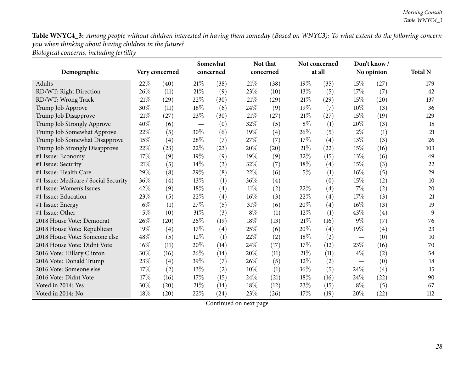Table WNYC4\_3: Among people without children interested in having them someday (Based on WNYC3): To what extent do the following concern *you when thinking about having children in the future? Biological concerns, including fertility*

|                                      |        |                | Somewhat |           |        | Not that  | Not concerned |                   | Don't know/ |            | <b>Total N</b> |
|--------------------------------------|--------|----------------|----------|-----------|--------|-----------|---------------|-------------------|-------------|------------|----------------|
| Demographic                          |        | Very concerned |          | concerned |        | concerned |               | at all            |             | No opinion |                |
| Adults                               | 22%    | (40)           | $21\%$   | (38)      | 21\%   | (38)      | 19%           | (35)              | 15%         | (27)       | 179            |
| RD/WT: Right Direction               | 26%    | (11)           | $21\%$   | (9)       | 23%    | (10)      | 13%           | (5)               | 17%         | (7)        | 42             |
| RD/WT: Wrong Track                   | 21%    | (29)           | 22%      | (30)      | 21%    | (29)      | 21%           | (29)              | 15%         | (20)       | 137            |
| Trump Job Approve                    | 30%    | (11)           | 18%      | (6)       | 24%    | (9)       | $19\%$        | (7)               | $10\%$      | (3)        | 36             |
| Trump Job Disapprove                 | 21%    | (27)           | 23\%     | (30)      | $21\%$ | (27)      | 21%           | (27)              | 15%         | (19)       | 129            |
| Trump Job Strongly Approve           | 40%    | (6)            |          | (0)       | 32%    | (5)       | $8\%$         | (1)               | 20%         | (3)        | 15             |
| Trump Job Somewhat Approve           | 22%    | (5)            | 30%      | (6)       | 19%    | (4)       | 26%           | (5)               | $2\%$       | (1)        | 21             |
| Trump Job Somewhat Disapprove        | 15%    | (4)            | 28%      | (7)       | 27%    | (7)       | 17%           | (4)               | 13%         | (3)        | 26             |
| Trump Job Strongly Disapprove        | 22%    | (23)           | 22%      | (23)      | 20%    | (20)      | 21\%          | (22)              | 15%         | (16)       | 103            |
| #1 Issue: Economy                    | 17%    | (9)            | 19%      | (9)       | 19%    | (9)       | 32%           | (15)              | 13%         | (6)        | 49             |
| #1 Issue: Security                   | 21%    | (5)            | 14%      | (3)       | 32%    | (7)       | 18%           | $\left( 4\right)$ | 15%         | (3)        | 22             |
| #1 Issue: Health Care                | 29%    | (8)            | 29%      | (8)       | 22%    | (6)       | $5\%$         | (1)               | 16%         | (5)        | 29             |
| #1 Issue: Medicare / Social Security | 36%    | (4)            | 13%      | (1)       | 36%    | (4)       |               | (0)               | 15%         | (2)        | 10             |
| #1 Issue: Women's Issues             | 42%    | (9)            | 18%      | (4)       | $11\%$ | (2)       | 22%           | (4)               | 7%          | (2)        | 20             |
| #1 Issue: Education                  | 23%    | (5)            | 22%      | (4)       | 16%    | (3)       | 22%           | $\left( 4\right)$ | 17%         | (3)        | 21             |
| #1 Issue: Energy                     | $6\%$  | (1)            | 27%      | (5)       | 31%    | (6)       | 20%           | $\left( 4\right)$ | 16%         | (3)        | 19             |
| #1 Issue: Other                      | 5%     | (0)            | $31\%$   | (3)       | $8\%$  | (1)       | $12\%$        | (1)               | 43%         | (4)        | 9              |
| 2018 House Vote: Democrat            | 26%    | (20)           | 26\%     | (19)      | 18%    | (13)      | 21\%          | (16)              | $9\%$       | (7)        | 76             |
| 2018 House Vote: Republican          | 19%    | (4)            | 17%      | (4)       | 25%    | (6)       | 20%           | (4)               | 19%         | (4)        | 23             |
| 2018 House Vote: Someone else        | 48%    | (5)            | 12%      | (1)       | 22%    | (2)       | 18%           | (2)               |             | (0)        | 10             |
| 2018 House Vote: Didnt Vote          | $16\%$ | (11)           | 20%      | (14)      | 24%    | (17)      | 17%           | (12)              | 23\%        | (16)       | 70             |
| 2016 Vote: Hillary Clinton           | 30%    | (16)           | 26%      | (14)      | 20%    | (11)      | 21\%          | (11)              | $4\%$       | (2)        | 54             |
| 2016 Vote: Donald Trump              | 23%    | (4)            | 39%      | (7)       | 26%    | (5)       | 12%           | (2)               |             | (0)        | 18             |
| 2016 Vote: Someone else              | 17%    | (2)            | $13\%$   | (2)       | 10%    | (1)       | 36%           | (5)               | 24\%        | (4)        | 15             |
| 2016 Vote: Didnt Vote                | 17%    | (16)           | 17%      | (15)      | 24%    | (21)      | 18%           | (16)              | 24%         | (22)       | 90             |
| Voted in 2014: Yes                   | 30%    | (20)           | 21%      | (14)      | 18%    | (12)      | 23%           | (15)              | $8\%$       | (5)        | 67             |
| Voted in 2014: No                    | 18%    | (20)           | 22\%     | (24)      | 23%    | (26)      | 17%           | (19)              | 20%         | (22)       | 112            |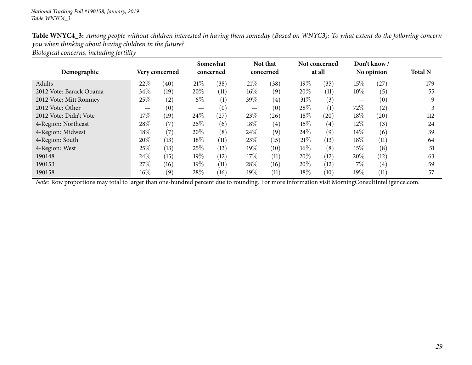| Table WNYC4_3: Among people without children interested in having them someday (Based on WNYC3): To what extent do the following concern |
|------------------------------------------------------------------------------------------------------------------------------------------|
| you when thinking about having children in the future?                                                                                   |
| Biological concerns, including fertility                                                                                                 |

| Demographic             |        | Very concerned |        | Somewhat<br>concerned |        | Not that<br>concerned |        | Not concerned<br>at all |        | Don't know /<br>No opinion | <b>Total N</b> |
|-------------------------|--------|----------------|--------|-----------------------|--------|-----------------------|--------|-------------------------|--------|----------------------------|----------------|
| Adults                  | 22\%   | (40)           | 21%    | (38)                  | 21%    | (38)                  | 19%    | (35)                    | $15\%$ | (27)                       | 179            |
| 2012 Vote: Barack Obama | 34\%   | (19)           | 20%    | (11)                  | $16\%$ | (9)                   | 20%    | (11)                    | $10\%$ | (5)                        | 55             |
| 2012 Vote: Mitt Romney  | 25%    | (2)            | $6\%$  | (1)                   | 39%    | (4)                   | $31\%$ | (3)                     |        | (0)                        |                |
| 2012 Vote: Other        |        | (0)            |        | (0)                   |        | (0)                   | 28\%   | $\left(1\right)$        | 72\%   | (2)                        |                |
| 2012 Vote: Didn't Vote  | 17%    | (19)           | 24\%   | (27)                  | 23%    | (26)                  | 18%    | (20)                    | 18%    | (20)                       | 112            |
| 4-Region: Northeast     | 28%    | (7)            | $26\%$ | (6)                   | 18%    | (4)                   | 15%    | $\left( 4\right)$       | 12\%   | (3)                        | 24             |
| 4-Region: Midwest       | $18\%$ | (7)            | 20%    | (8)                   | 24\%   | (9)                   | 24\%   | (9)                     | $14\%$ | (6)                        | 39             |
| 4-Region: South         | 20%    | (13)           | 18\%   | (11)                  | 23%    | (15)                  | 21%    | (13)                    | 18%    | (11)                       | 64             |
| 4-Region: West          | 25\%   | (13)           | 25%    | (13)                  | 19%    | (10)                  | $16\%$ | (8)                     | $15\%$ | (8)                        | 51             |
| 190148                  | 24\%   | (15)           | 19%    | (12)                  | 17%    | (11)                  | 20%    | (12)                    | 20%    | (12)                       | 63             |
| 190153                  | 27\%   | (16)           | $19\%$ | (11)                  | 28\%   | (16)                  | 20%    | (12)                    | $7\%$  | (4)                        | 59             |
| 190158                  | $16\%$ | (9)            | 28\%   | (16)                  | 19%    | (11)                  | 18%    | (10)                    | 19%    | (11)                       | 57             |

*Note:* Row proportions may total to larger than one-hundred percen<sup>t</sup> due to rounding. For more information visit [MorningConsultIntelligence.com](https://morningconsultintelligence.com).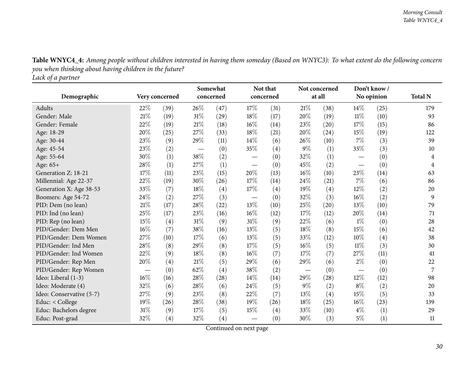<span id="page-29-0"></span>

| caen of a partirer       |                               |                |        | Somewhat  |           | Not that |                                 | Not concerned |                          | Don't know/ |                |
|--------------------------|-------------------------------|----------------|--------|-----------|-----------|----------|---------------------------------|---------------|--------------------------|-------------|----------------|
| Demographic              |                               | Very concerned |        | concerned | concerned |          | at all                          |               |                          | No opinion  | <b>Total N</b> |
| <b>Adults</b>            | 22%                           | (39)           | 26\%   | (47)      | 17%       | (31)     | $21\%$                          | (38)          | 14%                      | (25)        | 179            |
| Gender: Male             | $21\%$                        | (19)           | $31\%$ | (29)      | 18%       | (17)     | 20%                             | (19)          | 11%                      | (10)        | 93             |
| Gender: Female           | 22%                           | (19)           | $21\%$ | (18)      | 16%       | (14)     | 23%                             | (20)          | 17%                      | (15)        | 86             |
| Age: 18-29               | 20%                           | (25)           | 27%    | (33)      | 18%       | (21)     | 20%                             | (24)          | 15%                      | (19)        | 122            |
| Age: 30-44               | 23%                           | (9)            | 29%    | (11)      | 14%       | (6)      | 26%                             | (10)          | 7%                       | (3)         | 39             |
| Age: 45-54               | 23%                           | (2)            |        | (0)       | 35\%      | (4)      | $9\%$                           | (1)           | 33%                      | (3)         | 10             |
| Age: 55-64               | 30%                           | (1)            | 38%    | (2)       |           | (0)      | 32%                             | (1)           |                          | (0)         | 4              |
| Age: 65+                 | 28%                           | (1)            | 27%    | (1)       |           | (0)      | 45%                             | (2)           | $\overline{\phantom{0}}$ | (0)         | $\overline{4}$ |
| Generation Z: 18-21      | 17%                           | (11)           | 23\%   | (15)      | 20%       | (13)     | 16%                             | (10)          | 23%                      | (14)        | 63             |
| Millennial: Age 22-37    | 22%                           | (19)           | 30%    | (26)      | 17%       | (14)     | 24%                             | (21)          | 7%                       | (6)         | 86             |
| Generation X: Age 38-53  | 33%                           | (7)            | 18%    | (4)       | 17%       | (4)      | 19%                             | (4)           | 12%                      | (2)         | 20             |
| Boomers: Age 54-72       | 24%                           | (2)            | $27\%$ | (3)       |           | (0)      | 32%                             | (3)           | 16%                      | (2)         | 9              |
| PID: Dem (no lean)       | 21\%                          | (17)           | $28\%$ | (22)      | 13%       | (10)     | 25%                             | (20)          | 13%                      | (10)        | 79             |
| PID: Ind (no lean)       | 25%                           | (17)           | $23\%$ | (16)      | 16%       | (12)     | 17%                             | (12)          | 20%                      | (14)        | 71             |
| PID: Rep (no lean)       | 15%                           | (4)            | 31%    | (9)       | 31%       | (9)      | 22%                             | (6)           | $1\%$                    | (0)         | 28             |
| PID/Gender: Dem Men      | 16%                           | (7)            | 38%    | (16)      | 13%       | (5)      | 18%                             | (8)           | 15%                      | (6)         | 42             |
| PID/Gender: Dem Women    | 27%                           | (10)           | 17%    | (6)       | 13%       | (5)      | 33%                             | (12)          | 10%                      | (4)         | 38             |
| PID/Gender: Ind Men      | 28%                           | (8)            | 29%    | (8)       | 17%       | (5)      | 16%                             | (5)           | $11\%$                   | (3)         | 30             |
| PID/Gender: Ind Women    | 22%                           | (9)            | 18%    | (8)       | 16%       | (7)      | 17%                             | (7)           | 27%                      | (11)        | 41             |
| PID/Gender: Rep Men      | 20%                           | (4)            | $21\%$ | (5)       | 29%       | (6)      | 29%                             | (6)           | $2\%$                    | (0)         | 22             |
| PID/Gender: Rep Women    | $\overbrace{\phantom{aaaaa}}$ | (0)            | $62\%$ | (4)       | 38%       | (2)      | $\hspace{0.1mm}-\hspace{0.1mm}$ | (0)           | $\overline{\phantom{0}}$ | (0)         | 7              |
| Ideo: Liberal (1-3)      | 16%                           | (16)           | $28\%$ | (28)      | 14%       | (14)     | 29%                             | (28)          | 12%                      | (12)        | 98             |
| Ideo: Moderate (4)       | 32%                           | (6)            | 28%    | (6)       | 24%       | (5)      | $9\%$                           | (2)           | $8\%$                    | (2)         | 20             |
| Ideo: Conservative (5-7) | 27%                           | (9)            | 23%    | (8)       | 22%       | (7)      | 13%                             | (4)           | 15%                      | (5)         | 33             |
| Educ: < College          | 19%                           | (26)           | 28%    | (38)      | 19%       | (26)     | 18%                             | (25)          | 16%                      | (23)        | 139            |
| Educ: Bachelors degree   | $31\%$                        | (9)            | 17%    | (5)       | 15%       | (4)      | 33%                             | (10)          | $4\%$                    | (1)         | 29             |
| Educ: Post-grad          | 32%                           | (4)            | 32%    | (4)       |           | (0)      | 30%                             | (3)           | $5\%$                    | (1)         | 11             |

Table WNYC4\_4: Among people without children interested in having them someday (Based on WNYC3): To what extent do the following concern *you when thinking about having children in the future?*

*Lack of <sup>a</sup> partner*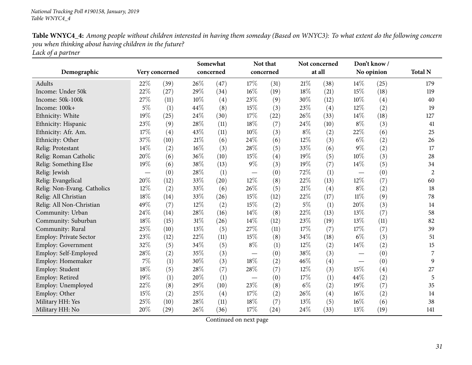| Table WNYC4_4: Among people without children interested in having them someday (Based on WNYC3): To what extent do the following concern |
|------------------------------------------------------------------------------------------------------------------------------------------|
| you when thinking about having children in the future?                                                                                   |
| Lack of a partner                                                                                                                        |

| Demographic                   | Very concerned |      |        | Somewhat<br>concerned |                   | Not that<br>concerned |        | Not concerned<br>at all |        | Don't know/<br>No opinion | <b>Total N</b> |
|-------------------------------|----------------|------|--------|-----------------------|-------------------|-----------------------|--------|-------------------------|--------|---------------------------|----------------|
|                               |                |      |        |                       |                   |                       |        |                         |        |                           |                |
| <b>Adults</b>                 | 22%            | (39) | 26%    | (47)                  | 17%               | (31)                  | $21\%$ | (38)                    | 14%    | (25)                      | 179            |
| Income: Under 50k             | 22%            | (27) | 29%    | (34)                  | 16%               | (19)                  | 18%    | (21)                    | 15%    | (18)                      | 119            |
| Income: 50k-100k              | 27%            | (11) | 10%    | $\left( 4\right)$     | 23%               | (9)                   | 30%    | (12)                    | $10\%$ | (4)                       | 40             |
| Income: 100k+                 | $5\%$          | (1)  | 44\%   | (8)                   | 15%               | (3)                   | 23%    | (4)                     | 12%    | (2)                       | 19             |
| Ethnicity: White              | 19%            | (25) | 24%    | (30)                  | 17%               | (22)                  | 26%    | (33)                    | 14%    | (18)                      | 127            |
| Ethnicity: Hispanic           | 23%            | (9)  | 28\%   | (11)                  | 18%               | (7)                   | 24\%   | (10)                    | $8\%$  | (3)                       | 41             |
| Ethnicity: Afr. Am.           | 17%            | (4)  | 43%    | (11)                  | 10%               | (3)                   | $8\%$  | (2)                     | 22%    | (6)                       | 25             |
| Ethnicity: Other              | 37%            | (10) | $21\%$ | (6)                   | 24%               | (6)                   | 12%    | (3)                     | $6\%$  | (2)                       | 26             |
| Relig: Protestant             | 14%            | (2)  | 16%    | (3)                   | 28%               | (5)                   | 33%    | (6)                     | $9\%$  | (2)                       | 17             |
| Relig: Roman Catholic         | 20%            | (6)  | 36%    | (10)                  | 15%               | (4)                   | 19%    | (5)                     | $10\%$ | (3)                       | 28             |
| Relig: Something Else         | 19%            | (6)  | 38%    | (13)                  | $9\%$             | (3)                   | 19%    | (7)                     | 14%    | (5)                       | 34             |
| Relig: Jewish                 |                | (0)  | 28%    | (1)                   | $\qquad \qquad -$ | (0)                   | 72%    | (1)                     |        | (0)                       | $\overline{2}$ |
| Relig: Evangelical            | 20%            | (12) | 33%    | (20)                  | 12%               | (8)                   | 22%    | (13)                    | 12%    | (7)                       | 60             |
| Relig: Non-Evang. Catholics   | 12%            | (2)  | 33%    | (6)                   | 26%               | (5)                   | 21%    | (4)                     | $8\%$  | (2)                       | 18             |
| Relig: All Christian          | 18%            | (14) | 33%    | (26)                  | 15%               | (12)                  | 22%    | (17)                    | $11\%$ | (9)                       | 78             |
| Relig: All Non-Christian      | 49%            | (7)  | 12%    | (2)                   | 15%               | (2)                   | $5\%$  | (1)                     | 20%    | (3)                       | 14             |
| Community: Urban              | 24%            | (14) | 28\%   | (16)                  | 14%               | (8)                   | $22\%$ | (13)                    | 13%    | (7)                       | 58             |
| Community: Suburban           | 18%            | (15) | $31\%$ | (26)                  | 14%               | (12)                  | 23%    | (19)                    | 13%    | (11)                      | 82             |
| Community: Rural              | 25%            | (10) | 13%    | (5)                   | 27%               | (11)                  | 17%    | (7)                     | 17%    | (7)                       | 39             |
| <b>Employ: Private Sector</b> | 23%            | (12) | 22%    | (11)                  | 15%               | (8)                   | 34%    | (18)                    | $6\%$  | (3)                       | 51             |
| Employ: Government            | 32%            | (5)  | 34%    | (5)                   | $8\%$             | (1)                   | 12%    | (2)                     | 14%    | (2)                       | 15             |
| Employ: Self-Employed         | 28%            | (2)  | 35%    | (3)                   |                   | (0)                   | 38%    | (3)                     |        | (0)                       | 7              |
| Employ: Homemaker             | $7\%$          | (1)  | 30%    | (3)                   | 18%               | (2)                   | 46%    | (4)                     |        | (0)                       | 9              |
| Employ: Student               | 18%            | (5)  | 28\%   | (7)                   | 28%               | (7)                   | 12%    | (3)                     | 15%    | (4)                       | 27             |
| Employ: Retired               | 19%            | (1)  | 20%    | (1)                   |                   | (0)                   | $17\%$ | (1)                     | 44%    | (2)                       | 5              |
| Employ: Unemployed            | 22%            | (8)  | 29%    | (10)                  | 23%               | (8)                   | $6\%$  | (2)                     | 19%    | (7)                       | 35             |
| Employ: Other                 | 15%            | (2)  | 25%    | (4)                   | 17%               | (2)                   | 26%    | (4)                     | 16%    | (2)                       | 14             |
| Military HH: Yes              | 25%            | (10) | 28\%   | (11)                  | 18%               | (7)                   | 13%    | (5)                     | 16%    | (6)                       | 38             |
| Military HH: No               | 20%            | (29) | 26%    | (36)                  | 17%               | (24)                  | 24\%   | (33)                    | 13%    | (19)                      | 141            |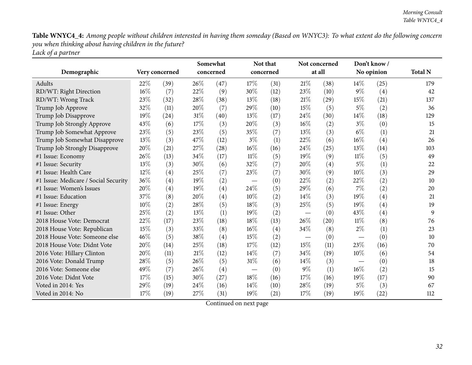Table WNYC4\_4: Among people without children interested in having them someday (Based on WNYC3): To what extent do the following concern *you when thinking about having children in the future? Lack of <sup>a</sup> partner*

|                                      |                |      | Somewhat |           | Not that |           |        | Not concerned | Don't know/                   |            |                |
|--------------------------------------|----------------|------|----------|-----------|----------|-----------|--------|---------------|-------------------------------|------------|----------------|
| Demographic                          | Very concerned |      |          | concerned |          | concerned |        | at all        |                               | No opinion | <b>Total N</b> |
| Adults                               | 22%            | (39) | 26%      | (47)      | 17%      | (31)      | 21%    | (38)          | 14%                           | (25)       | 179            |
| RD/WT: Right Direction               | $16\%$         | (7)  | 22%      | (9)       | 30%      | (12)      | 23%    | (10)          | $9\%$                         | (4)        | 42             |
| RD/WT: Wrong Track                   | 23%            | (32) | 28\%     | (38)      | 13%      | (18)      | 21%    | (29)          | 15%                           | (21)       | 137            |
| Trump Job Approve                    | 32%            | (11) | 20%      | (7)       | 29%      | (10)      | 15%    | (5)           | $5\%$                         | (2)        | 36             |
| Trump Job Disapprove                 | 19%            | (24) | $31\%$   | (40)      | 13%      | (17)      | 24%    | (30)          | 14%                           | (18)       | 129            |
| Trump Job Strongly Approve           | 43%            | (6)  | 17%      | (3)       | 20%      | (3)       | $16\%$ | (2)           | $3\%$                         | (0)        | 15             |
| Trump Job Somewhat Approve           | 23%            | (5)  | 23%      | (5)       | 35%      | (7)       | 13%    | (3)           | $6\%$                         | (1)        | 21             |
| Trump Job Somewhat Disapprove        | 13%            | (3)  | 47%      | (12)      | $3\%$    | (1)       | 22%    | (6)           | 16%                           | (4)        | 26             |
| Trump Job Strongly Disapprove        | 20%            | (21) | 27\%     | (28)      | $16\%$   | (16)      | 24%    | (25)          | 13%                           | (14)       | 103            |
| #1 Issue: Economy                    | 26%            | (13) | 34%      | (17)      | $11\%$   | (5)       | 19%    | (9)           | $11\%$                        | (5)        | 49             |
| #1 Issue: Security                   | 13%            | (3)  | 30%      | (6)       | 32%      | (7)       | 20%    | (4)           | $5\%$                         | (1)        | 22             |
| #1 Issue: Health Care                | 12%            | (4)  | 25%      | (7)       | 23%      | (7)       | 30%    | (9)           | 10%                           | (3)        | 29             |
| #1 Issue: Medicare / Social Security | 36%            | (4)  | 19%      | (2)       |          | (0)       | 22%    | (2)           | 22%                           | (2)        | 10             |
| #1 Issue: Women's Issues             | 20%            | (4)  | 19%      | (4)       | 24%      | (5)       | 29%    | (6)           | 7%                            | (2)        | 20             |
| #1 Issue: Education                  | 37%            | (8)  | 20%      | (4)       | 10%      | (2)       | 14%    | (3)           | 19%                           | (4)        | 21             |
| #1 Issue: Energy                     | 10%            | (2)  | 28\%     | (5)       | 18%      | (3)       | 25%    | (5)           | 19%                           | (4)        | 19             |
| #1 Issue: Other                      | 25%            | (2)  | 13%      | (1)       | 19%      | (2)       |        | (0)           | 43%                           | (4)        | 9              |
| 2018 House Vote: Democrat            | 22%            | (17) | 23%      | (18)      | 18%      | (13)      | 26%    | (20)          | $11\%$                        | (8)        | 76             |
| 2018 House Vote: Republican          | 15%            | (3)  | 33%      | (8)       | 16%      | (4)       | 34%    | (8)           | $2\%$                         | (1)        | 23             |
| 2018 House Vote: Someone else        | 46%            | (5)  | 38%      | (4)       | 15%      | (2)       |        | (0)           | $\overbrace{\phantom{aaaaa}}$ | (0)        | 10             |
| 2018 House Vote: Didnt Vote          | 20%            | (14) | 25%      | (18)      | 17%      | (12)      | 15%    | (11)          | 23%                           | (16)       | 70             |
| 2016 Vote: Hillary Clinton           | 20%            | (11) | 21\%     | (12)      | 14%      | (7)       | 34%    | (19)          | $10\%$                        | (6)        | 54             |
| 2016 Vote: Donald Trump              | 28%            | (5)  | 26%      | (5)       | $31\%$   | (6)       | 14%    | (3)           |                               | (0)        | 18             |
| 2016 Vote: Someone else              | 49%            | (7)  | 26%      | (4)       |          | (0)       | $9\%$  | (1)           | 16%                           | (2)        | 15             |
| 2016 Vote: Didnt Vote                | 17%            | (15) | 30%      | (27)      | 18%      | (16)      | 17%    | (16)          | 19%                           | (17)       | 90             |
| Voted in 2014: Yes                   | 29%            | (19) | 24%      | (16)      | 14%      | (10)      | 28%    | (19)          | $5\%$                         | (3)        | 67             |
| Voted in 2014: No                    | 17%            | (19) | $27\%$   | (31)      | 19%      | (21)      | 17%    | (19)          | 19%                           | (22)       | 112            |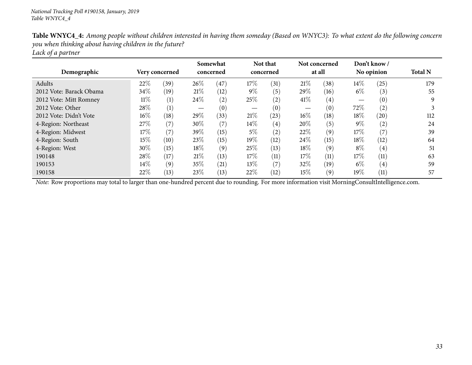| Demographic             | Very concerned |      | Somewhat<br>concerned |      | Not that<br>concerned |                   | Not concerned<br>at all |      | Don't know/<br>No opinion |                   | <b>Total N</b> |  |
|-------------------------|----------------|------|-----------------------|------|-----------------------|-------------------|-------------------------|------|---------------------------|-------------------|----------------|--|
| Adults                  | 22\%           | (39) | 26\%                  | 47   | 17%                   | (31)              | 21%                     | (38) | $14\%$                    | (25)              | 179            |  |
| 2012 Vote: Barack Obama | 34%            | (19) | 21%                   | (12) | $9\%$                 | (5)               | 29%                     | (16) | $6\%$                     | (3)               | 55             |  |
| 2012 Vote: Mitt Romney  | $11\%$         | (1)  | 24\%                  | (2)  | 25\%                  | (2)               | 41\%                    | (4)  |                           | $\left(0\right)$  | q              |  |
| 2012 Vote: Other        | 28\%           | (1)  |                       | (0)  |                       | (0)               |                         | (0)  | 72\%                      | (2)               |                |  |
| 2012 Vote: Didn't Vote  | $16\%$         | (18) | $29\%$                | (33) | 21\%                  | (23)              | 16%                     | (18) | $18\%$                    | (20)              | 112            |  |
| 4-Region: Northeast     | 27\%           | (7)  | 30\%                  | (7)  | $14\%$                | $\left( 4\right)$ | 20%                     | (5)  | $9\%$                     | (2)               | 24             |  |
| 4-Region: Midwest       | 17%            | (7)  | 39\%                  | (15) | $5\%$                 | (2)               | 22%                     | (9)  | $17\%$                    | (7)               | 39             |  |
| 4-Region: South         | 15%            | (10) | 23\%                  | (15) | 19%                   | (12)              | 24\%                    | (15) | $18\%$                    | (12)              | 64             |  |
| 4-Region: West          | $30\%$         | (15) | 18%                   | (9)  | 25%                   | (13)              | 18%                     | (9)  | $8\%$                     | $\left( 4\right)$ | 51             |  |
| 190148                  | 28\%           | (17) | 21%                   | (13) | 17%                   | (11)              | 17\%                    | (11) | $17\%$                    | (11)              | 63             |  |
| 190153                  | $14\%$         | (9)  | 35\%                  | (21) | 13\%                  | (7)               | 32%                     | (19) | $6\%$                     | $\left( 4\right)$ | 59             |  |
| 190158                  | $22\%$         | (13) | 23\%                  | (13) | 22%                   | (12)              | 15%                     | (9)  | $19\%$                    | (11)              | 57             |  |

Table WNYC4\_4: Among people without children interested in having them someday (Based on WNYC3): To what extent do the following concern *you when thinking about having children in the future? Lack of <sup>a</sup> partner*

*Note:* Row proportions may total to larger than one-hundred percen<sup>t</sup> due to rounding. For more information visit [MorningConsultIntelligence.com](https://morningconsultintelligence.com).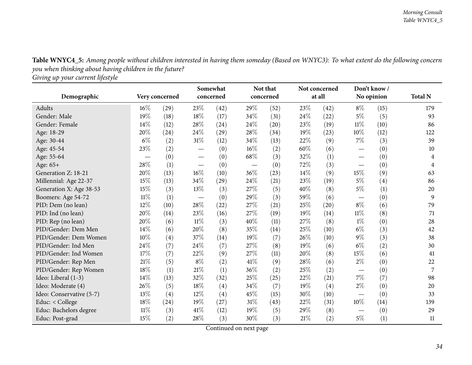Table WNYC4\_5: Among people without children interested in having them someday (Based on WNYC3): To what extent do the following concern *you when thinking about having children in the future?*

*Giving up your current lifestyle*

<span id="page-33-0"></span>

|                          |                |      |        | Somewhat           |                                 | Not that  |     | Not concerned |                               | Don't know/ |                |
|--------------------------|----------------|------|--------|--------------------|---------------------------------|-----------|-----|---------------|-------------------------------|-------------|----------------|
| Demographic              | Very concerned |      |        | concerned          |                                 | concerned |     | at all        |                               | No opinion  | <b>Total N</b> |
| Adults                   | $16\%$         | (29) | 23\%   | (42)               | 29%                             | (52)      | 23% | (42)          | $8\%$                         | (15)        | 179            |
| Gender: Male             | 19%            | (18) | $18\%$ | (17)               | 34%                             | (31)      | 24% | (22)          | 5%                            | (5)         | 93             |
| Gender: Female           | 14%            | (12) | 28%    | (24)               | 24\%                            | (20)      | 23% | (19)          | 11%                           | (10)        | 86             |
| Age: 18-29               | 20%            | (24) | 24\%   | (29)               | 28%                             | (34)      | 19% | (23)          | 10%                           | (12)        | 122            |
| Age: 30-44               | $6\%$          | (2)  | $31\%$ | (12)               | 34%                             | (13)      | 22% | (9)           | $7\%$                         | (3)         | 39             |
| Age: 45-54               | 23%            | (2)  |        | (0)                | 16%                             | (2)       | 60% | (6)           |                               | (0)         | 10             |
| Age: 55-64               |                | (0)  |        | (0)                | 68%                             | (3)       | 32% | (1)           |                               | (0)         | 4              |
| Age: 65+                 | 28%            | (1)  |        | (0)                | $\hspace{0.1mm}-\hspace{0.1mm}$ | (0)       | 72% | (3)           | $\overbrace{\phantom{aaaaa}}$ | (0)         | 4              |
| Generation Z: 18-21      | 20%            | (13) | $16\%$ | (10)               | 36%                             | (23)      | 14% | (9)           | 15%                           | (9)         | 63             |
| Millennial: Age 22-37    | $15\%$         | (13) | 34\%   | (29)               | 24%                             | (21)      | 23% | (19)          | $5\%$                         | (4)         | 86             |
| Generation X: Age 38-53  | 15%            | (3)  | 13%    | (3)                | 27%                             | (5)       | 40% | (8)           | $5\%$                         | (1)         | 20             |
| Boomers: Age 54-72       | $11\%$         | (1)  |        | (0)                | 29%                             | (3)       | 59% | (6)           |                               | (0)         | 9              |
| PID: Dem (no lean)       | 12%            | (10) | $28\%$ | $\left( 22\right)$ | 27%                             | (21)      | 25% | (20)          | $8\%$                         | (6)         | 79             |
| PID: Ind (no lean)       | 20%            | (14) | 23\%   | (16)               | 27%                             | (19)      | 19% | (14)          | 11%                           | (8)         | 71             |
| PID: Rep (no lean)       | 20%            | (6)  | $11\%$ | (3)                | 40%                             | (11)      | 27% | (8)           | $1\%$                         | (0)         | 28             |
| PID/Gender: Dem Men      | 14%            | (6)  | 20%    | (8)                | 35%                             | (14)      | 25% | (10)          | $6\%$                         | (3)         | 42             |
| PID/Gender: Dem Women    | 10%            | (4)  | 37\%   | (14)               | 19%                             | (7)       | 26% | (10)          | $9\%$                         | (3)         | 38             |
| PID/Gender: Ind Men      | 24\%           | (7)  | 24\%   | (7)                | 27%                             | (8)       | 19% | (6)           | $6\%$                         | (2)         | 30             |
| PID/Gender: Ind Women    | 17%            | (7)  | 22\%   | (9)                | 27%                             | (11)      | 20% | (8)           | 15%                           | (6)         | 41             |
| PID/Gender: Rep Men      | 21%            | (5)  | $8\%$  | (2)                | 41%                             | (9)       | 28% | (6)           | $2\%$                         | (0)         | 22             |
| PID/Gender: Rep Women    | 18%            | (1)  | $21\%$ | (1)                | 36%                             | (2)       | 25% | (2)           | $\hspace{0.05cm}$             | (0)         | 7              |
| Ideo: Liberal (1-3)      | 14%            | (13) | 32%    | (32)               | 25%                             | (25)      | 22% | (21)          | 7%                            | (7)         | 98             |
| Ideo: Moderate (4)       | 26%            | (5)  | $18\%$ | $\left( 4\right)$  | 34%                             | (7)       | 19% | (4)           | $2\%$                         | (0)         | 20             |
| Ideo: Conservative (5-7) | 13%            | (4)  | $12\%$ | (4)                | 45%                             | (15)      | 30% | (10)          |                               | (0)         | 33             |
| Educ: < College          | 18%            | (24) | 19%    | (27)               | $31\%$                          | (43)      | 22% | (31)          | $10\%$                        | (14)        | 139            |
| Educ: Bachelors degree   | $11\%$         | (3)  | 41\%   | (12)               | 19%                             | (5)       | 29% | (8)           | $\hspace{0.05cm}$             | (0)         | 29             |
| Educ: Post-grad          | 15%            | (2)  | 28\%   | (3)                | 30%                             | (3)       | 21% | (2)           | $5\%$                         | (1)         | 11             |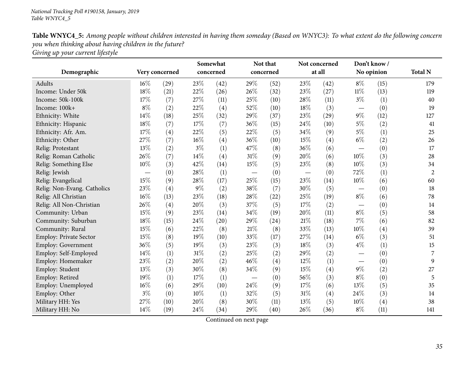| Table WNYC4_5: Among people without children interested in having them someday (Based on WNYC3): To what extent do the following concern |
|------------------------------------------------------------------------------------------------------------------------------------------|
| you when thinking about having children in the future?                                                                                   |
| Giving up your current lifestyle                                                                                                         |

|                             |        |                | Somewhat<br>concerned |      | Not that<br>concerned |      | Not concerned<br>at all |                   | Don't know/<br>No opinion       |      | <b>Total N</b> |
|-----------------------------|--------|----------------|-----------------------|------|-----------------------|------|-------------------------|-------------------|---------------------------------|------|----------------|
| Demographic                 |        | Very concerned |                       |      |                       |      |                         |                   |                                 |      |                |
| <b>Adults</b>               | $16\%$ | (29)           | 23%                   | (42) | 29%                   | (52) | 23\%                    | (42)              | $8\%$                           | (15) | 179            |
| Income: Under 50k           | 18%    | (21)           | 22%                   | (26) | 26%                   | (32) | $23\%$                  | (27)              | $11\%$                          | (13) | 119            |
| Income: 50k-100k            | 17%    | (7)            | 27%                   | (11) | 25%                   | (10) | 28%                     | (11)              | $3\%$                           | (1)  | 40             |
| Income: 100k+               | $8\%$  | (2)            | 22%                   | (4)  | 52%                   | (10) | 18%                     | (3)               | $\overline{\phantom{m}}$        | (0)  | 19             |
| Ethnicity: White            | 14%    | (18)           | 25%                   | (32) | 29%                   | (37) | 23%                     | (29)              | $9\%$                           | (12) | 127            |
| Ethnicity: Hispanic         | 18%    | (7)            | $17\%$                | (7)  | 36%                   | (15) | 24%                     | (10)              | $5\%$                           | (2)  | 41             |
| Ethnicity: Afr. Am.         | 17%    | (4)            | 22%                   | (5)  | 22%                   | (5)  | 34%                     | (9)               | $5\%$                           | (1)  | 25             |
| Ethnicity: Other            | 27%    | (7)            | $16\%$                | (4)  | 36%                   | (10) | 15%                     | $\left( 4\right)$ | $6\%$                           | (2)  | 26             |
| Relig: Protestant           | 13%    | (2)            | $3\%$                 | (1)  | 47%                   | (8)  | 36%                     | (6)               | $\hspace{0.1mm}-\hspace{0.1mm}$ | (0)  | 17             |
| Relig: Roman Catholic       | 26%    | (7)            | $14\%$                | (4)  | $31\%$                | (9)  | 20%                     | (6)               | 10%                             | (3)  | 28             |
| Relig: Something Else       | 10%    | (3)            | 42%                   | (14) | 15%                   | (5)  | 23%                     | (8)               | 10%                             | (3)  | 34             |
| Relig: Jewish               |        | (0)            | 28\%                  | (1)  |                       | (0)  |                         | (0)               | 72\%                            | (1)  | $\overline{2}$ |
| Relig: Evangelical          | 15%    | (9)            | 28\%                  | (17) | 25%                   | (15) | 23%                     | (14)              | $10\%$                          | (6)  | 60             |
| Relig: Non-Evang. Catholics | 23%    | (4)            | $9\%$                 | (2)  | 38%                   | (7)  | 30%                     | (5)               |                                 | (0)  | 18             |
| Relig: All Christian        | 16%    | (13)           | 23%                   | (18) | 28%                   | (22) | 25%                     | (19)              | $8\%$                           | (6)  | 78             |
| Relig: All Non-Christian    | 26%    | (4)            | 20%                   | (3)  | 37%                   | (5)  | 17%                     | (2)               |                                 | (0)  | 14             |
| Community: Urban            | 15%    | (9)            | 23%                   | (14) | 34%                   | (19) | 20%                     | (11)              | $8\%$                           | (5)  | 58             |
| Community: Suburban         | 18%    | (15)           | 24\%                  | (20) | 29%                   | (24) | 21\%                    | (18)              | $7\%$                           | (6)  | 82             |
| Community: Rural            | 15%    | (6)            | 22%                   | (8)  | 21%                   | (8)  | 33%                     | (13)              | 10%                             | (4)  | 39             |
| Employ: Private Sector      | 15%    | (8)            | 19%                   | (10) | 33%                   | (17) | 27\%                    | (14)              | $6\%$                           | (3)  | 51             |
| Employ: Government          | 36%    | (5)            | 19%                   | (3)  | 23%                   | (3)  | 18%                     | (3)               | $4\%$                           | (1)  | 15             |
| Employ: Self-Employed       | 14%    | (1)            | $31\%$                | (2)  | 25%                   | (2)  | 29%                     | (2)               |                                 | (0)  | 7              |
| Employ: Homemaker           | 23%    | (2)            | 20%                   | (2)  | 46%                   | (4)  | $12\%$                  | (1)               |                                 | (0)  | 9              |
| Employ: Student             | 13%    | (3)            | 30%                   | (8)  | 34%                   | (9)  | 15%                     | $\left( 4\right)$ | $9\%$                           | (2)  | 27             |
| Employ: Retired             | 19%    | (1)            | $17\%$                | (1)  |                       | (0)  | 56%                     | (3)               | $8\%$                           | (0)  | 5              |
| Employ: Unemployed          | 16%    | (6)            | 29%                   | (10) | 24%                   | (9)  | 17%                     | (6)               | 13%                             | (5)  | 35             |
| Employ: Other               | $3\%$  | (0)            | $10\%$                | (1)  | 32%                   | (5)  | $31\%$                  | (4)               | 24\%                            | (3)  | 14             |
| Military HH: Yes            | 27%    | (10)           | 20%                   | (8)  | 30%                   | (11) | 13%                     | (5)               | 10%                             | (4)  | 38             |
| Military HH: No             | 14%    | (19)           | 24\%                  | (34) | 29%                   | (40) | 26%                     | (36)              | $8\%$                           | (11) | 141            |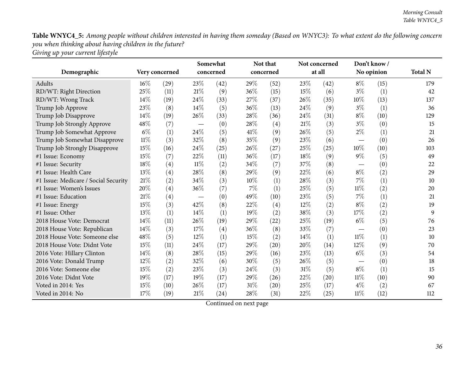Table WNYC4\_5: Among people without children interested in having them someday (Based on WNYC3): To what extent do the following concern *you when thinking about having children in the future? Giving up your current lifestyle*

|                                      |                |      | Somewhat  |      | Not that |           |        | Not concerned | Don't know/                     |            |                |
|--------------------------------------|----------------|------|-----------|------|----------|-----------|--------|---------------|---------------------------------|------------|----------------|
| Demographic                          | Very concerned |      | concerned |      |          | concerned |        | at all        |                                 | No opinion | <b>Total N</b> |
| Adults                               | $16\%$         | (29) | 23%       | (42) | 29%      | (52)      | 23%    | (42)          | $8\%$                           | (15)       | 179            |
| RD/WT: Right Direction               | 25%            | (11) | $21\%$    | (9)  | 36%      | (15)      | 15%    | (6)           | $3\%$                           | (1)        | 42             |
| RD/WT: Wrong Track                   | 14\%           | (19) | 24%       | (33) | 27%      | (37)      | 26%    | (35)          | 10%                             | (13)       | 137            |
| Trump Job Approve                    | 23%            | (8)  | $14\%$    | (5)  | 36%      | (13)      | 24\%   | (9)           | $3\%$                           | (1)        | 36             |
| Trump Job Disapprove                 | 14%            | (19) | 26\%      | (33) | $28\%$   | (36)      | 24%    | (31)          | $8\%$                           | (10)       | 129            |
| Trump Job Strongly Approve           | 48%            | (7)  |           | (0)  | 28%      | (4)       | 21%    | (3)           | $3\%$                           | (0)        | 15             |
| Trump Job Somewhat Approve           | $6\%$          | (1)  | 24%       | (5)  | 41%      | (9)       | 26%    | (5)           | $2\%$                           | (1)        | 21             |
| Trump Job Somewhat Disapprove        | $11\%$         | (3)  | 32\%      | (8)  | 35%      | (9)       | 23%    | (6)           | $\hspace{0.1mm}-\hspace{0.1mm}$ | (0)        | 26             |
| Trump Job Strongly Disapprove        | 15%            | (16) | $24\%$    | (25) | $26\%$   | (27)      | $25\%$ | (25)          | 10%                             | (10)       | 103            |
| #1 Issue: Economy                    | 15%            | (7)  | 22%       | (11) | 36%      | (17)      | 18%    | (9)           | $9\%$                           | (5)        | 49             |
| #1 Issue: Security                   | 18%            | (4)  | $11\%$    | (2)  | 34%      | (7)       | 37%    | (8)           |                                 | (0)        | 22             |
| #1 Issue: Health Care                | 13%            | (4)  | 28%       | (8)  | 29%      | (9)       | 22%    | (6)           | $8\%$                           | (2)        | 29             |
| #1 Issue: Medicare / Social Security | $21\%$         | (2)  | 34\%      | (3)  | 10%      | (1)       | 28%    | (3)           | 7%                              | (1)        | 10             |
| #1 Issue: Women's Issues             | 20%            | (4)  | 36%       | (7)  | 7%       | (1)       | 25%    | (5)           | $11\%$                          | (2)        | 20             |
| #1 Issue: Education                  | 21%            | (4)  |           | (0)  | 49%      | (10)      | 23%    | (5)           | 7%                              | (1)        | 21             |
| #1 Issue: Energy                     | 15%            | (3)  | 42\%      | (8)  | 22%      | (4)       | 12%    | (2)           | $8\%$                           | (2)        | 19             |
| #1 Issue: Other                      | 13%            | (1)  | 14%       | (1)  | 19%      | (2)       | 38%    | (3)           | 17%                             | (2)        | 9              |
| 2018 House Vote: Democrat            | 14%            | (11) | 26%       | (19) | 29%      | (22)      | 25%    | (19)          | $6\%$                           | (5)        | 76             |
| 2018 House Vote: Republican          | 14%            | (3)  | 17%       | (4)  | 36%      | (8)       | 33%    | (7)           |                                 | (0)        | 23             |
| 2018 House Vote: Someone else        | 48%            | (5)  | 12%       | (1)  | 15%      | (2)       | 14\%   | (1)           | $11\%$                          | (1)        | 10             |
| 2018 House Vote: Didnt Vote          | 15%            | (11) | 24\%      | (17) | 29%      | (20)      | 20%    | (14)          | 12%                             | (9)        | 70             |
| 2016 Vote: Hillary Clinton           | 14%            | (8)  | 28%       | (15) | 29%      | (16)      | 23%    | (13)          | $6\%$                           | (3)        | 54             |
| 2016 Vote: Donald Trump              | 12%            | (2)  | 32%       | (6)  | 30%      | (5)       | 26%    | (5)           |                                 | (0)        | 18             |
| 2016 Vote: Someone else              | 15%            | (2)  | 23%       | (3)  | 24\%     | (3)       | $31\%$ | (5)           | $8\%$                           | (1)        | 15             |
| 2016 Vote: Didnt Vote                | 19%            | (17) | 19%       | (17) | 29%      | (26)      | 22%    | (20)          | $11\%$                          | (10)       | 90             |
| Voted in 2014: Yes                   | 15%            | (10) | 26%       | (17) | 31%      | (20)      | 25%    | (17)          | $4\%$                           | (2)        | 67             |
| Voted in 2014: No                    | 17%            | (19) | $21\%$    | (24) | 28%      | (31)      | 22%    | (25)          | $11\%$                          | (12)       | 112            |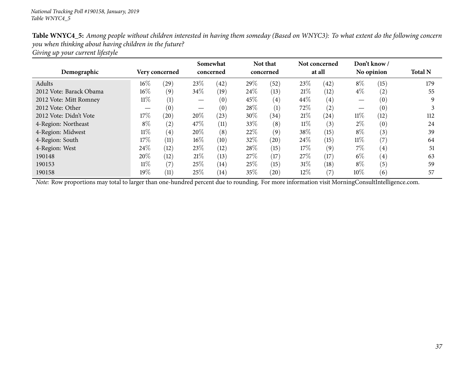| Table WNYC4_5: Among people without children interested in having them someday (Based on WNYC3): To what extent do the following concern |
|------------------------------------------------------------------------------------------------------------------------------------------|
| you when thinking about having children in the future?                                                                                   |
| Giving up your current lifestyle                                                                                                         |

| Demographic             |        | Very concerned    |        | Somewhat<br>concerned |      | Not that<br>concerned |        | Not concerned<br>at all |        | Don't know /<br>No opinion | <b>Total N</b> |
|-------------------------|--------|-------------------|--------|-----------------------|------|-----------------------|--------|-------------------------|--------|----------------------------|----------------|
| Adults                  | $16\%$ | (29)              | 23\%   | (42)                  | 29%  | (52)                  | 23\%   | (42)                    | $8\%$  | (15)                       | 179            |
| 2012 Vote: Barack Obama | $16\%$ | (9)               | 34\%   | (19)                  | 24\% | (13)                  | 21%    | (12)                    | $4\%$  | (2)                        | 55             |
| 2012 Vote: Mitt Romney  | $11\%$ | (1)               |        | (0)                   | 45%  | (4)                   | 44\%   | $\left( 4\right)$       |        | (0)                        |                |
| 2012 Vote: Other        |        | (0)               |        | (0)                   | 28\% | (1)                   | 72%    | (2)                     |        | (0)                        |                |
| 2012 Vote: Didn't Vote  | 17\%   | (20)              | 20%    | (23)                  | 30%  | (34)                  | 21%    | (24)                    | $11\%$ | (12)                       | 112            |
| 4-Region: Northeast     | $8\%$  | (2)               | 47\%   | (11)                  | 33%  | (8)                   | $11\%$ | (3)                     | $2\%$  | (0)                        | 24             |
| 4-Region: Midwest       | $11\%$ | $\left( 4\right)$ | 20%    | (8)                   | 22%  | (9)                   | 38\%   | (15)                    | $8\%$  | (3)                        | 39             |
| 4-Region: South         | $17\%$ | (11)              | $16\%$ | (10)                  | 32%  | (20)                  | 24\%   | (15)                    | $11\%$ | (7)                        | 64             |
| 4-Region: West          | 24\%   | (12)              | 23\%   | (12)                  | 28\% | (15)                  | 17%    | (9)                     | $7\%$  | $\left( 4\right)$          | 51             |
| 190148                  | 20%    | (12)              | 21%    | (13)                  | 27\% | (17)                  | 27%    | (17)                    | $6\%$  | $\left( 4\right)$          | 63             |
| 190153                  | $11\%$ | (7)               | 25\%   | (14)                  | 25%  | (15)                  | $31\%$ | (18)                    | $8\%$  | (5)                        | 59             |
| 190158                  | $19\%$ | (11)              | 25\%   | (14)                  | 35%  | (20)                  | 12%    | (7)                     | $10\%$ | (6)                        | 57             |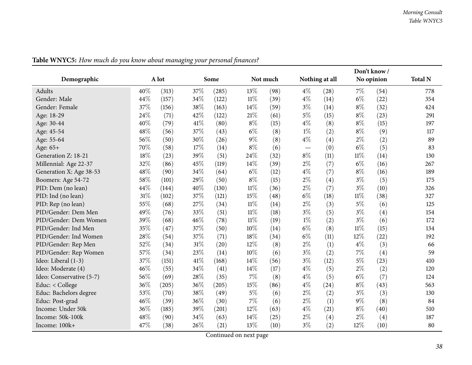|                          |     |       |        |       |        |          |       |                |        | Don't know/ |                |
|--------------------------|-----|-------|--------|-------|--------|----------|-------|----------------|--------|-------------|----------------|
| Demographic              |     | A lot |        | Some  |        | Not much |       | Nothing at all |        | No opinion  | <b>Total N</b> |
| Adults                   | 40% | (313) | 37%    | (285) | 13%    | (98)     | $4\%$ | (28)           | $7\%$  | (54)        | 778            |
| Gender: Male             | 44% | (157) | 34%    | (122) | $11\%$ | (39)     | $4\%$ | (14)           | $6\%$  | (22)        | 354            |
| Gender: Female           | 37% | (156) | 38%    | (163) | 14%    | (59)     | $3\%$ | (14)           | $8\%$  | (32)        | 424            |
| Age: 18-29               | 24% | (71)  | 42%    | (122) | 21%    | (61)     | $5\%$ | (15)           | $8\%$  | (23)        | 291            |
| Age: 30-44               | 40% | (79)  | $41\%$ | (80)  | $8\%$  | (15)     | $4\%$ | (8)            | $8\%$  | (15)        | 197            |
| Age: 45-54               | 48% | (56)  | 37%    | (43)  | $6\%$  | (8)      | $1\%$ | (2)            | $8\%$  | (9)         | 117            |
| Age: 55-64               | 56% | (50)  | 30%    | (26)  | $9\%$  | (8)      | $4\%$ | (4)            | $2\%$  | (2)         | 89             |
| Age: 65+                 | 70% | (58)  | 17%    | (14)  | $8\%$  | (6)      |       | (0)            | $6\%$  | (5)         | 83             |
| Generation Z: 18-21      | 18% | (23)  | 39%    | (51)  | 24%    | (32)     | $8\%$ | (11)           | $11\%$ | (14)        | 130            |
| Millennial: Age 22-37    | 32% | (86)  | 45%    | (119) | 14%    | (39)     | $2\%$ | (7)            | $6\%$  | (16)        | 267            |
| Generation X: Age 38-53  | 48% | (90)  | 34%    | (64)  | $6\%$  | (12)     | $4\%$ | (7)            | $8\%$  | (16)        | 189            |
| Boomers: Age 54-72       | 58% | (101) | 29%    | (50)  | $8\%$  | (15)     | $2\%$ | (4)            | $3\%$  | (5)         | 175            |
| PID: Dem (no lean)       | 44% | (144) | 40%    | (130) | $11\%$ | (36)     | $2\%$ | (7)            | $3\%$  | (10)        | 326            |
| PID: Ind (no lean)       | 31% | (102) | 37%    | (121) | 15%    | (48)     | $6\%$ | (18)           | $11\%$ | (38)        | 327            |
| PID: Rep (no lean)       | 55% | (68)  | 27%    | (34)  | $11\%$ | (14)     | $2\%$ | (3)            | $5\%$  | (6)         | 125            |
| PID/Gender: Dem Men      | 49% | (76)  | 33%    | (51)  | $11\%$ | (18)     | $3\%$ | (5)            | $3\%$  | (4)         | 154            |
| PID/Gender: Dem Women    | 39% | (68)  | 46%    | (78)  | $11\%$ | (19)     | $1\%$ | (2)            | $3\%$  | (6)         | 172            |
| PID/Gender: Ind Men      | 35% | (47)  | 37%    | (50)  | 10%    | (14)     | $6\%$ | (8)            | $11\%$ | (15)        | 134            |
| PID/Gender: Ind Women    | 28% | (54)  | 37%    | (71)  | 18%    | (34)     | $6\%$ | (11)           | 12%    | (22)        | 192            |
| PID/Gender: Rep Men      | 52% | (34)  | $31\%$ | (20)  | 12%    | (8)      | $2\%$ | (1)            | $4\%$  | (3)         | 66             |
| PID/Gender: Rep Women    | 57% | (34)  | 23%    | (14)  | 10%    | (6)      | $3\%$ | (2)            | $7\%$  | (4)         | 59             |
| Ideo: Liberal (1-3)      | 37% | (151) | 41\%   | (168) | 14%    | (56)     | $3\%$ | (12)           | 5%     | (23)        | 410            |
| Ideo: Moderate (4)       | 46% | (55)  | 34%    | (41)  | 14%    | (17)     | $4\%$ | (5)            | $2\%$  | (2)         | 120            |
| Ideo: Conservative (5-7) | 56% | (69)  | 28%    | (35)  | $7\%$  | (8)      | $4\%$ | (5)            | $6\%$  | (7)         | 124            |
| Educ: < College          | 36% | (205) | 36%    | (205) | 15%    | (86)     | $4\%$ | (24)           | $8\%$  | (43)        | 563            |
| Educ: Bachelors degree   | 53% | (70)  | 38%    | (49)  | $5\%$  | (6)      | $2\%$ | (2)            | $3\%$  | (3)         | 130            |
| Educ: Post-grad          | 46% | (39)  | 36%    | (30)  | 7%     | (6)      | $2\%$ | (1)            | $9\%$  | (8)         | 84             |
| Income: Under 50k        | 36% | (185) | 39%    | (201) | 12%    | (63)     | $4\%$ | (21)           | $8\%$  | (40)        | 510            |
| Income: 50k-100k         | 48% | (90)  | 34%    | (63)  | 14%    | (25)     | $2\%$ | (4)            | $2\%$  | (4)         | 187            |
| Income: 100k+            | 47% | (38)  | 26%    | (21)  | 13%    | (10)     | $3\%$ | (2)            | 12%    | (10)        | 80             |

Table WNYC5: How much do you know about managing your personal finances?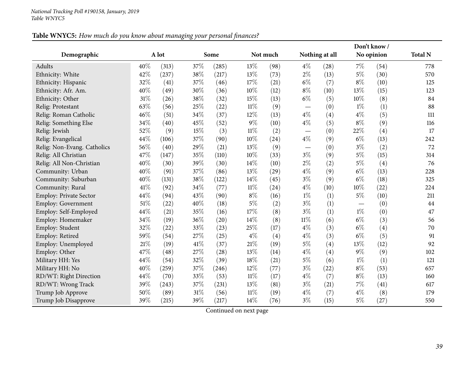## Table WNYC5: How much do you know about managing your personal finances?

|                             |      |       |        |       |        |          |                                 |                    |       | Don't know / |                |
|-----------------------------|------|-------|--------|-------|--------|----------|---------------------------------|--------------------|-------|--------------|----------------|
| Demographic                 |      | A lot |        | Some  |        | Not much |                                 | Nothing at all     |       | No opinion   | <b>Total N</b> |
| Adults                      | 40%  | (313) | 37%    | (285) | 13%    | (98)     | $4\%$                           | $\left( 28\right)$ | $7\%$ | (54)         | 778            |
| Ethnicity: White            | 42%  | (237) | 38%    | (217) | 13%    | (73)     | $2\%$                           | (13)               | $5\%$ | (30)         | 570            |
| Ethnicity: Hispanic         | 32%  | (41)  | 37%    | (46)  | 17%    | (21)     | $6\%$                           | (7)                | $8\%$ | (10)         | 125            |
| Ethnicity: Afr. Am.         | 40%  | (49)  | 30%    | (36)  | 10%    | (12)     | $8\%$                           | (10)               | 13%   | (15)         | 123            |
| Ethnicity: Other            | 31%  | (26)  | 38%    | (32)  | 15%    | (13)     | $6\%$                           | (5)                | 10%   | (8)          | 84             |
| Relig: Protestant           | 63%  | (56)  | 25%    | (22)  | $11\%$ | (9)      | $\hspace{0.1mm}-\hspace{0.1mm}$ | (0)                | $1\%$ | (1)          | 88             |
| Relig: Roman Catholic       | 46%  | (51)  | 34%    | (37)  | 12%    | (13)     | $4\%$                           | (4)                | $4\%$ | (5)          | 111            |
| Relig: Something Else       | 34%  | (40)  | 45%    | (52)  | $9\%$  | (10)     | $4\%$                           | (5)                | $8\%$ | (9)          | 116            |
| Relig: Jewish               | 52%  | (9)   | 15%    | (3)   | $11\%$ | (2)      |                                 | (0)                | 22%   | (4)          | 17             |
| Relig: Evangelical          | 44%  | (106) | 37%    | (90)  | 10%    | (24)     | $4\%$                           | (9)                | $6\%$ | (13)         | 242            |
| Relig: Non-Evang. Catholics | 56%  | (40)  | 29%    | (21)  | 13%    | (9)      |                                 | (0)                | $3\%$ | (2)          | 72             |
| Relig: All Christian        | 47%  | (147) | 35%    | (110) | 10%    | (33)     | $3\%$                           | (9)                | $5\%$ | (15)         | 314            |
| Relig: All Non-Christian    | 40%  | (30)  | 39%    | (30)  | 14%    | (10)     | $2\%$                           | (2)                | $5\%$ | (4)          | 76             |
| Community: Urban            | 40%  | (91)  | 37%    | (86)  | 13%    | (29)     | $4\%$                           | (9)                | $6\%$ | (13)         | 228            |
| Community: Suburban         | 40%  | (131) | 38%    | (122) | 14%    | (45)     | $3\%$                           | (9)                | $6\%$ | (18)         | 325            |
| Community: Rural            | 41\% | (92)  | 34%    | (77)  | 11%    | (24)     | $4\%$                           | (10)               | 10%   | (22)         | 224            |
| Employ: Private Sector      | 44%  | (94)  | 43%    | (90)  | $8\%$  | (16)     | $1\%$                           | (1)                | $5\%$ | (10)         | 211            |
| Employ: Government          | 51%  | (22)  | 40%    | (18)  | $5\%$  | (2)      | $3\%$                           | (1)                |       | (0)          | 44             |
| Employ: Self-Employed       | 44%  | (21)  | 35%    | (16)  | 17%    | (8)      | $3\%$                           | (1)                | $1\%$ | (0)          | 47             |
| Employ: Homemaker           | 34%  | (19)  | 36%    | (20)  | 14%    | (8)      | $11\%$                          | (6)                | $6\%$ | (3)          | 56             |
| Employ: Student             | 32%  | (22)  | 33%    | (23)  | 25%    | (17)     | $4\%$                           | (3)                | $6\%$ | (4)          | 70             |
| Employ: Retired             | 59%  | (54)  | 27%    | (25)  | $4\%$  | (4)      | $4\%$                           | (3)                | $6\%$ | (5)          | 91             |
| Employ: Unemployed          | 21%  | (19)  | $41\%$ | (37)  | 21%    | (19)     | $5\%$                           | (4)                | 13%   | (12)         | 92             |
| Employ: Other               | 47%  | (48)  | 27%    | (28)  | 13%    | (14)     | $4\%$                           | (4)                | $9\%$ | (9)          | 102            |
| Military HH: Yes            | 44%  | (54)  | 32%    | (39)  | 18%    | (21)     | $5\%$                           | (6)                | $1\%$ | (1)          | 121            |
| Military HH: No             | 40%  | (259) | 37%    | (246) | 12%    | (77)     | $3\%$                           | (22)               | $8\%$ | (53)         | 657            |
| RD/WT: Right Direction      | 44%  | (70)  | 33%    | (53)  | $11\%$ | (17)     | $4\%$                           | (7)                | $8\%$ | (13)         | 160            |
| RD/WT: Wrong Track          | 39%  | (243) | 37%    | (231) | 13%    | (81)     | $3\%$                           | (21)               | $7\%$ | (41)         | 617            |
| Trump Job Approve           | 50%  | (89)  | $31\%$ | (56)  | $11\%$ | (19)     | $4\%$                           | (7)                | $4\%$ | (8)          | 179            |
| Trump Job Disapprove        | 39%  | (215) | 39%    | (217) | 14\%   | (76)     | $3\%$                           | (15)               | $5\%$ | (27)         | 550            |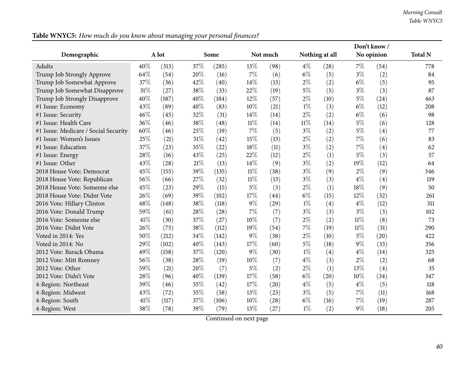|                                      |     |       |     |       |        |          |        |                |        | Don't know/ |                |
|--------------------------------------|-----|-------|-----|-------|--------|----------|--------|----------------|--------|-------------|----------------|
| Demographic                          |     | A lot |     | Some  |        | Not much |        | Nothing at all |        | No opinion  | <b>Total N</b> |
| <b>Adults</b>                        | 40% | (313) | 37% | (285) | 13%    | (98)     | $4\%$  | (28)           | $7\%$  | (54)        | 778            |
| Trump Job Strongly Approve           | 64% | (54)  | 20% | (16)  | $7\%$  | (6)      | $6\%$  | (5)            | $3\%$  | (2)         | 84             |
| Trump Job Somewhat Approve           | 37% | (36)  | 42% | (40)  | 14%    | (13)     | $2\%$  | (2)            | $6\%$  | (5)         | 95             |
| Trump Job Somewhat Disapprove        | 31% | (27)  | 38% | (33)  | 22%    | (19)     | $5\%$  | (5)            | $3\%$  | (3)         | 87             |
| Trump Job Strongly Disapprove        | 40% | (187) | 40% | (184) | 12%    | (57)     | $2\%$  | (10)           | $5\%$  | (24)        | 463            |
| #1 Issue: Economy                    | 43% | (89)  | 40% | (83)  | 10%    | (21)     | $1\%$  | (3)            | $6\%$  | (12)        | 208            |
| #1 Issue: Security                   | 46% | (45)  | 32% | (31)  | 14%    | (14)     | $2\%$  | (2)            | $6\%$  | (6)         | 98             |
| #1 Issue: Health Care                | 36% | (46)  | 38% | (48)  | $11\%$ | (14)     | $11\%$ | (14)           | $5\%$  | (6)         | 128            |
| #1 Issue: Medicare / Social Security | 60% | (46)  | 25% | (19)  | $7\%$  | (5)      | $3\%$  | (2)            | $5\%$  | (4)         | 77             |
| #1 Issue: Women's Issues             | 25% | (21)  | 51% | (42)  | 15%    | (13)     | $2\%$  | (2)            | $7\%$  | (6)         | 83             |
| #1 Issue: Education                  | 37% | (23)  | 35% | (22)  | $18\%$ | (11)     | $3\%$  | (2)            | $7\%$  | (4)         | 62             |
| #1 Issue: Energy                     | 28% | (16)  | 43% | (25)  | 22%    | (12)     | $2\%$  | (1)            | $5\%$  | (3)         | 57             |
| #1 Issue: Other                      | 43% | (28)  | 21% | (13)  | 14\%   | (9)      | $3\%$  | (2)            | 19%    | (12)        | 64             |
| 2018 House Vote: Democrat            | 45% | (155) | 39% | (135) | $11\%$ | (38)     | $3\%$  | (9)            | $2\%$  | (9)         | 346            |
| 2018 House Vote: Republican          | 56% | (66)  | 27% | (32)  | $11\%$ | (13)     | $3\%$  | (3)            | $4\%$  | (4)         | 119            |
| 2018 House Vote: Someone else        | 45% | (23)  | 29% | (15)  | $5\%$  | (3)      | $2\%$  | (1)            | 18%    | (9)         | 50             |
| 2018 House Vote: Didnt Vote          | 26% | (69)  | 39% | (102) | 17%    | (44)     | $6\%$  | (15)           | 12%    | (32)        | 261            |
| 2016 Vote: Hillary Clinton           | 48% | (148) | 38% | (118) | $9\%$  | (29)     | $1\%$  | (4)            | $4\%$  | (12)        | 311            |
| 2016 Vote: Donald Trump              | 59% | (61)  | 28% | (28)  | $7\%$  | (7)      | $3\%$  | (3)            | $3\%$  | (3)         | 102            |
| 2016 Vote: Someone else              | 41% | (30)  | 37% | (27)  | 10%    | (7)      | $2\%$  | (2)            | $11\%$ | (8)         | 73             |
| 2016 Vote: Didnt Vote                | 26% | (75)  | 38% | (112) | 19%    | (54)     | 7%     | (19)           | $11\%$ | (31)        | 290            |
| Voted in 2014: Yes                   | 50% | (212) | 34% | (142) | 9%     | (38)     | $2\%$  | (10)           | $5\%$  | (20)        | 422            |
| Voted in 2014: No                    | 29% | (102) | 40% | (143) | 17%    | (60)     | $5\%$  | (18)           | $9\%$  | (33)        | 356            |
| 2012 Vote: Barack Obama              | 49% | (158) | 37% | (120) | $9\%$  | (30)     | $1\%$  | (4)            | $4\%$  | (14)        | 325            |
| 2012 Vote: Mitt Romney               | 56% | (38)  | 28% | (19)  | 10%    | (7)      | $4\%$  | (3)            | $2\%$  | (2)         | 68             |
| 2012 Vote: Other                     | 59% | (21)  | 20% | (7)   | $5\%$  | (2)      | $2\%$  | (1)            | 13%    | (4)         | 35             |
| 2012 Vote: Didn't Vote               | 28% | (96)  | 40% | (139) | 17%    | (58)     | $6\%$  | (20)           | 10%    | (34)        | 347            |
| 4-Region: Northeast                  | 39% | (46)  | 35% | (42)  | 17%    | (20)     | $4\%$  | (5)            | $4\%$  | (5)         | 118            |
| 4-Region: Midwest                    | 43% | (72)  | 35% | (58)  | 13%    | (23)     | $3\%$  | (5)            | $7\%$  | (11)        | 168            |
| 4-Region: South                      | 41% | (117) | 37% | (106) | 10%    | (28)     | $6\%$  | (16)           | $7\%$  | (19)        | 287            |
| 4-Region: West                       | 38% | (78)  | 39% | (79)  | 13%    | (27)     | $1\%$  | (2)            | $9\%$  | (18)        | 205            |

Table WNYC5: How much do you know about managing your personal finances?

 $\overline{a}$ 

 $\overline{\phantom{a}}$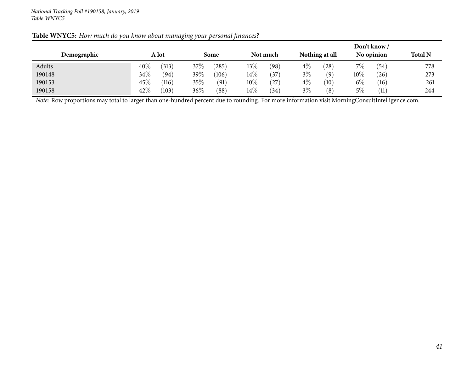|             |        |       |         |       |        |          |       |                |        | Don't know / |                |
|-------------|--------|-------|---------|-------|--------|----------|-------|----------------|--------|--------------|----------------|
| Demographic |        | A lot |         | Some  |        | Not much |       | Nothing at all |        | No opinion   | <b>Total N</b> |
| Adults      | $40\%$ | (313) | 37\%    | 285   | 13%    | $^{'}98$ | $4\%$ | 28             | $7\%$  | '54          | 778            |
| 190148      | 34\%   | (94)  | 39 $\%$ | (106) | $14\%$ | 37       | $3\%$ | (9)            | $10\%$ | (26)         | 273            |
| 190153      | 45\%   | (116) | 35%     | (91)  | $10\%$ | 27       | $4\%$ | (10)           | $6\%$  | (16)         | 261            |
| 190158      | $42\%$ | (103) | 36\%    | (88)  | $14\%$ | (34)     | $3\%$ | (8)            | $5\%$  | (11)         | 244            |

## Table WNYC5: How much do you know about managing your personal finances?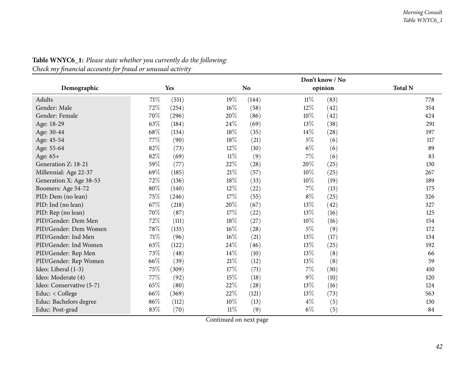|                          |      |            | Don't know / No |                |        |         |                |  |  |
|--------------------------|------|------------|-----------------|----------------|--------|---------|----------------|--|--|
| Demographic              |      | <b>Yes</b> |                 | N <sub>o</sub> |        | opinion | <b>Total N</b> |  |  |
| Adults                   | 71\% | (551)      | 19%             | (144)          | $11\%$ | (83)    | 778            |  |  |
| Gender: Male             | 72\% | (254)      | 16%             | (58)           | $12\%$ | (42)    | 354            |  |  |
| Gender: Female           | 70%  | (296)      | 20%             | (86)           | $10\%$ | (42)    | 424            |  |  |
| Age: 18-29               | 63\% | (184)      | 24\%            | (69)           | $13\%$ | (38)    | 291            |  |  |
| Age: 30-44               | 68\% | (134)      | 18%             | (35)           | $14\%$ | (28)    | 197            |  |  |
| Age: 45-54               | 77%  | (90)       | 18%             | (21)           | $5\%$  | (6)     | 117            |  |  |
| Age: 55-64               | 82%  | (73)       | 12%             | (10)           | $6\%$  | (6)     | 89             |  |  |
| Age: 65+                 | 82%  | (69)       | $11\%$          | (9)            | $7\%$  | (6)     | 83             |  |  |
| Generation Z: 18-21      | 59%  | (77)       | 22%             | (28)           | 20%    | (25)    | 130            |  |  |
| Millennial: Age 22-37    | 69%  | (185)      | $21\%$          | (57)           | 10%    | (25)    | 267            |  |  |
| Generation X: Age 38-53  | 72%  | (136)      | 18%             | (33)           | 10%    | (19)    | 189            |  |  |
| Boomers: Age 54-72       | 80%  | (140)      | 12%             | (22)           | 7%     | (13)    | 175            |  |  |
| PID: Dem (no lean)       | 75%  | (246)      | 17%             | (55)           | $8\%$  | (25)    | 326            |  |  |
| PID: Ind (no lean)       | 67\% | (218)      | 20%             | (67)           | 13%    | (42)    | 327            |  |  |
| PID: Rep (no lean)       | 70%  | (87)       | $17\%$          | (22)           | 13%    | (16)    | 125            |  |  |
| PID/Gender: Dem Men      | 72%  | (111)      | 18%             | (27)           | 10%    | (16)    | 154            |  |  |
| PID/Gender: Dem Women    | 78\% | (135)      | 16%             | (28)           | $5\%$  | (9)     | 172            |  |  |
| PID/Gender: Ind Men      | 71\% | (96)       | $16\%$          | (21)           | $13\%$ | (17)    | 134            |  |  |
| PID/Gender: Ind Women    | 63\% | (122)      | 24\%            | (46)           | 13%    | (25)    | 192            |  |  |
| PID/Gender: Rep Men      | 73\% | (48)       | 14%             | (10)           | $13\%$ | (8)     | 66             |  |  |
| PID/Gender: Rep Women    | 66%  | (39)       | $21\%$          | (12)           | 13%    | (8)     | 59             |  |  |
| Ideo: Liberal (1-3)      | 75%  | (309)      | $17\%$          | (71)           | 7%     | (30)    | 410            |  |  |
| Ideo: Moderate (4)       | 77%  | (92)       | $15\%$          | (18)           | $9\%$  | (10)    | 120            |  |  |
| Ideo: Conservative (5-7) | 65%  | (80)       | 22%             | (28)           | 13\%   | (16)    | 124            |  |  |
| Educ: $<$ College        | 66%  | (369)      | 22\%            | (121)          | 13%    | (73)    | 563            |  |  |
| Educ: Bachelors degree   | 86%  | (112)      | 10%             | (13)           | $4\%$  | (5)     | 130            |  |  |
| Educ: Post-grad          | 83%  | (70)       | $11\%$          | (9)            | $6\%$  | (5)     | 84             |  |  |

**Table WNYC6\_1:** *Please state whether you currently do the following: Check my financial accounts for fraud or unusual activity*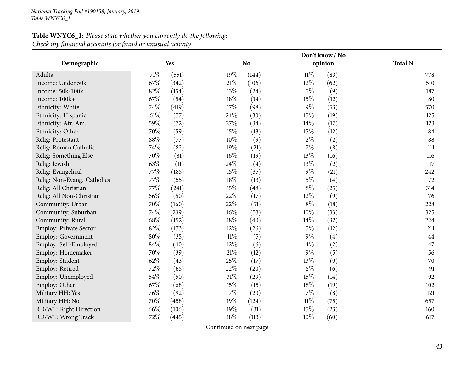## **Table WNYC6\_1:** *Please state whether you currently do the following: Check my financial accounts for fraud or unusual activity*

|                             |        |       | Don't know / No |           |        |         |                |  |  |
|-----------------------------|--------|-------|-----------------|-----------|--------|---------|----------------|--|--|
| Demographic                 |        | Yes   |                 | <b>No</b> |        | opinion | <b>Total N</b> |  |  |
| Adults                      | 71%    | (551) | 19%             | (144)     | $11\%$ | (83)    | 778            |  |  |
| Income: Under 50k           | 67%    | (342) | $21\%$          | (106)     | 12%    | (62)    | 510            |  |  |
| Income: 50k-100k            | 82%    | (154) | 13%             | (24)      | $5\%$  | (9)     | 187            |  |  |
| Income: 100k+               | 67%    | (54)  | 18%             | (14)      | 15%    | (12)    | 80             |  |  |
| Ethnicity: White            | 74%    | (419) | 17%             | (98)      | $9\%$  | (53)    | 570            |  |  |
| Ethnicity: Hispanic         | 61%    | (77)  | 24\%            | (30)      | 15%    | (19)    | 125            |  |  |
| Ethnicity: Afr. Am.         | 59%    | (72)  | 27\%            | (34)      | 14%    | (17)    | 123            |  |  |
| Ethnicity: Other            | 70%    | (59)  | 15%             | (13)      | 15%    | (12)    | 84             |  |  |
| Relig: Protestant           | $88\%$ | (77)  | 10%             | (9)       | $2\%$  | (2)     | 88             |  |  |
| Relig: Roman Catholic       | 74%    | (82)  | 19%             | (21)      | 7%     | (8)     | 111            |  |  |
| Relig: Something Else       | 70%    | (81)  | $16\%$          | (19)      | 13%    | (16)    | 116            |  |  |
| Relig: Jewish               | 63%    | (11)  | 24\%            | (4)       | 13%    | (2)     | 17             |  |  |
| Relig: Evangelical          | 77%    | (185) | 15%             | (35)      | $9\%$  | (21)    | 242            |  |  |
| Relig: Non-Evang. Catholics | $77\%$ | (55)  | 18%             | (13)      | $5\%$  | (4)     | 72             |  |  |
| Relig: All Christian        | 77%    | (241) | 15%             | (48)      | $8\%$  | (25)    | 314            |  |  |
| Relig: All Non-Christian    | 66%    | (50)  | 22%             | (17)      | 12%    | (9)     | 76             |  |  |
| Community: Urban            | 70%    | (160) | 22%             | (51)      | $8\%$  | (18)    | 228            |  |  |
| Community: Suburban         | 74%    | (239) | 16%             | (53)      | 10%    | (33)    | 325            |  |  |
| Community: Rural            | 68%    | (152) | 18%             | (40)      | 14%    | (32)    | 224            |  |  |
| Employ: Private Sector      | 82%    | (173) | 12%             | (26)      | $5\%$  | (12)    | 211            |  |  |
| Employ: Government          | 80%    | (35)  | $11\%$          | (5)       | 9%     | (4)     | 44             |  |  |
| Employ: Self-Employed       | 84%    | (40)  | $12\%$          | (6)       | $4\%$  | (2)     | 47             |  |  |
| Employ: Homemaker           | 70%    | (39)  | 21%             | (12)      | $9\%$  | (5)     | 56             |  |  |
| Employ: Student             | 62%    | (43)  | 25\%            | (17)      | 13%    | (9)     | 70             |  |  |
| Employ: Retired             | 72%    | (65)  | $22\%$          | (20)      | $6\%$  | (6)     | 91             |  |  |
| Employ: Unemployed          | 54%    | (50)  | $31\%$          | (29)      | 15%    | (14)    | 92             |  |  |
| Employ: Other               | 67%    | (68)  | 15%             | (15)      | 18%    | (19)    | 102            |  |  |
| Military HH: Yes            | 76%    | (92)  | 17%             | (20)      | 7%     | (8)     | 121            |  |  |
| Military HH: No             | 70%    | (458) | 19%             | (124)     | $11\%$ | (75)    | 657            |  |  |
| RD/WT: Right Direction      | 66%    | (106) | 19%             | (31)      | 15%    | (23)    | 160            |  |  |
| RD/WT: Wrong Track          | 72%    | (445) | 18%             | (113)     | 10%    | (60)    | 617            |  |  |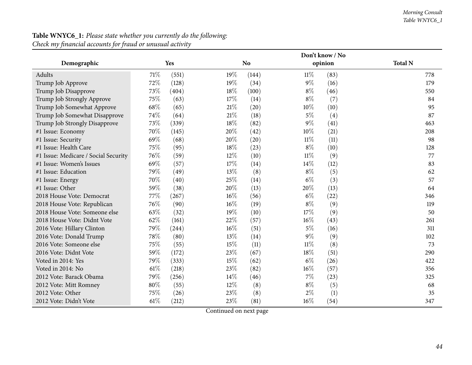#### *Morning Consult Table WNYC6\_1*

|                                      |        | Don't know / No |        |                |        |         |                |  |
|--------------------------------------|--------|-----------------|--------|----------------|--------|---------|----------------|--|
| Demographic                          |        | Yes             |        | N <sub>o</sub> |        | opinion | <b>Total N</b> |  |
| Adults                               | 71\%   | (551)           | $19\%$ | (144)          | $11\%$ | (83)    | 778            |  |
| Trump Job Approve                    | 72%    | (128)           | 19%    | (34)           | $9\%$  | (16)    | 179            |  |
| Trump Job Disapprove                 | 73%    | (404)           | 18%    | (100)          | $8\%$  | (46)    | 550            |  |
| Trump Job Strongly Approve           | 75%    | (63)            | 17%    | (14)           | $8\%$  | (7)     | 84             |  |
| Trump Job Somewhat Approve           | 68%    | (65)            | 21%    | (20)           | 10%    | (10)    | 95             |  |
| Trump Job Somewhat Disapprove        | 74%    | (64)            | 21%    | (18)           | $5\%$  | (4)     | 87             |  |
| Trump Job Strongly Disapprove        | 73%    | (339)           | 18%    | (82)           | $9\%$  | (41)    | 463            |  |
| #1 Issue: Economy                    | 70%    | (145)           | 20%    | (42)           | 10%    | (21)    | 208            |  |
| #1 Issue: Security                   | 69%    | (68)            | 20%    | (20)           | $11\%$ | (11)    | 98             |  |
| #1 Issue: Health Care                | 75%    | (95)            | 18%    | (23)           | $8\%$  | (10)    | 128            |  |
| #1 Issue: Medicare / Social Security | 76%    | (59)            | 12%    | (10)           | $11\%$ | (9)     | 77             |  |
| #1 Issue: Women's Issues             | 69%    | (57)            | 17%    | (14)           | 14\%   | (12)    | 83             |  |
| #1 Issue: Education                  | 79%    | (49)            | 13%    | (8)            | $8\%$  | (5)     | 62             |  |
| #1 Issue: Energy                     | 70%    | (40)            | 25%    | (14)           | $6\%$  | (3)     | 57             |  |
| #1 Issue: Other                      | 59%    | (38)            | 20%    | (13)           | 20%    | (13)    | 64             |  |
| 2018 House Vote: Democrat            | 77%    | (267)           | $16\%$ | (56)           | $6\%$  | (22)    | 346            |  |
| 2018 House Vote: Republican          | 76%    | (90)            | 16%    | (19)           | $8\%$  | (9)     | 119            |  |
| 2018 House Vote: Someone else        | 63%    | (32)            | 19%    | (10)           | 17%    | (9)     | 50             |  |
| 2018 House Vote: Didnt Vote          | 62%    | (161)           | 22\%   | (57)           | $16\%$ | (43)    | 261            |  |
| 2016 Vote: Hillary Clinton           | 79%    | (244)           | 16%    | (51)           | $5\%$  | (16)    | 311            |  |
| 2016 Vote: Donald Trump              | 78%    | (80)            | 13%    | (14)           | $9\%$  | (9)     | 102            |  |
| 2016 Vote: Someone else              | 75%    | (55)            | 15%    | (11)           | $11\%$ | (8)     | 73             |  |
| 2016 Vote: Didnt Vote                | 59%    | (172)           | 23%    | (67)           | 18%    | (51)    | 290            |  |
| Voted in 2014: Yes                   | 79%    | (333)           | 15%    | (62)           | $6\%$  | (26)    | 422            |  |
| Voted in 2014: No                    | $61\%$ | (218)           | 23%    | (82)           | 16%    | (57)    | 356            |  |
| 2012 Vote: Barack Obama              | 79%    | (256)           | 14\%   | (46)           | $7\%$  | (23)    | 325            |  |
| 2012 Vote: Mitt Romney               | $80\%$ | (55)            | 12%    | (8)            | $8\%$  | (5)     | 68             |  |
| 2012 Vote: Other                     | 75%    | (26)            | 23%    | (8)            | $2\%$  | (1)     | 35             |  |
| 2012 Vote: Didn't Vote               | 61\%   | (212)           | 23%    | (81)           | $16\%$ | (54)    | 347            |  |

## **Table WNYC6\_1:** *Please state whether you currently do the following: Check my financial accounts for fraud or unusual activity*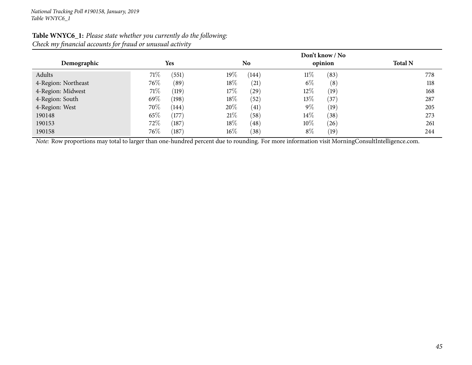|                     |                         | Don't know / No |                |                |  |  |  |  |  |
|---------------------|-------------------------|-----------------|----------------|----------------|--|--|--|--|--|
| Demographic         | <b>Yes</b>              | No              | opinion        | <b>Total N</b> |  |  |  |  |  |
| Adults              | 71\%<br>(551)           | 19%<br>(144)    | $11\%$<br>(83) | 778            |  |  |  |  |  |
| 4-Region: Northeast | 76\%<br>(89)            | 18%<br>(21)     | $6\%$<br>(8)   | 118            |  |  |  |  |  |
| 4-Region: Midwest   | 71\%<br>(119)           | 17\%<br>(29)    | $12\%$<br>(19) | 168            |  |  |  |  |  |
| 4-Region: South     | 69%<br>(198)            | 18%<br>(52)     | $13\%$<br>(37) | 287            |  |  |  |  |  |
| 4-Region: West      | 70%<br>(144)            | 20%<br>(41)     | $9\%$<br>(19)  | 205            |  |  |  |  |  |
| 190148              | 65\%<br>(177)           | 21%<br>(58)     | $14\%$<br>(38) | 273            |  |  |  |  |  |
| 190153              | 72\%<br>(187)           | $18\%$<br>(48)  | $10\%$<br>(26) | 261            |  |  |  |  |  |
| 190158              | 76\%<br>$^{\prime}187)$ | $16\%$<br>(38)  | $8\%$<br>(19)  | 244            |  |  |  |  |  |

#### **Table WNYC6\_1:** *Please state whether you currently do the following: Check my financial accounts for fraud or unusual activity*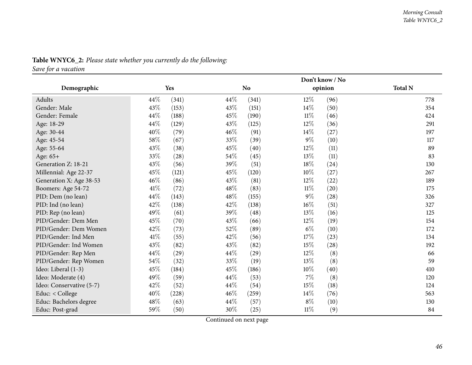|                          |        |            | Don't know / No |                |        |         |                |  |  |
|--------------------------|--------|------------|-----------------|----------------|--------|---------|----------------|--|--|
| Demographic              |        | <b>Yes</b> |                 | N <sub>o</sub> |        | opinion | <b>Total N</b> |  |  |
| Adults                   | 44\%   | (341)      | 44\%            | (341)          | $12\%$ | (96)    | 778            |  |  |
| Gender: Male             | 43%    | (153)      | 43%             | (151)          | 14\%   | (50)    | 354            |  |  |
| Gender: Female           | 44%    | (188)      | 45%             | (190)          | $11\%$ | (46)    | 424            |  |  |
| Age: 18-29               | 44%    | (129)      | 43%             | (125)          | $12\%$ | (36)    | 291            |  |  |
| Age: 30-44               | 40%    | (79)       | 46%             | (91)           | $14\%$ | (27)    | 197            |  |  |
| Age: 45-54               | 58\%   | (67)       | 33%             | (39)           | $9\%$  | (10)    | 117            |  |  |
| Age: 55-64               | 43%    | (38)       | 45%             | (40)           | 12%    | (11)    | 89             |  |  |
| Age: 65+                 | 33%    | (28)       | 54%             | (45)           | 13\%   | (11)    | 83             |  |  |
| Generation Z: 18-21      | 43%    | (56)       | 39%             | (51)           | 18%    | (24)    | 130            |  |  |
| Millennial: Age 22-37    | 45%    | (121)      | 45%             | (120)          | 10%    | (27)    | 267            |  |  |
| Generation X: Age 38-53  | 46%    | (86)       | 43%             | (81)           | 12%    | (22)    | 189            |  |  |
| Boomers: Age 54-72       | 41\%   | (72)       | 48%             | (83)           | $11\%$ | (20)    | 175            |  |  |
| PID: Dem (no lean)       | 44%    | (143)      | 48%             | (155)          | $9\%$  | (28)    | 326            |  |  |
| PID: Ind (no lean)       | 42%    | (138)      | 42%             | (138)          | $16\%$ | (51)    | 327            |  |  |
| PID: Rep (no lean)       | 49%    | (61)       | 39%             | (48)           | 13\%   | (16)    | 125            |  |  |
| PID/Gender: Dem Men      | 45%    | (70)       | 43%             | (66)           | $12\%$ | (19)    | 154            |  |  |
| PID/Gender: Dem Women    | 42%    | (73)       | 52%             | (89)           | $6\%$  | (10)    | 172            |  |  |
| PID/Gender: Ind Men      | $41\%$ | (55)       | 42%             | (56)           | 17%    | (23)    | 134            |  |  |
| PID/Gender: Ind Women    | 43%    | (82)       | 43%             | (82)           | 15%    | (28)    | 192            |  |  |
| PID/Gender: Rep Men      | 44%    | (29)       | 44%             | (29)           | $12\%$ | (8)     | 66             |  |  |
| PID/Gender: Rep Women    | 54%    | (32)       | 33%             | (19)           | 13%    | (8)     | 59             |  |  |
| Ideo: Liberal (1-3)      | 45%    | (184)      | 45%             | (186)          | $10\%$ | (40)    | 410            |  |  |
| Ideo: Moderate (4)       | 49%    | (59)       | 44%             | (53)           | $7\%$  | (8)     | 120            |  |  |
| Ideo: Conservative (5-7) | 42%    | (52)       | 44%             | (54)           | 15%    | (18)    | 124            |  |  |
| Educ: < College          | 40%    | (228)      | 46%             | (259)          | 14%    | (76)    | 563            |  |  |
| Educ: Bachelors degree   | 48%    | (63)       | 44\%            | (57)           | $8\%$  | (10)    | 130            |  |  |
| Educ: Post-grad          | 59%    | (50)       | 30%             | (25)           | $11\%$ | (9)     | 84             |  |  |

## **Table WNYC6\_2:** *Please state whether you currently do the following:*

*Save for <sup>a</sup> vacation*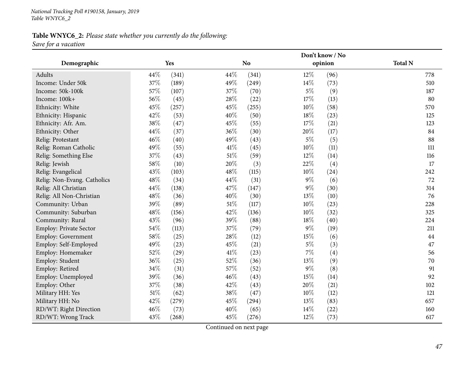#### **Table WNYC6\_2:** *Please state whether you currently do the following: Save for <sup>a</sup> vacation*

**Demographic Yes NoDon't know / Noopinion Total <sup>N</sup>**Adultss  $44\%$   $(341)$  $(341)$   $12\%$   $(96)$   $778$ 510 Income: Under 50kk  $37\%$  (189)  $49\%$  (249)  $14\%$  (73)  $510$ Income: 50k-100kk 57% (107) 37% (70) 5% (9) 187 Income: 100k+<br>Ethnicity: White  $+$  56% (45) 28% (22) 17% (13) 80 Ethnicity: White  $45\%$   $(257)$   $45\%$   $(255)$   $10\%$   $(58)$   $(58)$ 125 Ethnicity: Hispanic  $42\%$   $(53)$   $40\%$   $(50)$   $18\%$   $(23)$   $125$ Ethnicity: Afr. Am.  $38\%$  (47)  $45\%$  (55)  $17\%$  (21)  $123$ Ethnicity: Other  $44\%$   $(37)$   $36\%$   $(30)$   $20\%$   $(17)$   $84$ 88 Relig: Protestant  $46\%$   $(40)$   $49\%$   $(43)$   $5\%$   $(5)$   $(5)$   $88$ Relig: Roman Catholic  $49\%$   $(55)$   $41\%$   $(45)$   $10\%$   $(11)$   $(11)$ Relig: Something Else  $37\%$   $(43)$   $51\%$   $(59)$   $12\%$   $(14)$   $(14)$ 17 Relig: Jewish<br>Relig: Evangelical h  $58\%$  (10)  $20\%$  (3)  $22\%$  (4) 17 Relig: Evangelical  $43\%$   $(103)$   $48\%$   $(115)$   $10\%$   $(24)$   $242$ Relig: Non-Evang. Catholics 48% (34) 44% (31) 9% (6) 72<br>
Relig: All Christian 44% (138) 47% (147) 9% (30) 314 Relig: All Christiann  $44\%$  (138)  $47\%$  (147)  $9\%$  (30)  $314$ Relig: All Non-Christian**n**  $48\%$  (36)  $40\%$  (30)  $13\%$  (10) 76 Community: Urbann 39% (89)  $51\%$  (117)  $10\%$  (23) 228 Community: Suburbann 48% (156)  $42\%$  (136)  $10\%$  (32)  $325$ Community: Rural  $43\%$   $(96)$   $39\%$   $(88)$   $18\%$   $(40)$   $224$ 211 Employ: Private Sector 54% (113) 37% (79) 9% (19) 211<br>
Employ: Government 58% (25) 28% (12) 5% (6) 44 Employ: Government 58% (25) 28% (12) 15% (6)<br>
Employ: Self-Employed 49% (23) 45% (21) 5% (3) 47 Employ: Self-Employedd  $49\%$  (23)  $45\%$  (21)  $5\%$  (3)  $47$ Employ: Homemaker 52% (29)  $41\%$  (23)  $7\%$  (4) 56 70 Employ: Student  $36\%$   $(25)$   $52\%$   $(36)$   $13\%$   $(9)$   $(9)$  70 91 Employ: Retiredd 34% (31)  $57\%$  (52)  $9\%$  (8) 91 Employ: Unemployedd  $39\%$   $(36)$   $46\%$   $(43)$   $15\%$   $(14)$  92 Employ: Other 37% (38) 42% (43)  $20\%$  (21)  $102$ Military HH: Yes 51<sup>%</sup> (62) 38% (47)  $10\%$  (12) 21 Military HH: No**0 42%** (279) **45%** (294) **13%** (83) **657** RD/WT: Right Directionn 46% (73)  $40\%$  (65)  $14\%$  (22)  $160$ RD/WT: Wrong Trackk 43% (268) 45% (276)  $12\%$  (73) 617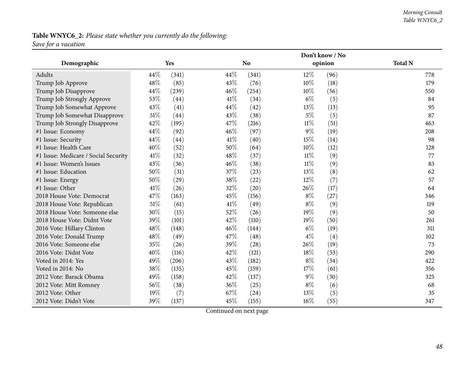#### *Morning Consult Table WNYC6\_2*

# **Table WNYC6\_2:** *Please state whether you currently do the following:*

*Save for <sup>a</sup> vacation*

|                                      |        |       |      | Don't know / No |        |         |                |  |  |  |
|--------------------------------------|--------|-------|------|-----------------|--------|---------|----------------|--|--|--|
| Demographic                          |        | Yes   |      | <b>No</b>       |        | opinion | <b>Total N</b> |  |  |  |
| Adults                               | 44%    | (341) | 44%  | (341)           | $12\%$ | (96)    | 778            |  |  |  |
| Trump Job Approve                    | 48%    | (85)  | 43%  | (76)            | $10\%$ | (18)    | 179            |  |  |  |
| Trump Job Disapprove                 | 44%    | (239) | 46%  | (254)           | $10\%$ | (56)    | 550            |  |  |  |
| Trump Job Strongly Approve           | 53%    | (44)  | 41\% | (34)            | $6\%$  | (5)     | 84             |  |  |  |
| Trump Job Somewhat Approve           | 43%    | (41)  | 44%  | (42)            | 13%    | (13)    | 95             |  |  |  |
| Trump Job Somewhat Disapprove        | 51%    | (44)  | 43%  | (38)            | $5\%$  | (5)     | 87             |  |  |  |
| Trump Job Strongly Disapprove        | 42%    | (195) | 47%  | (216)           | $11\%$ | (51)    | 463            |  |  |  |
| #1 Issue: Economy                    | 44%    | (92)  | 46%  | (97)            | $9\%$  | (19)    | 208            |  |  |  |
| #1 Issue: Security                   | 44%    | (44)  | 41\% | (40)            | 15%    | (14)    | 98             |  |  |  |
| #1 Issue: Health Care                | 40%    | (52)  | 50%  | (64)            | 10%    | (12)    | 128            |  |  |  |
| #1 Issue: Medicare / Social Security | 41\%   | (32)  | 48%  | (37)            | $11\%$ | (9)     | 77             |  |  |  |
| #1 Issue: Women's Issues             | 43%    | (36)  | 46%  | (38)            | $11\%$ | (9)     | 83             |  |  |  |
| #1 Issue: Education                  | 50%    | (31)  | 37%  | (23)            | 13%    | (8)     | 62             |  |  |  |
| #1 Issue: Energy                     | 50%    | (29)  | 38%  | (22)            | $12\%$ | (7)     | 57             |  |  |  |
| #1 Issue: Other                      | 41\%   | (26)  | 32%  | (20)            | 26%    | (17)    | 64             |  |  |  |
| 2018 House Vote: Democrat            | 47%    | (163) | 45%  | (156)           | $8\%$  | (27)    | 346            |  |  |  |
| 2018 House Vote: Republican          | $51\%$ | (61)  | 41\% | (49)            | $8\%$  | (9)     | 119            |  |  |  |
| 2018 House Vote: Someone else        | 30%    | (15)  | 52%  | (26)            | $19\%$ | (9)     | 50             |  |  |  |
| 2018 House Vote: Didnt Vote          | 39%    | (101) | 42%  | (110)           | 19%    | (50)    | 261            |  |  |  |
| 2016 Vote: Hillary Clinton           | 48%    | (148) | 46%  | (144)           | $6\%$  | (19)    | 311            |  |  |  |
| 2016 Vote: Donald Trump              | 48%    | (49)  | 47%  | (48)            | $4\%$  | (4)     | 102            |  |  |  |
| 2016 Vote: Someone else              | 35%    | (26)  | 39%  | (28)            | 26%    | (19)    | 73             |  |  |  |
| 2016 Vote: Didnt Vote                | 40%    | (116) | 42%  | (121)           | 18%    | (53)    | 290            |  |  |  |
| Voted in 2014: Yes                   | 49%    | (206) | 43%  | (182)           | $8\%$  | (34)    | 422            |  |  |  |
| Voted in 2014: No                    | 38%    | (135) | 45%  | (159)           | 17%    | (61)    | 356            |  |  |  |
| 2012 Vote: Barack Obama              | 49%    | (158) | 42%  | (137)           | $9\%$  | (30)    | 325            |  |  |  |
| 2012 Vote: Mitt Romney               | 56%    | (38)  | 36%  | (25)            | $8\%$  | (6)     | 68             |  |  |  |
| 2012 Vote: Other                     | 19%    | (7)   | 67%  | (24)            | 13%    | (5)     | 35             |  |  |  |
| 2012 Vote: Didn't Vote               | 39%    | (137) | 45%  | (155)           | 16%    | (55)    | 347            |  |  |  |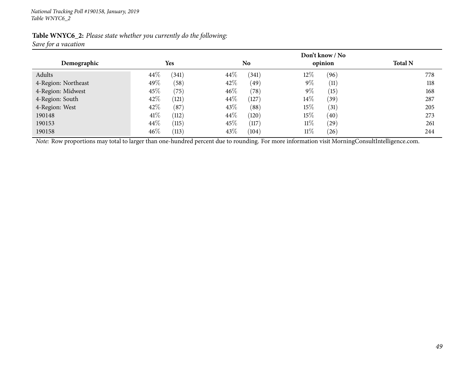| Table WNYC6_2: Please state whether you currently do the following: |  |  |
|---------------------------------------------------------------------|--|--|
| Save for a vacation                                                 |  |  |

|                     |                 | Don't know / No |                |                |
|---------------------|-----------------|-----------------|----------------|----------------|
| Demographic         | Yes             | No              | opinion        | <b>Total N</b> |
| Adults              | $44\%$<br>(341) | 44\%<br>(341)   | $12\%$<br>(96) | 778            |
| 4-Region: Northeast | 49%<br>(58)     | 42\%<br>(49)    | $9\%$<br>(11)  | 118            |
| 4-Region: Midwest   | 45\%<br>(75)    | $46\%$<br>(78)  | $9\%$<br>(15)  | 168            |
| 4-Region: South     | 42\%<br>(121)   | $44\%$<br>(127) | $14\%$<br>(39) | 287            |
| 4-Region: West      | 42\%<br>(87)    | 43\%<br>(88)    | $15\%$<br>(31) | 205            |
| 190148              | 41\%<br>(112)   | 44\%<br>(120)   | $15\%$<br>(40) | 273            |
| 190153              | 44\%<br>(115)   | $45\%$<br>(117) | $11\%$<br>(29) | 261            |
| 190158              | $46\%$<br>(113) | 43%<br>(104)    | $11\%$<br>(26) | 244            |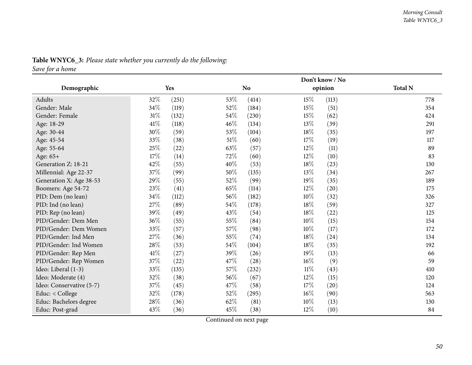|                          |        |       |        | Don't know / No |        |         |                |  |  |
|--------------------------|--------|-------|--------|-----------------|--------|---------|----------------|--|--|
| Demographic              |        | Yes   |        | <b>No</b>       |        | opinion | <b>Total N</b> |  |  |
| Adults                   | 32%    | (251) | $53\%$ | (414)           | 15%    | (113)   | 778            |  |  |
| Gender: Male             | 34%    | (119) | 52%    | (184)           | 15%    | (51)    | 354            |  |  |
| Gender: Female           | $31\%$ | (132) | 54\%   | (230)           | 15%    | (62)    | 424            |  |  |
| Age: 18-29               | $41\%$ | (118) | 46%    | (134)           | 13%    | (39)    | 291            |  |  |
| Age: 30-44               | 30%    | (59)  | 53\%   | (104)           | $18\%$ | (35)    | 197            |  |  |
| Age: 45-54               | 33%    | (38)  | $51\%$ | (60)            | 17%    | (19)    | 117            |  |  |
| Age: 55-64               | 25%    | (22)  | 63%    | (57)            | 12%    | (11)    | 89             |  |  |
| Age: 65+                 | 17%    | (14)  | 72%    | (60)            | 12%    | (10)    | 83             |  |  |
| Generation Z: 18-21      | $42\%$ | (55)  | 40%    | (53)            | 18%    | (23)    | 130            |  |  |
| Millennial: Age 22-37    | 37\%   | (99)  | 50%    | (135)           | 13%    | (34)    | 267            |  |  |
| Generation X: Age 38-53  | 29%    | (55)  | 52%    | (99)            | $19\%$ | (35)    | 189            |  |  |
| Boomers: Age 54-72       | 23%    | (41)  | 65%    | (114)           | $12\%$ | (20)    | 175            |  |  |
| PID: Dem (no lean)       | 34%    | (112) | 56%    | (182)           | 10%    | (32)    | 326            |  |  |
| PID: Ind (no lean)       | $27\%$ | (89)  | 54%    | (178)           | 18%    | (59)    | 327            |  |  |
| PID: Rep (no lean)       | 39%    | (49)  | 43%    | (54)            | 18%    | (22)    | 125            |  |  |
| PID/Gender: Dem Men      | 36\%   | (55)  | 55%    | (84)            | 10%    | (15)    | 154            |  |  |
| PID/Gender: Dem Women    | 33%    | (57)  | 57%    | (98)            | $10\%$ | (17)    | 172            |  |  |
| PID/Gender: Ind Men      | 27%    | (36)  | 55%    | (74)            | 18\%   | (24)    | 134            |  |  |
| PID/Gender: Ind Women    | 28%    | (53)  | 54%    | (104)           | 18\%   | (35)    | 192            |  |  |
| PID/Gender: Rep Men      | $41\%$ | (27)  | 39%    | (26)            | 19%    | (13)    | 66             |  |  |
| PID/Gender: Rep Women    | 37%    | (22)  | 47%    | (28)            | $16\%$ | (9)     | 59             |  |  |
| Ideo: Liberal (1-3)      | 33%    | (135) | 57%    | (232)           | $11\%$ | (43)    | 410            |  |  |
| Ideo: Moderate (4)       | 32%    | (38)  | 56%    | (67)            | $12\%$ | (15)    | 120            |  |  |
| Ideo: Conservative (5-7) | 37%    | (45)  | 47\%   | (58)            | 17%    | (20)    | 124            |  |  |
| Educ: < College          | 32%    | (178) | 52%    | (295)           | $16\%$ | (90)    | 563            |  |  |
| Educ: Bachelors degree   | 28%    | (36)  | 62%    | (81)            | $10\%$ | (13)    | 130            |  |  |
| Educ: Post-grad          | 43%    | (36)  | 45%    | (38)            | 12%    | (10)    | 84             |  |  |

## **Table WNYC6\_3:** *Please state whether you currently do the following:*

*Save for <sup>a</sup> home*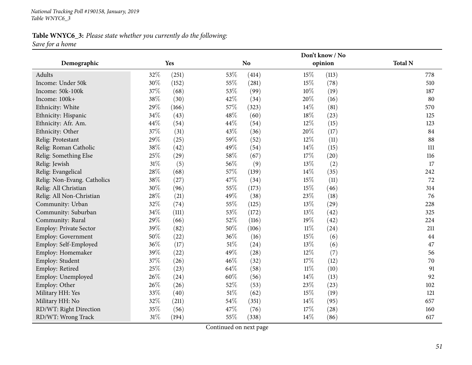*National Tracking Poll #190158, January, <sup>2019</sup> Table WNYC6\_3*

## **Table WNYC6\_3:** *Please state whether you currently do the following: Save for <sup>a</sup> home*

|                               |     |       |        | Don't know / No |        |         |                |  |  |
|-------------------------------|-----|-------|--------|-----------------|--------|---------|----------------|--|--|
| Demographic                   |     | Yes   |        | <b>No</b>       |        | opinion | <b>Total N</b> |  |  |
| Adults                        | 32% | (251) | 53%    | (414)           | 15%    | (113)   | 778            |  |  |
| Income: Under 50k             | 30% | (152) | 55%    | (281)           | 15%    | (78)    | 510            |  |  |
| Income: 50k-100k              | 37% | (68)  | 53%    | (99)            | 10%    | (19)    | 187            |  |  |
| Income: 100k+                 | 38% | (30)  | 42%    | (34)            | 20%    | (16)    | 80             |  |  |
| Ethnicity: White              | 29% | (166) | $57\%$ | (323)           | 14%    | (81)    | 570            |  |  |
| Ethnicity: Hispanic           | 34% | (43)  | 48\%   | (60)            | 18%    | (23)    | 125            |  |  |
| Ethnicity: Afr. Am.           | 44% | (54)  | 44\%   | (54)            | 12%    | (15)    | 123            |  |  |
| Ethnicity: Other              | 37% | (31)  | 43%    | (36)            | 20%    | (17)    | 84             |  |  |
| Relig: Protestant             | 29% | (25)  | 59%    | (52)            | 12%    | (11)    | 88             |  |  |
| Relig: Roman Catholic         | 38% | (42)  | 49%    | (54)            | 14%    | (15)    | 111            |  |  |
| Relig: Something Else         | 25% | (29)  | 58%    | (67)            | 17%    | (20)    | 116            |  |  |
| Relig: Jewish                 | 31% | (5)   | 56%    | (9)             | $13\%$ | (2)     | 17             |  |  |
| Relig: Evangelical            | 28% | (68)  | 57%    | (139)           | 14%    | (35)    | 242            |  |  |
| Relig: Non-Evang. Catholics   | 38% | (27)  | 47%    | (34)            | 15%    | (11)    | 72             |  |  |
| Relig: All Christian          | 30% | (96)  | 55%    | (173)           | 15%    | (46)    | 314            |  |  |
| Relig: All Non-Christian      | 28% | (21)  | 49%    | (38)            | 23%    | (18)    | 76             |  |  |
| Community: Urban              | 32% | (74)  | 55%    | (125)           | 13%    | (29)    | 228            |  |  |
| Community: Suburban           | 34% | (111) | 53%    | (172)           | 13%    | (42)    | 325            |  |  |
| Community: Rural              | 29% | (66)  | 52%    | (116)           | 19%    | (42)    | 224            |  |  |
| <b>Employ: Private Sector</b> | 39% | (82)  | 50%    | (106)           | $11\%$ | (24)    | 211            |  |  |
| Employ: Government            | 50% | (22)  | 36%    | (16)            | 15%    | (6)     | 44             |  |  |
| Employ: Self-Employed         | 36% | (17)  | $51\%$ | (24)            | 13%    | (6)     | 47             |  |  |
| Employ: Homemaker             | 39% | (22)  | 49%    | (28)            | $12\%$ | (7)     | 56             |  |  |
| Employ: Student               | 37% | (26)  | 46%    | (32)            | 17%    | (12)    | 70             |  |  |
| Employ: Retired               | 25% | (23)  | 64%    | (58)            | $11\%$ | (10)    | 91             |  |  |
| Employ: Unemployed            | 26% | (24)  | 60%    | (56)            | 14%    | (13)    | 92             |  |  |
| Employ: Other                 | 26% | (26)  | 52%    | (53)            | 23%    | (23)    | 102            |  |  |
| Military HH: Yes              | 33% | (40)  | $51\%$ | (62)            | 15%    | (19)    | 121            |  |  |
| Military HH: No               | 32% | (211) | 54%    | (351)           | 14%    | (95)    | 657            |  |  |
| RD/WT: Right Direction        | 35% | (56)  | 47%    | (76)            | 17%    | (28)    | 160            |  |  |
| RD/WT: Wrong Track            | 31% | (194) | 55%    | (338)           | 14%    | (86)    | 617            |  |  |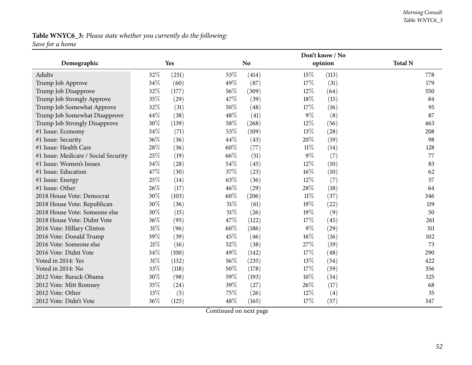#### *Morning Consult Table WNYC6\_3*

## **Table WNYC6\_3:** *Please state whether you currently do the following: Save for <sup>a</sup> home*

|                                      |     |            |        | Don't know / No |        |         |                |  |  |
|--------------------------------------|-----|------------|--------|-----------------|--------|---------|----------------|--|--|
| Demographic                          |     | <b>Yes</b> |        | <b>No</b>       |        | opinion | <b>Total N</b> |  |  |
| Adults                               | 32% | (251)      | 53%    | (414)           | 15%    | (113)   | 778            |  |  |
| Trump Job Approve                    | 34% | (60)       | 49%    | (87)            | 17%    | (31)    | 179            |  |  |
| Trump Job Disapprove                 | 32% | (177)      | 56%    | (309)           | $12\%$ | (64)    | 550            |  |  |
| Trump Job Strongly Approve           | 35% | (29)       | 47%    | (39)            | 18%    | (15)    | 84             |  |  |
| Trump Job Somewhat Approve           | 32% | (31)       | 50%    | (48)            | 17%    | (16)    | 95             |  |  |
| Trump Job Somewhat Disapprove        | 44% | (38)       | 48%    | (41)            | $9\%$  | (8)     | 87             |  |  |
| Trump Job Strongly Disapprove        | 30% | (139)      | 58\%   | (268)           | $12\%$ | (56)    | 463            |  |  |
| #1 Issue: Economy                    | 34% | (71)       | 53%    | (109)           | $13\%$ | (28)    | 208            |  |  |
| #1 Issue: Security                   | 36% | (36)       | 44%    | (43)            | 20%    | (19)    | 98             |  |  |
| #1 Issue: Health Care                | 28% | (36)       | 60%    | (77)            | $11\%$ | (14)    | 128            |  |  |
| #1 Issue: Medicare / Social Security | 25% | (19)       | 66%    | (51)            | $9\%$  | (7)     | 77             |  |  |
| #1 Issue: Women's Issues             | 34% | (28)       | 54%    | (45)            | 12%    | (10)    | 83             |  |  |
| #1 Issue: Education                  | 47% | (30)       | 37%    | (23)            | 16%    | (10)    | 62             |  |  |
| #1 Issue: Energy                     | 25% | (14)       | 63%    | (36)            | 12%    | (7)     | 57             |  |  |
| #1 Issue: Other                      | 26% | (17)       | 46%    | (29)            | 28%    | (18)    | 64             |  |  |
| 2018 House Vote: Democrat            | 30% | (103)      | 60%    | (206)           | $11\%$ | (37)    | 346            |  |  |
| 2018 House Vote: Republican          | 30% | (36)       | $51\%$ | (61)            | 19%    | (22)    | 119            |  |  |
| 2018 House Vote: Someone else        | 30% | (15)       | 51%    | (26)            | $19\%$ | (9)     | 50             |  |  |
| 2018 House Vote: Didnt Vote          | 36% | (95)       | 47%    | (122)           | 17%    | (45)    | 261            |  |  |
| 2016 Vote: Hillary Clinton           | 31% | (96)       | 60%    | (186)           | $9\%$  | (29)    | 311            |  |  |
| 2016 Vote: Donald Trump              | 39% | (39)       | 45%    | (46)            | $16\%$ | (16)    | 102            |  |  |
| 2016 Vote: Someone else              | 21% | (16)       | 52%    | (38)            | 27%    | (19)    | 73             |  |  |
| 2016 Vote: Didnt Vote                | 34% | (100)      | 49%    | (142)           | 17%    | (48)    | 290            |  |  |
| Voted in 2014: Yes                   | 31% | (132)      | 56%    | (235)           | 13\%   | (54)    | 422            |  |  |
| Voted in 2014: No                    | 33% | (118)      | 50%    | (178)           | 17%    | (59)    | 356            |  |  |
| 2012 Vote: Barack Obama              | 30% | (98)       | 59%    | (193)           | 10%    | (34)    | 325            |  |  |
| 2012 Vote: Mitt Romney               | 35% | (24)       | 39%    | (27)            | 26\%   | (17)    | 68             |  |  |
| 2012 Vote: Other                     | 13% | (5)        | 75%    | (26)            | 12%    | (4)     | 35             |  |  |
| 2012 Vote: Didn't Vote               | 36% | (125)      | 48%    | (165)           | 17%    | (57)    | 347            |  |  |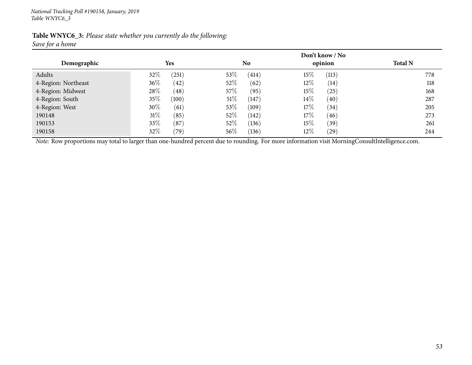| Table WNYC6_3: Please state whether you currently do the following: |  |  |
|---------------------------------------------------------------------|--|--|
| Save for a home                                                     |  |  |

|                     |                 |      | Don't know / No |        |         |                |
|---------------------|-----------------|------|-----------------|--------|---------|----------------|
| Demographic         | <b>Yes</b>      |      | N <sub>o</sub>  |        | opinion | <b>Total N</b> |
| Adults              | $32\%$<br>(251) | 53\% | (414)           | 15%    | (113)   | 778            |
| 4-Region: Northeast | $36\%$<br>(42)  | 52%  | (62)            | 12\%   | (14)    | 118            |
| 4-Region: Midwest   | 28\%<br>(48)    | 57\% | (95)            | 15%    | (25)    | 168            |
| 4-Region: South     | 35\%<br>(100)   | 51%  | (147)           | $14\%$ | (40)    | 287            |
| 4-Region: West      | 30\%<br>(61)    | 53\% | (109)           | 17%    | (34)    | 205            |
| 190148              | $31\%$<br>(85)  | 52%  | (142)           | 17%    | (46)    | 273            |
| 190153              | 33\%<br>(87)    | 52%  | (136)           | 15\%   | (39)    | 261            |
| 190158              | 32%<br>(79)     | 56\% | (136)           | $12\%$ | (29)    | 244            |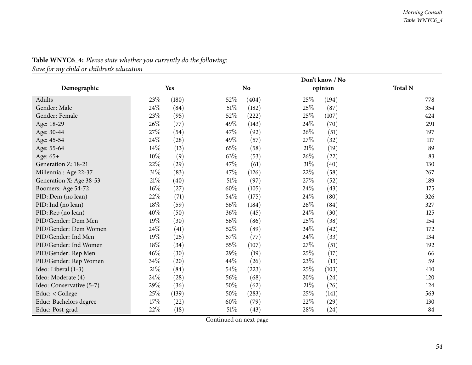|                          |        |       |        | Don't know / No |        |         |                |  |
|--------------------------|--------|-------|--------|-----------------|--------|---------|----------------|--|
| Demographic              |        | Yes   |        | <b>No</b>       |        | opinion | <b>Total N</b> |  |
| Adults                   | 23\%   | (180) | 52%    | (404)           | 25%    | (194)   | 778            |  |
| Gender: Male             | 24\%   | (84)  | 51%    | (182)           | 25%    | (87)    | 354            |  |
| Gender: Female           | 23%    | (95)  | 52\%   | (222)           | 25%    | (107)   | 424            |  |
| Age: 18-29               | 26%    | (77)  | 49%    | (143)           | 24\%   | (70)    | 291            |  |
| Age: 30-44               | 27\%   | (54)  | 47%    | (92)            | 26%    | (51)    | 197            |  |
| Age: 45-54               | 24\%   | (28)  | 49%    | (57)            | 27%    | (32)    | 117            |  |
| Age: 55-64               | 14%    | (13)  | 65%    | (58)            | $21\%$ | (19)    | 89             |  |
| Age: 65+                 | 10%    | (9)   | 63%    | (53)            | 26%    | (22)    | 83             |  |
| Generation Z: 18-21      | 22\%   | (29)  | 47%    | (61)            | 31%    | (40)    | 130            |  |
| Millennial: Age 22-37    | $31\%$ | (83)  | 47\%   | (126)           | 22%    | (58)    | 267            |  |
| Generation X: Age 38-53  | $21\%$ | (40)  | $51\%$ | (97)            | 27%    | (52)    | 189            |  |
| Boomers: Age 54-72       | 16%    | (27)  | 60%    | (105)           | 24\%   | (43)    | 175            |  |
| PID: Dem (no lean)       | 22\%   | (71)  | 54\%   | (175)           | 24%    | (80)    | 326            |  |
| PID: Ind (no lean)       | 18%    | (59)  | 56\%   | (184)           | 26%    | (84)    | 327            |  |
| PID: Rep (no lean)       | 40%    | (50)  | 36%    | (45)            | 24%    | (30)    | 125            |  |
| PID/Gender: Dem Men      | 19%    | (30)  | 56%    | (86)            | 25%    | (38)    | 154            |  |
| PID/Gender: Dem Women    | 24%    | (41)  | 52%    | (89)            | 24%    | (42)    | 172            |  |
| PID/Gender: Ind Men      | 19%    | (25)  | 57%    | (77)            | 24\%   | (33)    | 134            |  |
| PID/Gender: Ind Women    | 18%    | (34)  | $55\%$ | (107)           | 27%    | (51)    | 192            |  |
| PID/Gender: Rep Men      | 46%    | (30)  | 29%    | (19)            | 25%    | (17)    | 66             |  |
| PID/Gender: Rep Women    | 34%    | (20)  | 44%    | (26)            | 23%    | (13)    | 59             |  |
| Ideo: Liberal (1-3)      | $21\%$ | (84)  | 54\%   | (223)           | 25%    | (103)   | 410            |  |
| Ideo: Moderate (4)       | 24%    | (28)  | 56%    | (68)            | 20%    | (24)    | 120            |  |
| Ideo: Conservative (5-7) | 29%    | (36)  | 50%    | (62)            | 21%    | (26)    | 124            |  |
| Educ: < College          | 25%    | (139) | 50%    | (283)           | 25%    | (141)   | 563            |  |
| Educ: Bachelors degree   | 17%    | (22)  | 60%    | (79)            | 22%    | (29)    | 130            |  |
| Educ: Post-grad          | 22%    | (18)  | 51%    | (43)            | 28%    | (24)    | 84             |  |

**Table WNYC6\_4:** *Please state whether you currently do the following:*

*Save for my child or children's education*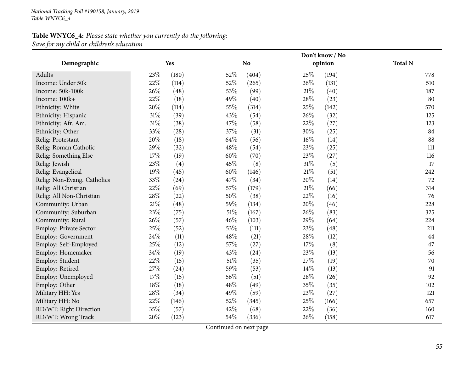## **Table WNYC6\_4:** *Please state whether you currently do the following: Save for my child or children's education*

|                               |        |       |        | Don't know / No |        |         |                |  |  |
|-------------------------------|--------|-------|--------|-----------------|--------|---------|----------------|--|--|
| Demographic                   |        | Yes   |        | N <sub>o</sub>  |        | opinion | <b>Total N</b> |  |  |
| Adults                        | 23%    | (180) | 52%    | (404)           | 25%    | (194)   | 778            |  |  |
| Income: Under 50k             | 22%    | (114) | 52%    | (265)           | 26%    | (131)   | 510            |  |  |
| Income: 50k-100k              | 26%    | (48)  | 53%    | (99)            | 21%    | (40)    | 187            |  |  |
| Income: 100k+                 | 22%    | (18)  | 49%    | (40)            | 28%    | (23)    | 80             |  |  |
| Ethnicity: White              | 20%    | (114) | 55%    | (314)           | 25%    | (142)   | 570            |  |  |
| Ethnicity: Hispanic           | 31%    | (39)  | 43%    | (54)            | 26%    | (32)    | 125            |  |  |
| Ethnicity: Afr. Am.           | 31%    | (38)  | 47%    | (58)            | 22%    | (27)    | 123            |  |  |
| Ethnicity: Other              | 33%    | (28)  | 37%    | (31)            | 30%    | (25)    | 84             |  |  |
| Relig: Protestant             | 20%    | (18)  | 64%    | (56)            | $16\%$ | (14)    | 88             |  |  |
| Relig: Roman Catholic         | 29%    | (32)  | 48%    | (54)            | 23%    | (25)    | 111            |  |  |
| Relig: Something Else         | 17%    | (19)  | 60%    | (70)            | 23%    | (27)    | 116            |  |  |
| Relig: Jewish                 | 23%    | (4)   | 45%    | (8)             | $31\%$ | (5)     | 17             |  |  |
| Relig: Evangelical            | 19%    | (45)  | 60%    | (146)           | $21\%$ | (51)    | 242            |  |  |
| Relig: Non-Evang. Catholics   | 33%    | (24)  | 47%    | (34)            | 20%    | (14)    | 72             |  |  |
| Relig: All Christian          | 22%    | (69)  | 57%    | (179)           | $21\%$ | (66)    | 314            |  |  |
| Relig: All Non-Christian      | 28%    | (22)  | 50%    | (38)            | 22%    | (16)    | 76             |  |  |
| Community: Urban              | $21\%$ | (48)  | 59%    | (134)           | 20%    | (46)    | 228            |  |  |
| Community: Suburban           | 23%    | (75)  | $51\%$ | (167)           | 26%    | (83)    | 325            |  |  |
| Community: Rural              | 26%    | (57)  | 46%    | (103)           | 29%    | (64)    | 224            |  |  |
| <b>Employ: Private Sector</b> | 25%    | (52)  | 53%    | (111)           | 23%    | (48)    | 211            |  |  |
| <b>Employ: Government</b>     | 24%    | (11)  | 48%    | (21)            | 28%    | (12)    | 44             |  |  |
| Employ: Self-Employed         | 25%    | (12)  | 57%    | (27)            | 17%    | (8)     | 47             |  |  |
| Employ: Homemaker             | 34%    | (19)  | 43%    | (24)            | 23%    | (13)    | 56             |  |  |
| Employ: Student               | 22%    | (15)  | $51\%$ | (35)            | 27%    | (19)    | 70             |  |  |
| Employ: Retired               | 27%    | (24)  | 59%    | (53)            | 14%    | (13)    | 91             |  |  |
| Employ: Unemployed            | 17%    | (15)  | 56%    | (51)            | 28\%   | (26)    | 92             |  |  |
| Employ: Other                 | $18\%$ | (18)  | 48%    | (49)            | 35%    | (35)    | 102            |  |  |
| Military HH: Yes              | 28%    | (34)  | 49%    | (59)            | 23%    | (27)    | 121            |  |  |
| Military HH: No               | 22%    | (146) | 52%    | (345)           | 25%    | (166)   | 657            |  |  |
| RD/WT: Right Direction        | 35%    | (57)  | 42%    | (68)            | 22%    | (36)    | 160            |  |  |
| RD/WT: Wrong Track            | 20%    | (123) | 54%    | (336)           | 26%    | (158)   | 617            |  |  |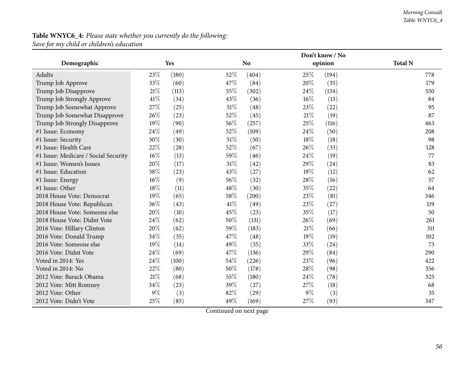## **Table WNYC6\_4:** *Please state whether you currently do the following: Save for my child or children's education*

|                                      |       |            |        | Don't know / No |        |         |                |  |  |
|--------------------------------------|-------|------------|--------|-----------------|--------|---------|----------------|--|--|
| Demographic                          |       | <b>Yes</b> |        | <b>No</b>       |        | opinion | <b>Total N</b> |  |  |
| Adults                               | 23\%  | (180)      | 52\%   | (404)           | 25%    | (194)   | 778            |  |  |
| Trump Job Approve                    | 33%   | (60)       | 47%    | (84)            | 20%    | (35)    | 179            |  |  |
| Trump Job Disapprove                 | 21%   | (113)      | 55%    | (302)           | 24\%   | (134)   | 550            |  |  |
| Trump Job Strongly Approve           | 41%   | (34)       | 43%    | (36)            | $16\%$ | (13)    | 84             |  |  |
| Trump Job Somewhat Approve           | 27%   | (25)       | $51\%$ | (48)            | 23%    | (22)    | 95             |  |  |
| Trump Job Somewhat Disapprove        | 26%   | (23)       | 52%    | (45)            | 21%    | (19)    | 87             |  |  |
| Trump Job Strongly Disapprove        | 19%   | (90)       | 56%    | (257)           | 25%    | (116)   | 463            |  |  |
| #1 Issue: Economy                    | 24%   | (49)       | 52%    | (109)           | 24\%   | (50)    | 208            |  |  |
| #1 Issue: Security                   | 30%   | (30)       | 51%    | (50)            | 18%    | (18)    | 98             |  |  |
| #1 Issue: Health Care                | 22%   | (28)       | 52%    | (67)            | 26%    | (33)    | 128            |  |  |
| #1 Issue: Medicare / Social Security | 16%   | (13)       | 59%    | (46)            | 24%    | (19)    | 77             |  |  |
| #1 Issue: Women's Issues             | 20%   | (17)       | 51%    | (42)            | 29%    | (24)    | 83             |  |  |
| #1 Issue: Education                  | 38%   | (23)       | 43%    | (27)            | 19%    | (12)    | 62             |  |  |
| #1 Issue: Energy                     | 16%   | (9)        | 56%    | (32)            | 28%    | (16)    | 57             |  |  |
| #1 Issue: Other                      | 18%   | (11)       | 48%    | (30)            | 35%    | (22)    | 64             |  |  |
| 2018 House Vote: Democrat            | 19%   | (65)       | 58%    | (200)           | 23%    | (81)    | 346            |  |  |
| 2018 House Vote: Republican          | 36%   | (43)       | 41\%   | (49)            | 23%    | (27)    | 119            |  |  |
| 2018 House Vote: Someone else        | 20%   | (10)       | 45%    | (23)            | 35%    | (17)    | 50             |  |  |
| 2018 House Vote: Didnt Vote          | 24%   | (62)       | 50%    | (131)           | 26%    | (69)    | 261            |  |  |
| 2016 Vote: Hillary Clinton           | 20%   | (62)       | 59%    | (183)           | $21\%$ | (66)    | 311            |  |  |
| 2016 Vote: Donald Trump              | 34%   | (35)       | 47\%   | (48)            | 19%    | (19)    | 102            |  |  |
| 2016 Vote: Someone else              | 19%   | (14)       | 49%    | (35)            | 33%    | (24)    | 73             |  |  |
| 2016 Vote: Didnt Vote                | 24%   | (69)       | 47\%   | (136)           | 29%    | (84)    | 290            |  |  |
| Voted in 2014: Yes                   | 24%   | (100)      | 54\%   | (226)           | 23%    | (96)    | 422            |  |  |
| Voted in 2014: No                    | 22%   | (80)       | 50%    | (178)           | 28%    | (98)    | 356            |  |  |
| 2012 Vote: Barack Obama              | 21%   | (68)       | 55%    | (180)           | 24\%   | (78)    | 325            |  |  |
| 2012 Vote: Mitt Romney               | 34%   | (23)       | 39%    | (27)            | 27\%   | (18)    | 68             |  |  |
| 2012 Vote: Other                     | $9\%$ | (3)        | 82%    | (29)            | 9%     | (3)     | 35             |  |  |
| 2012 Vote: Didn't Vote               | 25%   | (85)       | 49%    | (169)           | 27%    | (93)    | 347            |  |  |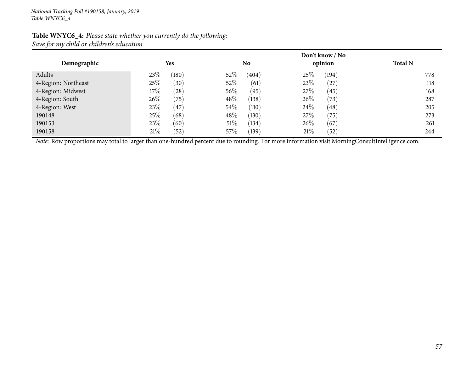|                     |                | Don't know / No |              |                |
|---------------------|----------------|-----------------|--------------|----------------|
| Demographic         | <b>Yes</b>     | N <sub>0</sub>  | opinion      | <b>Total N</b> |
| Adults              | 23\%<br>(180)  | 52\%<br>(404)   | 25%<br>(194) | 778            |
| 4-Region: Northeast | 25\%<br>(30)   | 52%<br>(61)     | 23\%<br>(27  | 118            |
| 4-Region: Midwest   | $17\%$<br>(28) | $56\%$<br>(95)  | 27\%<br>(45) | 168            |
| 4-Region: South     | 26\%<br>(75)   | $48\%$<br>(138) | 26\%<br>(73) | 287            |
| 4-Region: West      | 23\%<br>(47)   | $54\%$<br>(110) | 24\%<br>(48) | 205            |
| 190148              | 25\%<br>(68)   | 48\%<br>(130)   | 27\%<br>(75) | 273            |
| 190153              | 23\%<br>(60)   | $51\%$<br>(134) | 26\%<br>(67) | 261            |
| 190158              | 21%<br>(52)    | $57\%$<br>(139) | 21%<br>(52)  | 244            |

## **Table WNYC6\_4:** *Please state whether you currently do the following: Save for my child or children's education*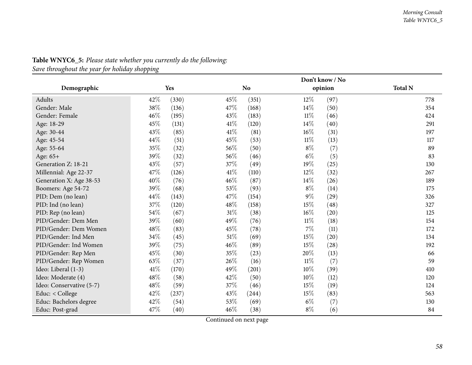|                          |      |       |        | Don't know / No |        |         |                |  |  |
|--------------------------|------|-------|--------|-----------------|--------|---------|----------------|--|--|
| Demographic              |      | Yes   |        | <b>No</b>       |        | opinion | <b>Total N</b> |  |  |
| Adults                   | 42\% | (330) | 45%    | (351)           | $12\%$ | (97)    | 778            |  |  |
| Gender: Male             | 38\% | (136) | 47%    | (168)           | 14%    | (50)    | 354            |  |  |
| Gender: Female           | 46%  | (195) | 43\%   | (183)           | $11\%$ | (46)    | 424            |  |  |
| Age: 18-29               | 45%  | (131) | 41\%   | (120)           | 14%    | (40)    | 291            |  |  |
| Age: 30-44               | 43\% | (85)  | 41\%   | (81)            | 16%    | (31)    | 197            |  |  |
| Age: 45-54               | 44%  | (51)  | 45%    | (53)            | $11\%$ | (13)    | 117            |  |  |
| Age: 55-64               | 35%  | (32)  | 56%    | (50)            | $8\%$  | (7)     | 89             |  |  |
| Age: 65+                 | 39%  | (32)  | 56%    | (46)            | $6\%$  | (5)     | 83             |  |  |
| Generation Z: 18-21      | 43%  | (57)  | 37%    | (49)            | 19%    | (25)    | 130            |  |  |
| Millennial: Age 22-37    | 47\% | (126) | $41\%$ | (110)           | 12%    | (32)    | 267            |  |  |
| Generation X: Age 38-53  | 40%  | (76)  | 46%    | (87)            | 14%    | (26)    | 189            |  |  |
| Boomers: Age 54-72       | 39%  | (68)  | 53%    | (93)            | $8\%$  | (14)    | 175            |  |  |
| PID: Dem (no lean)       | 44%  | (143) | 47\%   | (154)           | $9\%$  | (29)    | 326            |  |  |
| PID: Ind (no lean)       | 37\% | (120) | 48\%   | (158)           | 15\%   | (48)    | 327            |  |  |
| PID: Rep (no lean)       | 54%  | (67)  | $31\%$ | (38)            | 16%    | (20)    | 125            |  |  |
| PID/Gender: Dem Men      | 39%  | (60)  | 49%    | (76)            | $11\%$ | (18)    | 154            |  |  |
| PID/Gender: Dem Women    | 48%  | (83)  | 45%    | (78)            | 7%     | (11)    | 172            |  |  |
| PID/Gender: Ind Men      | 34\% | (45)  | $51\%$ | (69)            | 15%    | (20)    | 134            |  |  |
| PID/Gender: Ind Women    | 39%  | (75)  | $46\%$ | (89)            | 15%    | (28)    | 192            |  |  |
| PID/Gender: Rep Men      | 45%  | (30)  | 35%    | (23)            | 20%    | (13)    | 66             |  |  |
| PID/Gender: Rep Women    | 63\% | (37)  | $26\%$ | (16)            | $11\%$ | (7)     | 59             |  |  |
| Ideo: Liberal (1-3)      | 41\% | (170) | 49\%   | (201)           | 10%    | (39)    | 410            |  |  |
| Ideo: Moderate (4)       | 48%  | (58)  | 42%    | (50)            | 10%    | (12)    | 120            |  |  |
| Ideo: Conservative (5-7) | 48\% | (59)  | 37\%   | (46)            | 15%    | (19)    | 124            |  |  |
| Educ: < College          | 42%  | (237) | 43%    | (244)           | 15%    | (83)    | 563            |  |  |
| Educ: Bachelors degree   | 42%  | (54)  | 53%    | (69)            | $6\%$  | (7)     | 130            |  |  |
| Educ: Post-grad          | 47%  | (40)  | 46%    | (38)            | $8\%$  | (6)     | 84             |  |  |

# **Table WNYC6\_5:** *Please state whether you currently do the following:*

*Save throughout the year for holiday shopping*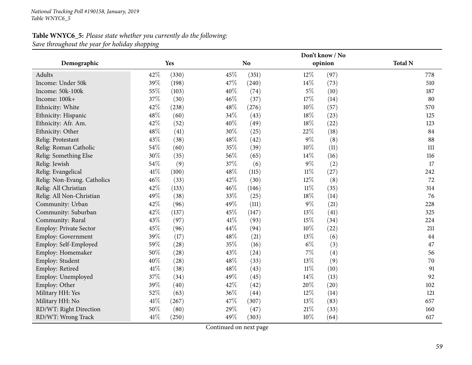## **Table WNYC6\_5:** *Please state whether you currently do the following: Save throughout the year for holiday shopping*

|                             |      |       |      | Don't know / No |        |         |                |  |  |  |  |
|-----------------------------|------|-------|------|-----------------|--------|---------|----------------|--|--|--|--|
| Demographic                 |      | Yes   |      | N <sub>o</sub>  |        | opinion | <b>Total N</b> |  |  |  |  |
| Adults                      | 42%  | (330) | 45%  | (351)           | 12%    | (97)    | 778            |  |  |  |  |
| Income: Under 50k           | 39%  | (198) | 47\% | (240)           | 14%    | (73)    | 510            |  |  |  |  |
| Income: 50k-100k            | 55%  | (103) | 40%  | (74)            | $5\%$  | (10)    | 187            |  |  |  |  |
| Income: 100k+               | 37%  | (30)  | 46%  | (37)            | 17%    | (14)    | 80             |  |  |  |  |
| Ethnicity: White            | 42%  | (238) | 48%  | (276)           | 10%    | (57)    | 570            |  |  |  |  |
| Ethnicity: Hispanic         | 48%  | (60)  | 34%  | (43)            | 18%    | (23)    | 125            |  |  |  |  |
| Ethnicity: Afr. Am.         | 42%  | (52)  | 40%  | (49)            | 18%    | (22)    | 123            |  |  |  |  |
| Ethnicity: Other            | 48%  | (41)  | 30%  | (25)            | 22%    | (18)    | 84             |  |  |  |  |
| Relig: Protestant           | 43%  | (38)  | 48%  | (42)            | $9\%$  | (8)     | 88             |  |  |  |  |
| Relig: Roman Catholic       | 54%  | (60)  | 35%  | (39)            | 10%    | (11)    | 111            |  |  |  |  |
| Relig: Something Else       | 30%  | (35)  | 56%  | (65)            | 14%    | (16)    | 116            |  |  |  |  |
| Relig: Jewish               | 54%  | (9)   | 37%  | (6)             | $9\%$  | (2)     | 17             |  |  |  |  |
| Relig: Evangelical          | 41\% | (100) | 48\% | (115)           | $11\%$ | (27)    | 242            |  |  |  |  |
| Relig: Non-Evang. Catholics | 46%  | (33)  | 42%  | (30)            | 12%    | (8)     | 72             |  |  |  |  |
| Relig: All Christian        | 42%  | (133) | 46%  | (146)           | $11\%$ | (35)    | 314            |  |  |  |  |
| Relig: All Non-Christian    | 49%  | (38)  | 33%  | (25)            | 18%    | (14)    | 76             |  |  |  |  |
| Community: Urban            | 42%  | (96)  | 49%  | (111)           | $9\%$  | (21)    | 228            |  |  |  |  |
| Community: Suburban         | 42%  | (137) | 45%  | (147)           | 13%    | (41)    | 325            |  |  |  |  |
| Community: Rural            | 43%  | (97)  | 41\% | (93)            | 15%    | (34)    | 224            |  |  |  |  |
| Employ: Private Sector      | 45%  | (96)  | 44\% | (94)            | 10%    | (22)    | 211            |  |  |  |  |
| <b>Employ: Government</b>   | 39%  | (17)  | 48\% | (21)            | 13%    | (6)     | 44             |  |  |  |  |
| Employ: Self-Employed       | 59%  | (28)  | 35%  | (16)            | $6\%$  | (3)     | 47             |  |  |  |  |
| Employ: Homemaker           | 50%  | (28)  | 43%  | (24)            | $7\%$  | (4)     | 56             |  |  |  |  |
| Employ: Student             | 40%  | (28)  | 48%  | (33)            | 13%    | (9)     | 70             |  |  |  |  |
| Employ: Retired             | 41\% | (38)  | 48%  | (43)            | $11\%$ | (10)    | 91             |  |  |  |  |
| Employ: Unemployed          | 37%  | (34)  | 49%  | (45)            | 14%    | (13)    | 92             |  |  |  |  |
| Employ: Other               | 39%  | (40)  | 42%  | (42)            | 20%    | (20)    | 102            |  |  |  |  |
| Military HH: Yes            | 52%  | (63)  | 36%  | (44)            | $12\%$ | (14)    | 121            |  |  |  |  |
| Military HH: No             | 41\% | (267) | 47%  | (307)           | 13%    | (83)    | 657            |  |  |  |  |
| RD/WT: Right Direction      | 50%  | (80)  | 29%  | (47)            | $21\%$ | (33)    | 160            |  |  |  |  |
| RD/WT: Wrong Track          | 41\% | (250) | 49%  | (303)           | 10%    | (64)    | 617            |  |  |  |  |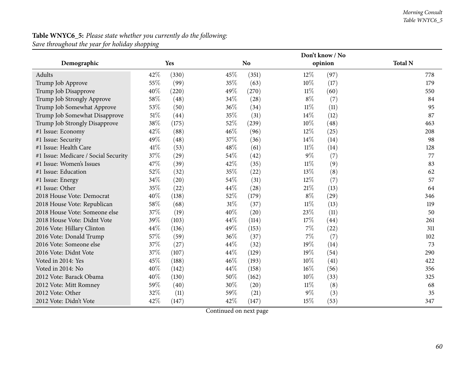#### *Morning Consult Table WNYC6\_5*

## **Table WNYC6\_5:** *Please state whether you currently do the following: Save throughout the year for holiday shopping*

|                                      |      |       | Don't know / No |           |        |         |                |  |  |  |
|--------------------------------------|------|-------|-----------------|-----------|--------|---------|----------------|--|--|--|
| Demographic                          |      | Yes   |                 | <b>No</b> |        | opinion | <b>Total N</b> |  |  |  |
| Adults                               | 42\% | (330) | 45%             | (351)     | $12\%$ | (97)    | 778            |  |  |  |
| Trump Job Approve                    | 55%  | (99)  | 35%             | (63)      | 10%    | (17)    | 179            |  |  |  |
| Trump Job Disapprove                 | 40%  | (220) | 49%             | (270)     | $11\%$ | (60)    | 550            |  |  |  |
| Trump Job Strongly Approve           | 58%  | (48)  | 34%             | (28)      | $8\%$  | (7)     | 84             |  |  |  |
| Trump Job Somewhat Approve           | 53%  | (50)  | 36%             | (34)      | $11\%$ | (11)    | 95             |  |  |  |
| Trump Job Somewhat Disapprove        | 51%  | (44)  | 35%             | (31)      | 14\%   | (12)    | 87             |  |  |  |
| Trump Job Strongly Disapprove        | 38%  | (175) | 52\%            | (239)     | 10%    | (48)    | 463            |  |  |  |
| #1 Issue: Economy                    | 42%  | (88)  | 46%             | (96)      | 12%    | (25)    | 208            |  |  |  |
| #1 Issue: Security                   | 49%  | (48)  | 37%             | (36)      | 14\%   | (14)    | 98             |  |  |  |
| #1 Issue: Health Care                | 41%  | (53)  | 48%             | (61)      | $11\%$ | (14)    | 128            |  |  |  |
| #1 Issue: Medicare / Social Security | 37%  | (29)  | 54%             | (42)      | $9\%$  | (7)     | 77             |  |  |  |
| #1 Issue: Women's Issues             | 47%  | (39)  | 42%             | (35)      | $11\%$ | (9)     | 83             |  |  |  |
| #1 Issue: Education                  | 52%  | (32)  | 35%             | (22)      | 13%    | (8)     | 62             |  |  |  |
| #1 Issue: Energy                     | 34%  | (20)  | 54%             | (31)      | $12\%$ | (7)     | 57             |  |  |  |
| #1 Issue: Other                      | 35%  | (22)  | 44%             | (28)      | $21\%$ | (13)    | 64             |  |  |  |
| 2018 House Vote: Democrat            | 40%  | (138) | 52%             | (179)     | $8\%$  | (29)    | 346            |  |  |  |
| 2018 House Vote: Republican          | 58%  | (68)  | $31\%$          | (37)      | $11\%$ | (13)    | 119            |  |  |  |
| 2018 House Vote: Someone else        | 37%  | (19)  | 40%             | (20)      | 23%    | (11)    | 50             |  |  |  |
| 2018 House Vote: Didnt Vote          | 39%  | (103) | 44%             | (114)     | 17%    | (44)    | 261            |  |  |  |
| 2016 Vote: Hillary Clinton           | 44%  | (136) | 49%             | (153)     | $7\%$  | (22)    | 311            |  |  |  |
| 2016 Vote: Donald Trump              | 57%  | (59)  | 36\%            | (37)      | $7\%$  | (7)     | 102            |  |  |  |
| 2016 Vote: Someone else              | 37%  | (27)  | 44%             | (32)      | 19%    | (14)    | 73             |  |  |  |
| 2016 Vote: Didnt Vote                | 37%  | (107) | 44%             | (129)     | 19%    | (54)    | 290            |  |  |  |
| Voted in 2014: Yes                   | 45%  | (188) | 46\%            | (193)     | 10%    | (41)    | 422            |  |  |  |
| Voted in 2014: No                    | 40%  | (142) | 44%             | (158)     | $16\%$ | (56)    | 356            |  |  |  |
| 2012 Vote: Barack Obama              | 40%  | (130) | 50%             | (162)     | 10%    | (33)    | 325            |  |  |  |
| 2012 Vote: Mitt Romney               | 59%  | (40)  | 30%             | (20)      | $11\%$ | (8)     | 68             |  |  |  |
| 2012 Vote: Other                     | 32%  | (11)  | 59%             | (21)      | 9%     | (3)     | 35             |  |  |  |
| 2012 Vote: Didn't Vote               | 42%  | (147) | 42%             | (147)     | 15%    | (53)    | 347            |  |  |  |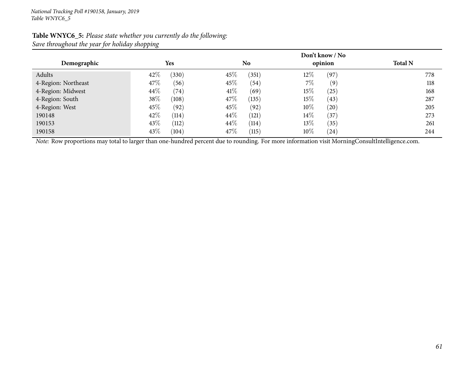| Demographic         | <b>Yes</b>     | N <sub>o</sub> | Don't know / No<br>opinion |     |  |  |  |  |
|---------------------|----------------|----------------|----------------------------|-----|--|--|--|--|
| Adults              | 42\%<br>(330)  | 45%<br>(351)   | $12\%$<br>(97)             | 778 |  |  |  |  |
| 4-Region: Northeast | 47\%<br>(56)   | 45%<br>(54)    | $7\%$<br>(9)               | 118 |  |  |  |  |
| 4-Region: Midwest   | $44\%$<br>(74) | $41\%$<br>(69) | $15\%$<br>(25)             | 168 |  |  |  |  |
| 4-Region: South     | 38\%<br>(108)  | 47\%<br>(135)  | $15\%$<br>(43)             | 287 |  |  |  |  |
| 4-Region: West      | 45\%<br>(92)   | 45\%<br>(92)   | $10\%$<br>(20)             | 205 |  |  |  |  |
| 190148              | 42\%<br>(114)  | 44\%<br>(121)  | $14\%$<br>(37)             | 273 |  |  |  |  |
| 190153              | 43\%<br>(112)  | 44\%<br>(114)  | $13\%$<br>(35)             | 261 |  |  |  |  |
| 190158              | 43\%<br>(104)  | 47\%<br>(115)  | $10\%$<br>(24)             | 244 |  |  |  |  |

## **Table WNYC6\_5:** *Please state whether you currently do the following: Save throughout the year for holiday shopping*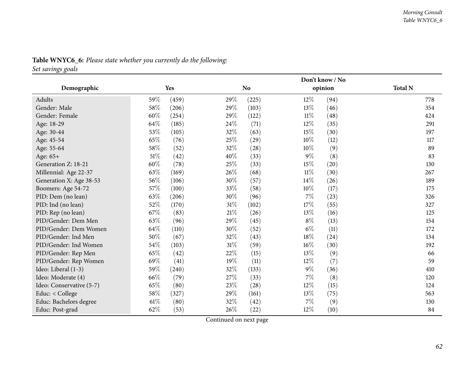|                          | Don't know / No |       |        |                |        |         |                |  |
|--------------------------|-----------------|-------|--------|----------------|--------|---------|----------------|--|
| Demographic              |                 | Yes   |        | N <sub>o</sub> |        | opinion | <b>Total N</b> |  |
| Adults                   | 59%             | (459) | 29%    | (225)          | $12\%$ | (94)    | 778            |  |
| Gender: Male             | 58\%            | (206) | 29%    | (103)          | 13%    | (46)    | 354            |  |
| Gender: Female           | $60\%$          | (254) | 29%    | (122)          | $11\%$ | (48)    | 424            |  |
| Age: 18-29               | 64%             | (185) | 24%    | (71)           | $12\%$ | (35)    | 291            |  |
| Age: 30-44               | 53%             | (105) | 32%    | (63)           | 15%    | (30)    | 197            |  |
| Age: 45-54               | 65%             | (76)  | 25%    | (29)           | $10\%$ | (12)    | 117            |  |
| Age: 55-64               | $58\%$          | (52)  | 32%    | (28)           | 10%    | (9)     | 89             |  |
| Age: 65+                 | 51%             | (42)  | 40%    | (33)           | $9\%$  | (8)     | 83             |  |
| Generation Z: 18-21      | 60%             | (78)  | 25%    | (33)           | 15%    | (20)    | 130            |  |
| Millennial: Age 22-37    | 63%             | (169) | 26%    | (68)           | $11\%$ | (30)    | 267            |  |
| Generation X: Age 38-53  | 56%             | (106) | 30%    | (57)           | $14\%$ | (26)    | 189            |  |
| Boomers: Age 54-72       | 57%             | (100) | 33%    | (58)           | 10%    | (17)    | 175            |  |
| PID: Dem (no lean)       | 63%             | (206) | 30%    | (96)           | 7%     | (23)    | 326            |  |
| PID: Ind (no lean)       | 52\%            | (170) | $31\%$ | (102)          | 17%    | (55)    | 327            |  |
| PID: Rep (no lean)       | 67%             | (83)  | 21%    | (26)           | 13\%   | (16)    | 125            |  |
| PID/Gender: Dem Men      | 63%             | (96)  | 29%    | (45)           | $8\%$  | (13)    | 154            |  |
| PID/Gender: Dem Women    | 64%             | (110) | 30%    | (52)           | $6\%$  | (11)    | 172            |  |
| PID/Gender: Ind Men      | $50\%$          | (67)  | 32%    | (43)           | 18\%   | (24)    | 134            |  |
| PID/Gender: Ind Women    | $54\%$          | (103) | $31\%$ | (59)           | 16%    | (30)    | 192            |  |
| PID/Gender: Rep Men      | 65%             | (42)  | 22%    | (15)           | $13\%$ | (9)     | 66             |  |
| PID/Gender: Rep Women    | 69%             | (41)  | 19%    | (11)           | 12%    | (7)     | 59             |  |
| Ideo: Liberal (1-3)      | 59%             | (240) | 32%    | (133)          | $9\%$  | (36)    | 410            |  |
| Ideo: Moderate (4)       | 66%             | (79)  | 27%    | (33)           | 7%     | (8)     | 120            |  |
| Ideo: Conservative (5-7) | 65%             | (80)  | 23\%   | (28)           | 12%    | (15)    | 124            |  |
| Educ: < College          | 58\%            | (327) | 29%    | (161)          | 13%    | (75)    | 563            |  |
| Educ: Bachelors degree   | $61\%$          | (80)  | 32%    | (42)           | 7%     | (9)     | 130            |  |
| Educ: Post-grad          | 62%             | (53)  | 26%    | (22)           | 12%    | (10)    | 84             |  |

## **Table WNYC6\_6:** *Please state whether you currently do the following:*

*Set savings goals*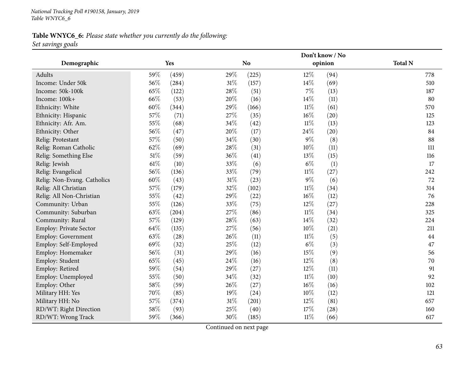*National Tracking Poll #190158, January, <sup>2019</sup> Table WNYC6\_6*

## **Table WNYC6\_6:** *Please state whether you currently do the following: Set savings goals*

|                               |      |       |        | Don't know / No |        |         |                |  |  |  |  |
|-------------------------------|------|-------|--------|-----------------|--------|---------|----------------|--|--|--|--|
| Demographic                   |      | Yes   |        | <b>No</b>       |        | opinion | <b>Total N</b> |  |  |  |  |
| Adults                        | 59%  | (459) | 29%    | (225)           | 12%    | (94)    | 778            |  |  |  |  |
| Income: Under 50k             | 56%  | (284) | 31%    | (157)           | 14\%   | (69)    | 510            |  |  |  |  |
| Income: 50k-100k              | 65%  | (122) | 28%    | (51)            | 7%     | (13)    | 187            |  |  |  |  |
| Income: 100k+                 | 66%  | (53)  | 20%    | (16)            | 14%    | (11)    | 80             |  |  |  |  |
| Ethnicity: White              | 60%  | (344) | 29%    | (166)           | $11\%$ | (61)    | 570            |  |  |  |  |
| Ethnicity: Hispanic           | 57%  | (71)  | 27%    | (35)            | $16\%$ | (20)    | 125            |  |  |  |  |
| Ethnicity: Afr. Am.           | 55%  | (68)  | 34%    | (42)            | $11\%$ | (13)    | 123            |  |  |  |  |
| Ethnicity: Other              | 56%  | (47)  | 20%    | (17)            | 24\%   | (20)    | 84             |  |  |  |  |
| Relig: Protestant             | 57%  | (50)  | 34%    | (30)            | $9\%$  | (8)     | 88             |  |  |  |  |
| Relig: Roman Catholic         | 62%  | (69)  | 28%    | (31)            | 10%    | (11)    | 111            |  |  |  |  |
| Relig: Something Else         | 51%  | (59)  | 36%    | (41)            | 13%    | (15)    | 116            |  |  |  |  |
| Relig: Jewish                 | 61\% | (10)  | 33%    | (6)             | $6\%$  | (1)     | 17             |  |  |  |  |
| Relig: Evangelical            | 56%  | (136) | 33%    | (79)            | $11\%$ | (27)    | 242            |  |  |  |  |
| Relig: Non-Evang. Catholics   | 60%  | (43)  | $31\%$ | (23)            | $9\%$  | (6)     | 72             |  |  |  |  |
| Relig: All Christian          | 57%  | (179) | 32%    | (102)           | $11\%$ | (34)    | 314            |  |  |  |  |
| Relig: All Non-Christian      | 55%  | (42)  | 29%    | (22)            | $16\%$ | (12)    | 76             |  |  |  |  |
| Community: Urban              | 55%  | (126) | 33%    | (75)            | $12\%$ | (27)    | 228            |  |  |  |  |
| Community: Suburban           | 63%  | (204) | 27%    | (86)            | $11\%$ | (34)    | 325            |  |  |  |  |
| Community: Rural              | 57%  | (129) | 28%    | (63)            | 14%    | (32)    | 224            |  |  |  |  |
| <b>Employ: Private Sector</b> | 64%  | (135) | 27%    | (56)            | 10%    | (21)    | 211            |  |  |  |  |
| Employ: Government            | 63%  | (28)  | 26%    | (11)            | $11\%$ | (5)     | 44             |  |  |  |  |
| Employ: Self-Employed         | 69%  | (32)  | 25%    | (12)            | $6\%$  | (3)     | 47             |  |  |  |  |
| Employ: Homemaker             | 56%  | (31)  | 29%    | (16)            | 15%    | (9)     | 56             |  |  |  |  |
| Employ: Student               | 65%  | (45)  | 24%    | (16)            | 12%    | (8)     | 70             |  |  |  |  |
| Employ: Retired               | 59%  | (54)  | 29%    | (27)            | 12%    | (11)    | 91             |  |  |  |  |
| Employ: Unemployed            | 55%  | (50)  | 34%    | (32)            | $11\%$ | (10)    | 92             |  |  |  |  |
| Employ: Other                 | 58%  | (59)  | 26%    | (27)            | $16\%$ | (16)    | 102            |  |  |  |  |
| Military HH: Yes              | 70%  | (85)  | 19%    | (24)            | 10%    | (12)    | 121            |  |  |  |  |
| Military HH: No               | 57%  | (374) | $31\%$ | (201)           | 12%    | (81)    | 657            |  |  |  |  |
| RD/WT: Right Direction        | 58%  | (93)  | 25%    | (40)            | 17%    | (28)    | 160            |  |  |  |  |
| RD/WT: Wrong Track            | 59%  | (366) | 30%    | (185)           | $11\%$ | (66)    | 617            |  |  |  |  |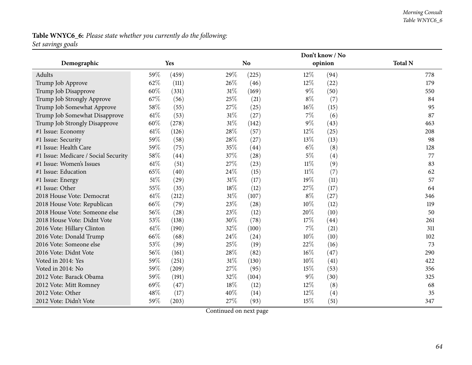#### *Morning Consult Table WNYC6\_6*

## **Table WNYC6\_6:** *Please state whether you currently do the following: Set savings goals*

|                                      |        |            |        | Don't know / No |        |         |                |  |  |  |
|--------------------------------------|--------|------------|--------|-----------------|--------|---------|----------------|--|--|--|
| Demographic                          |        | <b>Yes</b> |        | <b>No</b>       |        | opinion | <b>Total N</b> |  |  |  |
| Adults                               | 59%    | (459)      | 29%    | (225)           | $12\%$ | (94)    | 778            |  |  |  |
| Trump Job Approve                    | 62%    | (111)      | 26%    | (46)            | 12%    | (22)    | 179            |  |  |  |
| Trump Job Disapprove                 | 60%    | (331)      | $31\%$ | (169)           | $9\%$  | (50)    | 550            |  |  |  |
| Trump Job Strongly Approve           | 67%    | (56)       | 25%    | (21)            | $8\%$  | (7)     | 84             |  |  |  |
| Trump Job Somewhat Approve           | 58%    | (55)       | 27%    | (25)            | $16\%$ | (15)    | 95             |  |  |  |
| Trump Job Somewhat Disapprove        | $61\%$ | (53)       | $31\%$ | (27)            | $7\%$  | (6)     | 87             |  |  |  |
| Trump Job Strongly Disapprove        | 60%    | (278)      | $31\%$ | (142)           | $9\%$  | (43)    | 463            |  |  |  |
| #1 Issue: Economy                    | $61\%$ | (126)      | 28%    | (57)            | 12%    | (25)    | 208            |  |  |  |
| #1 Issue: Security                   | 59%    | (58)       | 28%    | (27)            | 13%    | (13)    | 98             |  |  |  |
| #1 Issue: Health Care                | 59%    | (75)       | 35%    | (44)            | $6\%$  | (8)     | 128            |  |  |  |
| #1 Issue: Medicare / Social Security | 58%    | (44)       | 37%    | (28)            | $5\%$  | (4)     | 77             |  |  |  |
| #1 Issue: Women's Issues             | $61\%$ | (51)       | 27%    | (23)            | $11\%$ | (9)     | 83             |  |  |  |
| #1 Issue: Education                  | 65%    | (40)       | 24\%   | (15)            | 11%    | (7)     | 62             |  |  |  |
| #1 Issue: Energy                     | $51\%$ | (29)       | $31\%$ | (17)            | 19%    | (11)    | 57             |  |  |  |
| #1 Issue: Other                      | 55%    | (35)       | 18%    | (12)            | 27%    | (17)    | 64             |  |  |  |
| 2018 House Vote: Democrat            | $61\%$ | (212)      | $31\%$ | (107)           | $8\%$  | (27)    | 346            |  |  |  |
| 2018 House Vote: Republican          | 66%    | (79)       | 23%    | (28)            | 10%    | (12)    | 119            |  |  |  |
| 2018 House Vote: Someone else        | 56%    | (28)       | 23%    | (12)            | 20%    | (10)    | 50             |  |  |  |
| 2018 House Vote: Didnt Vote          | 53%    | (138)      | 30%    | (78)            | 17%    | (44)    | 261            |  |  |  |
| 2016 Vote: Hillary Clinton           | $61\%$ | (190)      | 32%    | (100)           | 7%     | (21)    | 311            |  |  |  |
| 2016 Vote: Donald Trump              | 66%    | (68)       | 24%    | (24)            | 10%    | (10)    | 102            |  |  |  |
| 2016 Vote: Someone else              | 53%    | (39)       | 25%    | (19)            | 22%    | (16)    | 73             |  |  |  |
| 2016 Vote: Didnt Vote                | 56%    | (161)      | 28%    | (82)            | $16\%$ | (47)    | 290            |  |  |  |
| Voted in 2014: Yes                   | 59%    | (251)      | $31\%$ | (130)           | $10\%$ | (41)    | 422            |  |  |  |
| Voted in 2014: No                    | 59%    | (209)      | 27\%   | (95)            | 15%    | (53)    | 356            |  |  |  |
| 2012 Vote: Barack Obama              | 59%    | (191)      | 32%    | (104)           | 9%     | (30)    | 325            |  |  |  |
| 2012 Vote: Mitt Romney               | 69%    | (47)       | 18%    | (12)            | 12%    | (8)     | 68             |  |  |  |
| 2012 Vote: Other                     | 48%    | (17)       | 40%    | (14)            | 12%    | (4)     | 35             |  |  |  |
| 2012 Vote: Didn't Vote               | 59%    | (203)      | 27%    | (93)            | 15%    | (51)    | 347            |  |  |  |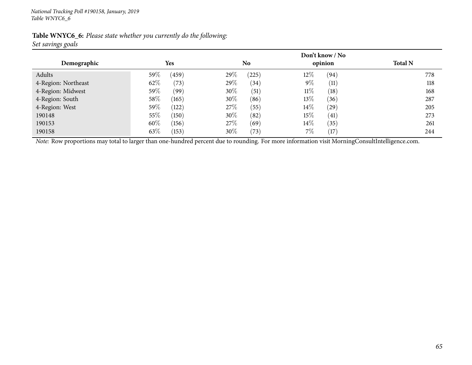| Table WNYC6_6: Please state whether you currently do the following: |  |  |
|---------------------------------------------------------------------|--|--|
| Set savings goals                                                   |  |  |

|                     | <b>Yes</b>       | Don't know / No<br>opinion | <b>Total N</b> |     |
|---------------------|------------------|----------------------------|----------------|-----|
| Demographic         |                  | No                         |                |     |
| Adults              | 59 $\%$<br>(459) | 29%<br>(225)               | $12\%$<br>(94) | 778 |
| 4-Region: Northeast | 62%<br>(73)      | 29\%<br>(34)               | $9\%$<br>(11)  | 118 |
| 4-Region: Midwest   | $59\%$<br>(99)   | $30\%$<br>(51)             | $11\%$<br>(18) | 168 |
| 4-Region: South     | $58\%$<br>(165)  | $30\%$<br>(86)             | $13\%$<br>(36) | 287 |
| 4-Region: West      | $59\%$<br>(122)  | 27%<br>(55)                | $14\%$<br>(29) | 205 |
| 190148              | $55\%$<br>(150)  | $30\%$<br>(82)             | 15\%<br>(41)   | 273 |
| 190153              | 60%<br>(156)     | 27%<br>(69)                | $14\%$<br>(35) | 261 |
| 190158              | 63\%<br>(153)    | $30\%$<br>(73)             | 7%<br>(17)     | 244 |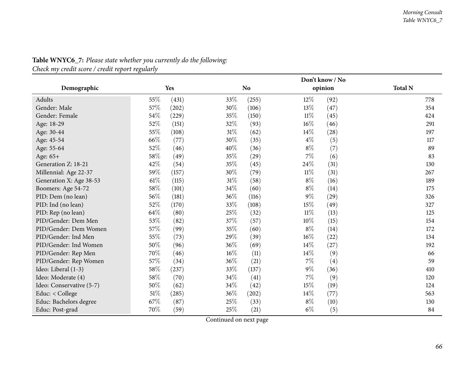|                          |        |       |        | Don't know / No |        |         |                |  |  |  |
|--------------------------|--------|-------|--------|-----------------|--------|---------|----------------|--|--|--|
| Demographic              |        | Yes   |        | <b>No</b>       |        | opinion | <b>Total N</b> |  |  |  |
| Adults                   | 55\%   | (431) | 33\%   | (255)           | $12\%$ | (92)    | 778            |  |  |  |
| Gender: Male             | 57\%   | (202) | 30%    | (106)           | 13\%   | (47)    | 354            |  |  |  |
| Gender: Female           | 54\%   | (229) | 35%    | (150)           | $11\%$ | (45)    | 424            |  |  |  |
| Age: 18-29               | 52%    | (151) | 32%    | (93)            | $16\%$ | (46)    | 291            |  |  |  |
| Age: 30-44               | 55%    | (108) | 31%    | (62)            | 14%    | (28)    | 197            |  |  |  |
| Age: 45-54               | 66%    | (77)  | 30%    | (35)            | $4\%$  | (5)     | 117            |  |  |  |
| Age: 55-64               | 52%    | (46)  | 40%    | (36)            | $8\%$  | (7)     | 89             |  |  |  |
| Age: 65+                 | 58\%   | (49)  | 35%    | (29)            | 7%     | (6)     | 83             |  |  |  |
| Generation Z: 18-21      | 42%    | (54)  | 35%    | (45)            | 24\%   | (31)    | 130            |  |  |  |
| Millennial: Age 22-37    | 59%    | (157) | 30%    | (79)            | $11\%$ | (31)    | 267            |  |  |  |
| Generation X: Age 38-53  | $61\%$ | (115) | $31\%$ | (58)            | $8\%$  | (16)    | 189            |  |  |  |
| Boomers: Age 54-72       | 58%    | (101) | 34\%   | (60)            | $8\%$  | (14)    | 175            |  |  |  |
| PID: Dem (no lean)       | 56%    | (181) | 36%    | (116)           | $9\%$  | (29)    | 326            |  |  |  |
| PID: Ind (no lean)       | 52%    | (170) | 33%    | (108)           | 15%    | (49)    | 327            |  |  |  |
| PID: Rep (no lean)       | 64\%   | (80)  | 25%    | (32)            | $11\%$ | (13)    | 125            |  |  |  |
| PID/Gender: Dem Men      | 53%    | (82)  | 37%    | (57)            | 10%    | (15)    | 154            |  |  |  |
| PID/Gender: Dem Women    | 57%    | (99)  | 35%    | (60)            | $8\%$  | (14)    | 172            |  |  |  |
| PID/Gender: Ind Men      | 55%    | (73)  | 29%    | (39)            | 16%    | (22)    | 134            |  |  |  |
| PID/Gender: Ind Women    | 50%    | (96)  | 36%    | (69)            | 14%    | (27)    | 192            |  |  |  |
| PID/Gender: Rep Men      | 70%    | (46)  | $16\%$ | (11)            | 14\%   | (9)     | 66             |  |  |  |
| PID/Gender: Rep Women    | 57\%   | (34)  | 36%    | (21)            | $7\%$  | (4)     | 59             |  |  |  |
| Ideo: Liberal (1-3)      | 58\%   | (237) | 33%    | (137)           | $9\%$  | (36)    | 410            |  |  |  |
| Ideo: Moderate (4)       | 58\%   | (70)  | 34\%   | (41)            | 7%     | (9)     | 120            |  |  |  |
| Ideo: Conservative (5-7) | 50%    | (62)  | 34\%   | (42)            | 15%    | (19)    | 124            |  |  |  |
| Educ: < College          | $51\%$ | (285) | 36\%   | (202)           | 14%    | (77)    | 563            |  |  |  |
| Educ: Bachelors degree   | 67\%   | (87)  | 25%    | (33)            | $8\%$  | (10)    | 130            |  |  |  |
| Educ: Post-grad          | 70%    | (59)  | 25%    | (21)            | $6\%$  | (5)     | 84             |  |  |  |

# **Table WNYC6\_7:** *Please state whether you currently do the following:*

*Check my credit score / credit report regularly*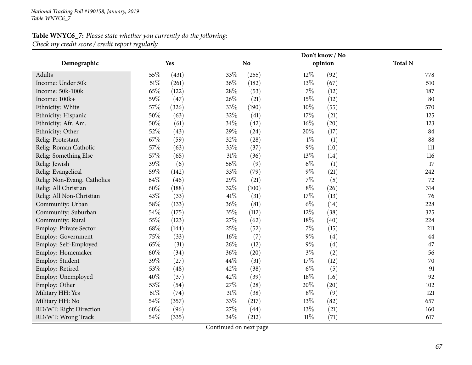## **Table WNYC6\_7:** *Please state whether you currently do the following: Check my credit score / credit report regularly*

|                               |        |            |        | Don't know / No |        |         |                |  |  |  |
|-------------------------------|--------|------------|--------|-----------------|--------|---------|----------------|--|--|--|
| Demographic                   |        | <b>Yes</b> |        | N <sub>o</sub>  |        | opinion | <b>Total N</b> |  |  |  |
| Adults                        | 55%    | (431)      | 33%    | (255)           | $12\%$ | (92)    | 778            |  |  |  |
| Income: Under 50k             | 51%    | (261)      | 36%    | (182)           | 13%    | (67)    | 510            |  |  |  |
| Income: 50k-100k              | 65%    | (122)      | 28%    | (53)            | $7\%$  | (12)    | 187            |  |  |  |
| Income: 100k+                 | 59%    | (47)       | 26\%   | (21)            | 15%    | (12)    | 80             |  |  |  |
| Ethnicity: White              | 57%    | (326)      | 33%    | (190)           | $10\%$ | (55)    | 570            |  |  |  |
| Ethnicity: Hispanic           | 50%    | (63)       | 32%    | (41)            | 17%    | (21)    | 125            |  |  |  |
| Ethnicity: Afr. Am.           | 50%    | (61)       | 34%    | (42)            | $16\%$ | (20)    | 123            |  |  |  |
| Ethnicity: Other              | 52%    | (43)       | 29%    | (24)            | 20%    | (17)    | 84             |  |  |  |
| Relig: Protestant             | 67%    | (59)       | 32%    | (28)            | $1\%$  | (1)     | 88             |  |  |  |
| Relig: Roman Catholic         | 57%    | (63)       | 33%    | (37)            | $9\%$  | (10)    | 111            |  |  |  |
| Relig: Something Else         | 57%    | (65)       | 31%    | (36)            | 13%    | (14)    | 116            |  |  |  |
| Relig: Jewish                 | 39%    | (6)        | 56%    | (9)             | $6\%$  | (1)     | 17             |  |  |  |
| Relig: Evangelical            | 59%    | (142)      | 33%    | (79)            | $9\%$  | (21)    | 242            |  |  |  |
| Relig: Non-Evang. Catholics   | 64%    | (46)       | 29%    | (21)            | $7\%$  | (5)     | 72             |  |  |  |
| Relig: All Christian          | 60%    | (188)      | 32%    | (100)           | $8\%$  | (26)    | 314            |  |  |  |
| Relig: All Non-Christian      | 43%    | (33)       | 41\%   | (31)            | 17%    | (13)    | 76             |  |  |  |
| Community: Urban              | $58\%$ | (133)      | 36%    | (81)            | $6\%$  | (14)    | 228            |  |  |  |
| Community: Suburban           | 54%    | (175)      | 35%    | (112)           | $12\%$ | (38)    | 325            |  |  |  |
| Community: Rural              | 55%    | (123)      | 27%    | (62)            | 18%    | (40)    | 224            |  |  |  |
| <b>Employ: Private Sector</b> | 68%    | (144)      | 25%    | (52)            | $7\%$  | (15)    | 211            |  |  |  |
| <b>Employ: Government</b>     | 75%    | (33)       | $16\%$ | (7)             | $9\%$  | (4)     | 44             |  |  |  |
| Employ: Self-Employed         | 65%    | (31)       | 26%    | (12)            | $9\%$  | (4)     | 47             |  |  |  |
| Employ: Homemaker             | 60%    | (34)       | 36%    | (20)            | $3\%$  | (2)     | 56             |  |  |  |
| Employ: Student               | 39%    | (27)       | 44%    | (31)            | 17%    | (12)    | 70             |  |  |  |
| Employ: Retired               | 53%    | (48)       | 42%    | (38)            | $6\%$  | (5)     | 91             |  |  |  |
| Employ: Unemployed            | 40%    | (37)       | 42%    | (39)            | 18%    | (16)    | 92             |  |  |  |
| Employ: Other                 | 53%    | (54)       | 27\%   | (28)            | $20\%$ | (20)    | 102            |  |  |  |
| Military HH: Yes              | 61\%   | (74)       | 31%    | (38)            | $8\%$  | (9)     | 121            |  |  |  |
| Military HH: No               | 54%    | (357)      | 33%    | (217)           | 13\%   | (82)    | 657            |  |  |  |
| RD/WT: Right Direction        | 60%    | (96)       | 27%    | (44)            | 13%    | (21)    | 160            |  |  |  |
| RD/WT: Wrong Track            | 54%    | (335)      | 34%    | (212)           | $11\%$ | (71)    | 617            |  |  |  |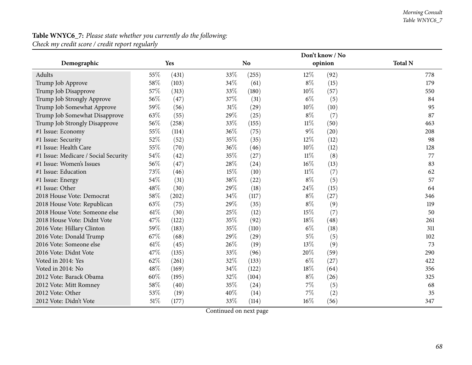#### *Morning Consult Table WNYC6\_7*

## **Table WNYC6\_7:** *Please state whether you currently do the following: Check my credit score / credit report regularly*

|                                      |        |            | Don't know / No |                |        |         |                |  |  |  |
|--------------------------------------|--------|------------|-----------------|----------------|--------|---------|----------------|--|--|--|
| Demographic                          |        | <b>Yes</b> |                 | N <sub>o</sub> |        | opinion | <b>Total N</b> |  |  |  |
| Adults                               | 55%    | (431)      | 33%             | (255)          | $12\%$ | (92)    | 778            |  |  |  |
| Trump Job Approve                    | 58%    | (103)      | 34%             | (61)           | $8\%$  | (15)    | 179            |  |  |  |
| Trump Job Disapprove                 | 57%    | (313)      | 33%             | (180)          | 10%    | (57)    | 550            |  |  |  |
| Trump Job Strongly Approve           | 56%    | (47)       | 37%             | (31)           | $6\%$  | (5)     | 84             |  |  |  |
| Trump Job Somewhat Approve           | 59%    | (56)       | $31\%$          | (29)           | 10%    | (10)    | 95             |  |  |  |
| Trump Job Somewhat Disapprove        | 63%    | (55)       | 29%             | (25)           | $8\%$  | (7)     | 87             |  |  |  |
| Trump Job Strongly Disapprove        | 56%    | (258)      | 33%             | (155)          | 11%    | (50)    | 463            |  |  |  |
| #1 Issue: Economy                    | 55%    | (114)      | 36%             | (75)           | $9\%$  | (20)    | 208            |  |  |  |
| #1 Issue: Security                   | 52%    | (52)       | 35%             | (35)           | 12%    | (12)    | 98             |  |  |  |
| #1 Issue: Health Care                | 55%    | (70)       | 36%             | (46)           | 10%    | (12)    | 128            |  |  |  |
| #1 Issue: Medicare / Social Security | 54%    | (42)       | 35%             | (27)           | $11\%$ | (8)     | 77             |  |  |  |
| #1 Issue: Women's Issues             | 56%    | (47)       | 28%             | (24)           | $16\%$ | (13)    | 83             |  |  |  |
| #1 Issue: Education                  | 73%    | (46)       | 15%             | (10)           | $11\%$ | (7)     | 62             |  |  |  |
| #1 Issue: Energy                     | 54%    | (31)       | 38%             | (22)           | $8\%$  | (5)     | 57             |  |  |  |
| #1 Issue: Other                      | 48%    | (30)       | 29%             | (18)           | 24\%   | (15)    | 64             |  |  |  |
| 2018 House Vote: Democrat            | 58%    | (202)      | 34%             | (117)          | $8\%$  | (27)    | 346            |  |  |  |
| 2018 House Vote: Republican          | 63%    | (75)       | 29%             | (35)           | $8\%$  | (9)     | 119            |  |  |  |
| 2018 House Vote: Someone else        | 61\%   | (30)       | 25%             | (12)           | 15%    | (7)     | 50             |  |  |  |
| 2018 House Vote: Didnt Vote          | 47%    | (122)      | 35%             | (92)           | 18%    | (48)    | 261            |  |  |  |
| 2016 Vote: Hillary Clinton           | 59%    | (183)      | 35%             | (110)          | $6\%$  | (18)    | 311            |  |  |  |
| 2016 Vote: Donald Trump              | 67%    | (68)       | 29%             | (29)           | $5\%$  | (5)     | 102            |  |  |  |
| 2016 Vote: Someone else              | 61\%   | (45)       | 26%             | (19)           | 13%    | (9)     | 73             |  |  |  |
| 2016 Vote: Didnt Vote                | 47%    | (135)      | 33%             | (96)           | 20%    | (59)    | 290            |  |  |  |
| Voted in 2014: Yes                   | 62%    | (261)      | 32%             | (133)          | $6\%$  | (27)    | 422            |  |  |  |
| Voted in 2014: No                    | 48%    | (169)      | 34%             | (122)          | 18%    | (64)    | 356            |  |  |  |
| 2012 Vote: Barack Obama              | 60%    | (195)      | 32%             | (104)          | $8\%$  | (26)    | 325            |  |  |  |
| 2012 Vote: Mitt Romney               | 58%    | (40)       | 35%             | (24)           | 7%     | (5)     | 68             |  |  |  |
| 2012 Vote: Other                     | 53%    | (19)       | 40%             | (14)           | 7%     | (2)     | 35             |  |  |  |
| 2012 Vote: Didn't Vote               | $51\%$ | (177)      | 33%             | (114)          | 16%    | (56)    | 347            |  |  |  |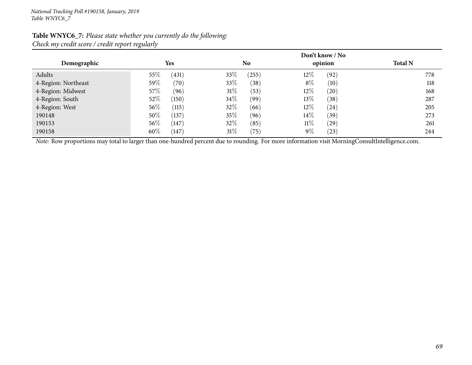|                     |        |            |        |       |        | Don't know / No |                |
|---------------------|--------|------------|--------|-------|--------|-----------------|----------------|
| Demographic         |        | <b>Yes</b> |        | No    |        | opinion         | <b>Total N</b> |
| Adults              | 55%    | (431)      | 33\%   | (255) | $12\%$ | (92)            | 778            |
| 4-Region: Northeast | 59%    | (70)       | 33\%   | (38)  | $8\%$  | (10)            | 118            |
| 4-Region: Midwest   | 57\%   | (96)       | $31\%$ | (53)  | $12\%$ | (20)            | 168            |
| 4-Region: South     | 52\%   | (150)      | 34\%   | (99)  | 13\%   | (38)            | 287            |
| 4-Region: West      | $56\%$ | (115)      | 32%    | (66)  | $12\%$ | (24)            | 205            |
| 190148              | 50%    | (137)      | 35\%   | (96)  | $14\%$ | (39)            | 273            |
| 190153              | $56\%$ | (147)      | 32\%   | (85)  | $11\%$ | (29)            | 261            |
| 190158              | $60\%$ | (147)      | $31\%$ | (75)  | $9\%$  | (23)            | 244            |

#### **Table WNYC6\_7:** *Please state whether you currently do the following: Check my credit score / credit report regularly*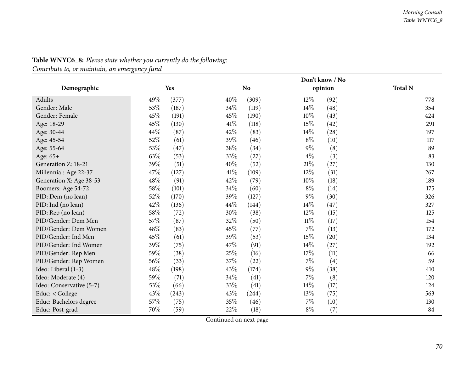|                          |        |       |        | Don't know / No |        |         |                |  |
|--------------------------|--------|-------|--------|-----------------|--------|---------|----------------|--|
| Demographic              |        | Yes   |        | <b>No</b>       |        | opinion | <b>Total N</b> |  |
| Adults                   | 49%    | (377) | 40%    | (309)           | $12\%$ | (92)    | 778            |  |
| Gender: Male             | 53%    | (187) | 34%    | (119)           | 14%    | (48)    | 354            |  |
| Gender: Female           | 45%    | (191) | 45%    | (190)           | 10%    | (43)    | 424            |  |
| Age: 18-29               | 45%    | (130) | 41\%   | (118)           | 15%    | (42)    | 291            |  |
| Age: 30-44               | 44%    | (87)  | 42\%   | (83)            | 14%    | (28)    | 197            |  |
| Age: 45-54               | 52%    | (61)  | 39\%   | (46)            | $8\%$  | (10)    | 117            |  |
| Age: 55-64               | 53%    | (47)  | $38\%$ | (34)            | $9\%$  | (8)     | 89             |  |
| Age: 65+                 | 63%    | (53)  | 33%    | (27)            | $4\%$  | (3)     | 83             |  |
| Generation Z: 18-21      | 39%    | (51)  | 40%    | (52)            | $21\%$ | (27)    | 130            |  |
| Millennial: Age 22-37    | 47\%   | (127) | $41\%$ | (109)           | 12%    | (31)    | 267            |  |
| Generation X: Age 38-53  | 48%    | (91)  | 42\%   | (79)            | 10%    | (18)    | 189            |  |
| Boomers: Age 54-72       | 58%    | (101) | 34\%   | (60)            | $8\%$  | (14)    | 175            |  |
| PID: Dem (no lean)       | 52%    | (170) | 39%    | (127)           | $9\%$  | (30)    | 326            |  |
| PID: Ind (no lean)       | 42%    | (136) | 44\%   | (144)           | 14%    | (47)    | 327            |  |
| PID: Rep (no lean)       | 58\%   | (72)  | 30%    | (38)            | 12%    | (15)    | 125            |  |
| PID/Gender: Dem Men      | 57%    | (87)  | 32%    | (50)            | $11\%$ | (17)    | 154            |  |
| PID/Gender: Dem Women    | 48%    | (83)  | 45%    | (77)            | 7%     | (13)    | 172            |  |
| PID/Gender: Ind Men      | 45%    | (61)  | 39%    | (53)            | 15%    | (20)    | 134            |  |
| PID/Gender: Ind Women    | 39%    | (75)  | 47%    | (91)            | 14%    | (27)    | 192            |  |
| PID/Gender: Rep Men      | 59%    | (38)  | $25\%$ | (16)            | 17%    | (11)    | 66             |  |
| PID/Gender: Rep Women    | 56%    | (33)  | 37%    | (22)            | 7%     | (4)     | 59             |  |
| Ideo: Liberal (1-3)      | $48\%$ | (198) | 43%    | (174)           | $9\%$  | (38)    | 410            |  |
| Ideo: Moderate (4)       | 59%    | (71)  | 34%    | (41)            | 7%     | (8)     | 120            |  |
| Ideo: Conservative (5-7) | 53%    | (66)  | 33\%   | (41)            | 14%    | (17)    | 124            |  |
| Educ: $<$ College        | 43%    | (243) | 43\%   | (244)           | 13%    | (75)    | 563            |  |
| Educ: Bachelors degree   | 57%    | (75)  | 35\%   | (46)            | 7%     | (10)    | 130            |  |
| Educ: Post-grad          | 70%    | (59)  | 22%    | (18)            | $8\%$  | (7)     | 84             |  |

## **Table WNYC6\_8:** *Please state whether you currently do the following:*

*Contribute to, or maintain, an emergency fund*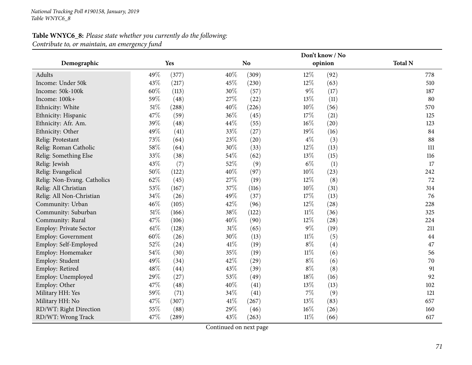## **Table WNYC6\_8:** *Please state whether you currently do the following: Contribute to, or maintain, an emergency fund*

|                               |        |       |        | Don't know / No |        |         |                |  |
|-------------------------------|--------|-------|--------|-----------------|--------|---------|----------------|--|
| Demographic                   | Yes    |       |        | <b>No</b>       |        | opinion | <b>Total N</b> |  |
| Adults                        | 49%    | (377) | 40%    | (309)           | 12%    | (92)    | 778            |  |
| Income: Under 50k             | 43%    | (217) | 45%    | (230)           | 12%    | (63)    | 510            |  |
| Income: 50k-100k              | 60%    | (113) | 30%    | (57)            | $9\%$  | (17)    | 187            |  |
| Income: 100k+                 | 59%    | (48)  | 27%    | (22)            | 13%    | (11)    | 80             |  |
| Ethnicity: White              | 51%    | (288) | 40%    | (226)           | 10%    | (56)    | 570            |  |
| Ethnicity: Hispanic           | 47%    | (59)  | 36%    | (45)            | 17%    | (21)    | 125            |  |
| Ethnicity: Afr. Am.           | 39%    | (48)  | 44\%   | (55)            | 16%    | (20)    | 123            |  |
| Ethnicity: Other              | 49%    | (41)  | 33\%   | (27)            | 19%    | (16)    | 84             |  |
| Relig: Protestant             | 73%    | (64)  | 23%    | (20)            | $4\%$  | (3)     | 88             |  |
| Relig: Roman Catholic         | 58%    | (64)  | 30%    | (33)            | 12%    | (13)    | 111            |  |
| Relig: Something Else         | 33%    | (38)  | 54\%   | (62)            | 13%    | (15)    | 116            |  |
| Relig: Jewish                 | 43%    | (7)   | 52%    | (9)             | $6\%$  | (1)     | 17             |  |
| Relig: Evangelical            | 50%    | (122) | 40%    | (97)            | 10%    | (23)    | 242            |  |
| Relig: Non-Evang. Catholics   | 62%    | (45)  | 27%    | (19)            | 12%    | (8)     | 72             |  |
| Relig: All Christian          | 53%    | (167) | 37%    | (116)           | 10%    | (31)    | 314            |  |
| Relig: All Non-Christian      | 34%    | (26)  | 49%    | (37)            | 17%    | (13)    | 76             |  |
| Community: Urban              | 46%    | (105) | 42%    | (96)            | 12%    | (28)    | 228            |  |
| Community: Suburban           | $51\%$ | (166) | 38%    | (122)           | $11\%$ | (36)    | 325            |  |
| Community: Rural              | 47%    | (106) | 40%    | (90)            | 12%    | (28)    | 224            |  |
| <b>Employ: Private Sector</b> | 61%    | (128) | $31\%$ | (65)            | $9\%$  | (19)    | 211            |  |
| Employ: Government            | 60%    | (26)  | 30%    | (13)            | $11\%$ | (5)     | 44             |  |
| Employ: Self-Employed         | 52%    | (24)  | $41\%$ | (19)            | $8\%$  | (4)     | 47             |  |
| Employ: Homemaker             | 54%    | (30)  | 35%    | (19)            | 11%    | (6)     | 56             |  |
| Employ: Student               | 49%    | (34)  | 42%    | (29)            | $8\%$  | (6)     | 70             |  |
| Employ: Retired               | 48%    | (44)  | 43%    | (39)            | $8\%$  | (8)     | 91             |  |
| Employ: Unemployed            | 29%    | (27)  | 53%    | (49)            | 18%    | (16)    | 92             |  |
| Employ: Other                 | 47%    | (48)  | 40%    | (41)            | 13%    | (13)    | 102            |  |
| Military HH: Yes              | 59%    | (71)  | 34\%   | (41)            | 7%     | (9)     | 121            |  |
| Military HH: No               | 47%    | (307) | 41\%   | (267)           | 13%    | (83)    | 657            |  |
| RD/WT: Right Direction        | 55%    | (88)  | 29%    | (46)            | 16%    | (26)    | 160            |  |
| RD/WT: Wrong Track            | 47%    | (289) | 43%    | (263)           | $11\%$ | (66)    | 617            |  |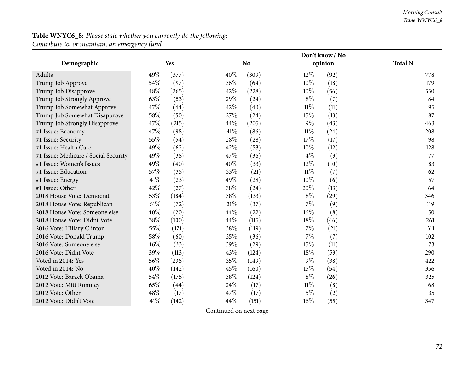#### *Morning Consult Table WNYC6\_8*

# **Table WNYC6\_8:** *Please state whether you currently do the following:*

*Contribute to, or maintain, an emergency fund*

|                                      |        |       |        | Don't know / No |        |         |                |  |  |
|--------------------------------------|--------|-------|--------|-----------------|--------|---------|----------------|--|--|
| Demographic                          |        | Yes   |        | N <sub>o</sub>  |        | opinion | <b>Total N</b> |  |  |
| Adults                               | 49%    | (377) | 40%    | (309)           | $12\%$ | (92)    | 778            |  |  |
| Trump Job Approve                    | 54%    | (97)  | 36%    | (64)            | $10\%$ | (18)    | 179            |  |  |
| Trump Job Disapprove                 | 48%    | (265) | 42%    | (228)           | 10%    | (56)    | 550            |  |  |
| Trump Job Strongly Approve           | 63%    | (53)  | 29%    | (24)            | $8\%$  | (7)     | 84             |  |  |
| Trump Job Somewhat Approve           | 47%    | (44)  | 42%    | (40)            | $11\%$ | (11)    | 95             |  |  |
| Trump Job Somewhat Disapprove        | 58%    | (50)  | 27%    | (24)            | 15%    | (13)    | 87             |  |  |
| Trump Job Strongly Disapprove        | 47%    | (215) | 44%    | (205)           | $9\%$  | (43)    | 463            |  |  |
| #1 Issue: Economy                    | 47%    | (98)  | 41\%   | (86)            | $11\%$ | (24)    | 208            |  |  |
| #1 Issue: Security                   | 55%    | (54)  | 28%    | (28)            | 17%    | (17)    | 98             |  |  |
| #1 Issue: Health Care                | 49%    | (62)  | 42%    | (53)            | 10%    | (12)    | 128            |  |  |
| #1 Issue: Medicare / Social Security | 49%    | (38)  | 47%    | (36)            | $4\%$  | (3)     | 77             |  |  |
| #1 Issue: Women's Issues             | 49%    | (40)  | 40%    | (33)            | 12%    | (10)    | 83             |  |  |
| #1 Issue: Education                  | 57%    | (35)  | 33%    | (21)            | $11\%$ | (7)     | 62             |  |  |
| #1 Issue: Energy                     | 41%    | (23)  | 49%    | (28)            | 10%    | (6)     | 57             |  |  |
| #1 Issue: Other                      | 42%    | (27)  | 38%    | (24)            | 20%    | (13)    | 64             |  |  |
| 2018 House Vote: Democrat            | 53%    | (184) | 38%    | (133)           | $8\%$  | (29)    | 346            |  |  |
| 2018 House Vote: Republican          | $61\%$ | (72)  | $31\%$ | (37)            | 7%     | (9)     | 119            |  |  |
| 2018 House Vote: Someone else        | 40%    | (20)  | 44%    | (22)            | $16\%$ | (8)     | 50             |  |  |
| 2018 House Vote: Didnt Vote          | 38%    | (100) | 44%    | (115)           | 18%    | (46)    | 261            |  |  |
| 2016 Vote: Hillary Clinton           | 55%    | (171) | 38%    | (119)           | $7\%$  | (21)    | 311            |  |  |
| 2016 Vote: Donald Trump              | 58%    | (60)  | 35%    | (36)            | 7%     | (7)     | 102            |  |  |
| 2016 Vote: Someone else              | 46%    | (33)  | 39%    | (29)            | 15%    | (11)    | 73             |  |  |
| 2016 Vote: Didnt Vote                | 39%    | (113) | 43%    | (124)           | 18%    | (53)    | 290            |  |  |
| Voted in 2014: Yes                   | 56%    | (236) | 35%    | (149)           | $9\%$  | (38)    | 422            |  |  |
| Voted in 2014: No                    | 40%    | (142) | 45%    | (160)           | 15%    | (54)    | 356            |  |  |
| 2012 Vote: Barack Obama              | 54%    | (175) | 38%    | (124)           | $8\%$  | (26)    | 325            |  |  |
| 2012 Vote: Mitt Romney               | 65%    | (44)  | 24\%   | (17)            | $11\%$ | (8)     | 68             |  |  |
| 2012 Vote: Other                     | 48%    | (17)  | 47%    | (17)            | $5\%$  | (2)     | 35             |  |  |
| 2012 Vote: Didn't Vote               | 41\%   | (142) | 44%    | (151)           | 16%    | (55)    | 347            |  |  |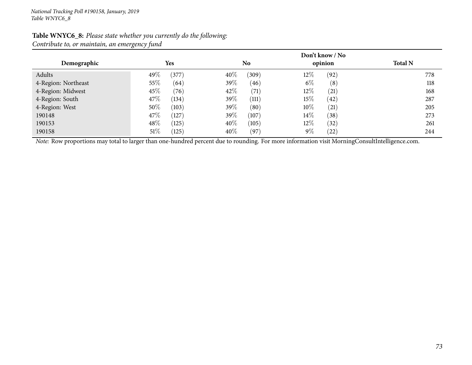| Demographic         | ັ<br>$\overline{\phantom{a}}$<br><b>Yes</b> | N <sub>0</sub>   | Don't know / No<br>opinion | <b>Total N</b> |
|---------------------|---------------------------------------------|------------------|----------------------------|----------------|
|                     |                                             |                  |                            |                |
| Adults              | 49%<br>(377)                                | 40\%<br>(309)    | $12\%$<br>(92)             | 778            |
| 4-Region: Northeast | 55%<br>(64)                                 | 39%<br>(46)      | $6\%$<br>(8)               | 118            |
| 4-Region: Midwest   | 45\%<br>(76)                                | 42\%<br>(71)     | $12\%$<br>(21)             | 168            |
| 4-Region: South     | 47\%<br>(134)                               | 39 $\%$<br>(111) | 15%<br>(42)                | 287            |
| 4-Region: West      | 50%<br>(103)                                | 39%<br>(80)      | $10\%$<br>(21)             | 205            |
| 190148              | 47\%<br>(127)                               | 39\%<br>(107)    | $14\%$<br>(38)             | 273            |
| 190153              | $48\%$<br>(125)                             | 40\%<br>(105)    | $12\%$<br>(32)             | 261            |
| 190158              | 51%<br>(125)                                | 40\%<br>(97)     | $9\%$<br>(22)              | 244            |

#### **Table WNYC6\_8:** *Please state whether you currently do the following: Contribute to, or maintain, an emergency fund*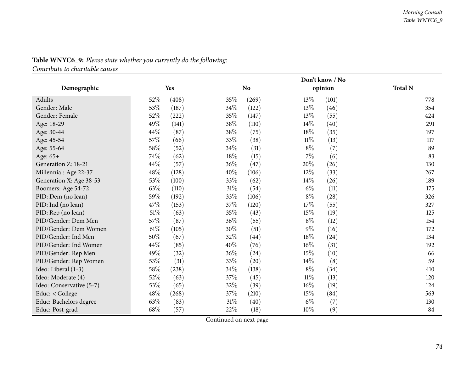|                          |        | Don't know / No |        |           |        |         |                |  |
|--------------------------|--------|-----------------|--------|-----------|--------|---------|----------------|--|
| Demographic              |        | Yes             |        | <b>No</b> |        | opinion | <b>Total N</b> |  |
| Adults                   | 52%    | (408)           | 35%    | (269)     | $13\%$ | (101)   | 778            |  |
| Gender: Male             | 53%    | (187)           | 34%    | (122)     | $13\%$ | (46)    | 354            |  |
| Gender: Female           | 52%    | (222)           | 35%    | (147)     | 13%    | (55)    | 424            |  |
| Age: 18-29               | 49%    | (141)           | 38%    | (110)     | 14\%   | (40)    | 291            |  |
| Age: 30-44               | 44%    | (87)            | 38%    | (75)      | 18%    | (35)    | 197            |  |
| Age: 45-54               | 57%    | (66)            | 33\%   | (38)      | $11\%$ | (13)    | 117            |  |
| Age: 55-64               | 58\%   | (52)            | 34%    | (31)      | $8\%$  | (7)     | 89             |  |
| Age: 65+                 | 74%    | (62)            | 18%    | (15)      | $7\%$  | (6)     | 83             |  |
| Generation Z: 18-21      | 44\%   | (57)            | 36%    | (47)      | 20%    | (26)    | 130            |  |
| Millennial: Age 22-37    | $48\%$ | (128)           | 40%    | (106)     | $12\%$ | (33)    | 267            |  |
| Generation X: Age 38-53  | 53%    | (100)           | 33%    | (62)      | 14\%   | (26)    | 189            |  |
| Boomers: Age 54-72       | 63%    | (110)           | $31\%$ | (54)      | $6\%$  | (11)    | 175            |  |
| PID: Dem (no lean)       | 59%    | (192)           | 33%    | (106)     | $8\%$  | (28)    | 326            |  |
| PID: Ind (no lean)       | 47%    | (153)           | 37%    | (120)     | 17%    | (55)    | 327            |  |
| PID: Rep (no lean)       | $51\%$ | (63)            | 35%    | (43)      | 15%    | (19)    | 125            |  |
| PID/Gender: Dem Men      | 57\%   | (87)            | 36%    | (55)      | $8\%$  | (12)    | 154            |  |
| PID/Gender: Dem Women    | $61\%$ | (105)           | 30%    | (51)      | $9\%$  | (16)    | 172            |  |
| PID/Gender: Ind Men      | 50%    | (67)            | 32%    | (44)      | 18%    | (24)    | 134            |  |
| PID/Gender: Ind Women    | 44%    | (85)            | 40%    | (76)      | $16\%$ | (31)    | 192            |  |
| PID/Gender: Rep Men      | 49%    | (32)            | 36%    | (24)      | 15%    | (10)    | 66             |  |
| PID/Gender: Rep Women    | $53\%$ | (31)            | 33%    | (20)      | 14\%   | (8)     | 59             |  |
| Ideo: Liberal (1-3)      | $58\%$ | (238)           | 34%    | (138)     | $8\%$  | (34)    | 410            |  |
| Ideo: Moderate (4)       | 52\%   | (63)            | 37%    | (45)      | $11\%$ | (13)    | 120            |  |
| Ideo: Conservative (5-7) | 53%    | (65)            | 32%    | (39)      | $16\%$ | (19)    | 124            |  |
| Educ: < College          | 48\%   | (268)           | 37\%   | (210)     | 15%    | (84)    | 563            |  |
| Educ: Bachelors degree   | 63%    | (83)            | $31\%$ | (40)      | $6\%$  | (7)     | 130            |  |
| Educ: Post-grad          | 68%    | (57)            | 22%    | (18)      | 10%    | (9)     | 84             |  |

## **Table WNYC6\_9:** *Please state whether you currently do the following:*

*Contribute to charitable causes*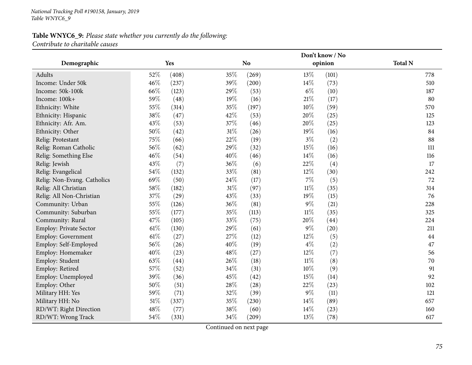## **Table WNYC6\_9:** *Please state whether you currently do the following: Contribute to charitable causes*

|                             |        |       |      |                |        | Don't know / No |                |
|-----------------------------|--------|-------|------|----------------|--------|-----------------|----------------|
| Demographic                 |        | Yes   |      | N <sub>o</sub> |        | opinion         | <b>Total N</b> |
| Adults                      | 52%    | (408) | 35%  | (269)          | 13%    | (101)           | 778            |
| Income: Under 50k           | 46%    | (237) | 39%  | (200)          | 14%    | (73)            | 510            |
| Income: 50k-100k            | 66%    | (123) | 29%  | (53)           | $6\%$  | (10)            | 187            |
| Income: 100k+               | 59%    | (48)  | 19%  | (16)           | $21\%$ | (17)            | 80             |
| Ethnicity: White            | 55%    | (314) | 35%  | (197)          | $10\%$ | (59)            | 570            |
| Ethnicity: Hispanic         | 38%    | (47)  | 42%  | (53)           | $20\%$ | (25)            | 125            |
| Ethnicity: Afr. Am.         | 43%    | (53)  | 37%  | (46)           | $20\%$ | (25)            | 123            |
| Ethnicity: Other            | 50%    | (42)  | 31%  | (26)           | 19%    | (16)            | 84             |
| Relig: Protestant           | 75%    | (66)  | 22%  | (19)           | $3\%$  | (2)             | 88             |
| Relig: Roman Catholic       | 56%    | (62)  | 29%  | (32)           | 15%    | (16)            | 111            |
| Relig: Something Else       | 46%    | (54)  | 40%  | (46)           | 14%    | (16)            | 116            |
| Relig: Jewish               | 43%    | (7)   | 36%  | (6)            | 22%    | (4)             | 17             |
| Relig: Evangelical          | $54\%$ | (132) | 33%  | (81)           | 12%    | (30)            | 242            |
| Relig: Non-Evang. Catholics | 69%    | (50)  | 24%  | (17)           | $7\%$  | (5)             | 72             |
| Relig: All Christian        | 58%    | (182) | 31%  | (97)           | $11\%$ | (35)            | 314            |
| Relig: All Non-Christian    | 37%    | (29)  | 43%  | (33)           | 19%    | (15)            | 76             |
| Community: Urban            | 55%    | (126) | 36%  | (81)           | $9\%$  | (21)            | 228            |
| Community: Suburban         | 55%    | (177) | 35%  | (113)          | $11\%$ | (35)            | 325            |
| Community: Rural            | 47%    | (105) | 33%  | (75)           | 20%    | (44)            | 224            |
| Employ: Private Sector      | $61\%$ | (130) | 29%  | (61)           | $9\%$  | (20)            | 211            |
| <b>Employ: Government</b>   | $61\%$ | (27)  | 27%  | (12)           | 12%    | (5)             | 44             |
| Employ: Self-Employed       | 56%    | (26)  | 40%  | (19)           | $4\%$  | (2)             | 47             |
| Employ: Homemaker           | 40%    | (23)  | 48%  | (27)           | $12\%$ | (7)             | 56             |
| Employ: Student             | 63%    | (44)  | 26%  | (18)           | $11\%$ | (8)             | 70             |
| Employ: Retired             | 57%    | (52)  | 34%  | (31)           | 10%    | (9)             | 91             |
| Employ: Unemployed          | 39%    | (36)  | 45%  | (42)           | 15%    | (14)            | 92             |
| Employ: Other               | 50%    | (51)  | 28\% | (28)           | 22%    | (23)            | 102            |
| Military HH: Yes            | 59%    | (71)  | 32\% | (39)           | $9\%$  | (11)            | 121            |
| Military HH: No             | $51\%$ | (337) | 35%  | (230)          | 14%    | (89)            | 657            |
| RD/WT: Right Direction      | 48%    | (77)  | 38%  | (60)           | 14%    | (23)            | 160            |
| RD/WT: Wrong Track          | 54%    | (331) | 34%  | (209)          | 13%    | (78)            | 617            |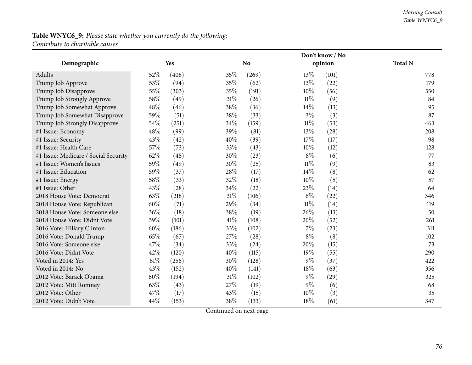## **Table WNYC6\_9:** *Please state whether you currently do the following: Contribute to charitable causes*

|                                      |        |            |      |                |        | Don't know / No |                |
|--------------------------------------|--------|------------|------|----------------|--------|-----------------|----------------|
| Demographic                          |        | <b>Yes</b> |      | N <sub>o</sub> |        | opinion         | <b>Total N</b> |
| Adults                               | 52%    | (408)      | 35%  | (269)          | $13\%$ | (101)           | 778            |
| Trump Job Approve                    | 53%    | (94)       | 35%  | (62)           | 13%    | (22)            | 179            |
| Trump Job Disapprove                 | 55%    | (303)      | 35%  | (191)          | $10\%$ | (56)            | 550            |
| Trump Job Strongly Approve           | 58%    | (49)       | 31%  | (26)           | $11\%$ | (9)             | 84             |
| Trump Job Somewhat Approve           | 48%    | (46)       | 38%  | (36)           | 14%    | (13)            | 95             |
| Trump Job Somewhat Disapprove        | 59%    | (51)       | 38%  | (33)           | $3\%$  | (3)             | 87             |
| Trump Job Strongly Disapprove        | 54%    | (251)      | 34%  | (159)          | $11\%$ | (53)            | 463            |
| #1 Issue: Economy                    | 48%    | (99)       | 39%  | (81)           | 13%    | (28)            | 208            |
| #1 Issue: Security                   | 43%    | (42)       | 40%  | (39)           | 17%    | (17)            | 98             |
| #1 Issue: Health Care                | 57%    | (73)       | 33%  | (43)           | 10%    | (12)            | 128            |
| #1 Issue: Medicare / Social Security | 62%    | (48)       | 30%  | (23)           | $8\%$  | (6)             | 77             |
| #1 Issue: Women's Issues             | 59%    | (49)       | 30%  | (25)           | $11\%$ | (9)             | 83             |
| #1 Issue: Education                  | 59%    | (37)       | 28%  | (17)           | 14%    | (8)             | 62             |
| #1 Issue: Energy                     | 58%    | (33)       | 32%  | (18)           | 10%    | (5)             | 57             |
| #1 Issue: Other                      | 43%    | (28)       | 34%  | (22)           | 23%    | (14)            | 64             |
| 2018 House Vote: Democrat            | 63%    | (218)      | 31%  | (106)          | $6\%$  | (22)            | 346            |
| 2018 House Vote: Republican          | 60%    | (71)       | 29%  | (34)           | $11\%$ | (14)            | 119            |
| 2018 House Vote: Someone else        | 36%    | (18)       | 38\% | (19)           | 26%    | (13)            | 50             |
| 2018 House Vote: Didnt Vote          | 39%    | (101)      | 41%  | (108)          | 20%    | (52)            | 261            |
| 2016 Vote: Hillary Clinton           | 60%    | (186)      | 33%  | (102)          | $7\%$  | (23)            | 311            |
| 2016 Vote: Donald Trump              | 65%    | (67)       | 27%  | (28)           | $8\%$  | (8)             | 102            |
| 2016 Vote: Someone else              | 47%    | (34)       | 33%  | (24)           | 20%    | (15)            | 73             |
| 2016 Vote: Didnt Vote                | 42%    | (120)      | 40%  | (115)          | 19%    | (55)            | 290            |
| Voted in 2014: Yes                   | $61\%$ | (256)      | 30%  | (128)          | $9\%$  | (37)            | 422            |
| Voted in 2014: No                    | 43%    | (152)      | 40%  | (141)          | 18%    | (63)            | 356            |
| 2012 Vote: Barack Obama              | 60%    | (194)      | 31%  | (102)          | $9\%$  | (29)            | 325            |
| 2012 Vote: Mitt Romney               | 63%    | (43)       | 27%  | (19)           | $9\%$  | (6)             | 68             |
| 2012 Vote: Other                     | 47%    | (17)       | 43%  | (15)           | 10%    | (3)             | 35             |
| 2012 Vote: Didn't Vote               | 44%    | (153)      | 38%  | (133)          | 18%    | (61)            | 347            |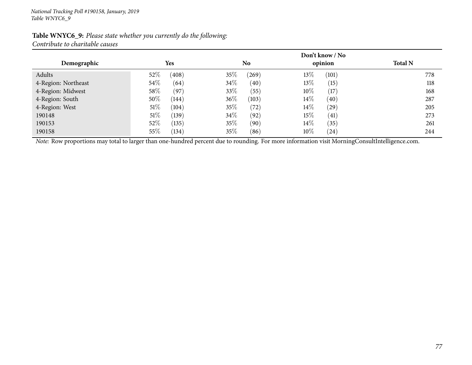| Table WNYC6_9: Please state whether you currently do the following: |  |
|---------------------------------------------------------------------|--|
| Contribute to charitable causes                                     |  |

|                     |                 |                 | Don't know / No |                |
|---------------------|-----------------|-----------------|-----------------|----------------|
| Demographic         | <b>Yes</b>      | N <sub>o</sub>  | opinion         | <b>Total N</b> |
| Adults              | $52\%$<br>(408) | $35\%$<br>(269) | $13\%$<br>(101) | 778            |
| 4-Region: Northeast | $54\%$<br>(64)  | 34\%<br>(40)    | $13\%$<br>(15)  | 118            |
| 4-Region: Midwest   | $58\%$<br>(97)  | 33\%<br>(55)    | 10\%<br>(17)    | 168            |
| 4-Region: South     | 50%<br>(144)    | $36\%$<br>(103) | $14\%$<br>(40)  | 287            |
| 4-Region: West      | $51\%$<br>(104) | 35\%<br>(72)    | $14\%$<br>(29)  | 205            |
| 190148              | $51\%$<br>(139) | 34\%<br>(92)    | 15\%<br>(41)    | 273            |
| 190153              | 52\%<br>(135)   | 35\%<br>(90)    | $14\%$<br>(35)  | 261            |
| 190158              | $55\%$<br>(134) | 35%<br>(86)     | $10\%$<br>(24)  | 244            |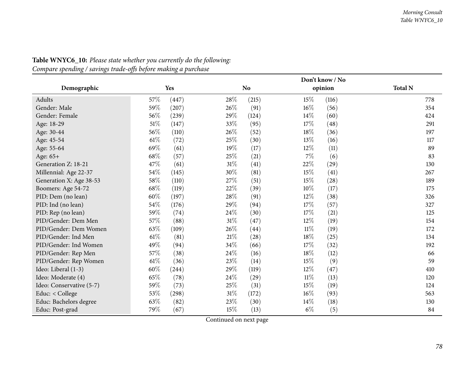|                          |        |       | Don't know / No |           |        |         |                |  |  |
|--------------------------|--------|-------|-----------------|-----------|--------|---------|----------------|--|--|
| Demographic              |        | Yes   |                 | <b>No</b> |        | opinion | <b>Total N</b> |  |  |
| Adults                   | 57\%   | (447) | 28%             | (215)     | 15%    | (116)   | 778            |  |  |
| Gender: Male             | 59%    | (207) | 26\%            | (91)      | $16\%$ | (56)    | 354            |  |  |
| Gender: Female           | 56%    | (239) | 29%             | (124)     | 14%    | (60)    | 424            |  |  |
| Age: 18-29               | 51\%   | (147) | 33\%            | (95)      | 17%    | (48)    | 291            |  |  |
| Age: 30-44               | 56\%   | (110) | 26%             | (52)      | 18%    | (36)    | 197            |  |  |
| Age: 45-54               | 61\%   | (72)  | 25%             | (30)      | 13%    | (16)    | 117            |  |  |
| Age: 55-64               | 69%    | (61)  | 19%             | (17)      | 12%    | (11)    | 89             |  |  |
| Age: 65+                 | 68%    | (57)  | 25\%            | (21)      | 7%     | (6)     | 83             |  |  |
| Generation Z: 18-21      | 47%    | (61)  | $31\%$          | (41)      | 22%    | (29)    | 130            |  |  |
| Millennial: Age 22-37    | 54\%   | (145) | 30%             | (81)      | 15%    | (41)    | 267            |  |  |
| Generation X: Age 38-53  | 58\%   | (110) | 27%             | (51)      | 15%    | (28)    | 189            |  |  |
| Boomers: Age 54-72       | 68\%   | (119) | 22%             | (39)      | 10%    | (17)    | 175            |  |  |
| PID: Dem (no lean)       | $60\%$ | (197) | 28%             | (91)      | 12%    | (38)    | 326            |  |  |
| PID: Ind (no lean)       | 54\%   | (176) | 29%             | (94)      | 17%    | (57)    | 327            |  |  |
| PID: Rep (no lean)       | 59%    | (74)  | 24%             | (30)      | 17%    | (21)    | 125            |  |  |
| PID/Gender: Dem Men      | 57%    | (88)  | $31\%$          | (47)      | 12%    | (19)    | 154            |  |  |
| PID/Gender: Dem Women    | 63%    | (109) | 26%             | (44)      | $11\%$ | (19)    | 172            |  |  |
| PID/Gender: Ind Men      | 61\%   | (81)  | $21\%$          | (28)      | 18%    | (25)    | 134            |  |  |
| PID/Gender: Ind Women    | 49%    | (94)  | 34%             | (66)      | 17%    | (32)    | 192            |  |  |
| PID/Gender: Rep Men      | 57%    | (38)  | 24%             | (16)      | 18%    | (12)    | 66             |  |  |
| PID/Gender: Rep Women    | $61\%$ | (36)  | 23%             | (14)      | 15%    | (9)     | 59             |  |  |
| Ideo: Liberal (1-3)      | $60\%$ | (244) | 29%             | (119)     | 12%    | (47)    | 410            |  |  |
| Ideo: Moderate (4)       | 65%    | (78)  | 24\%            | (29)      | $11\%$ | (13)    | 120            |  |  |
| Ideo: Conservative (5-7) | 59%    | (73)  | 25\%            | (31)      | 15%    | (19)    | 124            |  |  |
| Educ: $<$ College        | 53%    | (298) | $31\%$          | (172)     | $16\%$ | (93)    | 563            |  |  |
| Educ: Bachelors degree   | 63%    | (82)  | 23\%            | (30)      | 14%    | (18)    | 130            |  |  |
| Educ: Post-grad          | 79%    | (67)  | 15%             | (13)      | $6\%$  | (5)     | 84             |  |  |

## **Table WNYC6\_10:** *Please state whether you currently do the following: Compare spending / savings trade-offs before making <sup>a</sup> purchase*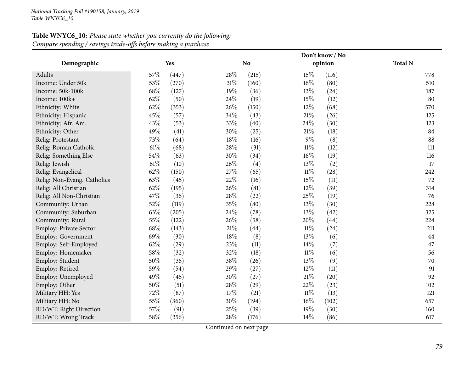| Table WNYC6_10: Please state whether you currently do the following: |
|----------------------------------------------------------------------|
| Compare spending / savings trade-offs before making a purchase       |

|                             |        |       |        |                |        | Don't know / No |                |
|-----------------------------|--------|-------|--------|----------------|--------|-----------------|----------------|
| Demographic                 |        | Yes   |        | N <sub>o</sub> |        | opinion         | <b>Total N</b> |
| Adults                      | 57%    | (447) | 28%    | (215)          | 15%    | (116)           | 778            |
| Income: Under 50k           | 53%    | (270) | $31\%$ | (160)          | 16%    | (80)            | 510            |
| Income: 50k-100k            | 68%    | (127) | 19%    | (36)           | 13%    | (24)            | 187            |
| Income: 100k+               | 62%    | (50)  | 24\%   | (19)           | 15%    | (12)            | 80             |
| Ethnicity: White            | 62%    | (353) | 26%    | (150)          | 12%    | (68)            | 570            |
| Ethnicity: Hispanic         | 45%    | (57)  | 34\%   | (43)           | $21\%$ | (26)            | 125            |
| Ethnicity: Afr. Am.         | 43%    | (53)  | 33%    | (40)           | 24%    | (30)            | 123            |
| Ethnicity: Other            | 49%    | (41)  | 30%    | (25)           | $21\%$ | (18)            | 84             |
| Relig: Protestant           | 73%    | (64)  | $18\%$ | (16)           | $9\%$  | (8)             | 88             |
| Relig: Roman Catholic       | $61\%$ | (68)  | 28%    | (31)           | $11\%$ | (12)            | 111            |
| Relig: Something Else       | 54%    | (63)  | 30%    | (34)           | $16\%$ | (19)            | 116            |
| Relig: Jewish               | $61\%$ | (10)  | 26%    | (4)            | 13%    | (2)             | 17             |
| Relig: Evangelical          | 62%    | (150) | 27%    | (65)           | $11\%$ | (28)            | 242            |
| Relig: Non-Evang. Catholics | 63%    | (45)  | 22%    | (16)           | 15%    | (11)            | 72             |
| Relig: All Christian        | 62%    | (195) | 26%    | (81)           | 12%    | (39)            | 314            |
| Relig: All Non-Christian    | 47%    | (36)  | 28%    | (22)           | 25%    | (19)            | 76             |
| Community: Urban            | 52%    | (119) | 35%    | (80)           | $13\%$ | (30)            | 228            |
| Community: Suburban         | 63%    | (205) | 24\%   | (78)           | 13%    | (42)            | 325            |
| Community: Rural            | 55%    | (122) | 26%    | (58)           | 20%    | (44)            | 224            |
| Employ: Private Sector      | 68\%   | (143) | 21%    | (44)           | $11\%$ | (24)            | 211            |
| Employ: Government          | 69%    | (30)  | $18\%$ | (8)            | 13%    | (6)             | 44             |
| Employ: Self-Employed       | 62%    | (29)  | 23%    | (11)           | 14\%   | (7)             | 47             |
| Employ: Homemaker           | 58%    | (32)  | 32%    | (18)           | $11\%$ | (6)             | 56             |
| Employ: Student             | 50%    | (35)  | 38%    | (26)           | 13%    | (9)             | 70             |
| Employ: Retired             | 59%    | (54)  | 29%    | (27)           | 12%    | (11)            | 91             |
| Employ: Unemployed          | 49%    | (45)  | 30%    | (27)           | $21\%$ | (20)            | 92             |
| Employ: Other               | 50%    | (51)  | 28\%   | (29)           | 22%    | (23)            | 102            |
| Military HH: Yes            | 72%    | (87)  | $17\%$ | (21)           | $11\%$ | (13)            | 121            |
| Military HH: No             | 55%    | (360) | 30%    | (194)          | $16\%$ | (102)           | 657            |
| RD/WT: Right Direction      | 57%    | (91)  | 25%    | (39)           | 19%    | (30)            | 160            |
| RD/WT: Wrong Track          | 58%    | (356) | 28%    | (176)          | 14%    | (86)            | 617            |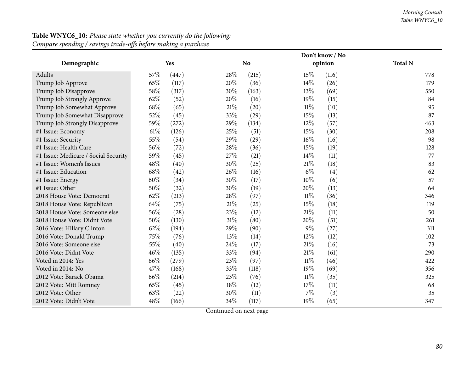|                                      |     |       |        |           |        | Don't know / No |                |
|--------------------------------------|-----|-------|--------|-----------|--------|-----------------|----------------|
| Demographic                          |     | Yes   |        | <b>No</b> |        | opinion         | <b>Total N</b> |
| Adults                               | 57% | (447) | 28\%   | (215)     | 15%    | (116)           | 778            |
| Trump Job Approve                    | 65% | (117) | 20%    | (36)      | 14\%   | (26)            | 179            |
| Trump Job Disapprove                 | 58% | (317) | 30%    | (163)     | 13%    | (69)            | 550            |
| Trump Job Strongly Approve           | 62% | (52)  | 20%    | (16)      | 19%    | (15)            | 84             |
| Trump Job Somewhat Approve           | 68% | (65)  | $21\%$ | (20)      | $11\%$ | (10)            | 95             |
| Trump Job Somewhat Disapprove        | 52% | (45)  | 33%    | (29)      | 15%    | (13)            | 87             |
| Trump Job Strongly Disapprove        | 59% | (272) | 29%    | (134)     | 12%    | (57)            | 463            |
| #1 Issue: Economy                    | 61% | (126) | 25%    | (51)      | 15%    | (30)            | 208            |
| #1 Issue: Security                   | 55% | (54)  | 29%    | (29)      | $16\%$ | (16)            | 98             |
| #1 Issue: Health Care                | 56% | (72)  | 28\%   | (36)      | 15%    | (19)            | 128            |
| #1 Issue: Medicare / Social Security | 59% | (45)  | 27%    | (21)      | 14\%   | (11)            | 77             |
| #1 Issue: Women's Issues             | 48% | (40)  | 30%    | (25)      | 21%    | (18)            | 83             |
| #1 Issue: Education                  | 68% | (42)  | $26\%$ | (16)      | $6\%$  | (4)             | 62             |
| #1 Issue: Energy                     | 60% | (34)  | 30%    | (17)      | 10%    | (6)             | 57             |
| #1 Issue: Other                      | 50% | (32)  | 30%    | (19)      | 20%    | (13)            | 64             |
| 2018 House Vote: Democrat            | 62% | (213) | 28%    | (97)      | $11\%$ | (36)            | 346            |
| 2018 House Vote: Republican          | 64% | (75)  | $21\%$ | (25)      | 15%    | (18)            | 119            |
| 2018 House Vote: Someone else        | 56% | (28)  | 23%    | (12)      | 21%    | (11)            | 50             |
| 2018 House Vote: Didnt Vote          | 50% | (130) | $31\%$ | (80)      | 20%    | (51)            | 261            |
| 2016 Vote: Hillary Clinton           | 62% | (194) | 29%    | (90)      | $9\%$  | (27)            | 311            |
| 2016 Vote: Donald Trump              | 75% | (76)  | 13\%   | (14)      | 12%    | (12)            | 102            |
| 2016 Vote: Someone else              | 55% | (40)  | 24\%   | (17)      | 21%    | (16)            | 73             |
| 2016 Vote: Didnt Vote                | 46% | (135) | 33%    | (94)      | $21\%$ | (61)            | 290            |
| Voted in 2014: Yes                   | 66% | (279) | 23%    | (97)      | $11\%$ | (46)            | 422            |
| Voted in 2014: No                    | 47% | (168) | 33%    | (118)     | 19%    | (69)            | 356            |
| 2012 Vote: Barack Obama              | 66% | (214) | 23%    | (76)      | $11\%$ | (35)            | 325            |
| 2012 Vote: Mitt Romney               | 65% | (45)  | 18%    | (12)      | 17%    | (11)            | 68             |
| 2012 Vote: Other                     | 63% | (22)  | 30%    | (11)      | $7\%$  | (3)             | 35             |
| 2012 Vote: Didn't Vote               | 48% | (166) | 34%    | (117)     | 19%    | (65)            | 347            |

## **Table WNYC6\_10:** *Please state whether you currently do the following:*

*Compare spending / savings trade-offs before making <sup>a</sup> purchase*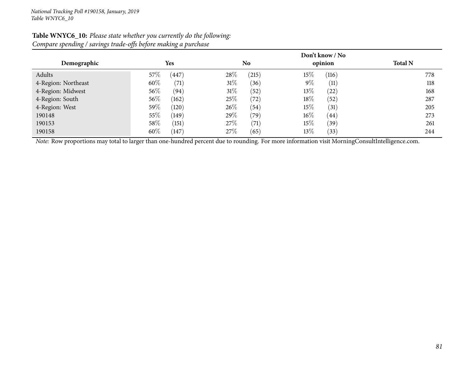| $\bullet$<br>$\bullet$ | ມ<br>$\circ$<br>$\mathbf{I}$ |                | Don't know / No |                |
|------------------------|------------------------------|----------------|-----------------|----------------|
| Demographic            | <b>Yes</b>                   | N <sub>0</sub> | opinion         | <b>Total N</b> |
| Adults                 | (447)<br>$57\%$              | 28%<br>(215)   | $15\%$<br>(116) | 778            |
| 4-Region: Northeast    | 60%<br>(71)                  | 31%<br>(36)    | $9\%$<br>(11)   | 118            |
| 4-Region: Midwest      | 56\%<br>(94)                 | 31%<br>(52)    | $13\%$<br>(22)  | 168            |
| 4-Region: South        | 56\%<br>(162)                | 25%<br>(72)    | 18\%<br>(52)    | 287            |
| 4-Region: West         | 59%<br>(120)                 | 26%<br>(54)    | 15%<br>(31)     | 205            |
| 190148                 | $55\%$<br>(149)              | 29%<br>(79)    | $16\%$<br>(44)  | 273            |
| 190153                 | 58\%<br>(151)                | 27\%<br>(71)   | $15\%$<br>(39)  | 261            |
| 190158                 | 60%<br>(147)                 | 27\%<br>(65)   | $13\%$<br>(33)  | 244            |

#### **Table WNYC6\_10:** *Please state whether you currently do the following: Compare spending / savings trade-offs before making <sup>a</sup> purchase*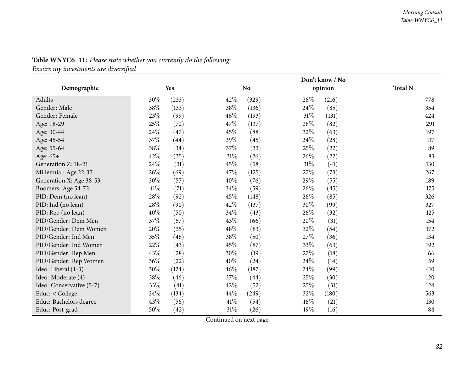|                          |        |       |        |                |        | Don't know / No |                |
|--------------------------|--------|-------|--------|----------------|--------|-----------------|----------------|
| Demographic              |        | Yes   |        | N <sub>o</sub> |        | opinion         | <b>Total N</b> |
| Adults                   | 30%    | (233) | 42%    | (329)          | 28\%   | (216)           | 778            |
| Gender: Male             | 38%    | (133) | 38%    | (136)          | 24\%   | (85)            | 354            |
| Gender: Female           | 23\%   | (99)  | 46%    | (193)          | $31\%$ | (131)           | 424            |
| Age: 18-29               | 25%    | (72)  | 47%    | (137)          | 28%    | (82)            | 291            |
| Age: 30-44               | 24%    | (47)  | 45%    | (88)           | 32%    | (63)            | 197            |
| Age: 45-54               | 37%    | (44)  | 39%    | (45)           | 24\%   | (28)            | 117            |
| Age: 55-64               | 38%    | (34)  | 37%    | (33)           | 25%    | (22)            | 89             |
| Age: 65+                 | 42%    | (35)  | $31\%$ | (26)           | 26%    | (22)            | 83             |
| Generation Z: 18-21      | 24%    | (31)  | 45%    | (58)           | $31\%$ | (41)            | 130            |
| Millennial: Age 22-37    | 26%    | (69)  | 47%    | (125)          | 27%    | (73)            | 267            |
| Generation X: Age 38-53  | $30\%$ | (57)  | 40%    | (76)           | 29%    | (55)            | 189            |
| Boomers: Age 54-72       | 41\%   | (71)  | 34%    | (59)           | 26%    | (45)            | 175            |
| PID: Dem (no lean)       | 28%    | (92)  | 45%    | (148)          | 26%    | (85)            | 326            |
| PID: Ind (no lean)       | 28\%   | (90)  | 42%    | (137)          | 30%    | (99)            | 327            |
| PID: Rep (no lean)       | 40%    | (50)  | 34%    | (43)           | 26%    | (32)            | 125            |
| PID/Gender: Dem Men      | 37%    | (57)  | 43%    | (66)           | 20%    | (31)            | 154            |
| PID/Gender: Dem Women    | 20%    | (35)  | 48%    | (83)           | 32%    | (54)            | 172            |
| PID/Gender: Ind Men      | 35%    | (48)  | 38%    | (50)           | 27%    | (36)            | 134            |
| PID/Gender: Ind Women    | $22\%$ | (43)  | 45%    | (87)           | 33%    | (63)            | 192            |
| PID/Gender: Rep Men      | 43%    | (28)  | 30%    | (19)           | 27%    | (18)            | 66             |
| PID/Gender: Rep Women    | 36%    | (22)  | 40%    | (24)           | 24\%   | (14)            | 59             |
| Ideo: Liberal (1-3)      | 30%    | (124) | 46%    | (187)          | 24\%   | (99)            | 410            |
| Ideo: Moderate (4)       | $38\%$ | (46)  | 37%    | (44)           | 25%    | (30)            | 120            |
| Ideo: Conservative (5-7) | 33%    | (41)  | 42%    | (52)           | 25%    | (31)            | 124            |
| Educ: < College          | 24\%   | (134) | 44\%   | (249)          | 32%    | (180)           | 563            |
| Educ: Bachelors degree   | 43%    | (56)  | 41\%   | (54)           | $16\%$ | (21)            | 130            |
| Educ: Post-grad          | 50%    | (42)  | 31%    | (26)           | 19%    | (16)            | 84             |

# **Table WNYC6\_11:** *Please state whether you currently do the following:*

*Ensure my investments are diversified*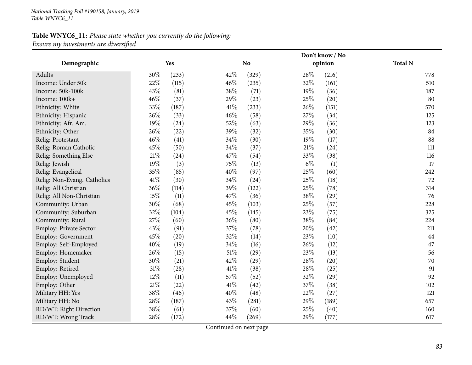## **Table WNYC6\_11:** *Please state whether you currently do the following: Ensure my investments are diversified*

|                             |        | Don't know / No |        |                |        |         |                |  |
|-----------------------------|--------|-----------------|--------|----------------|--------|---------|----------------|--|
| Demographic                 |        | <b>Yes</b>      |        | N <sub>o</sub> |        | opinion | <b>Total N</b> |  |
| Adults                      | 30%    | (233)           | 42%    | (329)          | 28%    | (216)   | 778            |  |
| Income: Under 50k           | 22%    | (115)           | 46%    | (235)          | 32%    | (161)   | 510            |  |
| Income: 50k-100k            | 43%    | (81)            | 38%    | (71)           | 19%    | (36)    | 187            |  |
| Income: 100k+               | 46%    | (37)            | 29%    | (23)           | 25%    | (20)    | 80             |  |
| Ethnicity: White            | 33%    | (187)           | 41\%   | (233)          | 26%    | (151)   | 570            |  |
| Ethnicity: Hispanic         | 26%    | (33)            | 46%    | (58)           | 27%    | (34)    | 125            |  |
| Ethnicity: Afr. Am.         | 19%    | (24)            | 52%    | (63)           | 29%    | (36)    | 123            |  |
| Ethnicity: Other            | 26%    | (22)            | 39%    | (32)           | 35%    | (30)    | 84             |  |
| Relig: Protestant           | 46%    | (41)            | 34%    | (30)           | 19%    | (17)    | 88             |  |
| Relig: Roman Catholic       | 45%    | (50)            | 34%    | (37)           | $21\%$ | (24)    | 111            |  |
| Relig: Something Else       | 21%    | (24)            | 47%    | (54)           | 33%    | (38)    | 116            |  |
| Relig: Jewish               | 19%    | (3)             | 75%    | (13)           | $6\%$  | (1)     | 17             |  |
| Relig: Evangelical          | 35%    | (85)            | 40%    | (97)           | 25%    | (60)    | 242            |  |
| Relig: Non-Evang. Catholics | 41\%   | (30)            | 34%    | (24)           | 25%    | (18)    | 72             |  |
| Relig: All Christian        | 36%    | (114)           | 39%    | (122)          | 25%    | (78)    | 314            |  |
| Relig: All Non-Christian    | 15%    | (11)            | 47%    | (36)           | 38%    | (29)    | 76             |  |
| Community: Urban            | 30%    | (68)            | 45%    | (103)          | 25%    | (57)    | 228            |  |
| Community: Suburban         | 32%    | (104)           | 45%    | (145)          | 23%    | (75)    | 325            |  |
| Community: Rural            | 27%    | (60)            | 36%    | (80)           | 38\%   | (84)    | 224            |  |
| Employ: Private Sector      | 43%    | (91)            | 37%    | (78)           | 20%    | (42)    | 211            |  |
| Employ: Government          | 45%    | (20)            | 32%    | (14)           | 23%    | (10)    | 44             |  |
| Employ: Self-Employed       | 40%    | (19)            | 34%    | (16)           | 26%    | (12)    | 47             |  |
| Employ: Homemaker           | 26%    | (15)            | $51\%$ | (29)           | 23%    | (13)    | 56             |  |
| Employ: Student             | 30%    | (21)            | 42%    | (29)           | 28%    | (20)    | 70             |  |
| Employ: Retired             | $31\%$ | (28)            | 41%    | (38)           | 28\%   | (25)    | 91             |  |
| Employ: Unemployed          | 12%    | (11)            | 57%    | (52)           | 32%    | (29)    | 92             |  |
| Employ: Other               | $21\%$ | (22)            | 41\%   | (42)           | 37%    | (38)    | 102            |  |
| Military HH: Yes            | 38%    | (46)            | 40%    | (48)           | 22%    | (27)    | 121            |  |
| Military HH: No             | 28%    | (187)           | 43%    | (281)          | 29%    | (189)   | 657            |  |
| RD/WT: Right Direction      | 38%    | (61)            | 37%    | (60)           | 25%    | (40)    | 160            |  |
| RD/WT: Wrong Track          | 28\%   | (172)           | 44%    | (269)          | 29%    | (177)   | 617            |  |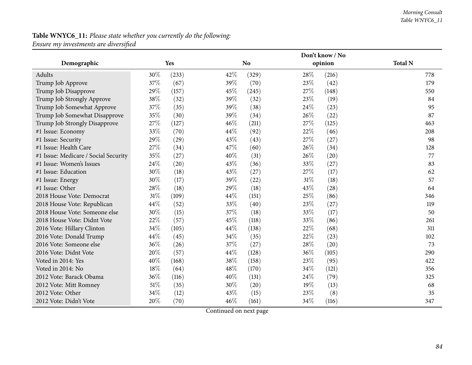#### *Morning Consult Table WNYC6\_11*

## **Table WNYC6\_11:** *Please state whether you currently do the following: Ensure my investments are diversified*

|                                      |        |       |      |           |        | Don't know / No |                |
|--------------------------------------|--------|-------|------|-----------|--------|-----------------|----------------|
| Demographic                          |        | Yes   |      | <b>No</b> |        | opinion         | <b>Total N</b> |
| Adults                               | 30%    | (233) | 42\% | (329)     | 28%    | (216)           | 778            |
| Trump Job Approve                    | 37%    | (67)  | 39%  | (70)      | 23%    | (42)            | 179            |
| Trump Job Disapprove                 | 29%    | (157) | 45%  | (245)     | 27\%   | (148)           | 550            |
| Trump Job Strongly Approve           | 38%    | (32)  | 39%  | (32)      | 23\%   | (19)            | 84             |
| Trump Job Somewhat Approve           | 37%    | (35)  | 39%  | (38)      | 24\%   | (23)            | 95             |
| Trump Job Somewhat Disapprove        | 35%    | (30)  | 39%  | (34)      | 26%    | (22)            | 87             |
| Trump Job Strongly Disapprove        | 27%    | (127) | 46%  | (211)     | 27%    | (125)           | 463            |
| #1 Issue: Economy                    | 33%    | (70)  | 44\% | (92)      | 22%    | (46)            | 208            |
| #1 Issue: Security                   | 29%    | (29)  | 43%  | (43)      | 27\%   | (27)            | 98             |
| #1 Issue: Health Care                | 27%    | (34)  | 47%  | (60)      | 26%    | (34)            | 128            |
| #1 Issue: Medicare / Social Security | 35%    | (27)  | 40%  | (31)      | 26%    | (20)            | 77             |
| #1 Issue: Women's Issues             | 24%    | (20)  | 43%  | (36)      | 33%    | (27)            | 83             |
| #1 Issue: Education                  | 30%    | (18)  | 43\% | (27)      | 27\%   | (17)            | 62             |
| #1 Issue: Energy                     | 30%    | (17)  | 39%  | (22)      | $31\%$ | (18)            | 57             |
| #1 Issue: Other                      | 28%    | (18)  | 29%  | (18)      | 43%    | (28)            | 64             |
| 2018 House Vote: Democrat            | $31\%$ | (109) | 44\% | (151)     | 25%    | (86)            | 346            |
| 2018 House Vote: Republican          | 44%    | (52)  | 33%  | (40)      | 23%    | (27)            | 119            |
| 2018 House Vote: Someone else        | 30%    | (15)  | 37\% | (18)      | 33%    | (17)            | 50             |
| 2018 House Vote: Didnt Vote          | 22%    | (57)  | 45\% | (118)     | 33%    | (86)            | 261            |
| 2016 Vote: Hillary Clinton           | 34%    | (105) | 44%  | (138)     | 22%    | (68)            | 311            |
| 2016 Vote: Donald Trump              | 44%    | (45)  | 34%  | (35)      | 22%    | (23)            | 102            |
| 2016 Vote: Someone else              | 36%    | (26)  | 37%  | (27)      | 28%    | (20)            | 73             |
| 2016 Vote: Didnt Vote                | 20%    | (57)  | 44%  | (128)     | 36%    | (105)           | 290            |
| Voted in 2014: Yes                   | 40%    | (168) | 38%  | (158)     | 23%    | (95)            | 422            |
| Voted in 2014: No                    | 18%    | (64)  | 48\% | (170)     | 34\%   | (121)           | 356            |
| 2012 Vote: Barack Obama              | 36%    | (116) | 40%  | (131)     | 24\%   | (79)            | 325            |
| 2012 Vote: Mitt Romney               | 51%    | (35)  | 30%  | (20)      | 19%    | (13)            | 68             |
| 2012 Vote: Other                     | 34%    | (12)  | 43%  | (15)      | 23%    | (8)             | 35             |
| 2012 Vote: Didn't Vote               | 20%    | (70)  | 46%  | (161)     | 34\%   | (116)           | 347            |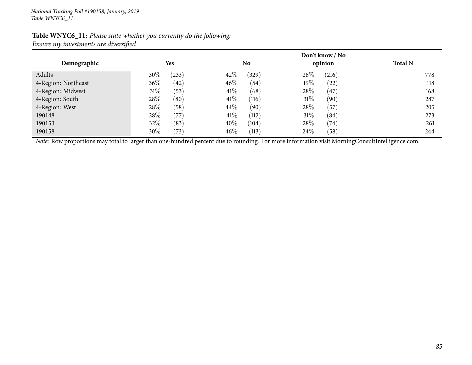#### **Table WNYC6\_11:** *Please state whether you currently do the following: Ensure my investments are diversified*

|                     |        |            | Don't know / No |                |        |          |                |
|---------------------|--------|------------|-----------------|----------------|--------|----------|----------------|
| Demographic         |        | <b>Yes</b> |                 | N <sub>0</sub> |        | opinion  | <b>Total N</b> |
| Adults              | $30\%$ | (233)      | 42\%            | (329)          | 28\%   | (216)    | 778            |
| 4-Region: Northeast | 36\%   | (42)       | $46\%$          | (54)           | $19\%$ | (22)     | 118            |
| 4-Region: Midwest   | $31\%$ | (53)       | $41\%$          | (68)           | 28\%   | $^{'}47$ | 168            |
| 4-Region: South     | 28\%   | (80)       | 41%             | (116)          | $31\%$ | (90)     | 287            |
| 4-Region: West      | 28\%   | (58)       | $44\%$          | (90)           | 28\%   | (57      | 205            |
| 190148              | 28\%   | (77)       | 41\%            | (112)          | $31\%$ | (84)     | 273            |
| 190153              | 32\%   | (83)       | $40\%$          | (104)          | 28\%   | (74)     | 261            |
| 190158              | $30\%$ | (73)       | $46\%$          | (113)          | 24\%   | (58)     | 244            |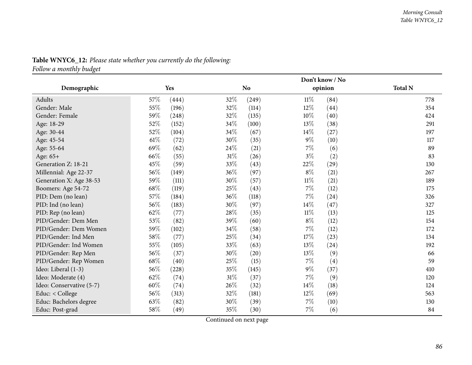|                          |        |       |        |           |        | Don't know / No |                |
|--------------------------|--------|-------|--------|-----------|--------|-----------------|----------------|
| Demographic              |        | Yes   |        | <b>No</b> |        | opinion         | <b>Total N</b> |
| Adults                   | 57%    | (444) | 32\%   | (249)     | $11\%$ | (84)            | 778            |
| Gender: Male             | 55%    | (196) | 32%    | (114)     | 12%    | (44)            | 354            |
| Gender: Female           | 59%    | (248) | 32%    | (135)     | $10\%$ | (40)            | 424            |
| Age: 18-29               | 52\%   | (152) | 34%    | (100)     | 13%    | (38)            | 291            |
| Age: 30-44               | 52%    | (104) | 34%    | (67)      | $14\%$ | (27)            | 197            |
| Age: 45-54               | $61\%$ | (72)  | 30%    | (35)      | $9\%$  | (10)            | 117            |
| Age: 55-64               | 69%    | (62)  | 24\%   | (21)      | 7%     | (6)             | 89             |
| Age: 65+                 | 66%    | (55)  | $31\%$ | (26)      | $3\%$  | (2)             | 83             |
| Generation Z: 18-21      | 45%    | (59)  | 33%    | (43)      | 22%    | (29)            | 130            |
| Millennial: Age 22-37    | 56%    | (149) | 36%    | (97)      | $8\%$  | (21)            | 267            |
| Generation X: Age 38-53  | 59%    | (111) | 30%    | (57)      | $11\%$ | (21)            | 189            |
| Boomers: Age 54-72       | $68\%$ | (119) | 25%    | (43)      | $7\%$  | (12)            | 175            |
| PID: Dem (no lean)       | 57\%   | (184) | 36%    | (118)     | 7%     | (24)            | 326            |
| PID: Ind (no lean)       | 56\%   | (183) | 30%    | (97)      | $14\%$ | (47)            | 327            |
| PID: Rep (no lean)       | 62%    | (77)  | 28\%   | (35)      | $11\%$ | (13)            | 125            |
| PID/Gender: Dem Men      | 53%    | (82)  | 39%    | (60)      | $8\%$  | (12)            | 154            |
| PID/Gender: Dem Women    | 59%    | (102) | 34\%   | (58)      | 7%     | (12)            | 172            |
| PID/Gender: Ind Men      | 58\%   | (77)  | 25%    | (34)      | 17%    | (23)            | 134            |
| PID/Gender: Ind Women    | 55%    | (105) | 33%    | (63)      | 13%    | (24)            | 192            |
| PID/Gender: Rep Men      | $56\%$ | (37)  | 30%    | (20)      | 13%    | (9)             | 66             |
| PID/Gender: Rep Women    | 68\%   | (40)  | 25%    | (15)      | 7%     | (4)             | 59             |
| Ideo: Liberal (1-3)      | 56\%   | (228) | 35\%   | (145)     | $9\%$  | (37)            | 410            |
| Ideo: Moderate (4)       | 62%    | (74)  | $31\%$ | (37)      | 7%     | (9)             | 120            |
| Ideo: Conservative (5-7) | $60\%$ | (74)  | 26\%   | (32)      | $14\%$ | (18)            | 124            |
| Educ: < College          | 56%    | (313) | 32%    | (181)     | 12%    | (69)            | 563            |
| Educ: Bachelors degree   | 63%    | (82)  | 30%    | (39)      | $7\%$  | (10)            | 130            |
| Educ: Post-grad          | 58\%   | (49)  | 35%    | (30)      | 7%     | (6)             | 84             |

# **Table WNYC6\_12:** *Please state whether you currently do the following:*

*Follow <sup>a</sup> monthly budget*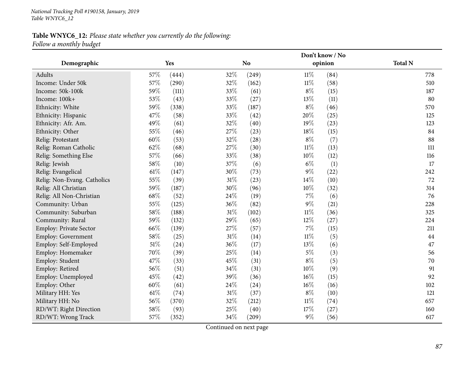## **Table WNYC6\_12:** *Please state whether you currently do the following: Follow <sup>a</sup> monthly budget*

|                             |        |       | Don't know / No |                |        |         |                |
|-----------------------------|--------|-------|-----------------|----------------|--------|---------|----------------|
| Demographic                 |        | Yes   |                 | N <sub>o</sub> |        | opinion | <b>Total N</b> |
| Adults                      | 57%    | (444) | 32%             | (249)          | $11\%$ | (84)    | 778            |
| Income: Under 50k           | 57%    | (290) | 32%             | (162)          | $11\%$ | (58)    | 510            |
| Income: 50k-100k            | 59%    | (111) | 33%             | (61)           | $8\%$  | (15)    | 187            |
| Income: 100k+               | 53%    | (43)  | 33%             | (27)           | 13%    | (11)    | 80             |
| Ethnicity: White            | 59%    | (338) | 33%             | (187)          | $8\%$  | (46)    | 570            |
| Ethnicity: Hispanic         | 47%    | (58)  | 33%             | (42)           | 20%    | (25)    | 125            |
| Ethnicity: Afr. Am.         | 49%    | (61)  | 32%             | (40)           | 19%    | (23)    | 123            |
| Ethnicity: Other            | 55%    | (46)  | 27%             | (23)           | 18%    | (15)    | 84             |
| Relig: Protestant           | 60%    | (53)  | 32%             | (28)           | $8\%$  | (7)     | 88             |
| Relig: Roman Catholic       | 62%    | (68)  | 27%             | (30)           | $11\%$ | (13)    | 111            |
| Relig: Something Else       | 57%    | (66)  | 33%             | (38)           | 10%    | (12)    | 116            |
| Relig: Jewish               | 58%    | (10)  | 37%             | (6)            | $6\%$  | (1)     | 17             |
| Relig: Evangelical          | 61\%   | (147) | 30%             | (73)           | $9\%$  | (22)    | 242            |
| Relig: Non-Evang. Catholics | 55%    | (39)  | $31\%$          | (23)           | 14%    | (10)    | 72             |
| Relig: All Christian        | 59%    | (187) | 30%             | (96)           | $10\%$ | (32)    | 314            |
| Relig: All Non-Christian    | 68%    | (52)  | 24%             | (19)           | $7\%$  | (6)     | 76             |
| Community: Urban            | 55%    | (125) | 36%             | (82)           | $9\%$  | (21)    | 228            |
| Community: Suburban         | 58%    | (188) | $31\%$          | (102)          | $11\%$ | (36)    | 325            |
| Community: Rural            | 59%    | (132) | 29%             | (65)           | 12%    | (27)    | 224            |
| Employ: Private Sector      | 66%    | (139) | 27%             | (57)           | $7\%$  | (15)    | 211            |
| <b>Employ: Government</b>   | 58%    | (25)  | $31\%$          | (14)           | $11\%$ | (5)     | 44             |
| Employ: Self-Employed       | $51\%$ | (24)  | 36%             | (17)           | 13%    | (6)     | 47             |
| Employ: Homemaker           | 70%    | (39)  | 25%             | (14)           | $5\%$  | (3)     | 56             |
| Employ: Student             | 47%    | (33)  | 45%             | (31)           | $8\%$  | (5)     | 70             |
| Employ: Retired             | 56%    | (51)  | 34%             | (31)           | 10%    | (9)     | 91             |
| Employ: Unemployed          | 45%    | (42)  | 39%             | (36)           | $16\%$ | (15)    | 92             |
| Employ: Other               | 60%    | (61)  | 24\%            | (24)           | $16\%$ | (16)    | 102            |
| Military HH: Yes            | 61%    | (74)  | $31\%$          | (37)           | $8\%$  | (10)    | 121            |
| Military HH: No             | 56%    | (370) | 32%             | (212)          | $11\%$ | (74)    | 657            |
| RD/WT: Right Direction      | 58%    | (93)  | 25%             | (40)           | 17%    | (27)    | 160            |
| RD/WT: Wrong Track          | 57%    | (352) | 34%             | (209)          | $9\%$  | (56)    | 617            |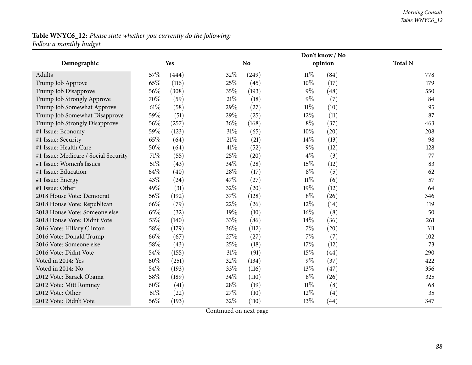#### *Morning Consult Table WNYC6\_12*

## **Table WNYC6\_12:** *Please state whether you currently do the following: Follow <sup>a</sup> monthly budget*

|                                      |        |            |        |           |        | Don't know / No |                |
|--------------------------------------|--------|------------|--------|-----------|--------|-----------------|----------------|
| Demographic                          |        | <b>Yes</b> |        | <b>No</b> |        | opinion         | <b>Total N</b> |
| Adults                               | 57\%   | (444)      | 32%    | (249)     | $11\%$ | (84)            | 778            |
| Trump Job Approve                    | 65\%   | (116)      | 25\%   | (45)      | 10%    | (17)            | 179            |
| Trump Job Disapprove                 | 56%    | (308)      | 35%    | (193)     | $9\%$  | (48)            | 550            |
| Trump Job Strongly Approve           | 70%    | (59)       | 21\%   | (18)      | $9\%$  | (7)             | 84             |
| Trump Job Somewhat Approve           | 61\%   | (58)       | 29%    | (27)      | $11\%$ | (10)            | 95             |
| Trump Job Somewhat Disapprove        | 59%    | (51)       | 29%    | (25)      | $12\%$ | (11)            | 87             |
| Trump Job Strongly Disapprove        | 56%    | (257)      | 36%    | (168)     | $8\%$  | (37)            | 463            |
| #1 Issue: Economy                    | 59%    | (123)      | $31\%$ | (65)      | $10\%$ | (20)            | 208            |
| #1 Issue: Security                   | 65%    | (64)       | $21\%$ | (21)      | 14\%   | (13)            | 98             |
| #1 Issue: Health Care                | $50\%$ | (64)       | $41\%$ | (52)      | $9\%$  | (12)            | 128            |
| #1 Issue: Medicare / Social Security | $71\%$ | (55)       | 25%    | (20)      | $4\%$  | (3)             | 77             |
| #1 Issue: Women's Issues             | 51%    | (43)       | 34%    | (28)      | 15%    | (12)            | 83             |
| #1 Issue: Education                  | 64\%   | (40)       | 28\%   | (17)      | $8\%$  | (5)             | 62             |
| #1 Issue: Energy                     | 43%    | (24)       | 47%    | (27)      | $11\%$ | (6)             | 57             |
| #1 Issue: Other                      | 49%    | (31)       | 32%    | (20)      | 19%    | (12)            | 64             |
| 2018 House Vote: Democrat            | 56%    | (192)      | 37%    | (128)     | $8\%$  | (26)            | 346            |
| 2018 House Vote: Republican          | 66%    | (79)       | 22%    | (26)      | 12%    | (14)            | 119            |
| 2018 House Vote: Someone else        | 65\%   | (32)       | 19%    | (10)      | $16\%$ | (8)             | 50             |
| 2018 House Vote: Didnt Vote          | 53%    | (140)      | 33%    | (86)      | $14\%$ | (36)            | 261            |
| 2016 Vote: Hillary Clinton           | 58%    | (179)      | 36%    | (112)     | $7\%$  | (20)            | 311            |
| 2016 Vote: Donald Trump              | 66%    | (67)       | 27%    | (27)      | $7\%$  | (7)             | 102            |
| 2016 Vote: Someone else              | 58%    | (43)       | 25%    | (18)      | 17%    | (12)            | 73             |
| 2016 Vote: Didnt Vote                | 54%    | (155)      | $31\%$ | (91)      | 15%    | (44)            | 290            |
| Voted in 2014: Yes                   | 60%    | (251)      | 32%    | (134)     | $9\%$  | (37)            | 422            |
| Voted in 2014: No                    | 54\%   | (193)      | 33%    | (116)     | 13%    | (47)            | 356            |
| 2012 Vote: Barack Obama              | 58\%   | (189)      | 34%    | (110)     | $8\%$  | (26)            | 325            |
| 2012 Vote: Mitt Romney               | 60%    | (41)       | 28\%   | (19)      | $11\%$ | (8)             | 68             |
| 2012 Vote: Other                     | 61\%   | (22)       | 27\%   | (10)      | $12\%$ | (4)             | 35             |
| 2012 Vote: Didn't Vote               | 56%    | (193)      | 32%    | (110)     | 13%    | (44)            | 347            |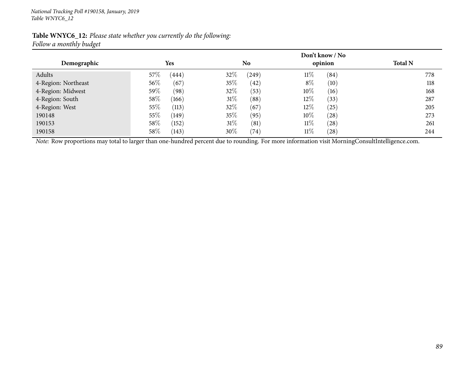| Table WNYC6_12: Please state whether you currently do the following: |  |  |
|----------------------------------------------------------------------|--|--|
| Follow a monthly budget                                              |  |  |

|                     | Don't know / No |                |                |                |  |  |  |  |
|---------------------|-----------------|----------------|----------------|----------------|--|--|--|--|
| Demographic         | Yes             | No             | opinion        | <b>Total N</b> |  |  |  |  |
| Adults              | $57\%$<br>(444) | 32\%<br>(249)  | $11\%$<br>(84) | 778            |  |  |  |  |
| 4-Region: Northeast | 56%<br>(67)     | 35%<br>(42)    | $8\%$<br>(10)  | 118            |  |  |  |  |
| 4-Region: Midwest   | 59%<br>(98)     | 32%<br>(53)    | 10\%<br>(16)   | 168            |  |  |  |  |
| 4-Region: South     | $58\%$<br>(166) | $31\%$<br>(88) | 12%<br>(33)    | 287            |  |  |  |  |
| 4-Region: West      | 55\%<br>(113)   | 32%<br>(67)    | $12\%$<br>(25) | 205            |  |  |  |  |
| 190148              | 55\%<br>(149)   | 35\%<br>(95)   | 10\%<br>(28)   | 273            |  |  |  |  |
| 190153              | 58%<br>(152)    | 31%<br>(81)    | $11\%$<br>(28) | 261            |  |  |  |  |
| 190158              | 58%<br>(143)    | 30%<br>(74)    | $11\%$<br>(28) | 244            |  |  |  |  |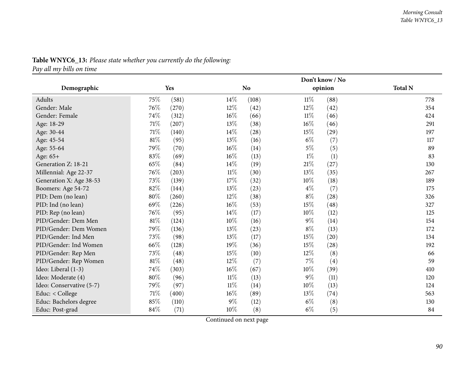|                          |        |       |        |                |        | Don't know / No |                |
|--------------------------|--------|-------|--------|----------------|--------|-----------------|----------------|
| Demographic              |        | Yes   |        | N <sub>o</sub> |        | opinion         | <b>Total N</b> |
| Adults                   | 75%    | (581) | $14\%$ | (108)          | $11\%$ | (88)            | 778            |
| Gender: Male             | 76\%   | (270) | $12\%$ | (42)           | $12\%$ | (42)            | 354            |
| Gender: Female           | 74%    | (312) | $16\%$ | (66)           | $11\%$ | (46)            | 424            |
| Age: 18-29               | 71\%   | (207) | 13\%   | (38)           | $16\%$ | (46)            | 291            |
| Age: 30-44               | $71\%$ | (140) | 14%    | (28)           | 15%    | (29)            | 197            |
| Age: 45-54               | $81\%$ | (95)  | 13\%   | (16)           | $6\%$  | (7)             | 117            |
| Age: 55-64               | 79%    | (70)  | 16%    | (14)           | $5\%$  | (5)             | 89             |
| Age: 65+                 | 83%    | (69)  | $16\%$ | (13)           | $1\%$  | (1)             | 83             |
| Generation Z: 18-21      | 65%    | (84)  | 14%    | (19)           | 21%    | (27)            | 130            |
| Millennial: Age 22-37    | 76\%   | (203) | $11\%$ | (30)           | $13\%$ | (35)            | 267            |
| Generation X: Age 38-53  | 73%    | (139) | 17%    | (32)           | 10%    | (18)            | 189            |
| Boomers: Age 54-72       | 82\%   | (144) | 13%    | (23)           | $4\%$  | (7)             | 175            |
| PID: Dem (no lean)       | 80%    | (260) | 12%    | (38)           | $8\%$  | (28)            | 326            |
| PID: Ind (no lean)       | 69%    | (226) | 16%    | (53)           | 15%    | (48)            | 327            |
| PID: Rep (no lean)       | 76%    | (95)  | 14\%   | (17)           | 10%    | (12)            | 125            |
| PID/Gender: Dem Men      | $81\%$ | (124) | 10%    | (16)           | $9\%$  | (14)            | 154            |
| PID/Gender: Dem Women    | 79%    | (136) | 13%    | (23)           | $8\%$  | (13)            | 172            |
| PID/Gender: Ind Men      | 73%    | (98)  | 13%    | (17)           | 15%    | (20)            | 134            |
| PID/Gender: Ind Women    | 66%    | (128) | 19%    | (36)           | 15%    | (28)            | 192            |
| PID/Gender: Rep Men      | 73%    | (48)  | 15%    | (10)           | $12\%$ | (8)             | 66             |
| PID/Gender: Rep Women    | 81%    | (48)  | 12%    | (7)            | 7%     | (4)             | 59             |
| Ideo: Liberal (1-3)      | $74\%$ | (303) | 16%    | (67)           | 10%    | (39)            | 410            |
| Ideo: Moderate (4)       | 80%    | (96)  | $11\%$ | (13)           | $9\%$  | (11)            | 120            |
| Ideo: Conservative (5-7) | 79%    | (97)  | $11\%$ | (14)           | 10%    | (13)            | 124            |
| Educ: $<$ College        | $71\%$ | (400) | 16%    | (89)           | 13%    | (74)            | 563            |
| Educ: Bachelors degree   | 85%    | (110) | $9\%$  | (12)           | $6\%$  | (8)             | 130            |
| Educ: Post-grad          | 84%    | (71)  | 10%    | (8)            | $6\%$  | (5)             | 84             |

## **Table WNYC6\_13:** *Please state whether you currently do the following:*

*Pay all my bills on time*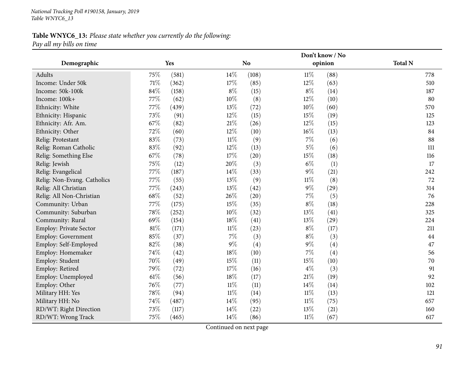## **Table WNYC6\_13:** *Please state whether you currently do the following: Pay all my bills on time*

|                             | Don't know / No |       |        |           |        |         |                |
|-----------------------------|-----------------|-------|--------|-----------|--------|---------|----------------|
| Demographic                 |                 | Yes   |        | <b>No</b> |        | opinion | <b>Total N</b> |
| Adults                      | 75%             | (581) | 14\%   | (108)     | $11\%$ | (88)    | 778            |
| Income: Under 50k           | $71\%$          | (362) | 17%    | (85)      | 12%    | (63)    | 510            |
| Income: 50k-100k            | $84\%$          | (158) | $8\%$  | (15)      | $8\%$  | (14)    | 187            |
| Income: 100k+               | 77%             | (62)  | 10%    | (8)       | 12%    | (10)    | 80             |
| Ethnicity: White            | 77%             | (439) | 13%    | (72)      | 10%    | (60)    | 570            |
| Ethnicity: Hispanic         | 73%             | (91)  | 12%    | (15)      | 15%    | (19)    | 125            |
| Ethnicity: Afr. Am.         | 67%             | (82)  | $21\%$ | (26)      | $12\%$ | (15)    | 123            |
| Ethnicity: Other            | 72%             | (60)  | $12\%$ | (10)      | $16\%$ | (13)    | 84             |
| Relig: Protestant           | 83%             | (73)  | $11\%$ | (9)       | $7\%$  | (6)     | 88             |
| Relig: Roman Catholic       | 83%             | (92)  | $12\%$ | (13)      | $5\%$  | (6)     | 111            |
| Relig: Something Else       | 67%             | (78)  | 17%    | (20)      | 15%    | (18)    | 116            |
| Relig: Jewish               | 75%             | (12)  | 20%    | (3)       | $6\%$  | (1)     | 17             |
| Relig: Evangelical          | 77%             | (187) | $14\%$ | (33)      | $9\%$  | (21)    | 242            |
| Relig: Non-Evang. Catholics | 77%             | (55)  | 13\%   | (9)       | $11\%$ | (8)     | 72             |
| Relig: All Christian        | 77%             | (243) | 13%    | (42)      | $9\%$  | (29)    | 314            |
| Relig: All Non-Christian    | 68%             | (52)  | 26%    | (20)      | $7\%$  | (5)     | 76             |
| Community: Urban            | 77%             | (175) | 15%    | (35)      | $8\%$  | (18)    | 228            |
| Community: Suburban         | 78%             | (252) | $10\%$ | (32)      | 13%    | (41)    | 325            |
| Community: Rural            | 69%             | (154) | 18%    | (41)      | 13%    | (29)    | 224            |
| Employ: Private Sector      | 81%             | (171) | $11\%$ | (23)      | $8\%$  | (17)    | 211            |
| Employ: Government          | 85%             | (37)  | $7\%$  | (3)       | $8\%$  | (3)     | 44             |
| Employ: Self-Employed       | 82%             | (38)  | $9\%$  | (4)       | $9\%$  | (4)     | 47             |
| Employ: Homemaker           | 74%             | (42)  | 18\%   | (10)      | $7\%$  | (4)     | 56             |
| Employ: Student             | 70%             | (49)  | 15%    | (11)      | 15%    | (10)    | 70             |
| Employ: Retired             | 79%             | (72)  | 17%    | (16)      | $4\%$  | (3)     | 91             |
| Employ: Unemployed          | $61\%$          | (56)  | 18%    | (17)      | $21\%$ | (19)    | 92             |
| Employ: Other               | 76%             | (77)  | $11\%$ | (11)      | 14\%   | (14)    | 102            |
| Military HH: Yes            | 78%             | (94)  | $11\%$ | (14)      | $11\%$ | (13)    | 121            |
| Military HH: No             | 74%             | (487) | 14\%   | (95)      | $11\%$ | (75)    | 657            |
| RD/WT: Right Direction      | 73%             | (117) | 14\%   | (22)      | 13%    | (21)    | 160            |
| RD/WT: Wrong Track          | 75%             | (465) | 14%    | (86)      | $11\%$ | (67)    | 617            |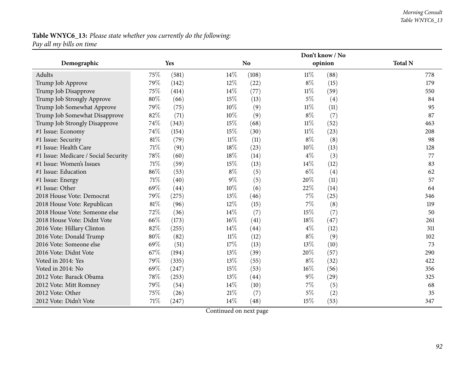#### *Morning Consult Table WNYC6\_13*

# **Table WNYC6\_13:** *Please state whether you currently do the following:*

*Pay all my bills on time*

|                                      |     |       |        |           |        | Don't know / No |                |
|--------------------------------------|-----|-------|--------|-----------|--------|-----------------|----------------|
| Demographic                          |     | Yes   |        | <b>No</b> |        | opinion         | <b>Total N</b> |
| Adults                               | 75% | (581) | $14\%$ | (108)     | $11\%$ | (88)            | 778            |
| Trump Job Approve                    | 79% | (142) | $12\%$ | (22)      | $8\%$  | (15)            | 179            |
| Trump Job Disapprove                 | 75% | (414) | 14%    | (77)      | $11\%$ | (59)            | 550            |
| Trump Job Strongly Approve           | 80% | (66)  | 15%    | (13)      | $5\%$  | (4)             | 84             |
| Trump Job Somewhat Approve           | 79% | (75)  | 10%    | (9)       | $11\%$ | (11)            | 95             |
| Trump Job Somewhat Disapprove        | 82% | (71)  | 10%    | (9)       | $8\%$  | (7)             | 87             |
| Trump Job Strongly Disapprove        | 74% | (343) | 15%    | (68)      | $11\%$ | (52)            | 463            |
| #1 Issue: Economy                    | 74% | (154) | 15%    | (30)      | $11\%$ | (23)            | 208            |
| #1 Issue: Security                   | 81% | (79)  | $11\%$ | (11)      | $8\%$  | (8)             | 98             |
| #1 Issue: Health Care                | 71% | (91)  | 18%    | (23)      | 10%    | (13)            | 128            |
| #1 Issue: Medicare / Social Security | 78% | (60)  | 18%    | (14)      | $4\%$  | (3)             | 77             |
| #1 Issue: Women's Issues             | 71% | (59)  | 15%    | (13)      | 14%    | (12)            | 83             |
| #1 Issue: Education                  | 86% | (53)  | $8\%$  | (5)       | $6\%$  | (4)             | 62             |
| #1 Issue: Energy                     | 71% | (40)  | $9\%$  | (5)       | 20%    | (11)            | 57             |
| #1 Issue: Other                      | 69% | (44)  | 10%    | (6)       | 22%    | (14)            | 64             |
| 2018 House Vote: Democrat            | 79% | (275) | 13%    | (46)      | 7%     | (25)            | 346            |
| 2018 House Vote: Republican          | 81% | (96)  | 12%    | (15)      | $7\%$  | (8)             | 119            |
| 2018 House Vote: Someone else        | 72% | (36)  | 14%    | (7)       | 15%    | (7)             | 50             |
| 2018 House Vote: Didnt Vote          | 66% | (173) | $16\%$ | (41)      | 18%    | (47)            | 261            |
| 2016 Vote: Hillary Clinton           | 82% | (255) | 14%    | (44)      | $4\%$  | (12)            | 311            |
| 2016 Vote: Donald Trump              | 80% | (82)  | $11\%$ | (12)      | $8\%$  | (9)             | 102            |
| 2016 Vote: Someone else              | 69% | (51)  | 17%    | (13)      | 13%    | (10)            | 73             |
| 2016 Vote: Didnt Vote                | 67% | (194) | 13%    | (39)      | 20%    | (57)            | 290            |
| Voted in 2014: Yes                   | 79% | (335) | 13%    | (55)      | $8\%$  | (32)            | 422            |
| Voted in 2014: No                    | 69% | (247) | 15%    | (53)      | 16%    | (56)            | 356            |
| 2012 Vote: Barack Obama              | 78% | (253) | 13%    | (44)      | $9\%$  | (29)            | 325            |
| 2012 Vote: Mitt Romney               | 79% | (54)  | 14%    | (10)      | 7%     | (5)             | 68             |
| 2012 Vote: Other                     | 75% | (26)  | 21%    | (7)       | $5\%$  | (2)             | 35             |
| 2012 Vote: Didn't Vote               | 71% | (247) | 14%    | (48)      | 15%    | (53)            | 347            |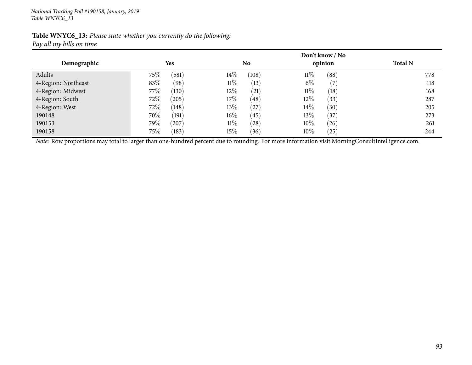| Table WNYC6_13: Please state whether you currently do the following: |  |  |
|----------------------------------------------------------------------|--|--|
| Pay all my bills on time                                             |  |  |

|                     |                 | Don't know / No |                            |                |  |  |  |
|---------------------|-----------------|-----------------|----------------------------|----------------|--|--|--|
| Demographic         | <b>Yes</b>      | No              | opinion                    | <b>Total N</b> |  |  |  |
| Adults              | 75%<br>(581)    | 14%<br>(108)    | (88)<br>$11\%$             | 778            |  |  |  |
| 4-Region: Northeast | 83%<br>(98)     | $11\%$<br>(13)  | $6\%$<br>$\left( 7\right)$ | 118            |  |  |  |
| 4-Region: Midwest   | $77\%$<br>(130) | 12%<br>(21)     | $11\%$<br>(18)             | 168            |  |  |  |
| 4-Region: South     | 72\%<br>(205)   | 17\%<br>(48)    | $12\%$<br>(33)             | 287            |  |  |  |
| 4-Region: West      | 72\%<br>(148)   | 13%<br>(27)     | $14\%$<br>(30)             | 205            |  |  |  |
| 190148              | 70\%<br>(191)   | $16\%$<br>(45)  | $13\%$<br>(37)             | 273            |  |  |  |
| 190153              | 79%<br>(207)    | $11\%$<br>(28)  | $10\%$<br>(26)             | 261            |  |  |  |
| 190158              | 75\%<br>(183)   | $15\%$<br>(36)  | $10\%$<br>(25)             | 244            |  |  |  |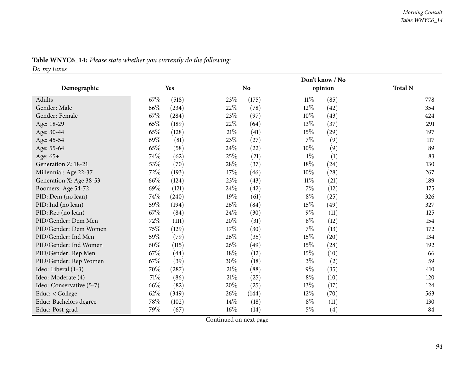|                          |        |       |        | Don't know / No |        |         |                |  |
|--------------------------|--------|-------|--------|-----------------|--------|---------|----------------|--|
| Demographic              |        | Yes   |        | N <sub>o</sub>  |        | opinion | <b>Total N</b> |  |
| Adults                   | 67\%   | (518) | 23%    | (175)           | $11\%$ | (85)    | 778            |  |
| Gender: Male             | 66\%   | (234) | 22%    | (78)            | $12\%$ | (42)    | 354            |  |
| Gender: Female           | 67%    | (284) | 23%    | (97)            | 10%    | (43)    | 424            |  |
| Age: 18-29               | 65%    | (189) | 22%    | (64)            | 13%    | (37)    | 291            |  |
| Age: 30-44               | 65%    | (128) | $21\%$ | (41)            | 15%    | (29)    | 197            |  |
| Age: 45-54               | 69%    | (81)  | 23%    | (27)            | 7%     | (9)     | 117            |  |
| Age: 55-64               | 65%    | (58)  | $24\%$ | (22)            | 10%    | (9)     | 89             |  |
| Age: 65+                 | 74%    | (62)  | 25%    | (21)            | $1\%$  | (1)     | 83             |  |
| Generation Z: 18-21      | 53%    | (70)  | 28%    | (37)            | 18%    | (24)    | 130            |  |
| Millennial: Age 22-37    | 72%    | (193) | 17%    | (46)            | 10%    | (28)    | 267            |  |
| Generation X: Age 38-53  | 66\%   | (124) | 23%    | (43)            | $11\%$ | (21)    | 189            |  |
| Boomers: Age 54-72       | 69%    | (121) | 24%    | (42)            | $7\%$  | (12)    | 175            |  |
| PID: Dem (no lean)       | 74%    | (240) | 19%    | (61)            | $8\%$  | (25)    | 326            |  |
| PID: Ind (no lean)       | 59%    | (194) | 26%    | (84)            | 15%    | (49)    | 327            |  |
| PID: Rep (no lean)       | 67%    | (84)  | 24%    | (30)            | $9\%$  | (11)    | 125            |  |
| PID/Gender: Dem Men      | 72%    | (111) | 20%    | (31)            | $8\%$  | (12)    | 154            |  |
| PID/Gender: Dem Women    | 75%    | (129) | 17%    | (30)            | 7%     | (13)    | 172            |  |
| PID/Gender: Ind Men      | 59%    | (79)  | 26%    | (35)            | 15%    | (20)    | 134            |  |
| PID/Gender: Ind Women    | 60%    | (115) | 26%    | (49)            | 15%    | (28)    | 192            |  |
| PID/Gender: Rep Men      | 67%    | (44)  | 18%    | (12)            | 15%    | (10)    | 66             |  |
| PID/Gender: Rep Women    | 67%    | (39)  | 30%    | (18)            | $3\%$  | (2)     | 59             |  |
| Ideo: Liberal (1-3)      | 70%    | (287) | 21%    | (88)            | $9\%$  | (35)    | 410            |  |
| Ideo: Moderate (4)       | $71\%$ | (86)  | $21\%$ | (25)            | $8\%$  | (10)    | 120            |  |
| Ideo: Conservative (5-7) | 66%    | (82)  | 20%    | (25)            | 13%    | (17)    | 124            |  |
| Educ: < College          | 62%    | (349) | 26%    | (144)           | $12\%$ | (70)    | 563            |  |
| Educ: Bachelors degree   | 78%    | (102) | 14%    | (18)            | $8\%$  | (11)    | 130            |  |
| Educ: Post-grad          | 79%    | (67)  | 16%    | (14)            | $5\%$  | (4)     | 84             |  |

## **Table WNYC6\_14:** *Please state whether you currently do the following:*

*Do my taxes*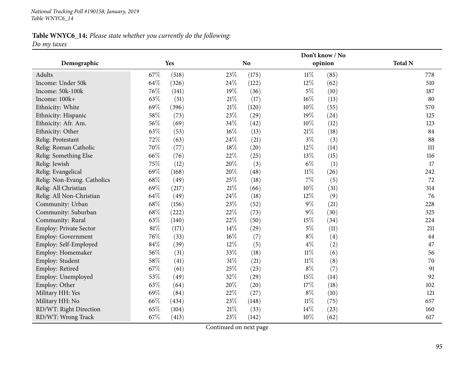#### **Table WNYC6\_14:** *Please state whether you currently do the following: Do my taxes*

**Demographic Yes NoDon't know / Noopinion Total <sup>N</sup>**Adults**s** 67% (518)  $23\%$  (175)  $11\%$  (85) 778 510 Income: Under 50kk 64% (326)  $24\%$  (122)  $12\%$  (62) 510 Income: 50k-100kk  $76\%$  (141)  $19\%$  (36)  $5\%$  (10)  $187$ Income: 100k+<br>Ethnicity: White  $+$  63% (51)  $21\%$  (17)  $16\%$  (13) 80 Ethnicity: White  $69\%$   $(396)$   $21\%$   $(120)$   $10\%$   $(55)$   $570$ 125 Ethnicity: Hispanic  $58\%$   $(73)$   $23\%$   $(29)$   $19\%$   $(24)$   $125$ Ethnicity: Afr. Am.  $56\%$   $(69)$   $34\%$   $(42)$   $10\%$   $(12)$   $(12)$ Ethnicity: Other 63% (53) 63% (53) 63% (63) 63% (13) 21% (18) 88 Relig: Protestant  $72\%$   $(63)$   $24\%$   $(21)$   $3\%$   $(3)$   $(3)$  88 Relig: Roman Catholic  $70\%$   $(77)$   $18\%$   $(20)$   $12\%$   $(14)$   $(14)$ Relig: Something Else 66% (76)  $22\%$  (25)  $13\%$  (15)  $116$ 17 Relig: Jewish<br>Relig: Evangelical h  $75\%$  (12)  $20\%$  (3)  $6\%$  (1) 17 Relig: Evangelical 69% (168)  $69\%$  (168)  $20\%$  (48)  $11\%$  (26)  $242$ Relig: Non-Evang. Catholics 68% (49) 25% (18) 7% (5) 72<br>
Relig: All Christian 69% (217) 21% (66) 10% (31) 314 Relig: All Christiann 69% (217) 21% (66) 10% (31) 314 Relig: All Non-Christiann 64% (49)  $24\%$  (18)  $12\%$  (9) 76 Community: Urbann 68% (156)  $23\%$  (52)  $9\%$  (21)  $228$ Community: Suburbann 68% (222) 22% (73) 9% (30) 325 Community: Rural 63% (140)  $63\%$  (140)  $22\%$  (50)  $15\%$  (34)  $224$ 211 Employ: Private Sector  $81\%$  (171)  $14\%$  (29)  $5\%$  (11) 211<br>
Employ: Government  $76\%$  (33)  $16\%$  (7)  $8\%$  (4)  $44$ Employ: Government  $76\%$  (33)  $16\%$  (7)  $8\%$  (4)<br>Employ: Self-Employed  $84\%$  (39)  $12\%$  (5)  $4\%$  (2) 47 Employ: Self-Employedd 84% (39)  $12\%$  (5)  $4\%$  (2)  $47$ Employ: Homemaker 56% (31)  $33\%$  (18)  $11\%$  (6)  $56\%$ 70 Employ: Student 58% (41)  $58\%$  (41)  $31\%$  (21)  $11\%$  (8)  $(8)$ 91 Employ: Retiredd 67% (61)  $25\%$  (23)  $8\%$  (7) 91 Employ: Unemployedd 53% (49) 32% (29)  $15\%$  (14) 92 Employ: Other 63% (64)  $63\%$  (64)  $20\%$  (20)  $17\%$  (18)  $102$ Military HH: Yes 69% (84)  $69\%$  (84)  $22\%$  (27)  $8\%$  (10)  $121$ Military HH: No**66%** (434) 23% (148)  $11\%$  (75) 657 RD/WT: Right Directionn 65% (104)  $21\%$  (33)  $14\%$  (23)  $160$ RD/WT: Wrong Trackk 67% (413)  $23\%$  (142)  $10\%$  (62) 617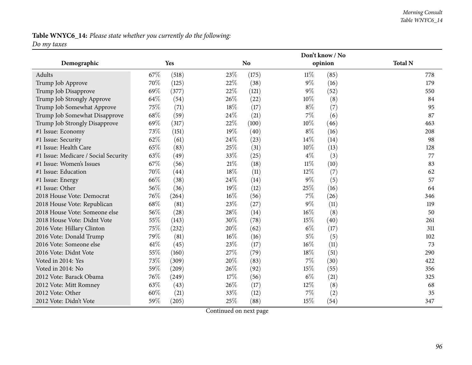#### *Morning Consult Table WNYC6\_14*

## **Table WNYC6\_14:** *Please state whether you currently do the following: Do my taxes*

|                                      |      |       |      |           |        | Don't know / No |                |
|--------------------------------------|------|-------|------|-----------|--------|-----------------|----------------|
| Demographic                          |      | Yes   |      | <b>No</b> |        | opinion         | <b>Total N</b> |
| Adults                               | 67\% | (518) | 23%  | (175)     | $11\%$ | (85)            | 778            |
| Trump Job Approve                    | 70\% | (125) | 22\% | (38)      | $9\%$  | (16)            | 179            |
| Trump Job Disapprove                 | 69%  | (377) | 22%  | (121)     | $9\%$  | (52)            | 550            |
| Trump Job Strongly Approve           | 64%  | (54)  | 26%  | (22)      | 10%    | (8)             | 84             |
| Trump Job Somewhat Approve           | 75%  | (71)  | 18%  | (17)      | 8\%    | (7)             | 95             |
| Trump Job Somewhat Disapprove        | 68\% | (59)  | 24\% | (21)      | 7%     | (6)             | 87             |
| Trump Job Strongly Disapprove        | 69%  | (317) | 22%  | (100)     | 10%    | (46)            | 463            |
| #1 Issue: Economy                    | 73%  | (151) | 19%  | (40)      | $8\%$  | (16)            | 208            |
| #1 Issue: Security                   | 62%  | (61)  | 24\% | (23)      | 14\%   | (14)            | 98             |
| #1 Issue: Health Care                | 65%  | (83)  | 25%  | (31)      | 10%    | (13)            | 128            |
| #1 Issue: Medicare / Social Security | 63%  | (49)  | 33%  | (25)      | $4\%$  | (3)             | 77             |
| #1 Issue: Women's Issues             | 67%  | (56)  | 21%  | (18)      | $11\%$ | (10)            | 83             |
| #1 Issue: Education                  | 70%  | (44)  | 18%  | (11)      | 12%    | (7)             | 62             |
| #1 Issue: Energy                     | 66%  | (38)  | 24\% | (14)      | $9\%$  | (5)             | 57             |
| #1 Issue: Other                      | 56%  | (36)  | 19%  | (12)      | 25%    | (16)            | 64             |
| 2018 House Vote: Democrat            | 76%  | (264) | 16%  | (56)      | $7\%$  | (26)            | 346            |
| 2018 House Vote: Republican          | 68%  | (81)  | 23%  | (27)      | $9\%$  | (11)            | 119            |
| 2018 House Vote: Someone else        | 56%  | (28)  | 28%  | (14)      | $16\%$ | (8)             | 50             |
| 2018 House Vote: Didnt Vote          | 55%  | (143) | 30%  | (78)      | 15%    | (40)            | 261            |
| 2016 Vote: Hillary Clinton           | 75%  | (232) | 20%  | (62)      | $6\%$  | (17)            | 311            |
| 2016 Vote: Donald Trump              | 79%  | (81)  | 16%  | (16)      | $5\%$  | (5)             | 102            |
| 2016 Vote: Someone else              | 61\% | (45)  | 23%  | (17)      | $16\%$ | (11)            | 73             |
| 2016 Vote: Didnt Vote                | 55%  | (160) | 27%  | (79)      | 18%    | (51)            | 290            |
| Voted in 2014: Yes                   | 73%  | (309) | 20%  | (83)      | $7\%$  | (30)            | 422            |
| Voted in 2014: No                    | 59%  | (209) | 26%  | (92)      | 15%    | (55)            | 356            |
| 2012 Vote: Barack Obama              | 76%  | (249) | 17%  | (56)      | $6\%$  | (21)            | 325            |
| 2012 Vote: Mitt Romney               | 63\% | (43)  | 26%  | (17)      | 12%    | (8)             | 68             |
| 2012 Vote: Other                     | 60%  | (21)  | 33%  | (12)      | $7\%$  | (2)             | 35             |
| 2012 Vote: Didn't Vote               | 59%  | (205) | 25%  | (88)      | 15%    | (54)            | 347            |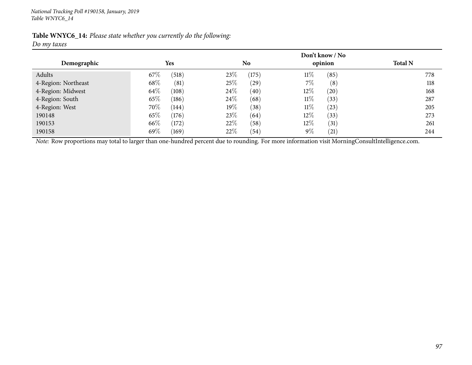| Table WNYC6_14: Please state whether you currently do the following: |  |  |  |  |  |
|----------------------------------------------------------------------|--|--|--|--|--|
| Do my taxes                                                          |  |  |  |  |  |

| Demographic         | <b>Yes</b>      | N <sub>0</sub> | Don't know / No<br>opinion | <b>Total N</b> |
|---------------------|-----------------|----------------|----------------------------|----------------|
| Adults              | $67\%$<br>(518) | 23%<br>(175)   | $11\%$<br>(85)             | 778            |
| 4-Region: Northeast | 68\%<br>(81)    | 25%<br>(29)    | $7\%$<br>(8)               | 118            |
| 4-Region: Midwest   | 64\%<br>(108)   | 24\%<br>(40)   | $12\%$<br>(20)             | 168            |
| 4-Region: South     | 65\%<br>(186)   | 24\%<br>(68)   | $11\%$<br>(33)             | 287            |
| 4-Region: West      | 70%<br>(144)    | $19\%$<br>(38) | $11\%$<br>(23)             | 205            |
| 190148              | 65\%<br>(176)   | 23\%<br>(64)   | $12\%$<br>(33)             | 273            |
| 190153              | 66\%<br>(172)   | 22\%<br>(58)   | 12\%<br>(31)               | 261            |
| 190158              | 69\%<br>(169)   | 22%<br>(54)    | $9\%$<br>(21)              | 244            |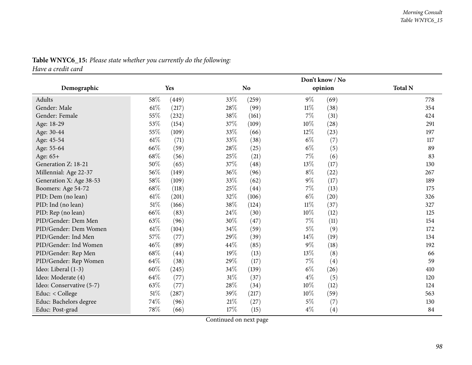|                          |        |       | Don't know / No |                |        |         |                |  |
|--------------------------|--------|-------|-----------------|----------------|--------|---------|----------------|--|
| Demographic              |        | Yes   |                 | N <sub>o</sub> |        | opinion | <b>Total N</b> |  |
| Adults                   | 58\%   | (449) | $33\%$          | (259)          | $9\%$  | (69)    | 778            |  |
| Gender: Male             | 61%    | (217) | 28\%            | (99)           | $11\%$ | (38)    | 354            |  |
| Gender: Female           | 55%    | (232) | 38\%            | (161)          | 7%     | (31)    | 424            |  |
| Age: 18-29               | 53%    | (154) | 37%             | (109)          | $10\%$ | (28)    | 291            |  |
| Age: 30-44               | 55%    | (109) | 33%             | (66)           | $12\%$ | (23)    | 197            |  |
| Age: 45-54               | $61\%$ | (71)  | 33\%            | (38)           | $6\%$  | (7)     | 117            |  |
| Age: 55-64               | 66%    | (59)  | 28\%            | (25)           | $6\%$  | (5)     | 89             |  |
| Age: 65+                 | 68%    | (56)  | 25%             | (21)           | $7\%$  | (6)     | 83             |  |
| Generation Z: 18-21      | 50%    | (65)  | 37%             | (48)           | 13%    | (17)    | 130            |  |
| Millennial: Age 22-37    | 56%    | (149) | 36%             | (96)           | $8\%$  | (22)    | 267            |  |
| Generation X: Age 38-53  | 58%    | (109) | 33%             | (62)           | $9\%$  | (17)    | 189            |  |
| Boomers: Age 54-72       | 68%    | (118) | 25%             | (44)           | $7\%$  | (13)    | 175            |  |
| PID: Dem (no lean)       | $61\%$ | (201) | 32%             | (106)          | $6\%$  | (20)    | 326            |  |
| PID: Ind (no lean)       | $51\%$ | (166) | 38\%            | (124)          | $11\%$ | (37)    | 327            |  |
| PID: Rep (no lean)       | 66%    | (83)  | 24\%            | (30)           | 10%    | (12)    | 125            |  |
| PID/Gender: Dem Men      | 63%    | (96)  | 30%             | (47)           | $7\%$  | (11)    | 154            |  |
| PID/Gender: Dem Women    | 61%    | (104) | 34%             | (59)           | $5\%$  | (9)     | 172            |  |
| PID/Gender: Ind Men      | 57%    | (77)  | 29%             | (39)           | $14\%$ | (19)    | 134            |  |
| PID/Gender: Ind Women    | 46%    | (89)  | 44%             | (85)           | $9\%$  | (18)    | 192            |  |
| PID/Gender: Rep Men      | 68%    | (44)  | 19%             | (13)           | 13\%   | (8)     | 66             |  |
| PID/Gender: Rep Women    | 64\%   | (38)  | 29%             | (17)           | 7%     | (4)     | 59             |  |
| Ideo: Liberal (1-3)      | $60\%$ | (245) | 34\%            | (139)          | $6\%$  | (26)    | 410            |  |
| Ideo: Moderate (4)       | 64%    | (77)  | $31\%$          | (37)           | $4\%$  | (5)     | 120            |  |
| Ideo: Conservative (5-7) | 63%    | (77)  | 28%             | (34)           | 10%    | (12)    | 124            |  |
| Educ: < College          | 51%    | (287) | 39%             | (217)          | 10%    | (59)    | 563            |  |
| Educ: Bachelors degree   | 74%    | (96)  | 21%             | (27)           | $5\%$  | (7)     | 130            |  |
| Educ: Post-grad          | 78%    | (66)  | 17%             | (15)           | $4\%$  | (4)     | 84             |  |

# **Table WNYC6\_15:** *Please state whether you currently do the following:*

*Have <sup>a</sup> credit card*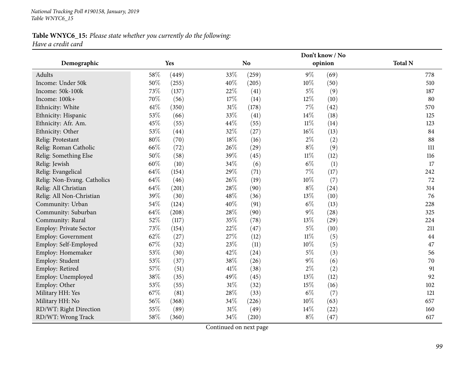#### **Table WNYC6\_15:** *Please state whether you currently do the following: Have <sup>a</sup> credit card*

|                             |      |       |        | Don't know / No |        |         |                |  |  |
|-----------------------------|------|-------|--------|-----------------|--------|---------|----------------|--|--|
| Demographic                 |      | Yes   |        | N <sub>o</sub>  |        | opinion | <b>Total N</b> |  |  |
| Adults                      | 58%  | (449) | 33%    | (259)           | $9\%$  | (69)    | 778            |  |  |
| Income: Under 50k           | 50%  | (255) | 40%    | (205)           | 10%    | (50)    | 510            |  |  |
| Income: 50k-100k            | 73%  | (137) | 22%    | (41)            | $5\%$  | (9)     | 187            |  |  |
| Income: 100k+               | 70%  | (56)  | 17%    | (14)            | 12%    | (10)    | 80             |  |  |
| Ethnicity: White            | 61\% | (350) | $31\%$ | (178)           | $7\%$  | (42)    | 570            |  |  |
| Ethnicity: Hispanic         | 53%  | (66)  | 33%    | (41)            | 14%    | (18)    | 125            |  |  |
| Ethnicity: Afr. Am.         | 45%  | (55)  | 44%    | (55)            | $11\%$ | (14)    | 123            |  |  |
| Ethnicity: Other            | 53%  | (44)  | 32%    | (27)            | $16\%$ | (13)    | 84             |  |  |
| Relig: Protestant           | 80%  | (70)  | 18%    | (16)            | $2\%$  | (2)     | 88             |  |  |
| Relig: Roman Catholic       | 66%  | (72)  | 26%    | (29)            | $8\%$  | (9)     | 111            |  |  |
| Relig: Something Else       | 50%  | (58)  | 39%    | (45)            | $11\%$ | (12)    | 116            |  |  |
| Relig: Jewish               | 60%  | (10)  | 34%    | (6)             | $6\%$  | (1)     | 17             |  |  |
| Relig: Evangelical          | 64%  | (154) | 29%    | (71)            | $7\%$  | (17)    | 242            |  |  |
| Relig: Non-Evang. Catholics | 64%  | (46)  | 26%    | (19)            | 10%    | (7)     | 72             |  |  |
| Relig: All Christian        | 64%  | (201) | 28%    | (90)            | $8\%$  | (24)    | 314            |  |  |
| Relig: All Non-Christian    | 39%  | (30)  | 48%    | (36)            | 13%    | (10)    | 76             |  |  |
| Community: Urban            | 54%  | (124) | 40%    | (91)            | $6\%$  | (13)    | 228            |  |  |
| Community: Suburban         | 64%  | (208) | 28%    | (90)            | $9\%$  | (28)    | 325            |  |  |
| Community: Rural            | 52%  | (117) | 35%    | (78)            | 13%    | (29)    | 224            |  |  |
| Employ: Private Sector      | 73%  | (154) | 22%    | (47)            | $5\%$  | (10)    | 211            |  |  |
| Employ: Government          | 62%  | (27)  | 27%    | (12)            | $11\%$ | (5)     | 44             |  |  |
| Employ: Self-Employed       | 67%  | (32)  | 23%    | (11)            | 10%    | (5)     | 47             |  |  |
| Employ: Homemaker           | 53%  | (30)  | 42%    | (24)            | $5\%$  | (3)     | 56             |  |  |
| Employ: Student             | 53%  | (37)  | 38%    | (26)            | $9\%$  | (6)     | 70             |  |  |
| Employ: Retired             | 57%  | (51)  | 41\%   | (38)            | $2\%$  | (2)     | 91             |  |  |
| Employ: Unemployed          | 38%  | (35)  | 49%    | (45)            | 13%    | (12)    | 92             |  |  |
| Employ: Other               | 53%  | (55)  | $31\%$ | (32)            | 15%    | (16)    | 102            |  |  |
| Military HH: Yes            | 67%  | (81)  | 28%    | (33)            | $6\%$  | (7)     | 121            |  |  |
| Military HH: No             | 56%  | (368) | 34\%   | (226)           | 10%    | (63)    | 657            |  |  |
| RD/WT: Right Direction      | 55%  | (89)  | $31\%$ | (49)            | 14%    | (22)    | 160            |  |  |
| RD/WT: Wrong Track          | 58%  | (360) | 34%    | (210)           | $8\%$  | (47)    | 617            |  |  |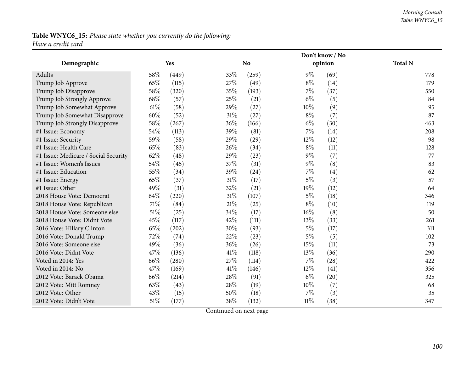#### *Morning Consult Table WNYC6\_15*

#### **Table WNYC6\_15:** *Please state whether you currently do the following: Have <sup>a</sup> credit card*

|                                      |        |       | Don't know / No |           |        |         |                |  |
|--------------------------------------|--------|-------|-----------------|-----------|--------|---------|----------------|--|
| Demographic                          |        | Yes   |                 | <b>No</b> |        | opinion | <b>Total N</b> |  |
| Adults                               | 58%    | (449) | 33%             | (259)     | $9\%$  | (69)    | 778            |  |
| Trump Job Approve                    | 65%    | (115) | 27%             | (49)      | $8\%$  | (14)    | 179            |  |
| Trump Job Disapprove                 | 58%    | (320) | 35%             | (193)     | 7%     | (37)    | 550            |  |
| Trump Job Strongly Approve           | 68%    | (57)  | 25%             | (21)      | $6\%$  | (5)     | 84             |  |
| Trump Job Somewhat Approve           | $61\%$ | (58)  | 29%             | (27)      | 10%    | (9)     | 95             |  |
| Trump Job Somewhat Disapprove        | 60%    | (52)  | $31\%$          | (27)      | $8\%$  | (7)     | 87             |  |
| Trump Job Strongly Disapprove        | 58%    | (267) | 36%             | (166)     | $6\%$  | (30)    | 463            |  |
| #1 Issue: Economy                    | 54%    | (113) | 39%             | (81)      | 7%     | (14)    | 208            |  |
| #1 Issue: Security                   | 59%    | (58)  | 29%             | (29)      | 12%    | (12)    | 98             |  |
| #1 Issue: Health Care                | 65%    | (83)  | 26%             | (34)      | $8\%$  | (11)    | 128            |  |
| #1 Issue: Medicare / Social Security | 62%    | (48)  | 29%             | (23)      | $9\%$  | (7)     | 77             |  |
| #1 Issue: Women's Issues             | 54%    | (45)  | 37%             | (31)      | $9\%$  | (8)     | 83             |  |
| #1 Issue: Education                  | 55%    | (34)  | 39%             | (24)      | 7%     | (4)     | 62             |  |
| #1 Issue: Energy                     | 65%    | (37)  | $31\%$          | (17)      | $5\%$  | (3)     | 57             |  |
| #1 Issue: Other                      | 49%    | (31)  | 32%             | (21)      | 19%    | (12)    | 64             |  |
| 2018 House Vote: Democrat            | 64%    | (220) | $31\%$          | (107)     | $5\%$  | (18)    | 346            |  |
| 2018 House Vote: Republican          | $71\%$ | (84)  | 21%             | (25)      | $8\%$  | (10)    | 119            |  |
| 2018 House Vote: Someone else        | $51\%$ | (25)  | 34%             | (17)      | $16\%$ | (8)     | 50             |  |
| 2018 House Vote: Didnt Vote          | 45%    | (117) | 42\%            | (111)     | 13\%   | (33)    | 261            |  |
| 2016 Vote: Hillary Clinton           | 65%    | (202) | 30%             | (93)      | $5\%$  | (17)    | 311            |  |
| 2016 Vote: Donald Trump              | 72%    | (74)  | 22%             | (23)      | $5\%$  | (5)     | 102            |  |
| 2016 Vote: Someone else              | 49%    | (36)  | 36%             | (26)      | 15%    | (11)    | 73             |  |
| 2016 Vote: Didnt Vote                | 47%    | (136) | 41\%            | (118)     | 13%    | (36)    | 290            |  |
| Voted in 2014: Yes                   | 66%    | (280) | 27%             | (114)     | $7\%$  | (28)    | 422            |  |
| Voted in 2014: No                    | 47%    | (169) | 41\%            | (146)     | 12%    | (41)    | 356            |  |
| 2012 Vote: Barack Obama              | 66%    | (214) | 28%             | (91)      | $6\%$  | (20)    | 325            |  |
| 2012 Vote: Mitt Romney               | 63%    | (43)  | 28%             | (19)      | $10\%$ | (7)     | 68             |  |
| 2012 Vote: Other                     | 43%    | (15)  | 50%             | (18)      | 7%     | (3)     | 35             |  |
| 2012 Vote: Didn't Vote               | $51\%$ | (177) | 38%             | (132)     | $11\%$ | (38)    | 347            |  |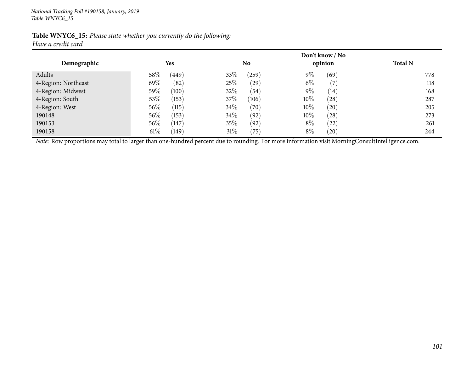|                    | Table WNYC6_15: Please state whether you currently do the following: |  |  |
|--------------------|----------------------------------------------------------------------|--|--|
| Have a credit card |                                                                      |  |  |

|                     |                 | Don't know / No |                             |                |  |  |  |
|---------------------|-----------------|-----------------|-----------------------------|----------------|--|--|--|
| Demographic         | <b>Yes</b>      | N <sub>0</sub>  | opinion                     | <b>Total N</b> |  |  |  |
| Adults              | $58\%$<br>(449) | 33\%<br>(259)   | $9\%$<br>(69)               | 778            |  |  |  |
| 4-Region: Northeast | 69%<br>(82)     | 25%<br>(29)     | $6\%$<br>(7)                | 118            |  |  |  |
| 4-Region: Midwest   | $59\%$<br>(100) | 32%<br>(54)     | $9\%$<br>(14)               | 168            |  |  |  |
| 4-Region: South     | 53%<br>(153)    | 37%<br>(106)    | $10\%$<br>(28)              | 287            |  |  |  |
| 4-Region: West      | $56\%$<br>(115) | $34\%$<br>(70)  | 10\%<br>(20)                | 205            |  |  |  |
| 190148              | 56\%<br>(153)   | $34\%$<br>(92)  | 10\%<br>(28)                | 273            |  |  |  |
| 190153              | 56\%<br>(147)   | 35%<br>(92)     | $8\%$<br>(22)               | 261            |  |  |  |
| 190158              | $61\%$<br>(149) | $31\%$<br>(75)  | $8\%$<br>$\left( 20\right)$ | 244            |  |  |  |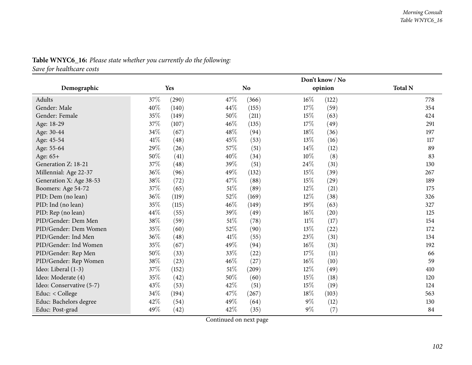|                          |        | Don't know / No |        |           |        |         |                |
|--------------------------|--------|-----------------|--------|-----------|--------|---------|----------------|
| Demographic              |        | Yes             |        | <b>No</b> |        | opinion | <b>Total N</b> |
| Adults                   | 37%    | (290)           | 47\%   | (366)     | $16\%$ | (122)   | 778            |
| Gender: Male             | 40%    | (140)           | 44%    | (155)     | 17%    | (59)    | 354            |
| Gender: Female           | 35%    | (149)           | 50%    | (211)     | 15%    | (63)    | 424            |
| Age: 18-29               | 37%    | (107)           | 46%    | (135)     | 17%    | (49)    | 291            |
| Age: 30-44               | $34\%$ | (67)            | 48\%   | (94)      | 18%    | (36)    | 197            |
| Age: 45-54               | 41\%   | (48)            | 45%    | (53)      | 13%    | (16)    | 117            |
| Age: 55-64               | 29%    | (26)            | 57\%   | (51)      | $14\%$ | (12)    | 89             |
| Age: 65+                 | 50%    | (41)            | 40%    | (34)      | $10\%$ | (8)     | 83             |
| Generation Z: 18-21      | 37%    | (48)            | 39%    | (51)      | 24\%   | (31)    | 130            |
| Millennial: Age 22-37    | 36%    | (96)            | 49%    | (132)     | 15%    | (39)    | 267            |
| Generation X: Age 38-53  | 38\%   | (72)            | 47%    | (88)      | 15%    | (29)    | 189            |
| Boomers: Age 54-72       | 37\%   | (65)            | $51\%$ | (89)      | 12%    | (21)    | 175            |
| PID: Dem (no lean)       | 36%    | (119)           | 52\%   | (169)     | 12%    | (38)    | 326            |
| PID: Ind (no lean)       | 35%    | (115)           | $46\%$ | (149)     | $19\%$ | (63)    | 327            |
| PID: Rep (no lean)       | 44%    | (55)            | 39%    | (49)      | $16\%$ | (20)    | 125            |
| PID/Gender: Dem Men      | 38%    | (59)            | $51\%$ | (78)      | $11\%$ | (17)    | 154            |
| PID/Gender: Dem Women    | 35%    | (60)            | 52%    | (90)      | $13\%$ | (22)    | 172            |
| PID/Gender: Ind Men      | 36\%   | (48)            | 41\%   | (55)      | 23%    | (31)    | 134            |
| PID/Gender: Ind Women    | 35%    | (67)            | 49%    | (94)      | $16\%$ | (31)    | 192            |
| PID/Gender: Rep Men      | $50\%$ | (33)            | 33%    | (22)      | 17%    | (11)    | 66             |
| PID/Gender: Rep Women    | $38\%$ | (23)            | 46%    | (27)      | $16\%$ | (10)    | 59             |
| Ideo: Liberal (1-3)      | 37\%   | (152)           | $51\%$ | (209)     | $12\%$ | (49)    | 410            |
| Ideo: Moderate (4)       | 35%    | (42)            | 50%    | (60)      | 15%    | (18)    | 120            |
| Ideo: Conservative (5-7) | 43%    | (53)            | 42\%   | (51)      | 15%    | (19)    | 124            |
| Educ: < College          | $34\%$ | (194)           | 47\%   | (267)     | 18%    | (103)   | 563            |
| Educ: Bachelors degree   | 42%    | (54)            | 49%    | (64)      | $9\%$  | (12)    | 130            |
| Educ: Post-grad          | 49%    | (42)            | 42%    | (35)      | $9\%$  | (7)     | 84             |

# **Table WNYC6\_16:** *Please state whether you currently do the following:*

*Save for healthcare costs*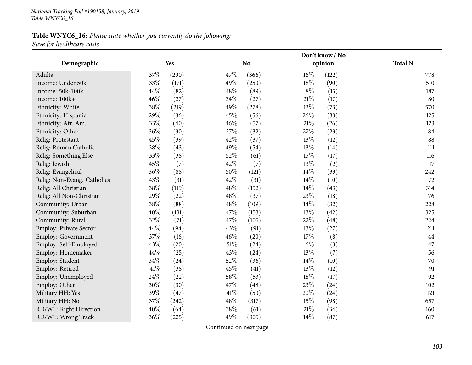#### **Table WNYC6\_16:** *Please state whether you currently do the following: Save for healthcare costs*

|                             |      |       |        | Don't know / No |        |         |                |  |  |
|-----------------------------|------|-------|--------|-----------------|--------|---------|----------------|--|--|
| Demographic                 |      | Yes   |        | <b>No</b>       |        | opinion | <b>Total N</b> |  |  |
| Adults                      | 37%  | (290) | 47%    | (366)           | $16\%$ | (122)   | 778            |  |  |
| Income: Under 50k           | 33%  | (171) | 49%    | (250)           | 18%    | (90)    | 510            |  |  |
| Income: 50k-100k            | 44%  | (82)  | 48\%   | (89)            | $8\%$  | (15)    | 187            |  |  |
| Income: 100k+               | 46%  | (37)  | 34%    | (27)            | 21%    | (17)    | 80             |  |  |
| Ethnicity: White            | 38%  | (219) | 49%    | (278)           | 13\%   | (73)    | 570            |  |  |
| Ethnicity: Hispanic         | 29%  | (36)  | 45%    | (56)            | 26%    | (33)    | 125            |  |  |
| Ethnicity: Afr. Am.         | 33%  | (40)  | 46%    | (57)            | $21\%$ | (26)    | 123            |  |  |
| Ethnicity: Other            | 36%  | (30)  | 37%    | (32)            | 27%    | (23)    | 84             |  |  |
| Relig: Protestant           | 45%  | (39)  | 42%    | (37)            | 13%    | (12)    | 88             |  |  |
| Relig: Roman Catholic       | 38%  | (43)  | 49%    | (54)            | 13%    | (14)    | 111            |  |  |
| Relig: Something Else       | 33%  | (38)  | 52%    | (61)            | 15%    | (17)    | 116            |  |  |
| Relig: Jewish               | 45%  | (7)   | 42%    | (7)             | 13%    | (2)     | 17             |  |  |
| Relig: Evangelical          | 36%  | (88)  | 50%    | (121)           | 14%    | (33)    | 242            |  |  |
| Relig: Non-Evang. Catholics | 43%  | (31)  | 42%    | (31)            | 14%    | (10)    | 72             |  |  |
| Relig: All Christian        | 38%  | (119) | 48%    | (152)           | 14%    | (43)    | 314            |  |  |
| Relig: All Non-Christian    | 29%  | (22)  | 48%    | (37)            | 23%    | (18)    | 76             |  |  |
| Community: Urban            | 38%  | (88)  | 48%    | (109)           | 14%    | (32)    | 228            |  |  |
| Community: Suburban         | 40%  | (131) | 47%    | (153)           | 13%    | (42)    | 325            |  |  |
| Community: Rural            | 32%  | (71)  | 47%    | (105)           | 22%    | (48)    | 224            |  |  |
| Employ: Private Sector      | 44%  | (94)  | 43%    | (91)            | 13%    | (27)    | 211            |  |  |
| Employ: Government          | 37%  | (16)  | 46%    | (20)            | 17%    | (8)     | 44             |  |  |
| Employ: Self-Employed       | 43%  | (20)  | $51\%$ | (24)            | $6\%$  | (3)     | 47             |  |  |
| Employ: Homemaker           | 44%  | (25)  | 43%    | (24)            | 13%    | (7)     | 56             |  |  |
| Employ: Student             | 34%  | (24)  | 52%    | (36)            | 14%    | (10)    | 70             |  |  |
| Employ: Retired             | 41\% | (38)  | 45%    | (41)            | 13%    | (12)    | 91             |  |  |
| Employ: Unemployed          | 24%  | (22)  | 58%    | (53)            | 18%    | (17)    | 92             |  |  |
| Employ: Other               | 30%  | (30)  | 47%    | (48)            | 23%    | (24)    | 102            |  |  |
| Military HH: Yes            | 39%  | (47)  | 41\%   | (50)            | 20%    | (24)    | 121            |  |  |
| Military HH: No             | 37%  | (242) | 48%    | (317)           | 15%    | (98)    | 657            |  |  |
| RD/WT: Right Direction      | 40%  | (64)  | 38%    | (61)            | $21\%$ | (34)    | 160            |  |  |
| RD/WT: Wrong Track          | 36%  | (225) | 49%    | (305)           | 14%    | (87)    | 617            |  |  |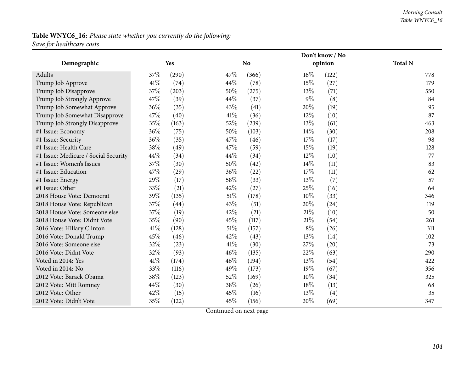## **Table WNYC6\_16:** *Please state whether you currently do the following: Save for healthcare costs*

|                                      |      |            |        | Don't know / No |        |         |                |  |  |  |
|--------------------------------------|------|------------|--------|-----------------|--------|---------|----------------|--|--|--|
| Demographic                          |      | <b>Yes</b> |        | <b>No</b>       |        | opinion | <b>Total N</b> |  |  |  |
| Adults                               | 37%  | (290)      | 47\%   | (366)           | $16\%$ | (122)   | 778            |  |  |  |
| Trump Job Approve                    | 41%  | (74)       | 44%    | (78)            | 15%    | (27)    | 179            |  |  |  |
| Trump Job Disapprove                 | 37%  | (203)      | 50%    | (275)           | 13\%   | (71)    | 550            |  |  |  |
| Trump Job Strongly Approve           | 47%  | (39)       | 44\%   | (37)            | 9%     | (8)     | 84             |  |  |  |
| Trump Job Somewhat Approve           | 36%  | (35)       | 43%    | (41)            | 20%    | (19)    | 95             |  |  |  |
| Trump Job Somewhat Disapprove        | 47%  | (40)       | 41\%   | (36)            | $12\%$ | (10)    | 87             |  |  |  |
| Trump Job Strongly Disapprove        | 35%  | (163)      | 52%    | (239)           | 13%    | (61)    | 463            |  |  |  |
| #1 Issue: Economy                    | 36%  | (75)       | 50%    | (103)           | 14\%   | (30)    | 208            |  |  |  |
| #1 Issue: Security                   | 36%  | (35)       | 47%    | (46)            | 17%    | (17)    | 98             |  |  |  |
| #1 Issue: Health Care                | 38%  | (49)       | 47\%   | (59)            | 15%    | (19)    | 128            |  |  |  |
| #1 Issue: Medicare / Social Security | 44%  | (34)       | 44%    | (34)            | 12%    | (10)    | 77             |  |  |  |
| #1 Issue: Women's Issues             | 37%  | (30)       | 50%    | (42)            | $14\%$ | (11)    | 83             |  |  |  |
| #1 Issue: Education                  | 47%  | (29)       | 36%    | (22)            | 17%    | (11)    | 62             |  |  |  |
| #1 Issue: Energy                     | 29%  | (17)       | 58%    | (33)            | 13%    | (7)     | 57             |  |  |  |
| #1 Issue: Other                      | 33%  | (21)       | 42%    | (27)            | 25%    | (16)    | 64             |  |  |  |
| 2018 House Vote: Democrat            | 39%  | (135)      | $51\%$ | (178)           | 10%    | (33)    | 346            |  |  |  |
| 2018 House Vote: Republican          | 37%  | (44)       | 43%    | (51)            | 20%    | (24)    | 119            |  |  |  |
| 2018 House Vote: Someone else        | 37%  | (19)       | 42%    | (21)            | 21%    | (10)    | 50             |  |  |  |
| 2018 House Vote: Didnt Vote          | 35%  | (90)       | 45%    | (117)           | $21\%$ | (54)    | 261            |  |  |  |
| 2016 Vote: Hillary Clinton           | 41\% | (128)      | $51\%$ | (157)           | $8\%$  | (26)    | 311            |  |  |  |
| 2016 Vote: Donald Trump              | 45%  | (46)       | 42%    | (43)            | 13%    | (14)    | 102            |  |  |  |
| 2016 Vote: Someone else              | 32%  | (23)       | 41\%   | (30)            | 27%    | (20)    | 73             |  |  |  |
| 2016 Vote: Didnt Vote                | 32%  | (93)       | 46%    | (135)           | 22%    | (63)    | 290            |  |  |  |
| Voted in 2014: Yes                   | 41\% | (174)      | 46%    | (194)           | 13\%   | (54)    | 422            |  |  |  |
| Voted in 2014: No                    | 33%  | (116)      | 49%    | (173)           | 19%    | (67)    | 356            |  |  |  |
| 2012 Vote: Barack Obama              | 38%  | (123)      | 52%    | (169)           | 10%    | (34)    | 325            |  |  |  |
| 2012 Vote: Mitt Romney               | 44%  | (30)       | 38%    | (26)            | 18%    | (13)    | 68             |  |  |  |
| 2012 Vote: Other                     | 42%  | (15)       | 45%    | (16)            | 13%    | (4)     | 35             |  |  |  |
| 2012 Vote: Didn't Vote               | 35%  | (122)      | 45%    | (156)           | 20%    | (69)    | 347            |  |  |  |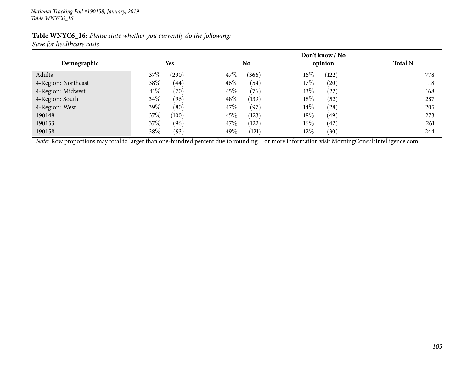| Table WNYC6_16: Please state whether you currently do the following: |  |  |
|----------------------------------------------------------------------|--|--|
| Save for healthcare costs                                            |  |  |

|                     | Don't know / No |                 |                 |                |  |  |  |  |  |  |  |
|---------------------|-----------------|-----------------|-----------------|----------------|--|--|--|--|--|--|--|
| Demographic         | <b>Yes</b>      | No              | opinion         | <b>Total N</b> |  |  |  |  |  |  |  |
| Adults              | $37\%$<br>(290) | 47\%<br>(366)   | $16\%$<br>(122) | 778            |  |  |  |  |  |  |  |
| 4-Region: Northeast | 38\%<br>(44)    | $46\%$<br>(54)  | $17\%$<br>(20)  | 118            |  |  |  |  |  |  |  |
| 4-Region: Midwest   | 41\%<br>(70)    | $45\%$<br>(76)  | $13\%$<br>(22)  | 168            |  |  |  |  |  |  |  |
| 4-Region: South     | 34\%<br>(96)    | $48\%$<br>(139) | $18\%$<br>(52)  | 287            |  |  |  |  |  |  |  |
| 4-Region: West      | 39\%<br>(80)    | 47\%<br>(97)    | $14\%$<br>(28)  | 205            |  |  |  |  |  |  |  |
| 190148              | $37\%$<br>(100) | $45\%$<br>(123) | $18\%$<br>(49)  | 273            |  |  |  |  |  |  |  |
| 190153              | $37\%$<br>(96)  | 47\%<br>(122)   | $16\%$<br>(42)  | 261            |  |  |  |  |  |  |  |
| 190158              | 38\%<br>(93)    | 49%<br>(121)    | $12\%$<br>(30)  | 244            |  |  |  |  |  |  |  |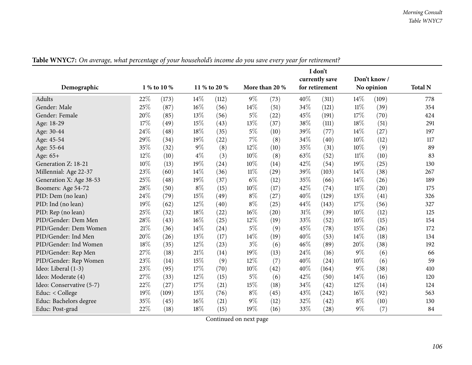|                          | I don't     |       |        |              |        |                |      |                |        |             |                |
|--------------------------|-------------|-------|--------|--------------|--------|----------------|------|----------------|--------|-------------|----------------|
|                          |             |       |        |              |        |                |      | currently save |        | Don't know/ |                |
| Demographic              | 1 % to 10 % |       |        | 11 % to 20 % |        | More than 20 % |      | for retirement |        | No opinion  | <b>Total N</b> |
| Adults                   | 22\%        | (173) | $14\%$ | (112)        | $9\%$  | (73)           | 40%  | (311)          | 14%    | (109)       | 778            |
| Gender: Male             | 25%         | (87)  | 16%    | (56)         | 14%    | (51)           | 34%  | (121)          | $11\%$ | (39)        | 354            |
| Gender: Female           | 20%         | (85)  | 13%    | (56)         | $5\%$  | (22)           | 45%  | (191)          | 17%    | (70)        | 424            |
| Age: 18-29               | 17%         | (49)  | 15%    | (43)         | 13%    | (37)           | 38%  | (111)          | 18%    | (51)        | 291            |
| Age: 30-44               | 24%         | (48)  | 18%    | (35)         | $5\%$  | (10)           | 39%  | (77)           | 14%    | (27)        | 197            |
| Age: 45-54               | 29%         | (34)  | 19%    | (22)         | 7%     | (8)            | 34%  | (40)           | 10%    | (12)        | 117            |
| Age: 55-64               | 35%         | (32)  | $9\%$  | (8)          | 12%    | (10)           | 35%  | (31)           | 10%    | (9)         | 89             |
| Age: 65+                 | 12%         | (10)  | $4\%$  | (3)          | 10%    | (8)            | 63%  | (52)           | $11\%$ | (10)        | 83             |
| Generation Z: 18-21      | 10%         | (13)  | 19%    | (24)         | 10%    | (14)           | 42%  | (54)           | 19%    | (25)        | 130            |
| Millennial: Age 22-37    | 23%         | (60)  | 14%    | (36)         | $11\%$ | (29)           | 39%  | (103)          | 14%    | (38)        | 267            |
| Generation X: Age 38-53  | 25%         | (48)  | 19%    | (37)         | $6\%$  | (12)           | 35%  | (66)           | 14%    | (26)        | 189            |
| Boomers: Age 54-72       | 28%         | (50)  | $8\%$  | (15)         | 10%    | (17)           | 42%  | (74)           | $11\%$ | (20)        | 175            |
| PID: Dem (no lean)       | 24%         | (79)  | 15%    | (49)         | $8\%$  | (27)           | 40%  | (129)          | 13%    | (41)        | 326            |
| PID: Ind (no lean)       | 19%         | (62)  | 12%    | (40)         | $8\%$  | (25)           | 44\% | (143)          | 17%    | (56)        | 327            |
| PID: Rep (no lean)       | 25%         | (32)  | 18%    | (22)         | 16%    | (20)           | 31%  | (39)           | 10%    | (12)        | 125            |
| PID/Gender: Dem Men      | 28%         | (43)  | 16%    | (25)         | 12%    | (19)           | 33%  | (52)           | $10\%$ | (15)        | 154            |
| PID/Gender: Dem Women    | 21%         | (36)  | $14\%$ | (24)         | $5\%$  | (9)            | 45%  | (78)           | 15%    | (26)        | 172            |
| PID/Gender: Ind Men      | 20%         | (26)  | 13%    | (17)         | 14%    | (19)           | 40%  | (53)           | 14\%   | (18)        | 134            |
| PID/Gender: Ind Women    | 18%         | (35)  | 12%    | (23)         | $3\%$  | (6)            | 46%  | (89)           | 20%    | (38)        | 192            |
| PID/Gender: Rep Men      | 27%         | (18)  | 21%    | (14)         | 19%    | (13)           | 24%  | (16)           | $9\%$  | (6)         | 66             |
| PID/Gender: Rep Women    | 23%         | (14)  | 15%    | (9)          | 12%    | (7)            | 40%  | (24)           | 10%    | (6)         | 59             |
| Ideo: Liberal (1-3)      | 23%         | (95)  | 17%    | (70)         | 10%    | (42)           | 40%  | (164)          | $9\%$  | (38)        | 410            |
| Ideo: Moderate (4)       | 27%         | (33)  | 12%    | (15)         | $5\%$  | (6)            | 42%  | (50)           | 14\%   | (16)        | 120            |
| Ideo: Conservative (5-7) | 22%         | (27)  | 17%    | (21)         | 15%    | (18)           | 34\% | (42)           | 12%    | (14)        | 124            |
| Educ: < College          | 19%         | (109) | 13%    | (76)         | $8\%$  | (45)           | 43%  | (242)          | 16%    | (92)        | 563            |
| Educ: Bachelors degree   | 35%         | (45)  | 16%    | (21)         | $9\%$  | (12)           | 32%  | (42)           | $8\%$  | (10)        | 130            |
| Educ: Post-grad          | 22%         | (18)  | 18%    | (15)         | 19%    | (16)           | 33%  | (28)           | $9\%$  | (7)         | 84             |

Table WNYC7: On average, what percentage of your household's income do you save every year for retirement?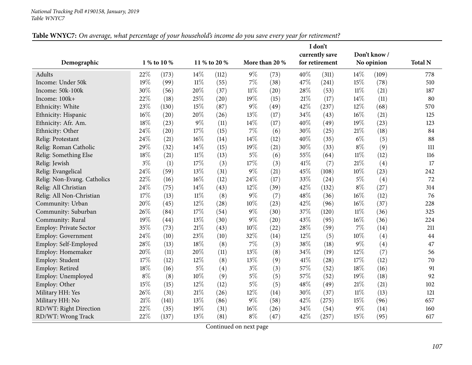|                               |             |       |        |              |        |                |      | I don't        |        |             |                |
|-------------------------------|-------------|-------|--------|--------------|--------|----------------|------|----------------|--------|-------------|----------------|
|                               |             |       |        |              |        |                |      | currently save |        | Don't know/ |                |
| Demographic                   | 1 % to 10 % |       |        | 11 % to 20 % |        | More than 20 % |      | for retirement |        | No opinion  | <b>Total N</b> |
| Adults                        | 22%         | (173) | 14%    | (112)        | $9\%$  | (73)           | 40%  | (311)          | 14\%   | (109)       | 778            |
| Income: Under 50k             | 19%         | (99)  | $11\%$ | (55)         | $7\%$  | (38)           | 47%  | (241)          | 15%    | (78)        | 510            |
| Income: 50k-100k              | 30%         | (56)  | 20%    | (37)         | $11\%$ | (20)           | 28\% | (53)           | $11\%$ | (21)        | 187            |
| Income: 100k+                 | 22%         | (18)  | 25%    | (20)         | 19%    | (15)           | 21%  | (17)           | 14\%   | (11)        | 80             |
| Ethnicity: White              | 23%         | (130) | 15%    | (87)         | $9\%$  | (49)           | 42%  | (237)          | 12%    | (68)        | 570            |
| Ethnicity: Hispanic           | 16%         | (20)  | 20%    | (26)         | 13%    | (17)           | 34%  | (43)           | 16%    | (21)        | 125            |
| Ethnicity: Afr. Am.           | 18%         | (23)  | $9\%$  | (11)         | 14\%   | (17)           | 40%  | (49)           | 19%    | (23)        | 123            |
| Ethnicity: Other              | 24%         | (20)  | 17%    | (15)         | $7\%$  | (6)            | 30%  | (25)           | $21\%$ | (18)        | 84             |
| Relig: Protestant             | 24%         | (21)  | 16%    | (14)         | 14\%   | (12)           | 40%  | (35)           | $6\%$  | (5)         | 88             |
| Relig: Roman Catholic         | 29%         | (32)  | 14%    | (15)         | 19%    | (21)           | 30%  | (33)           | $8\%$  | (9)         | 111            |
| Relig: Something Else         | 18%         | (21)  | $11\%$ | (13)         | $5\%$  | (6)            | 55%  | (64)           | $11\%$ | (12)        | 116            |
| Relig: Jewish                 | $3\%$       | (1)   | 17%    | (3)          | 17%    | (3)            | 41\% | (7)            | 21%    | (4)         | 17             |
| Relig: Evangelical            | 24%         | (59)  | 13%    | (31)         | $9\%$  | (21)           | 45%  | (108)          | 10%    | (23)        | 242            |
| Relig: Non-Evang. Catholics   | 22%         | (16)  | 16%    | (12)         | 24\%   | (17)           | 33%  | (24)           | $5\%$  | (4)         | 72             |
| Relig: All Christian          | 24%         | (75)  | 14%    | (43)         | 12%    | (39)           | 42%  | (132)          | $8\%$  | (27)        | 314            |
| Relig: All Non-Christian      | 17%         | (13)  | $11\%$ | (8)          | $9\%$  | (7)            | 48%  | (36)           | 16%    | (12)        | 76             |
| Community: Urban              | 20%         | (45)  | 12%    | (28)         | $10\%$ | (23)           | 42%  | (96)           | 16%    | (37)        | 228            |
| Community: Suburban           | 26%         | (84)  | 17%    | (54)         | $9\%$  | (30)           | 37%  | (120)          | $11\%$ | (36)        | 325            |
| Community: Rural              | 19%         | (44)  | 13%    | (30)         | $9\%$  | (20)           | 43%  | (95)           | 16%    | (36)        | 224            |
| <b>Employ: Private Sector</b> | 35%         | (73)  | 21\%   | (43)         | 10%    | (22)           | 28%  | (59)           | $7\%$  | (14)        | 211            |
| Employ: Government            | 24\%        | (10)  | 23%    | (10)         | 32%    | (14)           | 12%  | (5)            | $10\%$ | (4)         | 44             |
| Employ: Self-Employed         | $28\%$      | (13)  | 18%    | (8)          | $7\%$  | (3)            | 38%  | (18)           | $9\%$  | (4)         | 47             |
| Employ: Homemaker             | 20%         | (11)  | 20%    | (11)         | 13%    | (8)            | 34%  | (19)           | 12%    | (7)         | 56             |
| Employ: Student               | 17\%        | (12)  | 12%    | (8)          | 13%    | (9)            | 41\% | (28)           | 17%    | (12)        | 70             |
| Employ: Retired               | 18%         | (16)  | $5\%$  | (4)          | $3\%$  | (3)            | 57%  | (52)           | 18%    | (16)        | 91             |
| Employ: Unemployed            | $8\%$       | (8)   | 10%    | (9)          | $5\%$  | (5)            | 57%  | (52)           | 19%    | (18)        | 92             |
| Employ: Other                 | 15%         | (15)  | 12%    | (12)         | $5\%$  | (5)            | 48%  | (49)           | $21\%$ | (21)        | 102            |
| Military HH: Yes              | 26%         | (31)  | $21\%$ | (26)         | $12\%$ | (14)           | 30%  | (37)           | $11\%$ | (13)        | 121            |
| Military HH: No               | $21\%$      | (141) | 13%    | (86)         | $9\%$  | (58)           | 42%  | (275)          | 15%    | (96)        | 657            |
| RD/WT: Right Direction        | 22%         | (35)  | 19%    | (31)         | $16\%$ | (26)           | 34%  | (54)           | 9%     | (14)        | 160            |
| RD/WT: Wrong Track            | 22%         | (137) | 13%    | (81)         | $8\%$  | (47)           | 42%  | (257)          | 15%    | (95)        | 617            |

Table WNYC7: On average, what percentage of your household's income do you save every year for retirement?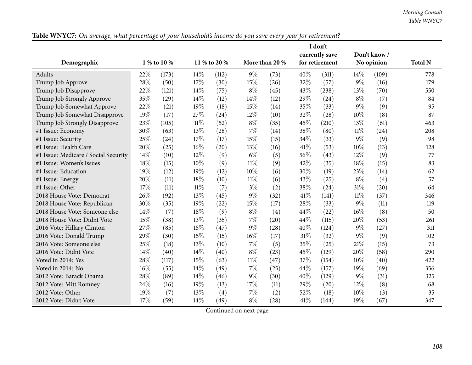|                                      |             |       |        |              |        |                |      | I don't        |        |             |                |
|--------------------------------------|-------------|-------|--------|--------------|--------|----------------|------|----------------|--------|-------------|----------------|
|                                      |             |       |        |              |        |                |      | currently save |        | Don't know/ |                |
| Demographic                          | 1 % to 10 % |       |        | 11 % to 20 % |        | More than 20 % |      | for retirement |        | No opinion  | <b>Total N</b> |
| Adults                               | 22%         | (173) | 14%    | (112)        | $9\%$  | (73)           | 40%  | (311)          | 14%    | (109)       | 778            |
| Trump Job Approve                    | 28%         | (50)  | 17%    | (30)         | 15%    | (26)           | 32%  | (57)           | $9\%$  | (16)        | 179            |
| Trump Job Disapprove                 | 22%         | (121) | 14\%   | (75)         | $8\%$  | (45)           | 43%  | (238)          | 13%    | (70)        | 550            |
| Trump Job Strongly Approve           | 35%         | (29)  | 14%    | (12)         | 14%    | (12)           | 29%  | (24)           | $8\%$  | (7)         | 84             |
| Trump Job Somewhat Approve           | 22%         | (21)  | 19%    | (18)         | 15%    | (14)           | 35%  | (33)           | 9%     | (9)         | 95             |
| Trump Job Somewhat Disapprove        | 19%         | (17)  | 27%    | (24)         | 12%    | (10)           | 32%  | (28)           | 10%    | (8)         | 87             |
| Trump Job Strongly Disapprove        | 23%         | (105) | $11\%$ | (52)         | $8\%$  | (35)           | 45%  | (210)          | 13%    | (61)        | 463            |
| #1 Issue: Economy                    | 30%         | (63)  | 13%    | (28)         | 7%     | (14)           | 38%  | (80)           | $11\%$ | (24)        | 208            |
| #1 Issue: Security                   | 25%         | (24)  | 17%    | (17)         | 15%    | (15)           | 34%  | (33)           | 9%     | (9)         | 98             |
| #1 Issue: Health Care                | 20%         | (25)  | 16%    | (20)         | 13%    | (16)           | 41\% | (53)           | 10%    | (13)        | 128            |
| #1 Issue: Medicare / Social Security | 14\%        | (10)  | 12%    | (9)          | $6\%$  | (5)            | 56%  | (43)           | 12%    | (9)         | 77             |
| #1 Issue: Women's Issues             | $18\%$      | (15)  | 10%    | (9)          | $11\%$ | (9)            | 42%  | (35)           | 18%    | (15)        | 83             |
| #1 Issue: Education                  | 19%         | (12)  | 19%    | (12)         | 10%    | (6)            | 30%  | (19)           | 23%    | (14)        | 62             |
| #1 Issue: Energy                     | 20%         | (11)  | 18%    | (10)         | $11\%$ | (6)            | 43%  | (25)           | $8\%$  | (4)         | 57             |
| #1 Issue: Other                      | 17%         | (11)  | $11\%$ | (7)          | $3\%$  | (2)            | 38%  | (24)           | 31%    | (20)        | 64             |
| 2018 House Vote: Democrat            | 26%         | (92)  | 13%    | (45)         | 9%     | (32)           | 41\% | (141)          | $11\%$ | (37)        | 346            |
| 2018 House Vote: Republican          | 30%         | (35)  | 19%    | (22)         | 15%    | (17)           | 28%  | (33)           | $9\%$  | (11)        | 119            |
| 2018 House Vote: Someone else        | 14\%        | (7)   | 18%    | (9)          | $8\%$  | (4)            | 44%  | (22)           | 16%    | (8)         | 50             |
| 2018 House Vote: Didnt Vote          | 15%         | (38)  | 13%    | (35)         | 7%     | (20)           | 44%  | (115)          | 20%    | (53)        | 261            |
| 2016 Vote: Hillary Clinton           | 27%         | (85)  | 15%    | (47)         | 9%     | (28)           | 40%  | (124)          | $9\%$  | (27)        | 311            |
| 2016 Vote: Donald Trump              | 29%         | (30)  | 15%    | (15)         | 16%    | (17)           | 31%  | (32)           | 9%     | (9)         | 102            |
| 2016 Vote: Someone else              | 25%         | (18)  | 13%    | (10)         | 7%     | (5)            | 35%  | (25)           | 21%    | (15)        | 73             |
| 2016 Vote: Didnt Vote                | 14%         | (40)  | 14\%   | (40)         | $8\%$  | (23)           | 45%  | (129)          | 20%    | (58)        | 290            |
| Voted in 2014: Yes                   | 28%         | (117) | 15%    | (63)         | $11\%$ | (47)           | 37%  | (154)          | 10%    | (40)        | 422            |
| Voted in 2014: No                    | $16\%$      | (55)  | 14%    | (49)         | 7%     | (25)           | 44%  | (157)          | 19%    | (69)        | 356            |
| 2012 Vote: Barack Obama              | 28\%        | (89)  | 14%    | (46)         | 9%     | (30)           | 40%  | (129)          | 9%     | (31)        | 325            |
| 2012 Vote: Mitt Romney               | 24%         | (16)  | 19%    | (13)         | 17%    | (11)           | 29%  | (20)           | 12%    | (8)         | 68             |
| 2012 Vote: Other                     | 19%         | (7)   | 13%    | (4)          | $7\%$  | (2)            | 52%  | (18)           | $10\%$ | (3)         | 35             |
| 2012 Vote: Didn't Vote               | 17%         | (59)  | 14%    | (49)         | $8\%$  | (28)           | 41\% | (144)          | 19%    | (67)        | 347            |

Table WNYC7: On average, what percentage of your household's income do you save every year for retirement?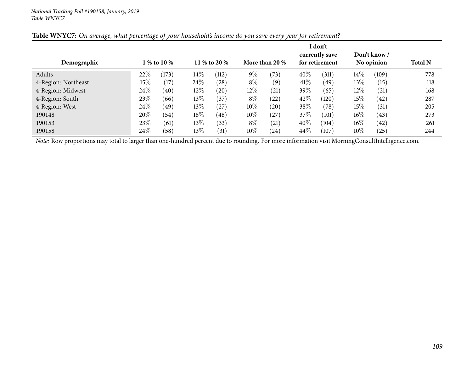|                     |        |             |        |              |        |                |      | I don't        |        |              |                |
|---------------------|--------|-------------|--------|--------------|--------|----------------|------|----------------|--------|--------------|----------------|
|                     |        |             |        |              |        |                |      | currently save |        | Don't know / |                |
| Demographic         |        | 1 % to 10 % |        | 11 % to 20 % |        | More than 20 % |      | for retirement |        | No opinion   | <b>Total N</b> |
| Adults              | $22\%$ | (173)       | $14\%$ | (112)        | $9\%$  | (73)           | 40%  | (311)          | 14\%   | (109)        | 778            |
| 4-Region: Northeast | 15\%   | (17)        | $24\%$ | (28)         | $8\%$  | (9)            | 41\% | (49)           | 13\%   | (15)         | 118            |
| 4-Region: Midwest   | 24\%   | (40)        | $12\%$ | (20)         | $12\%$ | (21)           | 39%  | (65)           | $12\%$ | (21)         | 168            |
| 4-Region: South     | 23\%   | (66)        | 13\%   | (37)         | $8\%$  | (22)           | 42\% | (120)          | $15\%$ | (42)         | 287            |
| 4-Region: West      | 24%    | (49)        | 13\%   | $^{(27)}$    | $10\%$ | (20)           | 38\% | (78)           | 15%    | (31)         | 205            |
| 190148              | 20%    | (54)        | 18%    | (48)         | $10\%$ | (27)           | 37\% | (101)          | $16\%$ | (43)         | 273            |
| 190153              | 23\%   | (61)        | 13\%   | (33)         | $8\%$  | (21)           | 40%  | (104)          | $16\%$ | (42)         | 261            |
| 190158              | $24\%$ | (58)        | 13%    | (31)         | $10\%$ | (24)           | 44\% | (107)          | $10\%$ | $^{'}25)$    | 244            |

### Table WNYC7: On average, what percentage of your household's income do you save every year for retirement?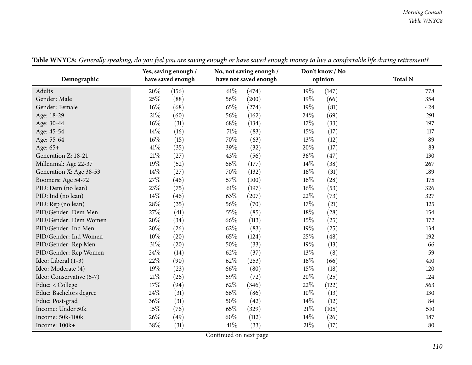|                          |        | Yes, saving enough / |        | No, not saving enough / |        | Don't know / No |                |
|--------------------------|--------|----------------------|--------|-------------------------|--------|-----------------|----------------|
| Demographic              |        | have saved enough    |        | have not saved enough   |        | opinion         | <b>Total N</b> |
| Adults                   | 20%    | (156)                | $61\%$ | (474)                   | 19%    | (147)           | 778            |
| Gender: Male             | 25%    | (88)                 | 56%    | (200)                   | $19\%$ | (66)            | 354            |
| Gender: Female           | 16%    | (68)                 | 65%    | (274)                   | 19%    | (81)            | 424            |
| Age: 18-29               | $21\%$ | (60)                 | 56%    | (162)                   | 24\%   | (69)            | 291            |
| Age: 30-44               | $16\%$ | (31)                 | 68\%   | (134)                   | 17%    | (33)            | 197            |
| Age: 45-54               | 14%    | (16)                 | 71\%   | (83)                    | 15%    | (17)            | 117            |
| Age: 55-64               | 16%    | (15)                 | 70%    | (63)                    | 13%    | (12)            | 89             |
| Age: 65+                 | 41\%   | (35)                 | 39%    | (32)                    | 20%    | (17)            | 83             |
| Generation Z: 18-21      | $21\%$ | (27)                 | 43%    | (56)                    | 36%    | (47)            | 130            |
| Millennial: Age 22-37    | 19%    | (52)                 | 66%    | (177)                   | $14\%$ | (38)            | 267            |
| Generation X: Age 38-53  | 14%    | (27)                 | 70%    | (132)                   | $16\%$ | (31)            | 189            |
| Boomers: Age 54-72       | 27%    | (46)                 | 57%    | (100)                   | $16\%$ | (28)            | 175            |
| PID: Dem (no lean)       | 23%    | (75)                 | $61\%$ | (197)                   | $16\%$ | (53)            | 326            |
| PID: Ind (no lean)       | 14%    | (46)                 | 63%    | (207)                   | 22\%   | (73)            | 327            |
| PID: Rep (no lean)       | 28%    | (35)                 | 56%    | (70)                    | $17\%$ | (21)            | 125            |
| PID/Gender: Dem Men      | 27%    | (41)                 | 55%    | (85)                    | 18%    | (28)            | 154            |
| PID/Gender: Dem Women    | 20%    | (34)                 | 66%    | (113)                   | 15%    | (25)            | 172            |
| PID/Gender: Ind Men      | 20%    | (26)                 | 62%    | (83)                    | $19\%$ | (25)            | 134            |
| PID/Gender: Ind Women    | $10\%$ | (20)                 | 65%    | (124)                   | 25%    | (48)            | 192            |
| PID/Gender: Rep Men      | $31\%$ | (20)                 | 50%    | (33)                    | 19%    | (13)            | 66             |
| PID/Gender: Rep Women    | 24%    | (14)                 | 62%    | (37)                    | 13%    | (8)             | 59             |
| Ideo: Liberal (1-3)      | 22%    | (90)                 | 62%    | (253)                   | $16\%$ | (66)            | 410            |
| Ideo: Moderate (4)       | 19%    | (23)                 | 66%    | (80)                    | 15%    | (18)            | 120            |
| Ideo: Conservative (5-7) | $21\%$ | (26)                 | 59%    | (72)                    | 20%    | (25)            | 124            |
| Educ: < College          | 17%    | (94)                 | 62%    | (346)                   | 22\%   | (122)           | 563            |
| Educ: Bachelors degree   | 24%    | (31)                 | 66%    | (86)                    | 10%    | (13)            | 130            |
| Educ: Post-grad          | 36%    | (31)                 | 50%    | (42)                    | $14\%$ | (12)            | 84             |
| Income: Under 50k        | 15%    | (76)                 | 65%    | (329)                   | $21\%$ | (105)           | 510            |
| Income: 50k-100k         | 26%    | (49)                 | 60%    | (112)                   | $14\%$ | (26)            | 187            |
| Income: 100k+            | 38%    | (31)                 | 41\%   | (33)                    | 21%    | (17)            | 80             |

Table WNYC8: Generally speaking, do you feel you are saving enough or have saved enough money to live a comfortable life during retirement?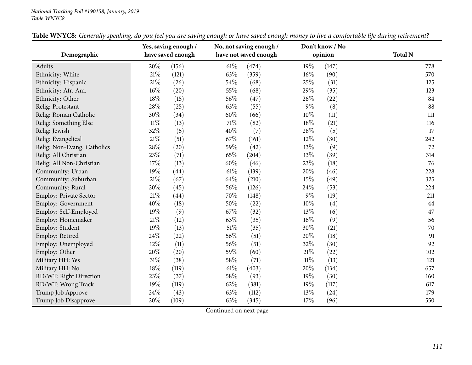#### *National Tracking Poll #190158, January, <sup>2019</sup> Table WNYC8*

| Demographic                 |        | Yes, saving enough /<br>have saved enough |        | No, not saving enough /<br>have not saved enough |        | Don't know / No<br>opinion | <b>Total N</b> |
|-----------------------------|--------|-------------------------------------------|--------|--------------------------------------------------|--------|----------------------------|----------------|
| Adults                      | 20%    | (156)                                     | $61\%$ | (474)                                            | 19%    | (147)                      | 778            |
| Ethnicity: White            | $21\%$ | (121)                                     | 63%    | (359)                                            | $16\%$ | (90)                       | 570            |
| Ethnicity: Hispanic         | 21%    | (26)                                      | 54\%   | (68)                                             | 25%    | (31)                       | 125            |
| Ethnicity: Afr. Am.         | $16\%$ | (20)                                      | 55%    | (68)                                             | 29%    | (35)                       | 123            |
| Ethnicity: Other            | 18%    | (15)                                      | 56%    | (47)                                             | 26\%   | (22)                       | 84             |
| Relig: Protestant           | 28%    | (25)                                      | 63%    | (55)                                             | $9\%$  | (8)                        | 88             |
| Relig: Roman Catholic       | 30%    | (34)                                      | 60%    | (66)                                             | 10%    | (11)                       | 111            |
| Relig: Something Else       | $11\%$ | (13)                                      | $71\%$ | (82)                                             | 18%    | (21)                       | 116            |
| Relig: Jewish               | 32%    | (5)                                       | 40%    | (7)                                              | 28\%   | (5)                        | 17             |
| Relig: Evangelical          | $21\%$ | (51)                                      | 67\%   | (161)                                            | $12\%$ | (30)                       | 242            |
| Relig: Non-Evang. Catholics | 28%    | (20)                                      | 59%    | (42)                                             | $13\%$ | (9)                        | 72             |
| Relig: All Christian        | 23%    | (71)                                      | 65%    | (204)                                            | $13\%$ | (39)                       | 314            |
| Relig: All Non-Christian    | $17\%$ | (13)                                      | $60\%$ | (46)                                             | $23\%$ | (18)                       | 76             |
| Community: Urban            | $19\%$ | (44)                                      | $61\%$ | (139)                                            | 20%    | (46)                       | 228            |
| Community: Suburban         | $21\%$ | (67)                                      | 64\%   | (210)                                            | 15%    | (49)                       | 325            |
| Community: Rural            | 20%    | (45)                                      | 56%    | (126)                                            | 24\%   | (53)                       | 224            |
| Employ: Private Sector      | 21\%   | (44)                                      | 70%    | (148)                                            | $9\%$  | (19)                       | 211            |
| Employ: Government          | 40%    | (18)                                      | 50%    | (22)                                             | $10\%$ | (4)                        | 44             |
| Employ: Self-Employed       | 19%    | (9)                                       | 67%    | (32)                                             | 13%    | (6)                        | 47             |
| Employ: Homemaker           | $21\%$ | (12)                                      | 63%    | (35)                                             | $16\%$ | (9)                        | 56             |
| Employ: Student             | 19%    | (13)                                      | $51\%$ | (35)                                             | 30%    | (21)                       | 70             |
| Employ: Retired             | 24%    | (22)                                      | 56%    | (51)                                             | 20%    | (18)                       | 91             |
| Employ: Unemployed          | 12%    | (11)                                      | 56%    | (51)                                             | 32%    | (30)                       | 92             |
| Employ: Other               | 20%    | (20)                                      | 59%    | (60)                                             | $21\%$ | (22)                       | 102            |
| Military HH: Yes            | $31\%$ | (38)                                      | 58%    | (71)                                             | $11\%$ | (13)                       | 121            |
| Military HH: No             | $18\%$ | (119)                                     | 61\%   | (403)                                            | 20%    | (134)                      | 657            |
| RD/WT: Right Direction      | 23%    | (37)                                      | 58\%   | (93)                                             | 19%    | (30)                       | 160            |
| RD/WT: Wrong Track          | $19\%$ | (119)                                     | 62%    | (381)                                            | 19%    | (117)                      | 617            |
| Trump Job Approve           | $24\%$ | (43)                                      | 63%    | (112)                                            | $13\%$ | (24)                       | 179            |
| Trump Job Disapprove        | 20%    | (109)                                     | 63%    | (345)                                            | 17%    | (96)                       | 550            |

| Table WNYC8: Generally speaking, do you feel you are saving enough or have saved enough money to live a comfortable life during retirement? |  |
|---------------------------------------------------------------------------------------------------------------------------------------------|--|
|---------------------------------------------------------------------------------------------------------------------------------------------|--|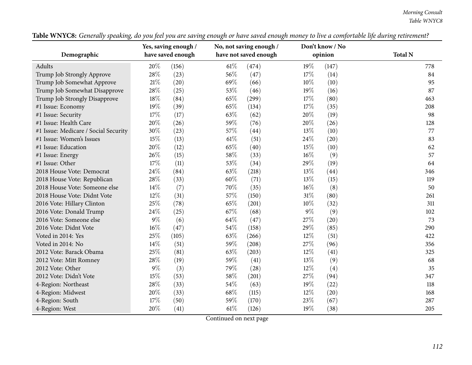| Demographic                          |       | Yes, saving enough /<br>have saved enough |        | No, not saving enough /<br>have not saved enough |        | Don't know / No<br>opinion | <b>Total N</b> |
|--------------------------------------|-------|-------------------------------------------|--------|--------------------------------------------------|--------|----------------------------|----------------|
| Adults                               | 20%   | (156)                                     | $61\%$ | (474)                                            | 19%    | (147)                      | 778            |
| Trump Job Strongly Approve           | 28%   | (23)                                      | 56%    | (47)                                             | 17%    | (14)                       | 84             |
| Trump Job Somewhat Approve           | 21%   | (20)                                      | 69%    | (66)                                             | 10%    | (10)                       | 95             |
| Trump Job Somewhat Disapprove        | 28%   | (25)                                      | 53%    | (46)                                             | 19%    | (16)                       | 87             |
| Trump Job Strongly Disapprove        | 18%   | (84)                                      | 65%    | (299)                                            | 17%    | (80)                       | 463            |
| #1 Issue: Economy                    | 19%   | (39)                                      | 65%    | (134)                                            | 17%    | (35)                       | 208            |
| #1 Issue: Security                   | 17%   | (17)                                      | 63%    | (62)                                             | 20%    | (19)                       | 98             |
| #1 Issue: Health Care                | 20%   | (26)                                      | 59%    | (76)                                             | 20%    | (26)                       | 128            |
| #1 Issue: Medicare / Social Security | 30%   | (23)                                      | 57%    | (44)                                             | $13\%$ | (10)                       | 77             |
| #1 Issue: Women's Issues             | 15%   | (13)                                      | $61\%$ | (51)                                             | 24\%   | (20)                       | 83             |
| #1 Issue: Education                  | 20%   | (12)                                      | 65%    | (40)                                             | 15%    | (10)                       | 62             |
| #1 Issue: Energy                     | 26%   | (15)                                      | 58%    | (33)                                             | 16%    | (9)                        | 57             |
| #1 Issue: Other                      | 17%   | (11)                                      | 53%    | (34)                                             | 29%    | (19)                       | 64             |
| 2018 House Vote: Democrat            | 24%   | (84)                                      | 63%    | (218)                                            | 13\%   | (44)                       | 346            |
| 2018 House Vote: Republican          | 28%   | (33)                                      | 60%    | (71)                                             | 13\%   | (15)                       | 119            |
| 2018 House Vote: Someone else        | 14%   | (7)                                       | 70%    | (35)                                             | 16%    | (8)                        | 50             |
| 2018 House Vote: Didnt Vote          | 12%   | (31)                                      | 57%    | (150)                                            | 31%    | (80)                       | 261            |
| 2016 Vote: Hillary Clinton           | 25%   | (78)                                      | 65%    | (201)                                            | 10%    | (32)                       | 311            |
| 2016 Vote: Donald Trump              | 24\%  | (25)                                      | 67%    | (68)                                             | $9\%$  | (9)                        | 102            |
| 2016 Vote: Someone else              | $9\%$ | (6)                                       | 64%    | (47)                                             | 27%    | (20)                       | 73             |
| 2016 Vote: Didnt Vote                | 16%   | (47)                                      | 54%    | (158)                                            | 29%    | (85)                       | 290            |
| Voted in 2014: Yes                   | 25%   | (105)                                     | 63%    | (266)                                            | 12%    | (51)                       | 422            |
| Voted in 2014: No                    | 14%   | (51)                                      | 59%    | (208)                                            | 27%    | (96)                       | 356            |
| 2012 Vote: Barack Obama              | 25%   | (81)                                      | 63%    | (203)                                            | 12%    | (41)                       | 325            |
| 2012 Vote: Mitt Romney               | 28%   | (19)                                      | 59%    | (41)                                             | 13%    | (9)                        | 68             |
| 2012 Vote: Other                     | $9\%$ | (3)                                       | 79%    | (28)                                             | 12%    | (4)                        | 35             |
| 2012 Vote: Didn't Vote               | 15%   | (53)                                      | 58\%   | (201)                                            | 27%    | (94)                       | 347            |
| 4-Region: Northeast                  | 28%   | (33)                                      | 54\%   | (63)                                             | 19%    | (22)                       | 118            |
| 4-Region: Midwest                    | 20%   | (33)                                      | 68%    | (115)                                            | $12\%$ | (20)                       | 168            |
| 4-Region: South                      | 17%   | (50)                                      | 59%    | (170)                                            | 23%    | (67)                       | 287            |
| 4-Region: West                       | 20%   | (41)                                      | $61\%$ | (126)                                            | 19%    | (38)                       | 205            |

Table WNYC8: Generally speaking, do you feel you are saving enough or have saved enough money to live a comfortable life during retirement?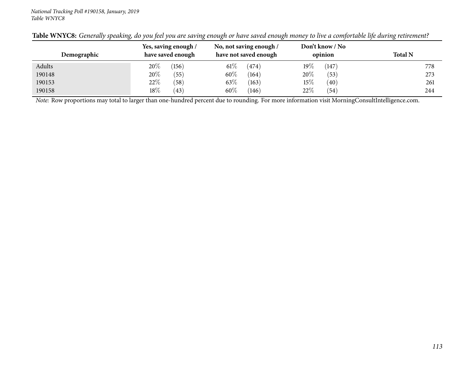| Demographic | Yes, saving enough /<br>have saved enough | No, not saving enough /<br>have not saved enough | Don't know / No<br>opinion | <b>Total N</b> |
|-------------|-------------------------------------------|--------------------------------------------------|----------------------------|----------------|
| Adults      | $20\%$<br>(156)                           | $61\%$<br>(474)                                  | 19 $\%$<br>(147)           | 778            |
| 190148      | $20\%$<br>(55)                            | $60\%$<br>(164)                                  | 20%<br>(53)                | 273            |
| 190153      | 22%<br>(58)                               | 63%<br>(163)                                     | $15\%$<br>(40)             | 261            |
| 190158      | 18%<br>(43)                               | $60\%$<br>(146)                                  | 22%<br>(54)                | 244            |

|  | Table WNYC8: Generally speaking, do you feel you are saving enough or have saved enough money to live a comfortable life during retirement? |  |  |  |  |
|--|---------------------------------------------------------------------------------------------------------------------------------------------|--|--|--|--|
|--|---------------------------------------------------------------------------------------------------------------------------------------------|--|--|--|--|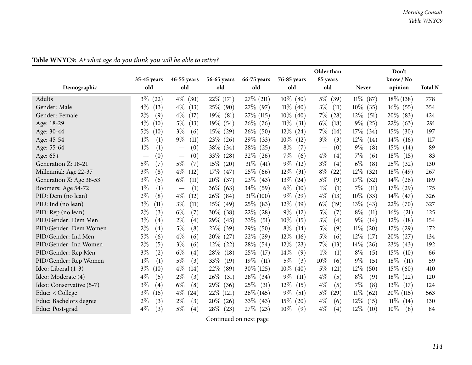|                          |                            |                                        |                |                |                | Older than    |                | Don't          |                |
|--------------------------|----------------------------|----------------------------------------|----------------|----------------|----------------|---------------|----------------|----------------|----------------|
|                          | 35-45 years                | 46-55 years                            | 56-65 years    | 66-75 years    | 76-85 years    | 85 years      |                | know / No      |                |
| Demographic              | old                        | old                                    | old            | old            | old            | old           | <b>Never</b>   | opinion        | <b>Total N</b> |
| <b>Adults</b>            | $3\%$<br>(22)              | $4\%$<br>(30)                          | $22\%$ (171)   | 27\% (211)     | $10\%$ (80)    | $5\%$<br>(39) | $11\%$ (87)    | $18\%$ (138)   | 778            |
| Gender: Male             | $4\%$<br>(13)              | $4\%$<br>(13)                          | 25% (90)       | 27\% (97)      | $11\%$ (40)    | $3\%$<br>(11) | 10\%<br>(35)   | $16\%$ (55)    | 354            |
| Gender: Female           | $2\%$<br>(9)               | $4\%$<br>(17)                          | $19\%$<br>(81) | 27\% (115)     | $10\%$ (40)    | $7\%$<br>(28) | $12\%$<br>(51) | $20\%$ (83)    | 424            |
| Age: 18-29               | $4\%$<br>(10)              | $5\%$<br>(13)                          | $19\%$<br>(54) | $26\%$ (76)    | $11\%$<br>(31) | $6\%$<br>(18) | $9\%$<br>(25)  | $22\%$ (63)    | 291            |
| Age: 30-44               | $5\%$<br>(10)              | $3\%$<br>(6)                           | $15\%$ (29)    | $26\%$<br>(50) | $12\%$<br>(24) | $7\%$<br>(14) | $17\%$ (34)    | $15\%$ (30)    | 197            |
| Age: 45-54               | $1\%$<br>(1)               | $9\%$<br>(11)                          | 23\%<br>(26)   | 29\%<br>(33)   | $10\%$<br>(12) | $3\%$<br>(3)  | $12\%$<br>(14) | $14\%$<br>(16) | 117            |
| Age: 55-64               | $1\%$<br>(1)               | (0)                                    | 38\%<br>(34)   | $28\%$<br>(25) | $8\%$<br>(7)   | (0)           | $9\%$<br>(8)   | $15\%$<br>(14) | 89             |
| Age: 65+                 | $\left(0\right)$           | (0)<br>$\hspace{0.1mm}-\hspace{0.1mm}$ | $33\%$<br>(28) | $32\%$<br>(26) | 7%<br>(6)      | $4\%$<br>(4)  | 7%<br>(6)      | $18\%$<br>(15) | 83             |
| Generation Z: 18-21      | $5\%$<br>(7)               | $5\%$<br>(7)                           | $15\%$<br>(20) | $31\%$ (41)    | $9\%$<br>(12)  | $3\%$<br>(4)  | $6\%$<br>(8)   | $25\%$ (32)    | 130            |
| Millennial: Age 22-37    | $3\%$<br>(8)               | $4\%$<br>(12)                          | $17\%$ (47)    | 25\% (66)      | $12\%$<br>(31) | $8\%$<br>(22) | $12\%$<br>(32) | $18\%$ (49)    | 267            |
| Generation X: Age 38-53  | $3\%$<br>(6)               | $6\%$<br>(11)                          | $20\%$<br>(37) | 23\% (43)      | $13\%$<br>(24) | $5\%$<br>(9)  | 17%<br>(32)    | $14\%$ (26)    | 189            |
| Boomers: Age 54-72       | $1\%$<br>(1)               | (1)<br>$\overline{\phantom{m}}$        | $36\%$ (63)    | $34\%$ (59)    | $6\%$<br>(10)  | $1\%$<br>(1)  | $7\%$<br>(11)  | $17\%$ (29)    | 175            |
| PID: Dem (no lean)       | $2\%$<br>(8)               | $4\%$<br>(12)                          | $26\%$<br>(84) | $31\% (100)$   | $9\%$<br>(29)  | $4\%$<br>(13) | $10\%$<br>(33) | $14\%$ (47)    | 326            |
| PID: Ind (no lean)       | $3\%$<br>(11)              | $3\%$<br>(11)                          | $15\%$<br>(49) | 25\% (83)      | $12\%$<br>(39) | $6\%$<br>(19) | $13\%$<br>(43) | 22\% (70)      | 327            |
| PID: Rep (no lean)       | $2\%$<br>(3)               | $6\%$<br>(7)                           | $30\%$<br>(38) | $22\%$<br>(28) | $9\%$<br>(12)  | 5%<br>(7)     | $8\%$<br>(11)  | $16\%$<br>(21) | 125            |
| PID/Gender: Dem Men      | $3\%$<br>$\left( 4\right)$ | $2\%$<br>(4)                           | 29\%<br>(45)   | 33\%<br>(51)   | $10\%$<br>(15) | $3\%$<br>(4)  | $9\%$<br>(14)  | $12\%$<br>(18) | 154            |
| PID/Gender: Dem Women    | $2\%$<br>$\left( 4\right)$ | $5\%$<br>(8)                           | 23\%<br>(39)   | 29\%<br>(50)   | $8\%$<br>(14)  | $5\%$<br>(9)  | $11\%$ (20)    | $17\%$ (29)    | 172            |
| PID/Gender: Ind Men      | 5%<br>(6)                  | $4\%$<br>(6)                           | 20%<br>(27)    | 22\%<br>(29)   | $12\%$<br>(16) | $5\%$<br>(6)  | $12\%$<br>(17) | $20\%$ (27)    | 134            |
| PID/Gender: Ind Women    | $2\%$<br>(5)               | $3\%$<br>(6)                           | $12\%$<br>(22) | $28\%$<br>(54) | $12\%$<br>(23) | 7%<br>(13)    | $14\%$<br>(26) | $23\%$ (43)    | 192            |
| PID/Gender: Rep Men      | $3\%$<br>(2)               | $6\%$<br>(4)                           | 28\%<br>(18)   | 25\%<br>(17)   | $14\%$<br>(9)  | $1\%$<br>(1)  | $8\%$<br>(5)   | $15\%$<br>(10) | 66             |
| PID/Gender: Rep Women    | $1\%$<br>(1)               | $5\%$<br>(3)                           | 33\%<br>(19)   | $19\%$<br>(11) | $5\%$<br>(3)   | 10%<br>(6)    | $9\%$<br>(5)   | $18\%$<br>(11) | 59             |
| Ideo: Liberal (1-3)      | $3\%$<br>(10)              | $4\%$<br>(14)                          | 22%<br>(89)    | $30\% (125)$   | $10\%$<br>(40) | $5\%$<br>(21) | $12\%$<br>(50) | $15\%$ (60)    | 410            |
| Ideo: Moderate (4)       | $4\%$<br>(5)               | $2\%$<br>(3)                           | $26\%$<br>(31) | 28\% (34)      | $9\%$<br>(11)  | $4\%$<br>(5)  | $8\%$<br>(9)   | $18\%$ (22)    | 120            |
| Ideo: Conservative (5-7) | $3\%$<br>$\left( 4\right)$ | $6\%$<br>(8)                           | $29\%$<br>(36) | $25\%$ (31)    | $12\%$<br>(15) | $4\%$<br>(5)  | 7%<br>(8)      | $13\%$<br>(17) | 124            |
| Educ: $<$ College        | $3\%$<br>(16)              | $4\%$<br>(24)                          | $22\%$ (121)   | $26\%$ (145)   | $9\%$<br>(51)  | $5\%$<br>(29) | $11\%$<br>(62) | $20\%$ (115)   | 563            |
| Educ: Bachelors degree   | $2\%$<br>(3)               | $2\%$<br>(3)                           | $20\%$<br>(26) | $33\%$ (43)    | 15%<br>(20)    | $4\%$<br>(6)  | $12\%$<br>(15) | $11\%$<br>(14) | 130            |
| Educ: Post-grad          | $4\%$<br>(3)               | $5\%$<br>(4)                           | $28\%$<br>(23) | 27\% (23)      | $10\%$<br>(9)  | $4\%$<br>(4)  | $12\%$<br>(10) | $10\%$<br>(8)  | 84             |

Table WNYC9: At what age do you think you will be able to retire?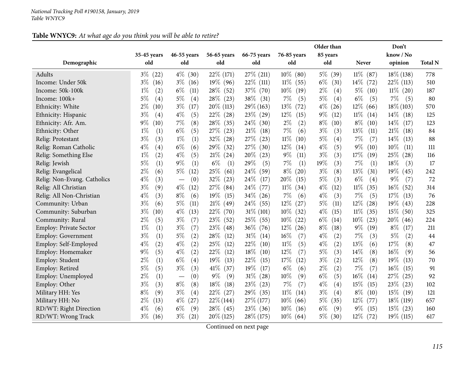| Table WNYC9: At what age do you think you will be able to retire? |
|-------------------------------------------------------------------|
|-------------------------------------------------------------------|

|                               | 35-45 years                | 46-55 years                              | 56-65 years    | 66-75 years    | 76-85 years                  | Older than<br>85 years |                | Don't<br>know / No |                |
|-------------------------------|----------------------------|------------------------------------------|----------------|----------------|------------------------------|------------------------|----------------|--------------------|----------------|
| Demographic                   | old                        | old                                      | old            | old            | old                          | old                    | <b>Never</b>   | opinion            | <b>Total N</b> |
| Adults                        | $3\%$<br>(22)              | $4\%$<br>(30)                            | 22\% (171)     | 27\% (211)     | $10\%$ (80)                  | $5\%$<br>(39)          | $11\%$ (87)    | $18\%$ (138)       | 778            |
| Income: Under 50k             | $3\%$<br>(16)              | $3\%$<br>(16)                            | $19\%$ (96)    | $22\%$ (111)   | $11\%$<br>(55)               | $6\%$<br>(31)          | $14\%$<br>(72) | $22\%$ (113)       | 510            |
| Income: 50k-100k              | $1\%$<br>(2)               | $6\%$<br>(11)                            | 28\%<br>(52)   | 37\% (70)      | $10\%$<br>(19)               | $2\%$<br>(4)           | $5\%$<br>(10)  | $11\%$ (20)        | 187            |
| Income: 100k+                 | $5\%$<br>(4)               | $5\%$<br>(4)                             | $28\%$ (23)    | $38\%$ (31)    | 7%<br>(5)                    | 5%<br>(4)              | $6\%$<br>(5)   | $7\%$<br>(5)       | 80             |
| Ethnicity: White              | $2\%$<br>$^{'}10)$         | $3\%$<br>(17)                            | $20\%$ (113)   | $29\%$ (163)   | $13\%$<br>(72)               | $4\%$<br>(26)          | $12\%$<br>(66) | $18\%$ (103)       | 570            |
| Ethnicity: Hispanic           | $3\%$<br>(4)               | $4\%$<br>(5)                             | $22\%$<br>(28) | $23\%$ (29)    | $12\%$<br>(15)               | $9\%$<br>(12)          | $11\%$<br>(14) | $14\%$<br>(18)     | 125            |
| Ethnicity: Afr. Am.           | $9\%$<br>$\left(10\right)$ | 7%<br>(8)                                | 28\%<br>(35)   | $24\%$ (30)    | $2\%$<br>(2)                 | $8\%$<br>(10)          | $8\%$<br>(10)  | $14\%$<br>(17)     | 123            |
| Ethnicity: Other              | $1\%$<br>(1)               | $6\%$<br>(5)                             | $27\%$<br>(23) | $21\%$<br>(18) | 7%<br>(6)                    | $3\%$<br>(3)           | $13\%$<br>(11) | $21\%$<br>(18)     | 84             |
| Relig: Protestant             | $3\%$<br>(3)               | $1\%$<br>(1)                             | 32%<br>(28)    | 27\%<br>(23)   | 11%<br>(10)                  | $5\%$<br>(4)           | 7%<br>(7)      | 14%<br>(13)        | 88             |
| Relig: Roman Catholic         | $4\%$<br>(4)               | $6\%$<br>(6)                             | 29%<br>(32)    | 27\%<br>(30)   | $12\%$<br>(14)               | $4\%$<br>(5)           | $9\%$<br>(10)  | 10%<br>(11)        | 111            |
| Relig: Something Else         | $1\%$<br>(2)               | $4\%$<br>(5)                             | 21%<br>(24)    | $20\%$<br>(23) | $9\%$<br>(11)                | $3\%$<br>(3)           | 17\%<br>(19)   | 25\%<br>(28)       | 116            |
| Relig: Jewish                 | $5\%$<br>(1)               | $9\%$<br>(1)                             | $6\%$<br>(1)   | 29%<br>(5)     | 7%<br>(1)                    | 19%<br>(3)             | 7%<br>(1)      | 18%<br>(3)         | 17             |
| Relig: Evangelical            | $2\%$<br>(6)               | $5\%$<br>(12)                            | 25\%<br>(61)   | 24%<br>(59)    | $8\%$<br>(20)                | $3\%$<br>(8)           | 13\%<br>(31)   | 19%<br>(45)        | 242            |
| Relig: Non-Evang. Catholics   | $4\%$<br>(3)               | (0)<br>$\overbrace{\phantom{123221111}}$ | 32%<br>(23)    | 24%<br>(17)    | 20%<br>(15)                  | $5\%$<br>(3)           | $6\%$<br>(4)   | $9\%$<br>(7)       | 72             |
| Relig: All Christian          | $3\%$<br>(9)               | $4\%$<br>(12)                            | 27\%<br>(84)   | $24\%$<br>(77) | 11%<br>(34)                  | $4\%$<br>(12)          | $11\%$<br>(35) | $16\%$<br>(52)     | 314            |
| Relig: All Non-Christian      | $4\%$<br>(3)               | $8\%$<br>(6)                             | 19%<br>(15)    | $34\%$ (26)    | 7%<br>(6)                    | $4\%$<br>(3)           | 7%<br>(5)      | 17\%<br>(13)       | 76             |
| Community: Urban              | $3\%$<br>(6)               | $5\%$<br>(11)                            | 21%<br>(49)    | $24\%$ (55)    | $12\%$<br>(27)               | $5\%$<br>(11)          | 12\%<br>(28)   | 19%<br>(43)        | 228            |
| Community: Suburban           | $3\%$<br>$^{'}10)$         | $4\%$<br>(13)                            | 22%<br>(70)    | $31\%$ (101)   | $10\%$<br>(32)               | $4\%$<br>(15)          | $11\%$<br>(35) | $15\%$<br>(50)     | 325            |
| Community: Rural              | $2\%$<br>(5)               | $3\%$<br>(7)                             | 23\%<br>(52)   | $25\%$ (55)    | $10\%$<br>$\left( 22\right)$ | $6\%$<br>(14)          | $10\%$<br>(23) | $20\%$<br>(46)     | 224            |
| <b>Employ: Private Sector</b> | $1\%$<br>(1)               | $3\%$<br>(7)                             | 23\%<br>(48)   | $36\%$ (76)    | $12\%$<br>(26)               | $8\%$<br>(18)          | $9\%$<br>(19)  | $8\%$<br>(17)      | 211            |
| <b>Employ: Government</b>     | $3\%$<br>(1)               | $5\%$<br>(2)                             | 28\%<br>(12)   | $31\%$<br>(14) | 16%<br>(7)                   | $4\%$<br>(2)           | $7\%$<br>(3)   | $5\%$<br>(2)       | 44             |
| Employ: Self-Employed         | $4\%$<br>(2)               | $4\%$<br>(2)                             | 25\%<br>(12)   | 22\%<br>(10)   | $11\%$<br>(5)                | $4\%$<br>(2)           | 13%<br>(6)     | 17%<br>(8)         | 47             |
| Employ: Homemaker             | $9\%$<br>(5)               | $4\%$<br>(2)                             | 22%<br>(12)    | 18\%<br>(10)   | 12%<br>(7)                   | 5%<br>(3)              | 14\%<br>(8)    | $16\%$<br>(9)      | 56             |
| Employ: Student               | $2\%$<br>(1)               | $6\%$<br>(4)                             | 19%<br>(13)    | 22\%<br>(15)   | 17%<br>(12)                  | $3\%$<br>(2)           | 12%<br>(8)     | 19%<br>(13)        | 70             |
| Employ: Retired               | $5\%$<br>(5)               | $3\%$<br>(3)                             | 41%<br>(37)    | $19\%$<br>(17) | $6\%$<br>(6)                 | $2\%$<br>(2)           | 7%<br>(7)      | $16\%$<br>(15)     | 91             |
| Employ: Unemployed            | $2\%$<br>(1)               | (0)<br>$\overbrace{\phantom{123221111}}$ | $9\%$<br>(9)   | 31%<br>(28)    | 10%<br>(9)                   | $6\%$<br>(5)           | $16\%$<br>(14) | 27%<br>(25)        | 92             |
| Employ: Other                 | $3\%$<br>(3)               | $8\%$<br>(8)                             | 18%<br>(18)    | 23\%<br>(23)   | 7%<br>(7)                    | $4\%$<br>(4)           | 15\%<br>(15)   | 23\%<br>(23)       | 102            |
| Military HH: Yes              | $8\%$<br>(9)               | $3\%$<br>(4)                             | 22\%<br>(27)   | 29\% (35)      | $11\%$<br>(14)               | $3\%$<br>(4)           | $8\%$<br>(10)  | $15\%$<br>(19)     | 121            |
| Military HH: No               | $2\%$<br>(13)              | $4\%$<br>(27)                            | $22\% (144)$   | $27\%$ (177)   | $10\%$<br>(66)               | $5\%$<br>(35)          | 12\%<br>(77)   | $18\%$ (119)       | 657            |
| RD/WT: Right Direction        | $4\%$<br>(6)               | $6\%$<br>(9)                             | $28\%$ (45)    | $23\%$ (36)    | $10\%$<br>(16)               | $6\%$<br>(9)           | $9\%$<br>(15)  | $15\%$ (23)        | 160            |
| RD/WT: Wrong Track            | $3\%$<br>(16)              | $3\%$<br>(21)                            | $20\% (125)$   | 28\% (175)     | $10\%$ (64)                  | $5\%$<br>(30)          | $12\%$ (72)    | $19\%$ (115)       | 617            |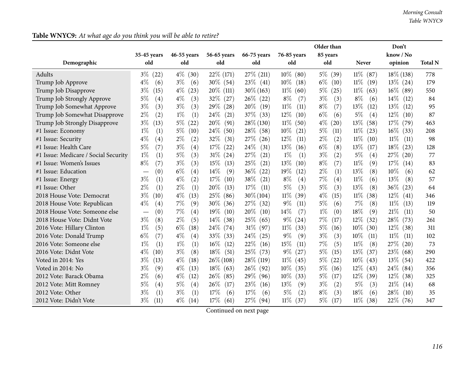|                                      |               |               |                     |                |                | Older than                  |                | Don't          |                |
|--------------------------------------|---------------|---------------|---------------------|----------------|----------------|-----------------------------|----------------|----------------|----------------|
|                                      | 35-45 years   | 46-55 years   | 56-65 years         | 66-75 years    | 76-85 years    | 85 years                    |                | know / No      |                |
| Demographic                          | old           | old           | old                 | old            | old            | old                         | <b>Never</b>   | opinion        | <b>Total N</b> |
| Adults                               | $3\%$ (22)    | $4\%$ (30)    | $22\%$ (171)        | $27\%$ (211)   | $10\%$ (80)    | $5\%$<br>(39)               | $11\%$<br>(87) | $18\%$ (138)   | 778            |
| Trump Job Approve                    | $4\%$<br>(6)  | $3\%$<br>(6)  | $30\%$ (54)         | $23\%$ (41)    | $10\%$<br>(18) | $6\%$<br>(10)               | $11\%$<br>(19) | $13\%$ (24)    | 179            |
| Trump Job Disapprove                 | $3\%$<br>(15) | $4\%$<br>(23) | $20\%$ (111)        | $30\% (163)$   | $11\%$<br>(60) | $5\%$<br>(25)               | $11\%$<br>(63) | $16\%$<br>(89) | 550            |
| Trump Job Strongly Approve           | 5%<br>(4)     | $4\%$<br>(3)  | $32\%$ (27)         | $26\%$ (22)    | $8\%$<br>(7)   | $3\%$<br>(3)                | $8\%$<br>(6)   | $14\%$<br>(12) | 84             |
| Trump Job Somewhat Approve           | $3\%$<br>(3)  | $3\%$<br>(3)  | 29\%<br>(28)        | 20%<br>(19)    | 11%<br>(11)    | $8\%$<br>(7)                | 13%<br>(12)    | $13\%$<br>(12) | 95             |
| Trump Job Somewhat Disapprove        | $2\%$<br>(2)  | $1\%$<br>(1)  | 24%<br>(21)         | $37\%$ (33)    | 12%<br>(10)    | $6\%$<br>(6)                | 5%<br>(4)      | $12\%$<br>(10) | 87             |
| Trump Job Strongly Disapprove        | $3\%$<br>(13) | $5\%$<br>(22) | $20\%$<br>(91)      | $28\%$ (130)   | $11\%$<br>(50) | $4\%$<br>$\left( 20\right)$ | $13\%$<br>(58) | $17\%$<br>(79) | 463            |
| #1 Issue: Economy                    | $1\%$<br>(1)  | $5\%$<br>(10) | $24\%$<br>(50)      | $28\%$ (58)    | 10%<br>(21)    | 5%<br>(11)                  | $11\%$<br>(23) | $16\%$<br>(33) | 208            |
| #1 Issue: Security                   | $4\%$<br>(4)  | $2\%$<br>(2)  | 32%<br>(31)         | 27\%<br>(26)   | 12%<br>(11)    | $2\%$<br>(2)                | $11\%$<br>(10) | $11\%$<br>(11) | 98             |
| #1 Issue: Health Care                | $5\%$<br>(7)  | $3\%$<br>(4)  | $17\%$<br>(22)      | 24\%<br>(31)   | 13%<br>(16)    | $6\%$<br>(8)                | 13%<br>(17)    | 18%<br>(23)    | 128            |
| #1 Issue: Medicare / Social Security | $1\%$<br>(1)  | $5\%$<br>(3)  | $31\%$ (24)         | 27\%<br>(21)   | $1\%$<br>(1)   | $3\%$<br>(2)                | 5%<br>(4)      | 27\%<br>(20)   | 77             |
| #1 Issue: Women's Issues             | $8\%$<br>(7)  | $3\%$<br>(3)  | 15%<br>(13)         | 25\%<br>(21)   | 13%<br>(10)    | (7)<br>$8\%$                | 11%<br>(9)     | 17%<br>(14)    | 83             |
| #1 Issue: Education                  | (0)           | $6\%$<br>(4)  | 14%<br>(9)          | 36\%<br>(22)   | 19%<br>(12)    | (1)<br>$2\%$                | 13%<br>(8)     | 10%<br>(6)     | 62             |
| #1 Issue: Energy                     | $3\%$<br>(1)  | $4\%$<br>(2)  | 17%<br>(10)         | 38\%<br>(21)   | $8\%$<br>(4)   | 7%<br>(4)                   | $11\%$<br>(6)  | 13%<br>(8)     | 57             |
| #1 Issue: Other                      | $2\%$<br>(1)  | $2\%$<br>(1)  | 20%<br>(13)         | 17\%<br>(11)   | 5%<br>(3)      | $5\%$<br>(3)                | 13%<br>(8)     | $36\%$<br>(23) | 64             |
| 2018 House Vote: Democrat            | $3\%$<br>(10) | $4\%$<br>(13) | 25\%<br>(86)        | $30\% (104)$   | $11\%$<br>(39) | $4\%$<br>(15)               | $11\%$<br>(38) | $12\%$<br>(41) | 346            |
| 2018 House Vote: Republican          | $4\%$<br>(4)  | $7\%$<br>(9)  | $30\%$<br>(36)      | 27%<br>(32)    | $9\%$<br>(11)  | 5%<br>(6)                   | 7%<br>(8)      | $11\%$<br>(13) | 119            |
| 2018 House Vote: Someone else        | (0)           | 7%<br>(4)     | $19\%$<br>(10)      | $20\%$<br>(10) | 14%<br>(7)     | $1\%$<br>(0)                | 18\%<br>(9)    | 21%<br>(11)    | 50             |
| 2018 House Vote: Didnt Vote          | $3\%$<br>(8)  | $2\%$<br>(5)  | $14\%$<br>(38)      | 25\%<br>(65)   | $9\%$<br>(24)  | 7%<br>(17)                  | $12\%$<br>(32) | 28\%<br>(73)   | 261            |
| 2016 Vote: Hillary Clinton           | $1\%$<br>(5)  | $6\%$<br>(18) | $24\%$<br>(74)      | $31\%$<br>(97) | $11\%$<br>(33) | $5\%$<br>(16)               | $10\%$<br>(30) | $12\%$<br>(38) | 311            |
| 2016 Vote: Donald Trump              | $6\%$<br>(7)  | $4\%$<br>(4)  | 33\%<br>(33)        | 24%<br>(25)    | $9\%$<br>(9)   | $3\%$<br>(3)                | $10\%$<br>(11) | $11\%$<br>(11) | 102            |
| 2016 Vote: Someone else              | $1\%$<br>(1)  | $1\%$<br>(1)  | $16\%$<br>(12)      | 22\%<br>(16)   | 15%<br>(11)    | 7%<br>(5)                   | $11\%$<br>(8)  | 27%<br>(20)    | 73             |
| 2016 Vote: Didnt Vote                | $4\%$<br>(10) | $3\%$<br>(8)  | $18\%$<br>(51)      | 25\%<br>(73)   | $9\%$<br>(27)  | 5%<br>(15)                  | 13\%<br>(37)   | 23\%<br>(68)   | 290            |
| Voted in 2014: Yes                   | $3\%$<br>(13) | $4\%$<br>(18) | $26\% (108)$        | $28\%$ (119)   | $11\%$<br>(45) | $5\%$<br>(22)               | 10\%<br>(43)   | $13\%$ (54)    | 422            |
| Voted in 2014: No                    | $3\%$<br>(9)  | $4\%$<br>(13) | $18\%$ (63)         | $26\%$ (92)    | $10\%$<br>(35) | 5%<br>(16)                  | $12\%$<br>(43) | $24\%$ (84)    | 356            |
| 2012 Vote: Barack Obama              | $2\%$<br>(6)  | $4\%$<br>(12) | $26\%$ (85)         | $29\%$ (96)    | $10\%$<br>(33) | 5%<br>(17)                  | $12\%$<br>(39) | $12\%$<br>(38) | 325            |
| 2012 Vote: Mitt Romney               | 5%<br>(4)     | $5\%$<br>(4)  | 26\%<br>(17)        | 23\%<br>(16)   | 13%<br>(9)     | $3\%$<br>(2)                | 5%<br>(3)      | 21%<br>(14)    | 68             |
| 2012 Vote: Other                     | $3\%$<br>(1)  | $3\%$<br>(1)  | 17%<br>(6)          | 17\%<br>(6)    | 5%<br>(2)      | $8\%$<br>(3)                | 18%<br>(6)     | 28\%<br>(10)   | 35             |
| 2012 Vote: Didn't Vote               | $3\%$<br>(11) | $4\%$<br>(14) | $17\%$<br>(61)<br>⌒ | 27\%<br>(94)   | $11\%$<br>(37) | $5\%$<br>(17)               | $11\%$<br>(38) | $22\%$<br>(76) | 347            |

## Table WNYC9: At what age do you think you will be able to retire?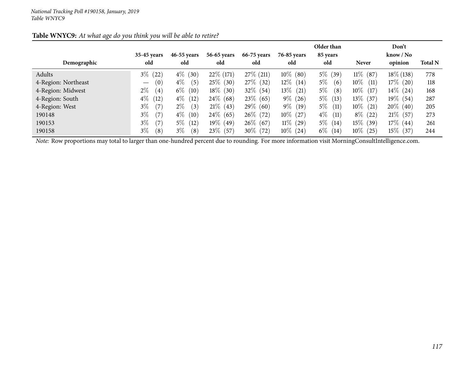|                     |                                        |               |             |              |                | Older than    |                | Don't                     |                |
|---------------------|----------------------------------------|---------------|-------------|--------------|----------------|---------------|----------------|---------------------------|----------------|
|                     | 35-45 years                            | 46-55 years   | 56-65 years | 66-75 years  | 76-85 years    | 85 years      |                | $\text{know} / \text{No}$ |                |
| Demographic         | old                                    | old           | old         | old          | old            | old           | <b>Never</b>   | opinion                   | <b>Total N</b> |
| Adults              | $3\%$<br>(22)                          | $4\%$ (30)    | 22\% (171)  | $27\%$ (211) | $10\%$ (80)    | $5\%$ (39)    | $11\%$ (87)    | $18\%$ (138)              | 778            |
| 4-Region: Northeast | (0)<br>$\hspace{0.1mm}-\hspace{0.1mm}$ | $4\%$<br>(5)  | $25\%$ (30) | 27\% (32)    | $12\%$ (14)    | $5\%$<br>(6)  | $10\%$<br>(11) | $17\%$ (20)               | 118            |
| 4-Region: Midwest   | $2\%$<br>(4)                           | $6\%$<br>(10) | $18\%$ (30) | $32\%$ (54)  | $13\%$<br>(21) | $5\%$<br>(8)  | $10\%$<br>(17) | $14\%$ (24)               | 168            |
| 4-Region: South     | $4\%$<br>(12)                          | $4\%$<br>(12) | $24\%$ (68) | $23\%$ (65)  | $9\%$ (26)     | $5\%$<br>(13) | $13\%$ (37)    | $19\%$ (54)               | 287            |
| 4-Region: West      | $3\%$<br>(7)                           | $2\%$<br>(3)  | $21\%$ (43) | $29\%$ (60)  | $9\%$ (19)     | $5\%$<br>(11) | $10\%$ (21)    | $20\%$ (40)               | 205            |
| 190148              | $3\%$<br>(7)                           | $4\%$<br>(10) | $24\%$ (65) | $26\%$ (72)  | $10\%$ (27)    | $4\%$<br>(11) | $8\%$ (22)     | $21\%$ (57)               | 273            |
| 190153              | $3\%$<br>(7)                           | $5\%$<br>(12) | $19\%$ (49) | $26\%$ (67)  | $11\%$ (29)    | $5\%$ (14)    | $15\%$ (39)    | $17\%$ (44)               | 261            |
| 190158              | $3\%$<br>(8)                           | $3\%$<br>(8)  | $23\%$ (57) | $30\%$ (72)  | $10\%$ (24)    | $6\%$ (14)    | $10\%$ (25)    | $15\%$ (37)               | 244            |

### Table WNYC9: At what age do you think you will be able to retire?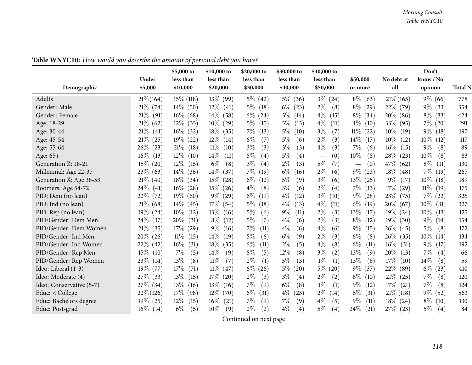|                          |                | \$5,000 to     | \$10,000 to    | \$20,000 to   | \$30,000 to   | \$40,000 to                             |                                       |                | Don't          |                |
|--------------------------|----------------|----------------|----------------|---------------|---------------|-----------------------------------------|---------------------------------------|----------------|----------------|----------------|
|                          | Under          | less than      | less than      | less than     | less than     | less than                               | \$50,000                              | No debt at     | know / No      |                |
| Demographic              | \$5,000        | \$10,000       | \$20,000       | \$30,000      | \$40,000      | \$50,000                                | or more                               | all            | opinion        | <b>Total N</b> |
| Adults                   | $21\% (164)$   | $15\%$ (118)   | $13\%$<br>(99) | $5\%$ (42)    | $5\%$<br>(36) | $3\%$<br>(24)                           | $8\%$ (63)                            | $21\%$ (165)   | $9\%$ (66)     | 778            |
| Gender: Male             | $21\%$ (74)    | $14\%$ (50)    | $12\%$<br>(41) | $5\%$<br>(18) | $6\%$<br>(23) | $2\%$<br>(8)                            | $8\%$ (29)                            | 22% (79)       | $9\%$<br>(33)  | 354            |
| Gender: Female           | 21%<br>(91)    | $16\%$ (68)    | $14\%$<br>(58) | $6\%$<br>(24) | $3\%$<br>(14) | $4\%$<br>(15)                           | $8\%$ (34)                            | $20\%$ (86)    | $8\%$<br>(33)  | 424            |
| Age: 18-29               | $21\%$<br>(62) | $12\%$<br>(35) | $10\%$<br>(29) | $5\%$<br>(15) | $5\%$<br>(13) | $4\%$<br>(11)                           | $4\%$<br>(10)                         | $33\%$ (95)    | 7%<br>(20)     | 291            |
| Age: 30-44               | $21\%$<br>(41) | $16\%$ (32)    | $18\%$<br>(35) | $7\%$<br>(13) | $5\%$<br>(10) | (7)<br>$3\%$                            | $11\%$<br>(22)                        | $10\%$<br>(19) | $9\%$<br>(18)  | 197            |
| Age: 45-54               | $21\%$<br>(25) | $19\%$ (22)    | $12\%$<br>(14) | $6\%$<br>(7)  | $5\%$<br>(6)  | $2\%$<br>(3)                            | $14\%$<br>(17)                        | $10\%$<br>(12) | $10\%$<br>(12) | 117            |
| Age: 55-64               | $26\%$<br>(23) | 21%<br>(18)    | $11\%$<br>(10) | $3\%$<br>(3)  | $3\%$<br>(3)  | $4\%$<br>(3)                            | 7%<br>(6)                             | $16\%$<br>(15) | $9\%$<br>(8)   | 89             |
| Age: $65+$               | $16\%$<br>(13) | $12\%$<br>(10) | $14\%$<br>(11) | $5\%$<br>(4)  | $5\%$<br>(4)  | (0)<br>$\overbrace{\phantom{12322111}}$ | 10%<br>(8)                            | 28\%<br>(23)   | 10%<br>(8)     | 83             |
| Generation Z: 18-21      | $15\%$<br>(20) | $12\%$<br>(15) | $6\%$<br>(8)   | $3\%$<br>(4)  | $2\%$<br>(3)  | $5\%$<br>(7)                            | (0)<br>$\qquad \qquad \longleftarrow$ | 47\%<br>(62)   | $8\%$<br>(11)  | 130            |
| Millennial: Age 22-37    | 23\%<br>(63)   | $14\%$<br>(36) | $14\%$<br>(37) | $7\%$<br>(19) | $6\%$<br>(16) | $2\%$<br>(6)                            | $9\%$<br>(23)                         | $18\%$ (48)    | $7\%$<br>(19)  | 267            |
| Generation X: Age 38-53  | $21\%$ (40)    | $18\%$ (34)    | $15\%$<br>(28) | $6\%$<br>(12) | $5\%$<br>(9)  | $3\%$<br>(6)                            | 13%<br>(25)                           | $9\%$<br>(17)  | $10\%$<br>(18) | 189            |
| Boomers: Age 54-72       | 24\%<br>(41)   | $16\%$<br>(28) | $15\%$<br>(26) | $4\%$<br>(8)  | $3\%$<br>(6)  | $2\%$<br>(4)                            | $7\%$<br>(13)                         | $17\%$<br>(29) | $11\%$<br>(19) | 175            |
| PID: Dem (no lean)       | $22\%$<br>(72) | $19\%$ (60)    | $9\%$<br>(29)  | $6\%$<br>(19) | $4\%$<br>(12) | $3\%$<br>(10)                           | $9\%$<br>(28)                         | 23%<br>(75)    | $7\%$<br>(22)  | 326            |
| PID: Ind (no lean)       | $21\%$ (68)    | $14\%$<br>(45) | $17\%$<br>(54) | $5\%$<br>(18) | $4\%$<br>(13) | $4\%$<br>(11)                           | $6\%$<br>(19)                         | $20\%$ (67)    | $10\%$<br>(31) | 327            |
| PID: Rep (no lean)       | $19\%$<br>(24) | $10\%$<br>(12) | $13\%$<br>(16) | $5\%$<br>(6)  | $9\%$<br>(11) | $2\%$<br>(3)                            | 13%<br>(17)                           | $19\%$ (24)    | $10\%$<br>(13) | 125            |
| PID/Gender: Dem Men      | $24\%$<br>(37) | 20%<br>(31)    | $8\%$<br>(12)  | (7)<br>$5\%$  | $4\%$<br>(6)  | $2\%$<br>(3)                            | $8\%$<br>(12)                         | $19\%$ (30)    | $9\%$<br>(14)  | 154            |
| PID/Gender: Dem Women    | 21%<br>(35)    | $17\%$<br>(29) | $9\%$<br>(16)  | $7\%$<br>(11) | $4\%$<br>(6)  | $4\%$<br>(6)                            | $9\%$<br>(15)                         | $26\%$ (45)    | $5\%$<br>(8)   | 172            |
| PID/Gender: Ind Men      | $20\%$<br>(26) | $11\%$<br>(15) | $14\%$<br>(19) | $5\%$<br>(6)  | $6\%$<br>(9)  | $2\%$<br>(3)                            | $6\%$<br>(8)                          | 26\%<br>(35)   | $10\%$<br>(14) | 134            |
| PID/Gender: Ind Women    | 22\%<br>(42)   | $16\%$<br>(31) | $18\%$<br>(35) | $6\%$<br>(11) | $2\%$<br>(5)  | $4\%$<br>(8)                            | $6\%$<br>(11)                         | $16\%$<br>(31) | $9\%$<br>(17)  | 192            |
| PID/Gender: Rep Men      | 15%<br>(10)    | $7\%$<br>(5)   | 14\%<br>(9)    | $8\%$<br>(5)  | $12\%$<br>(8) | $3\%$<br>(2)                            | 13%<br>(9)                            | 20%<br>(13)    | 7%<br>(4)      | 66             |
| PID/Gender: Rep Women    | 23%<br>(14)    | 13%<br>(8)     | 11%<br>(7)     | $2\%$<br>(1)  | (3)<br>$5\%$  | $1\%$<br>(1)                            | 13%<br>(8)                            | 17%<br>(10)    | 14%<br>(8)     | 59             |
| Ideo: Liberal (1-3)      | $19\%$<br>(77) | 17%<br>(71)    | $11\%$<br>(47) | $6\%$<br>(26) | $5\%$<br>(20) | $5\%$<br>(20)                           | $9\%$<br>(37)                         | 22%<br>(89)    | $6\%$<br>(23)  | 410            |
| Ideo: Moderate (4)       | 27\%<br>(33)   | $13\%$<br>(15) | $17\%$<br>(20) | $2\%$<br>(3)  | $3\%$<br>(4)  | $2\%$<br>(2)                            | $8\%$<br>(10)                         | 21%<br>(25)    | $7\%$<br>(8)   | 120            |
| Ideo: Conservative (5-7) | $27\%$ (34)    | 13%<br>(16)    | $13\%$<br>(16) | $7\%$<br>(9)  | $6\%$<br>(8)  | $1\%$<br>(1)                            | $9\%$<br>(12)                         | $17\%$<br>(21) | $7\%$<br>(8)   | 124            |
| Educ: $<$ College        | $22\% (126)$   | $17\%$<br>(98) | $12\%$<br>(70) | $6\%$<br>(31) | $4\%$<br>(23) | $2\%$<br>(14)                           | $6\%$<br>(31)                         | $21\%$ (118)   | $9\%$<br>(52)  | 563            |
| Educ: Bachelors degree   | $19\%$ (25)    | $12\%$<br>(15) | $16\%$<br>(21) | $7\%$<br>(9)  | $7\%$<br>(9)  | $4\%$<br>(5)                            | $9\%$<br>(11)                         | $18\%$ (24)    | $8\%$<br>(10)  | 130            |
| Educ: Post-grad          | $16\%$<br>(14) | $6\%$<br>(5)   | $10\%$<br>(9)  | $2\%$<br>(2)  | $4\%$<br>(4)  | $5\%$<br>(4)                            | 24%<br>(21)                           | $27\%$ (23)    | $5\%$<br>(4)   | 84             |

Table WNYC10: How would you describe the amount of personal debt you have?

Continued on next page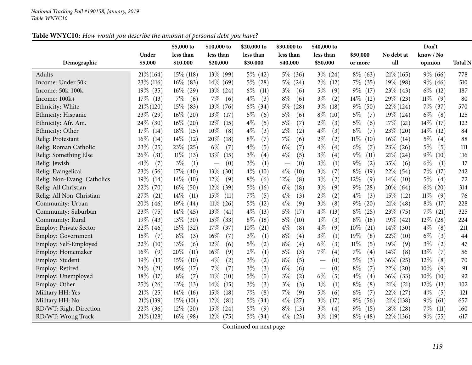### Table WNYC10: How would you describe the amount of personal debt you have?

|                             |                  | \$5,000 to            | \$10,000 to                     | \$20,000 to           | \$30,000 to                     | \$40,000 to                     |                     |                   | Don't                |                |
|-----------------------------|------------------|-----------------------|---------------------------------|-----------------------|---------------------------------|---------------------------------|---------------------|-------------------|----------------------|----------------|
| Demographic                 | Under<br>\$5,000 | less than<br>\$10,000 | less than<br>\$20,000           | less than<br>\$30,000 | less than<br>\$40,000           | less than<br>\$50,000           | \$50,000<br>or more | No debt at<br>all | know / No<br>opinion | <b>Total N</b> |
| Adults                      | $21\% (164)$     | $15\%$ (118)          | $13\%$ (99)                     | $5\%$ (42)            | $5\%$<br>(36)                   | $3\%$<br>(24)                   | $8\%$<br>(63)       | $21\% (165)$      | $9\%$ (66)           | 778            |
| Income: Under 50k           | 23\% (116)       | $16\%$ (83)           | $14\%$ (69)                     | (28)<br>$5\%$         | $5\%$<br>(24)                   | $2\%$<br>(12)                   | $7\%$<br>(35)       | 19% (98)          | $9\%$ (46)           | 510            |
| Income: 50k-100k            | $19\%$ (35)      | $16\%$<br>(29)        | $13\%$ (24)                     | $6\%$<br>(11)         | $3\%$<br>(6)                    | $5\%$<br>(9)                    | $9\%$<br>(17)       | $23\%$ (43)       | $6\%$<br>(12)        | 187            |
| Income: 100k+               | $17\%$<br>(13)   | $7\%$<br>(6)          | $7\%$<br>(6)                    | $4\%$<br>(3)          | $8\%$<br>(6)                    | $3\%$<br>(2)                    | $14\%$<br>(12)      | 29\% (23)         | $11\%$<br>(9)        | 80             |
| Ethnicity: White            | $21\%$ (120)     | $15\%$<br>(83)        | 13\%<br>(76)                    | $6\%$<br>(34)         | $5\%$<br>(28)                   | $3\%$<br>(18)                   | $9\%$<br>(50)       | $22\%$ (124)      | $7\%$<br>(37)        | 570            |
| Ethnicity: Hispanic         | 23\% (29)        | $16\%$<br>(20)        | 13%<br>(17)                     | $5\%$<br>(6)          | $5\%$<br>(6)                    | $8\%$<br>(10)                   | $5\%$<br>(7)        | $19\%$ (24)       | $6\%$<br>(8)         | 125            |
| Ethnicity: Afr. Am.         | $24\%$<br>(30)   | $16\%$<br>(20)        | $12\%$<br>(15)                  | $4\%$<br>(5)          | $5\%$<br>(7)                    | $2\%$<br>(3)                    | 5%<br>(6)           | $17\%$<br>(21)    | $14\%$<br>(17)       | 123            |
| Ethnicity: Other            | 17%<br>(14)      | $18\%$<br>(15)        | 10%<br>(8)                      | $4\%$<br>(3)          | $2\%$<br>(2)                    | $4\%$<br>(3)                    | $8\%$<br>(7)        | 23\%<br>(20)      | $14\%$<br>(12)       | 84             |
| Relig: Protestant           | $16\%$<br>(14)   | $14\%$<br>(12)        | 20%<br>(18)                     | (7)<br>$8\%$          | 7%<br>(6)                       | $2\%$<br>(2)                    | $11\%$<br>(10)      | $16\%$<br>(14)    | $5\%$<br>(4)         | 88             |
| Relig: Roman Catholic       | 23\%<br>(25)     | 23\%<br>(25)          | (7)<br>$6\%$                    | (5)<br>$4\%$          | $6\%$<br>(7)                    | $4\%$<br>(4)                    | $6\%$<br>(7)        | $23\%$ (26)       | $5\%$<br>(5)         | $111$          |
| Relig: Something Else       | 26\%<br>(31)     | $11\%$<br>(13)        | 13%<br>(15)                     | $3\%$<br>(4)          | $4\%$<br>(5)                    | $3\%$<br>(4)                    | 9%<br>(11)          | $21\%$ (24)       | $9\%$<br>(10)        | 116            |
| Relig: Jewish               | 41%<br>(7)       | $3\%$<br>(1)          | (0)<br>$\overline{\phantom{0}}$ | $3\%$<br>(1)          | (0)<br>$\overline{\phantom{m}}$ | $3\%$<br>(1)                    | $9\%$<br>(2)        | 35\%<br>(6)       | $6\%$<br>(1)         | 17             |
| Relig: Evangelical          | 23\%<br>(56)     | 17%<br>(40)           | 13%<br>(30)                     | $4\%$<br>(10)         | $4\%$<br>(10)                   | $3\%$<br>(7)                    | $8\%$<br>(19)       | 22\%<br>(54)      | $7\%$<br>(17)        | 242            |
| Relig: Non-Evang. Catholics | 19%<br>(14)      | $14\%$<br>(10)        | 12%<br>(9)                      | $8\%$<br>(6)          | 12%<br>(8)                      | $3\%$<br>(2)                    | 12%<br>(9)          | $14\%$<br>(10)    | $5\%$<br>(4)         | 72             |
| Relig: All Christian        | 22\%<br>(70)     | $16\%$<br>(50)        | $12\%$<br>(39)                  | $5\%$<br>(16)         | $6\%$<br>(18)                   | $3\%$<br>(9)                    | $9\%$<br>(28)       | $20\%$ (64)       | $6\%$<br>(20)        | 314            |
| Relig: All Non-Christian    | 27\%<br>(21)     | $14\%$<br>(11)        | 15%<br>(11)                     | (5)<br>7%             | $4\%$<br>(3)                    | $2\%$<br>(2)                    | $4\%$<br>(3)        | 15%<br>(12)       | $11\%$<br>(9)        | 76             |
| Community: Urban            | 20%<br>(46)      | 19%<br>(44)           | $11\%$<br>(26)                  | $5\%$<br>(12)         | $4\%$<br>(9)                    | (8)<br>$3\%$                    | $9\%$<br>(20)       | $21\%$<br>(48)    | $8\%$<br>(17)        | 228            |
| Community: Suburban         | 23\%<br>(75)     | $14\%$<br>(45)        | 13%<br>(41)                     | $4\%$<br>(13)         | $5\%$<br>(17)                   | $4\%$<br>(13)                   | $8\%$<br>(25)       | $23\%$ (75)       | $7\%$<br>(21)        | 325            |
| Community: Rural            | $19\%$<br>(43)   | 13\%<br>(30)          | 15%<br>(33)                     | $8\%$<br>(18)         | $5\%$<br>(10)                   | $1\%$<br>(3)                    | $8\%$<br>(18)       | $19\%$ (42)       | $12\%$<br>(28)       | 224            |
| Employ: Private Sector      | 22\%<br>(46)     | 15%<br>(32)           | 17\%<br>(37)                    | $10\%$<br>(21)        | $4\%$<br>(8)                    | $4\%$<br>(9)                    | $10\%$<br>(21)      | $14\%$ (30)       | $4\%$<br>(8)         | 211            |
| Employ: Government          | 15%<br>(7)       | $8\%$<br>(3)          | 16%<br>(7)                      | $3\%$<br>(1)          | $8\%$<br>(4)                    | $3\%$<br>(1)                    | 19%<br>(8)          | 22\%<br>(10)      | $6\%$<br>(3)         | 44             |
| Employ: Self-Employed       | 22\%<br>(10)     | 13%<br>(6)            | 12%<br>(6)                      | $5\%$<br>(2)          | $8\%$<br>(4)                    | $6\%$<br>(3)                    | 11%<br>(5)          | 19%<br>(9)        | $3\%$<br>(2)         | 47             |
| Employ: Homemaker           | $16\%$<br>(9)    | 20%<br>(11)           | 16%<br>(9)                      | (1)<br>$2\%$          | $5\%$<br>(3)                    | 7%<br>(4)                       | 7%<br>(4)           | 14%<br>(8)        | 13%<br>(7)           | 56             |
| Employ: Student             | 19%<br>(13)      | 15%<br>(10)           | (2)<br>$4\%$                    | (2)<br>$3\%$          | $8\%$<br>(5)                    | (0)                             | 5%<br>(3)           | 36\%<br>(25)      | 12%<br>(8)           | 70             |
| Employ: Retired             | 24\%<br>(21)     | 19%<br>(17)           | 7%<br>(7)                       | (3)<br>$3\%$          | $6\%$<br>(6)                    | (0)<br>$\overline{\phantom{m}}$ | $8\%$<br>(7)        | 22\%<br>(20)      | 10%<br>(9)           | 91             |
| Employ: Unemployed          | 18%<br>(17)      | $8\%$<br>(7)          | $11\%$<br>(10)                  | $5\%$<br>(5)          | $3\%$<br>(2)                    | $6\%$<br>(5)                    | $4\%$<br>(4)        | $36\%$<br>(33)    | $10\%$<br>(10)       | 92             |
| Employ: Other               | 25%<br>(26)      | 13%<br>(13)           | $14\%$<br>(15)                  | $3\%$<br>(3)          | $3\%$<br>(3)                    | $1\%$<br>(1)                    | $8\%$<br>(8)        | 21%<br>(21)       | $12\%$<br>(13)       | 102            |
| Military HH: Yes            | $21\%$ (25)      | $14\%$<br>(16)        | 15%<br>(18)                     | $7\%$<br>(8)          | 7%<br>(9)                       | $5\%$<br>(6)                    | $6\%$<br>(7)        | $22\%$ (27)       | $4\%$<br>(5)         | 121            |
| Military HH: No             | $21\%$ (139)     | $15\%$ (101)          | $12\%$<br>(81)                  | $5\%$<br>(34)         | $4\%$<br>(27)                   | $3\%$<br>(17)                   | $9\%$<br>(56)       | $21\%$ (138)      | $9\%$<br>(61)        | 657            |
| RD/WT: Right Direction      | 22\% (36)        | $12\%$ (20)           | 15%<br>(24)                     | $5\%$<br>(9)          | $8\%$<br>(13)                   | $3\%$<br>(4)                    | $9\%$<br>(15)       | $18\%$ (28)       | $7\%$<br>(11)        | 160            |
| RD/WT: Wrong Track          | $21\%$ (128)     | $16\%$ (98)           | $12\%$ (75)                     | $5\%$ (34)            | $4\%$ (23)                      | $3\%$<br>(19)                   | $8\%$ (48)          | $22\%$ (136)      | $9\%$<br>(55)        | 617            |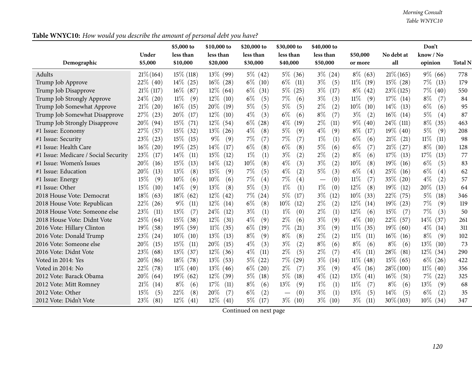| Table WNYC10: How would you describe the amount of personal debt you have? |  |  |
|----------------------------------------------------------------------------|--|--|
|                                                                            |  |  |

|                                      | Under          | \$5,000 to<br>less than | \$10,000 to<br>less than | \$20,000 to<br>less than    | \$30,000 to<br>less than | \$40,000 to<br>less than        | \$50,000       | No debt at     | Don't<br>know / No |                |
|--------------------------------------|----------------|-------------------------|--------------------------|-----------------------------|--------------------------|---------------------------------|----------------|----------------|--------------------|----------------|
| Demographic                          | \$5,000        | \$10,000                | \$20,000                 | \$30,000                    | \$40,000                 | \$50,000                        | or more        | all            | opinion            | <b>Total N</b> |
| Adults                               | $21\% (164)$   | $15\%$ (118)            | $13\%$ (99)              | $5\%$ (42)                  | $5\%$ (36)               | $3\% (24)$                      | $8\%$<br>(63)  | $21\%$ (165)   | $9\%$ (66)         | 778            |
| Trump Job Approve                    | $22\%$ (40)    | $14\%$ (25)             | $16\%$<br>(28)           | $6\%$<br>(10)               | $6\%$<br>(11)            | $3\%$<br>(5)                    | $11\%$<br>(19) | $15\%$ (28)    | $7\%$<br>(13)      | 179            |
| Trump Job Disapprove                 | $21\%$ (117)   | $16\%$<br>(87)          | $12\%$<br>(64)           | $6\%$<br>(31)               | $5\%$<br>(25)            | $3\%$<br>(17)                   | $8\%$<br>(42)  | $23\%$ (125)   | $7\%$<br>(40)      | 550            |
| Trump Job Strongly Approve           | $24\%$ (20)    | $11\%$<br>(9)           | 12%<br>(10)              | $6\%$<br>(5)                | 7%<br>(6)                | $3\%$<br>(3)                    | $11\%$<br>(9)  | $17\%$<br>(14) | $8\%$<br>(7)       | 84             |
| Trump Job Somewhat Approve           | $21\%$<br>(20) | $16\%$<br>(15)          | 20%<br>(19)              | $5\%$<br>(5)                | $5\%$<br>(5)             | $2\%$<br>(2)                    | $10\%$<br>(10) | $14\%$<br>(13) | $6\%$<br>(6)       | 95             |
| Trump Job Somewhat Disapprove        | 27\%<br>(23)   | 20%<br>(17)             | $12\%$<br>(10)           | $4\%$<br>(3)                | $6\%$<br>(6)             | $8\%$<br>(7)                    | $3\%$<br>(2)   | $16\%$<br>(14) | $5\%$<br>(4)       | 87             |
| Trump Job Strongly Disapprove        | $20\%$ (94)    | 15%<br>(71)             | $12\%$<br>(54)           | $6\%$<br>(28)               | $4\%$<br>(19)            | $2\%$<br>(11)                   | $9\%$<br>(40)  | $24\%$ (111)   | $8\%$<br>(35)      | 463            |
| #1 Issue: Economy                    | 27%<br>(57)    | $15\%$<br>(32)          | $13\%$<br>(26)           | $4\%$<br>(8)                | $5\%$<br>(9)             | $4\%$<br>(9)                    | $8\%$<br>(17)  | $19\%$<br>(40) | $5\%$<br>(9)       | 208            |
| #1 Issue: Security                   | 23\%<br>(23)   | $15\%$<br>(15)          | $9\%$<br>(9)             | $7\%$<br>(7)                | 7%<br>(7)                | $1\%$<br>(1)                    | $6\%$<br>(6)   | 21%<br>(21)    | 11%<br>(11)        | 98             |
| #1 Issue: Health Care                | $16\%$<br>(20) | 19%<br>(25)             | $14\%$<br>(17)           | $6\%$<br>(8)                | $6\%$<br>(8)             | $5\%$<br>(6)                    | $6\%$<br>(7)   | 21%<br>(27)    | $8\%$<br>(10)      | 128            |
| #1 Issue: Medicare / Social Security | 23\%<br>(17)   | $14\%$<br>(11)          | 15%<br>(12)              | $1\%$<br>(1)                | $3\%$<br>(2)             | $2\%$<br>(2)                    | $8\%$<br>(6)   | 17%<br>(13)    | 17%<br>(13)        | 77             |
| #1 Issue: Women's Issues             | 20%<br>(16)    | 15%<br>(13)             | 14%<br>(12)              | 10%<br>(8)                  | $4\%$<br>(3)             | $3\%$<br>(2)                    | 10%<br>(8)     | 19%<br>(16)    | $6\%$<br>(5)       | 83             |
| #1 Issue: Education                  | 20%<br>(13)    | 13\%<br>(8)             | 15%<br>(9)               | (5)<br>$7\%$                | $4\%$<br>(2)             | $5\%$<br>(3)                    | $6\%$<br>(4)   | 25%<br>(16)    | $6\%$<br>(4)       | 62             |
| #1 Issue: Energy                     | 15%<br>(9)     | 10%<br>(6)              | 10%<br>(6)               | 7%<br>(4)                   | 7%<br>(4)                | (0)<br>$\overline{\phantom{m}}$ | $11\%$<br>(7)  | 35%<br>(20)    | $4\%$<br>(2)       | 57             |
| #1 Issue: Other                      | 15%<br>(10)    | $14\%$<br>(9)           | 13\%<br>(8)              | $5\%$<br>(3)                | $1\%$<br>(1)             | $1\%$<br>(0)                    | 12%<br>(8)     | 19%<br>(12)    | 20%<br>(13)        | 64             |
| 2018 House Vote: Democrat            | $18\%$<br>(63) | $18\%$<br>(62)          | $12\%$<br>(42)           | $7\%$<br>$\left( 24\right)$ | $5\%$<br>(17)            | $3\%$<br>(12)                   | $10\%$<br>(33) | 22%<br>(75)    | $5\%$<br>(18)      | 346            |
| 2018 House Vote: Republican          | 22\%<br>(26)   | $9\%$<br>(11)           | $12\%$<br>(14)           | $6\%$<br>(8)                | 10%<br>(12)              | $2\%$<br>(2)                    | $12\%$<br>(14) | $19\%$<br>(23) | 7%<br>(9)          | 119            |
| 2018 House Vote: Someone else        | 23%<br>(11)    | 13%<br>(7)              | 24%<br>(12)              | $3\%$<br>(1)                | $1\%$<br>(0)             | $2\%$<br>(1)                    | 12%<br>(6)     | 15%<br>(7)     | 7%<br>(3)          | 50             |
| 2018 House Vote: Didnt Vote          | $25\%$ (64)    | $15\%$<br>(38)          | $12\%$<br>(31)           | $4\%$<br>(9)                | $2\%$<br>(6)             | $3\%$<br>(9)                    | $4\%$<br>(10)  | 22\%<br>(57)   | 14%<br>(37)        | 261            |
| 2016 Vote: Hillary Clinton           | $19\%$<br>(58) | $19\%$<br>(59)          | $11\%$<br>(35)           | $6\%$<br>(19)               | $7\%$<br>(21)            | $3\%$<br>(9)                    | $11\%$<br>(35) | 19%<br>(60)    | $4\%$<br>(14)      | 311            |
| 2016 Vote: Donald Trump              | 23\%<br>(24)   | $10\%$<br>(10)          | $13\%$<br>(13)           | $8\%$<br>(9)                | $8\%$<br>(8)             | $2\%$<br>(2)                    | $11\%$<br>(11) | $16\%$<br>(16) | $8\%$<br>(9)       | 102            |
| 2016 Vote: Someone else              | 20%<br>(15)    | 15%<br>(11)             | 20%<br>(15)              | $4\%$<br>(3)                | $3\%$<br>(2)             | $8\%$<br>(6)                    | $8\%$<br>(6)   | $8\%$<br>(6)   | 13%<br>(10)        | 73             |
| 2016 Vote: Didnt Vote                | 23%<br>(68)    | $13\%$<br>(37)          | $12\%$<br>(36)           | $4\%$<br>(11)               | $2\%$<br>(5)             | $2\%$<br>(7)                    | $4\%$<br>(11)  | 28%<br>(81)    | $12\%$<br>(34)     | 290            |
| Voted in 2014: Yes                   | 20%<br>(86)    | $18\%$<br>(78)          | 13\%<br>(53)             | $5\%$<br>(22)               | $7\%$<br>(29)            | $3\%$<br>(14)                   | $11\%$<br>(48) | 15%<br>(65)    | $6\%$<br>(26)      | 422            |
| Voted in 2014: No                    | 22\%<br>(78)   | $11\%$ (40)             | $13\%$ (46)              | $6\%$<br>(20)               | $2\%$<br>(7)             | $3\%$<br>(9)                    | $4\%$<br>(16)  | $28\% (100)$   | $11\%$<br>(40)     | 356            |
| 2012 Vote: Barack Obama              | $20\%$ (64)    | $19\%$<br>(62)          | $12\%$<br>(39)           | $5\%$<br>(18)               | $5\%$<br>(18)            | $4\%$<br>(12)                   | 13\%<br>(41)   | $16\%$<br>(51) | $7\%$<br>(22)      | 325            |
| 2012 Vote: Mitt Romney               | 21%<br>(14)    | $8\%$<br>(6)            | 17%<br>(11)              | $8\%$<br>(6)                | 13%<br>(9)               | $1\%$<br>(1)                    | $11\%$<br>(7)  | $8\%$<br>(6)   | 13%<br>(9)         | 68             |
| 2012 Vote: Other                     | 15%<br>(5)     | 22%<br>(8)              | 20%<br>(7)               | $6\%$<br>(2)                | (0)                      | $3\%$<br>(1)                    | 13\%<br>(5)    | 14%<br>(5)     | $6\%$<br>(2)       | 35             |
| 2012 Vote: Didn't Vote               | 23\%<br>(81)   | $12\%$<br>(41)          | $12\%$<br>(41)           | $5\%$<br>(17)               | $3\%$<br>(10)            | $3\%$<br>(10)                   | $3\%$<br>(11)  | $30\% (103)$   | $10\%$<br>(34)     | 347            |

Continued on next page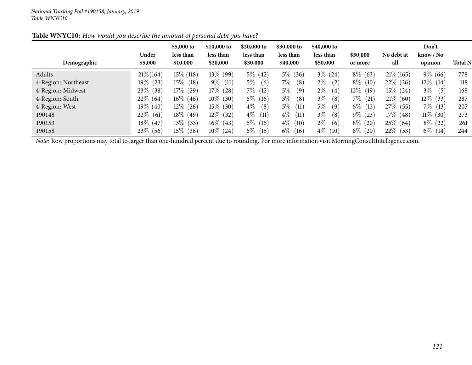|                     | Under           | \$5,000 to<br>less than | \$10,000 to<br>less than | \$20,000 to<br>less than | \$30,000 to<br>less than | \$40,000 to<br>less than | \$50,000      | No debt at   | Don't<br>$\text{know} / \text{No}$ |                |
|---------------------|-----------------|-------------------------|--------------------------|--------------------------|--------------------------|--------------------------|---------------|--------------|------------------------------------|----------------|
| Demographic         | \$5,000         | \$10,000                | \$20,000                 | \$30,000                 | \$40,000                 | \$50,000                 | or more       | all          | opinion                            | <b>Total N</b> |
| Adults              | $21\%$ (164)    | $15\%$ (118)            | $13\%$ (99)              | $5\%$ (42)               | $5\%$ (36)               | $3\%$ (24)               | $8\%$ (63)    | $21\%$ (165) | $9\%$ (66)                         | 778            |
| 4-Region: Northeast | 19 $\%$<br>(23) | $15\%$<br>(18)          | $9\%$<br>(11)            | $5\%$<br>(6)             | $7\%$<br>(8)             | $2\%$<br>(2)             | $8\%$<br>(10) | $22\%$ (26)  | $12\%$ (14)                        | 118            |
| 4-Region: Midwest   | $23\%$<br>(38)  | $17\%$ (29)             | $17\%$ (28)              | $7\%$ (12)               | $5\%$<br>(9)             | $2\%$<br>(4)             | $12\%$ (19)   | $15\%$ (24)  | $3\%$<br>(5)                       | 168            |
| 4-Region: South     | $22\%$ (64)     | $16\%$ (46)             | $10\%$ (30)              | $6\%$ (16)               | $3\%$<br>(8)             | $3\%$<br>(8)             | $7\%$<br>(21) | $21\%$ (60)  | $12\%$<br>(33)                     | 287            |
| 4-Region: West      | 19 $\%$<br>(40) | $12\%$<br>(26)          | $15\%$ (30)              | $4\%$<br>(8)             | $5\%$<br>(11)            | $5\%$<br>(9)             | $6\%$<br>(13) | 27\% (55)    | $7\%$<br>(13)                      | 205            |
| 190148              | $22\%$<br>(61)  | $18\%$<br>(49)          | $12\%$ (32)              | $4\%$<br>(11)            | $4\%$<br>(11)            | $3\%$<br>(8)             | $9\%$ (23)    | $17\%$ (48)  | $11\%$ (30)                        | 273            |
| 190153              | $18\%$<br>(47)  | $13\%$ (33)             | $16\%$ (43)              | $6\%$ (16)               | $4\%$ (10)               | $2\%$<br>(6)             | $8\%$ (20)    | $25\%$ (64)  | $8\%$ (22)                         | 261            |
| 190158              | 23\% (56)       | $15\%$ (36)             | $10\%$ (24)              | $6\%$ (15)               | $6\%$ (16)               | $4\%$ (10)               | $8\%$ (20)    | $22\%$ (53)  | $6\%$ (14)                         | 244            |

# Table WNYC10: How would you describe the amount of personal debt you have?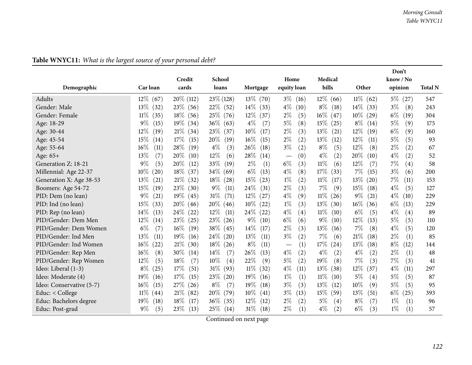|                          |                          |                |                |                |                                 |                |                | Don't         |                |
|--------------------------|--------------------------|----------------|----------------|----------------|---------------------------------|----------------|----------------|---------------|----------------|
|                          |                          | Credit         | School         |                | Home                            | Medical        |                | know / No     |                |
| Demographic              | Car loan                 | cards          | loans          | Mortgage       | equity loan                     | bills          | Other          | opinion       | <b>Total N</b> |
| <b>Adults</b>            | $12\%$ (67)              | $20\%$ (112)   | $23\%$ (128)   | $13\%$ (70)    | $3\%$ (16)                      | $12\%$<br>(66) | $11\%$ (62)    | $5\%$ (27)    | 547            |
| Gender: Male             | $13\%$<br>(32)           | 23%<br>(56)    | $22\%$<br>(52) | $14\%$<br>(33) | $4\%$<br>(10)                   | $8\%$<br>(18)  | $14\%$<br>(33) | $3\%$<br>(8)  | 243            |
| Gender: Female           | $11\%$<br>(35)           | $18\%$<br>(56) | $25\%$<br>(76) | $12\%$<br>(37) | $2\%$<br>(5)                    | $16\%$<br>(47) | $10\%$<br>(29) | $6\%$<br>(19) | 304            |
| Age: 18-29               | $9\%$<br>(15)            | $19\%$<br>(34) | 36\%<br>(63)   | $4\%$<br>(7)   | $5\%$<br>(8)                    | 15%<br>(25)    | $8\%$<br>(14)  | $5\%$<br>(9)  | 175            |
| Age: 30-44               | 12\%<br>(19)             | 21%<br>(34)    | 23\%<br>(37)   | $10\%$<br>(17) | $2\%$<br>(3)                    | 13%<br>(21)    | $12\%$<br>(19) | $6\%$<br>(9)  | 160            |
| Age: 45-54               | 15%<br>(14)              | 17%<br>(15)    | 20%<br>(19)    | 16%<br>(15)    | $2\%$<br>(2)                    | 13%<br>(12)    | $12\%$<br>(11) | $5\%$<br>(5)  | 93             |
| Age: 55-64               | 16%<br>$\left(11\right)$ | 28%<br>(19)    | $4\%$<br>(3)   | 26%<br>(18)    | $3\%$<br>(2)                    | $8\%$<br>(5)   | $12\%$<br>(8)  | $2\%$<br>(2)  | 67             |
| Age: 65+                 | 13%<br>(7)               | 20%<br>(10)    | 12%<br>(6)     | 28\%<br>(14)   | (0)<br>$\overline{\phantom{m}}$ | $4\%$<br>(2)   | 20%<br>(10)    | $4\%$<br>(2)  | 52             |
| Generation Z: 18-21      | $9\%$<br>(5)             | 20%<br>(12)    | 33%<br>(19)    | $2\%$<br>(1)   | $6\%$<br>(3)                    | $11\%$<br>(6)  | $12\%$<br>(7)  | $7\%$<br>(4)  | 58             |
| Millennial: Age 22-37    | $10\%$<br>(20)           | 18\%<br>(37)   | $34\%$<br>(69) | $6\%$<br>(13)  | $4\%$<br>(8)                    | 17%<br>(33)    | 7%<br>(15)     | $3\%$<br>(6)  | 200            |
| Generation X: Age 38-53  | 13\%<br>(21)             | 21%<br>(32)    | 18\%<br>(28)   | 15%<br>(23)    | $1\%$<br>(2)                    | 11%<br>(17)    | 13\%<br>(20)   | $7\%$<br>(11) | 153            |
| Boomers: Age 54-72       | 15%<br>(19)              | 23%<br>(30)    | $9\%$<br>(11)  | 24\%<br>(31)   | $2\%$<br>(3)                    | 7%<br>(9)      | 15\%<br>(18)   | $4\%$<br>(5)  | 127            |
| PID: Dem (no lean)       | $9\%$<br>(21)            | $19\%$<br>(45) | 31%<br>(71)    | $12\%$<br>(27) | $4\%$<br>(9)                    | $11\%$<br>(26) | $9\%$<br>(21)  | $4\%$<br>(10) | 229            |
| PID: Ind (no lean)       | 15%<br>(33)              | $20\%$<br>(46) | 20%<br>(46)    | $10\%$<br>(22) | $1\%$<br>(3)                    | $13\%$<br>(30) | $16\%$<br>(36) | $6\%$<br>(13) | 229            |
| PID: Rep (no lean)       | $14\%$<br>(13)           | 24%<br>(22)    | $12\%$<br>(11) | 24\%<br>(22)   | $4\%$<br>(4)                    | $11\%$<br>(10) | $6\%$<br>(5)   | $4\%$<br>(4)  | 89             |
| PID/Gender: Dem Men      | $12\%$<br>(14)           | 23%<br>(25)    | 23\%<br>(26)   | $9\%$<br>(10)  | $6\%$<br>(6)                    | $9\%$<br>(10)  | 12%<br>(13)    | $5\%$<br>(5)  | 110            |
| PID/Gender: Dem Women    | $6\%$<br>(7)             | 16%<br>(19)    | 38\%<br>(45)   | $14\%$<br>(17) | $2\%$<br>(3)                    | 13%<br>(16)    | $7\%$<br>(8)   | $4\%$<br>(5)  | 120            |
| PID/Gender: Ind Men      | 13%<br>(11)              | 19%<br>(16)    | 24%<br>(20)    | 13%<br>(11)    | $3\%$<br>(2)                    | 7%<br>(6)      | 21\%<br>(18)   | $2\%$<br>(1)  | 85             |
| PID/Gender: Ind Women    | $16\%$<br>(22)           | 21%<br>(30)    | 18%<br>(26)    | $8\%$<br>(11)  | (1)                             | 17%<br>(24)    | 13%<br>(18)    | $8\%$<br>(12) | 144            |
| PID/Gender: Rep Men      | $16\%$<br>(8)            | 30%<br>(14)    | 14%<br>(7)     | 26\%<br>(13)   | $4\%$<br>(2)                    | $4\%$<br>(2)   | $4\%$<br>(2)   | $2\%$<br>(1)  | 48             |
| PID/Gender: Rep Women    | 12%<br>(5)               | 18%<br>(7)     | 10%<br>(4)     | 22%<br>(9)     | $5\%$<br>(2)                    | 19%<br>(8)     | 7%<br>(3)      | $7\%$<br>(3)  | 41             |
| Ideo: Liberal (1-3)      | $8\%$<br>(25)            | 17%<br>(51)    | $31\%$<br>(93) | $11\%$<br>(32) | $4\%$<br>(11)                   | 13\%<br>(38)   | 12\%<br>(37)   | $4\%$<br>(11) | 297            |
| Ideo: Moderate (4)       | 19%<br>(16)              | 17%<br>(15)    | 23\%<br>(20)   | 19%<br>(16)    | $1\%$<br>(1)                    | $11\%$<br>(10) | $5\%$<br>(4)   | $5\%$<br>(5)  | 87             |
| Ideo: Conservative (5-7) | $16\%$<br>(15)           | 27%<br>(26)    | $8\%$<br>(7)   | 19%<br>(18)    | $3\%$<br>(3)                    | 13%<br>(12)    | 10%<br>(9)     | $5\%$<br>(5)  | 95             |
| Educ: $<$ College        | $11\%$<br>(44)           | 21%<br>(82)    | 20%<br>(79)    | $10\%$<br>(41) | $3\%$<br>(13)                   | 15\%<br>(59)   | 13\%<br>(51)   | $6\%$<br>(25) | 393            |
| Educ: Bachelors degree   | 19%<br>(18)              | 18%<br>(17)    | $36\%$<br>(35) | 12\%<br>(12)   | $2\%$<br>(2)                    | $5\%$<br>(4)   | $8\%$<br>(7)   | $1\%$<br>(1)  | 96             |
| Educ: Post-grad          | $9\%$<br>(5)             | 23%<br>(13)    | $25\%$<br>(14) | $31\%$<br>(18) | $2\%$<br>(1)                    | $4\%$<br>(2)   | $6\%$<br>(3)   | $1\%$<br>(1)  | 57             |

## **Table WNYC11:** *What is the largest source of your persona<sup>l</sup> debt?*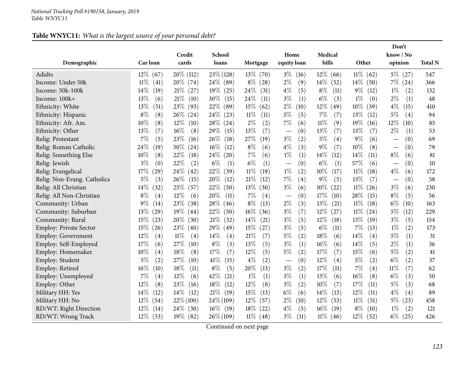### **Table WNYC11:** *What is the largest source of your persona<sup>l</sup> debt?*

|                               |                   |                 |                 |                |                                 |                  |                | Don't                           |                |
|-------------------------------|-------------------|-----------------|-----------------|----------------|---------------------------------|------------------|----------------|---------------------------------|----------------|
| Demographic                   | Car loan          | Credit<br>cards | School<br>loans | Mortgage       | Home<br>equity loan             | Medical<br>bills | Other          | know / No<br>opinion            | <b>Total N</b> |
| Adults                        | $12\%$ (67)       | $20\%$ (112)    | $23\%$ (128)    | $13\%$ (70)    | $3\%$<br>(16)                   | $12\%$ (66)      | $11\%$<br>(62) | $5\%$<br>(27)                   | 547            |
| Income: Under 50k             | $11\%$<br>(41)    | $20\%$ (74)     | 24\% (89)       | $8\%$<br>(28)  | $2\%$<br>(9)                    | $14\%$<br>(52)   | $14\%$<br>(50) | $7\%$ $(24)$                    | 366            |
| Income: 50k-100k              | $14\%$<br>(19)    | 21%<br>(27)     | $19\%$<br>(25)  | 24\%<br>(31)   | $4\%$<br>(5)                    | $8\%$<br>(11)    | $9\%$<br>(12)  | $1\%$<br>(2)                    | 132            |
| Income: 100k+                 | 13%<br>(6)        | 21%<br>(10)     | 30\%<br>(15)    | 24%<br>(11)    | $3\%$<br>(1)                    | $6\%$<br>(3)     | $1\%$<br>(0)   | $2\%$<br>(1)                    | 48             |
| Ethnicity: White              | 13%<br>(51)       | 23\%<br>(93)    | 22%<br>(89)     | 15\%<br>(62)   | $2\%$<br>(10)                   | $12\%$<br>(49)   | $10\%$<br>(39) | $4\%$<br>(15)                   | 410            |
| Ethnicity: Hispanic           | $8\%$<br>(8)      | 26\%<br>(24)    | 24\%<br>(23)    | 11%<br>(11)    | $5\%$<br>(5)                    | 7%<br>(7)        | 13\%<br>(12)   | $5\%$<br>(4)                    | 94             |
| Ethnicity: Afr. Am.           | $10\%$<br>(8)     | $12\%$<br>(10)  | 28%<br>(24)     | $2\%$<br>(2)   | 7%<br>(6)                       | $11\%$<br>(9)    | 19%<br>(16)    | 12%<br>(10)                     | 85             |
| Ethnicity: Other              | 13%<br>(7)        | $16\%$<br>(8)   | 29%<br>(15)     | 13%<br>(7)     | (0)<br>$\overline{\phantom{m}}$ | 13%<br>(7)       | 13%<br>(7)     | $2\%$<br>(1)                    | 53             |
| Relig: Protestant             | $7\%$<br>(5)      | 23%<br>(16)     | 26\%<br>(18)    | 27\%<br>(19)   | $3\%$<br>(2)                    | $5\%$<br>(4)     | $9\%$<br>(6)   | (0)                             | 69             |
| Relig: Roman Catholic         | 24\%<br>$^{'}19)$ | 30%<br>(24)     | $16\%$<br>(12)  | $8\%$<br>(6)   | $4\%$<br>(3)                    | $9\%$<br>(7)     | 10%<br>(8)     | (0)<br>$\overline{\phantom{m}}$ | 79             |
| Relig: Something Else         | $10\%$<br>(8)     | 22%<br>(18)     | 24\%<br>(20)    | 7%<br>(6)      | $1\%$<br>(1)                    | $14\%$<br>(12)   | 14\%<br>(11)   | $8\%$<br>(6)                    | 81             |
| Relig: Jewish                 | $3\%$<br>(0)      | 22%<br>(2)      | $6\%$<br>(1)    | $6\%$<br>(1)   | (0)                             | $6\%$<br>(1)     | 57\%<br>(6)    | (0)                             | 10             |
| Relig: Evangelical            | 17%<br>29)        | 24\%<br>(42)    | 22%<br>(39)     | 11%<br>(19)    | $1\%$<br>(2)                    | $10\%$<br>(17)   | 11%<br>(18)    | $4\%$<br>(6)                    | 172            |
| Relig: Non-Evang. Catholics   | $5\%$<br>(3)      | $26\%$<br>(15)  | 20%<br>(12)     | 21%<br>(12)    | 7%<br>(4)                       | $9\%$<br>(5)     | 13%<br>(7)     | (0)                             | 58             |
| Relig: All Christian          | $14\%$<br>(32)    | 25\%<br>(57)    | 22%<br>(50)     | $13\%$<br>(30) | $3\%$<br>(6)                    | $10\%$<br>(22)   | $11\%$<br>(26) | $3\%$<br>(6)                    | 230            |
| Relig: All Non-Christian      | $8\%$<br>(4)      | $12\%$<br>(6)   | 20%<br>(11)     | 7%<br>(4)      | (0)                             | 17%<br>(10)      | 28\%<br>(15)   | $8\%$<br>(5)                    | 56             |
| Community: Urban              | $9\%$<br>(14)     | 23\%<br>(38)    | 28\%<br>(46)    | $8\%$<br>(13)  | $2\%$<br>(3)                    | 13%<br>(21)      | $11\%$<br>(18) | $6\%$<br>(10)                   | 163            |
| Community: Suburban           | $13\%$<br>(29)    | $19\%$<br>(44)  | 22%<br>(50)     | $16\%$<br>(36) | $3\%$<br>(7)                    | $12\%$<br>(27)   | $11\%$<br>(24) | $5\%$<br>(12)                   | 229            |
| Community: Rural              | $15\%$<br>(23)    | 20%<br>(30)     | 21%<br>(32)     | 14\%<br>(21)   | $3\%$<br>(5)                    | 12\%<br>(18)     | 13\%<br>(19)   | $3\%$<br>(5)                    | 154            |
| <b>Employ: Private Sector</b> | $15\%$ (26)       | 23\%<br>(40)    | $29\%$<br>(49)  | $15\%$<br>(27) | $3\%$<br>(5)                    | $6\%$<br>(11)    | $7\%$<br>(13)  | $1\%$<br>(2)                    | 173            |
| <b>Employ: Government</b>     | $12\%$<br>(4)     | 11%<br>(4)      | 14%<br>(4)      | 21%<br>(7)     | 5%<br>(2)                       | 18%<br>(6)       | $14\%$<br>(4)  | $5\%$<br>(1)                    | 31             |
| Employ: Self-Employed         | 17%<br>(6)        | 27%<br>(10)     | $8\%$<br>(3)    | 13%<br>(5)     | $3\%$<br>(1)                    | 16%<br>(6)       | 14%<br>(5)     | $2\%$<br>(1)                    | 36             |
| Employ: Homemaker             | $10\%$<br>(4)     | 18%<br>(8)      | 17%<br>(7)      | 12%<br>(5)     | $5\%$<br>(2)                    | 17%<br>(7)       | 15%<br>(6)     | $5\%$<br>(2)                    | 41             |
| Employ: Student               | $5\%$<br>(2)      | 27\%<br>(10)    | 41\%<br>(15)    | $4\%$<br>(2)   | (0)                             | 12%<br>(4)       | $5\%$<br>(2)   | $6\%$<br>(2)                    | 37             |
| Employ: Retired               | $16\%$<br>(10)    | 18%<br>(11)     | $8\%$<br>(5)    | 20%<br>(13)    | $3\%$<br>(2)                    | 17%<br>(11)      | $7\%$<br>(4)   | $11\%$<br>(7)                   | 62             |
| Employ: Unemployed            | $7\%$<br>(4)      | 12%<br>(6)      | 42%<br>(21)     | $1\%$<br>(1)   | $3\%$<br>(1)                    | 13%<br>(6)       | 16%<br>(8)     | $6\%$<br>(3)                    | 50             |
| Employ: Other                 | $12\%$<br>(8)     | 23\%<br>(16)    | $18\%$<br>(12)  | 12%<br>(8)     | $3\%$<br>(2)                    | 10%<br>(7)       | 17%<br>(11)    | $5\%$<br>(3)                    | 68             |
| Military HH: Yes              | 14\%<br>(12)      | 14\%<br>(12)    | $21\%$<br>(19)  | 15%<br>(13)    | $6\%$<br>(6)                    | 14%<br>(13)      | 12%<br>(11)    | $4\%$<br>(4)                    | 89             |
| Military HH: No               | $12\%$<br>(54)    | $22\%$ (100)    | $24\% (109)$    | $12\%$<br>(57) | $2\%$<br>(10)                   | $12\%$<br>(53)   | $11\%$<br>(51) | $5\%$<br>(23)                   | 458            |
| RD/WT: Right Direction        | $12\%$<br>(14)    | $24\%$ (30)     | $16\%$ (19)     | 18\%<br>(22)   | $4\%$<br>(5)                    | $16\%$<br>(19)   | $8\%$<br>(10)  | $1\%$<br>(2)                    | 121            |
| RD/WT: Wrong Track            | $12\%$ (53)       | $19\%$ (82)     | $26\% (109)$    | $11\%$ (48)    | $3\%$<br>(11)                   | $11\%$ (46)      | $12\%$<br>(52) | $6\%$<br>(25)                   | 426            |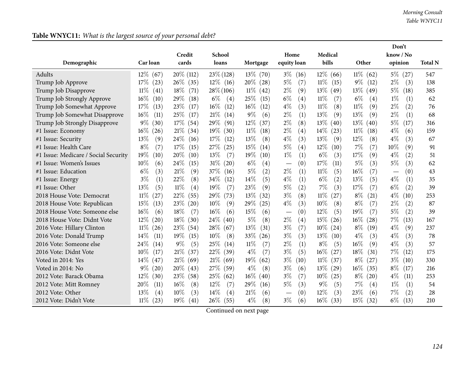|                                      |                             |                |                |                |                                          |                |                | Don't         |                |
|--------------------------------------|-----------------------------|----------------|----------------|----------------|------------------------------------------|----------------|----------------|---------------|----------------|
|                                      |                             | Credit         | School         |                | Home                                     | Medical        |                | know / No     |                |
| Demographic                          | Car loan                    | cards          | loans          | Mortgage       | equity loan                              | bills          | Other          | opinion       | <b>Total N</b> |
| Adults                               | $12\%$ (67)                 | 20\% (112)     | $23\%$ (128)   | $13\%$ (70)    | $3\%$<br>(16)                            | $12\%$<br>(66) | $11\%$<br>(62) | $5\%$<br>(27) | 547            |
| Trump Job Approve                    | 17%<br>(23)                 | $26\%$ (35)    | $12\%$ (16)    | $20\%$ (28)    | $5\%$<br>(7)                             | $11\%$<br>(15) | $9\%$<br>(12)  | $2\%$<br>(3)  | 138            |
| Trump Job Disapprove                 | $11\%$<br>(41)              | 18%<br>(71)    | $28\% (106)$   | $11\%$ (42)    | $2\%$<br>(9)                             | $13\%$<br>(49) | $13\%$<br>(49) | $5\%$<br>(18) | 385            |
| Trump Job Strongly Approve           | $16\%$<br>(10)              | 29%<br>(18)    | $6\%$<br>(4)   | 25\%<br>(15)   | $6\%$<br>(4)                             | 11%<br>(7)     | $6\%$<br>(4)   | $1\%$<br>(1)  | 62             |
| Trump Job Somewhat Approve           | 17%<br>(13)                 | 23\%<br>(17)   | $16\%$<br>(12) | $16\%$<br>(12) | $4\%$<br>(3)                             | $11\%$<br>(8)  | 11%<br>(9)     | $2\%$<br>(2)  | 76             |
| Trump Job Somewhat Disapprove        | 16%<br>(11)                 | 25\%<br>(17)   | 21%<br>(14)    | $9\%$<br>(6)   | $2\%$<br>(1)                             | 13%<br>(9)     | 13%<br>(9)     | $2\%$<br>(1)  | 68             |
| Trump Job Strongly Disapprove        | $9\%$<br>(30)               | $17\%$<br>(54) | 29%<br>(91)    | $12\%$<br>(37) | $2\%$<br>(8)                             | 13%<br>(40)    | 13\%<br>(40)   | $5\%$<br>(17) | 316            |
| #1 Issue: Economy                    | $16\%$<br>(26)              | $21\%$<br>(34) | $19\%$<br>(30) | $11\%$<br>(18) | $2\%$<br>(4)                             | $14\%$<br>(23) | $11\%$<br>(18) | $4\%$<br>(6)  | 159            |
| #1 Issue: Security                   | 13%<br>(9)                  | 24%<br>(16)    | 17%<br>(12)    | 13%<br>(8)     | $4\%$<br>(3)                             | 13%<br>(9)     | 12%<br>(8)     | $4\%$<br>(3)  | 67             |
| #1 Issue: Health Care                | $8\%$<br>(7)                | 17%<br>(15)    | 27\%<br>(25)   | 15\%<br>(14)   | $5\%$<br>(4)                             | 12%<br>(10)    | 7%<br>(7)      | 10%<br>(9)    | 91             |
| #1 Issue: Medicare / Social Security | 19%<br>(10)                 | 20%<br>(10)    | 13%<br>(7)     | $19\%$<br>(10) | $1\%$<br>(1)                             | $6\%$<br>(3)   | 17%<br>(9)     | $4\%$<br>(2)  | 51             |
| #1 Issue: Women's Issues             | 10%<br>(6)                  | 24%<br>(15)    | $31\%$<br>(20) | $6\%$<br>(4)   | (0)                                      | 17%<br>(11)    | 5%<br>(3)      | 5%<br>(3)     | 62             |
| #1 Issue: Education                  | $6\%$<br>(3)                | 21%<br>(9)     | 37%<br>(16)    | 5%<br>(2)      | $2\%$<br>(1)                             | $11\%$<br>(5)  | $16\%$<br>(7)  | (0)           | 43             |
| #1 Issue: Energy                     | $3\%$<br>(1)                | 22%<br>(8)     | 34\%<br>(12)   | 14\%<br>(5)    | $4\%$<br>(1)                             | $6\%$<br>(2)   | 13%<br>(5)     | $4\%$<br>(1)  | 35             |
| #1 Issue: Other                      | 13%<br>(5)                  | $11\%$<br>(4)  | 19%<br>(7)     | 23\%<br>(9)    | 5%<br>(2)                                | $7\%$<br>(3)   | 17%<br>(7)     | $6\%$<br>(2)  | 39             |
| 2018 House Vote: Democrat            | $11\%$<br>(27)              | 22%<br>(55)    | 29%<br>(73)    | $13\%$<br>(32) | $3\%$<br>(8)                             | $11\%$<br>(27) | $8\%$<br>(21)  | $4\%$<br>(10) | 253            |
| 2018 House Vote: Republican          | 15%<br>(13)                 | 23\%<br>(20)   | 10%<br>(9)     | $29\%$<br>(25) | $4\%$<br>(3)                             | 10%<br>(8)     | $8\%$<br>(7)   | $2\%$<br>(2)  | 87             |
| 2018 House Vote: Someone else        | $16\%$<br>(6)               | $18\%$<br>(7)  | 16%<br>(6)     | 15%<br>(6)     | (0)                                      | 12%<br>(5)     | 19%<br>(7)     | 5%<br>(2)     | 39             |
| 2018 House Vote: Didnt Vote          | $12\%$<br>(20)              | 18%<br>(30)    | $24\%$<br>(40) | 5%<br>(8)      | $2\%$<br>(4)                             | 15%<br>(26)    | $16\%$<br>(28) | 7%<br>(13)    | 167            |
| 2016 Vote: Hillary Clinton           | $11\%$<br>(26)              | 23\%<br>(54)   | 28\%<br>(67)   | 13%<br>(31)    | $3\%$<br>(7)                             | $10\%$<br>(24) | $8\%$<br>(19)  | $4\%$<br>(9)  | 237            |
| 2016 Vote: Donald Trump              | $14\%$<br>(11)              | $19\%$<br>(15) | 10%<br>(8)     | $33\%$<br>(26) | $3\%$<br>(3)                             | 13%<br>(10)    | $4\%$<br>(3)   | $4\%$<br>(3)  | 78             |
| 2016 Vote: Someone else              | 24%<br>(14)                 | $9\%$<br>(5)   | 25%<br>(14)    | 11%<br>(7)     | $2\%$<br>(1)                             | $8\%$<br>(5)   | 16%<br>(9)     | $4\%$<br>(3)  | 57             |
| 2016 Vote: Didnt Vote                | $10\%$<br>(17)              | 21%<br>(37)    | 22%<br>(39)    | $4\%$<br>(7)   | $3\%$<br>(5)                             | $16\%$<br>(27) | 18%<br>(31)    | $7\%$<br>(12) | 175            |
| Voted in 2014: Yes                   | $14\%$<br>(47)              | 21%<br>(69)    | 21%<br>(69)    | $19\%$<br>(62) | $3\%$<br>(10)                            | $11\%$<br>(37) | $8\%$<br>(27)  | $3\%$<br>(10) | 330            |
| Voted in 2014: No                    | $9\%$<br>$\left( 20\right)$ | $20\%$<br>(43) | 27%<br>(59)    | $4\%$<br>(8)   | $3\%$<br>(6)                             | $13\%$<br>(29) | $16\%$<br>(35) | $8\%$<br>(17) | 216            |
| 2012 Vote: Barack Obama              | $12\%$<br>(30)              | 23\%<br>(58)   | 25%<br>(62)    | $16\%$<br>(40) | $3\%$<br>(7)                             | $10\%$<br>(25) | $8\%$<br>(20)  | $4\%$<br>(11) | 253            |
| 2012 Vote: Mitt Romney               | 20%<br>(11)                 | 16%<br>(8)     | 12%<br>(7)     | 29%<br>(16)    | $5\%$<br>(3)                             | $9\%$<br>(5)   | 7%<br>(4)      | $1\%$<br>(1)  | 54             |
| 2012 Vote: Other                     | 13%<br>(4)                  | 10%<br>(3)     | 14%<br>(4)     | 21%<br>(6)     | (0)<br>$\overbrace{\phantom{123221111}}$ | 12%<br>(3)     | 23%<br>(6)     | 7%<br>(2)     | 28             |
| 2012 Vote: Didn't Vote               | $11\%$<br>(23)              | $19\%$<br>(41) | $26\%$<br>(55) | $4\%$<br>(8)   | $3\%$<br>(6)                             | $16\%$<br>(33) | $15\%$<br>(32) | $6\%$<br>(13) | 210            |

## **Table WNYC11:** *What is the largest source of your persona<sup>l</sup> debt?*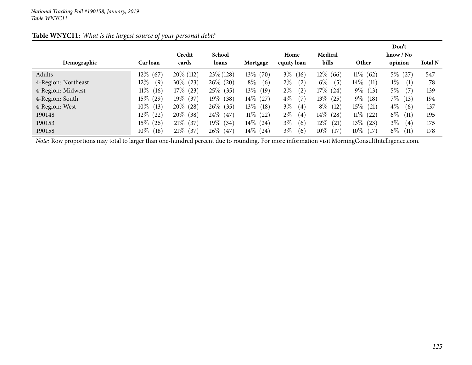| Table WNYC11: What is the largest source of your personal debt? |
|-----------------------------------------------------------------|
|-----------------------------------------------------------------|

|                     |                 |                |              |                |                            |                |                 | Don't                     |                |
|---------------------|-----------------|----------------|--------------|----------------|----------------------------|----------------|-----------------|---------------------------|----------------|
|                     |                 | Credit         | School       |                | Home                       | Medical        |                 | $\text{know} / \text{No}$ |                |
| Demographic         | <b>Car</b> loan | cards          | loans        | Mortgage       | equity loan                | bills          | Other           | opinion                   | <b>Total N</b> |
| Adults              | $12\%$<br>(67)  | $20\%$ (112)   | $23\%$ (128) | $13\%$ (70)    | $3\%$<br>(16)              | $12\%$ (66)    | $11\%$ (62)     | $5\%$<br>(27)             | 547            |
| 4-Region: Northeast | $12\%$<br>(9)   | $30\%$<br>(23) | $26\%$ (20)  | $8\%$<br>(6)   | $2\%$<br>(2)               | $6\%$<br>(5)   | $14\%$<br>(11)  | $1\%$<br>(1)              | 78             |
| 4-Region: Midwest   | $11\%$<br>(16)  | $17\%$<br>(23) | $25\%$ (35)  | $13\%$<br>(19) | $2\%$<br>(2)               | $17\%$ (24)    | $9\%$<br>(13)   | $5\%$<br>(7)              | 139            |
| 4-Region: South     | $15\%$<br>(29)  | $19\%$ (37)    | $19\%$ (38)  | $14\%$ (27)    | $4\%$<br>(7)               | $13\%$<br>(25) | $9\%$<br>(18)   | $7\%$<br>(13)             | 194            |
| 4-Region: West      | $10\%$<br>(13)  | $20\%$ (28)    | $26\%$ (35)  | $13\%$<br>(18) | $3\%$<br>$\left( 4\right)$ | $8\%$ (12)     | 15 $\%$<br>(21) | $4\%$<br>(6)              | 137            |
| 190148              | $12\%$ (22)     | $20\%$ (38)    | $24\%$ (47)  | $11\%$ (22)    | $2\%$<br>$\left( 4\right)$ | $14\%$ (28)    | $11\%$ (22)     | $6\%$<br>(11)             | 195            |
| 190153              | $15\%$ (26)     | $21\%$ (37)    | $19\%$ (34)  | $14\%$ (24)    | $3\%$<br>(6)               | $12\%$<br>(21) | $13\%$<br>(23)  | $3\%$<br>(4)              | 175            |
| 190158              | $10\%$<br>(18)  | $21\%$<br>(37) | $26\%$ (47)  | $14\%$<br>(24) | $3\%$<br>(6)               | $10\%$<br>(17) | $10\%$<br>(17)  | $6\%$<br>(11)             | 178            |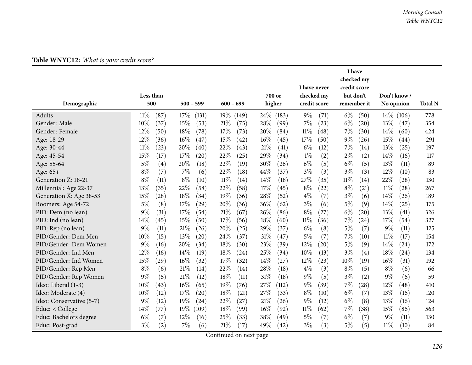|                          |                |                           |                 |                |                | I have                     |                |                |
|--------------------------|----------------|---------------------------|-----------------|----------------|----------------|----------------------------|----------------|----------------|
|                          |                |                           |                 |                | I have never   | checked my<br>credit score |                |                |
|                          | Less than      |                           |                 | 700 or         | checked my     | but don't                  | Don't know/    |                |
| Demographic              | 500            | $500 - 599$               | $600 - 699$     | higher         | credit score   | remember it                | No opinion     | <b>Total N</b> |
| Adults                   | $11\%$<br>(87) | 17%<br>(131)              | $19\%$<br>(149) | 24%<br>(183)   | $9\%$<br>(71)  | $6\%$<br>(50)              | $14\%$ (106)   | 778            |
| Gender: Male             | $10\%$<br>(37) | 15%<br>(53)               | 21%<br>(75)     | 28%<br>(99)    | 7%<br>(23)     | $6\%$<br>(20)              | 13\%<br>(47)   | 354            |
| Gender: Female           | 12%<br>(50)    | 18%<br>(78)               | 17%<br>(73)     | 20%<br>(84)    | $11\%$<br>(48) | 7%<br>(30)                 | 14%<br>(60)    | 424            |
| Age: 18-29               | 12%<br>(36)    | 16%<br>(47)               | 15%<br>(42)     | 16%<br>(45)    | 17%<br>(50)    | $9\%$<br>(26)              | 15%<br>(44)    | 291            |
| Age: 30-44               | $11\%$<br>(23) | 20%<br>(40)               | 22%<br>(43)     | 21%<br>(41)    | $6\%$<br>(12)  | 7%<br>(14)                 | 13%<br>(25)    | 197            |
| Age: 45-54               | 15%<br>(17)    | 17%<br>$\left( 20\right)$ | 22%<br>(25)     | 29%<br>(34)    | $1\%$<br>(2)   | $2\%$<br>(2)               | 14%<br>(16)    | 117            |
| Age: 55-64               | $5\%$<br>(4)   | 20%<br>(18)               | 22%<br>(19)     | 30%<br>(26)    | $6\%$<br>(5)   | $6\%$<br>(5)               | 13%<br>(11)    | 89             |
| Age: 65+                 | $8\%$<br>(7)   | 7%<br>(6)                 | 22%<br>(18)     | 44%<br>(37)    | $3\%$<br>(3)   | $3\%$<br>(3)               | 12%<br>(10)    | 83             |
| Generation Z: 18-21      | $8\%$<br>(11)  | $8\%$<br>(10)             | $11\%$<br>(14)  | 14%<br>(18)    | 27%<br>(35)    | $11\%$<br>(14)             | 22%<br>(28)    | 130            |
| Millennial: Age 22-37    | 13%<br>(35)    | 22%<br>(58)               | 22%<br>(58)     | 17%<br>(45)    | $8\%$<br>(22)  | $8\%$<br>(21)              | $11\%$<br>(28) | 267            |
| Generation X: Age 38-53  | 15%<br>(28)    | 18%<br>(34)               | 19%<br>(36)     | 28%<br>(52)    | $4\%$<br>(7)   | $3\%$<br>(6)               | 14\%<br>(26)   | 189            |
| Boomers: Age 54-72       | $5\%$<br>(8)   | 17%<br>$\left( 29\right)$ | 20%<br>(36)     | 36%<br>(62)    | $3\%$<br>(6)   | $5\%$<br>(9)               | 14%<br>(25)    | 175            |
| PID: Dem (no lean)       | $9\%$<br>(31)  | 17%<br>(54)               | 21%<br>(67)     | 26%<br>(86)    | $8\%$<br>(27)  | $6\%$<br>(20)              | 13%<br>(41)    | 326            |
| PID: Ind (no lean)       | 14%<br>(45)    | 15%<br>(50)               | 17%<br>(56)     | 18%<br>(60)    | $11\%$<br>(36) | 7%<br>(24)                 | 17%<br>(54)    | 327            |
| PID: Rep (no lean)       | $9\%$<br>(11)  | 21%<br>(26)               | 20%<br>(25)     | 29%<br>(37)    | $6\%$<br>(8)   | $5\%$<br>(7)               | $9\%$<br>(11)  | 125            |
| PID/Gender: Dem Men      | 10%<br>(15)    | 13%<br>$\left( 20\right)$ | 24%<br>(37)     | $31\%$<br>(47) | $5\%$<br>(7)   | 7%<br>(10)                 | $11\%$<br>(17) | 154            |
| PID/Gender: Dem Women    | 9%<br>(16)     | 20%<br>(34)               | 18%<br>(30)     | 23%<br>(39)    | 12%<br>(20)    | $5\%$<br>(9)               | 14%<br>(24)    | 172            |
| PID/Gender: Ind Men      | $12\%$<br>(16) | 14%<br>(19)               | 18%<br>(24)     | 25%<br>(34)    | 10%<br>(13)    | $3\%$<br>(4)               | 18%<br>(24)    | 134            |
| PID/Gender: Ind Women    | 15%<br>(29)    | 16%<br>(32)               | 17%<br>(32)     | 14%<br>(27)    | 12%<br>(23)    | 10%<br>(19)                | 16%<br>(31)    | 192            |
| PID/Gender: Rep Men      | $8\%$<br>(6)   | 21\%<br>(14)              | 22%<br>(14)     | 28%<br>(18)    | $4\%$<br>(3)   | $8\%$<br>(5)               | $8\%$<br>(6)   | 66             |
| PID/Gender: Rep Women    | $9\%$<br>(5)   | 21%<br>(12)               | 18%<br>(11)     | 31%<br>(18)    | $9\%$<br>(5)   | $3\%$<br>(2)               | $9\%$<br>(6)   | 59             |
| Ideo: Liberal (1-3)      | 10%<br>(43)    | $16\%$<br>(65)            | 19%<br>(76)     | 27%<br>(112)   | $9\%$<br>(39)  | 7%<br>(28)                 | 12%<br>(48)    | 410            |
| Ideo: Moderate (4)       | 10%<br>(12)    | 17%<br>$\left( 20\right)$ | 18%<br>(21)     | 27%<br>(33)    | $8\%$<br>(10)  | $6\%$<br>(7)               | 13%<br>(16)    | 120            |
| Ideo: Conservative (5-7) | 9%<br>(12)     | 19%<br>(24)               | 22%<br>(27)     | 21%<br>(26)    | $9\%$<br>(12)  | $6\%$<br>(8)               | 13%<br>(16)    | 124            |
| Educ: < College          | 14%<br>(77)    | 19%<br>(109)              | 18%<br>(99)     | 16%<br>(92)    | $11\%$<br>(62) | 7%<br>(38)                 | 15%<br>(86)    | 563            |
| Educ: Bachelors degree   | $6\%$<br>(7)   | 12%<br>(16)               | 25%<br>(33)     | 38%<br>(49)    | 5%<br>(7)      | $6\%$<br>(7)               | $9\%$<br>(11)  | 130            |
| Educ: Post-grad          | $3\%$<br>(2)   | 7%<br>(6)                 | 21%<br>(17)     | 49%<br>(42)    | $3\%$<br>(3)   | $5\%$<br>(5)               | $11\%$<br>(10) | 84             |

### **Table WNYC12:** *What is your credit score?*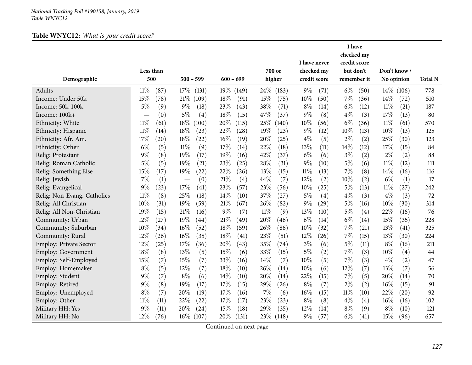## **Table WNYC12:** *What is your credit score?*

|                               |                |                                 |                    |             |       |        |        | I have never |              | I have<br>checked my<br>credit score |             |              |            |     |
|-------------------------------|----------------|---------------------------------|--------------------|-------------|-------|--------|--------|--------------|--------------|--------------------------------------|-------------|--------------|------------|-----|
|                               | Less than      |                                 |                    |             |       |        | 700 or | checked my   |              | but don't                            |             | Don't know/  |            |     |
| Demographic                   | 500            |                                 | $500 - 599$        | $600 - 699$ |       |        | higher |              | credit score |                                      | remember it |              | No opinion |     |
| Adults                        | $11\%$<br>(87) | 17%                             | (131)              | 19%         | (149) | 24\%   | (183)  | $9\%$        | (71)         | $6\%$                                | (50)        | $14\%$ (106) |            | 778 |
| Income: Under 50k             | $15\%$<br>(78) | 21%                             | (109)              | 18%         | (91)  | 15%    | (75)   | 10%          | (50)         | 7%                                   | (36)        | 14%          | (72)       | 510 |
| Income: 50k-100k              | 5%             | (9)<br>$9\%$                    | (18)               | 23%         | (43)  | 38%    | (71)   | $8\%$        | (14)         | $6\%$                                | (12)        | $11\%$       | (21)       | 187 |
| Income: 100k+                 |                | $5\%$<br>(0)                    | (4)                | 18%         | (15)  | 47%    | (37)   | $9\%$        | (8)          | $4\%$                                | (3)         | 17%          | (13)       | 80  |
| Ethnicity: White              | $11\%$         | $18\%$<br>(61)                  | (100)              | 20%         | (115) | 25\%   | (140)  | 10%          | (56)         | $6\%$                                | (36)        | $11\%$       | (61)       | 570 |
| Ethnicity: Hispanic           | $11\%$         | 18%<br>(14)                     | (23)               | 22%         | (28)  | 19%    | (23)   | $9\%$        | (12)         | 10%                                  | (13)        | 10%          | (13)       | 125 |
| Ethnicity: Afr. Am.           | 17%<br>(20)    | 18%                             | (22)               | 16%         | (19)  | 20%    | (25)   | $4\%$        | (5)          | $2\%$                                | (2)         | 25%          | (30)       | 123 |
| Ethnicity: Other              | $6\%$          | $11\%$<br>(5)                   | (9)                | 17%         | (14)  | 22%    | (18)   | 13%          | (11)         | 14%                                  | (12)        | 17%          | (15)       | 84  |
| Relig: Protestant             | $9\%$          | (8)<br>19%                      | (17)               | 19%         | (16)  | 42%    | (37)   | $6\%$        | (6)          | $3\%$                                | (2)         | $2\%$        | (2)        | 88  |
| Relig: Roman Catholic         | $5\%$          | (5)<br>19%                      | (21)               | 23%         | (25)  | 28%    | (31)   | $9\%$        | (10)         | $5\%$                                | (6)         | $11\%$       | (12)       | 111 |
| Relig: Something Else         | 15%            | 19%<br>(17)                     | (22)               | 22%         | (26)  | 13%    | (15)   | $11\%$       | (13)         | 7%                                   | (8)         | 14%          | (16)       | 116 |
| Relig: Jewish                 | $7\%$          | (1)<br>$\overline{\phantom{0}}$ | (0)                | 21%         | (4)   | 44%    | (7)    | 12%          | (2)          | 10%                                  | (2)         | $6\%$        | (1)        | 17  |
| Relig: Evangelical            | $9\%$          | 17%<br>(23)                     | (41)               | 23%         | (57)  | 23%    | (56)   | 10%          | (25)         | $5\%$                                | (13)        | $11\%$       | (27)       | 242 |
| Relig: Non-Evang. Catholics   | $11\%$         | 25%<br>(8)                      | (18)               | 14%         | (10)  | 37%    | (27)   | $5\%$        | (4)          | $4\%$                                | (3)         | $4\%$        | (3)        | 72  |
| Relig: All Christian          | 10%            | 19%<br>(31)                     | (59)               | 21%         | (67)  | 26%    | (82)   | $9\%$        | (29)         | $5\%$                                | (16)        | 10%          | (30)       | 314 |
| Relig: All Non-Christian      | 19%            | 21%<br>(15)                     | (16)               | 9%          | (7)   | $11\%$ | (9)    | 13%          | (10)         | 5%                                   | (4)         | 22%          | (16)       | 76  |
| Community: Urban              | 12%            | (27)<br>19%                     | $\left( 44\right)$ | 21%         | (49)  | 20%    | (46)   | $6\%$        | (14)         | $6\%$                                | (14)        | 15%          | (35)       | 228 |
| Community: Suburban           | 10%            | 16%<br>(34)                     | (52)               | 18%         | (59)  | 26%    | (86)   | 10%          | (32)         | 7%                                   | (21)        | 13%          | (41)       | 325 |
| Community: Rural              | 12%<br>(26)    | 16%                             | (35)               | 18%         | (41)  | 23%    | (51)   | 12%          | (26)         | 7%                                   | (15)        | 13%          | (30)       | 224 |
| <b>Employ: Private Sector</b> | 12%            | 17%<br>(25)                     | (36)               | 20%         | (43)  | 35%    | (74)   | $3\%$        | (6)          | $5\%$                                | (11)        | $8\%$        | (16)       | 211 |
| <b>Employ: Government</b>     | 18%            | 13%<br>(8)                      | (5)                | 15%         | (6)   | 33%    | (15)   | $5\%$        | (2)          | 7%                                   | (3)         | 10%          | (4)        | 44  |
| Employ: Self-Employed         | 15%            | (7)<br>15%                      | (7)                | 33%         | (16)  | 14%    | (7)    | 10%          | (5)          | 7%                                   | (3)         | $4\%$        | (2)        | 47  |
| Employ: Homemaker             | $8\%$          | (5)<br>12%                      | (7)                | 18%         | (10)  | 26%    | (14)   | 10%          | (6)          | 12%                                  | (7)         | 13%          | (7)        | 56  |
| Employ: Student               | $9\%$          | $8\%$<br>(7)                    | (6)                | 14%         | (10)  | 20%    | (14)   | 22%          | (15)         | 7%                                   | (5)         | 20%          | (14)       | 70  |
| Employ: Retired               | $9\%$          | 19%<br>(8)                      | (17)               | 17%         | (15)  | 29%    | (26)   | $8\%$        | (7)          | $2\%$                                | (2)         | 16%          | (15)       | 91  |
| Employ: Unemployed            | $8\%$          | (7)<br>20%                      | (19)               | 17%         | (16)  | 7%     | (6)    | 16%          | (15)         | $11\%$                               | (10)        | 22%          | (20)       | 92  |
| Employ: Other                 | $11\%$         | 22%<br>(11)                     | (22)               | 17%         | (17)  | 23%    | (23)   | $8\%$        | (8)          | $4\%$                                | (4)         | 16%          | (16)       | 102 |
| Military HH: Yes              | 9%             | (11)<br>20%                     | (24)               | 15%         | (18)  | 29%    | (35)   | 12%          | (14)         | $8\%$                                | (9)         | $8\%$        | (10)       | 121 |
| Military HH: No               | 12%<br>(76)    | $16\%$                          | (107)              | 20%         | (131) | 23\%   | (148)  | $9\%$        | (57)         | $6\%$                                | (41)        | 15%          | (96)       | 657 |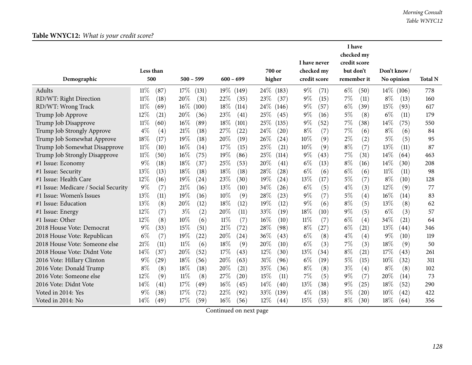|                                      |                             |               |                 |                | I have never  | I have<br>checked my<br>credit score |                |                |
|--------------------------------------|-----------------------------|---------------|-----------------|----------------|---------------|--------------------------------------|----------------|----------------|
|                                      | Less than                   |               |                 | 700 or         | checked my    | but don't                            | Don't know/    |                |
| Demographic                          | 500                         | $500 - 599$   | $600 - 699$     | higher         | credit score  | remember it                          | No opinion     | <b>Total N</b> |
| Adults                               | $11\%$<br>(87)              | 17%<br>(131)  | $19\%$<br>(149) | 24\%<br>(183)  | $9\%$<br>(71) | $6\%$<br>(50)                        | $14\%$ (106)   | 778            |
| RD/WT: Right Direction               | $11\%$<br>(18)              | 20%<br>(31)   | 22%<br>(35)     | 23%<br>(37)    | $9\%$<br>(15) | 7%<br>(11)                           | $8\%$<br>(13)  | 160            |
| RD/WT: Wrong Track                   | $11\%$<br>(69)              | 16%<br>(100)  | 18%<br>(114)    | 24\%<br>(146)  | $9\%$<br>(57) | $6\%$<br>(39)                        | 15%<br>(93)    | 617            |
| Trump Job Approve                    | 12%<br>(21)                 | 20%<br>(36)   | 23%<br>(41)     | 25\%<br>(45)   | $9\%$<br>(16) | $5\%$<br>(8)                         | $6\%$<br>(11)  | 179            |
| Trump Job Disapprove                 | $11\%$<br>(60)              | 16%<br>(89)   | 18%<br>(101)    | 25%<br>(135)   | $9\%$<br>(52) | $7\%$<br>(38)                        | 14%<br>(75)    | 550            |
| Trump Job Strongly Approve           | $4\%$<br>(4)                | 21%<br>(18)   | 27%<br>(22)     | 24\%<br>(20)   | $8\%$<br>(7)  | 7%<br>(6)                            | $8\%$<br>(6)   | 84             |
| Trump Job Somewhat Approve           | 18%<br>(17)                 | 19%<br>(18)   | 20%<br>(19)     | 26%<br>(24)    | 10%<br>(9)    | $2\%$<br>(2)                         | $5\%$<br>(5)   | 95             |
| Trump Job Somewhat Disapprove        | $11\%$<br>(10)              | 16%<br>(14)   | 17%<br>(15)     | 25%<br>(21)    | 10%<br>(9)    | $8\%$<br>(7)                         | 13%<br>(11)    | 87             |
| Trump Job Strongly Disapprove        | $11\%$<br>(50)              | 16%<br>(75)   | 19%<br>(86)     | 25%<br>(114)   | $9\%$<br>(43) | $7\%$<br>(31)                        | 14%<br>(64)    | 463            |
| #1 Issue: Economy                    | 9%<br>(18)                  | 18%<br>(37)   | 25%<br>(53)     | $20\%$<br>(41) | $6\%$<br>(13) | $8\%$<br>(16)                        | 14%<br>(30)    | 208            |
| #1 Issue: Security                   | 13%<br>(13)                 | 18%<br>(18)   | 18%<br>(18)     | 28%<br>(28)    | $6\%$<br>(6)  | $6\%$<br>(6)                         | $11\%$<br>(11) | 98             |
| #1 Issue: Health Care                | 12%<br>(16)                 | 19%<br>(24)   | 23%<br>(30)     | 19%<br>(24)    | 13%<br>(17)   | $5\%$<br>(7)                         | $8\%$<br>(10)  | 128            |
| #1 Issue: Medicare / Social Security | 9%<br>(7)                   | 21%<br>(16)   | 13%<br>(10)     | 34%<br>(26)    | $6\%$<br>(5)  | $4\%$<br>(3)                         | 12%<br>(9)     | 77             |
| #1 Issue: Women's Issues             | 13%<br>(11)                 | 19%<br>(16)   | 10%<br>(9)      | 28%<br>(23)    | $9\%$<br>(7)  | 5%<br>$\left( 4\right)$              | 16%<br>(14)    | 83             |
| #1 Issue: Education                  | 13\%<br>(8)                 | 20%<br>(12)   | 18%<br>(12)     | 19%<br>(12)    | $9\%$<br>(6)  | $8\%$<br>(5)                         | 13%<br>(8)     | 62             |
| #1 Issue: Energy                     | 12%<br>(7)                  | $3\%$<br>(2)  | 20%<br>(11)     | 33%<br>(19)    | 18%<br>(10)   | $9\%$<br>(5)                         | $6\%$<br>(3)   | 57             |
| #1 Issue: Other                      | 12%<br>(8)                  | 10%<br>(6)    | $11\%$<br>(7)   | 16%<br>(10)    | 11%<br>(7)    | $6\%$<br>(4)                         | 34%<br>(21)    | 64             |
| 2018 House Vote: Democrat            | $9\%$<br>(33)               | 15%<br>(51)   | 21%<br>(72)     | 28%<br>(98)    | $8\%$<br>(27) | $6\%$<br>(21)                        | 13%<br>(44)    | 346            |
| 2018 House Vote: Republican          | $6\%$<br>(7)                | 19%<br>(22)   | 20%<br>(24)     | 36%<br>(43)    | $6\%$<br>(8)  | $4\%$<br>(4)                         | $9\%$<br>(10)  | 119            |
| 2018 House Vote: Someone else        | 21%<br>(11)                 | 11%<br>(6)    | 18%<br>(9)      | 20%<br>(10)    | $6\%$<br>(3)  | 7%<br>(3)                            | 18%<br>(9)     | 50             |
| 2018 House Vote: Didnt Vote          | 14%<br>(37)                 | 20%<br>(52)   | 17\%<br>(43)    | 12%<br>(30)    | 13\%<br>(34)  | $8\%$<br>(21)                        | 17%<br>(43)    | 261            |
| 2016 Vote: Hillary Clinton           | $9\%$<br>$\left( 29\right)$ | 18%<br>(56)   | 20%<br>(63)     | 31%<br>(96)    | $6\%$<br>(19) | $5\%$<br>(15)                        | 10%<br>(32)    | 311            |
| 2016 Vote: Donald Trump              | $8\%$<br>(8)                | 18%<br>(18)   | 20%<br>(21)     | 35%<br>(36)    | $8\%$<br>(8)  | $3\%$<br>(4)                         | $8\%$<br>(8)   | 102            |
| 2016 Vote: Someone else              | 12%<br>(9)                  | $11\%$<br>(8) | 27%<br>(20)     | 15%<br>(11)    | 7%<br>(5)     | 9%<br>(7)                            | 20%<br>(14)    | 73             |
| 2016 Vote: Didnt Vote                | $14\%$<br>(41)              | 17%<br>(49)   | 16%<br>(45)     | 14\%<br>(40)   | 13%<br>(38)   | $9\%$<br>(25)                        | 18%<br>(52)    | 290            |
| Voted in 2014: Yes                   | $9\%$<br>(38)               | 17%<br>(72)   | 22%<br>(92)     | 33%<br>(139)   | $4\%$<br>(18) | 5%<br>(20)                           | 10%<br>(42)    | 422            |
| Voted in 2014: No                    | $14\%$<br>(49)              | 17%<br>(59)   | 16%<br>(56)     | 12%<br>(44)    | 15\%<br>(53)  | $8\%$<br>(30)                        | 18%<br>(64)    | 356            |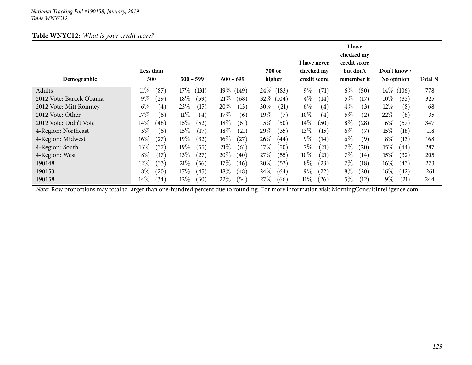#### **Table WNYC12:** *What is your credit score?*

| Demographic             | Less than<br>500 | $500 - 599$     | $600 - 699$                  | 700 or<br>higher | I have never<br>checked my<br>credit score | I have<br>checked my<br>credit score<br>but don't<br>remember it | Don't know/<br>No opinion | <b>Total N</b> |
|-------------------------|------------------|-----------------|------------------------------|------------------|--------------------------------------------|------------------------------------------------------------------|---------------------------|----------------|
| Adults                  | $11\%$<br>(87)   | $17\%$<br>(131) | $19\%$<br>(149)              | 24\% (183)       | $9\%$<br>(71)                              | $6\%$<br>(50)                                                    | $14\%$ (106)              | 778            |
| 2012 Vote: Barack Obama | $9\%$<br>(29)    | $18\%$<br>(59)  | 21%<br>(68)                  | $32\%$<br>(104)  | $4\%$<br>(14)                              | $5\%$<br>(17)                                                    | $10\%$<br>(33)            | 325            |
| 2012 Vote: Mitt Romney  | $6\%$<br>(4)     | 23\%<br>(15)    | 20%<br>(13)                  | $30\%$<br>(21)   | $6\%$<br>$\left( 4\right)$                 | $4\%$<br>(3)                                                     | $12\%$<br>(8)             | 68             |
| 2012 Vote: Other        | 17\%<br>(6)      | $11\%$<br>(4)   | 17%<br>(6)                   | $19\%$<br>(7)    | $10\%$<br>$\left( 4\right)$                | $5\%$<br>$\left( 2\right)$                                       | $22\%$<br>(8)             | 35             |
| 2012 Vote: Didn't Vote  | $14\%$<br>(48)   | $15\%$<br>(52)  | $18\%$<br>(61)               | 15%<br>(50)      | 14\%<br>(50)                               | $8\%$<br>$^{'}28)$                                               | $16\%$<br>(57)            | 347            |
| 4-Region: Northeast     | $5\%$<br>(6)     | 15%<br>(17)     | 18\%<br>(21)                 | 29\%<br>(35)     | 13\%<br>(15)                               | $6\%$<br>(7)                                                     | 15%<br>$\left(18\right)$  | 118            |
| 4-Region: Midwest       | $16\%$<br>(27)   | $19\%$<br>(32)  | $16\%$<br>$^{'}27)$          | $26\%$<br>(44)   | $9\%$<br>(14)                              | $6\%$<br>(9)                                                     | $8\%$<br>(13)             | 168            |
| 4-Region: South         | $13\%$<br>(37)   | 19%<br>(55)     | 21%<br>(61)                  | $17\%$<br>(50)   | $7\%$<br>(21)                              | $7\%$<br>(20)                                                    | 15%<br>(44)               | 287            |
| 4-Region: West          | $8\%$<br>(17)    | 13\%<br>(27)    | 20%<br>(40)                  | 27\%<br>(55)     | $10\%$<br>(21)                             | $7\%$<br>(14)                                                    | 15%<br>(32)               | 205            |
| 190148                  | $12\%$<br>(33)   | 21%<br>(56)     | $17\%$<br>(46)               | $20\%$<br>(53)   | $8\%$<br>(23)                              | $7\%$<br>(18)                                                    | $16\%$<br>(43)            | 273            |
| 190153                  | $8\%$<br>(20)    | $17\%$<br>(45)  | $18\%$<br>$\left( 48\right)$ | $24\%$<br>(64)   | $9\%$<br>(22)                              | $8\%$<br>$\left( 20\right)$                                      | $16\%$<br>(42)            | 261            |
| 190158                  | $14\%$<br>(34)   | 12%<br>(30)     | $22\%$<br>(54)               | 27%<br>(66)      | $11\%$<br>(26)                             | 5%<br>(12)                                                       | $9\%$<br>(21)             | 244            |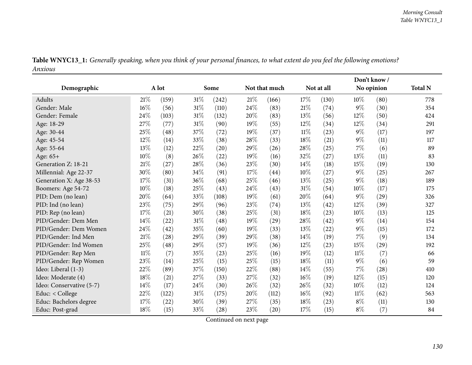| Table WNYC13_1: Generally speaking, when you think of your personal finances, to what extent do you feel the following emotions? |  |  |
|----------------------------------------------------------------------------------------------------------------------------------|--|--|
| Anxious                                                                                                                          |  |  |

|                          |        |       |        |       |      |                    | Don't know/ |            |        |            |                |
|--------------------------|--------|-------|--------|-------|------|--------------------|-------------|------------|--------|------------|----------------|
| Demographic              |        | A lot |        | Some  |      | Not that much      |             | Not at all |        | No opinion | <b>Total N</b> |
| <b>Adults</b>            | 21%    | (159) | $31\%$ | (242) | 21%  | (166)              | 17%         | (130)      | 10%    | (80)       | 778            |
| Gender: Male             | 16%    | (56)  | $31\%$ | (110) | 24%  | (83)               | 21%         | (74)       | $9\%$  | (30)       | 354            |
| Gender: Female           | 24%    | (103) | $31\%$ | (132) | 20%  | (83)               | 13%         | (56)       | $12\%$ | (50)       | 424            |
| Age: 18-29               | 27%    | (77)  | $31\%$ | (90)  | 19%  | (55)               | 12%         | (34)       | 12%    | (34)       | 291            |
| Age: 30-44               | 25%    | (48)  | 37%    | (72)  | 19%  | (37)               | $11\%$      | (23)       | $9\%$  | (17)       | 197            |
| Age: 45-54               | 12%    | (14)  | 33%    | (38)  | 28\% | (33)               | 18%         | (21)       | $9\%$  | (11)       | 117            |
| Age: 55-64               | 13%    | (12)  | 22%    | (20)  | 29%  | (26)               | 28%         | (25)       | $7\%$  | (6)        | 89             |
| Age: 65+                 | 10%    | (8)   | 26%    | (22)  | 19%  | (16)               | 32%         | (27)       | 13%    | (11)       | 83             |
| Generation Z: 18-21      | 21%    | (27)  | 28%    | (36)  | 23%  | (30)               | 14%         | (18)       | 15%    | (19)       | 130            |
| Millennial: Age 22-37    | 30%    | (80)  | 34\%   | (91)  | 17%  | (44)               | 10%         | (27)       | $9\%$  | (25)       | 267            |
| Generation X: Age 38-53  | $17\%$ | (31)  | 36%    | (68)  | 25%  | (46)               | 13%         | (25)       | $9\%$  | (18)       | 189            |
| Boomers: Age 54-72       | $10\%$ | (18)  | $25\%$ | (43)  | 24%  | (43)               | 31%         | (54)       | 10%    | (17)       | 175            |
| PID: Dem (no lean)       | 20%    | (64)  | 33%    | (108) | 19%  | (61)               | 20%         | (64)       | $9\%$  | (29)       | 326            |
| PID: Ind (no lean)       | 23%    | (75)  | 29%    | (96)  | 23%  | (74)               | 13%         | (42)       | 12%    | (39)       | 327            |
| PID: Rep (no lean)       | $17\%$ | (21)  | 30%    | (38)  | 25%  | (31)               | 18%         | (23)       | 10%    | (13)       | 125            |
| PID/Gender: Dem Men      | 14%    | (22)  | $31\%$ | (48)  | 19%  | (29)               | 28%         | (42)       | $9\%$  | (14)       | 154            |
| PID/Gender: Dem Women    | 24%    | (42)  | 35%    | (60)  | 19%  | (33)               | 13%         | (22)       | $9\%$  | (15)       | 172            |
| PID/Gender: Ind Men      | 21%    | (28)  | 29%    | (39)  | 29%  | (38)               | 14%         | (19)       | $7\%$  | (9)        | 134            |
| PID/Gender: Ind Women    | 25%    | (48)  | 29%    | (57)  | 19%  | (36)               | 12%         | (23)       | 15%    | (29)       | 192            |
| PID/Gender: Rep Men      | $11\%$ | (7)   | 35%    | (23)  | 25%  | (16)               | 19%         | (12)       | $11\%$ | (7)        | 66             |
| PID/Gender: Rep Women    | 23%    | (14)  | 25%    | (15)  | 25%  | (15)               | 18%         | (11)       | $9\%$  | (6)        | 59             |
| Ideo: Liberal (1-3)      | 22%    | (89)  | $37\%$ | (150) | 22%  | (88)               | 14%         | (55)       | $7\%$  | (28)       | 410            |
| Ideo: Moderate (4)       | 18%    | (21)  | 27%    | (33)  | 27%  | (32)               | 16%         | (19)       | 12%    | (15)       | 120            |
| Ideo: Conservative (5-7) | 14%    | (17)  | 24\%   | (30)  | 26%  | (32)               | 26%         | (32)       | 10%    | (12)       | 124            |
| Educ: < College          | 22%    | (122) | $31\%$ | (175) | 20%  | (112)              | 16%         | (92)       | $11\%$ | (62)       | 563            |
| Educ: Bachelors degree   | 17%    | (22)  | 30%    | (39)  | 27\% | (35)               | 18%         | (23)       | $8\%$  | (11)       | 130            |
| Educ: Post-grad          | 18%    | (15)  | 33%    | (28)  | 23%  | $\left( 20\right)$ | 17%         | (15)       | $8\%$  | (7)        | 84             |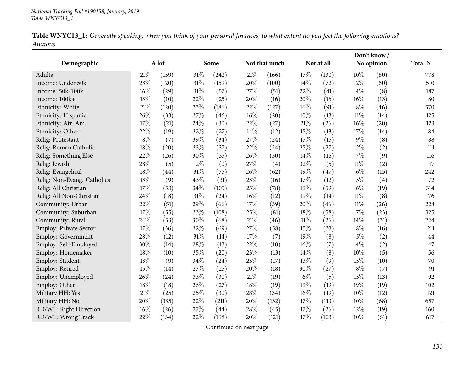|         |  |  |  | Table WNYC13_1: Generally speaking, when you think of your personal finances, to what extent do you feel the following emotions? |
|---------|--|--|--|----------------------------------------------------------------------------------------------------------------------------------|
| Anxious |  |  |  |                                                                                                                                  |

|                             |       |       |        |       |     | Don't know /  |        |            |        |            |                |
|-----------------------------|-------|-------|--------|-------|-----|---------------|--------|------------|--------|------------|----------------|
| Demographic                 |       | A lot |        | Some  |     | Not that much |        | Not at all |        | No opinion | <b>Total N</b> |
| Adults                      | 21%   | (159) | $31\%$ | (242) | 21% | (166)         | 17%    | (130)      | 10%    | (80)       | 778            |
| Income: Under 50k           | 23%   | (120) | $31\%$ | (159) | 20% | (100)         | 14%    | (72)       | 12%    | (60)       | 510            |
| Income: 50k-100k            | 16%   | (29)  | $31\%$ | (57)  | 27% | (51)          | 22%    | (41)       | $4\%$  | (8)        | 187            |
| Income: 100k+               | 13%   | (10)  | 32%    | (25)  | 20% | (16)          | 20%    | (16)       | 16%    | (13)       | 80             |
| Ethnicity: White            | 21%   | (120) | 33%    | (186) | 22% | (127)         | 16%    | (91)       | $8\%$  | (46)       | 570            |
| Ethnicity: Hispanic         | 26%   | (33)  | $37\%$ | (46)  | 16% | (20)          | 10%    | (13)       | $11\%$ | (14)       | 125            |
| Ethnicity: Afr. Am.         | 17%   | (21)  | 24\%   | (30)  | 22% | (27)          | $21\%$ | (26)       | 16%    | (20)       | 123            |
| Ethnicity: Other            | 22%   | (19)  | 32%    | (27)  | 14% | (12)          | 15%    | (13)       | 17%    | (14)       | 84             |
| Relig: Protestant           | $8\%$ | (7)   | 39%    | (34)  | 27% | (24)          | 17%    | (15)       | 9%     | (8)        | 88             |
| Relig: Roman Catholic       | 18%   | (20)  | 33%    | (37)  | 22% | (24)          | 25%    | (27)       | $2\%$  | (2)        | 111            |
| Relig: Something Else       | 22%   | (26)  | 30%    | (35)  | 26% | (30)          | 14\%   | (16)       | 7%     | (9)        | 116            |
| Relig: Jewish               | 28%   | (5)   | $2\%$  | (0)   | 27% | (4)           | 32%    | (5)        | $11\%$ | (2)        | 17             |
| Relig: Evangelical          | 18%   | (44)  | $31\%$ | (75)  | 26% | (62)          | 19%    | (47)       | $6\%$  | (15)       | 242            |
| Relig: Non-Evang. Catholics | 13%   | (9)   | 43%    | (31)  | 23% | (16)          | 17%    | (12)       | $5\%$  | (4)        | 72             |
| Relig: All Christian        | 17%   | (53)  | 34\%   | (105) | 25% | (78)          | 19%    | (59)       | $6\%$  | (19)       | 314            |
| Relig: All Non-Christian    | 24%   | (18)  | $31\%$ | (24)  | 16% | (12)          | 19%    | (14)       | $11\%$ | (8)        | 76             |
| Community: Urban            | 22%   | (51)  | 29%    | (66)  | 17% | (39)          | 20%    | (46)       | 11%    | (26)       | 228            |
| Community: Suburban         | 17%   | (55)  | 33%    | (108) | 25% | (81)          | $18\%$ | (58)       | 7%     | (23)       | 325            |
| Community: Rural            | 24%   | (53)  | 30%    | (68)  | 21% | (46)          | $11\%$ | (26)       | 14%    | (31)       | 224            |
| Employ: Private Sector      | 17%   | (36)  | 32%    | (69)  | 27% | (58)          | 15%    | (33)       | $8\%$  | (16)       | 211            |
| Employ: Government          | 28%   | (12)  | $31\%$ | (14)  | 17% | (7)           | 19%    | (8)        | $5\%$  | (2)        | 44             |
| Employ: Self-Employed       | 30%   | (14)  | 28%    | (13)  | 22% | (10)          | 16%    | (7)        | $4\%$  | (2)        | 47             |
| Employ: Homemaker           | 18%   | (10)  | 35%    | (20)  | 23% | (13)          | 14%    | (8)        | 10%    | (5)        | 56             |
| Employ: Student             | 13%   | (9)   | $34\%$ | (24)  | 25% | (17)          | 13%    | (9)        | 15%    | (10)       | 70             |
| Employ: Retired             | 15%   | (14)  | 27\%   | (25)  | 20% | (18)          | 30%    | (27)       | $8\%$  | (7)        | 91             |
| Employ: Unemployed          | 26%   | (24)  | 33%    | (30)  | 21% | (19)          | $6\%$  | (5)        | 15%    | (13)       | 92             |
| Employ: Other               | 18%   | (18)  | 26\%   | (27)  | 18% | (19)          | 19%    | (19)       | 19%    | (19)       | 102            |
| Military HH: Yes            | 21%   | (25)  | 25%    | (30)  | 28% | (34)          | $16\%$ | (19)       | 10%    | (12)       | 121            |
| Military HH: No             | 20%   | (135) | 32%    | (211) | 20% | (132)         | 17%    | (110)      | 10%    | (68)       | 657            |
| RD/WT: Right Direction      | 16%   | (26)  | 27%    | (44)  | 28% | (45)          | 17%    | (26)       | 12%    | (19)       | 160            |
| RD/WT: Wrong Track          | 22%   | (134) | 32%    | (198) | 20% | (121)         | 17%    | (103)      | 10%    | (61)       | 617            |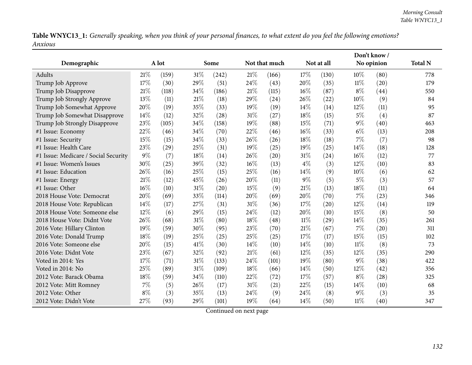Table WNYC13\_1: Generally speaking, when you think of your personal finances, to what extent do you feel the following emotions? *Anxious*

|                                      |       |       |        |       |        |               |        |            | Don't know / |            |                |
|--------------------------------------|-------|-------|--------|-------|--------|---------------|--------|------------|--------------|------------|----------------|
| Demographic                          |       | A lot |        | Some  |        | Not that much |        | Not at all |              | No opinion | <b>Total N</b> |
| Adults                               | 21%   | (159) | $31\%$ | (242) | 21%    | (166)         | 17%    | (130)      | 10%          | (80)       | 778            |
| Trump Job Approve                    | 17%   | (30)  | 29%    | (51)  | 24%    | (43)          | 20%    | (35)       | $11\%$       | (20)       | 179            |
| Trump Job Disapprove                 | 21%   | (118) | 34\%   | (186) | 21%    | (115)         | 16%    | (87)       | $8\%$        | (44)       | 550            |
| Trump Job Strongly Approve           | 13%   | (11)  | 21%    | (18)  | 29%    | (24)          | 26%    | (22)       | 10%          | (9)        | 84             |
| Trump Job Somewhat Approve           | 20%   | (19)  | 35%    | (33)  | 19%    | (19)          | 14%    | (14)       | 12%          | (11)       | 95             |
| Trump Job Somewhat Disapprove        | 14%   | (12)  | 32%    | (28)  | $31\%$ | (27)          | 18%    | (15)       | $5\%$        | (4)        | 87             |
| Trump Job Strongly Disapprove        | 23%   | (105) | 34%    | (158) | 19%    | (88)          | 15%    | (71)       | $9\%$        | (40)       | 463            |
| #1 Issue: Economy                    | 22%   | (46)  | 34%    | (70)  | 22%    | (46)          | 16%    | (33)       | $6\%$        | (13)       | 208            |
| #1 Issue: Security                   | 15%   | (15)  | 34%    | (33)  | 26%    | (26)          | 18%    | (18)       | 7%           | (7)        | 98             |
| #1 Issue: Health Care                | 23%   | (29)  | 25%    | (31)  | 19%    | (25)          | 19%    | (25)       | 14%          | (18)       | 128            |
| #1 Issue: Medicare / Social Security | $9\%$ | (7)   | 18%    | (14)  | 26%    | (20)          | 31%    | (24)       | 16%          | (12)       | 77             |
| #1 Issue: Women's Issues             | 30%   | (25)  | 39%    | (32)  | 16%    | (13)          | $4\%$  | (3)        | 12%          | (10)       | 83             |
| #1 Issue: Education                  | 26%   | (16)  | 25%    | (15)  | 25%    | (16)          | 14%    | (9)        | 10%          | (6)        | 62             |
| #1 Issue: Energy                     | 21%   | (12)  | 45%    | (26)  | 20%    | (11)          | $9\%$  | (5)        | 5%           | (3)        | 57             |
| #1 Issue: Other                      | 16%   | (10)  | 31%    | (20)  | 15%    | (9)           | 21%    | (13)       | 18%          | (11)       | 64             |
| 2018 House Vote: Democrat            | 20%   | (69)  | 33%    | (114) | 20%    | (69)          | 20%    | (70)       | 7%           | (23)       | 346            |
| 2018 House Vote: Republican          | 14%   | (17)  | 27%    | (31)  | 31%    | (36)          | 17%    | (20)       | 12%          | (14)       | 119            |
| 2018 House Vote: Someone else        | 12%   | (6)   | 29%    | (15)  | 24%    | (12)          | 20%    | (10)       | 15%          | (8)        | 50             |
| 2018 House Vote: Didnt Vote          | 26%   | (68)  | 31%    | (80)  | 18%    | (48)          | $11\%$ | (29)       | 14%          | (35)       | 261            |
| 2016 Vote: Hillary Clinton           | 19%   | (59)  | 30%    | (95)  | 23%    | (70)          | 21%    | (67)       | 7%           | (20)       | 311            |
| 2016 Vote: Donald Trump              | 18%   | (19)  | 25%    | (25)  | 25%    | (25)          | 17%    | (17)       | 15%          | (15)       | 102            |
| 2016 Vote: Someone else              | 20%   | (15)  | 41\%   | (30)  | 14%    | (10)          | 14%    | (10)       | 11%          | (8)        | 73             |
| 2016 Vote: Didnt Vote                | 23%   | (67)  | 32%    | (92)  | 21%    | (61)          | 12%    | (35)       | 12%          | (35)       | 290            |
| Voted in 2014: Yes                   | 17%   | (71)  | 31%    | (133) | 24%    | (101)         | 19%    | (80)       | $9\%$        | (38)       | 422            |
| Voted in 2014: No                    | 25%   | (89)  | 31%    | (109) | 18%    | (66)          | 14%    | (50)       | 12%          | (42)       | 356            |
| 2012 Vote: Barack Obama              | 18%   | (59)  | 34\%   | (110) | 22%    | (72)          | 17%    | (57)       | $8\%$        | (28)       | 325            |
| 2012 Vote: Mitt Romney               | $7\%$ | (5)   | 26%    | (17)  | $31\%$ | (21)          | 22%    | (15)       | 14%          | (10)       | 68             |
| 2012 Vote: Other                     | $8\%$ | (3)   | 35%    | (13)  | 24%    | (9)           | 24%    | (8)        | $9\%$        | (3)        | 35             |
| 2012 Vote: Didn't Vote               | 27%   | (93)  | 29%    | (101) | 19%    | (64)          | 14%    | (50)       | $11\%$       | (40)       | 347            |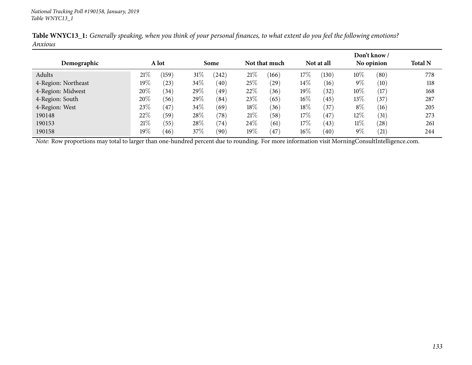|                     |        |       |        |       |        |               |        |            |        | Don't know /   |                |
|---------------------|--------|-------|--------|-------|--------|---------------|--------|------------|--------|----------------|----------------|
| Demographic         |        | A lot |        | Some  |        | Not that much |        | Not at all |        | No opinion     | <b>Total N</b> |
| Adults              | 21%    | (159) | $31\%$ | (242) | 21%    | (166)         | 17%    | (130)      | 10\%   | (80)           | 778            |
| 4-Region: Northeast | $19\%$ | (23)  | 34\%   | (40)  | 25\%   | $^{'}29)$     | $14\%$ | (16)       | $9\%$  | (10)           | 118            |
| 4-Region: Midwest   | 20%    | (34)  | 29\%   | (49)  | 22%    | (36)          | 19%    | (32)       | $10\%$ | (17)           | 168            |
| 4-Region: South     | 20%    | (56)  | 29\%   | (84)  | 23%    | (65)          | $16\%$ | (45)       | $13\%$ | $^{\prime}37)$ | 287            |
| 4-Region: West      | 23%    | 47    | 34\%   | (69)  | 18%    | (36)          | 18%    | (37)       | $8\%$  | (16)           | 205            |
| 190148              | 22%    | (59)  | 28\%   | (78)  | 21%    | (58)          | 17%    | $^{'}47$   | 12%    | (31)           | 273            |
| 190153              | 21%    | (55)  | 28\%   | (74)  | 24\%   | (61)          | 17%    | (43)       | $11\%$ | (28)           | 261            |
| 190158              | 19%    | (46)  | 37\%   | (90)  | $19\%$ | 47            | $16\%$ | (40)       | $9\%$  | (21)           | 244            |

Table WNYC13\_1: Generally speaking, when you think of your personal finances, to what extent do you feel the following emotions? *Anxious*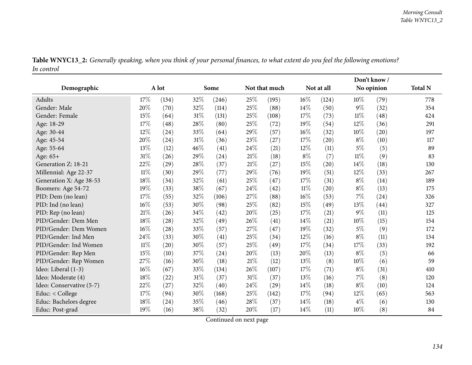| Table WNYC13_2: Generally speaking, when you think of your personal finances, to what extent do you feel the following emotions? |  |
|----------------------------------------------------------------------------------------------------------------------------------|--|
| In control                                                                                                                       |  |

|                          |        |       |        |       |        |               | Don't know/ |            |        |            |                |
|--------------------------|--------|-------|--------|-------|--------|---------------|-------------|------------|--------|------------|----------------|
| Demographic              |        | A lot |        | Some  |        | Not that much |             | Not at all |        | No opinion | <b>Total N</b> |
| Adults                   | 17%    | (134) | 32%    | (246) | 25%    | (195)         | $16\%$      | (124)      | 10%    | (79)       | 778            |
| Gender: Male             | 20%    | (70)  | 32%    | (114) | 25%    | (88)          | 14\%        | (50)       | $9\%$  | (32)       | 354            |
| Gender: Female           | 15%    | (64)  | $31\%$ | (131) | 25%    | (108)         | 17%         | (73)       | $11\%$ | (48)       | 424            |
| Age: 18-29               | 17%    | (48)  | $28\%$ | (80)  | 25%    | (72)          | 19%         | (54)       | $12\%$ | (36)       | 291            |
| Age: 30-44               | 12%    | (24)  | 33%    | (64)  | 29%    | (57)          | $16\%$      | (32)       | 10%    | (20)       | 197            |
| Age: 45-54               | 20%    | (24)  | $31\%$ | (36)  | 23%    | (27)          | 17%         | (20)       | $8\%$  | (10)       | 117            |
| Age: 55-64               | 13%    | (12)  | 46%    | (41)  | 24%    | (21)          | 12%         | (11)       | $5\%$  | (5)        | 89             |
| Age: 65+                 | $31\%$ | (26)  | 29%    | (24)  | 21%    | (18)          | $8\%$       | (7)        | $11\%$ | (9)        | 83             |
| Generation Z: 18-21      | 22%    | (29)  | 28\%   | (37)  | 21%    | (27)          | 15%         | (20)       | 14%    | (18)       | 130            |
| Millennial: Age 22-37    | $11\%$ | (30)  | 29%    | (77)  | 29%    | (76)          | 19%         | (51)       | 12%    | (33)       | 267            |
| Generation X: Age 38-53  | 18%    | (34)  | 32%    | (61)  | 25%    | (47)          | 17%         | (31)       | $8\%$  | (14)       | 189            |
| Boomers: Age 54-72       | 19%    | (33)  | 38%    | (67)  | 24%    | (42)          | $11\%$      | (20)       | $8\%$  | (13)       | 175            |
| PID: Dem (no lean)       | 17%    | (55)  | 32\%   | (106) | 27%    | (88)          | 16%         | (53)       | $7\%$  | (24)       | 326            |
| PID: Ind (no lean)       | 16%    | (53)  | 30%    | (98)  | 25%    | (82)          | 15%         | (49)       | 13%    | (44)       | 327            |
| PID: Rep (no lean)       | 21%    | (26)  | $34\%$ | (42)  | 20%    | (25)          | 17%         | (21)       | $9\%$  | (11)       | 125            |
| PID/Gender: Dem Men      | 18%    | (28)  | 32%    | (49)  | 26%    | (41)          | $14\%$      | (21)       | 10%    | (15)       | 154            |
| PID/Gender: Dem Women    | 16%    | (28)  | 33%    | (57)  | 27%    | (47)          | 19%         | (32)       | $5\%$  | (9)        | 172            |
| PID/Gender: Ind Men      | 24%    | (33)  | 30%    | (41)  | 25%    | (34)          | 12%         | (16)       | $8\%$  | (11)       | 134            |
| PID/Gender: Ind Women    | $11\%$ | (20)  | 30%    | (57)  | 25%    | (49)          | 17%         | (34)       | 17%    | (33)       | 192            |
| PID/Gender: Rep Men      | 15%    | (10)  | 37\%   | (24)  | 20%    | (13)          | 20%         | (13)       | $8\%$  | (5)        | 66             |
| PID/Gender: Rep Women    | 27%    | (16)  | 30%    | (18)  | $21\%$ | (12)          | 13%         | (8)        | 10%    | (6)        | 59             |
| Ideo: Liberal (1-3)      | 16%    | (67)  | 33%    | (134) | 26%    | (107)         | 17%         | (71)       | $8\%$  | (31)       | 410            |
| Ideo: Moderate (4)       | 18%    | (22)  | $31\%$ | (37)  | 31%    | (37)          | 13%         | (16)       | $7\%$  | (8)        | 120            |
| Ideo: Conservative (5-7) | 22%    | (27)  | 32%    | (40)  | 24%    | (29)          | 14%         | (18)       | $8\%$  | (10)       | 124            |
| Educ: < College          | 17%    | (94)  | 30%    | (168) | 25%    | (142)         | 17%         | (94)       | 12%    | (65)       | 563            |
| Educ: Bachelors degree   | 18%    | (24)  | 35%    | (46)  | 28\%   | (37)          | 14%         | (18)       | $4\%$  | (6)        | 130            |
| Educ: Post-grad          | 19%    | (16)  | 38%    | (32)  | 20%    | (17)          | 14%         | (11)       | 10%    | (8)        | 84             |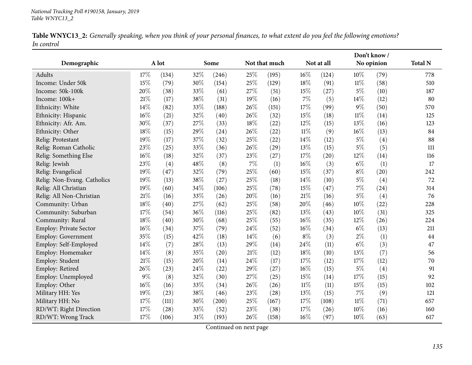| Table WNYC13_2: Generally speaking, when you think of your personal finances, to what extent do you feel the following emotions? |  |
|----------------------------------------------------------------------------------------------------------------------------------|--|
| In control                                                                                                                       |  |

| Demographic                 |        | A lot |        | Some  |     | Not that much |        | Not at all |        | No opinion | <b>Total N</b> |
|-----------------------------|--------|-------|--------|-------|-----|---------------|--------|------------|--------|------------|----------------|
| Adults                      | 17%    | (134) | 32%    | (246) | 25% | (195)         | 16%    | (124)      | 10%    | (79)       | 778            |
| Income: Under 50k           | 15%    | (79)  | 30%    | (154) | 25% | (129)         | $18\%$ | (91)       | $11\%$ | (58)       | 510            |
| Income: 50k-100k            | 20%    | (38)  | 33%    | (61)  | 27% | (51)          | 15%    | (27)       | $5\%$  | (10)       | 187            |
| Income: 100k+               | 21%    | (17)  | 38%    | (31)  | 19% | (16)          | 7%     | (5)        | 14%    | (12)       | 80             |
| Ethnicity: White            | 14%    | (82)  | 33%    | (188) | 26% | (151)         | 17%    | (99)       | $9\%$  | (50)       | 570            |
| Ethnicity: Hispanic         | 16%    | (21)  | 32%    | (40)  | 26% | (32)          | 15%    | (18)       | 11%    | (14)       | 125            |
| Ethnicity: Afr. Am.         | 30%    | (37)  | 27\%   | (33)  | 18% | (22)          | 12%    | (15)       | 13%    | (16)       | 123            |
| Ethnicity: Other            | 18%    | (15)  | 29%    | (24)  | 26% | (22)          | $11\%$ | (9)        | 16%    | (13)       | 84             |
| Relig: Protestant           | 19%    | (17)  | $37\%$ | (32)  | 25% | (22)          | 14%    | (12)       | $5\%$  | (4)        | 88             |
| Relig: Roman Catholic       | 23%    | (25)  | 33%    | (36)  | 26% | (29)          | 13%    | (15)       | $5\%$  | (5)        | 111            |
| Relig: Something Else       | 16%    | (18)  | 32%    | (37)  | 23% | (27)          | $17\%$ | (20)       | 12%    | (14)       | 116            |
| Relig: Jewish               | 23%    | (4)   | 48%    | (8)   | 7%  | (1)           | 16%    | (3)        | $6\%$  | (1)        | 17             |
| Relig: Evangelical          | 19%    | (47)  | 32%    | (79)  | 25% | (60)          | 15%    | (37)       | $8\%$  | (20)       | 242            |
| Relig: Non-Evang. Catholics | 19%    | (13)  | 38\%   | (27)  | 25% | (18)          | 14%    | (10)       | $5\%$  | (4)        | 72             |
| Relig: All Christian        | 19%    | (60)  | 34\%   | (106) | 25% | (78)          | 15%    | (47)       | $7\%$  | (24)       | 314            |
| Relig: All Non-Christian    | 21%    | (16)  | 33%    | (26)  | 20% | (16)          | 21%    | (16)       | $5\%$  | (4)        | 76             |
| Community: Urban            | 18%    | (40)  | 27%    | (62)  | 25% | (58)          | 20%    | (46)       | 10%    | (22)       | 228            |
| Community: Suburban         | 17%    | (54)  | 36%    | (116) | 25% | (82)          | 13%    | (43)       | 10%    | (31)       | 325            |
| Community: Rural            | 18%    | (40)  | 30%    | (68)  | 25% | (55)          | $16\%$ | (35)       | 12%    | (26)       | 224            |
| Employ: Private Sector      | 16%    | (34)  | 37%    | (79)  | 24% | (52)          | 16%    | (34)       | $6\%$  | (13)       | 211            |
| Employ: Government          | 35%    | (15)  | 42%    | (18)  | 14% | (6)           | $8\%$  | (3)        | $2\%$  | (1)        | 44             |
| Employ: Self-Employed       | 14%    | (7)   | 28%    | (13)  | 29% | (14)          | 24%    | (11)       | $6\%$  | (3)        | 47             |
| Employ: Homemaker           | 14%    | (8)   | 35%    | (20)  | 21% | (12)          | 18%    | (10)       | 13%    | (7)        | 56             |
| Employ: Student             | 21%    | (15)  | 20%    | (14)  | 24% | (17)          | 17%    | (12)       | 17%    | (12)       | 70             |
| Employ: Retired             | 26%    | (23)  | 24\%   | (22)  | 29% | (27)          | 16%    | (15)       | $5\%$  | (4)        | 91             |
| Employ: Unemployed          | $9\%$  | (8)   | 32%    | (30)  | 27% | (25)          | 15%    | (14)       | 17%    | (15)       | 92             |
| Employ: Other               | $16\%$ | (16)  | 33%    | (34)  | 26% | (26)          | $11\%$ | (11)       | 15%    | (15)       | 102            |
| Military HH: Yes            | 19%    | (23)  | 38\%   | (46)  | 23% | (28)          | 13%    | (15)       | 7%     | (9)        | 121            |
| Military HH: No             | 17%    | (111) | 30%    | (200) | 25% | (167)         | 17%    | (108)      | $11\%$ | (71)       | 657            |
| RD/WT: Right Direction      | 17%    | (28)  | 33%    | (52)  | 23% | (38)          | 17%    | (26)       | 10%    | (16)       | 160            |
| RD/WT: Wrong Track          | 17%    | (106) | $31\%$ | (193) | 26% | (158)         | $16\%$ | (97)       | 10%    | (63)       | 617            |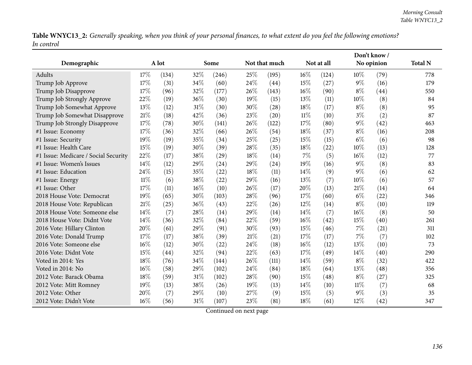Table WNYC13\_2: Generally speaking, when you think of your personal finances, to what extent do you feel the following emotions? *In control*

|                                      |        |       |        |       |      |               |        |            |       | Don't know/ |                |
|--------------------------------------|--------|-------|--------|-------|------|---------------|--------|------------|-------|-------------|----------------|
| Demographic                          |        | A lot |        | Some  |      | Not that much |        | Not at all |       | No opinion  | <b>Total N</b> |
| Adults                               | 17%    | (134) | 32%    | (246) | 25%  | (195)         | $16\%$ | (124)      | 10%   | (79)        | 778            |
| Trump Job Approve                    | 17%    | (31)  | 34%    | (60)  | 24%  | (44)          | 15%    | (27)       | $9\%$ | (16)        | 179            |
| Trump Job Disapprove                 | 17%    | (96)  | 32%    | (177) | 26%  | (143)         | 16%    | (90)       | $8\%$ | (44)        | 550            |
| Trump Job Strongly Approve           | 22%    | (19)  | 36%    | (30)  | 19%  | (15)          | 13%    | (11)       | 10%   | (8)         | 84             |
| Trump Job Somewhat Approve           | 13%    | (12)  | $31\%$ | (30)  | 30%  | (28)          | 18%    | (17)       | $8\%$ | (8)         | 95             |
| Trump Job Somewhat Disapprove        | 21%    | (18)  | 42%    | (36)  | 23%  | (20)          | $11\%$ | (10)       | $3\%$ | (2)         | 87             |
| Trump Job Strongly Disapprove        | 17%    | (78)  | 30%    | (141) | 26%  | (122)         | 17%    | (80)       | $9\%$ | (42)        | 463            |
| #1 Issue: Economy                    | 17%    | (36)  | 32%    | (66)  | 26%  | (54)          | 18%    | (37)       | $8\%$ | (16)        | 208            |
| #1 Issue: Security                   | 19%    | (19)  | 35%    | (34)  | 25%  | (25)          | 15%    | (15)       | $6\%$ | (6)         | 98             |
| #1 Issue: Health Care                | 15%    | (19)  | 30%    | (39)  | 28\% | (35)          | 18%    | (22)       | 10%   | (13)        | 128            |
| #1 Issue: Medicare / Social Security | 22%    | (17)  | 38%    | (29)  | 18%  | (14)          | 7%     | (5)        | 16%   | (12)        | 77             |
| #1 Issue: Women's Issues             | 14%    | (12)  | 29%    | (24)  | 29%  | (24)          | 19%    | (16)       | $9\%$ | (8)         | 83             |
| #1 Issue: Education                  | 24%    | (15)  | 35%    | (22)  | 18%  | (11)          | 14\%   | (9)        | $9\%$ | (6)         | 62             |
| #1 Issue: Energy                     | $11\%$ | (6)   | 38%    | (22)  | 29%  | (16)          | 13%    | (7)        | 10%   | (6)         | 57             |
| #1 Issue: Other                      | 17%    | (11)  | 16%    | (10)  | 26%  | (17)          | 20%    | (13)       | 21%   | (14)        | 64             |
| 2018 House Vote: Democrat            | 19%    | (65)  | 30%    | (103) | 28%  | (96)          | 17%    | (60)       | $6\%$ | (22)        | 346            |
| 2018 House Vote: Republican          | 21%    | (25)  | 36%    | (43)  | 22%  | (26)          | 12%    | (14)       | $8\%$ | (10)        | 119            |
| 2018 House Vote: Someone else        | 14%    | (7)   | 28\%   | (14)  | 29%  | (14)          | 14%    | (7)        | 16%   | (8)         | 50             |
| 2018 House Vote: Didnt Vote          | 14\%   | (36)  | 32%    | (84)  | 22%  | (59)          | 16%    | (42)       | 15%   | (40)        | 261            |
| 2016 Vote: Hillary Clinton           | 20%    | (61)  | 29%    | (91)  | 30%  | (93)          | 15%    | (46)       | 7%    | (21)        | 311            |
| 2016 Vote: Donald Trump              | 17%    | (17)  | 38%    | (39)  | 21\% | (21)          | 17%    | (17)       | 7%    | (7)         | 102            |
| 2016 Vote: Someone else              | 16%    | (12)  | 30%    | (22)  | 24\% | (18)          | $16\%$ | (12)       | 13%   | (10)        | 73             |
| 2016 Vote: Didnt Vote                | 15%    | (44)  | 32%    | (94)  | 22%  | (63)          | 17%    | (49)       | 14\%  | (40)        | 290            |
| Voted in 2014: Yes                   | 18%    | (76)  | 34%    | (144) | 26%  | (111)         | 14%    | (59)       | $8\%$ | (32)        | 422            |
| Voted in 2014: No                    | 16%    | (58)  | 29%    | (102) | 24%  | (84)          | 18%    | (64)       | 13%   | (48)        | 356            |
| 2012 Vote: Barack Obama              | 18%    | (59)  | 31%    | (102) | 28%  | (90)          | 15%    | (48)       | $8\%$ | (27)        | 325            |
| 2012 Vote: Mitt Romney               | 19%    | (13)  | 38%    | (26)  | 19%  | (13)          | 14%    | (10)       | 11%   | (7)         | 68             |
| 2012 Vote: Other                     | 20%    | (7)   | 29%    | (10)  | 27%  | (9)           | 15%    | (5)        | $9\%$ | (3)         | 35             |
| 2012 Vote: Didn't Vote               | 16%    | (56)  | 31%    | (107) | 23%  | (81)          | 18%    | (61)       | 12%   | (42)        | 347            |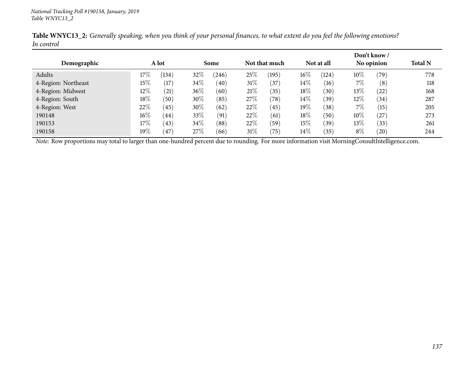|                     |         |       |        |       |      |               |        |            |       | Don't know / |                |
|---------------------|---------|-------|--------|-------|------|---------------|--------|------------|-------|--------------|----------------|
| Demographic         |         | A lot |        | Some  |      | Not that much |        | Not at all |       | No opinion   | <b>Total N</b> |
| Adults              | 17%     | (134) | 32%    | (246) | 25%  | (195)         | $16\%$ | (124)      | 10%   | (79)         | 778            |
| 4-Region: Northeast | 15%     | (17)  | $34\%$ | (40)  | 31%  | (37)          | $14\%$ | (16)       | 7%    | (8)          | 118            |
| 4-Region: Midwest   | $12\%$  | (21)  | $36\%$ | (60)  | 21%  | (35)          | $18\%$ | (30)       | 13\%  | $^{'}22)$    | 168            |
| 4-Region: South     | $18\%$  | (50)  | $30\%$ | (85)  | 27\% | (78)          | $14\%$ | (39)       | 12%   | (34)         | 287            |
| 4-Region: West      | 22\%    | (45)  | 30\%   | (62)  | 22%  | (45)          | $19\%$ | (38)       | 7%    | (15)         | 205            |
| 190148              | $16\%$  | (44)  | 33\%   | (91)  | 22%  | (61)          | 18%    | (50)       | 10\%  | 27)          | 273            |
| 190153              | $17\%$  | (43)  | $34\%$ | (88)  | 22%  | (59)          | $15\%$ | (39)       | 13\%  | (33)         | 261            |
| 190158              | 19 $\%$ | (47)  | 27%    | (66)  | 31%  | (75)          | $14\%$ | (35)       | $8\%$ | $^{'}20)$    | 244            |

Table WNYC13\_2: Generally speaking, when you think of your personal finances, to what extent do you feel the following emotions? *In control*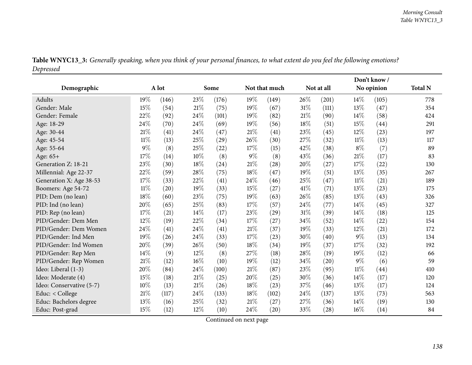|                          |        |       |        |       |       |               | Don't know / |            |        |            |                |
|--------------------------|--------|-------|--------|-------|-------|---------------|--------------|------------|--------|------------|----------------|
| Demographic              |        | A lot |        | Some  |       | Not that much |              | Not at all |        | No opinion | <b>Total N</b> |
| Adults                   | 19%    | (146) | 23%    | (176) | 19%   | (149)         | 26%          | (201)      | 14%    | (105)      | 778            |
| Gender: Male             | 15%    | (54)  | $21\%$ | (75)  | 19%   | (67)          | 31%          | (111)      | 13%    | (47)       | 354            |
| Gender: Female           | 22%    | (92)  | 24%    | (101) | 19%   | (82)          | 21%          | (90)       | 14%    | (58)       | 424            |
| Age: 18-29               | 24%    | (70)  | $24\%$ | (69)  | 19%   | (56)          | 18%          | (51)       | 15%    | (44)       | 291            |
| Age: 30-44               | 21%    | (41)  | 24%    | (47)  | 21\%  | (41)          | 23%          | (45)       | 12%    | (23)       | 197            |
| Age: 45-54               | $11\%$ | (13)  | 25%    | (29)  | 26%   | (30)          | 27%          | (32)       | $11\%$ | (13)       | 117            |
| Age: 55-64               | 9%     | (8)   | 25%    | (22)  | 17%   | (15)          | 42%          | (38)       | $8\%$  | (7)        | 89             |
| Age: 65+                 | 17%    | (14)  | 10%    | (8)   | $9\%$ | (8)           | 43%          | (36)       | 21%    | (17)       | 83             |
| Generation Z: 18-21      | 23%    | (30)  | $18\%$ | (24)  | 21%   | (28)          | 20%          | (27)       | 17%    | (22)       | 130            |
| Millennial: Age 22-37    | 22%    | (59)  | 28\%   | (75)  | 18%   | (47)          | 19%          | (51)       | 13%    | (35)       | 267            |
| Generation X: Age 38-53  | 17%    | (33)  | 22%    | (41)  | 24%   | (46)          | 25%          | (47)       | $11\%$ | (21)       | 189            |
| Boomers: Age 54-72       | $11\%$ | (20)  | 19%    | (33)  | 15%   | (27)          | 41\%         | (71)       | 13%    | (23)       | 175            |
| PID: Dem (no lean)       | 18%    | (60)  | 23%    | (75)  | 19%   | (63)          | 26%          | (85)       | 13%    | (43)       | 326            |
| PID: Ind (no lean)       | 20%    | (65)  | 25%    | (83)  | 17%   | (57)          | 24%          | (77)       | 14%    | (45)       | 327            |
| PID: Rep (no lean)       | 17%    | (21)  | 14%    | (17)  | 23%   | (29)          | 31%          | (39)       | 14%    | (18)       | 125            |
| PID/Gender: Dem Men      | 12%    | (19)  | 22%    | (34)  | 17%   | (27)          | 34%          | (52)       | 14%    | (22)       | 154            |
| PID/Gender: Dem Women    | 24%    | (41)  | 24%    | (41)  | 21%   | (37)          | 19%          | (33)       | 12%    | (21)       | 172            |
| PID/Gender: Ind Men      | 19%    | (26)  | 24%    | (33)  | 17%   | (23)          | 30%          | (40)       | $9\%$  | (13)       | 134            |
| PID/Gender: Ind Women    | 20%    | (39)  | 26%    | (50)  | 18%   | (34)          | 19%          | (37)       | 17%    | (32)       | 192            |
| PID/Gender: Rep Men      | 14%    | (9)   | 12%    | (8)   | 27%   | (18)          | 28%          | (19)       | 19%    | (12)       | 66             |
| PID/Gender: Rep Women    | 21%    | (12)  | 16%    | (10)  | 19%   | (12)          | 34%          | (20)       | $9\%$  | (6)        | 59             |
| Ideo: Liberal (1-3)      | 20%    | (84)  | 24%    | (100) | 21\%  | (87)          | 23%          | (95)       | $11\%$ | (44)       | 410            |
| Ideo: Moderate (4)       | 15%    | (18)  | $21\%$ | (25)  | 20%   | (25)          | 30%          | (36)       | 14%    | (17)       | 120            |
| Ideo: Conservative (5-7) | 10%    | (13)  | 21%    | (26)  | 18%   | (23)          | 37%          | (46)       | 13%    | (17)       | 124            |
| Educ: < College          | 21%    | (117) | 24%    | (133) | 18%   | (102)         | 24%          | (137)      | 13%    | (73)       | 563            |
| Educ: Bachelors degree   | 13%    | (16)  | 25%    | (32)  | 21\%  | (27)          | 27%          | (36)       | 14%    | (19)       | 130            |
| Educ: Post-grad          | 15%    | (12)  | 12%    | (10)  | 24%   | (20)          | 33%          | (28)       | 16%    | (14)       | 84             |

Table WNYC13\_3: Generally speaking, when you think of your personal finances, to what extent do you feel the following emotions? *Depressed*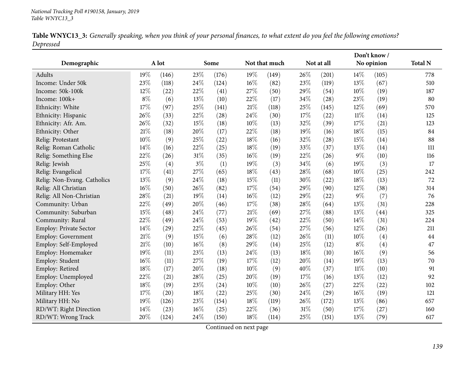|           | Table WNYC13_3: Generally speaking, when you think of your personal finances, to what extent do you feel the following emotions? |
|-----------|----------------------------------------------------------------------------------------------------------------------------------|
| Depressed |                                                                                                                                  |

|                             |       |       |        |       |        |               |        |            |        | Don't know / |                |
|-----------------------------|-------|-------|--------|-------|--------|---------------|--------|------------|--------|--------------|----------------|
| Demographic                 |       | A lot |        | Some  |        | Not that much |        | Not at all |        | No opinion   | <b>Total N</b> |
| Adults                      | 19%   | (146) | 23\%   | (176) | 19%    | (149)         | 26%    | (201)      | 14%    | (105)        | 778            |
| Income: Under 50k           | 23%   | (118) | 24\%   | (124) | 16%    | (82)          | 23%    | (119)      | 13%    | (67)         | 510            |
| Income: 50k-100k            | 12%   | (22)  | 22%    | (41)  | 27%    | (50)          | 29%    | (54)       | 10%    | (19)         | 187            |
| Income: 100k+               | $8\%$ | (6)   | 13%    | (10)  | 22%    | (17)          | 34%    | (28)       | 23%    | (19)         | 80             |
| Ethnicity: White            | 17%   | (97)  | 25%    | (141) | 21%    | (118)         | 25%    | (145)      | 12%    | (69)         | 570            |
| Ethnicity: Hispanic         | 26%   | (33)  | 22%    | (28)  | 24%    | (30)          | 17%    | (22)       | $11\%$ | (14)         | 125            |
| Ethnicity: Afr. Am.         | 26%   | (32)  | 15%    | (18)  | $10\%$ | (13)          | 32%    | (39)       | 17%    | (21)         | 123            |
| Ethnicity: Other            | 21%   | (18)  | 20%    | (17)  | 22%    | (18)          | 19%    | (16)       | 18%    | (15)         | 84             |
| Relig: Protestant           | 10%   | (9)   | 25%    | (22)  | 18%    | (16)          | 32%    | (28)       | 15%    | (14)         | 88             |
| Relig: Roman Catholic       | 14%   | (16)  | 22%    | (25)  | 18%    | (19)          | 33%    | (37)       | 13%    | (14)         | 111            |
| Relig: Something Else       | 22%   | (26)  | $31\%$ | (35)  | 16%    | (19)          | 22%    | (26)       | 9%     | (10)         | 116            |
| Relig: Jewish               | 25%   | (4)   | $3\%$  | (1)   | 19%    | (3)           | 34%    | (6)        | 19%    | (3)          | 17             |
| Relig: Evangelical          | 17%   | (41)  | 27%    | (65)  | 18%    | (43)          | 28\%   | (68)       | 10%    | (25)         | 242            |
| Relig: Non-Evang. Catholics | 13%   | (9)   | 24\%   | (18)  | 15%    | (11)          | 30%    | (22)       | 18%    | (13)         | 72             |
| Relig: All Christian        | 16%   | (50)  | 26\%   | (82)  | 17%    | (54)          | 29%    | (90)       | 12%    | (38)         | 314            |
| Relig: All Non-Christian    | 28%   | (21)  | 19%    | (14)  | 16%    | (12)          | 29%    | (22)       | 9%     | (7)          | 76             |
| Community: Urban            | 22%   | (49)  | 20%    | (46)  | 17%    | (38)          | 28\%   | (64)       | 13%    | (31)         | 228            |
| Community: Suburban         | 15%   | (48)  | 24\%   | (77)  | 21%    | (69)          | 27%    | (88)       | 13%    | (44)         | 325            |
| Community: Rural            | 22%   | (49)  | 24\%   | (53)  | 19%    | (42)          | 22%    | (50)       | 14%    | (31)         | 224            |
| Employ: Private Sector      | 14%   | (29)  | 22%    | (45)  | 26%    | (54)          | 27%    | (56)       | 12%    | (26)         | 211            |
| <b>Employ: Government</b>   | 21%   | (9)   | $15\%$ | (6)   | 28%    | (12)          | 26%    | (11)       | 10%    | (4)          | 44             |
| Employ: Self-Employed       | 21%   | (10)  | $16\%$ | (8)   | 29%    | (14)          | 25%    | (12)       | $8\%$  | (4)          | 47             |
| Employ: Homemaker           | 19%   | (11)  | 23\%   | (13)  | 24%    | (13)          | 18%    | (10)       | 16%    | (9)          | 56             |
| Employ: Student             | 16%   | (11)  | 27\%   | (19)  | 17%    | (12)          | 20%    | (14)       | 19%    | (13)         | 70             |
| Employ: Retired             | 18%   | (17)  | 20%    | (18)  | 10%    | (9)           | 40%    | (37)       | $11\%$ | (10)         | 91             |
| Employ: Unemployed          | 22%   | (21)  | 28%    | (25)  | 20%    | (19)          | 17%    | (16)       | 13%    | (12)         | 92             |
| Employ: Other               | 18%   | (19)  | 23\%   | (24)  | 10%    | (10)          | 26%    | (27)       | 22%    | (22)         | 102            |
| Military HH: Yes            | 17%   | (20)  | 18%    | (22)  | 25%    | (30)          | 24\%   | (29)       | 16%    | (19)         | 121            |
| Military HH: No             | 19%   | (126) | 23\%   | (154) | 18%    | (119)         | 26%    | (172)      | 13%    | (86)         | 657            |
| RD/WT: Right Direction      | 14%   | (23)  | 16%    | (25)  | 22%    | (36)          | $31\%$ | (50)       | 17%    | (27)         | 160            |
| RD/WT: Wrong Track          | 20%   | (124) | 24%    | (150) | 18%    | (114)         | 25%    | (151)      | 13%    | (79)         | 617            |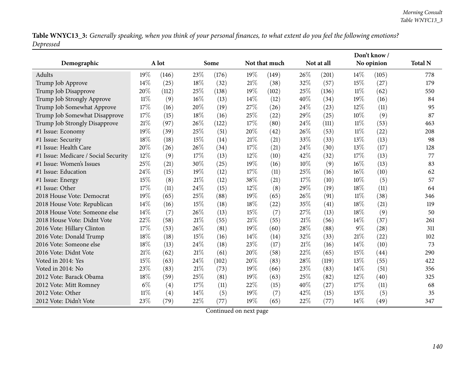Table WNYC13\_3: Generally speaking, when you think of your personal finances, to what extent do you feel the following emotions? *Depressed*

|                                      |        |       |      |       |        |               |      |            |        | Don't know / |                |
|--------------------------------------|--------|-------|------|-------|--------|---------------|------|------------|--------|--------------|----------------|
| Demographic                          |        | A lot |      | Some  |        | Not that much |      | Not at all |        | No opinion   | <b>Total N</b> |
| Adults                               | 19%    | (146) | 23%  | (176) | 19%    | (149)         | 26%  | (201)      | 14%    | (105)        | 778            |
| Trump Job Approve                    | 14%    | (25)  | 18%  | (32)  | $21\%$ | (38)          | 32%  | (57)       | 15%    | (27)         | 179            |
| Trump Job Disapprove                 | 20%    | (112) | 25%  | (138) | 19%    | (102)         | 25%  | (136)      | $11\%$ | (62)         | 550            |
| Trump Job Strongly Approve           | 11%    | (9)   | 16%  | (13)  | 14%    | (12)          | 40%  | (34)       | 19%    | (16)         | 84             |
| Trump Job Somewhat Approve           | 17%    | (16)  | 20%  | (19)  | 27%    | (26)          | 24\% | (23)       | 12%    | (11)         | 95             |
| Trump Job Somewhat Disapprove        | 17%    | (15)  | 18%  | (16)  | 25%    | (22)          | 29%  | (25)       | 10%    | (9)          | 87             |
| Trump Job Strongly Disapprove        | 21%    | (97)  | 26%  | (122) | 17%    | (80)          | 24%  | (111)      | $11\%$ | (53)         | 463            |
| #1 Issue: Economy                    | 19%    | (39)  | 25%  | (51)  | 20%    | (42)          | 26%  | (53)       | 11%    | (22)         | 208            |
| #1 Issue: Security                   | 18%    | (18)  | 15%  | (14)  | $21\%$ | (21)          | 33%  | (33)       | 13%    | (13)         | 98             |
| #1 Issue: Health Care                | 20%    | (26)  | 26%  | (34)  | 17%    | (21)          | 24\% | (30)       | 13%    | (17)         | 128            |
| #1 Issue: Medicare / Social Security | 12%    | (9)   | 17%  | (13)  | 12%    | (10)          | 42%  | (32)       | 17%    | (13)         | 77             |
| #1 Issue: Women's Issues             | 25%    | (21)  | 30%  | (25)  | 19%    | (16)          | 10%  | (9)        | 16%    | (13)         | 83             |
| #1 Issue: Education                  | 24%    | (15)  | 19%  | (12)  | 17%    | (11)          | 25%  | (16)       | 16%    | (10)         | 62             |
| #1 Issue: Energy                     | 15%    | (8)   | 21%  | (12)  | 38%    | (21)          | 17%  | (10)       | 10%    | (5)          | 57             |
| #1 Issue: Other                      | 17%    | (11)  | 24%  | (15)  | 12%    | (8)           | 29%  | (19)       | 18%    | (11)         | 64             |
| 2018 House Vote: Democrat            | 19%    | (65)  | 25%  | (88)  | 19%    | (65)          | 26%  | (91)       | $11\%$ | (38)         | 346            |
| 2018 House Vote: Republican          | 14%    | (16)  | 15%  | (18)  | 18%    | (22)          | 35%  | (41)       | 18%    | (21)         | 119            |
| 2018 House Vote: Someone else        | 14%    | (7)   | 26%  | (13)  | 15%    | (7)           | 27%  | (13)       | 18%    | (9)          | 50             |
| 2018 House Vote: Didnt Vote          | 22%    | (58)  | 21%  | (55)  | $21\%$ | (55)          | 21%  | (56)       | 14\%   | (37)         | 261            |
| 2016 Vote: Hillary Clinton           | 17%    | (53)  | 26%  | (81)  | 19%    | (60)          | 28%  | (88)       | $9\%$  | (28)         | 311            |
| 2016 Vote: Donald Trump              | 18%    | (18)  | 15%  | (16)  | 14%    | (14)          | 32%  | (33)       | 21%    | (22)         | 102            |
| 2016 Vote: Someone else              | 18%    | (13)  | 24%  | (18)  | 23%    | (17)          | 21%  | (16)       | 14%    | (10)         | 73             |
| 2016 Vote: Didnt Vote                | 21%    | (62)  | 21%  | (61)  | 20%    | (58)          | 22%  | (65)       | 15%    | (44)         | 290            |
| Voted in 2014: Yes                   | 15%    | (63)  | 24\% | (102) | 20%    | (83)          | 28%  | (119)      | 13%    | (55)         | 422            |
| Voted in 2014: No                    | 23%    | (83)  | 21%  | (73)  | 19%    | (66)          | 23%  | (83)       | 14%    | (51)         | 356            |
| 2012 Vote: Barack Obama              | 18%    | (59)  | 25%  | (81)  | 19%    | (63)          | 25%  | (82)       | 12%    | (40)         | 325            |
| 2012 Vote: Mitt Romney               | $6\%$  | (4)   | 17%  | (11)  | 22%    | (15)          | 40%  | (27)       | 17%    | (11)         | 68             |
| 2012 Vote: Other                     | $11\%$ | (4)   | 14%  | (5)   | 19%    | (7)           | 42%  | (15)       | 13%    | (5)          | 35             |
| 2012 Vote: Didn't Vote               | 23%    | (79)  | 22%  | (77)  | 19%    | (65)          | 22%  | (77)       | 14%    | (49)         | 347            |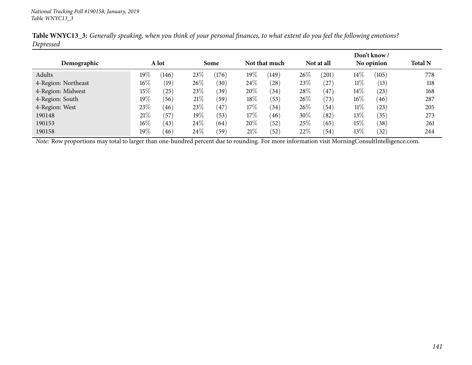|                     |        |       |        |       |        |               |      |            |        | Don't know / |                |
|---------------------|--------|-------|--------|-------|--------|---------------|------|------------|--------|--------------|----------------|
| Demographic         |        | A lot |        | Some  |        | Not that much |      | Not at all |        | No opinion   | <b>Total N</b> |
| Adults              | $19\%$ | (146) | 23\%   | (176) | $19\%$ | (149)         | 26\% | (201)      | $14\%$ | (105)        | 778            |
| 4-Region: Northeast | $16\%$ | (19)  | 26%    | (30)  | 24\%   | $^{'}28)$     | 23\% | (27)       | $11\%$ | (13)         | 118            |
| 4-Region: Midwest   | 15%    | (25)  | 23\%   | (39)  | 20%    | (34)          | 28\% | (47)       | $14\%$ | (23)         | 168            |
| 4-Region: South     | $19\%$ | (56)  | 21%    | (59)  | $18\%$ | (53)          | 26\% | (73)       | $16\%$ | (46)         | 287            |
| 4-Region: West      | 23\%   | (46)  | 23\%   | 47    | 17\%   | (34)          | 26\% | (54)       | $11\%$ | (23)         | 205            |
| 190148              | 21%    | (57   | $19\%$ | (53)  | $17\%$ | (46)          | 30%  | (82)       | 13%    | (35)         | 273            |
| 190153              | $16\%$ | (43)  | 24\%   | (64)  | 20%    | (52)          | 25%  | (65)       | 15%    | (38)         | 261            |
| 190158              | $19\%$ | (46)  | 24\%   | (59)  | 21\%   | (52)          | 22\% | (54)       | 13\%   | (32)         | 244            |

Table WNYC13\_3: Generally speaking, when you think of your personal finances, to what extent do you feel the following emotions? *Depressed*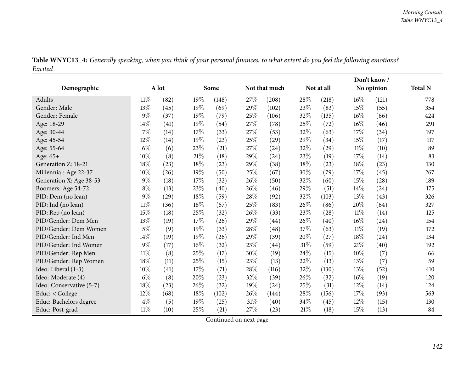| Table WNYC13_4: Generally speaking, when you think of your personal finances, to what extent do you feel the following emotions? |  |
|----------------------------------------------------------------------------------------------------------------------------------|--|
| Excited                                                                                                                          |  |

|                          |        |       |        |       |        |                    |        |            |        | Don't know/ |                |
|--------------------------|--------|-------|--------|-------|--------|--------------------|--------|------------|--------|-------------|----------------|
| Demographic              |        | A lot |        | Some  |        | Not that much      |        | Not at all |        | No opinion  | <b>Total N</b> |
| Adults                   | $11\%$ | (82)  | 19%    | (148) | 27%    | (208)              | 28%    | (218)      | 16%    | (121)       | 778            |
| Gender: Male             | 13%    | (45)  | 19%    | (69)  | 29%    | (102)              | 23%    | (83)       | 15%    | (55)        | 354            |
| Gender: Female           | $9\%$  | (37)  | 19%    | (79)  | 25%    | (106)              | 32%    | (135)      | $16\%$ | (66)        | 424            |
| Age: 18-29               | 14%    | (41)  | 19%    | (54)  | 27%    | (78)               | 25%    | (72)       | 16%    | (46)        | 291            |
| Age: 30-44               | 7%     | (14)  | 17%    | (33)  | 27%    | (53)               | 32%    | (63)       | 17%    | (34)        | 197            |
| Age: 45-54               | 12%    | (14)  | 19%    | (23)  | 25%    | (29)               | 29%    | (34)       | 15%    | (17)        | 117            |
| Age: 55-64               | $6\%$  | (6)   | 23\%   | (21)  | 27%    | (24)               | 32%    | (29)       | $11\%$ | (10)        | 89             |
| Age: 65+                 | $10\%$ | (8)   | $21\%$ | (18)  | 29%    | (24)               | 23\%   | (19)       | 17%    | (14)        | 83             |
| Generation Z: 18-21      | 18%    | (23)  | 18%    | (23)  | 29%    | (38)               | 18%    | (23)       | 18%    | (23)        | 130            |
| Millennial: Age 22-37    | 10%    | (26)  | 19%    | (50)  | 25%    | (67)               | 30%    | (79)       | 17%    | (45)        | 267            |
| Generation X: Age 38-53  | $9\%$  | (18)  | $17\%$ | (32)  | 26%    | (50)               | 32%    | (60)       | $15\%$ | (28)        | 189            |
| Boomers: Age 54-72       | $8\%$  | (13)  | 23%    | (40)  | 26%    | (46)               | 29%    | (51)       | $14\%$ | (24)        | 175            |
| PID: Dem (no lean)       | $9\%$  | (29)  | $18\%$ | (59)  | 28%    | (92)               | 32%    | (103)      | 13%    | (43)        | 326            |
| PID: Ind (no lean)       | $11\%$ | (36)  | 18%    | (57)  | 25%    | (83)               | 26%    | (86)       | 20%    | (64)        | 327            |
| PID: Rep (no lean)       | 15%    | (18)  | 25%    | (32)  | 26%    | (33)               | 23%    | (28)       | $11\%$ | (14)        | 125            |
| PID/Gender: Dem Men      | 13%    | (19)  | 17%    | (26)  | 29%    | $\left( 44\right)$ | 26%    | (40)       | 16%    | (24)        | 154            |
| PID/Gender: Dem Women    | $5\%$  | (9)   | 19%    | (33)  | 28%    | (48)               | 37%    | (63)       | $11\%$ | (19)        | 172            |
| PID/Gender: Ind Men      | $14\%$ | (19)  | 19%    | (26)  | 29%    | (39)               | 20%    | (27)       | 18%    | (24)        | 134            |
| PID/Gender: Ind Women    | 9%     | (17)  | $16\%$ | (32)  | 23%    | (44)               | $31\%$ | (59)       | $21\%$ | (40)        | 192            |
| PID/Gender: Rep Men      | $11\%$ | (8)   | 25%    | (17)  | 30%    | (19)               | 24\%   | (15)       | 10%    | (7)         | 66             |
| PID/Gender: Rep Women    | 18%    | (11)  | 25%    | (15)  | 23%    | (13)               | 22%    | (13)       | 13%    | (7)         | 59             |
| Ideo: Liberal (1-3)      | 10%    | (41)  | 17%    | (71)  | 28%    | (116)              | 32%    | (130)      | 13%    | (52)        | 410            |
| Ideo: Moderate (4)       | $6\%$  | (8)   | 20%    | (23)  | 32%    | (39)               | 26%    | (32)       | 16%    | (19)        | 120            |
| Ideo: Conservative (5-7) | 18%    | (23)  | 26%    | (32)  | 19%    | (24)               | 25%    | (31)       | 12%    | (14)        | 124            |
| Educ: < College          | 12%    | (68)  | 18%    | (102) | 26%    | (144)              | 28%    | (156)      | 17%    | (93)        | 563            |
| Educ: Bachelors degree   | $4\%$  | (5)   | 19%    | (25)  | $31\%$ | (40)               | 34\%   | (45)       | 12%    | (15)        | 130            |
| Educ: Post-grad          | 11%    | (10)  | 25%    | (21)  | 27%    | (23)               | 21%    | (18)       | 15%    | (13)        | 84             |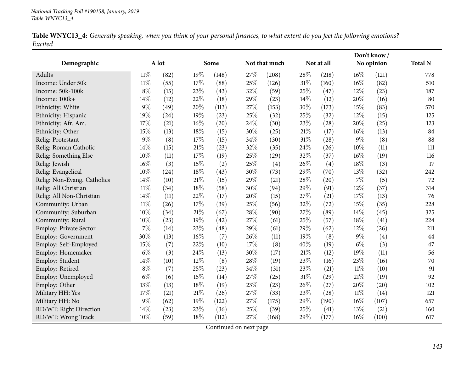| Table WNYC13_4: Generally speaking, when you think of your personal finances, to what extent do you feel the following emotions? |  |  |
|----------------------------------------------------------------------------------------------------------------------------------|--|--|
| Excited                                                                                                                          |  |  |

|                             |        |       |        |                    |     |               |        |            |        | Don't know / |                |
|-----------------------------|--------|-------|--------|--------------------|-----|---------------|--------|------------|--------|--------------|----------------|
| Demographic                 |        | A lot |        | Some               |     | Not that much |        | Not at all |        | No opinion   | <b>Total N</b> |
| Adults                      | $11\%$ | (82)  | 19%    | (148)              | 27% | (208)         | 28%    | (218)      | 16%    | (121)        | 778            |
| Income: Under 50k           | $11\%$ | (55)  | 17%    | (88)               | 25% | (126)         | 31%    | (160)      | 16%    | (82)         | 510            |
| Income: 50k-100k            | $8\%$  | (15)  | 23%    | (43)               | 32% | (59)          | 25%    | (47)       | 12%    | (23)         | 187            |
| Income: 100k+               | 14%    | (12)  | 22%    | (18)               | 29% | (23)          | 14\%   | (12)       | 20%    | (16)         | 80             |
| Ethnicity: White            | 9%     | (49)  | 20%    | (113)              | 27% | (153)         | 30%    | (173)      | 15%    | (83)         | 570            |
| Ethnicity: Hispanic         | 19%    | (24)  | $19\%$ | (23)               | 25% | (32)          | 25%    | (32)       | 12%    | (15)         | 125            |
| Ethnicity: Afr. Am.         | 17%    | (21)  | $16\%$ | (20)               | 24% | (30)          | 23%    | (28)       | 20%    | (25)         | 123            |
| Ethnicity: Other            | 15%    | (13)  | 18%    | (15)               | 30% | (25)          | $21\%$ | (17)       | 16%    | (13)         | 84             |
| Relig: Protestant           | 9%     | (8)   | $17\%$ | (15)               | 34% | (30)          | 31%    | (28)       | 9%     | (8)          | 88             |
| Relig: Roman Catholic       | 14%    | (15)  | $21\%$ | (23)               | 32% | (35)          | 24\%   | (26)       | 10%    | (11)         | 111            |
| Relig: Something Else       | 10%    | (11)  | $17\%$ | (19)               | 25% | (29)          | 32%    | (37)       | 16%    | (19)         | 116            |
| Relig: Jewish               | 16%    | (3)   | 15%    | (2)                | 25% | (4)           | 26%    | (4)        | 18%    | (3)          | 17             |
| Relig: Evangelical          | 10%    | (24)  | $18\%$ | (43)               | 30% | (73)          | 29%    | (70)       | 13%    | (32)         | 242            |
| Relig: Non-Evang. Catholics | 14%    | (10)  | $21\%$ | (15)               | 29% | (21)          | 28%    | (20)       | 7%     | (5)          | 72             |
| Relig: All Christian        | $11\%$ | (34)  | 18%    | (58)               | 30% | (94)          | 29%    | (91)       | 12%    | (37)         | 314            |
| Relig: All Non-Christian    | 14%    | (11)  | 22%    | (17)               | 20% | (15)          | 27%    | (21)       | 17%    | (13)         | 76             |
| Community: Urban            | $11\%$ | (26)  | 17%    | (39)               | 25% | (56)          | 32%    | (72)       | 15%    | (35)         | 228            |
| Community: Suburban         | 10%    | (34)  | $21\%$ | (67)               | 28% | (90)          | 27%    | (89)       | 14%    | (45)         | 325            |
| Community: Rural            | 10%    | (23)  | 19%    | $\left( 42\right)$ | 27% | (61)          | 25%    | (57)       | 18%    | (41)         | 224            |
| Employ: Private Sector      | 7%     | (14)  | 23%    | (48)               | 29% | (61)          | 29%    | (62)       | 12%    | (26)         | 211            |
| Employ: Government          | 30%    | (13)  | 16%    | (7)                | 26% | (11)          | 19%    | (8)        | $9\%$  | (4)          | 44             |
| Employ: Self-Employed       | 15%    | (7)   | 22%    | (10)               | 17% | (8)           | 40%    | (19)       | $6\%$  | (3)          | 47             |
| Employ: Homemaker           | $6\%$  | (3)   | 24\%   | (13)               | 30% | (17)          | $21\%$ | (12)       | 19%    | (11)         | 56             |
| Employ: Student             | 14%    | (10)  | $12\%$ | (8)                | 28% | (19)          | 23%    | (16)       | 23%    | (16)         | 70             |
| Employ: Retired             | $8\%$  | (7)   | 25%    | (23)               | 34% | (31)          | 23%    | (21)       | $11\%$ | (10)         | 91             |
| Employ: Unemployed          | $6\%$  | (6)   | $15\%$ | (14)               | 27% | (25)          | $31\%$ | (29)       | 21%    | (19)         | 92             |
| Employ: Other               | 13%    | (13)  | $18\%$ | (19)               | 23% | (23)          | 26%    | (27)       | 20%    | (20)         | 102            |
| Military HH: Yes            | 17%    | (21)  | $21\%$ | (26)               | 27% | (33)          | 23%    | (28)       | $11\%$ | (14)         | 121            |
| Military HH: No             | 9%     | (62)  | 19%    | (122)              | 27% | (175)         | 29%    | (190)      | 16%    | (107)        | 657            |
| RD/WT: Right Direction      | 14%    | (23)  | 23%    | (36)               | 25% | (39)          | 25%    | (41)       | 13%    | (21)         | 160            |
| RD/WT: Wrong Track          | 10%    | (59)  | 18%    | (112)              | 27% | (168)         | 29%    | (177)      | 16%    | (100)        | 617            |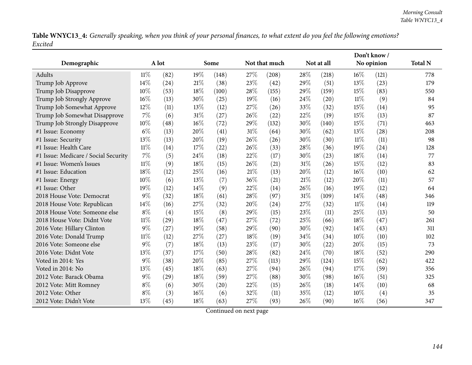Table WNYC13\_4: Generally speaking, when you think of your personal finances, to what extent do you feel the following emotions? *Excited*

|                                      |        |       |      |       |        |               |        |            |        | Don't know / |                |
|--------------------------------------|--------|-------|------|-------|--------|---------------|--------|------------|--------|--------------|----------------|
| Demographic                          |        | A lot |      | Some  |        | Not that much |        | Not at all |        | No opinion   | <b>Total N</b> |
| Adults                               | $11\%$ | (82)  | 19%  | (148) | 27%    | (208)         | 28%    | (218)      | 16%    | (121)        | 778            |
| Trump Job Approve                    | 14%    | (24)  | 21\% | (38)  | 23%    | (42)          | 29%    | (51)       | 13%    | (23)         | 179            |
| Trump Job Disapprove                 | 10%    | (53)  | 18%  | (100) | 28%    | (155)         | 29%    | (159)      | 15%    | (83)         | 550            |
| Trump Job Strongly Approve           | 16%    | (13)  | 30%  | (25)  | 19%    | (16)          | 24%    | (20)       | $11\%$ | (9)          | 84             |
| Trump Job Somewhat Approve           | 12%    | (11)  | 13%  | (12)  | 27%    | (26)          | 33%    | (32)       | 15%    | (14)         | 95             |
| Trump Job Somewhat Disapprove        | 7%     | (6)   | 31%  | (27)  | 26%    | (22)          | 22%    | (19)       | 15%    | (13)         | 87             |
| Trump Job Strongly Disapprove        | 10%    | (48)  | 16%  | (72)  | 29%    | (132)         | 30%    | (140)      | 15%    | (71)         | 463            |
| #1 Issue: Economy                    | $6\%$  | (13)  | 20%  | (41)  | 31%    | (64)          | 30%    | (62)       | 13%    | (28)         | 208            |
| #1 Issue: Security                   | 13%    | (13)  | 20%  | (19)  | 26%    | (26)          | 30%    | (30)       | $11\%$ | (11)         | 98             |
| #1 Issue: Health Care                | $11\%$ | (14)  | 17%  | (22)  | 26%    | (33)          | 28\%   | (36)       | 19%    | (24)         | 128            |
| #1 Issue: Medicare / Social Security | 7%     | (5)   | 24%  | (18)  | 22%    | (17)          | 30%    | (23)       | 18%    | (14)         | 77             |
| #1 Issue: Women's Issues             | $11\%$ | (9)   | 18%  | (15)  | 26%    | (21)          | 31%    | (26)       | 15%    | (12)         | 83             |
| #1 Issue: Education                  | 18%    | (12)  | 25%  | (16)  | $21\%$ | (13)          | 20%    | (12)       | 16%    | (10)         | 62             |
| #1 Issue: Energy                     | 10%    | (6)   | 13%  | (7)   | 36%    | (21)          | 21%    | (12)       | 20%    | (11)         | 57             |
| #1 Issue: Other                      | 19%    | (12)  | 14%  | (9)   | 22%    | (14)          | 26%    | (16)       | 19%    | (12)         | 64             |
| 2018 House Vote: Democrat            | $9\%$  | (32)  | 18%  | (61)  | 28%    | (97)          | $31\%$ | (109)      | 14%    | (48)         | 346            |
| 2018 House Vote: Republican          | 14%    | (16)  | 27%  | (32)  | 20%    | (24)          | 27%    | (32)       | $11\%$ | (14)         | 119            |
| 2018 House Vote: Someone else        | $8\%$  | (4)   | 15%  | (8)   | 29%    | (15)          | 23%    | (11)       | 25%    | (13)         | 50             |
| 2018 House Vote: Didnt Vote          | $11\%$ | (29)  | 18%  | (47)  | 27%    | (72)          | 25%    | (66)       | 18%    | (47)         | 261            |
| 2016 Vote: Hillary Clinton           | $9\%$  | (27)  | 19%  | (58)  | 29%    | (90)          | 30%    | (92)       | 14%    | (43)         | 311            |
| 2016 Vote: Donald Trump              | $11\%$ | (12)  | 27%  | (27)  | $18\%$ | (19)          | 34%    | (34)       | 10%    | (10)         | 102            |
| 2016 Vote: Someone else              | $9\%$  | (7)   | 18%  | (13)  | 23%    | (17)          | 30%    | (22)       | 20%    | (15)         | 73             |
| 2016 Vote: Didnt Vote                | 13%    | (37)  | 17%  | (50)  | 28%    | (82)          | 24%    | (70)       | 18%    | (52)         | 290            |
| Voted in 2014: Yes                   | $9\%$  | (38)  | 20%  | (85)  | 27%    | (113)         | 29%    | (124)      | 15%    | (62)         | 422            |
| Voted in 2014: No                    | 13%    | (45)  | 18%  | (63)  | 27%    | (94)          | 26%    | (94)       | 17%    | (59)         | 356            |
| 2012 Vote: Barack Obama              | $9\%$  | (29)  | 18%  | (59)  | 27%    | (88)          | 30%    | (98)       | 16%    | (51)         | 325            |
| 2012 Vote: Mitt Romney               | $8\%$  | (6)   | 30%  | (20)  | 22%    | (15)          | 26%    | (18)       | 14%    | (10)         | 68             |
| 2012 Vote: Other                     | $8\%$  | (3)   | 16%  | (6)   | 32%    | (11)          | 35%    | (12)       | 10%    | (4)          | 35             |
| 2012 Vote: Didn't Vote               | 13%    | (45)  | 18%  | (63)  | 27%    | (93)          | 26%    | (90)       | 16%    | (56)         | 347            |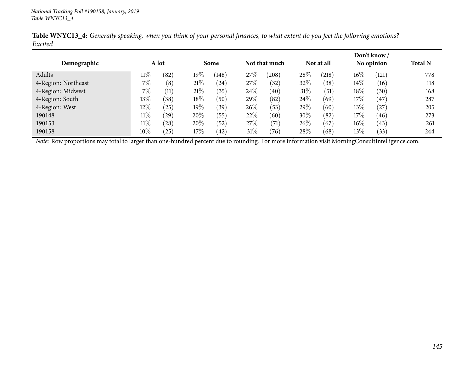| Demographic         | A lot  |           |        | <b>Some</b> |      | Not that much |        | Not at all |        | Don't know /<br>No opinion | <b>Total N</b> |
|---------------------|--------|-----------|--------|-------------|------|---------------|--------|------------|--------|----------------------------|----------------|
| Adults              | $11\%$ | (82)      | $19\%$ | (148)       | 27\% | (208)         | 28%    | (218)      | $16\%$ | (121)                      | 778            |
| 4-Region: Northeast | 7%     | (8)       | 21%    | (24)        | 27%  | (32)          | 32%    | (38)       | $14\%$ | (16)                       | 118            |
| 4-Region: Midwest   | $7\%$  | (11)      | 21%    | (35)        | 24%  | (40)          | $31\%$ | (51)       | 18%    | (30)                       | 168            |
| 4-Region: South     | $13\%$ | (38)      | 18\%   | (50)        | 29%  | (82)          | 24\%   | (69)       | 17\%   | (47)                       | 287            |
| 4-Region: West      | $12\%$ | (25)      | $19\%$ | (39)        | 26\% | (53)          | $29\%$ | (60)       | 13\%   | (27)                       | 205            |
| 190148              | $11\%$ | (29)      | 20%    | (55)        | 22%  | (60)          | 30%    | (82)       | 17\%   | (46)                       | 273            |
| 190153              | $11\%$ | (28)      | 20%    | (52)        | 27%  | (71)          | $26\%$ | (67)       | $16\%$ | (43)                       | 261            |
| 190158              | $10\%$ | $^{'}25)$ | 17\%   | (42)        | 31%  | (76)          | 28%    | (68)       | $13\%$ | (33)                       | 244            |

Table WNYC13\_4: Generally speaking, when you think of your personal finances, to what extent do you feel the following emotions? *Excited*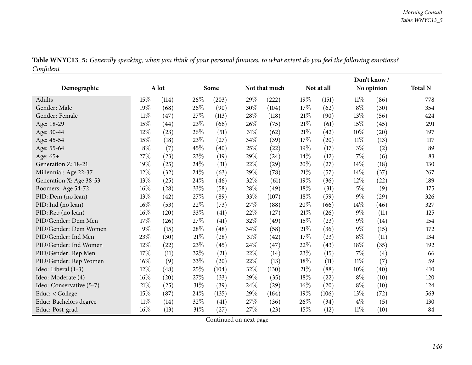|                          |        |                    |        |       |     |               |      |            | Don't know/ |            |                |
|--------------------------|--------|--------------------|--------|-------|-----|---------------|------|------------|-------------|------------|----------------|
| Demographic              |        | A lot              |        | Some  |     | Not that much |      | Not at all |             | No opinion | <b>Total N</b> |
| Adults                   | 15%    | (114)              | 26%    | (203) | 29% | (222)         | 19%  | (151)      | $11\%$      | (86)       | 778            |
| Gender: Male             | 19%    | (68)               | 26%    | (90)  | 30% | (104)         | 17%  | (62)       | $8\%$       | (30)       | 354            |
| Gender: Female           | $11\%$ | (47)               | 27%    | (113) | 28% | (118)         | 21%  | (90)       | 13%         | (56)       | 424            |
| Age: 18-29               | 15%    | $\left( 44\right)$ | 23\%   | (66)  | 26% | (75)          | 21%  | (61)       | 15%         | (45)       | 291            |
| Age: 30-44               | 12%    | (23)               | 26%    | (51)  | 31% | (62)          | 21%  | (42)       | 10%         | (20)       | 197            |
| Age: 45-54               | 15%    | (18)               | 23%    | (27)  | 34% | (39)          | 17%  | (20)       | $11\%$      | (13)       | 117            |
| Age: 55-64               | $8\%$  | (7)                | 45%    | (40)  | 25% | (22)          | 19%  | (17)       | $3\%$       | (2)        | 89             |
| Age: 65+                 | 27%    | (23)               | 23%    | (19)  | 29% | (24)          | 14\% | (12)       | 7%          | (6)        | 83             |
| Generation Z: 18-21      | 19%    | (25)               | $24\%$ | (31)  | 22% | (29)          | 20%  | (27)       | 14%         | (18)       | 130            |
| Millennial: Age 22-37    | 12%    | (32)               | 24\%   | (63)  | 29% | (78)          | 21%  | (57)       | 14%         | (37)       | 267            |
| Generation X: Age 38-53  | 13%    | (25)               | $24\%$ | (46)  | 32% | (61)          | 19%  | (36)       | 12%         | (22)       | 189            |
| Boomers: Age 54-72       | 16%    | (28)               | 33%    | (58)  | 28% | (49)          | 18%  | (31)       | $5\%$       | (9)        | 175            |
| PID: Dem (no lean)       | 13%    | (42)               | 27%    | (89)  | 33% | (107)         | 18%  | (59)       | $9\%$       | (29)       | 326            |
| PID: Ind (no lean)       | 16%    | (53)               | 22%    | (73)  | 27% | (88)          | 20%  | (66)       | 14%         | (46)       | 327            |
| PID: Rep (no lean)       | 16%    | (20)               | 33%    | (41)  | 22% | (27)          | 21%  | (26)       | $9\%$       | (11)       | 125            |
| PID/Gender: Dem Men      | 17%    | (26)               | 27%    | (41)  | 32% | (49)          | 15%  | (23)       | $9\%$       | (14)       | 154            |
| PID/Gender: Dem Women    | 9%     | (15)               | 28%    | (48)  | 34% | (58)          | 21%  | (36)       | 9%          | (15)       | 172            |
| PID/Gender: Ind Men      | 23%    | (30)               | $21\%$ | (28)  | 31% | (42)          | 17%  | (23)       | $8\%$       | (11)       | 134            |
| PID/Gender: Ind Women    | 12%    | (22)               | 23%    | (45)  | 24% | (47)          | 22%  | (43)       | 18%         | (35)       | 192            |
| PID/Gender: Rep Men      | 17%    | (11)               | 32%    | (21)  | 22% | (14)          | 23%  | (15)       | 7%          | (4)        | 66             |
| PID/Gender: Rep Women    | 16%    | (9)                | 33%    | (20)  | 22% | (13)          | 18%  | (11)       | $11\%$      | (7)        | 59             |
| Ideo: Liberal (1-3)      | 12%    | (48)               | 25%    | (104) | 32% | (130)         | 21%  | (88)       | 10%         | (40)       | 410            |
| Ideo: Moderate (4)       | 16%    | (20)               | 27%    | (33)  | 29% | (35)          | 18%  | (22)       | $8\%$       | (10)       | 120            |
| Ideo: Conservative (5-7) | 21%    | (25)               | 31%    | (39)  | 24% | (29)          | 16%  | (20)       | $8\%$       | (10)       | 124            |
| Educ: < College          | 15%    | (87)               | 24%    | (135) | 29% | (164)         | 19%  | (106)      | 13%         | (72)       | 563            |
| Educ: Bachelors degree   | $11\%$ | (14)               | 32%    | (41)  | 27% | (36)          | 26%  | (34)       | $4\%$       | (5)        | 130            |
| Educ: Post-grad          | 16%    | (13)               | 31%    | (27)  | 27% | (23)          | 15%  | (12)       | 11%         | (10)       | 84             |

Table WNYC13\_5: Generally speaking, when you think of your personal finances, to what extent do you feel the following emotions? *Confident*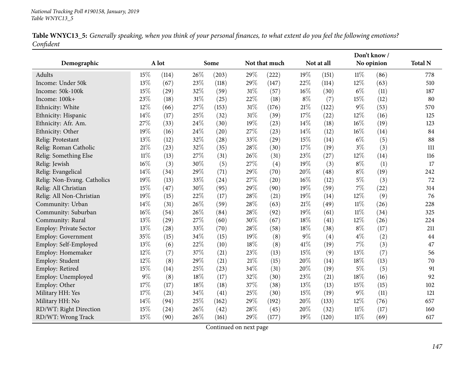|           |  |  | Table WNYC13_5: Generally speaking, when you think of your personal finances, to what extent do you feel the following emotions? |  |
|-----------|--|--|----------------------------------------------------------------------------------------------------------------------------------|--|
| Confident |  |  |                                                                                                                                  |  |

|                             |        |       |        |       |        |               |        |            |            | Don't know / |                |
|-----------------------------|--------|-------|--------|-------|--------|---------------|--------|------------|------------|--------------|----------------|
| Demographic                 |        | A lot |        | Some  |        | Not that much |        | Not at all | No opinion |              | <b>Total N</b> |
| Adults                      | 15%    | (114) | 26%    | (203) | 29%    | (222)         | 19%    | (151)      | 11%        | (86)         | 778            |
| Income: Under 50k           | 13%    | (67)  | 23%    | (118) | 29%    | (147)         | 22%    | (114)      | 12%        | (63)         | 510            |
| Income: 50k-100k            | 15%    | (29)  | 32%    | (59)  | 31%    | (57)          | $16\%$ | (30)       | $6\%$      | (11)         | 187            |
| Income: 100k+               | 23%    | (18)  | $31\%$ | (25)  | 22%    | (18)          | $8\%$  | (7)        | 15%        | (12)         | 80             |
| Ethnicity: White            | 12%    | (66)  | 27\%   | (153) | $31\%$ | (176)         | 21%    | (122)      | 9%         | (53)         | 570            |
| Ethnicity: Hispanic         | 14\%   | (17)  | 25%    | (32)  | $31\%$ | (39)          | 17%    | (22)       | 12%        | (16)         | 125            |
| Ethnicity: Afr. Am.         | 27%    | (33)  | 24\%   | (30)  | 19%    | (23)          | 14%    | (18)       | 16%        | (19)         | 123            |
| Ethnicity: Other            | 19%    | (16)  | 24%    | (20)  | 27%    | (23)          | 14%    | (12)       | 16%        | (14)         | 84             |
| Relig: Protestant           | 13%    | (12)  | 32%    | (28)  | 33%    | (29)          | 15%    | (14)       | $6\%$      | (5)          | 88             |
| Relig: Roman Catholic       | 21%    | (23)  | 32%    | (35)  | 28%    | (30)          | 17%    | (19)       | $3\%$      | (3)          | 111            |
| Relig: Something Else       | $11\%$ | (13)  | 27%    | (31)  | 26%    | (31)          | 23%    | (27)       | 12%        | (14)         | 116            |
| Relig: Jewish               | 16%    | (3)   | 30%    | (5)   | 27%    | (4)           | 19%    | (3)        | $8\%$      | (1)          | 17             |
| Relig: Evangelical          | 14%    | (34)  | 29%    | (71)  | 29%    | (70)          | 20%    | (48)       | $8\%$      | (19)         | 242            |
| Relig: Non-Evang. Catholics | 19%    | (13)  | 33%    | (24)  | 27%    | (20)          | 16%    | (12)       | $5\%$      | (3)          | 72             |
| Relig: All Christian        | 15%    | (47)  | 30%    | (95)  | 29%    | (90)          | 19%    | (59)       | 7%         | (22)         | 314            |
| Relig: All Non-Christian    | 19%    | (15)  | 22%    | (17)  | 28%    | (21)          | 19%    | (14)       | 12%        | (9)          | 76             |
| Community: Urban            | 14%    | (31)  | 26%    | (59)  | 28%    | (63)          | $21\%$ | (49)       | $11\%$     | (26)         | 228            |
| Community: Suburban         | 16%    | (54)  | 26\%   | (84)  | 28%    | (92)          | 19%    | (61)       | $11\%$     | (34)         | 325            |
| Community: Rural            | 13%    | (29)  | 27\%   | (60)  | 30%    | (67)          | $18\%$ | (41)       | 12%        | (26)         | 224            |
| Employ: Private Sector      | 13%    | (28)  | 33%    | (70)  | 28%    | (58)          | 18%    | (38)       | $8\%$      | (17)         | 211            |
| Employ: Government          | 35%    | (15)  | 34%    | (15)  | 19%    | (8)           | $9\%$  | (4)        | $4\%$      | (2)          | 44             |
| Employ: Self-Employed       | 13%    | (6)   | 22%    | (10)  | 18%    | (8)           | 41\%   | (19)       | 7%         | (3)          | 47             |
| Employ: Homemaker           | 12%    | (7)   | 37%    | (21)  | 23%    | (13)          | 15%    | (9)        | 13%        | (7)          | 56             |
| Employ: Student             | 12%    | (8)   | 29%    | (21)  | 21%    | (15)          | 20%    | (14)       | 18%        | (13)         | 70             |
| Employ: Retired             | 15%    | (14)  | 25%    | (23)  | 34%    | (31)          | 20%    | (19)       | $5\%$      | (5)          | 91             |
| Employ: Unemployed          | $9\%$  | (8)   | $18\%$ | (17)  | 32%    | (30)          | 23%    | (21)       | 18%        | (16)         | 92             |
| Employ: Other               | 17%    | (17)  | $18\%$ | (18)  | 37%    | (38)          | 13%    | (13)       | 15%        | (15)         | 102            |
| Military HH: Yes            | 17%    | (21)  | $34\%$ | (41)  | 25%    | (30)          | 15%    | (19)       | $9\%$      | (11)         | 121            |
| Military HH: No             | 14%    | (94)  | 25%    | (162) | 29%    | (192)         | 20%    | (133)      | 12%        | (76)         | 657            |
| RD/WT: Right Direction      | 15%    | (24)  | 26%    | (42)  | 28%    | (45)          | 20%    | (32)       | $11\%$     | (17)         | 160            |
| RD/WT: Wrong Track          | 15%    | (90)  | 26%    | (161) | 29%    | (177)         | 19%    | (120)      | $11\%$     | (69)         | 617            |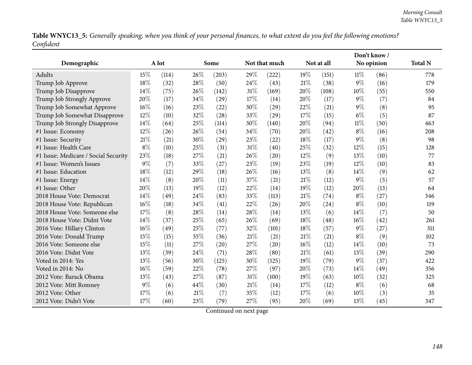Table WNYC13\_5: Generally speaking, when you think of your personal finances, to what extent do you feel the following emotions? *Confident*

|                                      |        |       |      |       |        |               |     |            |            | Don't know/ |                |
|--------------------------------------|--------|-------|------|-------|--------|---------------|-----|------------|------------|-------------|----------------|
| Demographic                          |        | A lot |      | Some  |        | Not that much |     | Not at all | No opinion |             | <b>Total N</b> |
| Adults                               | 15%    | (114) | 26%  | (203) | 29%    | (222)         | 19% | (151)      | $11\%$     | (86)        | 778            |
| Trump Job Approve                    | 18%    | (32)  | 28%  | (50)  | 24%    | (43)          | 21% | (38)       | $9\%$      | (16)        | 179            |
| Trump Job Disapprove                 | 14%    | (75)  | 26%  | (142) | 31%    | (169)         | 20% | (108)      | 10%        | (55)        | 550            |
| Trump Job Strongly Approve           | 20%    | (17)  | 34%  | (29)  | 17%    | (14)          | 20% | (17)       | $9\%$      | (7)         | 84             |
| Trump Job Somewhat Approve           | 16%    | (16)  | 23%  | (22)  | 30%    | (29)          | 22% | (21)       | $9\%$      | (8)         | 95             |
| Trump Job Somewhat Disapprove        | 12%    | (10)  | 32%  | (28)  | 33%    | (29)          | 17% | (15)       | $6\%$      | (5)         | 87             |
| Trump Job Strongly Disapprove        | 14%    | (64)  | 25%  | (114) | 30%    | (140)         | 20% | (94)       | $11\%$     | (50)        | 463            |
| #1 Issue: Economy                    | 12%    | (26)  | 26%  | (54)  | 34%    | (70)          | 20% | (42)       | $8\%$      | (16)        | 208            |
| #1 Issue: Security                   | 21%    | (21)  | 30%  | (29)  | 23%    | (22)          | 18% | (17)       | $9\%$      | (8)         | 98             |
| #1 Issue: Health Care                | $8\%$  | (10)  | 25%  | (31)  | $31\%$ | (40)          | 25% | (32)       | 12%        | (15)        | 128            |
| #1 Issue: Medicare / Social Security | 23%    | (18)  | 27%  | (21)  | 26%    | (20)          | 12% | (9)        | 13%        | (10)        | 77             |
| #1 Issue: Women's Issues             | 9%     | (7)   | 33%  | (27)  | 23%    | (19)          | 23% | (19)       | 12%        | (10)        | 83             |
| #1 Issue: Education                  | 18%    | (12)  | 29%  | (18)  | 26%    | (16)          | 13% | (8)        | 14\%       | (9)         | 62             |
| #1 Issue: Energy                     | 14\%   | (8)   | 20%  | (11)  | 37%    | (21)          | 21% | (12)       | $9\%$      | (5)         | 57             |
| #1 Issue: Other                      | 20%    | (13)  | 19%  | (12)  | 22%    | (14)          | 19% | (12)       | 20%        | (13)        | 64             |
| 2018 House Vote: Democrat            | 14%    | (49)  | 24%  | (83)  | 33%    | (113)         | 21% | (74)       | $8\%$      | (27)        | 346            |
| 2018 House Vote: Republican          | $16\%$ | (18)  | 34%  | (41)  | 22%    | (26)          | 20% | (24)       | $8\%$      | (10)        | 119            |
| 2018 House Vote: Someone else        | 17%    | (8)   | 28\% | (14)  | 28\%   | (14)          | 13% | (6)        | 14\%       | (7)         | 50             |
| 2018 House Vote: Didnt Vote          | 14\%   | (37)  | 25%  | (65)  | 26%    | (69)          | 18% | (48)       | 16%        | (42)        | 261            |
| 2016 Vote: Hillary Clinton           | 16%    | (49)  | 25%  | (77)  | 32%    | (101)         | 18% | (57)       | $9\%$      | (27)        | 311            |
| 2016 Vote: Donald Trump              | 15%    | (15)  | 35%  | (36)  | 21\%   | (21)          | 21% | (21)       | $8\%$      | (9)         | 102            |
| 2016 Vote: Someone else              | 15%    | (11)  | 27%  | (20)  | 27%    | (20)          | 16% | (12)       | 14%        | (10)        | 73             |
| 2016 Vote: Didnt Vote                | 13%    | (39)  | 24%  | (71)  | 28%    | (80)          | 21% | (61)       | 13%        | (39)        | 290            |
| Voted in 2014: Yes                   | 13%    | (56)  | 30%  | (125) | 30%    | (125)         | 19% | (79)       | $9\%$      | (37)        | 422            |
| Voted in 2014: No                    | 16%    | (59)  | 22%  | (78)  | 27%    | (97)          | 20% | (73)       | 14%        | (49)        | 356            |
| 2012 Vote: Barack Obama              | 13%    | (43)  | 27%  | (87)  | 31%    | (100)         | 19% | (63)       | 10%        | (32)        | 325            |
| 2012 Vote: Mitt Romney               | $9\%$  | (6)   | 44%  | (30)  | $21\%$ | (14)          | 17% | (12)       | $8\%$      | (6)         | 68             |
| 2012 Vote: Other                     | 17%    | (6)   | 21%  | (7)   | 35%    | (12)          | 17% | (6)        | 10%        | (3)         | 35             |
| 2012 Vote: Didn't Vote               | 17%    | (60)  | 23%  | (79)  | 27%    | (95)          | 20% | (69)       | 13%        | (45)        | 347            |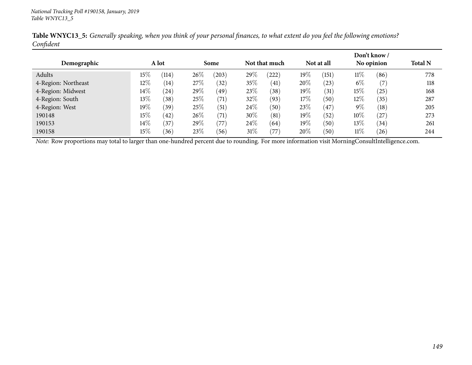|                     |        |       |        |       |        |                |     |            |        | Don't know /      |                |  |
|---------------------|--------|-------|--------|-------|--------|----------------|-----|------------|--------|-------------------|----------------|--|
| Demographic         |        | A lot |        | Some  |        | Not that much  |     | Not at all |        | No opinion        | <b>Total N</b> |  |
| Adults              | $15\%$ | (114) | $26\%$ | (203) | 29\%   | (222)          | 19% | (151)      | $11\%$ | (86)              | 778            |  |
| 4-Region: Northeast | $12\%$ | (14)  | 27\%   | (32)  | 35%    | (41)           | 20% | $^{'}23)$  | $6\%$  | (7)               | 118            |  |
| 4-Region: Midwest   | $14\%$ | (24)  | 29\%   | (49)  | 23%    | $^{\prime}38)$ | 19% | (31)       | 15%    | (25)              | 168            |  |
| 4-Region: South     | $13\%$ | (38)  | 25%    | (71)  | 32%    | (93)           | 17% | (50)       | 12\%   | (35)              | 287            |  |
| 4-Region: West      | $19\%$ | (39)  | 25%    | (51)  | 24%    | (50)           | 23% | (47)       | $9\%$  | $\left(18\right)$ | 205            |  |
| 190148              | 15%    | (42)  | 26\%   | (71)  | 30\%   | (81)           | 19% | (52)       | 10\%   | $^{\prime}27)$    | 273            |  |
| 190153              | $14\%$ | (37)  | 29\%   | (77)  | 24\%   | (64)           | 19% | (50)       | $13\%$ | (34)              | 261            |  |
| 190158              | $15\%$ | (36)  | 23%    | (56)  | $31\%$ | 77             | 20% | (50)       | $11\%$ | (26)              | 244            |  |

Table WNYC13\_5: Generally speaking, when you think of your personal finances, to what extent do you feel the following emotions? *Confident*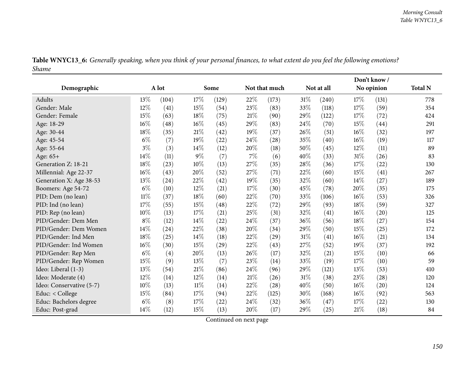|       | Table WNYC13_6: Generally speaking, when you think of your personal finances, to what extent do you feel the following emotions? |
|-------|----------------------------------------------------------------------------------------------------------------------------------|
| Shame |                                                                                                                                  |

|                          |        |       |        |       |        |               |     |            |            | Don't know/ |                |
|--------------------------|--------|-------|--------|-------|--------|---------------|-----|------------|------------|-------------|----------------|
| Demographic              |        | A lot |        | Some  |        | Not that much |     | Not at all | No opinion |             | <b>Total N</b> |
| <b>Adults</b>            | 13%    | (104) | 17%    | (129) | 22%    | (173)         | 31% | (240)      | 17%        | (131)       | 778            |
| Gender: Male             | 12%    | (41)  | $15\%$ | (54)  | 23%    | (83)          | 33% | (118)      | 17\%       | (59)        | 354            |
| Gender: Female           | 15%    | (63)  | 18%    | (75)  | 21%    | (90)          | 29% | (122)      | 17\%       | (72)        | 424            |
| Age: 18-29               | 16%    | (48)  | $16\%$ | (45)  | 29%    | (83)          | 24% | (70)       | 15%        | (44)        | 291            |
| Age: 30-44               | 18%    | (35)  | 21\%   | (42)  | 19%    | (37)          | 26% | (51)       | 16%        | (32)        | 197            |
| Age: 45-54               | $6\%$  | (7)   | 19%    | (22)  | 24%    | (28)          | 35% | (40)       | 16%        | (19)        | 117            |
| Age: 55-64               | $3\%$  | (3)   | 14%    | (12)  | 20%    | (18)          | 50% | (45)       | 12%        | (11)        | 89             |
| Age: 65+                 | 14%    | (11)  | $9\%$  | (7)   | $7\%$  | (6)           | 40% | (33)       | $31\%$     | (26)        | 83             |
| Generation Z: 18-21      | 18%    | (23)  | $10\%$ | (13)  | 27\%   | (35)          | 28% | (36)       | 17%        | (22)        | 130            |
| Millennial: Age 22-37    | 16%    | (43)  | 20%    | (52)  | 27\%   | (71)          | 22% | (60)       | 15%        | (41)        | 267            |
| Generation X: Age 38-53  | 13%    | (24)  | $22\%$ | (42)  | 19%    | (35)          | 32% | (60)       | 14%        | (27)        | 189            |
| Boomers: Age 54-72       | $6\%$  | (10)  | 12%    | (21)  | 17%    | (30)          | 45% | (78)       | 20%        | (35)        | 175            |
| PID: Dem (no lean)       | $11\%$ | (37)  | $18\%$ | (60)  | 22%    | (70)          | 33% | (106)      | 16%        | (53)        | 326            |
| PID: Ind (no lean)       | 17%    | (55)  | $15\%$ | (48)  | 22\%   | (72)          | 29% | (93)       | 18%        | (59)        | 327            |
| PID: Rep (no lean)       | 10%    | (13)  | $17\%$ | (21)  | 25%    | (31)          | 32% | (41)       | 16%        | (20)        | 125            |
| PID/Gender: Dem Men      | $8\%$  | (12)  | $14\%$ | (22)  | 24%    | (37)          | 36% | (56)       | 18%        | (27)        | 154            |
| PID/Gender: Dem Women    | 14%    | (24)  | 22%    | (38)  | 20%    | (34)          | 29% | (50)       | 15%        | (25)        | 172            |
| PID/Gender: Ind Men      | $18\%$ | (25)  | 14%    | (18)  | 22%    | (29)          | 31% | (41)       | 16%        | (21)        | 134            |
| PID/Gender: Ind Women    | 16%    | (30)  | 15%    | (29)  | 22%    | (43)          | 27% | (52)       | 19%        | (37)        | 192            |
| PID/Gender: Rep Men      | $6\%$  | (4)   | 20%    | (13)  | 26%    | (17)          | 32% | (21)       | 15%        | (10)        | 66             |
| PID/Gender: Rep Women    | 15%    | (9)   | 13%    | (7)   | 23%    | (14)          | 33% | (19)       | 17\%       | (10)        | 59             |
| Ideo: Liberal (1-3)      | 13%    | (54)  | $21\%$ | (86)  | 24%    | (96)          | 29% | (121)      | 13%        | (53)        | 410            |
| Ideo: Moderate (4)       | $12\%$ | (14)  | $12\%$ | (14)  | $21\%$ | (26)          | 31% | (38)       | 23%        | (28)        | 120            |
| Ideo: Conservative (5-7) | 10%    | (13)  | $11\%$ | (14)  | 22%    | (28)          | 40% | (50)       | 16%        | (20)        | 124            |
| Educ: < College          | 15%    | (84)  | 17%    | (94)  | 22%    | (125)         | 30% | (168)      | $16\%$     | (92)        | 563            |
| Educ: Bachelors degree   | $6\%$  | (8)   | 17%    | (22)  | 24\%   | (32)          | 36% | (47)       | 17\%       | (22)        | 130            |
| Educ: Post-grad          | 14\%   | (12)  | 15%    | (13)  | 20%    | (17)          | 29% | (25)       | 21%        | (18)        | 84             |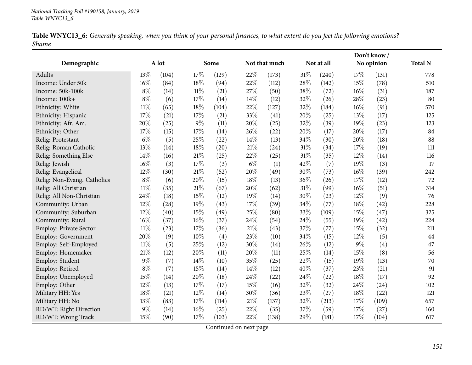| Table WNYC13_6: Generally speaking, when you think of your personal finances, to what extent do you feel the following emotions? |  |  |
|----------------------------------------------------------------------------------------------------------------------------------|--|--|
| Shame                                                                                                                            |  |  |

|                             |        |       |        |       |       |               |        |            |       | Don't know / |                |
|-----------------------------|--------|-------|--------|-------|-------|---------------|--------|------------|-------|--------------|----------------|
| Demographic                 |        | A lot |        | Some  |       | Not that much |        | Not at all |       | No opinion   | <b>Total N</b> |
| Adults                      | 13\%   | (104) | 17%    | (129) | 22%   | (173)         | $31\%$ | (240)      | 17%   | (131)        | 778            |
| Income: Under 50k           | 16%    | (84)  | 18%    | (94)  | 22%   | (112)         | 28%    | (142)      | 15%   | (78)         | 510            |
| Income: 50k-100k            | $8\%$  | (14)  | $11\%$ | (21)  | 27%   | (50)          | 38%    | (72)       | 16%   | (31)         | 187            |
| Income: 100k+               | $8\%$  | (6)   | 17%    | (14)  | 14\%  | (12)          | 32%    | (26)       | 28%   | (23)         | 80             |
| Ethnicity: White            | $11\%$ | (65)  | 18%    | (104) | 22%   | (127)         | 32%    | (184)      | 16%   | (91)         | 570            |
| Ethnicity: Hispanic         | 17%    | (21)  | 17%    | (21)  | 33%   | (41)          | 20%    | (25)       | 13%   | (17)         | 125            |
| Ethnicity: Afr. Am.         | 20%    | (25)  | $9\%$  | (11)  | 20%   | (25)          | 32%    | (39)       | 19%   | (23)         | 123            |
| Ethnicity: Other            | 17\%   | (15)  | 17%    | (14)  | 26%   | (22)          | 20%    | (17)       | 20%   | (17)         | 84             |
| Relig: Protestant           | $6\%$  | (5)   | $25\%$ | (22)  | 14%   | (13)          | 34%    | (30)       | 20%   | (18)         | 88             |
| Relig: Roman Catholic       | 13%    | (14)  | $18\%$ | (20)  | 21%   | (24)          | $31\%$ | (34)       | 17%   | (19)         | 111            |
| Relig: Something Else       | 14%    | (16)  | $21\%$ | (25)  | 22%   | (25)          | $31\%$ | (35)       | 12%   | (14)         | 116            |
| Relig: Jewish               | 16%    | (3)   | 17%    | (3)   | $6\%$ | (1)           | 42%    | (7)        | 19%   | (3)          | 17             |
| Relig: Evangelical          | 12%    | (30)  | $21\%$ | (52)  | 20%   | (49)          | 30%    | (73)       | 16%   | (39)         | 242            |
| Relig: Non-Evang. Catholics | $8\%$  | (6)   | 20%    | (15)  | 18%   | (13)          | 36%    | (26)       | 17%   | (12)         | 72             |
| Relig: All Christian        | $11\%$ | (35)  | $21\%$ | (67)  | 20%   | (62)          | $31\%$ | (99)       | 16%   | (51)         | 314            |
| Relig: All Non-Christian    | 24%    | (18)  | $15\%$ | (12)  | 19%   | (14)          | 30%    | (23)       | 12%   | (9)          | 76             |
| Community: Urban            | 12%    | (28)  | 19%    | (43)  | 17%   | (39)          | 34%    | (77)       | 18%   | (42)         | 228            |
| Community: Suburban         | 12%    | (40)  | $15\%$ | (49)  | 25%   | (80)          | 33%    | (109)      | 15%   | (47)         | 325            |
| Community: Rural            | 16%    | (37)  | $16\%$ | (37)  | 24%   | (54)          | 24%    | (55)       | 19%   | (42)         | 224            |
| Employ: Private Sector      | $11\%$ | (23)  | 17%    | (36)  | 21%   | (43)          | 37%    | (77)       | 15%   | (32)         | 211            |
| Employ: Government          | 20%    | (9)   | 10%    | (4)   | 23%   | (10)          | 34%    | (15)       | 12%   | (5)          | 44             |
| Employ: Self-Employed       | $11\%$ | (5)   | 25%    | (12)  | 30%   | (14)          | 26%    | (12)       | $9\%$ | (4)          | 47             |
| Employ: Homemaker           | 21%    | (12)  | 20%    | (11)  | 20%   | (11)          | 25%    | (14)       | 15%   | (8)          | 56             |
| Employ: Student             | $9\%$  | (7)   | 14\%   | (10)  | 35%   | (25)          | 22%    | (15)       | 19%   | (13)         | 70             |
| Employ: Retired             | $8\%$  | (7)   | 15%    | (14)  | 14%   | (12)          | 40%    | (37)       | 23%   | (21)         | 91             |
| Employ: Unemployed          | 15%    | (14)  | 20%    | (18)  | 24%   | (22)          | 24\%   | (22)       | 18%   | (17)         | 92             |
| Employ: Other               | 12%    | (13)  | $17\%$ | (17)  | 15%   | (16)          | 32%    | (32)       | 24%   | (24)         | 102            |
| Military HH: Yes            | 18%    | (21)  | $12\%$ | (14)  | 30%   | (36)          | 23%    | (27)       | 18%   | (22)         | 121            |
| Military HH: No             | 13%    | (83)  | $17\%$ | (114) | 21%   | (137)         | 32%    | (213)      | 17%   | (109)        | 657            |
| RD/WT: Right Direction      | 9%     | (14)  | 16%    | (25)  | 22%   | (35)          | 37%    | (59)       | 17%   | (27)         | 160            |
| RD/WT: Wrong Track          | 15%    | (90)  | 17%    | (103) | 22%   | (138)         | 29%    | (181)      | 17%   | (104)        | 617            |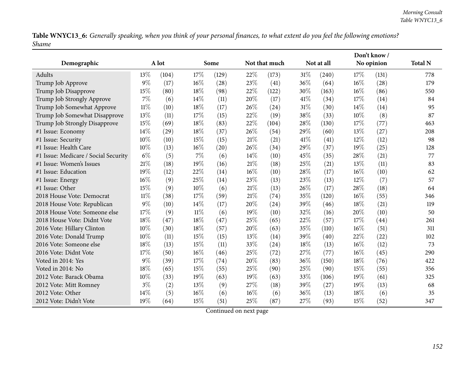Table WNYC13\_6: Generally speaking, when you think of your personal finances, to what extent do you feel the following emotions? *Shame*

|                                      |        |       |        |       |        |               |      |            |     | Don't know / |                |
|--------------------------------------|--------|-------|--------|-------|--------|---------------|------|------------|-----|--------------|----------------|
| Demographic                          |        | A lot |        | Some  |        | Not that much |      | Not at all |     | No opinion   | <b>Total N</b> |
| Adults                               | 13%    | (104) | 17%    | (129) | 22%    | (173)         | 31%  | (240)      | 17% | (131)        | 778            |
| Trump Job Approve                    | $9\%$  | (17)  | 16%    | (28)  | 23%    | (41)          | 36%  | (64)       | 16% | (28)         | 179            |
| Trump Job Disapprove                 | 15%    | (80)  | 18%    | (98)  | 22%    | (122)         | 30%  | (163)      | 16% | (86)         | 550            |
| Trump Job Strongly Approve           | 7%     | (6)   | 14%    | (11)  | 20%    | (17)          | 41\% | (34)       | 17% | (14)         | 84             |
| Trump Job Somewhat Approve           | $11\%$ | (10)  | 18%    | (17)  | 26%    | (24)          | 31%  | (30)       | 14% | (14)         | 95             |
| Trump Job Somewhat Disapprove        | 13%    | (11)  | 17%    | (15)  | 22%    | (19)          | 38%  | (33)       | 10% | (8)          | 87             |
| Trump Job Strongly Disapprove        | 15%    | (69)  | 18%    | (83)  | 22%    | (104)         | 28%  | (130)      | 17% | (77)         | 463            |
| #1 Issue: Economy                    | 14%    | (29)  | 18%    | (37)  | 26%    | (54)          | 29%  | (60)       | 13% | (27)         | 208            |
| #1 Issue: Security                   | 10%    | (10)  | 15%    | (15)  | 21%    | (21)          | 41\% | (41)       | 12% | (12)         | 98             |
| #1 Issue: Health Care                | 10%    | (13)  | 16%    | (20)  | 26%    | (34)          | 29%  | (37)       | 19% | (25)         | 128            |
| #1 Issue: Medicare / Social Security | $6\%$  | (5)   | 7%     | (6)   | $14\%$ | (10)          | 45%  | (35)       | 28% | (21)         | 77             |
| #1 Issue: Women's Issues             | 21%    | (18)  | 19%    | (16)  | 21%    | (18)          | 25%  | (21)       | 13% | (11)         | 83             |
| #1 Issue: Education                  | 19%    | (12)  | 22%    | (14)  | $16\%$ | (10)          | 28%  | (17)       | 16% | (10)         | 62             |
| #1 Issue: Energy                     | 16%    | (9)   | 25%    | (14)  | 23%    | (13)          | 23%  | (13)       | 12% | (7)          | 57             |
| #1 Issue: Other                      | 15%    | (9)   | 10%    | (6)   | $21\%$ | (13)          | 26%  | (17)       | 28% | (18)         | 64             |
| 2018 House Vote: Democrat            | $11\%$ | (38)  | 17%    | (59)  | 21\%   | (74)          | 35%  | (120)      | 16% | (55)         | 346            |
| 2018 House Vote: Republican          | 9%     | (10)  | 14%    | (17)  | 20%    | (24)          | 39%  | (46)       | 18% | (21)         | 119            |
| 2018 House Vote: Someone else        | 17%    | (9)   | $11\%$ | (6)   | 19%    | (10)          | 32%  | (16)       | 20% | (10)         | 50             |
| 2018 House Vote: Didnt Vote          | 18%    | (47)  | 18%    | (47)  | 25%    | (65)          | 22%  | (57)       | 17% | (44)         | 261            |
| 2016 Vote: Hillary Clinton           | 10%    | (30)  | 18%    | (57)  | 20%    | (63)          | 35%  | (110)      | 16% | (51)         | 311            |
| 2016 Vote: Donald Trump              | 10%    | (11)  | 15%    | (15)  | 13%    | (14)          | 39%  | (40)       | 22% | (22)         | 102            |
| 2016 Vote: Someone else              | 18%    | (13)  | 15%    | (11)  | 33%    | (24)          | 18%  | (13)       | 16% | (12)         | 73             |
| 2016 Vote: Didnt Vote                | 17%    | (50)  | $16\%$ | (46)  | 25%    | (72)          | 27%  | (77)       | 16% | (45)         | 290            |
| Voted in 2014: Yes                   | $9\%$  | (39)  | 17%    | (74)  | 20%    | (83)          | 36%  | (150)      | 18% | (76)         | 422            |
| Voted in 2014: No                    | 18%    | (65)  | 15%    | (55)  | 25%    | (90)          | 25%  | (90)       | 15% | (55)         | 356            |
| 2012 Vote: Barack Obama              | 10%    | (33)  | 19%    | (63)  | 19%    | (63)          | 33%  | (106)      | 19% | (61)         | 325            |
| 2012 Vote: Mitt Romney               | $3\%$  | (2)   | 13%    | (9)   | 27%    | (18)          | 39%  | (27)       | 19% | (13)         | 68             |
| 2012 Vote: Other                     | 14\%   | (5)   | 16%    | (6)   | 16%    | (6)           | 36%  | (13)       | 18% | (6)          | 35             |
| 2012 Vote: Didn't Vote               | 19%    | (64)  | 15%    | (51)  | 25%    | (87)          | 27%  | (93)       | 15% | (52)         | 347            |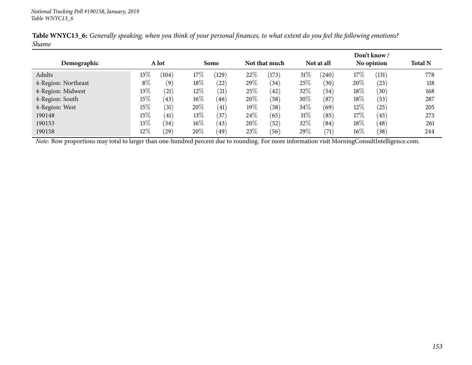| Demographic         |        | A lot |        | Some      |     | Not that much  |      | Not at all |        | Don't know /<br>No opinion | <b>Total N</b> |
|---------------------|--------|-------|--------|-----------|-----|----------------|------|------------|--------|----------------------------|----------------|
| Adults              | $13\%$ | (104) | 17%    | (129)     | 22% | (173)          | 31\% | (240)      | 17\%   | (131)                      | 778            |
| 4-Region: Northeast | $8\%$  | (9)   | 18\%   | $^{'}22)$ | 29% | (34)           | 25%  | (30)       | 20%    | (23)                       | 118            |
| 4-Region: Midwest   | 13%    | (21)  | $12\%$ | (21)      | 25% | (42)           | 32%  | (54)       | 18%    | (30)                       | 168            |
| 4-Region: South     | $15\%$ | (43)  | $16\%$ | (46)      | 20% | (58)           | 30%  | (87)       | 18%    | (53)                       | 287            |
| 4-Region: West      | $15\%$ | (31)  | 20%    | (41)      | 19% | $^{\prime}38)$ | 34\% | (69)       | $12\%$ | (25)                       | 205            |
| 190148              | $15\%$ | (41)  | $13\%$ | (37)      | 24% | (65)           | 31\% | (85)       | 17%    | (45)                       | 273            |
| 190153              | $13\%$ | (34)  | $16\%$ | (43)      | 20% | (52)           | 32%  | (84)       | 18%    | (48)                       | 261            |
| 190158              | $12\%$ | (29)  | 20%    | (49)      | 23% | (56)           | 29\% | (71)       | $16\%$ | (38)                       | 244            |

Table WNYC13\_6: Generally speaking, when you think of your personal finances, to what extent do you feel the following emotions? *Shame*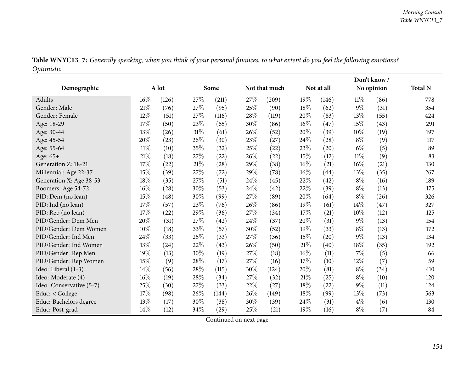|            | Table WNYC13_7: Generally speaking, when you think of your personal finances, to what extent do you feel the following emotions? |
|------------|----------------------------------------------------------------------------------------------------------------------------------|
| Optimistic |                                                                                                                                  |

| Demographic              |        | A lot |        | Some  |     | Not that much |        | Not at all |        | No opinion | <b>Total N</b> |
|--------------------------|--------|-------|--------|-------|-----|---------------|--------|------------|--------|------------|----------------|
| Adults                   | $16\%$ | (126) | 27%    | (211) | 27% | (209)         | 19%    | (146)      | $11\%$ | (86)       | 778            |
| Gender: Male             | 21\%   | (76)  | 27%    | (95)  | 25% | (90)          | 18%    | (62)       | $9\%$  | (31)       | 354            |
| Gender: Female           | 12%    | (51)  | 27%    | (116) | 28% | (119)         | 20%    | (83)       | 13%    | (55)       | 424            |
| Age: 18-29               | 17%    | (50)  | 23%    | (65)  | 30% | (86)          | 16%    | (47)       | 15%    | (43)       | 291            |
| Age: 30-44               | 13%    | (26)  | $31\%$ | (61)  | 26% | (52)          | 20%    | (39)       | 10%    | (19)       | 197            |
| Age: 45-54               | 20%    | (23)  | 26%    | (30)  | 23% | (27)          | 24%    | (28)       | $8\%$  | (9)        | 117            |
| Age: 55-64               | $11\%$ | (10)  | 35%    | (32)  | 25% | (22)          | 23%    | (20)       | $6\%$  | (5)        | 89             |
| Age: 65+                 | $21\%$ | (18)  | 27%    | (22)  | 26% | (22)          | 15%    | (12)       | $11\%$ | (9)        | 83             |
| Generation Z: 18-21      | 17%    | (22)  | 21%    | (28)  | 29% | (38)          | 16%    | (21)       | 16%    | (21)       | 130            |
| Millennial: Age 22-37    | 15%    | (39)  | 27%    | (72)  | 29% | (78)          | 16%    | (44)       | 13%    | (35)       | 267            |
| Generation X: Age 38-53  | $18\%$ | (35)  | 27%    | (51)  | 24% | (45)          | 22%    | (42)       | $8\%$  | (16)       | 189            |
| Boomers: Age 54-72       | $16\%$ | (28)  | 30%    | (53)  | 24% | (42)          | 22%    | (39)       | $8\%$  | (13)       | 175            |
| PID: Dem (no lean)       | 15%    | (48)  | 30%    | (99)  | 27% | (89)          | 20%    | (64)       | $8\%$  | (26)       | 326            |
| PID: Ind (no lean)       | $17\%$ | (57)  | 23%    | (76)  | 26% | (86)          | 19%    | (61)       | 14%    | (47)       | 327            |
| PID: Rep (no lean)       | $17\%$ | (22)  | 29%    | (36)  | 27% | (34)          | 17%    | (21)       | 10%    | (12)       | 125            |
| PID/Gender: Dem Men      | 20%    | (31)  | 27%    | (42)  | 24% | (37)          | 20%    | (31)       | $9\%$  | (13)       | 154            |
| PID/Gender: Dem Women    | $10\%$ | (18)  | 33%    | (57)  | 30% | (52)          | 19%    | (33)       | $8\%$  | (13)       | 172            |
| PID/Gender: Ind Men      | 24\%   | (33)  | 25%    | (33)  | 27% | (36)          | 15%    | (20)       | $9\%$  | (13)       | 134            |
| PID/Gender: Ind Women    | $13\%$ | (24)  | 22\%   | (43)  | 26% | (50)          | $21\%$ | (40)       | 18\%   | (35)       | 192            |
| PID/Gender: Rep Men      | 19%    | (13)  | 30%    | (19)  | 27% | (18)          | 16%    | (11)       | $7\%$  | (5)        | 66             |
| PID/Gender: Rep Women    | 15\%   | (9)   | 28%    | (17)  | 27% | (16)          | 17%    | (10)       | 12%    | (7)        | 59             |
| Ideo: Liberal (1-3)      | 14\%   | (56)  | 28%    | (115) | 30% | (124)         | 20%    | (81)       | $8\%$  | (34)       | 410            |
| Ideo: Moderate (4)       | $16\%$ | (19)  | 28%    | (34)  | 27% | (32)          | 21\%   | (25)       | $8\%$  | (10)       | 120            |
| Ideo: Conservative (5-7) | 25%    | (30)  | 27%    | (33)  | 22% | (27)          | 18%    | (22)       | $9\%$  | (11)       | 124            |
| Educ: < College          | 17%    | (98)  | 26%    | (144) | 26% | (149)         | 18%    | (99)       | 13%    | (73)       | 563            |
| Educ: Bachelors degree   | 13%    | (17)  | 30%    | (38)  | 30% | (39)          | 24%    | (31)       | $4\%$  | (6)        | 130            |
| Educ: Post-grad          | 14%    | (12)  | 34%    | (29)  | 25% | (21)          | 19%    | (16)       | $8\%$  | (7)        | 84             |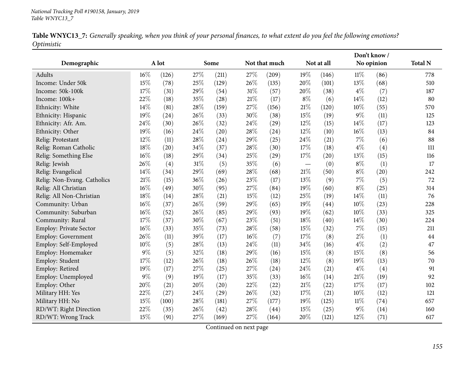| Table WNYC13_7: Generally speaking, when you think of your personal finances, to what extent do you feel the following emotions? |  |  |
|----------------------------------------------------------------------------------------------------------------------------------|--|--|
| Optimistic                                                                                                                       |  |  |

|                             |       |       |        |       |     |               | Don't know/ |            |        |            |                |
|-----------------------------|-------|-------|--------|-------|-----|---------------|-------------|------------|--------|------------|----------------|
| Demographic                 |       | A lot |        | Some  |     | Not that much |             | Not at all |        | No opinion | <b>Total N</b> |
| Adults                      | 16%   | (126) | 27%    | (211) | 27% | (209)         | 19%         | (146)      | $11\%$ | (86)       | 778            |
| Income: Under 50k           | 15%   | (78)  | 25%    | (129) | 26% | (135)         | 20%         | (101)      | 13%    | (68)       | 510            |
| Income: 50k-100k            | 17%   | (31)  | 29%    | (54)  | 31% | (57)          | 20%         | (38)       | $4\%$  | (7)        | 187            |
| Income: 100k+               | 22%   | (18)  | 35%    | (28)  | 21% | (17)          | $8\%$       | (6)        | 14%    | (12)       | 80             |
| Ethnicity: White            | 14%   | (81)  | 28%    | (159) | 27% | (156)         | 21%         | (120)      | 10%    | (55)       | 570            |
| Ethnicity: Hispanic         | 19%   | (24)  | 26%    | (33)  | 30% | (38)          | 15%         | (19)       | $9\%$  | (11)       | 125            |
| Ethnicity: Afr. Am.         | 24%   | (30)  | 26%    | (32)  | 24% | (29)          | 12%         | (15)       | 14\%   | (17)       | 123            |
| Ethnicity: Other            | 19%   | (16)  | 24%    | (20)  | 28% | (24)          | 12%         | (10)       | 16%    | (13)       | 84             |
| Relig: Protestant           | 12%   | (11)  | 28%    | (24)  | 29% | (25)          | 24%         | (21)       | $7\%$  | (6)        | 88             |
| Relig: Roman Catholic       | 18%   | (20)  | 34%    | (37)  | 28% | (30)          | 17%         | (18)       | $4\%$  | (4)        | 111            |
| Relig: Something Else       | 16%   | (18)  | 29%    | (34)  | 25% | (29)          | 17%         | (20)       | 13%    | (15)       | 116            |
| Relig: Jewish               | 26%   | (4)   | $31\%$ | (5)   | 35% | (6)           |             | (0)        | $8\%$  | (1)        | 17             |
| Relig: Evangelical          | 14%   | (34)  | 29%    | (69)  | 28% | (68)          | 21%         | (50)       | $8\%$  | (20)       | 242            |
| Relig: Non-Evang. Catholics | 21%   | (15)  | 36%    | (26)  | 23% | (17)          | 13%         | (9)        | $7\%$  | (5)        | 72             |
| Relig: All Christian        | 16%   | (49)  | 30%    | (95)  | 27% | (84)          | 19%         | (60)       | $8\%$  | (25)       | 314            |
| Relig: All Non-Christian    | 18%   | (14)  | 28%    | (21)  | 15% | (12)          | 25%         | (19)       | 14\%   | (11)       | 76             |
| Community: Urban            | 16%   | (37)  | 26%    | (59)  | 29% | (65)          | 19%         | (44)       | 10%    | (23)       | 228            |
| Community: Suburban         | 16%   | (52)  | 26%    | (85)  | 29% | (93)          | 19%         | (62)       | 10%    | (33)       | 325            |
| Community: Rural            | 17%   | (37)  | 30%    | (67)  | 23% | (51)          | 18%         | (40)       | 14%    | (30)       | 224            |
| Employ: Private Sector      | 16%   | (33)  | 35%    | (73)  | 28% | (58)          | 15%         | (32)       | 7%     | (15)       | 211            |
| Employ: Government          | 26%   | (11)  | 39%    | (17)  | 16% | (7)           | 17%         | (8)        | $2\%$  | (1)        | 44             |
| Employ: Self-Employed       | 10%   | (5)   | 28%    | (13)  | 24% | (11)          | 34%         | (16)       | 4%     | (2)        | 47             |
| Employ: Homemaker           | $9\%$ | (5)   | 32%    | (18)  | 29% | (16)          | 15%         | (8)        | 15%    | (8)        | 56             |
| Employ: Student             | 17%   | (12)  | 26%    | (18)  | 26% | (18)          | 12%         | (8)        | 19%    | (13)       | 70             |
| Employ: Retired             | 19%   | (17)  | 27%    | (25)  | 27% | (24)          | 24%         | (21)       | $4\%$  | (4)        | 91             |
| Employ: Unemployed          | $9\%$ | (9)   | 19%    | (17)  | 35% | (33)          | 16%         | (14)       | 21%    | (19)       | 92             |
| Employ: Other               | 20%   | (21)  | 20%    | (20)  | 22% | (22)          | 21%         | (22)       | 17%    | (17)       | 102            |
| Military HH: Yes            | 22%   | (27)  | 24%    | (29)  | 26% | (32)          | 17%         | (21)       | 10%    | (12)       | 121            |
| Military HH: No             | 15%   | (100) | 28%    | (181) | 27% | (177)         | 19%         | (125)      | $11\%$ | (74)       | 657            |
| RD/WT: Right Direction      | 22%   | (35)  | 26%    | (42)  | 28% | (44)          | 15%         | (25)       | 9%     | (14)       | 160            |
| RD/WT: Wrong Track          | 15%   | (91)  | 27%    | (169) | 27% | (164)         | 20%         | (121)      | 12%    | (71)       | 617            |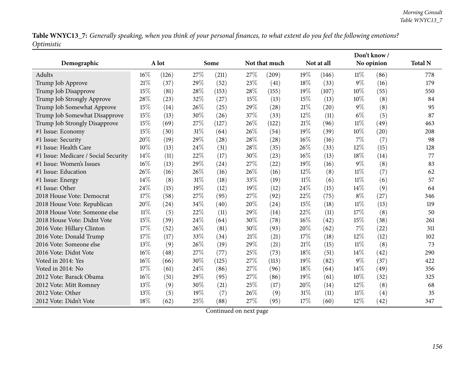Table WNYC13\_7: Generally speaking, when you think of your personal finances, to what extent do you feel the following emotions? *Optimistic*

|                                      |               |       |      |       |               |       |            |       |            | Don't know/    |     |
|--------------------------------------|---------------|-------|------|-------|---------------|-------|------------|-------|------------|----------------|-----|
| Demographic                          | A lot<br>Some |       |      |       | Not that much |       | Not at all |       | No opinion | <b>Total N</b> |     |
| Adults                               | 16%           | (126) | 27%  | (211) | 27%           | (209) | 19%        | (146) | $11\%$     | (86)           | 778 |
| Trump Job Approve                    | 21%           | (37)  | 29%  | (52)  | 23%           | (41)  | 18%        | (33)  | $9\%$      | (16)           | 179 |
| Trump Job Disapprove                 | 15%           | (81)  | 28\% | (153) | 28%           | (155) | 19%        | (107) | 10%        | (55)           | 550 |
| Trump Job Strongly Approve           | 28%           | (23)  | 32%  | (27)  | 15%           | (13)  | 15%        | (13)  | 10%        | (8)            | 84  |
| Trump Job Somewhat Approve           | 15%           | (14)  | 26%  | (25)  | 29%           | (28)  | $21\%$     | (20)  | $9\%$      | (8)            | 95  |
| Trump Job Somewhat Disapprove        | 15%           | (13)  | 30%  | (26)  | 37%           | (33)  | 12%        | (11)  | $6\%$      | (5)            | 87  |
| Trump Job Strongly Disapprove        | 15%           | (69)  | 27%  | (127) | 26%           | (122) | 21%        | (96)  | $11\%$     | (49)           | 463 |
| #1 Issue: Economy                    | 15%           | (30)  | 31%  | (64)  | 26%           | (54)  | 19%        | (39)  | 10%        | (20)           | 208 |
| #1 Issue: Security                   | 20%           | (19)  | 29%  | (28)  | 28%           | (28)  | $16\%$     | (16)  | 7%         | (7)            | 98  |
| #1 Issue: Health Care                | 10%           | (13)  | 24%  | (31)  | 28\%          | (35)  | 26%        | (33)  | 12%        | (15)           | 128 |
| #1 Issue: Medicare / Social Security | 14%           | (11)  | 22%  | (17)  | 30%           | (23)  | 16%        | (13)  | 18%        | (14)           | 77  |
| #1 Issue: Women's Issues             | 16%           | (13)  | 29%  | (24)  | 27%           | (22)  | 19%        | (16)  | $9\%$      | (8)            | 83  |
| #1 Issue: Education                  | 26%           | (16)  | 26%  | (16)  | 26%           | (16)  | 12%        | (8)   | 11%        | (7)            | 62  |
| #1 Issue: Energy                     | 14\%          | (8)   | 31%  | (18)  | 33%           | (19)  | $11\%$     | (6)   | $11\%$     | (6)            | 57  |
| #1 Issue: Other                      | 24%           | (15)  | 19%  | (12)  | 19%           | (12)  | 24%        | (15)  | 14%        | (9)            | 64  |
| 2018 House Vote: Democrat            | 17%           | (58)  | 27%  | (95)  | 27%           | (92)  | 22%        | (75)  | $8\%$      | (27)           | 346 |
| 2018 House Vote: Republican          | 20%           | (24)  | 34%  | (40)  | 20%           | (24)  | 15%        | (18)  | $11\%$     | (13)           | 119 |
| 2018 House Vote: Someone else        | 11%           | (5)   | 22%  | (11)  | 29%           | (14)  | 22%        | (11)  | 17%        | (8)            | 50  |
| 2018 House Vote: Didnt Vote          | 15%           | (39)  | 24%  | (64)  | 30%           | (78)  | 16%        | (42)  | 15%        | (38)           | 261 |
| 2016 Vote: Hillary Clinton           | 17%           | (52)  | 26%  | (81)  | 30%           | (93)  | 20%        | (62)  | 7%         | (22)           | 311 |
| 2016 Vote: Donald Trump              | 17%           | (17)  | 33%  | (34)  | $21\%$        | (21)  | 17%        | (18)  | 12%        | (12)           | 102 |
| 2016 Vote: Someone else              | 13%           | (9)   | 26%  | (19)  | 29%           | (21)  | 21%        | (15)  | 11%        | (8)            | 73  |
| 2016 Vote: Didnt Vote                | 16%           | (48)  | 27%  | (77)  | 25%           | (73)  | 18%        | (51)  | 14\%       | (42)           | 290 |
| Voted in 2014: Yes                   | 16%           | (66)  | 30%  | (125) | 27%           | (113) | 19%        | (82)  | $9\%$      | (37)           | 422 |
| Voted in 2014: No                    | 17%           | (61)  | 24%  | (86)  | 27%           | (96)  | 18%        | (64)  | 14%        | (49)           | 356 |
| 2012 Vote: Barack Obama              | 16%           | (51)  | 29%  | (95)  | 27%           | (86)  | 19%        | (61)  | 10%        | (32)           | 325 |
| 2012 Vote: Mitt Romney               | 13%           | (9)   | 30%  | (21)  | 25%           | (17)  | 20%        | (14)  | 12%        | (8)            | 68  |
| 2012 Vote: Other                     | 13%           | (5)   | 19%  | (7)   | 26%           | (9)   | 31%        | (11)  | $11\%$     | (4)            | 35  |
| 2012 Vote: Didn't Vote               | 18%           | (62)  | 25%  | (88)  | 27%           | (95)  | 17%        | (60)  | 12%        | (42)           | 347 |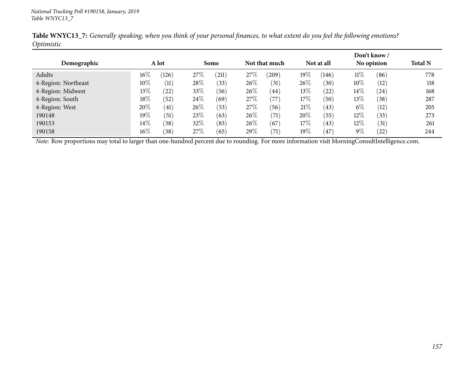|                     |        |       |      |       |     |               |        |                   |        | Don't know / |                |
|---------------------|--------|-------|------|-------|-----|---------------|--------|-------------------|--------|--------------|----------------|
| Demographic         |        | A lot |      | Some  |     | Not that much |        | Not at all        |        | No opinion   | <b>Total N</b> |
| Adults              | $16\%$ | (126) | 27%  | (211) | 27% | (209)         | $19\%$ | (146)             | $11\%$ | (86)         | 778            |
| 4-Region: Northeast | $10\%$ | (11)  | 28\% | (33)  | 26% | (31)          | 26\%   | (30)              | $10\%$ | (12)         | 118            |
| 4-Region: Midwest   | 13%    | (22)  | 33%  | (56)  | 26% | (44)          | $13\%$ | (22)              | $14\%$ | (24)         | 168            |
| 4-Region: South     | $18\%$ | (52)  | 24\% | (69)  | 27% | (77)          | 17%    | (50)              | 13\%   | (38)         | 287            |
| 4-Region: West      | 20%    | (41)  | 26%  | (53)  | 27% | (56)          | 21%    | (43)              | $6\%$  | (12)         | 205            |
| 190148              | $19\%$ | (51)  | 23\% | (63)  | 26% | (71)          | 20%    | (55)              | 12\%   | (33)         | 273            |
| 190153              | $14\%$ | (38)  | 32%  | (83)  | 26% | (67)          | 17%    | (43)              | 12\%   | (31)         | 261            |
| 190158              | $16\%$ | (38)  | 27%  | (65)  | 29% | (71)          | $19\%$ | $\left(47\right)$ | $9\%$  | $^{'}22)$    | 244            |

Table WNYC13\_7: Generally speaking, when you think of your personal finances, to what extent do you feel the following emotions? *Optimistic*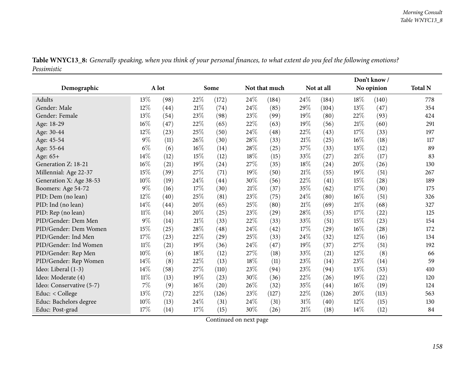| Table WNYC13_8: Generally speaking, when you think of your personal finances, to what extent do you feel the following emotions? |  |
|----------------------------------------------------------------------------------------------------------------------------------|--|
| Pessimistic                                                                                                                      |  |

|                          |        |       |        |       |      |               |        |            | Don't know/ |            |                |
|--------------------------|--------|-------|--------|-------|------|---------------|--------|------------|-------------|------------|----------------|
| Demographic              |        | A lot |        | Some  |      | Not that much |        | Not at all |             | No opinion | <b>Total N</b> |
| Adults                   | 13%    | (98)  | 22%    | (172) | 24%  | (184)         | 24\%   | (184)      | 18%         | (140)      | 778            |
| Gender: Male             | $12\%$ | (44)  | 21%    | (74)  | 24%  | (85)          | 29%    | (104)      | 13%         | (47)       | 354            |
| Gender: Female           | 13%    | (54)  | 23%    | (98)  | 23%  | (99)          | 19%    | (80)       | 22\%        | (93)       | 424            |
| Age: 18-29               | 16%    | (47)  | 22%    | (65)  | 22%  | (63)          | 19%    | (56)       | $21\%$      | (60)       | 291            |
| Age: 30-44               | 12%    | (23)  | 25%    | (50)  | 24%  | (48)          | 22%    | (43)       | 17%         | (33)       | 197            |
| Age: 45-54               | $9\%$  | (11)  | 26%    | (30)  | 28%  | (33)          | 21%    | (25)       | 16%         | (18)       | 117            |
| Age: 55-64               | $6\%$  | (6)   | $16\%$ | (14)  | 28%  | (25)          | 37%    | (33)       | 13%         | (12)       | 89             |
| Age: 65+                 | 14%    | (12)  | $15\%$ | (12)  | 18%  | (15)          | 33%    | (27)       | 21%         | (17)       | 83             |
| Generation Z: 18-21      | 16%    | (21)  | 19%    | (24)  | 27%  | (35)          | 18%    | (24)       | 20%         | (26)       | 130            |
| Millennial: Age 22-37    | 15%    | (39)  | 27\%   | (71)  | 19%  | (50)          | 21%    | (55)       | 19%         | (51)       | 267            |
| Generation X: Age 38-53  | 10%    | (19)  | 24\%   | (44)  | 30%  | (56)          | 22%    | (41)       | $15\%$      | (28)       | 189            |
| Boomers: Age 54-72       | $9\%$  | (16)  | 17%    | (30)  | 21%  | (37)          | 35%    | (62)       | 17%         | (30)       | 175            |
| PID: Dem (no lean)       | 12%    | (40)  | 25\%   | (81)  | 23%  | (75)          | 24\%   | (80)       | 16%         | (51)       | 326            |
| PID: Ind (no lean)       | 14\%   | (44)  | 20%    | (65)  | 25%  | (80)          | $21\%$ | (69)       | 21%         | (68)       | 327            |
| PID: Rep (no lean)       | $11\%$ | (14)  | 20%    | (25)  | 23%  | (29)          | 28%    | (35)       | 17%         | (22)       | 125            |
| PID/Gender: Dem Men      | $9\%$  | (14)  | $21\%$ | (33)  | 22%  | (33)          | 33%    | (51)       | 15%         | (23)       | 154            |
| PID/Gender: Dem Women    | 15%    | (25)  | 28\%   | (48)  | 24%  | (42)          | 17%    | (29)       | 16%         | (28)       | 172            |
| PID/Gender: Ind Men      | 17%    | (23)  | 22\%   | (29)  | 25%  | (33)          | 24\%   | (32)       | 12%         | (16)       | 134            |
| PID/Gender: Ind Women    | $11\%$ | (21)  | 19%    | (36)  | 24%  | (47)          | 19%    | (37)       | 27%         | (51)       | 192            |
| PID/Gender: Rep Men      | 10%    | (6)   | $18\%$ | (12)  | 27%  | (18)          | 33%    | (21)       | 12%         | (8)        | 66             |
| PID/Gender: Rep Women    | 14%    | (8)   | 22%    | (13)  | 18%  | (11)          | 23%    | (14)       | 23%         | (14)       | 59             |
| Ideo: Liberal (1-3)      | 14%    | (58)  | 27%    | (110) | 23%  | (94)          | 23%    | (94)       | 13%         | (53)       | 410            |
| Ideo: Moderate (4)       | 11%    | (13)  | 19%    | (23)  | 30%  | (36)          | 22%    | (26)       | 19%         | (22)       | 120            |
| Ideo: Conservative (5-7) | 7%     | (9)   | 16%    | (20)  | 26%  | (32)          | 35%    | (44)       | 16%         | (19)       | 124            |
| Educ: < College          | 13%    | (72)  | 22%    | (126) | 23%  | (127)         | 22%    | (126)      | 20%         | (113)      | 563            |
| Educ: Bachelors degree   | 10%    | (13)  | 24\%   | (31)  | 24\% | (31)          | $31\%$ | (40)       | 12%         | (15)       | 130            |
| Educ: Post-grad          | 17%    | (14)  | 17%    | (15)  | 30%  | (26)          | 21%    | (18)       | 14%         | (12)       | 84             |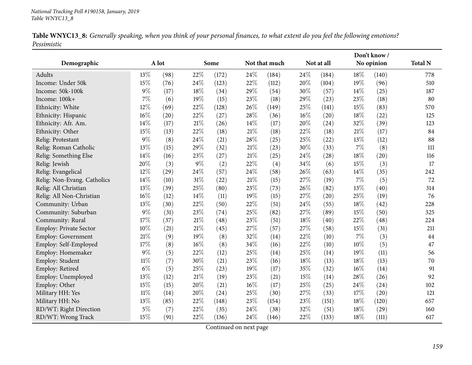| Table WNYC13_8: Generally speaking, when you think of your personal finances, to what extent do you feel the following emotions? |  |  |
|----------------------------------------------------------------------------------------------------------------------------------|--|--|
| Pessimistic                                                                                                                      |  |  |

|                             |        |       |        |       |     |               | Don't know/ |            |       |            |                |
|-----------------------------|--------|-------|--------|-------|-----|---------------|-------------|------------|-------|------------|----------------|
| Demographic                 |        | A lot |        | Some  |     | Not that much |             | Not at all |       | No opinion | <b>Total N</b> |
| Adults                      | 13%    | (98)  | 22%    | (172) | 24% | (184)         | 24\%        | (184)      | 18\%  | (140)      | 778            |
| Income: Under 50k           | 15%    | (76)  | 24%    | (123) | 22% | (112)         | 20%         | (104)      | 19%   | (96)       | 510            |
| Income: 50k-100k            | 9%     | (17)  | 18%    | (34)  | 29% | (54)          | 30%         | (57)       | 14%   | (25)       | 187            |
| Income: 100k+               | 7%     | (6)   | 19%    | (15)  | 23% | (18)          | 29%         | (23)       | 23%   | (18)       | 80             |
| Ethnicity: White            | 12%    | (69)  | 22%    | (128) | 26% | (149)         | 25%         | (141)      | 15%   | (83)       | 570            |
| Ethnicity: Hispanic         | 16%    | (20)  | 22%    | (27)  | 28% | (36)          | 16%         | (20)       | 18%   | (22)       | 125            |
| Ethnicity: Afr. Am.         | 14%    | (17)  | 21%    | (26)  | 14% | (17)          | 20%         | (24)       | 32%   | (39)       | 123            |
| Ethnicity: Other            | 15%    | (13)  | 22%    | (18)  | 21% | (18)          | 22%         | (18)       | 21%   | (17)       | 84             |
| Relig: Protestant           | $9\%$  | (8)   | 24%    | (21)  | 28% | (25)          | 25%         | (22)       | 13%   | (12)       | 88             |
| Relig: Roman Catholic       | 13%    | (15)  | 29%    | (32)  | 21% | (23)          | 30%         | (33)       | 7%    | (8)        | 111            |
| Relig: Something Else       | 14%    | (16)  | 23%    | (27)  | 21% | (25)          | 24%         | (28)       | 18%   | (20)       | 116            |
| Relig: Jewish               | 20%    | (3)   | $9\%$  | (2)   | 22% | (4)           | 34%         | (6)        | 15%   | (3)        | 17             |
| Relig: Evangelical          | 12%    | (29)  | 24%    | (57)  | 24% | (58)          | 26%         | (63)       | 14%   | (35)       | 242            |
| Relig: Non-Evang. Catholics | 14%    | (10)  | 31%    | (22)  | 21% | (15)          | 27%         | (19)       | $7\%$ | (5)        | 72             |
| Relig: All Christian        | 13%    | (39)  | 25%    | (80)  | 23% | (73)          | 26%         | (82)       | 13%   | (40)       | 314            |
| Relig: All Non-Christian    | 16%    | (12)  | 14%    | (11)  | 19% | (15)          | 27%         | (20)       | 25%   | (19)       | 76             |
| Community: Urban            | 13%    | (30)  | 22%    | (50)  | 22% | (51)          | 24%         | (55)       | 18%   | (42)       | 228            |
| Community: Suburban         | $9\%$  | (31)  | 23%    | (74)  | 25% | (82)          | 27%         | (89)       | 15%   | (50)       | 325            |
| Community: Rural            | 17%    | (37)  | 21%    | (48)  | 23% | (51)          | 18%         | (40)       | 22%   | (48)       | 224            |
| Employ: Private Sector      | 10%    | (21)  | $21\%$ | (45)  | 27% | (57)          | 27%         | (58)       | 15%   | (31)       | 211            |
| Employ: Government          | 21%    | (9)   | 19%    | (8)   | 32% | (14)          | 22%         | (10)       | 7%    | (3)        | 44             |
| Employ: Self-Employed       | 17%    | (8)   | $16\%$ | (8)   | 34% | (16)          | 22%         | (10)       | 10%   | (5)        | 47             |
| Employ: Homemaker           | $9\%$  | (5)   | $22\%$ | (12)  | 25% | (14)          | 25%         | (14)       | 19%   | (11)       | 56             |
| Employ: Student             | $11\%$ | (7)   | 30%    | (21)  | 23% | (16)          | 18%         | (13)       | 18%   | (13)       | 70             |
| Employ: Retired             | $6\%$  | (5)   | 25%    | (23)  | 19% | (17)          | 35%         | (32)       | 16%   | (14)       | 91             |
| Employ: Unemployed          | 13%    | (12)  | $21\%$ | (19)  | 23% | (21)          | 15%         | (14)       | 28%   | (26)       | 92             |
| Employ: Other               | 15%    | (15)  | 20%    | (21)  | 16% | (17)          | 25%         | (25)       | 24%   | (24)       | 102            |
| Military HH: Yes            | $11\%$ | (14)  | 20%    | (24)  | 25% | (30)          | 27%         | (33)       | 17%   | (20)       | 121            |
| Military HH: No             | 13%    | (85)  | 22%    | (148) | 23% | (154)         | 23%         | (151)      | 18%   | (120)      | 657            |
| RD/WT: Right Direction      | $5\%$  | (7)   | 22%    | (35)  | 24% | (38)          | 32%         | (51)       | 18%   | (29)       | 160            |
| RD/WT: Wrong Track          | 15%    | (91)  | 22%    | (136) | 24% | (146)         | 22%         | (133)      | 18%   | (111)      | 617            |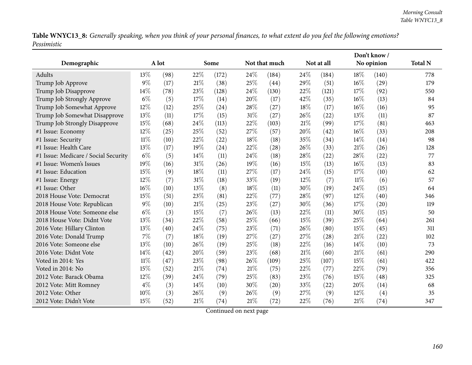Table WNYC13\_8: Generally speaking, when you think of your personal finances, to what extent do you feel the following emotions? *Pessimistic*

|                                      |        |      |        |       |        |               |     |            |      | Don't know / |                |  |  |
|--------------------------------------|--------|------|--------|-------|--------|---------------|-----|------------|------|--------------|----------------|--|--|
| Demographic                          | A lot  |      |        | Some  |        | Not that much |     | Not at all |      | No opinion   | <b>Total N</b> |  |  |
| Adults                               | 13%    | (98) | 22%    | (172) | 24%    | (184)         | 24% | (184)      | 18%  | (140)        | 778            |  |  |
| Trump Job Approve                    | $9\%$  | (17) | $21\%$ | (38)  | 25%    | (44)          | 29% | (51)       | 16%  | (29)         | 179            |  |  |
| Trump Job Disapprove                 | 14%    | (78) | 23%    | (128) | 24%    | (130)         | 22% | (121)      | 17%  | (92)         | 550            |  |  |
| Trump Job Strongly Approve           | $6\%$  | (5)  | 17%    | (14)  | 20%    | (17)          | 42% | (35)       | 16%  | (13)         | 84             |  |  |
| Trump Job Somewhat Approve           | 12%    | (12) | 25%    | (24)  | 28%    | (27)          | 18% | (17)       | 16%  | (16)         | 95             |  |  |
| Trump Job Somewhat Disapprove        | 13%    | (11) | 17%    | (15)  | $31\%$ | (27)          | 26% | (22)       | 13%  | (11)         | 87             |  |  |
| Trump Job Strongly Disapprove        | 15%    | (68) | 24%    | (113) | 22%    | (103)         | 21% | (99)       | 17%  | (81)         | 463            |  |  |
| #1 Issue: Economy                    | 12%    | (25) | 25%    | (52)  | 27%    | (57)          | 20% | (42)       | 16%  | (33)         | 208            |  |  |
| #1 Issue: Security                   | $11\%$ | (10) | 22%    | (22)  | 18%    | (18)          | 35% | (34)       | 14%  | (14)         | 98             |  |  |
| #1 Issue: Health Care                | 13%    | (17) | 19%    | (24)  | 22%    | (28)          | 26% | (33)       | 21%  | (26)         | 128            |  |  |
| #1 Issue: Medicare / Social Security | $6\%$  | (5)  | 14%    | (11)  | 24%    | (18)          | 28% | (22)       | 28%  | (22)         | 77             |  |  |
| #1 Issue: Women's Issues             | 19%    | (16) | 31%    | (26)  | 19%    | (16)          | 15% | (13)       | 16%  | (13)         | 83             |  |  |
| #1 Issue: Education                  | 15%    | (9)  | 18%    | (11)  | 27%    | (17)          | 24% | (15)       | 17%  | (10)         | 62             |  |  |
| #1 Issue: Energy                     | 12%    | (7)  | 31%    | (18)  | 33%    | (19)          | 12% | (7)        | 11%  | (6)          | 57             |  |  |
| #1 Issue: Other                      | 16%    | (10) | 13%    | (8)   | 18%    | (11)          | 30% | (19)       | 24\% | (15)         | 64             |  |  |
| 2018 House Vote: Democrat            | 15%    | (51) | 23%    | (81)  | 22%    | (77)          | 28% | (97)       | 12%  | (40)         | 346            |  |  |
| 2018 House Vote: Republican          | $9\%$  | (10) | 21%    | (25)  | 23%    | (27)          | 30% | (36)       | 17%  | (20)         | 119            |  |  |
| 2018 House Vote: Someone else        | $6\%$  | (3)  | 15%    | (7)   | 26%    | (13)          | 22% | (11)       | 30%  | (15)         | 50             |  |  |
| 2018 House Vote: Didnt Vote          | 13%    | (34) | 22%    | (58)  | 25%    | (66)          | 15% | (39)       | 25%  | (64)         | 261            |  |  |
| 2016 Vote: Hillary Clinton           | 13%    | (40) | 24%    | (75)  | 23%    | (71)          | 26% | (80)       | 15%  | (45)         | 311            |  |  |
| 2016 Vote: Donald Trump              | 7%     | (7)  | 18%    | (19)  | 27%    | (27)          | 27% | (28)       | 21%  | (22)         | 102            |  |  |
| 2016 Vote: Someone else              | 13%    | (10) | 26%    | (19)  | 25%    | (18)          | 22% | (16)       | 14%  | (10)         | 73             |  |  |
| 2016 Vote: Didnt Vote                | 14%    | (42) | 20%    | (59)  | 23%    | (68)          | 21% | (60)       | 21%  | (61)         | 290            |  |  |
| Voted in 2014: Yes                   | $11\%$ | (47) | 23%    | (98)  | 26%    | (109)         | 25% | (107)      | 15%  | (61)         | 422            |  |  |
| Voted in 2014: No                    | 15%    | (52) | 21%    | (74)  | 21\%   | (75)          | 22% | (77)       | 22%  | (79)         | 356            |  |  |
| 2012 Vote: Barack Obama              | 12%    | (39) | 24%    | (79)  | 25%    | (83)          | 23% | (76)       | 15%  | (48)         | 325            |  |  |
| 2012 Vote: Mitt Romney               | $4\%$  | (3)  | 14%    | (10)  | 30%    | (20)          | 33% | (22)       | 20%  | (14)         | 68             |  |  |
| 2012 Vote: Other                     | 10%    | (3)  | 26%    | (9)   | 26%    | (9)           | 27% | (9)        | 12%  | (4)          | 35             |  |  |
| 2012 Vote: Didn't Vote               | 15%    | (52) | 21%    | (74)  | 21%    | (72)          | 22% | (76)       | 21%  | (74)         | 347            |  |  |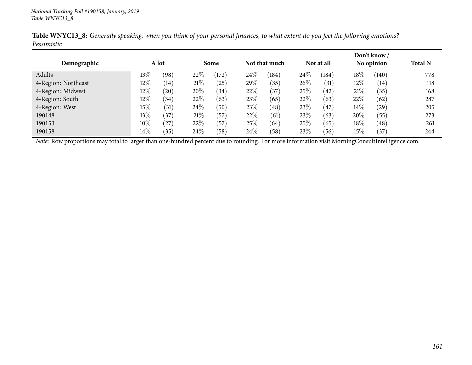|                     |        |       |      |       |      |               |      |            |        | Don't know/ |                |
|---------------------|--------|-------|------|-------|------|---------------|------|------------|--------|-------------|----------------|
| Demographic         |        | A lot |      | Some  |      | Not that much |      | Not at all |        | No opinion  | <b>Total N</b> |
| Adults              | $13\%$ | (98)  | 22\% | (172) | 24\% | (184)         | 24\% | (184)      | 18%    | (140)       | 778            |
| 4-Region: Northeast | $12\%$ | (14)  | 21%  | (25)  | 29%  | (35)          | 26\% | (31)       | $12\%$ | (14)        | 118            |
| 4-Region: Midwest   | $12\%$ | (20)  | 20%  | (34)  | 22\% | $^{'}37$      | 25\% | (42)       | 21%    | (35)        | 168            |
| 4-Region: South     | $12\%$ | (34)  | 22\% | (63)  | 23%  | (65)          | 22%  | (63)       | 22%    | (62)        | 287            |
| 4-Region: West      | 15%    | (31)  | 24\% | (50)  | 23\% | (48)          | 23\% | (47)       | $14\%$ | $^{'}29)$   | 205            |
| 190148              | $13\%$ | (37)  | 21%  | (57)  | 22%  | (61)          | 23\% | (63)       | 20%    | (55)        | 273            |
| 190153              | $10\%$ | (27)  | 22\% | (57)  | 25\% | (64)          | 25\% | (65)       | 18%    | (48)        | 261            |
| 190158              | $14\%$ | (35)  | 24\% | (58)  | 24\% | (58)          | 23\% | (56)       | 15%    | (37)        | 244            |

Table WNYC13\_8: Generally speaking, when you think of your personal finances, to what extent do you feel the following emotions? *Pessimistic*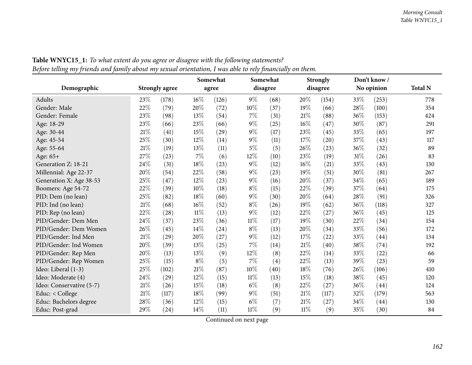| o                        |        |                |        | Somewhat | ر ر    | Somewhat |        | <b>Strongly</b>    |     | Don't know/ |                |
|--------------------------|--------|----------------|--------|----------|--------|----------|--------|--------------------|-----|-------------|----------------|
| Demographic              |        | Strongly agree |        | agree    |        | disagree |        | disagree           |     | No opinion  | <b>Total N</b> |
| Adults                   | 23%    | (178)          | 16%    | (126)    | $9\%$  | (68)     | 20%    | (154)              | 33% | (253)       | 778            |
| Gender: Male             | 22%    | (79)           | 20%    | (72)     | $10\%$ | (37)     | 19%    | (66)               | 28% | (100)       | 354            |
| Gender: Female           | 23%    | (98)           | 13%    | (54)     | $7\%$  | (31)     | 21%    | (88)               | 36% | (153)       | 424            |
| Age: 18-29               | 23%    | (66)           | $23\%$ | (66)     | $9\%$  | (25)     | 16%    | (47)               | 30% | (87)        | 291            |
| Age: 30-44               | $21\%$ | (41)           | 15%    | (29)     | $9\%$  | (17)     | 23%    | (45)               | 33% | (65)        | 197            |
| Age: 45-54               | 25%    | (30)           | $12\%$ | (14)     | $9\%$  | (11)     | 17%    | $\left( 20\right)$ | 37% | (43)        | 117            |
| Age: 55-64               | $21\%$ | (19)           | 13%    | (11)     | $5\%$  | (5)      | 26%    | (23)               | 36% | (32)        | 89             |
| Age: 65+                 | $27\%$ | (23)           | $7\%$  | (6)      | $12\%$ | (10)     | $23\%$ | (19)               | 31% | (26)        | 83             |
| Generation Z: 18-21      | 24%    | (31)           | 18%    | (23)     | $9\%$  | (12)     | 16%    | (21)               | 33% | (43)        | 130            |
| Millennial: Age 22-37    | 20%    | (54)           | $22\%$ | (58)     | $9\%$  | (23)     | 19%    | (51)               | 30% | (81)        | 267            |
| Generation X: Age 38-53  | 25%    | (47)           | 12%    | (23)     | $9\%$  | (16)     | 20%    | (37)               | 34% | (65)        | 189            |
| Boomers: Age 54-72       | 22%    | (39)           | $10\%$ | (18)     | $8\%$  | (15)     | $22\%$ | (39)               | 37% | (64)        | 175            |
| PID: Dem (no lean)       | 25%    | (82)           | 18%    | (60)     | $9\%$  | (30)     | 20%    | (64)               | 28% | (91)        | 326            |
| PID: Ind (no lean)       | $21\%$ | (68)           | $16\%$ | (52)     | $8\%$  | (26)     | 19%    | (62)               | 36% | (118)       | 327            |
| PID: Rep (no lean)       | 22%    | (28)           | $11\%$ | (13)     | $9\%$  | (12)     | 22%    | (27)               | 36% | (45)        | 125            |
| PID/Gender: Dem Men      | 24%    | (37)           | 23%    | (36)     | $11\%$ | (17)     | 19%    | (30)               | 22% | (34)        | 154            |
| PID/Gender: Dem Women    | 26%    | (45)           | $14\%$ | (24)     | $8\%$  | (13)     | 20%    | (34)               | 33% | (56)        | 172            |
| PID/Gender: Ind Men      | 21%    | (29)           | $20\%$ | (27)     | $9\%$  | (12)     | 17%    | (22)               | 33% | (44)        | 134            |
| PID/Gender: Ind Women    | 20%    | (39)           | 13%    | (25)     | $7\%$  | (14)     | 21%    | (40)               | 38% | (74)        | 192            |
| PID/Gender: Rep Men      | 20%    | (13)           | 13%    | (9)      | 12%    | (8)      | 22%    | (14)               | 33% | (22)        | 66             |
| PID/Gender: Rep Women    | 25%    | (15)           | $8\%$  | (5)      | 7%     | (4)      | 22%    | (13)               | 39% | (23)        | 59             |
| Ideo: Liberal (1-3)      | 25%    | (102)          | 21\%   | (87)     | 10%    | (40)     | 18%    | (76)               | 26% | (106)       | 410            |
| Ideo: Moderate (4)       | 24%    | (29)           | 12%    | (15)     | $11\%$ | (13)     | 15%    | (18)               | 38% | (45)        | 120            |
| Ideo: Conservative (5-7) | 21%    | (26)           | 15%    | (18)     | $6\%$  | (8)      | 22%    | (27)               | 36% | (44)        | 124            |
| Educ: < College          | $21\%$ | (117)          | 18%    | (99)     | $9\%$  | (51)     | 21%    | (117)              | 32% | (179)       | 563            |
| Educ: Bachelors degree   | $28\%$ | (36)           | 12%    | (15)     | $6\%$  | (7)      | $21\%$ | (27)               | 34% | (44)        | 130            |
| Educ: Post-grad          | 29%    | (24)           | $14\%$ | (11)     | $11\%$ | (9)      | $11\%$ | (9)                | 35% | (30)        | 84             |

Table WNYC15\_1: To what extent do you agree or disagree with the following statements? Before telling my friends and family about my sexual orientation, I was able to rely financially on them.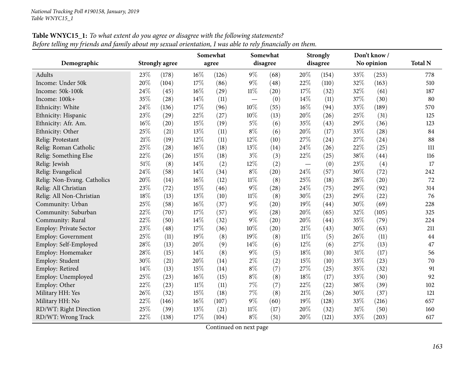|                               |        |                       |        | Somewhat |        | Somewhat |                          | <b>Strongly</b> |     | Don't know / |                |
|-------------------------------|--------|-----------------------|--------|----------|--------|----------|--------------------------|-----------------|-----|--------------|----------------|
| Demographic                   |        | <b>Strongly agree</b> |        | agree    |        | disagree |                          | disagree        |     | No opinion   | <b>Total N</b> |
| Adults                        | 23%    | (178)                 | 16%    | (126)    | $9\%$  | (68)     | 20%                      | (154)           | 33% | (253)        | 778            |
| Income: Under 50k             | 20%    | (104)                 | 17%    | (86)     | $9\%$  | (48)     | 22%                      | (110)           | 32% | (163)        | 510            |
| Income: 50k-100k              | 24%    | (45)                  | 16%    | (29)     | $11\%$ | (20)     | 17%                      | (32)            | 32% | (61)         | 187            |
| Income: 100k+                 | 35%    | (28)                  | 14%    | (11)     |        | (0)      | 14%                      | (11)            | 37% | (30)         | 80             |
| Ethnicity: White              | 24%    | (136)                 | 17%    | (96)     | 10%    | (55)     | 16%                      | (94)            | 33% | (189)        | 570            |
| Ethnicity: Hispanic           | 23%    | (29)                  | 22%    | (27)     | 10%    | (13)     | 20%                      | (26)            | 25% | (31)         | 125            |
| Ethnicity: Afr. Am.           | $16\%$ | (20)                  | 15%    | (19)     | $5\%$  | (6)      | 35%                      | (43)            | 29% | (36)         | 123            |
| Ethnicity: Other              | 25%    | (21)                  | 13%    | (11)     | $8\%$  | (6)      | 20%                      | (17)            | 33% | (28)         | 84             |
| Relig: Protestant             | $21\%$ | (19)                  | 12%    | (11)     | 12%    | (10)     | 27%                      | (24)            | 27% | (24)         | 88             |
| Relig: Roman Catholic         | 25%    | (28)                  | 16%    | (18)     | 13%    | (14)     | 24\%                     | (26)            | 22% | (25)         | 111            |
| Relig: Something Else         | 22%    | (26)                  | 15%    | (18)     | $3\%$  | (3)      | 22%                      | (25)            | 38% | (44)         | 116            |
| Relig: Jewish                 | 51%    | (8)                   | 14%    | (2)      | 12%    | (2)      | $\overline{\phantom{m}}$ | (0)             | 23% | (4)          | 17             |
| Relig: Evangelical            | 24%    | (58)                  | 14%    | (34)     | $8\%$  | (20)     | 24\%                     | (57)            | 30% | (72)         | 242            |
| Relig: Non-Evang. Catholics   | 20%    | (14)                  | 16%    | (12)     | $11\%$ | (8)      | 25%                      | (18)            | 28% | (20)         | 72             |
| Relig: All Christian          | 23%    | (72)                  | 15%    | (46)     | 9%     | (28)     | 24%                      | (75)            | 29% | (92)         | 314            |
| Relig: All Non-Christian      | 18%    | (13)                  | 13%    | (10)     | $11\%$ | (8)      | 30%                      | (23)            | 29% | (22)         | 76             |
| Community: Urban              | 25%    | (58)                  | 16%    | (37)     | $9\%$  | (20)     | 19%                      | (44)            | 30% | (69)         | 228            |
| Community: Suburban           | 22%    | (70)                  | 17%    | (57)     | $9\%$  | (28)     | 20%                      | (65)            | 32% | (105)        | 325            |
| Community: Rural              | 22%    | (50)                  | 14%    | (32)     | 9%     | (20)     | 20%                      | (44)            | 35% | (79)         | 224            |
| <b>Employ: Private Sector</b> | 23%    | (48)                  | 17%    | (36)     | 10%    | (20)     | 21%                      | (43)            | 30% | (63)         | 211            |
| Employ: Government            | 25%    | (11)                  | 19%    | (8)      | 19%    | (8)      | $11\%$                   | (5)             | 26% | (11)         | 44             |
| Employ: Self-Employed         | 28%    | (13)                  | 20%    | (9)      | 14%    | (6)      | 12%                      | (6)             | 27% | (13)         | 47             |
| Employ: Homemaker             | 28%    | (15)                  | 14%    | (8)      | $9\%$  | (5)      | 18%                      | (10)            | 31% | (17)         | 56             |
| Employ: Student               | 30%    | (21)                  | 20%    | (14)     | $2\%$  | (2)      | 15%                      | (10)            | 33% | (23)         | 70             |
| Employ: Retired               | 14\%   | (13)                  | 15%    | (14)     | $8\%$  | (7)      | 27%                      | (25)            | 35% | (32)         | 91             |
| Employ: Unemployed            | 25%    | (23)                  | 16%    | (15)     | $8\%$  | (8)      | 18%                      | (17)            | 33% | (30)         | 92             |
| Employ: Other                 | 22%    | (23)                  | $11\%$ | (11)     | 7%     | (7)      | 22%                      | (22)            | 38% | (39)         | 102            |
| Military HH: Yes              | 26%    | (32)                  | 15%    | (18)     | 7%     | (8)      | $21\%$                   | (26)            | 30% | (37)         | 121            |
| Military HH: No               | 22%    | (146)                 | 16%    | (107)    | $9\%$  | (60)     | 19%                      | (128)           | 33% | (216)        | 657            |
| RD/WT: Right Direction        | 25%    | (39)                  | 13%    | (21)     | $11\%$ | (17)     | 20%                      | (32)            | 31% | (50)         | 160            |
| RD/WT: Wrong Track            | 22%    | (138)                 | 17%    | (104)    | $8\%$  | (51)     | 20%                      | (121)           | 33% | (203)        | 617            |

**Table WNYC15\_1:** To what extent do you agree or disagree with the following statements? Before telling my friends and family about my sexual orientation, I was able to rely financially on them.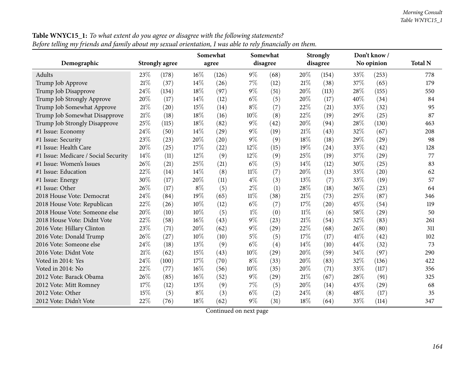| Ö                                    |        |                       |        | Somewhat |        | Somewhat |        | <b>Strongly</b> |      | Don't know / |                |
|--------------------------------------|--------|-----------------------|--------|----------|--------|----------|--------|-----------------|------|--------------|----------------|
| Demographic                          |        | <b>Strongly agree</b> |        | agree    |        | disagree |        | disagree        |      | No opinion   | <b>Total N</b> |
| Adults                               | 23\%   | (178)                 | $16\%$ | (126)    | $9\%$  | (68)     | 20%    | (154)           | 33\% | (253)        | 778            |
| Trump Job Approve                    | $21\%$ | (37)                  | 14%    | (26)     | $7\%$  | (12)     | 21\%   | (38)            | 37%  | (65)         | 179            |
| Trump Job Disapprove                 | 24%    | (134)                 | 18%    | (97)     | 9%     | (51)     | 20%    | (113)           | 28%  | (155)        | 550            |
| Trump Job Strongly Approve           | 20%    | (17)                  | 14%    | (12)     | $6\%$  | (5)      | 20%    | (17)            | 40%  | (34)         | 84             |
| Trump Job Somewhat Approve           | 21%    | (20)                  | 15%    | (14)     | $8\%$  | (7)      | 22%    | (21)            | 33\% | (32)         | 95             |
| Trump Job Somewhat Disapprove        | 21%    | (18)                  | 18%    | (16)     | 10%    | (8)      | 22%    | (19)            | 29%  | (25)         | 87             |
| Trump Job Strongly Disapprove        | 25%    | (115)                 | 18%    | (82)     | 9%     | (42)     | 20%    | (94)            | 28%  | (130)        | 463            |
| #1 Issue: Economy                    | 24%    | (50)                  | 14%    | (29)     | 9%     | (19)     | $21\%$ | (43)            | 32%  | (67)         | 208            |
| #1 Issue: Security                   | 23%    | (23)                  | 20%    | (20)     | 9%     | (9)      | 18%    | (18)            | 29%  | (29)         | 98             |
| #1 Issue: Health Care                | 20%    | (25)                  | 17%    | (22)     | 12%    | (15)     | 19%    | (24)            | 33%  | (42)         | 128            |
| #1 Issue: Medicare / Social Security | 14%    | (11)                  | 12%    | (9)      | 12%    | (9)      | 25%    | (19)            | 37%  | (29)         | 77             |
| #1 Issue: Women's Issues             | 26%    | (21)                  | 25%    | (21)     | $6\%$  | (5)      | 14\%   | (12)            | 30%  | (25)         | 83             |
| #1 Issue: Education                  | 22%    | (14)                  | 14\%   | (8)      | $11\%$ | (7)      | 20%    | (13)            | 33%  | (20)         | 62             |
| #1 Issue: Energy                     | 30%    | (17)                  | 20%    | (11)     | $4\%$  | (3)      | 13%    | (7)             | 33%  | (19)         | 57             |
| #1 Issue: Other                      | 26%    | (17)                  | $8\%$  | (5)      | $2\%$  | (1)      | 28%    | (18)            | 36%  | (23)         | 64             |
| 2018 House Vote: Democrat            | 24%    | (84)                  | 19%    | (65)     | $11\%$ | (38)     | 21%    | (73)            | 25%  | (87)         | 346            |
| 2018 House Vote: Republican          | 22%    | (26)                  | 10%    | (12)     | $6\%$  | (7)      | 17%    | (20)            | 45%  | (54)         | 119            |
| 2018 House Vote: Someone else        | 20%    | (10)                  | 10%    | (5)      | $1\%$  | (0)      | $11\%$ | (6)             | 58%  | (29)         | 50             |
| 2018 House Vote: Didnt Vote          | 22%    | (58)                  | 16%    | (43)     | 9%     | (23)     | 21\%   | (54)            | 32%  | (83)         | 261            |
| 2016 Vote: Hillary Clinton           | 23%    | (71)                  | 20%    | (62)     | 9%     | (29)     | 22%    | (68)            | 26%  | (80)         | 311            |
| 2016 Vote: Donald Trump              | 26%    | (27)                  | 10%    | (10)     | $5\%$  | (5)      | 17%    | (17)            | 41%  | (42)         | 102            |
| 2016 Vote: Someone else              | 24%    | (18)                  | 13%    | (9)      | $6\%$  | (4)      | 14\%   | (10)            | 44%  | (32)         | 73             |
| 2016 Vote: Didnt Vote                | $21\%$ | (62)                  | 15%    | (43)     | 10%    | (29)     | 20%    | (59)            | 34%  | (97)         | 290            |
| Voted in 2014: Yes                   | 24%    | (100)                 | 17%    | (70)     | $8\%$  | (33)     | 20%    | (83)            | 32%  | (136)        | 422            |
| Voted in 2014: No                    | 22%    | (77)                  | 16%    | (56)     | 10%    | (35)     | 20%    | (71)            | 33%  | (117)        | 356            |
| 2012 Vote: Barack Obama              | 26%    | (85)                  | 16%    | (52)     | 9%     | (29)     | 21%    | (67)            | 28%  | (91)         | 325            |
| 2012 Vote: Mitt Romney               | 17%    | (12)                  | 13%    | (9)      | $7\%$  | (5)      | 20%    | (14)            | 43%  | (29)         | 68             |
| 2012 Vote: Other                     | 15%    | (5)                   | $8\%$  | (3)      | $6\%$  | (2)      | 24\%   | (8)             | 48%  | (17)         | 35             |
| 2012 Vote: Didn't Vote               | 22%    | (76)                  | 18%    | (62)     | 9%     | (31)     | 18%    | (64)            | 33%  | (114)        | 347            |

**Table WNYC15\_1:** To what extent do you agree or disagree with the following statements? Before telling my friends and family about my sexual orientation, I was able to rely financially on them.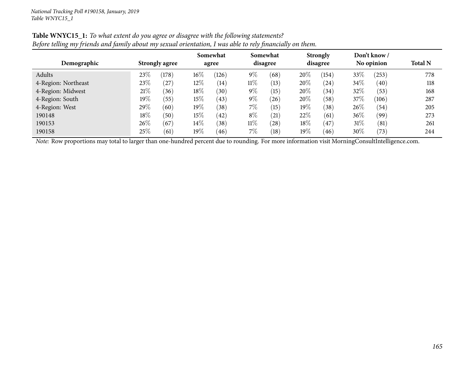| $\bullet$<br>$\prime\prime$<br>Demographic | <b>Strongly agree</b> |       | Somewhat<br>agree |       | Somewhat<br>disagree |      | <b>Strongly</b><br>disagree |       | Don't know/<br>No opinion |            | <b>Total N</b> |
|--------------------------------------------|-----------------------|-------|-------------------|-------|----------------------|------|-----------------------------|-------|---------------------------|------------|----------------|
| Adults                                     | 23\%                  | (178) | $16\%$            | (126) | $9\%$                | (68) | 20%                         | (154) | $33\%$                    | $^{(253)}$ | 778            |
| 4-Region: Northeast                        | 23\%                  | (27   | $12\%$            | (14)  | $11\%$               | (13) | 20%                         | (24)  | $34\%$                    | (40)       | 118            |
| 4-Region: Midwest                          | 21%                   | (36)  | 18%               | (30)  | $9\%$                | (15) | 20%                         | (34)  | 32\%                      | (53)       | 168            |
| 4-Region: South                            | 19%                   | (55)  | $15\%$            | (43)  | $9\%$                | (26) | 20%                         | (58)  | 37%                       | (106)      | 287            |
| 4-Region: West                             | 29%                   | (60)  | 19%               | (38)  | 7%                   | (15) | 19%                         | (38)  | 26\%                      | (54)       | 205            |
| 190148                                     | $18\%$                | (50)  | $15\%$            | (42)  | $8\%$                | (21) | 22%                         | (61)  | 36\%                      | (99)       | 273            |
| 190153                                     | 26\%                  | (67)  | $14\%$            | (38)  | $11\%$               | (28) | 18%                         | (47)  | $31\%$                    | (81)       | 261            |
| 190158                                     | 25%                   | (61)  | $19\%$            | (46)  | 7%                   | (18) | 19%                         | (46)  | 30\%                      | (73)       | 244            |

## Table WNYC15\_1: To what extent do you agree or disagree with the following statements? Before telling my friends and family about my sexual orientation, I was able to rely financially on them.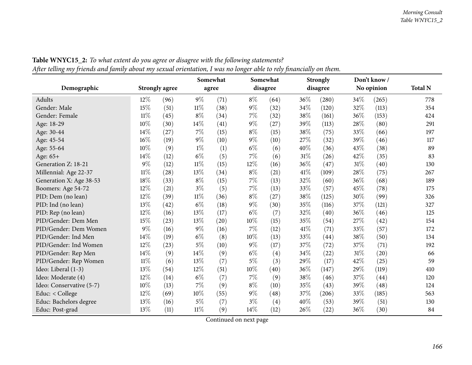| o<br>╯ノ                  |        |                       |        | Somewhat | $\circ$ | <b>∕</b> J<br>Somewhat |        | <b>Strongly</b> |      | Don't know/ |                |
|--------------------------|--------|-----------------------|--------|----------|---------|------------------------|--------|-----------------|------|-------------|----------------|
| Demographic              |        | <b>Strongly agree</b> |        | agree    |         | disagree               |        | disagree        |      | No opinion  | <b>Total N</b> |
| Adults                   | 12%    | (96)                  | $9\%$  | (71)     | $8\%$   | (64)                   | 36%    | (280)           | 34\% | (265)       | 778            |
| Gender: Male             | 15%    | (51)                  | $11\%$ | (38)     | $9\%$   | (32)                   | 34%    | (120)           | 32%  | (113)       | 354            |
| Gender: Female           | $11\%$ | (45)                  | $8\%$  | (34)     | 7%      | (32)                   | 38%    | (161)           | 36%  | (153)       | 424            |
| Age: 18-29               | 10%    | (30)                  | $14\%$ | (41)     | $9\%$   | (27)                   | 39%    | (113)           | 28%  | (80)        | 291            |
| Age: 30-44               | $14\%$ | (27)                  | $7\%$  | (15)     | $8\%$   | (15)                   | 38%    | (75)            | 33%  | (66)        | 197            |
| Age: 45-54               | 16%    | (19)                  | $9\%$  | (10)     | $9\%$   | (10)                   | 27\%   | (32)            | 39%  | (46)        | 117            |
| Age: 55-64               | 10%    | (9)                   | $1\%$  | (1)      | $6\%$   | (6)                    | 40%    | (36)            | 43%  | (38)        | 89             |
| Age: 65+                 | 14%    | (12)                  | $6\%$  | (5)      | 7%      | (6)                    | $31\%$ | (26)            | 42%  | (35)        | 83             |
| Generation Z: 18-21      | 9%     | (12)                  | $11\%$ | (15)     | $12\%$  | (16)                   | 36%    | (47)            | 31%  | (40)        | 130            |
| Millennial: Age 22-37    | $11\%$ | (28)                  | $13\%$ | (34)     | $8\%$   | (21)                   | 41%    | (109)           | 28%  | (75)        | 267            |
| Generation X: Age 38-53  | 18%    | (33)                  | $8\%$  | (15)     | $7\%$   | (13)                   | 32%    | (60)            | 36%  | (68)        | 189            |
| Boomers: Age 54-72       | 12%    | (21)                  | $3\%$  | (5)      | $7\%$   | (13)                   | 33%    | (57)            | 45%  | (78)        | 175            |
| PID: Dem (no lean)       | 12%    | (39)                  | $11\%$ | (36)     | $8\%$   | (27)                   | 38%    | (125)           | 30%  | (99)        | 326            |
| PID: Ind (no lean)       | 13%    | (42)                  | $6\%$  | (18)     | $9\%$   | (30)                   | 35%    | (116)           | 37%  | (121)       | 327            |
| PID: Rep (no lean)       | 12%    | (16)                  | 13%    | (17)     | $6\%$   | (7)                    | 32%    | (40)            | 36%  | (46)        | 125            |
| PID/Gender: Dem Men      | 15%    | (23)                  | 13%    | (20)     | 10%     | (15)                   | 35%    | (54)            | 27%  | (42)        | 154            |
| PID/Gender: Dem Women    | $9\%$  | (16)                  | $9\%$  | (16)     | 7%      | (12)                   | 41\%   | (71)            | 33%  | (57)        | 172            |
| PID/Gender: Ind Men      | 14%    | (19)                  | $6\%$  | (8)      | 10%     | (13)                   | 33%    | (44)            | 38%  | (50)        | 134            |
| PID/Gender: Ind Women    | 12%    | (23)                  | $5\%$  | (10)     | $9\%$   | (17)                   | 37%    | (72)            | 37%  | (71)        | 192            |
| PID/Gender: Rep Men      | 14%    | (9)                   | $14\%$ | (9)      | $6\%$   | (4)                    | 34\%   | (22)            | 31\% | (20)        | 66             |
| PID/Gender: Rep Women    | $11\%$ | (6)                   | 13%    | (7)      | 5%      | (3)                    | 29%    | (17)            | 42%  | (25)        | 59             |
| Ideo: Liberal (1-3)      | 13%    | (54)                  | $12\%$ | (51)     | $10\%$  | (40)                   | 36%    | (147)           | 29%  | (119)       | 410            |
| Ideo: Moderate (4)       | 12%    | (14)                  | $6\%$  | (7)      | 7%      | (9)                    | 38%    | (46)            | 37%  | (44)        | 120            |
| Ideo: Conservative (5-7) | 10%    | (13)                  | $7\%$  | (9)      | $8\%$   | (10)                   | 35%    | (43)            | 39%  | (48)        | 124            |
| Educ: < College          | 12%    | (69)                  | $10\%$ | (55)     | $9\%$   | (48)                   | 37%    | (206)           | 33%  | (185)       | 563            |
| Educ: Bachelors degree   | 13%    | (16)                  | $5\%$  | (7)      | $3\%$   | (4)                    | 40%    | (53)            | 39%  | (51)        | 130            |
| Educ: Post-grad          | 13%    | (11)                  | $11\%$ | (9)      | 14%     | (12)                   | 26%    | (22)            | 36%  | (30)        | 84             |

Table WNYC15\_2: To what extent do you agree or disagree with the following statements? After telling my friends and family about my sexual orientation, I was no longer able to rely financially on them.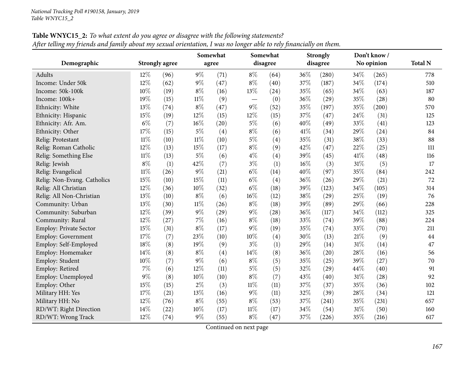|                             |        |                       |        | Somewhat |        | Somewhat |        | <b>Strongly</b> |     | Don't know / |                |
|-----------------------------|--------|-----------------------|--------|----------|--------|----------|--------|-----------------|-----|--------------|----------------|
| Demographic                 |        | <b>Strongly agree</b> |        | agree    |        | disagree |        | disagree        |     | No opinion   | <b>Total N</b> |
| Adults                      | 12%    | (96)                  | $9\%$  | (71)     | $8\%$  | (64)     | 36%    | (280)           | 34% | (265)        | 778            |
| Income: Under 50k           | 12%    | (62)                  | $9\%$  | (47)     | $8\%$  | (40)     | 37%    | (187)           | 34% | (174)        | 510            |
| Income: 50k-100k            | 10%    | (19)                  | $8\%$  | (16)     | 13%    | (24)     | 35%    | (65)            | 34% | (63)         | 187            |
| Income: 100k+               | 19%    | (15)                  | $11\%$ | (9)      |        | (0)      | 36%    | (29)            | 35% | (28)         | 80             |
| Ethnicity: White            | 13%    | (74)                  | $8\%$  | (47)     | $9\%$  | (52)     | 35%    | (197)           | 35% | (200)        | 570            |
| Ethnicity: Hispanic         | 15%    | (19)                  | 12%    | (15)     | 12%    | (15)     | 37%    | (47)            | 24% | (31)         | 125            |
| Ethnicity: Afr. Am.         | $6\%$  | (7)                   | 16%    | (20)     | $5\%$  | (6)      | 40%    | (49)            | 33% | (41)         | 123            |
| Ethnicity: Other            | 17%    | (15)                  | $5\%$  | (4)      | $8\%$  | (6)      | 41%    | (34)            | 29% | (24)         | 84             |
| Relig: Protestant           | $11\%$ | (10)                  | $11\%$ | (10)     | $5\%$  | (4)      | 35%    | (31)            | 38% | (33)         | 88             |
| Relig: Roman Catholic       | 12%    | (13)                  | 15%    | (17)     | $8\%$  | (9)      | 42%    | (47)            | 22% | (25)         | 111            |
| Relig: Something Else       | $11\%$ | (13)                  | $5\%$  | (6)      | $4\%$  | (4)      | 39%    | (45)            | 41% | (48)         | 116            |
| Relig: Jewish               | $8\%$  | (1)                   | 42%    | (7)      | $3\%$  | (1)      | $16\%$ | (3)             | 31% | (5)          | 17             |
| Relig: Evangelical          | $11\%$ | (26)                  | $9\%$  | (21)     | $6\%$  | (14)     | 40%    | (97)            | 35% | (84)         | 242            |
| Relig: Non-Evang. Catholics | 15%    | (10)                  | 15%    | (11)     | $6\%$  | (4)      | 36%    | (26)            | 29% | (21)         | 72             |
| Relig: All Christian        | 12%    | (36)                  | 10%    | (32)     | $6\%$  | (18)     | 39%    | (123)           | 34% | (105)        | 314            |
| Relig: All Non-Christian    | 13%    | (10)                  | $8\%$  | (6)      | 16%    | (12)     | 38%    | (29)            | 25% | (19)         | 76             |
| Community: Urban            | 13%    | (30)                  | $11\%$ | (26)     | $8\%$  | (18)     | 39%    | (89)            | 29% | (66)         | 228            |
| Community: Suburban         | 12%    | (39)                  | $9\%$  | (29)     | $9\%$  | (28)     | 36%    | (117)           | 34% | (112)        | 325            |
| Community: Rural            | $12\%$ | (27)                  | 7%     | (16)     | $8\%$  | (18)     | 33%    | (74)            | 39% | (88)         | 224            |
| Employ: Private Sector      | 15%    | (31)                  | $8\%$  | (17)     | $9\%$  | (19)     | 35%    | (74)            | 33% | (70)         | 211            |
| Employ: Government          | 17%    | (7)                   | 23%    | (10)     | $10\%$ | (4)      | 30%    | (13)            | 21% | (9)          | 44             |
| Employ: Self-Employed       | 18%    | (8)                   | 19%    | (9)      | $3\%$  | (1)      | 29%    | (14)            | 31% | (14)         | 47             |
| Employ: Homemaker           | 14%    | (8)                   | $8\%$  | (4)      | 14%    | (8)      | 36%    | (20)            | 28% | (16)         | 56             |
| Employ: Student             | $10\%$ | (7)                   | $9\%$  | (6)      | $8\%$  | (5)      | 35%    | (25)            | 39% | (27)         | 70             |
| Employ: Retired             | $7\%$  | (6)                   | 12%    | (11)     | $5\%$  | (5)      | 32%    | (29)            | 44% | (40)         | 91             |
| Employ: Unemployed          | $9\%$  | (8)                   | 10%    | (10)     | $8\%$  | (7)      | 43%    | (40)            | 31% | (28)         | 92             |
| Employ: Other               | 15%    | (15)                  | $2\%$  | (3)      | $11\%$ | (11)     | 37%    | (37)            | 35% | (36)         | 102            |
| Military HH: Yes            | 17%    | (21)                  | 13%    | (16)     | $9\%$  | (11)     | 32%    | (39)            | 28% | (34)         | 121            |
| Military HH: No             | 12%    | (76)                  | $8\%$  | (55)     | $8\%$  | (53)     | 37%    | (241)           | 35% | (231)        | 657            |
| RD/WT: Right Direction      | 14%    | (22)                  | 10%    | (17)     | $11\%$ | (17)     | 34%    | (54)            | 31% | (50)         | 160            |
| RD/WT: Wrong Track          | 12%    | (74)                  | $9\%$  | (55)     | $8\%$  | (47)     | 37%    | (226)           | 35% | (216)        | 617            |

Table WNYC15\_2: To what extent do you agree or disagree with the following statements? After telling my friends and family about my sexual orientation, I was no longer able to rely financially on them.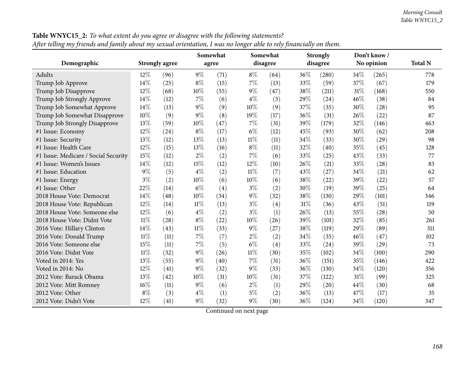|                                      |        |                       |        | Somewhat |        | Somewhat |        | <b>Strongly</b> |      | Don't know/ |                |
|--------------------------------------|--------|-----------------------|--------|----------|--------|----------|--------|-----------------|------|-------------|----------------|
| Demographic                          |        | <b>Strongly agree</b> |        | agree    |        | disagree |        | disagree        |      | No opinion  | <b>Total N</b> |
| Adults                               | $12\%$ | (96)                  | $9\%$  | (71)     | $8\%$  | (64)     | 36%    | (280)           | 34\% | (265)       | 778            |
| Trump Job Approve                    | 14\%   | (25)                  | $8\%$  | (15)     | $7\%$  | (13)     | 33%    | (59)            | 37%  | (67)        | 179            |
| Trump Job Disapprove                 | 12%    | (68)                  | 10%    | (55)     | $9\%$  | (47)     | 38%    | (211)           | 31%  | (168)       | 550            |
| Trump Job Strongly Approve           | 14%    | (12)                  | $7\%$  | (6)      | $4\%$  | (3)      | 29%    | (24)            | 46%  | (38)        | 84             |
| Trump Job Somewhat Approve           | 14%    | (13)                  | $9\%$  | (9)      | 10%    | (9)      | 37%    | (35)            | 30%  | (28)        | 95             |
| Trump Job Somewhat Disapprove        | 10%    | (9)                   | $9\%$  | (8)      | 19%    | (17)     | 36%    | (31)            | 26\% | (22)        | 87             |
| Trump Job Strongly Disapprove        | 13%    | (59)                  | 10%    | (47)     | $7\%$  | (31)     | 39%    | (179)           | 32%  | (146)       | 463            |
| #1 Issue: Economy                    | 12%    | (24)                  | $8\%$  | (17)     | $6\%$  | (12)     | 45%    | (93)            | 30%  | (62)        | 208            |
| #1 Issue: Security                   | 13%    | (12)                  | 13%    | (13)     | $11\%$ | (11)     | 34%    | (33)            | 30%  | (29)        | 98             |
| #1 Issue: Health Care                | 12%    | (15)                  | 13%    | (16)     | $8\%$  | (11)     | 32%    | (40)            | 35%  | (45)        | 128            |
| #1 Issue: Medicare / Social Security | 15%    | (12)                  | $2\%$  | (2)      | 7%     | (6)      | 33%    | (25)            | 43%  | (33)        | 77             |
| #1 Issue: Women's Issues             | 14%    | (12)                  | 15%    | (12)     | 12%    | (10)     | 26%    | (21)            | 33%  | (28)        | 83             |
| #1 Issue: Education                  | $9\%$  | (5)                   | $4\%$  | (2)      | $11\%$ | (7)      | 43%    | (27)            | 34%  | (21)        | 62             |
| #1 Issue: Energy                     | $3\%$  | (2)                   | 10%    | (6)      | 10%    | (6)      | 38%    | (22)            | 39%  | (22)        | 57             |
| #1 Issue: Other                      | 22%    | (14)                  | $6\%$  | (4)      | $3\%$  | (2)      | 30%    | (19)            | 39%  | (25)        | 64             |
| 2018 House Vote: Democrat            | $14\%$ | (48)                  | 10%    | (34)     | $9\%$  | (32)     | 38%    | (130)           | 29%  | (101)       | 346            |
| 2018 House Vote: Republican          | 12%    | (14)                  | $11\%$ | (13)     | $3\%$  | (4)      | $31\%$ | (36)            | 43%  | (51)        | 119            |
| 2018 House Vote: Someone else        | $12\%$ | (6)                   | $4\%$  | (2)      | $3\%$  | (1)      | 26\%   | (13)            | 55%  | (28)        | 50             |
| 2018 House Vote: Didnt Vote          | $11\%$ | (28)                  | $8\%$  | (22)     | 10%    | (26)     | 39%    | (101)           | 32%  | (85)        | 261            |
| 2016 Vote: Hillary Clinton           | 14%    | (43)                  | $11\%$ | (33)     | $9\%$  | (27)     | 38%    | (119)           | 29%  | (89)        | 311            |
| 2016 Vote: Donald Trump              | $11\%$ | (11)                  | $7\%$  | (7)      | $2\%$  | (2)      | 34%    | (35)            | 46%  | (47)        | 102            |
| 2016 Vote: Someone else              | 15%    | (11)                  | 7%     | (5)      | $6\%$  | (4)      | 33%    | (24)            | 39%  | (29)        | 73             |
| 2016 Vote: Didnt Vote                | $11\%$ | (32)                  | $9\%$  | (26)     | $11\%$ | (30)     | 35%    | (102)           | 34%  | (100)       | 290            |
| Voted in 2014: Yes                   | 13%    | (55)                  | $9\%$  | (40)     | $7\%$  | (31)     | 36%    | (151)           | 35%  | (146)       | 422            |
| Voted in 2014: No                    | 12%    | (41)                  | $9\%$  | (32)     | $9\%$  | (33)     | 36%    | (130)           | 34%  | (120)       | 356            |
| 2012 Vote: Barack Obama              | 13%    | (42)                  | 10%    | (31)     | 10%    | (31)     | 37%    | (122)           | 31%  | (99)        | 325            |
| 2012 Vote: Mitt Romney               | 16%    | (11)                  | $9\%$  | (6)      | $2\%$  | (1)      | 29%    | (20)            | 44%  | (30)        | 68             |
| 2012 Vote: Other                     | $8\%$  | (3)                   | $4\%$  | (1)      | $5\%$  | (2)      | 36%    | (13)            | 47%  | (17)        | 35             |
| 2012 Vote: Didn't Vote               | 12%    | (41)                  | $9\%$  | (32)     | $9\%$  | (30)     | 36%    | (124)           | 34%  | (120)       | 347            |

**Table WNYC15\_2:** To what extent do you agree or disagree with the following statements? After telling my friends and family about my sexual orientation, I was no longer able to rely financially on them.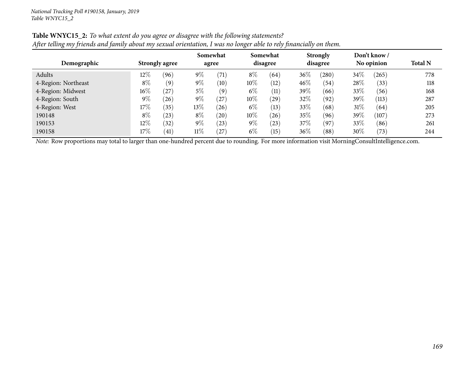| Demographic         |        | <b>Strongly agree</b> |        | Somewhat<br>agree |        | Somewhat<br>disagree |      | <b>Strongly</b><br>disagree |        | Don't know/<br>No opinion | <b>Total N</b> |
|---------------------|--------|-----------------------|--------|-------------------|--------|----------------------|------|-----------------------------|--------|---------------------------|----------------|
| Adults              | $12\%$ | (96)                  | $9\%$  | (71)              | $8\%$  | (64)                 | 36%  | (280)                       | 34\%   | (265)                     | 778            |
| 4-Region: Northeast | $8\%$  | (9)                   | $9\%$  | (10)              | $10\%$ | (12)                 | 46\% | (54)                        | 28%    | (33)                      | 118            |
| 4-Region: Midwest   | $16\%$ | (27)                  | 5%     | (9)               | $6\%$  | (11)                 | 39%  | (66)                        | 33\%   | (56)                      | 168            |
| 4-Region: South     | $9\%$  | (26)                  | $9\%$  | $^{'}27$          | $10\%$ | 29)                  | 32%  | (92)                        | 39%    | (113)                     | 287            |
| 4-Region: West      | 17%    | (35)                  | $13\%$ | (26)              | $6\%$  | (13)                 | 33%  | (68)                        | $31\%$ | (64)                      | 205            |
| 190148              | $8\%$  | $^{'}23$              | $8\%$  | $^{'}20$          | $10\%$ | (26)                 | 35%  | (96)                        | 39%    | (107)                     | 273            |
| 190153              | $12\%$ | (32)                  | $9\%$  | (23)              | $9\%$  | $^{(23)}$            | 37\% | (97)                        | 33\%   | (86)                      | 261            |
| 190158              | 17\%   | (41)                  | $11\%$ | (27)              | $6\%$  | (15)                 | 36\% | (88)                        | 30%    | (73)                      | 244            |

## Table WNYC15\_2: To what extent do you agree or disagree with the following statements? After telling my friends and family about my sexual orientation, I was no longer able to rely financially on them.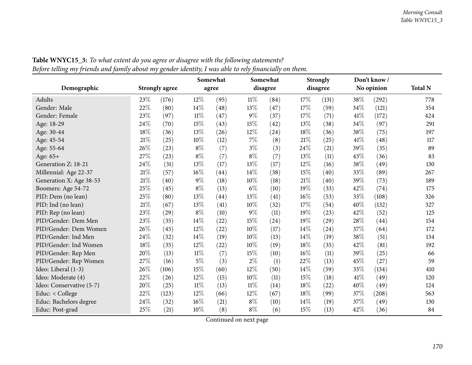| o                        |        | ∕ ⊙                   |        | Somewhat |        | Somewhat |        | <b>Strongly</b> |      | Don't know/ |                |
|--------------------------|--------|-----------------------|--------|----------|--------|----------|--------|-----------------|------|-------------|----------------|
| Demographic              |        | <b>Strongly agree</b> |        | agree    |        | disagree |        | disagree        |      | No opinion  | <b>Total N</b> |
| Adults                   | 23%    | (176)                 | $12\%$ | (95)     | $11\%$ | (84)     | 17%    | (131)           | 38%  | (292)       | 778            |
| Gender: Male             | 22%    | (80)                  | 14%    | (48)     | 13%    | (47)     | 17%    | (59)            | 34%  | (121)       | 354            |
| Gender: Female           | 23%    | (97)                  | $11\%$ | (47)     | 9%     | (37)     | 17%    | (71)            | 41\% | (172)       | 424            |
| Age: 18-29               | 24\%   | (70)                  | $15\%$ | (43)     | 15%    | (42)     | 13%    | (38)            | 34%  | (97)        | 291            |
| Age: 30-44               | 18%    | (36)                  | $13\%$ | (26)     | 12%    | (24)     | 18%    | (36)            | 38%  | (75)        | 197            |
| Age: 45-54               | $21\%$ | (25)                  | $10\%$ | (12)     | 7%     | (8)      | $21\%$ | (25)            | 41\% | (48)        | 117            |
| Age: 55-64               | 26%    | (23)                  | $8\%$  | (7)      | $3\%$  | (3)      | 24\%   | (21)            | 39%  | (35)        | 89             |
| Age: 65+                 | $27\%$ | (23)                  | $8\%$  | (7)      | $8\%$  | (7)      | 13%    | (11)            | 43%  | (36)        | 83             |
| Generation Z: 18-21      | 24%    | (31)                  | 13%    | (17)     | 13%    | (17)     | 12%    | (16)            | 38%  | (49)        | 130            |
| Millennial: Age 22-37    | 21%    | (57)                  | 16%    | (44)     | 14%    | (38)     | 15%    | (40)            | 33%  | (89)        | 267            |
| Generation X: Age 38-53  | $21\%$ | (40)                  | $9\%$  | (18)     | 10%    | (18)     | 21\%   | (40)            | 39%  | (73)        | 189            |
| Boomers: Age 54-72       | 25%    | (45)                  | $8\%$  | (13)     | $6\%$  | (10)     | 19%    | (33)            | 42%  | (74)        | 175            |
| PID: Dem (no lean)       | 25%    | (80)                  | $13\%$ | (44)     | 13%    | (41)     | $16\%$ | (53)            | 33%  | (108)       | 326            |
| PID: Ind (no lean)       | $21\%$ | (67)                  | 13%    | (41)     | 10%    | (32)     | 17%    | (54)            | 40%  | (132)       | 327            |
| PID: Rep (no lean)       | 23%    | (29)                  | $8\%$  | (10)     | 9%     | (11)     | 19%    | (23)            | 42%  | (52)        | 125            |
| PID/Gender: Dem Men      | 23%    | (35)                  | 14%    | (22)     | 15%    | (24)     | 19%    | (29)            | 28%  | (44)        | 154            |
| PID/Gender: Dem Women    | 26%    | (45)                  | $12\%$ | (22)     | 10%    | (17)     | 14%    | (24)            | 37%  | (64)        | 172            |
| PID/Gender: Ind Men      | 24%    | (32)                  | $14\%$ | (19)     | 10%    | (13)     | 14\%   | (19)            | 38%  | (51)        | 134            |
| PID/Gender: Ind Women    | 18%    | (35)                  | 12%    | (22)     | 10%    | (19)     | 18%    | (35)            | 42%  | (81)        | 192            |
| PID/Gender: Rep Men      | 20%    | (13)                  | $11\%$ | (7)      | 15%    | (10)     | $16\%$ | (11)            | 39%  | (25)        | 66             |
| PID/Gender: Rep Women    | 27%    | (16)                  | $5\%$  | (3)      | $2\%$  | (1)      | 22%    | (13)            | 45%  | (27)        | 59             |
| Ideo: Liberal (1-3)      | 26%    | (106)                 | 15%    | (60)     | 12%    | (50)     | 14%    | (59)            | 33%  | (134)       | 410            |
| Ideo: Moderate (4)       | 22%    | (26)                  | 12%    | (15)     | 10%    | (11)     | 15%    | (18)            | 41\% | (49)        | 120            |
| Ideo: Conservative (5-7) | 20%    | (25)                  | $11\%$ | (13)     | $11\%$ | (14)     | 18%    | (22)            | 40%  | (49)        | 124            |
| Educ: < College          | 22%    | (123)                 | $12\%$ | (66)     | 12%    | (67)     | 18%    | (99)            | 37%  | (208)       | 563            |
| Educ: Bachelors degree   | 24%    | (32)                  | $16\%$ | (21)     | $8\%$  | (10)     | 14%    | (19)            | 37%  | (49)        | 130            |
| Educ: Post-grad          | 25%    | (21)                  | $10\%$ | (8)      | $8\%$  | (6)      | 15%    | (13)            | 42%  | (36)        | 84             |

Table WNYC15\_3: To what extent do you agree or disagree with the following statements? Before telling my friends and family about my gender identity, I was able to rely financially on them.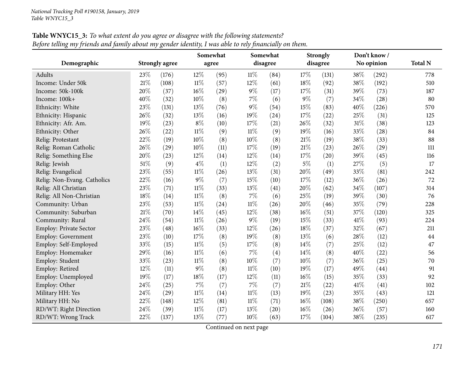|                             |        |                       |        | Somewhat |        | Somewhat |        | <b>Strongly</b> |     | Don't know / |                |
|-----------------------------|--------|-----------------------|--------|----------|--------|----------|--------|-----------------|-----|--------------|----------------|
| Demographic                 |        | <b>Strongly agree</b> |        | agree    |        | disagree |        | disagree        |     | No opinion   | <b>Total N</b> |
| Adults                      | 23%    | (176)                 | 12%    | (95)     | $11\%$ | (84)     | 17%    | (131)           | 38% | (292)        | 778            |
| Income: Under 50k           | $21\%$ | (108)                 | $11\%$ | (57)     | 12%    | (61)     | 18%    | (92)            | 38% | (192)        | 510            |
| Income: 50k-100k            | 20%    | (37)                  | 16%    | (29)     | $9\%$  | (17)     | 17%    | (31)            | 39% | (73)         | 187            |
| Income: 100k+               | 40%    | (32)                  | 10%    | (8)      | 7%     | (6)      | $9\%$  | (7)             | 34% | (28)         | 80             |
| Ethnicity: White            | 23%    | (131)                 | 13%    | (76)     | $9\%$  | (54)     | 15%    | (83)            | 40% | (226)        | 570            |
| Ethnicity: Hispanic         | 26%    | (32)                  | 13%    | (16)     | 19%    | (24)     | 17%    | (22)            | 25% | (31)         | 125            |
| Ethnicity: Afr. Am.         | 19%    | (23)                  | $8\%$  | (10)     | 17%    | (21)     | 26%    | (32)            | 31% | (38)         | 123            |
| Ethnicity: Other            | 26%    | (22)                  | $11\%$ | (9)      | $11\%$ | (9)      | 19%    | (16)            | 33% | (28)         | 84             |
| Relig: Protestant           | 22%    | (19)                  | 10%    | (8)      | 10%    | (8)      | 21%    | (19)            | 38% | (33)         | 88             |
| Relig: Roman Catholic       | 26%    | (29)                  | 10%    | (11)     | 17%    | (19)     | 21%    | (23)            | 26% | (29)         | 111            |
| Relig: Something Else       | 20%    | (23)                  | 12%    | (14)     | 12%    | (14)     | 17%    | (20)            | 39% | (45)         | 116            |
| Relig: Jewish               | 51\%   | (9)                   | $4\%$  | (1)      | 12%    | (2)      | $5\%$  | (1)             | 27% | (5)          | 17             |
| Relig: Evangelical          | 23%    | (55)                  | $11\%$ | (26)     | 13%    | (31)     | 20%    | (49)            | 33% | (81)         | 242            |
| Relig: Non-Evang. Catholics | 22%    | (16)                  | $9\%$  | (7)      | 15%    | (10)     | 17%    | (12)            | 36% | (26)         | 72             |
| Relig: All Christian        | 23%    | (71)                  | $11\%$ | (33)     | 13%    | (41)     | 20%    | (62)            | 34% | (107)        | 314            |
| Relig: All Non-Christian    | $18\%$ | (14)                  | $11\%$ | (8)      | $7\%$  | (6)      | 25%    | (19)            | 39% | (30)         | 76             |
| Community: Urban            | 23%    | (53)                  | $11\%$ | (24)     | $11\%$ | (26)     | 20%    | (46)            | 35% | (79)         | 228            |
| Community: Suburban         | 21%    | (70)                  | 14%    | (45)     | 12%    | (38)     | 16%    | (51)            | 37% | (120)        | 325            |
| Community: Rural            | 24\%   | (54)                  | $11\%$ | (26)     | $9\%$  | (19)     | 15%    | (33)            | 41% | (93)         | 224            |
| Employ: Private Sector      | 23%    | (48)                  | 16%    | (33)     | 12%    | (26)     | 18%    | (37)            | 32% | (67)         | 211            |
| Employ: Government          | 23%    | (10)                  | 17%    | (8)      | 19%    | (8)      | 13%    | (6)             | 28% | (12)         | 44             |
| Employ: Self-Employed       | 33%    | (15)                  | $11\%$ | (5)      | 17%    | (8)      | 14%    | (7)             | 25% | (12)         | 47             |
| Employ: Homemaker           | 29%    | (16)                  | $11\%$ | (6)      | 7%     | (4)      | 14%    | (8)             | 40% | (22)         | 56             |
| Employ: Student             | 33%    | (23)                  | $11\%$ | (8)      | 10%    | (7)      | 10%    | (7)             | 36% | (25)         | 70             |
| Employ: Retired             | 12%    | (11)                  | $9\%$  | (8)      | $11\%$ | (10)     | 19%    | (17)            | 49% | (44)         | 91             |
| Employ: Unemployed          | 19%    | (17)                  | 18%    | (17)     | 12%    | (11)     | 16%    | (15)            | 35% | (33)         | 92             |
| Employ: Other               | 24%    | (25)                  | $7\%$  | (7)      | $7\%$  | (7)      | $21\%$ | (22)            | 41% | (41)         | 102            |
| Military HH: Yes            | 24\%   | (29)                  | 11%    | (14)     | $11\%$ | (13)     | 19%    | (23)            | 35% | (43)         | 121            |
| Military HH: No             | 22%    | (148)                 | 12%    | (81)     | $11\%$ | (71)     | 16%    | (108)           | 38% | (250)        | 657            |
| RD/WT: Right Direction      | 24%    | (39)                  | $11\%$ | (17)     | 13%    | (20)     | 16%    | (26)            | 36% | (57)         | 160            |
| RD/WT: Wrong Track          | 22%    | (137)                 | 13%    | (77)     | 10%    | (63)     | 17%    | (104)           | 38% | (235)        | 617            |

**Table WNYC15\_3:** To what extent do you agree or disagree with the following statements? Before telling my friends and family about my gender identity, I was able to rely financially on them.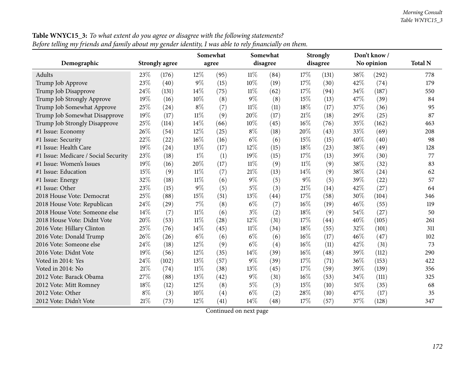|                                      |       |                       |        | Somewhat |        | Somewhat |        | <b>Strongly</b> |      | Don't know / |                |
|--------------------------------------|-------|-----------------------|--------|----------|--------|----------|--------|-----------------|------|--------------|----------------|
| Demographic                          |       | <b>Strongly agree</b> |        | agree    |        | disagree |        | disagree        |      | No opinion   | <b>Total N</b> |
| Adults                               | 23\%  | (176)                 | $12\%$ | (95)     | $11\%$ | (84)     | 17%    | (131)           | 38\% | (292)        | 778            |
| Trump Job Approve                    | 23%   | (40)                  | $9\%$  | (15)     | 10%    | (19)     | 17%    | (30)            | 42%  | (74)         | 179            |
| Trump Job Disapprove                 | 24%   | (131)                 | 14\%   | (75)     | $11\%$ | (62)     | 17%    | (94)            | 34%  | (187)        | 550            |
| Trump Job Strongly Approve           | 19%   | (16)                  | 10%    | (8)      | $9\%$  | (8)      | 15%    | (13)            | 47%  | (39)         | 84             |
| Trump Job Somewhat Approve           | 25%   | (24)                  | $8\%$  | (7)      | $11\%$ | (11)     | $18\%$ | (17)            | 37%  | (36)         | 95             |
| Trump Job Somewhat Disapprove        | 19%   | (17)                  | $11\%$ | (9)      | 20%    | (17)     | 21\%   | (18)            | 29%  | (25)         | 87             |
| Trump Job Strongly Disapprove        | 25%   | (114)                 | 14%    | (66)     | 10%    | (45)     | 16%    | (76)            | 35%  | (162)        | 463            |
| #1 Issue: Economy                    | 26%   | (54)                  | 12%    | (25)     | $8\%$  | (18)     | 20%    | (43)            | 33%  | (69)         | 208            |
| #1 Issue: Security                   | 22%   | (22)                  | 16%    | (16)     | $6\%$  | (6)      | 15%    | (15)            | 40%  | (40)         | 98             |
| #1 Issue: Health Care                | 19%   | (24)                  | 13%    | (17)     | 12%    | (15)     | 18%    | (23)            | 38%  | (49)         | 128            |
| #1 Issue: Medicare / Social Security | 23%   | (18)                  | $1\%$  | (1)      | 19%    | (15)     | 17%    | (13)            | 39%  | (30)         | 77             |
| #1 Issue: Women's Issues             | 19%   | (16)                  | 20%    | (17)     | $11\%$ | (9)      | $11\%$ | (9)             | 38%  | (32)         | 83             |
| #1 Issue: Education                  | 15%   | (9)                   | $11\%$ | (7)      | 21%    | (13)     | 14%    | (9)             | 38%  | (24)         | 62             |
| #1 Issue: Energy                     | 32%   | (18)                  | $11\%$ | (6)      | $9\%$  | (5)      | $9\%$  | (5)             | 39%  | (22)         | 57             |
| #1 Issue: Other                      | 23%   | (15)                  | $9\%$  | (5)      | $5\%$  | (3)      | 21\%   | (14)            | 42%  | (27)         | 64             |
| 2018 House Vote: Democrat            | 25%   | (88)                  | 15%    | (51)     | 13%    | (44)     | 17%    | (58)            | 30%  | (104)        | 346            |
| 2018 House Vote: Republican          | 24%   | (29)                  | $7\%$  | (8)      | $6\%$  | (7)      | 16%    | (19)            | 46%  | (55)         | 119            |
| 2018 House Vote: Someone else        | 14%   | (7)                   | $11\%$ | (6)      | $3\%$  | (2)      | 18%    | (9)             | 54%  | (27)         | 50             |
| 2018 House Vote: Didnt Vote          | 20%   | (53)                  | $11\%$ | (28)     | 12%    | (31)     | 17%    | (44)            | 40%  | (105)        | 261            |
| 2016 Vote: Hillary Clinton           | 25%   | (76)                  | 14%    | (45)     | $11\%$ | (34)     | 18%    | (55)            | 32%  | (101)        | 311            |
| 2016 Vote: Donald Trump              | 26%   | (26)                  | $6\%$  | (6)      | $6\%$  | (6)      | $16\%$ | (17)            | 46%  | (47)         | 102            |
| 2016 Vote: Someone else              | 24\%  | (18)                  | 12%    | (9)      | $6\%$  | (4)      | $16\%$ | (11)            | 42%  | (31)         | 73             |
| 2016 Vote: Didnt Vote                | 19%   | (56)                  | 12%    | (35)     | 14%    | (39)     | $16\%$ | (48)            | 39%  | (112)        | 290            |
| Voted in 2014: Yes                   | 24%   | (102)                 | 13%    | (57)     | $9\%$  | (39)     | 17%    | (71)            | 36%  | (153)        | 422            |
| Voted in 2014: No                    | 21\%  | (74)                  | $11\%$ | (38)     | 13%    | (45)     | 17%    | (59)            | 39%  | (139)        | 356            |
| 2012 Vote: Barack Obama              | 27%   | (88)                  | 13%    | (42)     | $9\%$  | (31)     | 16%    | (53)            | 34%  | (111)        | 325            |
| 2012 Vote: Mitt Romney               | 18%   | (12)                  | 12%    | (8)      | $5\%$  | (3)      | 15%    | (10)            | 51\% | (35)         | 68             |
| 2012 Vote: Other                     | $8\%$ | (3)                   | 10%    | (4)      | $6\%$  | (2)      | 28%    | (10)            | 47%  | (17)         | 35             |
| 2012 Vote: Didn't Vote               | 21%   | (73)                  | 12%    | (41)     | 14%    | (48)     | 17%    | (57)            | 37%  | (128)        | 347            |

**Table WNYC15\_3:** To what extent do you agree or disagree with the following statements? Before telling my friends and family about my gender identity, I was able to rely financially on them.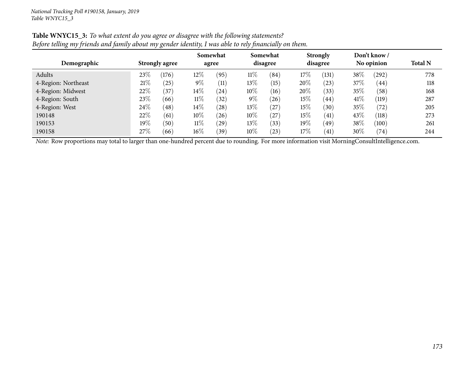| Demographic         |        | <b>Strongly agree</b> |        | Somewhat<br>agree |        | Somewhat<br>disagree |        | <b>Strongly</b><br>disagree |        | Don't know /<br>No opinion | <b>Total N</b> |
|---------------------|--------|-----------------------|--------|-------------------|--------|----------------------|--------|-----------------------------|--------|----------------------------|----------------|
| Adults              | $23\%$ | (176)                 | $12\%$ | (95)              | $11\%$ | (84)                 | $17\%$ | (131)                       | 38%    | $^{(292)}$                 | 778            |
| 4-Region: Northeast | 21\%   | $^{'}25$              | $9\%$  | (11)              | $13\%$ | (15)                 | 20%    | (23)                        | $37\%$ | (44)                       | 118            |
| 4-Region: Midwest   | 22%    | (37)                  | $14\%$ | (24)              | $10\%$ | (16)                 | 20%    | (33)                        | $35\%$ | (58)                       | 168            |
| 4-Region: South     | 23\%   | (66)                  | $11\%$ | (32)              | $9\%$  | (26)                 | $15\%$ | $\left(44\right)$           | 41\%   | (119)                      | 287            |
| 4-Region: West      | 24\%   | (48)                  | $14\%$ | (28)              | $13\%$ | 27                   | $15\%$ | (30)                        | $35\%$ | (72)                       | 205            |
| 190148              | 22%    | (61)                  | $10\%$ | (26)              | 10%    | 27                   | $15\%$ | (41)                        | $43\%$ | (118)                      | 273            |
| 190153              | 19%    | (50)                  | $11\%$ | $^{'}29)$         | 13%    | (33)                 | $19\%$ | (49)                        | 38%    | (100)                      | 261            |
| 190158              | 27\%   | (66)                  | $16\%$ | (39)              | $10\%$ | (23)                 | 17%    | (41)                        | 30%    | (74)                       | 244            |

## Table WNYC15\_3: To what extent do you agree or disagree with the following statements? Before telling my friends and family about my gender identity, I was able to rely financially on them.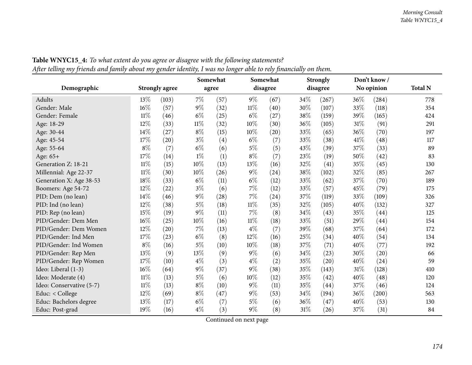|                          |        |                       | Somewhat |      |        | Somewhat |      | <b>Strongly</b> |      | Don't know/ |                |
|--------------------------|--------|-----------------------|----------|------|--------|----------|------|-----------------|------|-------------|----------------|
| Demographic              |        | <b>Strongly agree</b> | agree    |      |        | disagree |      | disagree        |      | No opinion  | <b>Total N</b> |
| Adults                   | 13\%   | (103)                 | $7\%$    | (57) | $9\%$  | (67)     | 34%  | (267)           | 36%  | (284)       | 778            |
| Gender: Male             | $16\%$ | (57)                  | $9\%$    | (32) | $11\%$ | (40)     | 30%  | (107)           | 33%  | (118)       | 354            |
| Gender: Female           | $11\%$ | (46)                  | $6\%$    | (25) | $6\%$  | (27)     | 38%  | (159)           | 39%  | (165)       | 424            |
| Age: 18-29               | 12%    | (33)                  | $11\%$   | (32) | 10%    | (30)     | 36%  | (105)           | 31%  | (91)        | 291            |
| Age: 30-44               | 14%    | (27)                  | $8\%$    | (15) | 10%    | (20)     | 33%  | (65)            | 36%  | (70)        | 197            |
| Age: 45-54               | 17%    | (20)                  | $3\%$    | (4)  | $6\%$  | (7)      | 33%  | (38)            | 41\% | (48)        | 117            |
| Age: 55-64               | $8\%$  | (7)                   | $6\%$    | (6)  | $5\%$  | (5)      | 43%  | (39)            | 37%  | (33)        | 89             |
| Age: 65+                 | 17%    | (14)                  | $1\%$    | (1)  | $8\%$  | (7)      | 23\% | (19)            | 50%  | (42)        | 83             |
| Generation Z: 18-21      | $11\%$ | (15)                  | $10\%$   | (13) | 13%    | (16)     | 32%  | (41)            | 35%  | (45)        | 130            |
| Millennial: Age 22-37    | $11\%$ | (30)                  | 10%      | (26) | $9\%$  | (24)     | 38%  | (102)           | 32%  | (85)        | 267            |
| Generation X: Age 38-53  | 18%    | (33)                  | $6\%$    | (11) | $6\%$  | (12)     | 33\% | (62)            | 37%  | (70)        | 189            |
| Boomers: Age 54-72       | 12%    | (22)                  | $3\%$    | (6)  | $7\%$  | (12)     | 33%  | (57)            | 45%  | (79)        | 175            |
| PID: Dem (no lean)       | 14%    | (46)                  | $9\%$    | (28) | $7\%$  | (24)     | 37%  | (119)           | 33%  | (109)       | 326            |
| PID: Ind (no lean)       | 12%    | (38)                  | $5\%$    | (18) | $11\%$ | (35)     | 32%  | (105)           | 40%  | (132)       | 327            |
| PID: Rep (no lean)       | 15%    | (19)                  | $9\%$    | (11) | 7%     | (8)      | 34%  | (43)            | 35%  | (44)        | 125            |
| PID/Gender: Dem Men      | 16%    | (25)                  | 10%      | (16) | $11\%$ | (18)     | 33%  | (51)            | 29%  | (44)        | 154            |
| PID/Gender: Dem Women    | 12%    | (20)                  | $7\%$    | (13) | $4\%$  | (7)      | 39%  | (68)            | 37%  | (64)        | 172            |
| PID/Gender: Ind Men      | 17%    | (23)                  | $6\%$    | (8)  | 12%    | (16)     | 25%  | (34)            | 40%  | (54)        | 134            |
| PID/Gender: Ind Women    | $8\%$  | (16)                  | $5\%$    | (10) | 10%    | (18)     | 37%  | (71)            | 40%  | (77)        | 192            |
| PID/Gender: Rep Men      | 13%    | (9)                   | 13%      | (9)  | $9\%$  | (6)      | 34%  | (23)            | 30%  | (20)        | 66             |
| PID/Gender: Rep Women    | 17%    | (10)                  | $4\%$    | (3)  | $4\%$  | (2)      | 35%  | (20)            | 40%  | (24)        | 59             |
| Ideo: Liberal (1-3)      | 16%    | (64)                  | $9\%$    | (37) | 9%     | (38)     | 35%  | (143)           | 31%  | (128)       | 410            |
| Ideo: Moderate (4)       | $11\%$ | (13)                  | $5\%$    | (6)  | 10%    | (12)     | 35%  | (42)            | 40%  | (48)        | 120            |
| Ideo: Conservative (5-7) | $11\%$ | (13)                  | $8\%$    | (10) | $9\%$  | (11)     | 35%  | (44)            | 37%  | (46)        | 124            |
| Educ: < College          | 12%    | (69)                  | $8\%$    | (47) | $9\%$  | (53)     | 34%  | (194)           | 36%  | (200)       | 563            |
| Educ: Bachelors degree   | 13%    | (17)                  | $6\%$    | (7)  | $5\%$  | (6)      | 36%  | (47)            | 40%  | (53)        | 130            |
| Educ: Post-grad          | 19%    | (16)                  | $4\%$    | (3)  | $9\%$  | (8)      | 31%  | (26)            | 37%  | (31)        | 84             |

Table WNYC15\_4: To what extent do you agree or disagree with the following statements? After telling my friends and family about my gender identity, I was no longer able to rely financially on them.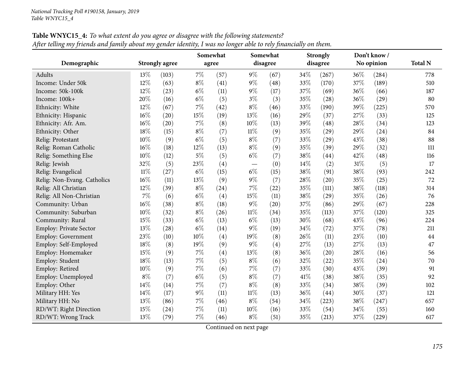|                             |        |                       | Somewhat |       | Somewhat |          | <b>Strongly</b> |          |     | Don't know / |                |
|-----------------------------|--------|-----------------------|----------|-------|----------|----------|-----------------|----------|-----|--------------|----------------|
| Demographic                 |        | <b>Strongly agree</b> |          | agree |          | disagree |                 | disagree |     | No opinion   | <b>Total N</b> |
| Adults                      | 13\%   | (103)                 | $7\%$    | (57)  | $9\%$    | (67)     | 34%             | (267)    | 36% | (284)        | 778            |
| Income: Under 50k           | 12%    | (63)                  | $8\%$    | (41)  | $9\%$    | (48)     | 33%             | (170)    | 37% | (189)        | 510            |
| Income: 50k-100k            | 12%    | (23)                  | $6\%$    | (11)  | $9\%$    | (17)     | 37%             | (69)     | 36% | (66)         | 187            |
| Income: 100k+               | 20%    | (16)                  | $6\%$    | (5)   | $3\%$    | (3)      | 35%             | (28)     | 36% | (29)         | 80             |
| Ethnicity: White            | 12%    | (67)                  | 7%       | (42)  | $8\%$    | (46)     | 33%             | (190)    | 39% | (225)        | 570            |
| Ethnicity: Hispanic         | $16\%$ | (20)                  | 15%      | (19)  | 13%      | (16)     | 29%             | (37)     | 27% | (33)         | 125            |
| Ethnicity: Afr. Am.         | $16\%$ | (20)                  | 7%       | (8)   | 10%      | (13)     | 39%             | (48)     | 28% | (34)         | 123            |
| Ethnicity: Other            | 18%    | (15)                  | $8\%$    | (7)   | $11\%$   | (9)      | 35%             | (29)     | 29% | (24)         | 84             |
| Relig: Protestant           | 10%    | (9)                   | $6\%$    | (5)   | $8\%$    | (7)      | 33%             | (29)     | 43% | (38)         | 88             |
| Relig: Roman Catholic       | 16%    | (18)                  | 12%      | (13)  | $8\%$    | (9)      | 35%             | (39)     | 29% | (32)         | 111            |
| Relig: Something Else       | 10%    | (12)                  | $5\%$    | (5)   | $6\%$    | (7)      | 38%             | (44)     | 42% | (48)         | 116            |
| Relig: Jewish               | 32%    | (5)                   | 23%      | (4)   |          | (0)      | $14\%$          | (2)      | 31% | (5)          | 17             |
| Relig: Evangelical          | $11\%$ | (27)                  | $6\%$    | (15)  | $6\%$    | (15)     | 38%             | (91)     | 38% | (93)         | 242            |
| Relig: Non-Evang. Catholics | $16\%$ | (11)                  | 13%      | (9)   | $9\%$    | (7)      | 28%             | (20)     | 35% | (25)         | 72             |
| Relig: All Christian        | 12%    | (39)                  | $8\%$    | (24)  | 7%       | (22)     | 35%             | (111)    | 38% | (118)        | 314            |
| Relig: All Non-Christian    | 7%     | (6)                   | $6\%$    | (4)   | 15%      | (11)     | 38%             | (29)     | 35% | (26)         | 76             |
| Community: Urban            | 16%    | (38)                  | $8\%$    | (18)  | $9\%$    | (20)     | 37%             | (86)     | 29% | (67)         | 228            |
| Community: Suburban         | 10%    | (32)                  | $8\%$    | (26)  | $11\%$   | (34)     | 35%             | (113)    | 37% | (120)        | 325            |
| Community: Rural            | 15%    | (33)                  | $6\%$    | (13)  | $6\%$    | (13)     | 30%             | (68)     | 43% | (96)         | 224            |
| Employ: Private Sector      | 13%    | (28)                  | $6\%$    | (14)  | $9\%$    | (19)     | 34%             | (72)     | 37% | (78)         | 211            |
| Employ: Government          | 23%    | (10)                  | 10%      | (4)   | 19%      | (8)      | 26%             | (11)     | 23% | (10)         | 44             |
| Employ: Self-Employed       | 18%    | (8)                   | 19%      | (9)   | $9\%$    | (4)      | 27%             | (13)     | 27% | (13)         | 47             |
| Employ: Homemaker           | 15%    | (9)                   | $7\%$    | (4)   | 13%      | (8)      | 36%             | (20)     | 28% | (16)         | 56             |
| Employ: Student             | 18%    | (13)                  | $7\%$    | (5)   | $8\%$    | (6)      | 32%             | (22)     | 35% | (24)         | 70             |
| Employ: Retired             | $10\%$ | (9)                   | $7\%$    | (6)   | $7\%$    | (7)      | 33%             | (30)     | 43% | (39)         | 91             |
| Employ: Unemployed          | $8\%$  | (7)                   | $6\%$    | (5)   | $8\%$    | (7)      | 41%             | (38)     | 38% | (35)         | 92             |
| Employ: Other               | 14\%   | (14)                  | 7%       | (7)   | $8\%$    | (8)      | 33%             | (34)     | 38% | (39)         | 102            |
| Military HH: Yes            | 14%    | (17)                  | $9\%$    | (11)  | $11\%$   | (13)     | 36%             | (44)     | 30% | (37)         | 121            |
| Military HH: No             | 13%    | (86)                  | 7%       | (46)  | $8\%$    | (54)     | 34%             | (223)    | 38% | (247)        | 657            |
| RD/WT: Right Direction      | 15%    | (24)                  | 7%       | (11)  | 10%      | (16)     | 33%             | (54)     | 34% | (55)         | 160            |
| RD/WT: Wrong Track          | 13%    | (79)                  | $7\%$    | (46)  | $8\%$    | (51)     | 35%             | (213)    | 37% | (229)        | 617            |

Table WNYC15\_4: To what extent do you agree or disagree with the following statements? After telling my friends and family about my gender identity, I was no longer able to rely financially on them.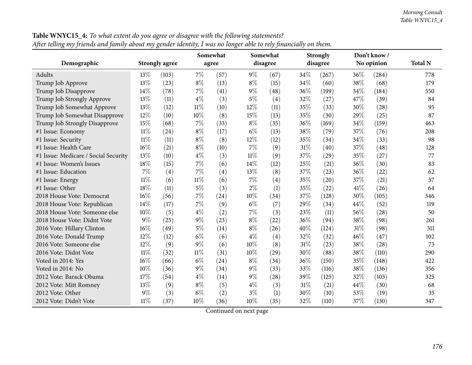|                                      |        |                       | Somewhat |       |        | Somewhat |        | <b>Strongly</b> |      | Don't know/ |                |
|--------------------------------------|--------|-----------------------|----------|-------|--------|----------|--------|-----------------|------|-------------|----------------|
| Demographic                          |        | <b>Strongly agree</b> |          | agree |        | disagree |        | disagree        |      | No opinion  | <b>Total N</b> |
| Adults                               | 13%    | (103)                 | $7\%$    | (57)  | $9\%$  | (67)     | 34%    | (267)           | 36\% | (284)       | 778            |
| Trump Job Approve                    | 13%    | (23)                  | $8\%$    | (13)  | $8\%$  | (15)     | 34%    | (60)            | 38%  | (68)        | 179            |
| Trump Job Disapprove                 | 14%    | (78)                  | $7\%$    | (41)  | $9\%$  | (48)     | 36%    | (199)           | 34%  | (184)       | 550            |
| Trump Job Strongly Approve           | 13%    | (11)                  | $4\%$    | (3)   | $5\%$  | (4)      | 32%    | (27)            | 47%  | (39)        | 84             |
| Trump Job Somewhat Approve           | 13%    | (12)                  | $11\%$   | (10)  | 12%    | (11)     | 35%    | (33)            | 30%  | (28)        | 95             |
| Trump Job Somewhat Disapprove        | 12%    | (10)                  | $10\%$   | (8)   | 15%    | (13)     | 35%    | (30)            | 29%  | (25)        | 87             |
| Trump Job Strongly Disapprove        | 15%    | (68)                  | $7\%$    | (33)  | $8\%$  | (35)     | 36%    | (169)           | 34%  | (159)       | 463            |
| #1 Issue: Economy                    | $11\%$ | (24)                  | $8\%$    | (17)  | $6\%$  | (13)     | 38%    | (79)            | 37%  | (76)        | 208            |
| #1 Issue: Security                   | $11\%$ | (11)                  | $8\%$    | (8)   | 12%    | (12)     | 35%    | (34)            | 34\% | (33)        | 98             |
| #1 Issue: Health Care                | 16%    | (21)                  | $8\%$    | (10)  | 7%     | (9)      | 31%    | (40)            | 37%  | (48)        | 128            |
| #1 Issue: Medicare / Social Security | 13%    | (10)                  | $4\%$    | (3)   | $11\%$ | (9)      | 37%    | (29)            | 35%  | (27)        | 77             |
| #1 Issue: Women's Issues             | 18%    | (15)                  | $7\%$    | (6)   | 14%    | (12)     | 25%    | (21)            | 36%  | (30)        | 83             |
| #1 Issue: Education                  | 7%     | (4)                   | $7\%$    | (4)   | 13%    | (8)      | 37%    | (23)            | 36%  | (22)        | 62             |
| #1 Issue: Energy                     | $11\%$ | (6)                   | $11\%$   | (6)   | $7\%$  | (4)      | 35%    | (20)            | 37%  | (21)        | 57             |
| #1 Issue: Other                      | 18%    | (11)                  | $5\%$    | (3)   | $2\%$  | (1)      | 35%    | (22)            | 41\% | (26)        | 64             |
| 2018 House Vote: Democrat            | 16%    | (56)                  | $7\%$    | (24)  | 10%    | (34)     | 37%    | (128)           | 30%  | (105)       | 346            |
| 2018 House Vote: Republican          | 14%    | (17)                  | $7\%$    | (9)   | $6\%$  | (7)      | 29%    | (34)            | 44%  | (52)        | 119            |
| 2018 House Vote: Someone else        | 10%    | (5)                   | $4\%$    | (2)   | $7\%$  | (3)      | 23%    | (11)            | 56%  | (28)        | 50             |
| 2018 House Vote: Didnt Vote          | $9\%$  | (25)                  | $9\%$    | (23)  | $8\%$  | (22)     | 36%    | (94)            | 38%  | (98)        | 261            |
| 2016 Vote: Hillary Clinton           | 16%    | (49)                  | $5\%$    | (14)  | $8\%$  | (26)     | 40%    | (124)           | 31%  | (98)        | 311            |
| 2016 Vote: Donald Trump              | 12%    | (12)                  | $6\%$    | (6)   | $4\%$  | (4)      | 32%    | (32)            | 46%  | (47)        | 102            |
| 2016 Vote: Someone else              | 12%    | (9)                   | $9\%$    | (6)   | 10%    | (8)      | 31%    | (23)            | 38%  | (28)        | 73             |
| 2016 Vote: Didnt Vote                | $11\%$ | (32)                  | $11\%$   | (31)  | 10%    | (29)     | 30%    | (88)            | 38%  | (110)       | 290            |
| Voted in 2014: Yes                   | 16%    | (66)                  | $6\%$    | (24)  | $8\%$  | (34)     | 36%    | (150)           | 35%  | (148)       | 422            |
| Voted in 2014: No                    | 10%    | (36)                  | $9\%$    | (34)  | $9\%$  | (33)     | 33%    | (116)           | 38%  | (136)       | 356            |
| 2012 Vote: Barack Obama              | 17%    | (54)                  | $4\%$    | (14)  | $9\%$  | (28)     | 39%    | (125)           | 32%  | (103)       | 325            |
| 2012 Vote: Mitt Romney               | 13%    | (9)                   | $8\%$    | (5)   | $4\%$  | (3)      | $31\%$ | (21)            | 44%  | (30)        | 68             |
| 2012 Vote: Other                     | $9\%$  | (3)                   | $6\%$    | (2)   | $3\%$  | (1)      | 30%    | (10)            | 53%  | (19)        | 35             |
| 2012 Vote: Didn't Vote               | $11\%$ | (37)                  | 10%      | (36)  | 10%    | (35)     | 32%    | (110)           | 37%  | (130)       | 347            |

**Table WNYC15\_4:** To what extent do you agree or disagree with the following statements? After telling my friends and family about my gender identity, I was no longer able to rely financially on them.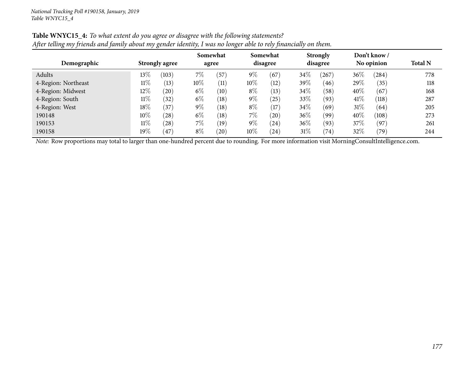| Demographic         | <b>Strongly agree</b> |                       | Somewhat<br>agree |      |        | Somewhat<br>disagree |      | <b>Strongly</b><br>disagree |        | Don't know/<br>No opinion | <b>Total N</b> |
|---------------------|-----------------------|-----------------------|-------------------|------|--------|----------------------|------|-----------------------------|--------|---------------------------|----------------|
| Adults              | $13\%$                | (103)                 | 7%                | (57) | $9\%$  | (67)                 | 34\% | $^{'}267$                   | $36\%$ | (284)                     | 778            |
| 4-Region: Northeast | $11\%$                | (13)                  | 10\%              | (11) | $10\%$ | (12)                 | 39%  | (46)                        | 29\%   | (35)                      | 118            |
| 4-Region: Midwest   | $12\%$                | $^{\prime}20^{\cdot}$ | $6\%$             | (10) | $8\%$  | (13)                 | 34\% | (58)                        | $40\%$ | (67)                      | 168            |
| 4-Region: South     | $11\%$                | (32)                  | $6\%$             | (18) | $9\%$  | $^{'}25)$            | 33\% | (93)                        | 41\%   | (118)                     | 287            |
| 4-Region: West      | 18%                   | (37)                  | $9\%$             | (18) | $8\%$  | (17)                 | 34\% | (69)                        | $31\%$ | (64)                      | 205            |
| 190148              | $10\%$                | (28)                  | $6\%$             | (18) | 7%     | (20)                 | 36%  | (99)                        | 40%    | (108)                     | 273            |
| 190153              | $11\%$                | (28)                  | 7%                | (19) | $9\%$  | (24)                 | 36%  | (93)                        | 37\%   | (97)                      | 261            |
| 190158              | 19%                   | 47                    | $8\%$             | (20) | $10\%$ | (24)                 | 31\% | (74)                        | 32\%   | (79)                      | 244            |

## Table WNYC15\_4: To what extent do you agree or disagree with the following statements? After telling my friends and family about my gender identity, I was no longer able to rely financially on them.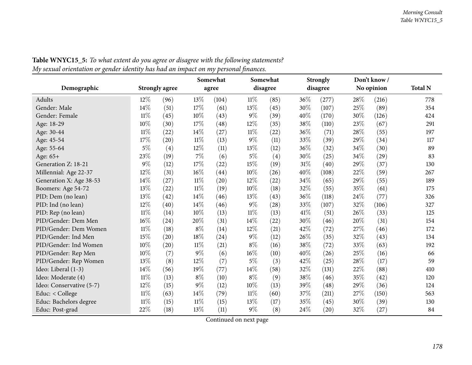|                          |        |                       | Somewhat |       |        | Somewhat |      | <b>Strongly</b> |        | Don't know/ |                |
|--------------------------|--------|-----------------------|----------|-------|--------|----------|------|-----------------|--------|-------------|----------------|
| Demographic              |        | <b>Strongly agree</b> |          | agree |        | disagree |      | disagree        |        | No opinion  | <b>Total N</b> |
| Adults                   | 12\%   | (96)                  | 13%      | (104) | $11\%$ | (85)     | 36%  | (277)           | 28%    | (216)       | 778            |
| Gender: Male             | 14%    | (51)                  | 17%      | (61)  | 13%    | (45)     | 30%  | (107)           | 25%    | (89)        | 354            |
| Gender: Female           | $11\%$ | (45)                  | 10%      | (43)  | 9%     | (39)     | 40%  | (170)           | 30%    | (126)       | 424            |
| Age: 18-29               | 10%    | (30)                  | 17%      | (48)  | $12\%$ | (35)     | 38%  | (110)           | 23%    | (67)        | 291            |
| Age: 30-44               | $11\%$ | (22)                  | 14%      | (27)  | $11\%$ | (22)     | 36%  | (71)            | 28%    | (55)        | 197            |
| Age: 45-54               | 17%    | (20)                  | $11\%$   | (13)  | $9\%$  | (11)     | 33%  | (39)            | 29%    | (34)        | 117            |
| Age: 55-64               | $5\%$  | (4)                   | 12%      | (11)  | 13%    | (12)     | 36%  | (32)            | 34%    | (30)        | 89             |
| Age: 65+                 | 23%    | (19)                  | $7\%$    | (6)   | $5\%$  | (4)      | 30%  | (25)            | 34%    | (29)        | 83             |
| Generation Z: 18-21      | 9%     | (12)                  | $17\%$   | (22)  | 15%    | (19)     | 31%  | (40)            | 29%    | (37)        | 130            |
| Millennial: Age 22-37    | $12\%$ | (31)                  | $16\%$   | (44)  | 10%    | (26)     | 40%  | (108)           | 22%    | (59)        | 267            |
| Generation X: Age 38-53  | 14%    | (27)                  | $11\%$   | (20)  | 12%    | (22)     | 34%  | (65)            | 29%    | (55)        | 189            |
| Boomers: Age 54-72       | 13%    | (22)                  | $11\%$   | (19)  | 10%    | (18)     | 32%  | (55)            | 35%    | (61)        | 175            |
| PID: Dem (no lean)       | 13%    | (42)                  | 14%      | (46)  | 13%    | (43)     | 36%  | (118)           | 24\%   | (77)        | 326            |
| PID: Ind (no lean)       | 12%    | (40)                  | 14%      | (46)  | $9\%$  | (28)     | 33%  | (107)           | 32%    | (106)       | 327            |
| PID: Rep (no lean)       | $11\%$ | (14)                  | $10\%$   | (13)  | $11\%$ | (13)     | 41\% | (51)            | 26%    | (33)        | 125            |
| PID/Gender: Dem Men      | 16%    | (24)                  | 20%      | (31)  | 14%    | (22)     | 30%  | (46)            | $20\%$ | (31)        | 154            |
| PID/Gender: Dem Women    | $11\%$ | (18)                  | $8\%$    | (14)  | 12%    | (21)     | 42%  | (72)            | 27%    | (46)        | 172            |
| PID/Gender: Ind Men      | 15%    | (20)                  | $18\%$   | (24)  | 9%     | (12)     | 26%  | (35)            | 32%    | (43)        | 134            |
| PID/Gender: Ind Women    | 10%    | (20)                  | $11\%$   | (21)  | $8\%$  | (16)     | 38%  | (72)            | 33%    | (63)        | 192            |
| PID/Gender: Rep Men      | 10%    | (7)                   | $9\%$    | (6)   | 16%    | (10)     | 40%  | (26)            | 25%    | (16)        | 66             |
| PID/Gender: Rep Women    | 13%    | (8)                   | $12\%$   | (7)   | $5\%$  | (3)      | 42%  | (25)            | 28%    | (17)        | 59             |
| Ideo: Liberal (1-3)      | 14%    | (56)                  | 19%      | (77)  | 14%    | (58)     | 32%  | (131)           | 22%    | (88)        | 410            |
| Ideo: Moderate (4)       | $11\%$ | (13)                  | $8\%$    | (10)  | $8\%$  | (9)      | 38%  | (46)            | 35%    | (42)        | 120            |
| Ideo: Conservative (5-7) | 12%    | (15)                  | $9\%$    | (12)  | 10%    | (13)     | 39%  | (48)            | 29%    | (36)        | 124            |
| Educ: < College          | $11\%$ | (63)                  | $14\%$   | (79)  | $11\%$ | (60)     | 37%  | (211)           | 27%    | (150)       | 563            |
| Educ: Bachelors degree   | 11%    | (15)                  | $11\%$   | (15)  | 13%    | (17)     | 35%  | (45)            | 30%    | (39)        | 130            |
| Educ: Post-grad          | 22%    | (18)                  | 13%      | (11)  | 9%     | (8)      | 24%  | (20)            | 32%    | (27)        | 84             |

Table WNYC15\_5: To what extent do you agree or disagree with the following statements? My sexual orientation or gender identity has had an impact on my personal finances.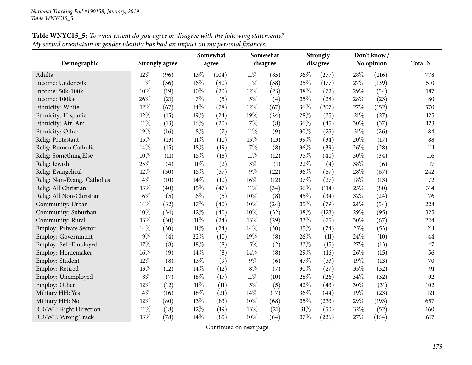|                             |        |                       |        | Somewhat |          | Somewhat |      | <b>Strongly</b> |      | Don't know / |                |
|-----------------------------|--------|-----------------------|--------|----------|----------|----------|------|-----------------|------|--------------|----------------|
| Demographic                 |        | <b>Strongly agree</b> |        | agree    | disagree |          |      | disagree        |      | No opinion   | <b>Total N</b> |
| Adults                      | 12\%   | (96)                  | 13%    | (104)    | $11\%$   | (85)     | 36%  | (277)           | 28\% | (216)        | 778            |
| Income: Under 50k           | $11\%$ | (56)                  | 16%    | (80)     | $11\%$   | (58)     | 35%  | (177)           | 27%  | (139)        | 510            |
| Income: 50k-100k            | $10\%$ | (19)                  | 10%    | (20)     | 12%      | (23)     | 38%  | (72)            | 29%  | (54)         | 187            |
| Income: 100k+               | 26%    | (21)                  | $7\%$  | (5)      | $5\%$    | (4)      | 35%  | (28)            | 28%  | (23)         | 80             |
| Ethnicity: White            | 12%    | (67)                  | 14%    | (78)     | 12%      | (67)     | 36%  | (207)           | 27%  | (152)        | 570            |
| Ethnicity: Hispanic         | 12%    | (15)                  | 19%    | (24)     | 19%      | (24)     | 28\% | (35)            | 21%  | (27)         | 125            |
| Ethnicity: Afr. Am.         | $11\%$ | (13)                  | 16%    | (20)     | $7\%$    | (8)      | 36%  | (45)            | 30%  | (37)         | 123            |
| Ethnicity: Other            | 19%    | (16)                  | $8\%$  | (7)      | $11\%$   | (9)      | 30%  | (25)            | 31%  | (26)         | 84             |
| Relig: Protestant           | 15%    | (13)                  | $11\%$ | (10)     | 15%      | (13)     | 39%  | (34)            | 20%  | (17)         | 88             |
| Relig: Roman Catholic       | 14%    | (15)                  | 18%    | (19)     | $7\%$    | (8)      | 36%  | (39)            | 26%  | (28)         | 111            |
| Relig: Something Else       | 10%    | (11)                  | 15%    | (18)     | $11\%$   | (12)     | 35%  | (40)            | 30%  | (34)         | 116            |
| Relig: Jewish               | 25%    | (4)                   | $11\%$ | (2)      | $3\%$    | (1)      | 22%  | (4)             | 38%  | (6)          | 17             |
| Relig: Evangelical          | 12%    | (30)                  | 15%    | (37)     | $9\%$    | (22)     | 36%  | (87)            | 28%  | (67)         | 242            |
| Relig: Non-Evang. Catholics | 14%    | (10)                  | 14%    | (10)     | 16%      | (12)     | 37%  | (27)            | 18%  | (13)         | 72             |
| Relig: All Christian        | 13%    | (40)                  | 15%    | (47)     | $11\%$   | (34)     | 36%  | (114)           | 25%  | (80)         | 314            |
| Relig: All Non-Christian    | $6\%$  | (5)                   | $6\%$  | (5)      | 10%      | (8)      | 45%  | (34)            | 32%  | (24)         | 76             |
| Community: Urban            | 14\%   | (32)                  | 17%    | (40)     | 10%      | (24)     | 35%  | (79)            | 24%  | (54)         | 228            |
| Community: Suburban         | 10%    | (34)                  | 12%    | (40)     | 10%      | (32)     | 38%  | (123)           | 29%  | (95)         | 325            |
| Community: Rural            | 13%    | (30)                  | $11\%$ | (24)     | 13%      | (29)     | 33%  | (75)            | 30%  | (67)         | 224            |
| Employ: Private Sector      | 14%    | (30)                  | $11\%$ | (24)     | 14%      | (30)     | 35%  | (74)            | 25%  | (53)         | 211            |
| <b>Employ: Government</b>   | 9%     | (4)                   | 22%    | (10)     | 19%      | (8)      | 26%  | (11)            | 24%  | (10)         | 44             |
| Employ: Self-Employed       | 17%    | (8)                   | 18%    | (8)      | $5\%$    | (2)      | 33%  | (15)            | 27%  | (13)         | 47             |
| Employ: Homemaker           | $16\%$ | (9)                   | 14%    | (8)      | 14%      | (8)      | 29%  | (16)            | 26%  | (15)         | 56             |
| Employ: Student             | 12%    | (8)                   | 13%    | (9)      | $9\%$    | (6)      | 47%  | (33)            | 19%  | (13)         | 70             |
| Employ: Retired             | 13%    | (12)                  | 14%    | (12)     | $8\%$    | (7)      | 30%  | (27)            | 35%  | (32)         | 91             |
| Employ: Unemployed          | $8\%$  | (7)                   | 18%    | (17)     | $11\%$   | (10)     | 28\% | (26)            | 34%  | (32)         | 92             |
| Employ: Other               | 12%    | (12)                  | $11\%$ | (11)     | $5\%$    | (5)      | 42%  | (43)            | 30%  | (31)         | 102            |
| Military HH: Yes            | 14\%   | (16)                  | 18%    | (21)     | 14%      | (17)     | 36%  | (44)            | 19%  | (23)         | 121            |
| Military HH: No             | 12%    | (80)                  | 13%    | (83)     | 10%      | (68)     | 35%  | (233)           | 29%  | (193)        | 657            |
| RD/WT: Right Direction      | $11\%$ | (18)                  | 12%    | (19)     | 13%      | (21)     | 31%  | (50)            | 32%  | (52)         | 160            |
| RD/WT: Wrong Track          | 13%    | (78)                  | 14%    | (85)     | 10%      | (64)     | 37%  | (226)           | 27%  | (164)        | 617            |

Table WNYC15\_5: To what extent do you agree or disagree with the following statements? My sexual orientation or gender identity has had an impact on my personal finances.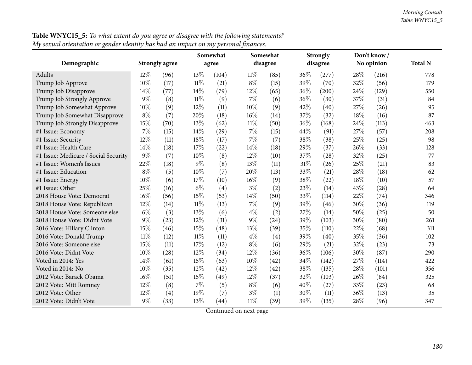|                                      |        |                       | Somewhat |       |        | Somewhat |     | <b>Strongly</b> |     | Don't know / |                |
|--------------------------------------|--------|-----------------------|----------|-------|--------|----------|-----|-----------------|-----|--------------|----------------|
| Demographic                          |        | <b>Strongly agree</b> |          | agree |        | disagree |     | disagree        |     | No opinion   | <b>Total N</b> |
| Adults                               | $12\%$ | (96)                  | $13\%$   | (104) | $11\%$ | (85)     | 36% | (277)           | 28% | (216)        | 778            |
| Trump Job Approve                    | 10%    | (17)                  | $11\%$   | (21)  | $8\%$  | (15)     | 39% | (70)            | 32% | (56)         | 179            |
| Trump Job Disapprove                 | 14\%   | (77)                  | 14\%     | (79)  | 12%    | (65)     | 36% | (200)           | 24% | (129)        | 550            |
| Trump Job Strongly Approve           | $9\%$  | (8)                   | $11\%$   | (9)   | 7%     | (6)      | 36% | (30)            | 37% | (31)         | 84             |
| Trump Job Somewhat Approve           | 10%    | (9)                   | 12%      | (11)  | 10%    | (9)      | 42% | (40)            | 27% | (26)         | 95             |
| Trump Job Somewhat Disapprove        | $8\%$  | (7)                   | 20%      | (18)  | 16%    | (14)     | 37% | (32)            | 18% | (16)         | 87             |
| Trump Job Strongly Disapprove        | 15%    | (70)                  | 13%      | (62)  | $11\%$ | (50)     | 36% | (168)           | 24% | (113)        | 463            |
| #1 Issue: Economy                    | 7%     | (15)                  | $14\%$   | (29)  | $7\%$  | (15)     | 44% | (91)            | 27% | (57)         | 208            |
| #1 Issue: Security                   | 12%    | (11)                  | $18\%$   | (17)  | 7%     | (7)      | 38% | (38)            | 25% | (25)         | 98             |
| #1 Issue: Health Care                | 14%    | (18)                  | $17\%$   | (22)  | 14%    | (18)     | 29% | (37)            | 26% | (33)         | 128            |
| #1 Issue: Medicare / Social Security | $9\%$  | (7)                   | 10%      | (8)   | 12%    | (10)     | 37% | (28)            | 32% | (25)         | 77             |
| #1 Issue: Women's Issues             | 22%    | (18)                  | $9\%$    | (8)   | 13%    | (11)     | 31% | (26)            | 25% | (21)         | 83             |
| #1 Issue: Education                  | $8\%$  | (5)                   | 10%      | (7)   | 20%    | (13)     | 33% | (21)            | 28% | (18)         | 62             |
| #1 Issue: Energy                     | 10%    | (6)                   | 17%      | (10)  | 16%    | (9)      | 38% | (22)            | 18% | (10)         | 57             |
| #1 Issue: Other                      | 25%    | (16)                  | $6\%$    | (4)   | $3\%$  | (2)      | 23% | (14)            | 43% | (28)         | 64             |
| 2018 House Vote: Democrat            | 16%    | (56)                  | 15%      | (53)  | 14%    | (50)     | 33% | (114)           | 22% | (74)         | 346            |
| 2018 House Vote: Republican          | 12%    | (14)                  | $11\%$   | (13)  | 7%     | (9)      | 39% | (46)            | 30% | (36)         | 119            |
| 2018 House Vote: Someone else        | $6\%$  | (3)                   | 13%      | (6)   | $4\%$  | (2)      | 27% | (14)            | 50% | (25)         | 50             |
| 2018 House Vote: Didnt Vote          | $9\%$  | (23)                  | 12%      | (31)  | $9\%$  | (24)     | 39% | (103)           | 30% | (80)         | 261            |
| 2016 Vote: Hillary Clinton           | 15%    | (46)                  | 15%      | (48)  | 13%    | (39)     | 35% | (110)           | 22% | (68)         | 311            |
| 2016 Vote: Donald Trump              | $11\%$ | (12)                  | $11\%$   | (11)  | $4\%$  | (4)      | 39% | (40)            | 35% | (36)         | 102            |
| 2016 Vote: Someone else              | 15%    | (11)                  | 17%      | (12)  | $8\%$  | (6)      | 29% | (21)            | 32% | (23)         | 73             |
| 2016 Vote: Didnt Vote                | 10%    | (28)                  | 12%      | (34)  | 12%    | (36)     | 36% | (106)           | 30% | (87)         | 290            |
| Voted in 2014: Yes                   | 14%    | (61)                  | $15\%$   | (63)  | 10%    | (42)     | 34% | (142)           | 27% | (114)        | 422            |
| Voted in 2014: No                    | 10%    | (35)                  | $12\%$   | (42)  | 12%    | (42)     | 38% | (135)           | 28% | (101)        | 356            |
| 2012 Vote: Barack Obama              | 16%    | (51)                  | $15\%$   | (49)  | 12%    | (37)     | 32% | (103)           | 26% | (84)         | 325            |
| 2012 Vote: Mitt Romney               | 12%    | (8)                   | $7\%$    | (5)   | $8\%$  | (6)      | 40% | (27)            | 33% | (23)         | 68             |
| 2012 Vote: Other                     | 12%    | (4)                   | 19%      | (7)   | $3\%$  | (1)      | 30% | (11)            | 36% | (13)         | 35             |
| 2012 Vote: Didn't Vote               | $9\%$  | (33)                  | 13%      | (44)  | $11\%$ | (39)     | 39% | (135)           | 28% | (96)         | 347            |

**Table WNYC15\_5:** To what extent do you agree or disagree with the following statements? <u>My sexual orientation or gender identity has had an impact on my personal finances.</u>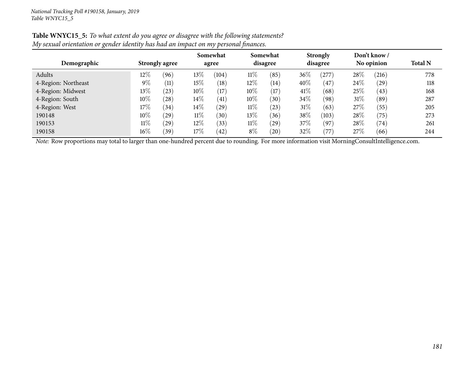| Demographic         | <b>Strongly agree</b> |      |        |       |        | Somewhat<br>agree |        | Somewhat<br>disagree |      | <b>Strongly</b><br>disagree |     | Don't know /<br>No opinion | <b>Total N</b> |
|---------------------|-----------------------|------|--------|-------|--------|-------------------|--------|----------------------|------|-----------------------------|-----|----------------------------|----------------|
| Adults              | $12\%$                | (96) | $13\%$ | (104) | $11\%$ | (85)              | 36\%   | (277)                | 28%  | (216)                       | 778 |                            |                |
| 4-Region: Northeast | $9\%$                 | (11) | 15%    | (18)  | 12%    | (14)              | 40%    | (47)                 | 24%  | (29)                        | 118 |                            |                |
| 4-Region: Midwest   | $13\%$                | (23) | $10\%$ | (17)  | $10\%$ | (17)              | 41\%   | (68)                 | 25%  | (43)                        | 168 |                            |                |
| 4-Region: South     | $10\%$                | (28) | $14\%$ | (41)  | $10\%$ | $^{\prime}30)$    | 34%    | (98)                 | 31\% | (89)                        | 287 |                            |                |
| 4-Region: West      | 17%                   | (34) | $14\%$ | (29)  | $11\%$ | (23)              | $31\%$ | (63)                 | 27%  | (55)                        | 205 |                            |                |
| 190148              | $10\%$                | (29) | $11\%$ | (30)  | $13\%$ | (36)              | 38%    | (103)                | 28%  | (75)                        | 273 |                            |                |
| 190153              | $11\%$                | (29) | $12\%$ | (33)  | $11\%$ | $^{'}29$          | 37\%   | (97)                 | 28%  | (74)                        | 261 |                            |                |
| 190158              | 16%                   | (39) | $17\%$ | (42)  | $8\%$  | (20)              | 32%    | $\left(77\right)$    | 27%  | (66)                        | 244 |                            |                |

Table WNYC15\_5: To what extent do you agree or disagree with the following statements? My sexual orientation or gender identity has had an impact on my personal finances.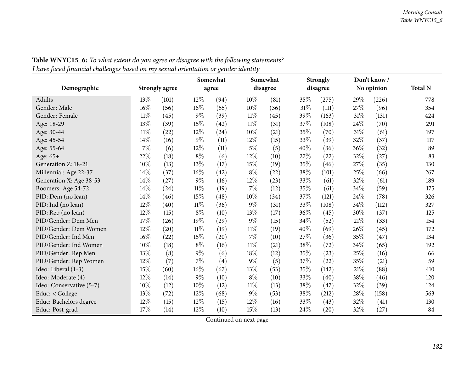| ◡                        |        |                       |        | 0<br>Somewhat |        | Somewhat |     | <b>Strongly</b> |        | Don't know/ |                |
|--------------------------|--------|-----------------------|--------|---------------|--------|----------|-----|-----------------|--------|-------------|----------------|
| Demographic              |        | <b>Strongly agree</b> |        | agree         |        | disagree |     | disagree        |        | No opinion  | <b>Total N</b> |
| Adults                   | 13\%   | (101)                 | 12%    | (94)          | 10%    | (81)     | 35% | (275)           | 29%    | (226)       | 778            |
| Gender: Male             | 16%    | (56)                  | 16%    | (55)          | 10%    | (36)     | 31% | (111)           | 27%    | (96)        | 354            |
| Gender: Female           | $11\%$ | (45)                  | 9%     | (39)          | $11\%$ | (45)     | 39% | (163)           | 31%    | (131)       | 424            |
| Age: 18-29               | 13%    | (39)                  | 15%    | (42)          | $11\%$ | (31)     | 37% | (108)           | 24%    | (70)        | 291            |
| Age: 30-44               | $11\%$ | (22)                  | $12\%$ | (24)          | 10%    | (21)     | 35% | (70)            | 31%    | (61)        | 197            |
| Age: 45-54               | 14%    | (16)                  | $9\%$  | (11)          | 12%    | (15)     | 33% | (39)            | 32%    | (37)        | 117            |
| Age: 55-64               | $7\%$  | (6)                   | 12%    | (11)          | $5\%$  | (5)      | 40% | (36)            | 36%    | (32)        | 89             |
| Age: 65+                 | 22%    | (18)                  | $8\%$  | (6)           | 12%    | (10)     | 27% | (22)            | 32%    | (27)        | 83             |
| Generation Z: 18-21      | 10%    | (13)                  | $13\%$ | (17)          | 15%    | (19)     | 35% | (46)            | 27%    | (35)        | 130            |
| Millennial: Age 22-37    | 14%    | (37)                  | $16\%$ | (42)          | $8\%$  | (22)     | 38% | (101)           | 25%    | (66)        | 267            |
| Generation X: Age 38-53  | $14\%$ | (27)                  | $9\%$  | (16)          | 12%    | (23)     | 33% | (61)            | 32%    | (61)        | 189            |
| Boomers: Age 54-72       | 14%    | (24)                  | $11\%$ | (19)          | 7%     | (12)     | 35% | (61)            | 34%    | (59)        | 175            |
| PID: Dem (no lean)       | 14%    | (46)                  | 15%    | (48)          | 10%    | (34)     | 37% | (121)           | 24%    | (78)        | 326            |
| PID: Ind (no lean)       | 12%    | (40)                  | $11\%$ | (36)          | 9%     | (31)     | 33% | (108)           | 34%    | (112)       | 327            |
| PID: Rep (no lean)       | $12\%$ | (15)                  | $8\%$  | (10)          | 13%    | (17)     | 36% | (45)            | 30%    | (37)        | 125            |
| PID/Gender: Dem Men      | 17%    | (26)                  | 19%    | (29)          | 9%     | (15)     | 34% | (52)            | 21%    | (33)        | 154            |
| PID/Gender: Dem Women    | 12%    | (20)                  | $11\%$ | (19)          | $11\%$ | (19)     | 40% | (69)            | 26%    | (45)        | 172            |
| PID/Gender: Ind Men      | $16\%$ | (22)                  | $15\%$ | (20)          | $7\%$  | (10)     | 27% | (36)            | $35\%$ | (47)        | 134            |
| PID/Gender: Ind Women    | 10%    | (18)                  | $8\%$  | (16)          | $11\%$ | (21)     | 38% | (72)            | 34%    | (65)        | 192            |
| PID/Gender: Rep Men      | 13%    | (8)                   | $9\%$  | (6)           | 18%    | (12)     | 35% | (23)            | 25%    | (16)        | 66             |
| PID/Gender: Rep Women    | 12%    | (7)                   | 7%     | (4)           | 9%     | (5)      | 37% | (22)            | 35%    | (21)        | 59             |
| Ideo: Liberal (1-3)      | 15%    | (60)                  | $16\%$ | (67)          | 13%    | (53)     | 35% | (142)           | $21\%$ | (88)        | 410            |
| Ideo: Moderate (4)       | 12%    | (14)                  | 9%     | (10)          | $8\%$  | (10)     | 33% | (40)            | 38%    | (46)        | 120            |
| Ideo: Conservative (5-7) | 10%    | (12)                  | 10%    | (12)          | $11\%$ | (13)     | 38% | (47)            | 32%    | (39)        | 124            |
| Educ: < College          | 13%    | (72)                  | 12%    | (68)          | $9\%$  | (53)     | 38% | (212)           | 28%    | (158)       | 563            |
| Educ: Bachelors degree   | 12%    | (15)                  | 12%    | (15)          | 12%    | (16)     | 33% | (43)            | 32%    | (41)        | 130            |
| Educ: Post-grad          | 17%    | (14)                  | 12%    | (10)          | 15%    | (13)     | 24% | (20)            | 32%    | (27)        | 84             |

Table WNYC15\_6: To what extent do you agree or disagree with the following statements? I have faced financial challenges based on my sexual orientation or gender identity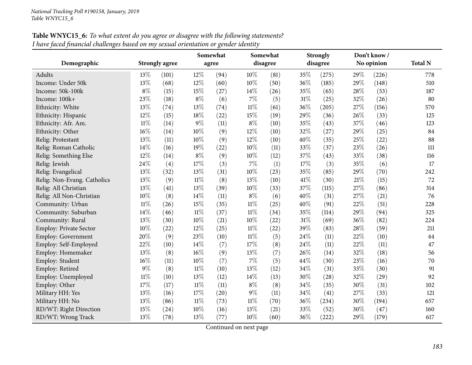|                               |        |                       |        | Somewhat |        | Somewhat |        | <b>Strongly</b> |     | Don't know/ |                |
|-------------------------------|--------|-----------------------|--------|----------|--------|----------|--------|-----------------|-----|-------------|----------------|
| Demographic                   |        | <b>Strongly agree</b> |        | agree    |        | disagree |        | disagree        |     | No opinion  | <b>Total N</b> |
| Adults                        | 13\%   | (101)                 | 12%    | (94)     | $10\%$ | (81)     | 35%    | (275)           | 29% | (226)       | 778            |
| Income: Under 50k             | 13%    | (68)                  | 12%    | (60)     | $10\%$ | (50)     | 36%    | (185)           | 29% | (148)       | 510            |
| Income: 50k-100k              | $8\%$  | (15)                  | 15%    | (27)     | 14%    | (26)     | 35%    | (65)            | 28% | (53)        | 187            |
| Income: 100k+                 | 23%    | (18)                  | $8\%$  | (6)      | $7\%$  | (5)      | 31%    | (25)            | 32% | (26)        | 80             |
| Ethnicity: White              | 13%    | (74)                  | 13%    | (74)     | $11\%$ | (61)     | 36%    | (205)           | 27% | (156)       | 570            |
| Ethnicity: Hispanic           | 12%    | (15)                  | $18\%$ | (22)     | 15%    | (19)     | 29%    | (36)            | 26% | (33)        | 125            |
| Ethnicity: Afr. Am.           | $11\%$ | (14)                  | 9%     | (11)     | $8\%$  | (10)     | 35%    | (43)            | 37% | (46)        | 123            |
| Ethnicity: Other              | 16%    | (14)                  | 10%    | (9)      | 12%    | (10)     | 32%    | (27)            | 29% | (25)        | 84             |
| Relig: Protestant             | 13%    | (11)                  | 10%    | (9)      | 12%    | (10)     | 40%    | (35)            | 25% | (22)        | 88             |
| Relig: Roman Catholic         | 14%    | (16)                  | 19%    | (22)     | 10%    | (11)     | 33%    | (37)            | 23% | (26)        | 111            |
| Relig: Something Else         | 12%    | (14)                  | $8\%$  | (9)      | 10%    | (12)     | 37%    | (43)            | 33% | (38)        | 116            |
| Relig: Jewish                 | 24%    | (4)                   | 17%    | (3)      | $7\%$  | (1)      | 17%    | (3)             | 35% | (6)         | 17             |
| Relig: Evangelical            | 13%    | (32)                  | 13%    | (31)     | 10%    | (23)     | 35%    | (85)            | 29% | (70)        | 242            |
| Relig: Non-Evang. Catholics   | 13%    | (9)                   | $11\%$ | (8)      | 13%    | (10)     | 41\%   | (30)            | 21% | (15)        | 72             |
| Relig: All Christian          | 13%    | (41)                  | 13%    | (39)     | $10\%$ | (33)     | 37%    | (115)           | 27% | (86)        | 314            |
| Relig: All Non-Christian      | $10\%$ | (8)                   | 14%    | (11)     | $8\%$  | (6)      | 40%    | (31)            | 27% | (21)        | 76             |
| Community: Urban              | $11\%$ | (26)                  | $15\%$ | (35)     | $11\%$ | (25)     | 40%    | (91)            | 22% | (51)        | 228            |
| Community: Suburban           | 14%    | (46)                  | $11\%$ | (37)     | $11\%$ | (34)     | 35%    | (114)           | 29% | (94)        | 325            |
| Community: Rural              | 13%    | (30)                  | 10%    | (21)     | $10\%$ | (22)     | $31\%$ | (69)            | 36% | (82)        | 224            |
| <b>Employ: Private Sector</b> | 10%    | (22)                  | 12%    | (25)     | $11\%$ | (22)     | 39%    | (83)            | 28% | (59)        | 211            |
| Employ: Government            | 20%    | (9)                   | 23%    | (10)     | $11\%$ | (5)      | 24%    | (11)            | 22% | (10)        | 44             |
| Employ: Self-Employed         | 22%    | (10)                  | 14%    | (7)      | 17%    | (8)      | 24%    | (11)            | 22% | (11)        | 47             |
| Employ: Homemaker             | 13%    | (8)                   | 16%    | (9)      | 13%    | (7)      | 26%    | (14)            | 32% | (18)        | 56             |
| Employ: Student               | 16%    | (11)                  | 10%    | (7)      | $7\%$  | (5)      | 44%    | (30)            | 23% | (16)        | 70             |
| Employ: Retired               | 9%     | (8)                   | $11\%$ | (10)     | 13%    | (12)     | 34%    | (31)            | 33% | (30)        | 91             |
| Employ: Unemployed            | $11\%$ | (10)                  | 13%    | (12)     | 14%    | (13)     | 30%    | (28)            | 32% | (29)        | 92             |
| Employ: Other                 | 17%    | (17)                  | $11\%$ | (11)     | $8\%$  | (8)      | 34%    | (35)            | 30% | (31)        | 102            |
| Military HH: Yes              | 13%    | (16)                  | 17%    | (20)     | $9\%$  | (11)     | 34%    | (41)            | 27% | (33)        | 121            |
| Military HH: No               | 13%    | (86)                  | $11\%$ | (73)     | $11\%$ | (70)     | 36%    | (234)           | 30% | (194)       | 657            |
| RD/WT: Right Direction        | 15%    | (24)                  | 10%    | (16)     | 13%    | (21)     | 33%    | (52)            | 30% | (47)        | 160            |
| RD/WT: Wrong Track            | 13%    | (78)                  | 13%    | (77)     | 10%    | (60)     | 36%    | (222)           | 29% | (179)       | 617            |

Table WNYC15\_6: To what extent do you agree or disagree with the following statements? I have faced financial challenges based on my sexual orientation or gender identity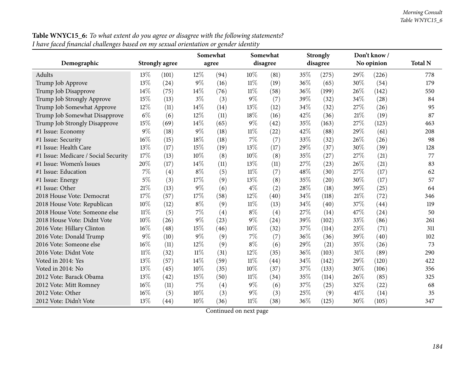|                                      |        |                       |        | Somewhat |        | Somewhat |      | <b>Strongly</b> |      | Don't know / |                |
|--------------------------------------|--------|-----------------------|--------|----------|--------|----------|------|-----------------|------|--------------|----------------|
| Demographic                          |        | <b>Strongly agree</b> |        | agree    |        | disagree |      | disagree        |      | No opinion   | <b>Total N</b> |
| Adults                               | 13%    | (101)                 | $12\%$ | (94)     | $10\%$ | (81)     | 35%  | (275)           | 29%  | (226)        | 778            |
| Trump Job Approve                    | 13%    | (24)                  | $9\%$  | (16)     | $11\%$ | (19)     | 36%  | (65)            | 30%  | (54)         | 179            |
| Trump Job Disapprove                 | 14\%   | (75)                  | $14\%$ | (76)     | $11\%$ | (58)     | 36%  | (199)           | 26%  | (142)        | 550            |
| Trump Job Strongly Approve           | 15%    | (13)                  | $3\%$  | (3)      | $9\%$  | (7)      | 39%  | (32)            | 34%  | (28)         | 84             |
| Trump Job Somewhat Approve           | 12%    | (11)                  | 14\%   | (14)     | 13%    | (12)     | 34\% | (32)            | 27%  | (26)         | 95             |
| Trump Job Somewhat Disapprove        | $6\%$  | (6)                   | 12%    | (11)     | 18%    | (16)     | 42%  | (36)            | 21%  | (19)         | 87             |
| Trump Job Strongly Disapprove        | 15%    | (69)                  | 14\%   | (65)     | $9\%$  | (42)     | 35%  | (163)           | 27%  | (123)        | 463            |
| #1 Issue: Economy                    | $9\%$  | (18)                  | $9\%$  | (18)     | $11\%$ | (22)     | 42%  | (88)            | 29%  | (61)         | 208            |
| #1 Issue: Security                   | 16%    | (15)                  | 18%    | (18)     | 7%     | (7)      | 33%  | (32)            | 26%  | (26)         | 98             |
| #1 Issue: Health Care                | 13%    | (17)                  | 15%    | (19)     | 13%    | (17)     | 29%  | (37)            | 30%  | (39)         | 128            |
| #1 Issue: Medicare / Social Security | 17%    | (13)                  | 10%    | (8)      | 10%    | (8)      | 35%  | (27)            | 27%  | (21)         | 77             |
| #1 Issue: Women's Issues             | 20%    | (17)                  | 14\%   | (11)     | 13%    | (11)     | 27%  | (23)            | 26%  | (21)         | 83             |
| #1 Issue: Education                  | 7%     | (4)                   | $8\%$  | (5)      | $11\%$ | (7)      | 48%  | (30)            | 27%  | (17)         | 62             |
| #1 Issue: Energy                     | 5%     | (3)                   | 17%    | (9)      | 13%    | (8)      | 35%  | (20)            | 30%  | (17)         | 57             |
| #1 Issue: Other                      | 21%    | (13)                  | $9\%$  | (6)      | $4\%$  | (2)      | 28%  | (18)            | 39%  | (25)         | 64             |
| 2018 House Vote: Democrat            | 17%    | (57)                  | 17%    | (58)     | 12%    | (40)     | 34%  | (118)           | 21%  | (72)         | 346            |
| 2018 House Vote: Republican          | 10%    | (12)                  | $8\%$  | (9)      | $11\%$ | (13)     | 34%  | (40)            | 37%  | (44)         | 119            |
| 2018 House Vote: Someone else        | $11\%$ | (5)                   | $7\%$  | (4)      | $8\%$  | (4)      | 27%  | (14)            | 47%  | (24)         | 50             |
| 2018 House Vote: Didnt Vote          | 10%    | (26)                  | $9\%$  | (23)     | $9\%$  | (24)     | 39%  | (102)           | 33%  | (86)         | 261            |
| 2016 Vote: Hillary Clinton           | 16%    | (48)                  | $15\%$ | (46)     | 10%    | (32)     | 37%  | (114)           | 23%  | (71)         | 311            |
| 2016 Vote: Donald Trump              | 9%     | (10)                  | $9\%$  | (9)      | $7\%$  | (7)      | 36%  | (36)            | 39%  | (40)         | 102            |
| 2016 Vote: Someone else              | 16%    | (11)                  | $12\%$ | (9)      | $8\%$  | (6)      | 29%  | (21)            | 35%  | (26)         | 73             |
| 2016 Vote: Didnt Vote                | $11\%$ | (32)                  | $11\%$ | (31)     | 12%    | (35)     | 36%  | (103)           | 31%  | (89)         | 290            |
| Voted in 2014: Yes                   | 13%    | (57)                  | $14\%$ | (59)     | $11\%$ | (44)     | 34%  | (142)           | 29%  | (120)        | 422            |
| Voted in 2014: No                    | 13\%   | (45)                  | $10\%$ | (35)     | 10%    | (37)     | 37%  | (133)           | 30%  | (106)        | 356            |
| 2012 Vote: Barack Obama              | 13%    | (42)                  | 15%    | (50)     | 11%    | (34)     | 35%  | (114)           | 26%  | (85)         | 325            |
| 2012 Vote: Mitt Romney               | $16\%$ | (11)                  | $7\%$  | (4)      | $9\%$  | (6)      | 37%  | (25)            | 32%  | (22)         | 68             |
| 2012 Vote: Other                     | 16%    | (5)                   | $10\%$ | (3)      | $9\%$  | (3)      | 25%  | (9)             | 41\% | (14)         | 35             |
| 2012 Vote: Didn't Vote               | 13%    | (44)                  | 10%    | (36)     | 11%    | (38)     | 36%  | (125)           | 30%  | (105)        | 347            |

**Table WNYC15\_6:** *To what extent do you agree or disagree with the following statements?* I have faced financial challenges based on my sexual orientation or gender identity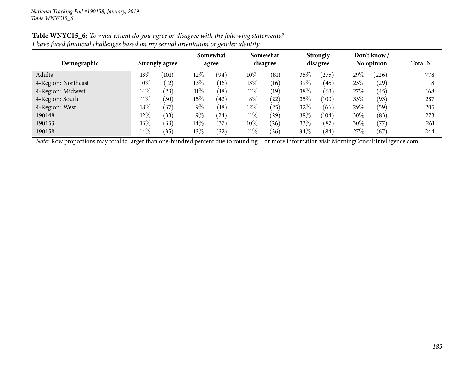| O<br>$\circ$        |                       |        |                   |        |                      |      |                             |        |                            |                |  |  |
|---------------------|-----------------------|--------|-------------------|--------|----------------------|------|-----------------------------|--------|----------------------------|----------------|--|--|
| Demographic         | <b>Strongly agree</b> |        | Somewhat<br>agree |        | Somewhat<br>disagree |      | <b>Strongly</b><br>disagree |        | Don't know /<br>No opinion | <b>Total N</b> |  |  |
| Adults              | 13%<br>(101)          | $12\%$ | (94)              | $10\%$ | (81)                 | 35%  | (275)                       | 29%    | (226)                      | 778            |  |  |
| 4-Region: Northeast | $10\%$<br>(12)        | $13\%$ | (16)              | 13%    | (16)                 | 39%  | (45)                        | $25\%$ | $^{'}29)$                  | 118            |  |  |
| 4-Region: Midwest   | $14\%$<br>(23)        | $11\%$ | (18)              | $11\%$ | (19)                 | 38%  | (63)                        | 27%    | (45)                       | 168            |  |  |
| 4-Region: South     | $11\%$<br>(30)        | $15\%$ | $^{(42)}$         | $8\%$  | (22)                 | 35%  | (100)                       | 33%    | (93)                       | 287            |  |  |
| 4-Region: West      | 18%<br>$^{(37)}$      | $9\%$  | (18)              | $12\%$ | $^{'}25)$            | 32%  | (66)                        | 29\%   | (59)                       | 205            |  |  |
| 190148              | $12\%$<br>(33)        | $9\%$  | $^{\prime}24)$    | $11\%$ | $^{'}29)$            | 38%  | (104)                       | $30\%$ | (83)                       | 273            |  |  |
| 190153              | $13\%$<br>(33)        | $14\%$ | (37)              | $10\%$ | (26)                 | 33%  | (87)                        | $30\%$ | (77)                       | 261            |  |  |
| 190158              | $14\%$<br>(35)        | $13\%$ | (32)              | $11\%$ | (26)                 | 34\% | (84)                        | 27%    | (67)                       | 244            |  |  |

Table WNYC15\_6: To what extent do you agree or disagree with the following statements? I have faced financial challenges based on my sexual orientation or gender identity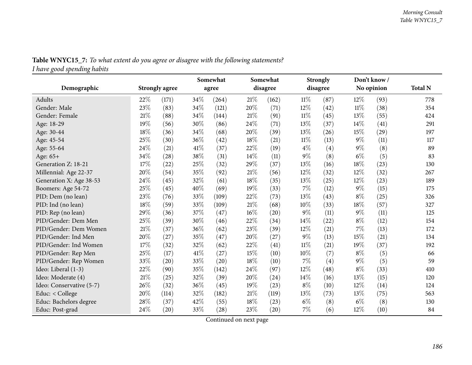| <b>Table WNYC15_7:</b> To what extent do you agree or disagree with the following statements? |  |  |  |  |
|-----------------------------------------------------------------------------------------------|--|--|--|--|
| I have good spending habits                                                                   |  |  |  |  |

|                          |      |                       |      | Somewhat | Somewhat<br>disagree |       | <b>Strongly</b><br>disagree |      | Don't know/<br>No opinion |      |                |
|--------------------------|------|-----------------------|------|----------|----------------------|-------|-----------------------------|------|---------------------------|------|----------------|
| Demographic              |      | <b>Strongly agree</b> |      | agree    |                      |       |                             |      |                           |      | <b>Total N</b> |
| Adults                   | 22%  | (171)                 | 34%  | (264)    | 21%                  | (162) | 11%                         | (87) | 12%                       | (93) | 778            |
| Gender: Male             | 23%  | (83)                  | 34%  | (121)    | 20%                  | (71)  | 12%                         | (42) | $11\%$                    | (38) | 354            |
| Gender: Female           | 21\% | (88)                  | 34%  | (144)    | 21\%                 | (91)  | $11\%$                      | (45) | 13%                       | (55) | 424            |
| Age: 18-29               | 19%  | (56)                  | 30%  | (86)     | 24%                  | (71)  | 13%                         | (37) | 14%                       | (41) | 291            |
| Age: 30-44               | 18%  | (36)                  | 34%  | (68)     | 20%                  | (39)  | 13%                         | (26) | 15%                       | (29) | 197            |
| Age: 45-54               | 25%  | (30)                  | 36\% | (42)     | 18%                  | (21)  | $11\%$                      | (13) | $9\%$                     | (11) | 117            |
| Age: 55-64               | 24%  | (21)                  | 41\% | (37)     | 22%                  | (19)  | $4\%$                       | (4)  | $9\%$                     | (8)  | 89             |
| Age: 65+                 | 34%  | (28)                  | 38%  | (31)     | 14%                  | (11)  | $9\%$                       | (8)  | $6\%$                     | (5)  | 83             |
| Generation Z: 18-21      | 17%  | (22)                  | 25%  | (32)     | 29%                  | (37)  | 13%                         | (16) | 18%                       | (23) | 130            |
| Millennial: Age 22-37    | 20%  | (54)                  | 35%  | (92)     | 21\%                 | (56)  | 12%                         | (32) | 12%                       | (32) | 267            |
| Generation X: Age 38-53  | 24%  | (45)                  | 32%  | (61)     | 18%                  | (35)  | 13%                         | (25) | 12%                       | (23) | 189            |
| Boomers: Age 54-72       | 25%  | (45)                  | 40%  | (69)     | 19%                  | (33)  | 7%                          | (12) | $9\%$                     | (15) | 175            |
| PID: Dem (no lean)       | 23%  | (76)                  | 33%  | (109)    | 22%                  | (73)  | 13%                         | (43) | $8\%$                     | (25) | 326            |
| PID: Ind (no lean)       | 18%  | (59)                  | 33%  | (109)    | 21%                  | (68)  | 10%                         | (33) | 18%                       | (57) | 327            |
| PID: Rep (no lean)       | 29%  | (36)                  | 37%  | (47)     | 16%                  | (20)  | $9\%$                       | (11) | $9\%$                     | (11) | 125            |
| PID/Gender: Dem Men      | 25%  | (39)                  | 30%  | (46)     | 22%                  | (34)  | 14%                         | (22) | $8\%$                     | (12) | 154            |
| PID/Gender: Dem Women    | 21%  | (37)                  | 36%  | (62)     | 23%                  | (39)  | 12%                         | (21) | 7%                        | (13) | 172            |
| PID/Gender: Ind Men      | 20%  | (27)                  | 35%  | (47)     | 20%                  | (27)  | 9%                          | (13) | 15%                       | (21) | 134            |
| PID/Gender: Ind Women    | 17%  | (32)                  | 32%  | (62)     | 22%                  | (41)  | $11\%$                      | (21) | 19%                       | (37) | 192            |
| PID/Gender: Rep Men      | 25%  | (17)                  | 41%  | (27)     | 15%                  | (10)  | 10%                         | (7)  | $8\%$                     | (5)  | 66             |
| PID/Gender: Rep Women    | 33%  | (20)                  | 33%  | (20)     | 18%                  | (10)  | 7%                          | (4)  | $9\%$                     | (5)  | 59             |
| Ideo: Liberal (1-3)      | 22%  | (90)                  | 35%  | (142)    | 24%                  | (97)  | 12%                         | (48) | $8\%$                     | (33) | 410            |
| Ideo: Moderate (4)       | 21%  | (25)                  | 32%  | (39)     | 20%                  | (24)  | 14\%                        | (16) | 13%                       | (15) | 120            |
| Ideo: Conservative (5-7) | 26%  | (32)                  | 36%  | (45)     | 19%                  | (23)  | $8\%$                       | (10) | 12%                       | (14) | 124            |
| Educ: < College          | 20%  | (114)                 | 32%  | (182)    | 21\%                 | (119) | 13%                         | (73) | 13%                       | (75) | 563            |
| Educ: Bachelors degree   | 28%  | (37)                  | 42%  | (55)     | 18%                  | (23)  | $6\%$                       | (8)  | $6\%$                     | (8)  | 130            |
| Educ: Post-grad          | 24%  | $\left( 20\right)$    | 33%  | (28)     | 23%                  | (20)  | 7%                          | (6)  | 12%                       | (10) | 84             |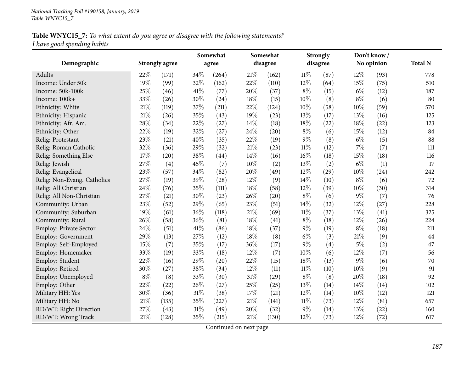## **Table WNYC15\_7:** To what extent do you agree or disagree with the following statements? *<sup>I</sup> have goo<sup>d</sup> spending habits*

|                             |        |                       | Somewhat<br>Somewhat |                    |        | <b>Strongly</b> |        | Don't know/ |       |            |                |
|-----------------------------|--------|-----------------------|----------------------|--------------------|--------|-----------------|--------|-------------|-------|------------|----------------|
| Demographic                 |        | <b>Strongly agree</b> |                      | agree              |        | disagree        |        | disagree    |       | No opinion | <b>Total N</b> |
| Adults                      | 22%    | (171)                 | 34%                  | (264)              | 21%    | (162)           | $11\%$ | (87)        | 12%   | (93)       | 778            |
| Income: Under 50k           | 19%    | (99)                  | 32%                  | (162)              | 22%    | (110)           | 12%    | (64)        | 15%   | (75)       | 510            |
| Income: 50k-100k            | 25%    | (46)                  | $41\%$               | (77)               | 20%    | (37)            | $8\%$  | (15)        | $6\%$ | (12)       | 187            |
| Income: 100k+               | 33%    | (26)                  | 30%                  | (24)               | 18%    | (15)            | 10%    | (8)         | $8\%$ | (6)        | 80             |
| Ethnicity: White            | 21%    | (119)                 | 37%                  | (211)              | 22%    | (124)           | 10%    | (58)        | 10%   | (59)       | 570            |
| Ethnicity: Hispanic         | 21%    | (26)                  | 35%                  | (43)               | 19%    | (23)            | 13%    | (17)        | 13%   | (16)       | 125            |
| Ethnicity: Afr. Am.         | 28%    | (34)                  | 22%                  | (27)               | 14%    | (18)            | 18%    | (22)        | 18%   | (22)       | 123            |
| Ethnicity: Other            | 22%    | (19)                  | 32%                  | (27)               | 24%    | (20)            | $8\%$  | (6)         | 15%   | (12)       | 84             |
| Relig: Protestant           | $23\%$ | (21)                  | $40\%$               | (35)               | 22%    | (19)            | $9\%$  | (8)         | $6\%$ | (5)        | 88             |
| Relig: Roman Catholic       | 32%    | (36)                  | 29%                  | (32)               | 21%    | (23)            | $11\%$ | (12)        | 7%    | (7)        | 111            |
| Relig: Something Else       | 17%    | (20)                  | 38%                  | (44)               | 14%    | (16)            | 16%    | (18)        | 15%   | (18)       | 116            |
| Relig: Jewish               | 27\%   | (4)                   | 45%                  | (7)                | 10%    | (2)             | 13%    | (2)         | $6\%$ | (1)        | 17             |
| Relig: Evangelical          | 23%    | (57)                  | 34%                  | (82)               | 20%    | (49)            | 12%    | (29)        | 10%   | (24)       | 242            |
| Relig: Non-Evang. Catholics | 27%    | (19)                  | 39%                  | $\left( 28\right)$ | 12%    | (9)             | 14%    | (10)        | $8\%$ | (6)        | 72             |
| Relig: All Christian        | 24%    | (76)                  | 35%                  | (111)              | 18%    | (58)            | 12%    | (39)        | 10%   | (30)       | 314            |
| Relig: All Non-Christian    | 27%    | (21)                  | 30%                  | (23)               | 26%    | (20)            | $8\%$  | (6)         | 9%    | (7)        | 76             |
| Community: Urban            | 23%    | (52)                  | 29%                  | (65)               | 23%    | (51)            | 14%    | (32)        | 12%   | (27)       | 228            |
| Community: Suburban         | 19%    | (61)                  | 36%                  | (118)              | 21%    | (69)            | $11\%$ | (37)        | 13%   | (41)       | 325            |
| Community: Rural            | 26%    | (58)                  | 36%                  | (81)               | 18%    | (41)            | $8\%$  | (18)        | 12%   | (26)       | 224            |
| Employ: Private Sector      | 24%    | (51)                  | $41\%$               | (86)               | 18%    | (37)            | $9\%$  | (19)        | $8\%$ | (18)       | 211            |
| Employ: Government          | 29%    | (13)                  | 27%                  | (12)               | 18%    | (8)             | $6\%$  | (3)         | 21%   | (9)        | 44             |
| Employ: Self-Employed       | 15%    | (7)                   | 35%                  | (17)               | 36%    | (17)            | $9\%$  | (4)         | $5\%$ | (2)        | $47\,$         |
| Employ: Homemaker           | 33%    | (19)                  | 33%                  | (18)               | 12%    | (7)             | 10%    | (6)         | 12%   | (7)        | 56             |
| Employ: Student             | 22%    | (16)                  | 29%                  | (20)               | 22%    | (15)            | 18%    | (13)        | 9%    | (6)        | 70             |
| Employ: Retired             | 30%    | (27)                  | 38%                  | (34)               | 12%    | (11)            | $11\%$ | (10)        | 10%   | (9)        | 91             |
| Employ: Unemployed          | $8\%$  | (8)                   | 33%                  | (30)               | $31\%$ | (29)            | $8\%$  | (8)         | 20%   | (18)       | 92             |
| Employ: Other               | 22%    | (22)                  | 26%                  | (27)               | 25%    | (25)            | 13%    | (14)        | 14%   | (14)       | 102            |
| Military HH: Yes            | 30%    | (36)                  | $31\%$               | (38)               | 17%    | (21)            | 12%    | (14)        | 10%   | (12)       | 121            |
| Military HH: No             | 21\%   | (135)                 | 35%                  | (227)              | 21%    | (141)           | $11\%$ | (73)        | 12%   | (81)       | 657            |
| RD/WT: Right Direction      | 27%    | (43)                  | $31\%$               | (49)               | 20%    | (32)            | $9\%$  | (14)        | 13%   | (22)       | 160            |
| RD/WT: Wrong Track          | 21%    | (128)                 | 35%                  | (215)              | 21\%   | (130)           | 12%    | (73)        | 12%   | (72)       | 617            |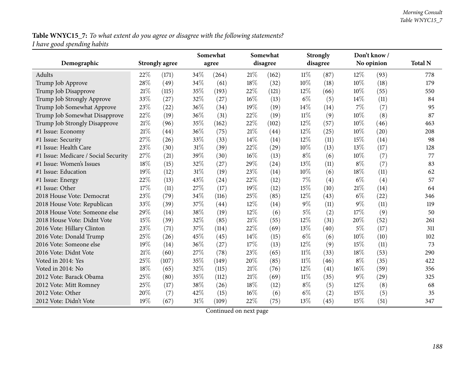Table WNYC15\_7: To what extent do you agree or disagree with the following statements? *<sup>I</sup> have goo<sup>d</sup> spending habits*

|                                      |     |                       | Somewhat |       |        | Somewhat |        | <b>Strongly</b> | Don't know/ |            |                |
|--------------------------------------|-----|-----------------------|----------|-------|--------|----------|--------|-----------------|-------------|------------|----------------|
| Demographic                          |     | <b>Strongly agree</b> |          | agree |        | disagree |        | disagree        |             | No opinion | <b>Total N</b> |
| <b>Adults</b>                        | 22% | (171)                 | 34\%     | (264) | 21\%   | (162)    | $11\%$ | (87)            | $12\%$      | (93)       | 778            |
| Trump Job Approve                    | 28% | (49)                  | 34%      | (61)  | $18\%$ | (32)     | 10%    | (18)            | 10%         | (18)       | 179            |
| Trump Job Disapprove                 | 21% | (115)                 | 35%      | (193) | 22%    | (121)    | 12%    | (66)            | 10%         | (55)       | 550            |
| Trump Job Strongly Approve           | 33% | (27)                  | 32%      | (27)  | $16\%$ | (13)     | $6\%$  | (5)             | 14%         | (11)       | 84             |
| Trump Job Somewhat Approve           | 23% | (22)                  | 36%      | (34)  | 19%    | (19)     | 14%    | (14)            | 7%          | (7)        | 95             |
| Trump Job Somewhat Disapprove        | 22% | (19)                  | 36%      | (31)  | 22%    | (19)     | $11\%$ | (9)             | 10%         | (8)        | 87             |
| Trump Job Strongly Disapprove        | 21% | (96)                  | 35%      | (162) | 22%    | (102)    | 12%    | (57)            | 10%         | (46)       | 463            |
| #1 Issue: Economy                    | 21% | (44)                  | 36%      | (75)  | 21\%   | (44)     | 12%    | (25)            | 10%         | (20)       | 208            |
| #1 Issue: Security                   | 27% | (26)                  | 33%      | (33)  | 14\%   | (14)     | 12%    | (11)            | 15%         | (14)       | 98             |
| #1 Issue: Health Care                | 23% | (30)                  | 31%      | (39)  | 22%    | (29)     | 10%    | (13)            | 13%         | (17)       | 128            |
| #1 Issue: Medicare / Social Security | 27% | (21)                  | 39%      | (30)  | 16%    | (13)     | $8\%$  | (6)             | 10%         | (7)        | 77             |
| #1 Issue: Women's Issues             | 18% | (15)                  | 32%      | (27)  | 29%    | (24)     | 13%    | (11)            | $8\%$       | (7)        | 83             |
| #1 Issue: Education                  | 19% | (12)                  | $31\%$   | (19)  | 23\%   | (14)     | 10%    | (6)             | 18%         | (11)       | 62             |
| #1 Issue: Energy                     | 22% | (13)                  | 43%      | (24)  | 22%    | (12)     | 7%     | (4)             | $6\%$       | (4)        | 57             |
| #1 Issue: Other                      | 17% | (11)                  | 27%      | (17)  | 19%    | (12)     | 15%    | (10)            | $21\%$      | (14)       | 64             |
| 2018 House Vote: Democrat            | 23% | (79)                  | 34%      | (116) | 25%    | (85)     | 12%    | (43)            | $6\%$       | (22)       | 346            |
| 2018 House Vote: Republican          | 33% | (39)                  | 37%      | (44)  | 12%    | (14)     | $9\%$  | (11)            | $9\%$       | (11)       | 119            |
| 2018 House Vote: Someone else        | 29% | (14)                  | 38%      | (19)  | 12%    | (6)      | $5\%$  | (2)             | 17%         | (9)        | 50             |
| 2018 House Vote: Didnt Vote          | 15% | (39)                  | 32%      | (85)  | $21\%$ | (55)     | 12%    | (31)            | 20%         | (52)       | 261            |
| 2016 Vote: Hillary Clinton           | 23% | (71)                  | 37%      | (114) | 22%    | (69)     | 13%    | (40)            | 5%          | (17)       | 311            |
| 2016 Vote: Donald Trump              | 25% | (26)                  | 45%      | (45)  | 14\%   | (15)     | $6\%$  | (6)             | 10%         | (10)       | 102            |
| 2016 Vote: Someone else              | 19% | (14)                  | 36%      | (27)  | 17%    | (13)     | 12%    | (9)             | 15%         | (11)       | 73             |
| 2016 Vote: Didnt Vote                | 21% | (60)                  | 27%      | (78)  | 23%    | (65)     | $11\%$ | (33)            | 18%         | (53)       | 290            |
| Voted in 2014: Yes                   | 25% | (107)                 | 35%      | (149) | 20%    | (85)     | $11\%$ | (46)            | $8\%$       | (35)       | 422            |
| Voted in 2014: No                    | 18% | (65)                  | 32%      | (115) | $21\%$ | (76)     | 12%    | (41)            | 16%         | (59)       | 356            |
| 2012 Vote: Barack Obama              | 25% | (80)                  | 35%      | (112) | 21%    | (69)     | $11\%$ | (35)            | $9\%$       | (29)       | 325            |
| 2012 Vote: Mitt Romney               | 25% | (17)                  | 38%      | (26)  | 18%    | (12)     | $8\%$  | (5)             | 12%         | (8)        | 68             |
| 2012 Vote: Other                     | 20% | (7)                   | 42%      | (15)  | $16\%$ | (6)      | $6\%$  | (2)             | 15%         | (5)        | 35             |
| 2012 Vote: Didn't Vote               | 19% | (67)                  | 31%      | (109) | 22%    | (75)     | 13%    | (45)            | 15%         | (51)       | 347            |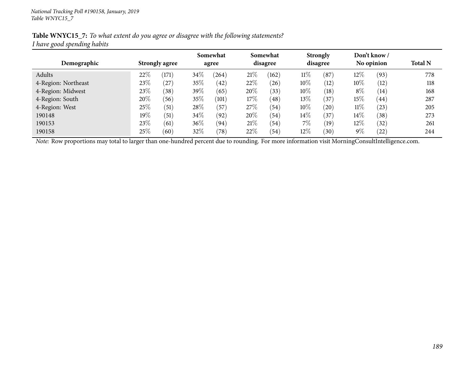#### Table WNYC15\_7: To what extent do you agree or disagree with the following statements? *<sup>I</sup> have goo<sup>d</sup> spending habits*

|                     |                       |                | Somewhat |            |        | Somewhat       |        | <b>Strongly</b> |        | Don't know/ |                |
|---------------------|-----------------------|----------------|----------|------------|--------|----------------|--------|-----------------|--------|-------------|----------------|
| Demographic         | <b>Strongly agree</b> |                | agree    |            |        | disagree       |        | disagree        |        | No opinion  | <b>Total N</b> |
| Adults              | 22%                   | (171)          | $34\%$   | $^{'}264)$ | 21\%   | (162)          | $11\%$ | (87)            | 12%    | (93)        | 778            |
| 4-Region: Northeast | 23\%                  | (27)           | $35\%$   | (42)       | 22%    | (26)           | 10%    | (12)            | $10\%$ | (12)        | 118            |
| 4-Region: Midwest   | 23\%                  | $^{\prime}38)$ | 39\%     | (65)       | 20%    | (33)           | 10%    | (18)            | $8\%$  | (14)        | 168            |
| 4-Region: South     | 20%                   | (56)           | 35\%     | (101)      | $17\%$ | (48)           | 13%    | (37)            | 15%    | (44)        | 287            |
| 4-Region: West      | 25%                   | (51)           | 28\%     | (57`       | 27\%   | (54)           | 10%    | (20)            | $11\%$ | (23)        | 205            |
| 190148              | $19\%$                | (51)           | $34\%$   | (92)       | 20%    | $^{\prime}54)$ | $14\%$ | (37)            | $14\%$ | (38)        | 273            |
| 190153              | 23%                   | (61)           | 36\%     | (94)       | 21\%   | (54)           | $7\%$  | (19)            | 12%    | (32)        | 261            |
| 190158              | $25\%$                | (60)           | $32\%$   | (78)       | 22%    | (54)           | $12\%$ | (30)            | $9\%$  | (22)        | 244            |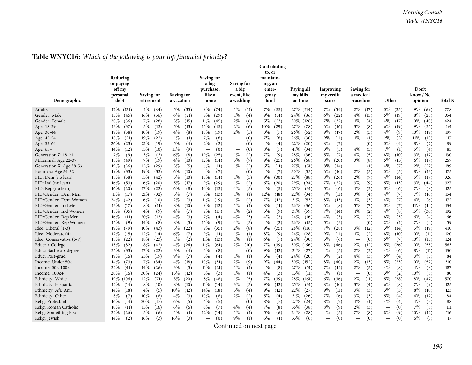| Demographic                                  | Reducing<br>or paying<br>off my<br>personal<br>debt | Saving for<br>retirement    | Saving for<br>a vacation    | Saving for<br>a big<br>purchase,<br>like a<br>home | Saving for<br>a big<br>event, like<br>a wedding | Contributing<br>to, or<br>maintain-<br>ing, an<br>emer-<br>gency<br>fund | Paying all<br>my bills<br>on time | Improving<br>my credit<br>score | Saving for<br>a medical<br>procedure | Other                           | Don't<br>know / No<br>opinion | <b>Total N</b> |
|----------------------------------------------|-----------------------------------------------------|-----------------------------|-----------------------------|----------------------------------------------------|-------------------------------------------------|--------------------------------------------------------------------------|-----------------------------------|---------------------------------|--------------------------------------|---------------------------------|-------------------------------|----------------|
| Adults<br>Gender: Male                       | 17%<br>(131)<br>13%<br>(45)                         | $11\%$<br>(84)<br>16\%      | $5\%$<br>(35)<br>$6\%$      | $9\%$<br>(74)<br>8%<br>(29)                        | $1\%$<br>(11)<br>$1\%$<br>(4)                   | 7%<br>(55)<br>$9\%$<br>(31)                                              | 27\% (214)<br>24\%                | 7%<br>(54)<br>6%<br>(22)        | $2\%$<br>(17)<br>$4\%$               | $5\%$<br>(35)<br>$5\%$          | $9\%$<br>(69)<br>$8\%$        | 778            |
| Gender: Female                               | 20%<br>(86)                                         | (56)<br>7%<br>(28)          | (21)<br>$3\%$<br>(15)       | $11\%$<br>(45)                                     | $2\%$                                           | $5\%$<br>(23)                                                            | (86)<br>30\% (128)                | $7\%$<br>(32)                   | (13)<br>$1\%$                        | (19)<br>$4\%$<br>(17)           | (28)<br>10%<br>(40)           | 354<br>424     |
| Age: 18-29                                   | 13%<br>(37)                                         | 5%<br>(13)                  | $5\%$<br>(13)               | 15%<br>(45)                                        | (6)<br>$2\%$<br>(6)                             | 10%<br>(29)                                                              | $27\%$<br>(78)                    | 6%<br>(16)                      | (4)<br>$3\%$<br>(8)                  | 6%<br>(19)                      | $9\%$<br>(25)                 | 291            |
| Age: 30-44                                   | 19%<br>(38)                                         | 10%<br>(19)                 | $4\%$<br>(8)                | 10%<br>(19)                                        | $2\%$<br>(5)                                    | (7)<br>$3\%$                                                             | 26%<br>(52)                       | $9\%$<br>(17)                   | $2\%$<br>(5)                         | 4%<br>(9)                       | 10%<br>(19)                   | 197            |
| Age: 45-54                                   | 18%<br>(21)                                         | 19%<br>(22)                 | $1\%$<br>(1)                | 7%<br>(8)                                          | (0)<br>$\overbrace{\phantom{1232211}}$          | 7%<br>(8)                                                                | 26%<br>(30)                       | 9%<br>(11)                      | $1\%$<br>(1)                         | 2%<br>(3)                       | $11\%$<br>(13)                | 117            |
| Age: 55-64                                   | 26%<br>(23)                                         | 21\%<br>(19)                | 5%<br>(4)                   | $2\%$<br>(2)                                       | (0)<br>$\overline{\phantom{0}}$                 | $4\%$<br>(4)                                                             | 22%<br>(20)                       | $8\%$<br>(7)                    | (0)                                  | 5%<br>(4)                       | $8\%$<br>(7)                  | 89             |
| Age: 65+                                     | 14%<br>(12)                                         | 13\%<br>(10)                | 11%<br>(9)                  | (0)<br>$\overbrace{\phantom{12322111}}$            | (0)<br>$\hspace{0.1mm}-\hspace{0.1mm}$          | $8\%$<br>(7)                                                             | 41%<br>(34)                       | $3\%$<br>(3)                    | $4\%$<br>(3)                         | $1\%$<br>(1)                    | 5%<br>(4)                     | 83             |
| Generation Z: 18-21                          | 7%<br>(9)                                           | $3\%$<br>(3)                | $6\%$<br>(8)                | 19%<br>(25)                                        | $1\%$<br>(2)                                    | 7%<br>(9)                                                                | 28\%<br>(36)                      | 5%<br>(7)                       | 4%<br>(5)                            | $8\%$<br>(10)                   | 13%<br>(17)                   | 130            |
| Millennial: Age 22-37                        | 18%<br>(49)                                         | 7%<br>(19)                  | $4\%$<br>(10)               | 12%<br>(31)                                        | $3\%$<br>(7)                                    | $9\%$<br>(25)                                                            | $26\%$<br>(68)                    | $8\%$<br>(20)                   | $3\%$<br>(8)                         | 5%<br>(13)                      | 6%<br>(17)                    | 267            |
| Generation X: Age 38-53                      | 19%<br>(36)                                         | 15%<br>(29)                 | $3\%$<br>(5)                | 6%<br>(11)                                         | $1\%$<br>(2)                                    | $6\%$<br>(11)                                                            | 27\%<br>(51)                      | $8\%$<br>(14)                   | (1)<br>$\overline{\phantom{m}}$      | 4%<br>(7)                       | 12%<br>(22)                   | 189            |
| Boomers: Age 54-72                           | 19%<br>(33)                                         | 19%<br>(33)                 | $6\%$<br>(10)               | $4\%$<br>(7)                                       | (0)<br>$\overbrace{\phantom{1232211}}$          | $4\%$<br>(7)                                                             | 30%<br>(53)                       | 6%<br>(10)                      | $2\%$<br>(3)                         | (5)<br>$3\%$                    | 8%<br>(13)                    | 175            |
| PID: Dem (no lean)                           | 18%<br>(58)                                         | 13%<br>(42)                 | $3\%$<br>(10)               | $10\%$<br>(31)                                     | $1\%$<br>(3)                                    | $9\%$<br>(30)                                                            | 27\%<br>(88)                      | $8\%$<br>(26)                   | $2\%$<br>(7)                         | $4\%$<br>(14)                   | 5%<br>(17)                    | 326            |
| PID: Ind (no lean)                           | 16%<br>(53)                                         | $6\%$<br>(20)               | $5\%$<br>(17)               | $9\%$<br>(29)                                      | $1\%$<br>(2)                                    | 6%<br>(20)                                                               | 29%<br>(94)                       | $7\%$<br>(22)                   | $3\%$<br>(9)                         | 5%<br>(15)                      | 13%<br>(44)                   | 327            |
| PID: Rep (no lean)                           | $16\%$<br>(20)                                      | $17\%$<br>(22)              | $6\%$<br>(8)                | $10\%$<br>(13)                                     | $4\%$<br>(5)                                    | 4%<br>(5)                                                                | 25%<br>(31)                       | 5%<br>(6)                       | $1\%$<br>(2)                         | 5%<br>(6)                       | $7\%$<br>(8)                  | 125            |
| PID/Gender: Dem Men                          | $11\%$<br>(17)                                      | 21%<br>(32)                 | (7)<br>$5\%$                | 8%<br>(13)                                         | $1\%$<br>(1)                                    | 12%<br>(18)                                                              | 22%<br>(34)                       | $7\%$<br>(11)                   | $3\%$<br>(4)                         | $4\%$<br>(7)                    | 7%<br>(10)                    | 154            |
| PID/Gender: Dem Women<br>PID/Gender: Ind Men | 24%<br>(42)<br>13%<br>(17)                          | 6%<br>(10)<br>$8\%$<br>(11) | $2\%$<br>(3)<br>8%<br>(10)  | $11\%$<br>(19)<br>$9\%$<br>(12)                    | $1\%$<br>(2)<br>$1\%$                           | $7\%$<br>(12)<br>$8\%$<br>(11)                                           | 31\%<br>(53)<br>$26\%$            | $8\%$<br>(15)<br>$6\%$          | $1\%$<br>(3)<br>5%<br>(7)            | 4%<br>(7)<br>5%                 | 4%<br>(6)<br>11%              | 172<br>134     |
| PID/Gender: Ind Women                        | 18%<br>(35)                                         | 4%<br>(9)                   | (7)<br>$4\%$                | $9\%$<br>(17)                                      | (1)<br>$1\%$<br>(2)                             | $5\%$<br>(9)                                                             | (36)<br>31%<br>(59)               | (8)<br>$7\%$<br>(14)            | $1\%$<br>(2)                         | (7)<br>$4\%$<br>(8)             | (14)<br>15%<br>(30)           | 192            |
| PID/Gender: Rep Men                          | 16%<br>(11)                                         | 20%<br>(13)                 | (3)<br>$4\%$                | 7%<br>(4)                                          | $4\%$<br>(3)                                    | $4\%$<br>(3)                                                             | 24\%<br>(16)                      | $4\%$<br>(3)                    | $2\%$<br>(2)                         | $8\%$<br>(5)                    | 6%<br>(4)                     | 66             |
| PID/Gender: Rep Women                        | 15%<br>(9)                                          | 14%<br>(8)                  | $8\%$<br>(5)                | 15%<br>(9)                                         | $4\%$<br>(3)                                    | $4\%$<br>(2)                                                             | 26%<br>(15)                       | $5\%$<br>(3)                    | (0)<br>$\equiv$                      | $2\%$<br>(1)                    | 7%<br>(4)                     | 59             |
| Ideo: Liberal (1-3)                          | 19%<br>(79)                                         | $10\%$<br>(43)              | $5\%$<br>(22)               | $9\%$<br>(35)                                      | $2\%$<br>(8)                                    | $9\%$<br>(35)                                                            | $28\%$<br>(116)                   | $7\%$<br>(28)                   | $3\%$<br>(12)                        | $3\%$<br>(14)                   | 5%<br>(19)                    | 410            |
| Ideo: Moderate (4)                           | $12\%$<br>(15)                                      | 12%<br>(14)                 | $6\%$<br>(7)                | 9%<br>(11)                                         | $1\%$<br>(1)                                    | $8\%$<br>(9)                                                             | 24\%<br>(28)                      | $9\%$<br>(11)                   | $1\%$<br>(2)                         | $8\%$<br>(10)                   | $10\%$<br>(11)                | 120            |
| Ideo: Conservative (5-7)                     | 18%<br>(22)                                         | 18%<br>(23)                 | $1\%$<br>(2)                | 11%<br>(13)                                        | $1\%$<br>(1)                                    | (7)<br>6%                                                                | $24\%$<br>(30)                    | $5\%$<br>(6)                    | (0)<br>$\overline{\phantom{0}}$      | $5\%$<br>(7)                    | $10\%$<br>(13)                | 124            |
| Educ: < College                              | 15%<br>(82)                                         | $8\%$<br>(42)               | $4\%$<br>(24)               | $11\%$<br>(61)                                     | $2\%$<br>(10)                                   | 7%<br>(39)                                                               | $30\%$<br>(166)                   | $8\%$<br>(46)                   | $2\%$<br>(12)                        | $5\%$<br>(26)                   | 10%<br>(55)                   | 563            |
| Educ: Bachelors degree                       | 25%<br>(33)                                         | 17%<br>(22)                 | $3\%$<br>(4)                | 6%<br>(8)                                          | (0)<br>$\equiv$                                 | $9\%$<br>(12)                                                            | 21%<br>(27)                       | $4\%$<br>(5)                    | $2\%$<br>(2)                         | $4\%$<br>(6)                    | $8\%$<br>(11)                 | 130            |
| Educ: Post-grad                              | 19%<br>(16)                                         | 23%<br>(19)                 | 9%<br>(7)                   | 5%<br>(4)                                          | $1\%$<br>(1)                                    | $5\%$<br>(4)                                                             | 24%<br>(20)                       | $3\%$<br>(2)                    | $4\%$<br>(3)                         | 5%<br>(4)                       | $3\%$<br>(3)                  | 84             |
| Income: Under 50k                            | 14%<br>(73)                                         | 7%<br>(34)                  | $4\%$<br>(18)               | 10%<br>(51)                                        | $2\%$<br>(9)                                    | $9\%$<br>(44)                                                            | 30%<br>(152)                      | $8\%$<br>(40)                   | $2\%$<br>(13)                        | 5%<br>(25)                      | 10%<br>(52)                   | 510            |
| Income: 50k-100k                             | 22%<br>(41)                                         | 14\%<br>(26)                | $3\%$<br>(5)                | $11\%$<br>(21)                                     | $1\%$<br>(1)                                    | $4\%$<br>(8)                                                             | 27%<br>(51)                       | $7\%$<br>(12)                   | $2\%$<br>(5)                         | $4\%$<br>(8)                    | $4\%$<br>(8)                  | 187            |
| Income: 100k+                                | 20%<br>(16)                                         | 30%<br>(24)                 | 15%<br>(12)                 | $3\%$<br>(3)                                       | $1\%$<br>(1)                                    | $\overline{3})$<br>$4\%$                                                 | 13%<br>(11)                       | $1\%$<br>(1)                    | (0)                                  | 3%<br>(2)                       | 10%<br>(8)                    | 80             |
| Ethnicity: White                             | 19%<br>(106)                                        | 12%<br>(71)                 | $3\%$<br>(20)               | $8\%$<br>(48)                                      | $1\%$<br>(5)                                    | $7\%$<br>(39)                                                            | 28\%<br>(161)                     | $6\%$<br>(36)                   | $2\%$<br>(11)                        | $5\%$<br>(28)                   | $8\%$<br>(47)                 | 570            |
| Ethnicity: Hispanic                          | 12%<br>(14)                                         | $8\%$<br>(10)               | $8\%$<br>(10)               | 11%<br>(14)                                        | $3\%$<br>(3)                                    | $9\%$<br>(12)                                                            | 25\%<br>(31)                      | $8\%$<br>(10)                   | $3\%$<br>(4)                         | $6\%$<br>(8)                    | $7\%$<br>(9)                  | 125            |
| Ethnicity: Afr. Am.                          | 14%<br>(18)<br>$8\%$                                | $4\%$<br>(5)<br>10%<br>(8)  | 10%<br>(12)<br>$4\%$<br>(3) | 14%<br>(18)<br>$10\%$                              | $3\%$<br>(4)<br>$2\%$                           | $9\%$<br>(12)<br>$5\%$<br>(4)                                            | 22%<br>(27)<br>31%                | $9\%$<br>(11)<br>$7\%$          | $3\%$<br>(3)<br>$3\%$<br>(3)         | $3\%$<br>(3)<br>5%              | $8\%$<br>(10)<br>14%<br>(12)  | 123<br>84      |
| Ethnicity: Other<br>Relig: Protestant        | (7)<br>$16\%$<br>(14)                               | 20%<br>(17)                 | $6\%$<br>(5)                | (8)<br>6%<br>(5)                                   | (2)<br>(0)                                      | $8\%$<br>(7)                                                             | (26)<br>27%<br>(24)               | (6)<br>$8\%$<br>(7)             | $1\%$<br>(1)                         | (4)<br>$4\%$<br>(4)             | $4\%$<br>(3)                  | 88             |
| Relig: Roman Catholic                        | 10%<br>(11)                                         | 15%<br>(16)                 | (6)<br>$6\%$                | 6%<br>(7)                                          | $4\%$<br>(4)                                    | 7%<br>(8)                                                                | 35\%<br>(38)                      | $8\%$<br>(9)                    | $2\%$<br>(3)                         | (0)                             | 7%<br>(8)                     | 111            |
| Relig: Something Else                        | 22%<br>(26)                                         | 5%<br>(6)                   | $1\%$<br>(1)                | 12%<br>(14)                                        | $1\%$<br>(1)                                    | 5%<br>(6)                                                                | 24\%<br>(28)                      | $4\%$<br>(5)                    | 7%<br>(8)                            | $8\%$<br>(9)                    | $10\%$<br>(12)                | 116            |
| Relig: Jewish                                | 14\%<br>(2)                                         | 16%<br>(3)                  | $16\%$<br>(3)               | (0)<br>$\overbrace{\phantom{12322111}}$            | $9\%$<br>(1)                                    | $6\%$<br>(1)                                                             | 33%<br>(6)                        | (0)<br>$\overline{\phantom{0}}$ | (0)<br>$\overline{\phantom{0}}$      | (0)<br>$\overline{\phantom{0}}$ | $6\%$<br>(1)                  | 17             |

## **Table WNYC16:** *Which of the following is your top financial priority?*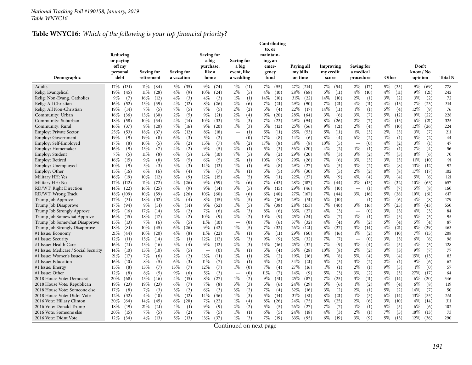## **Table WNYC16:** *Which of the following is your top financial priority?*

| Demographic                          | Reducing<br>or paying<br>off my<br>personal<br>debt | Saving for<br>retirement | Saving for<br>a vacation | Saving for<br>a big<br>purchase,<br>like a<br>home | Saving for<br>a big<br>event, like<br>a wedding | Contributing<br>to, or<br>maintain-<br>ing, an<br>emer-<br>gency<br>fund | Paying all<br>my bills<br>on time | Improving<br>my credit<br>score | Saving for<br>a medical<br>procedure    | Other         | Don't<br>know / No<br>opinion | <b>Total N</b> |
|--------------------------------------|-----------------------------------------------------|--------------------------|--------------------------|----------------------------------------------------|-------------------------------------------------|--------------------------------------------------------------------------|-----------------------------------|---------------------------------|-----------------------------------------|---------------|-------------------------------|----------------|
| Adults                               | $17\%$ (131)                                        | $11\%$<br>(84)           | $5\%$<br>(35)            | $9\%$<br>(74)                                      | $1\%$<br>(11)                                   | 7%<br>(55)                                                               | 27\% (214)                        | 7%<br>(54)                      | $2\%$<br>(17)                           | $5\%$<br>(35) | 9%<br>(69)                    | 778            |
| Relig: Evangelical                   | $19\%$<br>(45)                                      | 11%<br>(28)              | $4\%$<br>(9)             | $10\%$<br>(24)                                     | 2%<br>(5)                                       | $4\%$<br>(10)                                                            | 28\%<br>(68)                      | $5\%$<br>(11)                   | $4\%$<br>(10)                           | $4\%$<br>(11) | $9\%$<br>(21)                 | 242            |
| Relig: Non-Evang. Catholics          | $9\%$<br>(7)                                        | $16\%$<br>(12)           | $4\%$<br>(3)             | $4\%$<br>(3)                                       | $1\%$<br>(1)                                    | $14\%$<br>(10)                                                           | 31%<br>(22)                       | $14\%$<br>(10)                  | $2\%$<br>(1)                            | $3\%$<br>(2)  | $3\%$<br>(2)                  | 72             |
| Relig: All Christian                 | $16\%$<br>(52)                                      | $13\%$<br>(39)           | $4\%$<br>(12)            | $8\%$<br>(26)                                      | 2%<br>(6)                                       | 7%<br>(21)                                                               | 29\%<br>(90)                      | 7%<br>(21)                      | $4\%$<br>(11)                           | $4\%$<br>(13) | $7\%$<br>(23)                 | 314            |
| Relig: All Non-Christian             | $19\%$<br>(14)                                      | $7\%$<br>(5)             | 7%<br>(5)                | 7%<br>(5)                                          | 2%<br>(2)                                       | $5\%$<br>(4)                                                             | 22\%<br>(17)                      | $14\%$<br>(11)                  | $1\%$<br>(1)                            | 5%<br>(4)     | 12%<br>(9)                    | 76             |
| Community: Urban                     | $16\%$<br>(36)                                      | 13%<br>(30)              | $2\%$<br>(5)             | 9%<br>(21)                                         | 2%<br>(4)                                       | (20)<br>9%                                                               | $28\%$<br>(64)                    | $3\%$<br>(6)                    | $3\%$<br>(7)                            | 5%<br>(12)    | $9\%$<br>(22)                 | 228            |
| Community: Suburban                  | $18\%$<br>(58)                                      | $10\%$<br>(34)           | $4\%$<br>(14)            | $10\%$<br>(33)                                     | $1\%$<br>(3)                                    | 7%<br>(23)                                                               | 29\%<br>(94)                      | 8%<br>(26)                      | $2\%$<br>(7)                            | $4\%$<br>(13) | $6\%$<br>(21)                 | 325            |
| Community: Rural                     | $16\%$<br>(37)                                      | $9\%$<br>(20)            | 7%<br>(16)               | $9\%$<br>(20)                                      | $1\%$<br>(3)                                    | $5\%$<br>(12)                                                            | 25\%<br>(56)                      | 9%<br>(21)                      | $2\%$<br>(4)                            | $4\%$<br>(10) | 12%<br>(26)                   | 224            |
| Employ: Private Sector               | 25%<br>(53)                                         | 18%<br>(37)              | $6\%$<br>(12)            | 8%<br>(18)                                         | (1)<br>$\overbrace{\phantom{12322111}}$         | $5\%$<br>(11)                                                            | 25\%<br>(53)                      | $5\%$<br>(11)                   | $1\%$<br>(3)                            | $2\%$<br>(5)  | $3\%$<br>(7)                  | 211            |
| Employ: Government                   | 19%<br>(9)                                          | 19%<br>(8)               | $6\%$<br>(3)             | 5%<br>(2)                                          | (0)<br>$\overline{\phantom{0}}$                 | 17%<br>(8)                                                               | 14%<br>(6)                        | $8\%$<br>(4)                    | $6\%$<br>(2)                            | $1\%$<br>(1)  | 5%<br>(2)                     | 44             |
| Employ: Self-Employed                | 17%<br>(8)                                          | $10\%$<br>(5)            | 3%<br>(2)                | 15%<br>(7)                                         | $4\%$<br>(2)                                    | 17%<br>(8)                                                               | 18\%<br>(8)                       | $10\%$<br>(5)                   | (0)<br>$\overline{\phantom{m}}$         | $4\%$<br>(2)  | $3\%$<br>(1)                  | 47             |
| Employ: Homemaker                    | $16\%$<br>(9)                                       | 13\%<br>(7)              | 4%<br>(2)                | $9\%$<br>(5)                                       | 2%<br>(1)                                       | $5\%$<br>(3)                                                             | $36\%$<br>(20)                    | $4\%$<br>(2)                    | $1\%$<br>(1)                            | $2\%$<br>(1)  | 7%<br>(4)                     | 56             |
| Employ: Student                      | $7\%$<br>(5)                                        | $11\%$<br>(8)            | $6\%$<br>(5)             | 15%<br>(10)                                        | $7\%$<br>(5)                                    | $3\%$<br>(2)                                                             | 29%<br>(20)                       | $4\%$<br>(3)                    | 3%<br>(2)                               | $7\%$<br>(5)  | 8%<br>(6)                     | 70             |
| Employ: Retired                      | $16\%$<br>(15)                                      | $9\%$<br>(8)             | 5%<br>(5)                | 6%<br>(5)                                          | $1\%$<br>(1)                                    | (9)<br>$10\%$                                                            | 29\%<br>(26)                      | $7\%$<br>(6)                    | $3\%$<br>$\overline{3})$                | $3\%$<br>(3)  | 11%<br>(10)                   | 91             |
| Employ: Unemployed                   | $10\%$<br>(9)                                       | 3%<br>(3)                | 3%<br>(3)                | 14%<br>(13)                                        | $1\%$<br>(1)                                    | $9\%$<br>(8)                                                             | $29\%$<br>(27)                    | $6\%$<br>(5)                    | 3%<br>(2)                               | $8\%$<br>(8)  | 13%<br>(12)                   | 92             |
| Employ: Other                        | 15%<br>(16)                                         | 6%<br>(6)                | $4\%$<br>(4)             | 7%<br>(7)                                          | $1\%$<br>(1)                                    | 5%<br>(5)                                                                | $30\%$<br>(30)                    | $5\%$<br>(5)                    | $2\%$<br>(2)                            | $8\%$<br>(8)  | 17%<br>(17)                   | 102            |
| Military HH: Yes                     | $16\%$<br>(19)                                      | $10\%$<br>(12)           | $8\%$<br>(9)             | 12%<br>(15)                                        | 4%<br>(5)                                       | 9%<br>(11)                                                               | (27)<br>22\%                      | $8\%$<br>(9)                    | 4%<br>(4)                               | $3\%$<br>(4)  | 5%<br>(6)                     | 121            |
| Military HH: No                      | 17%<br>(112)                                        | 11%<br>(72)              | 4%<br>(26)               | $9\%$<br>(59)                                      | $1\%$<br>(6)                                    | $7\%$<br>(43)                                                            | 28\%<br>(187)                     | 7%<br>(44)                      | $2\%$<br>(13)                           | $5\%$<br>(32) | $10\%$<br>(63)                | 657            |
| RD/WT: Right Direction               | 14%<br>(22)                                         | $16\%$<br>(25)           | $6\%$<br>(9)             | $9\%$<br>(14)                                      | 3%<br>(5)                                       | 9%<br>(15)                                                               | 29\%<br>(46)                      | $6\%$<br>(10)                   | (1)<br>$\overline{\phantom{0}}$         | $4\%$<br>(7)  | 5%<br>(8)                     | 160            |
| RD/WT: Wrong Track                   | $18\%$<br>(109)                                     | $10\%$<br>(59)           | $4\%$<br>(26)            | $10\%$<br>(60)                                     | $1\%$<br>(6)                                    | $6\%$<br>(40)                                                            | 27\%<br>(167)                     | 7%<br>(44)                      | $3\%$<br>(16)                           | $5\%$<br>(28) | $10\%$<br>(61)                | 617            |
| Trump Job Approve                    | 17%<br>(31)                                         | 18%<br>(32)              | $2\%$<br>(4)             | 8%<br>(15)                                         | $3\%$<br>(5)                                    | 9%<br>(16)                                                               | $29\%$<br>(51)                    | 6%<br>(10)                      | (1)<br>$\overline{\phantom{0}}$         | $3\%$<br>(6)  | $4\%$<br>(8)                  | 179            |
| Trump Job Disapprove                 | 17%<br>(94)                                         | $9\%$<br>(51)            | $6\%$<br>(31)            | 9%<br>(52)                                         | $1\%$<br>(5)                                    | 7%<br>(38)                                                               | $28\%$<br>(153)                   | 7%<br>(40)                      | $3\%$<br>(16)                           | 5%<br>(25)    | $8\%$<br>(43)                 | 550            |
| Trump Job Strongly Approve           | $19\%$<br>(16)                                      | 17%<br>(14)              | $3\%$<br>(2)             | 7%<br>(6)                                          | 4%<br>(3)                                       | $8\%$<br>(6)                                                             | 33\%<br>(27)                      | $4\%$<br>(3)                    | (0)<br>$\overbrace{\phantom{12322111}}$ | $3\%$<br>(3)  | $4\%$<br>(3)                  | 84             |
| Trump Job Somewhat Approve           | $16\%$<br>(15)                                      | 18%<br>(17)              | $2\%$<br>(2)             | $10\%$<br>(9)                                      | 2%<br>(2)                                       | (9)<br>$10\%$                                                            | 25%<br>(24)                       | $8\%$<br>(7)                    | $1\%$<br>(1)                            | $3\%$<br>(3)  | 5%<br>(5)                     | 95             |
| Trump Job Somewhat Disapprove        | 15%<br>(13)                                         | 7%<br>(6)                | $6\%$<br>(5)             | 11%<br>(10)                                        | (0)                                             | 7%<br>(6)                                                                | 37\%<br>(32)                      | $4\%$<br>(4)                    | $3\%$<br>(2)                            | 5%<br>(4)     | 5%<br>(4)                     | 87             |
| Trump Job Strongly Disapprove        | $18\%$<br>(81)                                      | $10\%$<br>(45)           | $6\%$<br>(26)            | $9\%$<br>(42)                                      | $1\%$<br>(5)                                    | 7%<br>(32)                                                               | $26\%$<br>(121)                   | 8%<br>(37)                      | 3%<br>(14)                              | $4\%$<br>(21) | $8\%$<br>(39)                 | 463            |
| #1 Issue: Economy                    | 21%<br>(44)                                         | $10\%$<br>(20)           | 4%<br>(8)                | $11\%$<br>(22)                                     | $1\%$<br>(1)                                    | 5%<br>(11)                                                               | 29\%<br>(60)                      | $8\%$<br>(16)                   | $1\%$<br>(2)                            | 5%<br>(10)    | $7\%$<br>(15)                 | 208            |
| #1 Issue: Security                   | 12%<br>(11)                                         | $15\%$<br>(14)           | $1\%$<br>(1)             | 12%<br>(12)                                        | 3%<br>(3)                                       | $9\%$<br>(9)                                                             | 32\%<br>(32)                      | 7%<br>(7)                       | (0)<br>$\overline{\phantom{0}}$         | $3\%$<br>(3)  | $6\%$<br>(6)                  | 98             |
| #1 Issue: Health Care                | $16\%$<br>(21)                                      | 13%<br>(16)              | $3\%$<br>(4)             | 9%<br>(12)                                         | 2%<br>(3)                                       | 13\%<br>(16)                                                             | 25%<br>(32)                       | 7%<br>(9)                       | $3\%$<br>(4)                            | $4\%$<br>(5)  | $4\%$<br>(5)                  | 128            |
| #1 Issue: Medicare / Social Security | 14%<br>(10)                                         | 13%<br>(10)              | $6\%$<br>(5)             | (0)<br>$\overbrace{\phantom{1232211}}$             | $1\%$<br>(1)                                    | $5\%$<br>(4)                                                             | 36\%<br>(28)                      | $10\%$<br>(8)                   | $2\%$<br>(2)                            | $3\%$<br>(3)  | 9%<br>(7)                     | 77             |
| #1 Issue: Women's Issues             | 21%<br>(17)                                         | $7\%$<br>(6)             | $2\%$<br>(2)             | 13%<br>(11)                                        | $1\%$<br>(1)                                    | (2)<br>$2\%$                                                             | 19%<br>(16)                       | $9\%$<br>(8)                    | 5%<br>(4)                               | 5%<br>(4)     | 15%<br>(13)                   | 83             |
| #1 Issue: Education                  | $16\%$<br>(10)                                      | 8%<br>(5)                | $6\%$<br>(3)             | 11%<br>(7)                                         | 2%<br>(1)                                       | 3%<br>(2)                                                                | 34%<br>(21)                       | 5%<br>(3)                       | $3\%$<br>(2)                            | $2\%$<br>(1)  | 9%<br>(6)                     | 62             |
| #1 Issue: Energy                     | 15%<br>(8)                                          | 13%<br>(7)               | 13%<br>(7)               | 12%<br>(7)                                         | $1\%$<br>(0)                                    | 7%<br>(4)                                                                | 27\%<br>(16)                      | $1\%$<br>(1)                    | $2\%$<br>(1)                            | $9\%$<br>(5)  | $1\%$<br>(0)                  | 57             |
| #1 Issue: Other                      | 12%<br>(8)                                          | $8\%$<br>(5)             | $9\%$<br>(6)             | 5%<br>(3)                                          | (0)<br>$\overline{\phantom{0}}$                 | $11\%$<br>(7)                                                            | 14\%<br>(9)                       | $5\%$<br>(3)                    | (2)<br>$3\%$                            | 5%<br>(3)     | 27%<br>(17)                   | 64             |
| 2018 House Vote: Democrat            | 20%<br>(68)                                         | 13%<br>(46)              | $4\%$<br>(15)            | 8%<br>(27)                                         | $1\%$<br>(2)                                    | 9%<br>(31)                                                               | 25%<br>(87)                       | $7\%$<br>(25)                   | $3\%$<br>(11)                           | $4\%$<br>(14) | 6%<br>(20)                    | 346            |
| 2018 House Vote: Republican          | 19%<br>(23)                                         | 19%<br>(23)              | $6\%$<br>(7)             | 7%<br>(8)                                          | 3%<br>(3)                                       | 5%<br>(6)                                                                | 24\%<br>(29)                      | $5\%$<br>(6)                    | $1\%$<br>(2)                            | $4\%$<br>(4)  | $6\%$<br>(8)                  | 119            |
| 2018 House Vote: Someone else        | 17%<br>(8)                                          | 7%<br>(3)                | $3\%$<br>(2)             | 6%<br>(3)                                          | 3%<br>(2)                                       | 7%<br>(4)                                                                | 32%<br>(16)                       | $3\%$<br>(2)                    | $2\%$<br>(1)                            | 5%<br>(2)     | 14%<br>(7)                    | 50             |
| 2018 House Vote: Didnt Vote          | $12\%$<br>(32)                                      | $4\%$<br>(10)            | $5\%$<br>(12)            | 14\%<br>(36)                                       | $1\%$<br>(3)                                    | $5\%$<br>(14)                                                            | 31\%<br>(81)                      | $8\%$<br>(21)                   | $1\%$<br>(3)                            | $6\%$<br>(14) | 13%<br>(35)                   | 261            |
| 2016 Vote: Hillary Clinton           | $20\%$<br>(64)                                      | $14\%$<br>(45)           | $6\%$<br>(20)            | $7\%$<br>(22)                                      | $1\%$<br>(4)                                    | $8\%$<br>(26)                                                            | 24\%<br>(75)                      | $8\%$<br>(25)                   | $2\%$<br>(6)                            | $3\%$<br>(10) | $4\%$<br>(14)                 | 311            |
| 2016 Vote: Donald Trump              | $18\%$<br>(19)                                      | 21%<br>(21)              | $1\%$<br>(1)             | 9%<br>(9)                                          | $2\%$<br>(2)                                    | $5\%$<br>(5)                                                             | 26\%<br>(27)                      | 7%<br>(7)                       | $1\%$<br>(1)                            | 5%<br>(5)     | $6\%$<br>(6)                  | 102            |
| 2016 Vote: Someone else              | $20\%$<br>(15)                                      | $7\%$<br>(5)             | $3\%$<br>(2)             | $7\%$<br>(5)                                       | $1\%$<br>(1)                                    | (5)<br>6%                                                                | 24\%<br>(18)                      | $4\%$<br>(3)                    | $2\%$<br>(1)                            | $7\%$<br>(5)  | 18%<br>(13)                   | 73             |
| 2016 Vote: Didnt Vote                | $12\%$ (34)                                         | $4\%$<br>(13)            | $5\%$<br>(13)            | 13%<br>(37)                                        | $1\%$<br>(3)                                    | 7%<br>(19)                                                               | 33\%<br>(95)                      | $6\%$<br>(19)                   | $3\%$<br>(9)                            | $5\%$<br>(13) | $12\%$<br>(36)                | 290            |

Continued on next page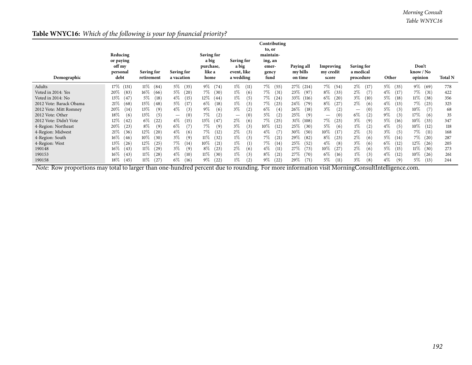## **Table WNYC16:** *Which of the following is your top financial priority?*

| Demographic             | Reducing<br>or paying<br>off my<br>personal<br>debt | Saving for<br>retirement | <b>Saving for</b><br>a vacation | <b>Saving for</b><br>a big<br>purchase,<br>like a<br>home | <b>Saving for</b><br>a big<br>event, like<br>a wedding | Contributing<br>to, or<br>maintain-<br>ing, an<br>emer-<br>gency<br>fund | Paying all<br>my bills<br>on time | Improving<br>my credit<br>score | <b>Saving for</b><br>a medical<br>procedure | Other                      | Don't<br>know / No<br>opinion | <b>Total N</b> |
|-------------------------|-----------------------------------------------------|--------------------------|---------------------------------|-----------------------------------------------------------|--------------------------------------------------------|--------------------------------------------------------------------------|-----------------------------------|---------------------------------|---------------------------------------------|----------------------------|-------------------------------|----------------|
| Adults                  | 17%<br>(131)                                        | $11\%$<br>(84)           | $5\%$<br>(35)                   | $9\%$<br>(74)                                             | $1\%$<br>(11)                                          | 7%<br>(55)                                                               | 27%<br>(214)                      | 7%<br>(54)                      | $2\%$<br>(17)                               | $5\%$<br>(35)              | $9\%$<br>(69)                 | 778            |
| Voted in 2014: Yes      | $20\%$<br>(83)                                      | $16\%$<br>(66)           | $5\%$<br>(20)                   | 7%<br>(30)                                                | $1\%$<br>(6)                                           | 7%<br>(31)                                                               | 23\%<br>(97)                      | $8\%$<br>(33)                   | $2\%$<br>(7)                                | $4\%$<br>(17)              | 7%<br>(31)                    | 422            |
| Voted in 2014: No       | 13\%<br>(47)                                        | $5\%$<br>(18)            | $4\%$<br>(15)                   | $12\%$<br>(44)                                            | $1\%$<br>(5)                                           | 7%<br>(24)                                                               | 33\%<br>(116)                     | $6\%$<br>(20)                   | $3\%$<br>(10)                               | $5\%$<br>(18)              | $11\%$<br>(38)                | 356            |
| 2012 Vote: Barack Obama | 21\%<br>(68)                                        | 15%<br>(48)              | $5\%$<br>(17)                   | $6\%$<br>(18)                                             | $1\%$<br>(3)                                           | 7%<br>(23)                                                               | 24\%<br>(79)                      | $8\%$<br>(27)                   | $2\%$<br>(6)                                | $4\%$<br>(13)              | 7%<br>(23)                    | 325            |
| 2012 Vote: Mitt Romney  | $20\%$<br>(14)                                      | 13\%<br>(9)              | $4\%$<br>(3)                    | $9\%$<br>(6)                                              | $3\%$<br>(2)                                           | $6\%$<br>(4)                                                             | $26\%$<br>(18)                    | $3\%$<br>(2)                    | (0)<br>$\hspace{0.05cm}$                    | $5\%$<br>(3)               | $10\%$<br>(7)                 | 68             |
| 2012 Vote: Other        | 18%<br>(6)                                          | 13\%<br>(5)              | (0)<br>$\qquad \qquad -$        | 7%<br>(2)                                                 | (0)<br>$\hspace{0.05cm}$                               | $5\%$<br>(2)                                                             | 25\%<br>(9)                       | (0)<br>$\hspace{0.05cm}$        | $6\%$<br>(2)                                | $9\%$<br>(3)               | 17%<br>(6)                    | 35             |
| 2012 Vote: Didn't Vote  | 12%<br>(42)                                         | $6\%$<br>(22)            | $4\%$<br>(15)                   | 13%<br>(47)                                               | $2\%$<br>(6)                                           | 7%<br>(25)                                                               | $31\%$<br>(108)                   | 7%<br>(23)                      | $3\%$<br>(9)                                | $5\%$<br>(16)              | $10\%$<br>(33)                | 347            |
| 4-Region: Northeast     | $20\%$<br>(23)                                      | 8%<br>(9)                | $6\%$<br>(7)                    | 7%<br>(9)                                                 | 3%<br>(3)                                              | $10\%$<br>(12)                                                           | 25%<br>(30)                       | $5\%$<br>(6)                    | $1\%$<br>(2)                                | $4\%$<br>(5)               | $10\%$<br>(12)                | 118            |
| 4-Region: Midwest       | 21\%<br>(36)                                        | $12\%$<br>(20)           | (6)<br>$4\%$                    | 7%<br>(12)                                                | $2\%$<br>(3)                                           | (7)<br>$4\%$                                                             | $30\%$<br>(50)                    | $10\%$<br>(17)                  | $2\%$<br>(3)                                | $3\%$<br>(5)               | $7\%$<br>(11)                 | 168            |
| 4-Region: South         | $16\%$<br>(46)                                      | $10\%$<br>(30)           | (9)<br>$3\%$                    | $11\%$<br>(32)                                            | $1\%$<br>(3)                                           | 7%<br>(21)                                                               | 29%<br>(82)                       | $8\%$<br>(23)                   | $2\%$<br>(6)                                | $5\%$<br>$\left(14\right)$ | 7%<br>(20)                    | 287            |
| 4-Region: West          | 13%<br>(26)                                         | $12\%$<br>(25)           | 7%<br>(14)                      | $10\%$<br>(21)                                            | $1\%$<br>(1)                                           | 7%<br>(14)                                                               | 25\%<br>(52)                      | $4\%$<br>(8)                    | $3\%$<br>(6)                                | $6\%$<br>(12)              | $12\%$<br>(26)                | 205            |
| 190148                  | 16%<br>(43)                                         | $11\%$<br>(29)           | (9)<br>$3\%$                    | $8\%$<br>(23)                                             | $2\%$<br>(6)                                           | $4\%$<br>(11)                                                            | 27\%<br>(73)                      | $10\%$<br>(27)                  | $2\%$<br>(6)                                | $5\%$<br>(15)              | $11\%$<br>(30)                | 273            |
| 190153                  | $16\%$<br>(43)                                      | $11\%$<br>(28)           | $4\%$<br>(10)                   | $11\%$<br>(30)                                            | $1\%$<br>(3)                                           | $8\%$<br>(21)                                                            | 27\%<br>(70)                      | $6\%$<br>(16)                   | $1\%$<br>(3)                                | $4\%$<br>(12)              | $10\%$<br>(26)                | 261            |
| 190158                  | 18%<br>(45)                                         | $11\%$<br>(27)           | $6\%$<br>(16)                   | $9\%$<br>(22)                                             | $1\%$<br>$\left( 2\right)$                             | $9\%$<br>(22)                                                            | 29%<br>(71)                       | $5\%$<br>(11)                   | $3\%$<br>(8)                                | $4\%$<br>(9)               | $5\%$<br>(13)                 | 244            |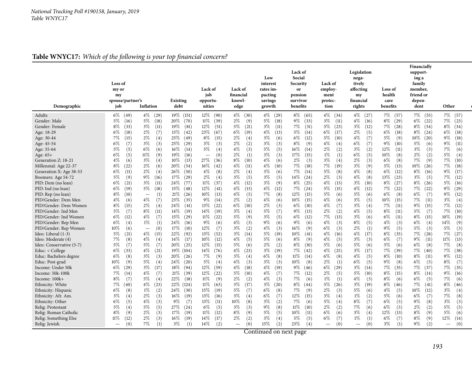|--|

| Demographic                                                                                                                                                                                                                                                                                                                                                                                                                                                                                                                                                                                                                                                                                                                                   | Loss of<br>my or<br>my<br>spouse/partner's<br>job                                                                                                                                                                                                                                                                                                                                                                                                                                                                                            | Inflation                                                                                                                                                                                                                                                                                                                                                                                                                                                                                                                                                                          | Existing<br>debt                                                                                                                                                                                                                                                                                                                                                                                                                                                                                                                                                                 | Lack of<br>job<br>opportu-<br>nities                                                                                                                                                                                                                                                                                                                                                                                                                                                                                                                                                                           | Lack of<br>financial<br>knowl-<br>edge                                                                                                                                                                                                                                                                                                                                                                                                                                                                                                  | Low<br>interest<br>rates im-<br>pacting<br>savings<br>growth                                                                                                                                                                                                                                                                                                                                                                                                                                                                                                                     | Lack of<br>Social<br>Security<br>or<br>pension<br>survivor<br>benefits                                                                                                                                                                                                                                                                                                                                                                                                                                                                                               | Lack of<br>employ-<br>ment<br>protec-<br>tion                                                                                                                                                                                                                                                                                                                                                                                                                                                                                                               | Legislation<br>nega-<br>tively<br>affecting<br>my<br>financial<br>rights                                                                                                                                                                                                                                                                                                                                                                                                                                                                                                         | <b>Loss of</b><br>health<br>care<br>benefits                                                                                                                                                                                                                                                                                                                                                                                                                                                                                                          | Financially<br>support-<br>ing a<br>family<br>member,<br>friend or<br>depen-<br>dent                                                                                                                                                                                                                                                                                                                                                                                                                                                                            | Other                                                                                                                                                                                                                                                                                                                                                                                                                                                                                                                                                                       |
|-----------------------------------------------------------------------------------------------------------------------------------------------------------------------------------------------------------------------------------------------------------------------------------------------------------------------------------------------------------------------------------------------------------------------------------------------------------------------------------------------------------------------------------------------------------------------------------------------------------------------------------------------------------------------------------------------------------------------------------------------|----------------------------------------------------------------------------------------------------------------------------------------------------------------------------------------------------------------------------------------------------------------------------------------------------------------------------------------------------------------------------------------------------------------------------------------------------------------------------------------------------------------------------------------------|------------------------------------------------------------------------------------------------------------------------------------------------------------------------------------------------------------------------------------------------------------------------------------------------------------------------------------------------------------------------------------------------------------------------------------------------------------------------------------------------------------------------------------------------------------------------------------|----------------------------------------------------------------------------------------------------------------------------------------------------------------------------------------------------------------------------------------------------------------------------------------------------------------------------------------------------------------------------------------------------------------------------------------------------------------------------------------------------------------------------------------------------------------------------------|----------------------------------------------------------------------------------------------------------------------------------------------------------------------------------------------------------------------------------------------------------------------------------------------------------------------------------------------------------------------------------------------------------------------------------------------------------------------------------------------------------------------------------------------------------------------------------------------------------------|-----------------------------------------------------------------------------------------------------------------------------------------------------------------------------------------------------------------------------------------------------------------------------------------------------------------------------------------------------------------------------------------------------------------------------------------------------------------------------------------------------------------------------------------|----------------------------------------------------------------------------------------------------------------------------------------------------------------------------------------------------------------------------------------------------------------------------------------------------------------------------------------------------------------------------------------------------------------------------------------------------------------------------------------------------------------------------------------------------------------------------------|----------------------------------------------------------------------------------------------------------------------------------------------------------------------------------------------------------------------------------------------------------------------------------------------------------------------------------------------------------------------------------------------------------------------------------------------------------------------------------------------------------------------------------------------------------------------|-------------------------------------------------------------------------------------------------------------------------------------------------------------------------------------------------------------------------------------------------------------------------------------------------------------------------------------------------------------------------------------------------------------------------------------------------------------------------------------------------------------------------------------------------------------|----------------------------------------------------------------------------------------------------------------------------------------------------------------------------------------------------------------------------------------------------------------------------------------------------------------------------------------------------------------------------------------------------------------------------------------------------------------------------------------------------------------------------------------------------------------------------------|-------------------------------------------------------------------------------------------------------------------------------------------------------------------------------------------------------------------------------------------------------------------------------------------------------------------------------------------------------------------------------------------------------------------------------------------------------------------------------------------------------------------------------------------------------|-----------------------------------------------------------------------------------------------------------------------------------------------------------------------------------------------------------------------------------------------------------------------------------------------------------------------------------------------------------------------------------------------------------------------------------------------------------------------------------------------------------------------------------------------------------------|-----------------------------------------------------------------------------------------------------------------------------------------------------------------------------------------------------------------------------------------------------------------------------------------------------------------------------------------------------------------------------------------------------------------------------------------------------------------------------------------------------------------------------------------------------------------------------|
|                                                                                                                                                                                                                                                                                                                                                                                                                                                                                                                                                                                                                                                                                                                                               |                                                                                                                                                                                                                                                                                                                                                                                                                                                                                                                                              |                                                                                                                                                                                                                                                                                                                                                                                                                                                                                                                                                                                    |                                                                                                                                                                                                                                                                                                                                                                                                                                                                                                                                                                                  |                                                                                                                                                                                                                                                                                                                                                                                                                                                                                                                                                                                                                |                                                                                                                                                                                                                                                                                                                                                                                                                                                                                                                                         |                                                                                                                                                                                                                                                                                                                                                                                                                                                                                                                                                                                  |                                                                                                                                                                                                                                                                                                                                                                                                                                                                                                                                                                      |                                                                                                                                                                                                                                                                                                                                                                                                                                                                                                                                                             |                                                                                                                                                                                                                                                                                                                                                                                                                                                                                                                                                                                  |                                                                                                                                                                                                                                                                                                                                                                                                                                                                                                                                                       |                                                                                                                                                                                                                                                                                                                                                                                                                                                                                                                                                                 |                                                                                                                                                                                                                                                                                                                                                                                                                                                                                                                                                                             |
| Adults<br>Gender: Male<br>Gender: Female<br>Age: 18-29<br>Age: 30-44<br>Age: 45-54<br>Age: 55-64<br>Age: 65+<br>Generation Z: 18-21<br>Millennial: Age 22-37<br>Generation X: Age 38-53<br>Boomers: Age 54-72<br>PID: Dem (no lean)<br>PID: Ind (no lean)<br>PID: Rep (no lean)<br>PID/Gender: Dem Men<br>PID/Gender: Dem Women<br>PID/Gender: Ind Men<br>PID/Gender: Ind Women<br>PID/Gender: Rep Men<br>PID/Gender: Rep Women<br>Ideo: Liberal (1-3)<br>Ideo: Moderate (4)<br>Ideo: Conservative (5-7)<br>Educ: < College<br>Educ: Bachelors degree<br>Educ: Post-grad<br>Income: Under 50k<br>Income: 50k-100k<br>Income: 100k+<br>Ethnicity: White<br>Ethnicity: Hispanic<br>Ethnicity: Afr. Am.<br>Ethnicity: Other<br>Relig: Protestant | $6\%$ (49)<br>$5\%$<br>(16)<br>$8\%$<br>(33)<br>6%<br>(18)<br>7%<br>(15)<br>$6\%$<br>(7)<br>5%<br>(5)<br>$6\%$<br>(5)<br>4%<br>(6)<br>$8\%$<br>(22)<br>$6\%$<br>(11)<br>5%<br>(9)<br>6%<br>(21)<br>6%<br>(19)<br>$8\%$<br>(10)<br>4%<br>(6)<br>$8\%$<br>(15)<br>$5\%$<br>(7)<br>$6\%$<br>(12)<br>$6\%$<br>(4)<br>$10\%$<br>(6)<br>5%<br>(21)<br>$7\%$<br>(8)<br>5%<br>(7)<br>$6\%$<br>(33)<br>$6\%$<br>(8)<br>10%<br>(9)<br>6%<br>(29)<br>7%<br>(14)<br>$8\%$<br>(7)<br>7%<br>(40)<br>6%<br>(8)<br>$3\%$<br>(4)<br>$6\%$<br>(5)<br>5%<br>(4) | $4\%$<br>(29)<br>5%<br>(18)<br>$3\%$<br>(11)<br>$2\%$<br>(7)<br>2%<br>(4)<br>3%<br>(3)<br>6%<br>(6)<br>11%<br>(9)<br>3%<br>(4)<br>$2\%$<br>(6)<br>2%<br>(4)<br>9%<br>(16)<br>3%<br>(11)<br>5%<br>(18)<br>(1)<br>$\overbrace{\phantom{1232211}}$<br>4%<br>(7)<br>2%<br>(4)<br>8%<br>(11)<br>$4\%$<br>(7)<br>$1\%$<br>(1)<br>(0)<br>$\overline{\phantom{0}}$<br>$4\%$<br>(15)<br>$4\%$<br>(4)<br>5%<br>(7)<br>$4\%$<br>(21)<br>$3\%$<br>(3)<br>5%<br>(4)<br>$3\%$<br>(17)<br>$4\%$<br>(7)<br>5%<br>(4)<br>$4\%$<br>(23)<br>$1\%$<br>(2)<br>$2\%$<br>(3)<br>$4\%$<br>(3)<br>5%<br>(5) | $19\%$ (151)<br>$20\%$<br>(70)<br>19%<br>(81)<br>$15\%$<br>(42)<br>25\%<br>(49)<br>25%<br>(29)<br>$16\%$<br>(14)<br>19%<br>(16)<br>10%<br>(13)<br>20\%<br>(54)<br>26\%<br>(50)<br>17%<br>(29)<br>24\%<br>(77)<br>15%<br>(48)<br>21%<br>(26)<br>23%<br>(35)<br>24\%<br>(41)<br>$14\%$<br>(19)<br>15%<br>(29)<br>24\%<br>(16)<br>17%<br>(10)<br>22%<br>(92)<br>$14\%$<br>(17)<br>$20\%$<br>(25)<br>$19\%$ (104)<br>20%<br>(26)<br>(20)<br>24\%<br>$18\%$<br>(94)<br>21%<br>(39)<br>22%<br>(18)<br>$22\%$ (124)<br>$24\%$<br>(30)<br>$16\%$<br>(19)<br>$9\%$<br>(7)<br>27\%<br>(24) | $12\%$ (90)<br>$11\%$<br>(39)<br>12\%<br>(51)<br>23\%<br>(67)<br>$8\%$<br>(15)<br>$3\%$<br>(3)<br>$5\%$<br>(4)<br>(0)<br>$\overline{\phantom{0}}$<br>27\%<br>(36)<br>$16\%$<br>(42)<br>$4\%$<br>(8)<br>$2\%$<br>(4)<br>$11\%$<br>(37)<br>12\%<br>(41)<br>$10\%$<br>(13)<br>$9\%$<br>(14)<br>13\%<br>(22)<br>14%<br>(19)<br>$11\%$<br>(22)<br>9%<br>(6)<br>12\%<br>(7)<br>13\%<br>(52)<br>$10\%$<br>(12)<br>$12\%$<br>(15)<br>$14\%$<br>(76)<br>7%<br>(9)<br>$5\%$<br>(4)<br>$12\%$<br>(59)<br>$12\%$<br>(22)<br>$11\%$<br>(9)<br>$11\%$<br>(63)<br>$15\%$<br>(19)<br>13\%<br>(16)<br>13\%<br>(11)<br>6%<br>(5) | $4\%$<br>(30)<br>$2\%$<br>(9)<br>5%<br>(21)<br>6%<br>(19)<br>2%<br>(4)<br>2%<br>(2)<br>4%<br>(3)<br>$2\%$<br>(1)<br>$8\%$<br>(10)<br>$4\%$<br>(11)<br>2%<br>(4)<br>3%<br>(5)<br>$4\%$<br>(12)<br>$4\%$<br>(13)<br>$4\%$<br>(5)<br>$2\%$<br>(2)<br>6%<br>(10)<br>$3\%$<br>(4)<br>5%<br>(9)<br>$4\%$<br>(3)<br>3%<br>(2)<br>$3\%$<br>(14)<br>$4\%$<br>(5)<br>5%<br>(6)<br>$4\%$<br>(23)<br>$3\%$<br>(4)<br>$4\%$<br>(3)<br>$4\%$<br>(18)<br>5%<br>(10)<br>2%<br>(2)<br>3%<br>(17)<br>5%<br>(7)<br>$3\%$<br>(4)<br>10%<br>(8)<br>3%<br>(3) | $4\%$<br>(29)<br>$5\%$<br>(18)<br>$3\%$<br>(11)<br>$4\%$<br>(13)<br>$3\%$<br>(6)<br>$3\%$<br>(3)<br>$5\%$<br>(5)<br>$3\%$<br>(3)<br>$4\%$<br>(6)<br>$4\%$<br>(10)<br>$3\%$<br>(6)<br>$3\%$<br>(5)<br>$3\%$<br>(9)<br>$4\%$<br>(12)<br>7%<br>(8)<br>$4\%$<br>(6)<br>$2\%$<br>(3)<br>5%<br>(7)<br>$3\%$<br>(5)<br>$9\%$<br>(6)<br>$4\%$<br>(3)<br>$5\%$<br>(19)<br>$5\%$<br>(6)<br>$2\%$<br>(2)<br>$3\%$<br>(19)<br>$6\%$<br>(8)<br>$3\%$<br>(3)<br>$4\%$<br>(19)<br>$4\%$<br>(7)<br>$4\%$<br>(3)<br>$3\%$<br>(20)<br>$6\%$<br>(8)<br>$6\%$<br>(7)<br>$3\%$<br>(2)<br>$9\%$<br>(8) | $8\%$ (65)<br>$9\%$<br>(33)<br>7%<br>(31)<br>5%<br>(14)<br>6%<br>(12)<br>$8\%$<br>(9)<br>$16\%$<br>(14)<br>17%<br>(15)<br>$2\%$<br>(3)<br>7%<br>(18)<br>7%<br>(14)<br>$14\%$<br>(24)<br>$8\%$<br>(25)<br>7%<br>(24)<br>$12\%$<br>(15)<br>$10\%$<br>(15)<br>6%<br>(10)<br>$9\%$<br>(13)<br>$6\%$<br>(12)<br>$9\%$<br>(6)<br>$16\%$<br>(9)<br>$10\%$<br>(41)<br>$8\%$<br>(9)<br>$8\%$<br>(10)<br>7%<br>(42)<br>$11\%$<br>(14)<br>$10\%$<br>(8)<br>$9\%$<br>(46)<br>7%<br>(12)<br>7%<br>(6)<br>$8\%$<br>(44)<br>7%<br>(9)<br>12%<br>(15)<br>7%<br>(6)<br>$11\%$<br>(10) | $4\%$<br>(34)<br>$3\%$<br>(11)<br>5%<br>(23)<br>$6\%$<br>(17)<br>$5\%$<br>(10)<br>$4\%$<br>(4)<br>$2\%$<br>(2)<br>$1\%$<br>(1)<br>$3\%$<br>(4)<br>7%<br>(19)<br>5%<br>(8)<br>$2\%$<br>(3)<br>$4\%$<br>(13)<br>5%<br>(15)<br>5%<br>(6)<br>$4\%$<br>(6)<br>$4\%$<br>(7)<br>$2\%$<br>(2)<br>7%<br>(13)<br>$4\%$<br>(3)<br>$6\%$<br>(3)<br>$4\%$<br>(16)<br>(5)<br>$4\%$<br>5%<br>(6)<br>$4\%$<br>(25)<br>$6\%$<br>(8)<br>$2\%$<br>(1)<br>6%<br>(29)<br>$2\%$<br>(5)<br>$1\%$<br>(1)<br>5%<br>(26)<br>$2\%$<br>(3)<br>$3\%$<br>(4)<br>5%<br>(4)<br>$2\%$<br>(2) | $4\%$<br>(27)<br>$4\%$<br>(16)<br>$3\%$<br>(12)<br>$2\%$<br>(5)<br>$4\%$<br>(7)<br>6%<br>(7)<br>$3\%$<br>(2)<br>$6\%$<br>(5)<br>$2\%$<br>(3)<br>$3\%$<br>(9)<br>$4\%$<br>(8)<br>$4\%$<br>(8)<br>$3\%$<br>(10)<br>$4\%$<br>(12)<br>$5\%$<br>(6)<br>$3\%$<br>(5)<br>$3\%$<br>(4)<br>$4\%$<br>(5)<br>$3\%$<br>(6)<br>$8\%$<br>(5)<br>$2\%$<br>(1)<br>$4\%$<br>(17)<br>$3\%$<br>(3)<br>$5\%$<br>(6)<br>$3\%$<br>(17)<br>$4\%$<br>(5)<br>$6\%$<br>(5)<br>$3\%$<br>(14)<br>5%<br>(10)<br>$4\%$<br>(3)<br>$3\%$<br>(19)<br>$5\%$<br>(6)<br>$1\%$<br>(2)<br>$8\%$<br>(7)<br>$7\%$<br>(6) | $7\%$ (57)<br>$8\%$<br>(29)<br>7%<br>(28)<br>6%<br>(18)<br>5%<br>(9)<br>9%<br>(10)<br>$12\%$<br>(11)<br>$10\%$<br>(8)<br>$6\%$<br>(8)<br>$5\%$<br>(13)<br>$6\%$<br>(12)<br>13%<br>(23)<br>$8\%$<br>(27)<br>7%<br>(22)<br>$6\%$<br>(8)<br>$10\%$<br>(15)<br>7%<br>(11)<br>$8\%$<br>(11)<br>$6\%$<br>(11)<br>$4\%$<br>(3)<br>9%<br>(5)<br>$8\%$<br>(35)<br>6%<br>(7)<br>$5\%$<br>(6)<br>7%<br>(39)<br>8%<br>(10)<br>$9\%$<br>(8)<br>7%<br>(35)<br>$8\%$<br>(15)<br>$8\%$<br>(6)<br>$8\%$<br>(46)<br>$4\%$<br>(5)<br>5%<br>(6)<br>6%<br>(5)<br>6%<br>(5) | 7%<br>(55)<br>$6\%$<br>(22)<br>8%<br>(34)<br>$8\%$<br>(24)<br>10%<br>(20)<br>$5\%$<br>(6)<br>$3\%$<br>(3)<br>2%<br>(2)<br>7%<br>(9)<br>$10\%$<br>(26)<br>$8\%$<br>(16)<br>$3\%$<br>(5)<br>$8\%$<br>(26)<br>7%<br>(22)<br>$6\%$<br>(7)<br>$7\%$<br>(11)<br>$9\%$<br>(15)<br>5%<br>(7)<br>$8\%$<br>(15)<br>$6\%$<br>(4)<br>5%<br>(3)<br>$7\%$<br>(28)<br>$9\%$<br>(11)<br>$6\%$<br>(8)<br>$7\%$<br>(40)<br>$8\%$<br>(11)<br>$6\%$<br>(5)<br>$7\%$<br>(37)<br>8%<br>(14)<br>$6\%$<br>(5)<br>7%<br>(41)<br>10%<br>(12)<br>6%<br>(7)<br>$9\%$<br>(8)<br>$2\%$<br>(2) | $7\%$ (57)<br>7%<br>(23)<br>$8\%$<br>(34)<br>$6\%$<br>(18)<br>$9\%$<br>(18)<br>$9\%$<br>(11)<br>7%<br>(6)<br>5%<br>(4)<br>$7\%$<br>(10)<br>$7\%$<br>(18)<br>$9\%$<br>(17)<br>7%<br>(12)<br>$5\%$<br>(16)<br>$9\%$<br>(29)<br>$9\%$<br>(12)<br>$3\%$<br>(4)<br>$7\%$<br>(12)<br>$7\%$<br>(10)<br>$10\%$<br>(19)<br>14%<br>(9)<br>5%<br>(3)<br>$7\%$<br>(27)<br>$11\%$<br>(13)<br>$7\%$<br>(8)<br>$7\%$<br>(38)<br>$9\%$<br>(12)<br>$8\%$<br>(7)<br>7%<br>(35)<br>$9\%$<br>(16)<br>$7\%$<br>(6)<br>$8\%$<br>(46)<br>$3\%$<br>(4)<br>$7\%$<br>(8)<br>$3\%$<br>(3)<br>5%<br>(5) |
| Relig: Roman Catholic                                                                                                                                                                                                                                                                                                                                                                                                                                                                                                                                                                                                                                                                                                                         | $8\%$<br>(9)                                                                                                                                                                                                                                                                                                                                                                                                                                                                                                                                 | 2%<br>(3)                                                                                                                                                                                                                                                                                                                                                                                                                                                                                                                                                                          | $17\%$<br>(19)                                                                                                                                                                                                                                                                                                                                                                                                                                                                                                                                                                   | $11\%$<br>(12)                                                                                                                                                                                                                                                                                                                                                                                                                                                                                                                                                                                                 | 8%<br>(9)                                                                                                                                                                                                                                                                                                                                                                                                                                                                                                                               | $5\%$<br>(5)                                                                                                                                                                                                                                                                                                                                                                                                                                                                                                                                                                     | $10\%$<br>(11)                                                                                                                                                                                                                                                                                                                                                                                                                                                                                                                                                       | $6\%$<br>(6)                                                                                                                                                                                                                                                                                                                                                                                                                                                                                                                                                | $3\%$<br>(4)                                                                                                                                                                                                                                                                                                                                                                                                                                                                                                                                                                     | $12\%$<br>(13)                                                                                                                                                                                                                                                                                                                                                                                                                                                                                                                                        | $8\%$<br>(9)                                                                                                                                                                                                                                                                                                                                                                                                                                                                                                                                                    | 5%<br>(6)                                                                                                                                                                                                                                                                                                                                                                                                                                                                                                                                                                   |
| Relig: Something Else<br>Relig: Jewish                                                                                                                                                                                                                                                                                                                                                                                                                                                                                                                                                                                                                                                                                                        | $11\%$<br>(12)<br>(0)<br>$\overline{\phantom{0}}$                                                                                                                                                                                                                                                                                                                                                                                                                                                                                            | 2%<br>(3)<br>7%<br>(1)                                                                                                                                                                                                                                                                                                                                                                                                                                                                                                                                                             | $16\%$<br>(19)<br>$3\%$<br>(1)                                                                                                                                                                                                                                                                                                                                                                                                                                                                                                                                                   | $14\%$<br>(17)<br>$14\%$<br>(2)                                                                                                                                                                                                                                                                                                                                                                                                                                                                                                                                                                                | 2%<br>(2)<br>(0)<br>$\overline{\phantom{a}}$                                                                                                                                                                                                                                                                                                                                                                                                                                                                                            | $3\%$<br>(4)<br>15%<br>(2)                                                                                                                                                                                                                                                                                                                                                                                                                                                                                                                                                       | $5\%$<br>(5)<br>23\%<br>(4)                                                                                                                                                                                                                                                                                                                                                                                                                                                                                                                                          | $6\%$<br>(7)<br>(0)                                                                                                                                                                                                                                                                                                                                                                                                                                                                                                                                         | $1\%$<br>(1)<br>(0)<br>$\overbrace{\phantom{1232211}}$                                                                                                                                                                                                                                                                                                                                                                                                                                                                                                                           | 6%<br>(7)<br>$3\%$<br>(1)                                                                                                                                                                                                                                                                                                                                                                                                                                                                                                                             | $8\%$<br>(9)<br>9%<br>(2)                                                                                                                                                                                                                                                                                                                                                                                                                                                                                                                                       | 12%<br>(14)<br>(0)<br>$\qquad \qquad -$                                                                                                                                                                                                                                                                                                                                                                                                                                                                                                                                     |
|                                                                                                                                                                                                                                                                                                                                                                                                                                                                                                                                                                                                                                                                                                                                               |                                                                                                                                                                                                                                                                                                                                                                                                                                                                                                                                              |                                                                                                                                                                                                                                                                                                                                                                                                                                                                                                                                                                                    |                                                                                                                                                                                                                                                                                                                                                                                                                                                                                                                                                                                  |                                                                                                                                                                                                                                                                                                                                                                                                                                                                                                                                                                                                                |                                                                                                                                                                                                                                                                                                                                                                                                                                                                                                                                         |                                                                                                                                                                                                                                                                                                                                                                                                                                                                                                                                                                                  |                                                                                                                                                                                                                                                                                                                                                                                                                                                                                                                                                                      |                                                                                                                                                                                                                                                                                                                                                                                                                                                                                                                                                             |                                                                                                                                                                                                                                                                                                                                                                                                                                                                                                                                                                                  |                                                                                                                                                                                                                                                                                                                                                                                                                                                                                                                                                       |                                                                                                                                                                                                                                                                                                                                                                                                                                                                                                                                                                 |                                                                                                                                                                                                                                                                                                                                                                                                                                                                                                                                                                             |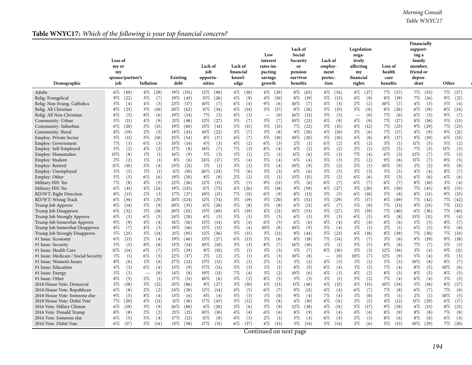|--|

| Demographic                          | Loss of<br>my or<br>my<br>spouse/partner's<br>job | Inflation                | <b>Existing</b><br>debt | Lack of<br>job<br>opportu-<br>nities | Lack of<br>financial<br>knowl-<br>edge | Low<br>interest<br>rates im-<br>pacting<br>savings<br>growth | Lack of<br>Social<br>Security<br>or<br>pension<br>survivor<br>benefits | Lack of<br>employ-<br>ment<br>protec-<br>tion | Legislation<br>nega-<br>tively<br>affecting<br>my<br>financial<br>rights | Loss of<br>health<br>care<br>benefits | Financially<br>support-<br>ing a<br>family<br>member,<br>friend or<br>depen-<br>dent | Other         |
|--------------------------------------|---------------------------------------------------|--------------------------|-------------------------|--------------------------------------|----------------------------------------|--------------------------------------------------------------|------------------------------------------------------------------------|-----------------------------------------------|--------------------------------------------------------------------------|---------------------------------------|--------------------------------------------------------------------------------------|---------------|
| Adults                               | $6\%$ (49)                                        | $4\%$<br>(29)            | 19\% (151)              | $12\%$ (90)                          | $4\%$<br>(30)                          | $4\%$ (29)                                                   | $8\%$ (65)                                                             | $4\%$<br>(34)                                 | $4\%$<br>(27)                                                            | $7\%$ (57)                            | 7%<br>(55)                                                                           | $7\%$<br>(57) |
| Relig: Evangelical                   | $9\%$                                             | $3\%$                    | 19%                     | $11\%$                               | (9)                                    | $4\%$                                                        | $8\%$                                                                  | $5\%$                                         | $4\%$                                                                    | $8\%$                                 | 7%                                                                                   | $9\%$         |
|                                      | (22)                                              | (7)                      | (45)                    | (26)                                 | 4%                                     | (10)                                                         | (19)                                                                   | (13)                                          | (9)                                                                      | (19)                                  | (16)                                                                                 | (21)          |
| Relig: Non-Evang. Catholics          | $5\%$                                             | 4%                       | 23\%                    | $10\%$                               | $6\%$                                  | 9%                                                           | $10\%$                                                                 | $4\%$                                         | $2\%$                                                                    | $10\%$                                | 4%                                                                                   | 5%            |
|                                      | (4)                                               | (3)                      | (17)                    | (7)                                  | (4)                                    | (6)                                                          | (7)                                                                    | (3)                                           | (2)                                                                      | (7)                                   | (3)                                                                                  | (4)           |
| Relig: All Christian                 | $8\%$                                             | $3\%$                    | $20\%$                  | $11\%$                               | $4\%$                                  | 5%                                                           | $8\%$                                                                  | $5\%$                                         | $3\%$                                                                    | $8\%$                                 | $6\%$                                                                                | $8\%$         |
|                                      | (25)                                              | (10)                     | (62)                    | (34)                                 | (14)                                   | (17)                                                         | (26)                                                                   | (15)                                          | (11)                                                                     | (26)                                  | (19)                                                                                 | (24)          |
| Relig: All Non-Christian             | $6\%$                                             | 8%                       | 19%                     | 7%                                   | $4\%$                                  | (0)                                                          | $16\%$                                                                 | $3\%$                                         | (0)                                                                      | 7%                                    | $6\%$                                                                                | $9\%$         |
|                                      | (5)                                               | (6)                      | (14)                    | (5)                                  | (3)                                    | $\overline{\phantom{m}}$                                     | (12)                                                                   | (3)                                           | $\overline{\phantom{m}}$                                                 | (6)                                   | (5)                                                                                  | (7)           |
| Community: Urban                     | 5%                                                | $4\%$                    | 21%                     | $12\%$                               | $3\%$                                  | $3\%$                                                        | $10\%$                                                                 | 4%                                            | 4%                                                                       | 7%                                    | $8\%$                                                                                | 5%            |
|                                      | (11)                                              | (9)                      | (48)                    | (27)                                 | (7)                                    | (7)                                                          | (23)                                                                   | (9)                                           | (9)                                                                      | (17)                                  | (18)                                                                                 | (13)          |
| Community: Suburban                  | $6\%$                                             | 5%                       | 19%                     | 13\%                                 | 5%                                     | 5%                                                           | 7%                                                                     | $5\%$                                         | 4%                                                                       | 7%                                    | $9\%$                                                                                | $7\%$         |
|                                      | (20)                                              | (15)                     | (60)                    | (41)                                 | (15)                                   | (15)                                                         | (22)                                                                   | (15)                                          | (12)                                                                     | (23)                                  | (29)                                                                                 | (23)          |
| Community: Rural                     | $8\%$                                             | 2%                       | 19%                     | $10\%$                               | $3\%$                                  | $3\%$                                                        | $9\%$                                                                  | $4\%$                                         | $3\%$                                                                    | 7%                                    | 4%                                                                                   | $9\%$         |
|                                      | (19)                                              | (5)                      | (43)                    | (22)                                 | (7)                                    | (8)                                                          | (20)                                                                   | (10)                                          | (6)                                                                      | (17)                                  | (9)                                                                                  | (21)          |
| Employ: Private Sector               | $5\%$                                             | 5%                       | 25\%                    | $8\%$                                | $4\%$                                  | $5\%$                                                        | $10\%$                                                                 | 5%                                            | 4%                                                                       | $8\%$                                 | 9%                                                                                   | $6\%$         |
|                                      | (11)                                              | (10)                     | (54)                    | (17)                                 | (7)                                    | (10)                                                         | (20)                                                                   | (10)                                          | (8)                                                                      | (17)                                  | (19)                                                                                 | (13)          |
| Employ: Government                   | 7%                                                | $6\%$                    | 33\%                    | 6%                                   | $4\%$                                  | $6\%$                                                        | $2\%$                                                                  | $6\%$                                         | $4\%$                                                                    | $3\%$                                 | 11%                                                                                  | 5%            |
|                                      | (3)                                               | (3)                      | (14)                    | (3)                                  | (2)                                    | (3)                                                          | (1)                                                                    | (2)                                           | (2)                                                                      | (1)                                   | (5)                                                                                  | (2)           |
| Employ: Self-Employed                | 5%                                                | $4\%$                    | 17%                     | $16\%$                               | 7%                                     | $8\%$                                                        | $4\%$                                                                  | 4%                                            | $2\%$                                                                    | 12%                                   | 7%                                                                                   | 11%           |
|                                      | (2)                                               | (2)                      | (8)                     | (7)                                  | (3)                                    | (4)                                                          | (2)                                                                    | (2)                                           | (1)                                                                      | (5)                                   | (3)                                                                                  | (5)           |
| Employ: Homemaker                    | 15%                                               | $1\%$                    | $16\%$                  | 5%                                   | $1\%$                                  | $2\%$                                                        | $11\%$                                                                 | $5\%$                                         | 7%                                                                       | $6\%$                                 | 12\%                                                                                 | 5%            |
|                                      | (8)                                               | (1)                      | (9)                     | (3)                                  | (1)                                    | (1)                                                          | (6)                                                                    | (3)                                           | (4)                                                                      | (3)                                   | (7)                                                                                  | (3)           |
| Employ: Student                      | $2\%$                                             | $1\%$                    | $8\%$                   | 24\%                                 | $5\%$                                  | 5%                                                           | $6\%$                                                                  | $5\%$                                         | $2\%$                                                                    | $9\%$                                 | 11%                                                                                  | 8%            |
|                                      | (2)                                               | (1)                      | (6)                     | (17)                                 | (4)                                    | (4)                                                          | (4)                                                                    | (3)                                           | (2)                                                                      | (6)                                   | (7)                                                                                  | (5)           |
| Employ: Retired                      | $11\%$                                            | 5%                       | 23\%                    | $1\%$                                | $3\%$                                  | 5%                                                           | $10\%$                                                                 | $2\%$                                         | $2\%$                                                                    | (9)                                   | $2\%$                                                                                | 9%            |
|                                      | (10)                                              | (4)                      | (21)                    | (1)                                  | (3)                                    | (4)                                                          | (9)                                                                    | (2)                                           | (1)                                                                      | $10\%$                                | (2)                                                                                  | (8)           |
| Employ: Unemployed                   | 5%                                                | $1\%$                    | $11\%$                  | $26\%$                               | $7\%$                                  | $3\%$                                                        | 6%                                                                     | $5\%$                                         | 3%                                                                       | 5%                                    | $4\%$                                                                                | $8\%$         |
|                                      | (5)                                               | (1)                      | (10)                    | (24)                                 | (6)                                    | (3)                                                          | (6)                                                                    | (5)                                           | (3)                                                                      | (5)                                   | (4)                                                                                  | (7)           |
| Employ: Other                        | 5%                                                | 6%                       | 19%                     | $8\%$                                | 2%                                     | $1\%$                                                        | 15%                                                                    | $2\%$                                         | $6\%$                                                                    | $3\%$                                 | 6%                                                                                   | $6\%$         |
|                                      | (5)                                               | (6)                      | (20)                    | (8)                                  | (2)                                    | (1)                                                          | (15)                                                                   | (2)                                           | (6)                                                                      | (3)                                   | (6)                                                                                  | (6)           |
| Military HH: Yes                     | $7\%$                                             | 4%                       | 22\%                    | $12\%$                               | $3\%$                                  | 9%                                                           | $5\%$                                                                  | $6\%$                                         | $6\%$                                                                    | 6%                                    | $8\%$                                                                                | $3\%$         |
|                                      | (8)                                               | (5)                      | (26)                    | (15)                                 | (3)                                    | (11)                                                         | (6)                                                                    | (7)                                           | (7)                                                                      | (7)                                   | (10)                                                                                 | (4)           |
| Military HH: No                      | $6\%$<br>(41)                                     | 4%<br>(24)               | $19\%$ (125)            | $11\%$<br>(75)                       | $4\%$<br>(26)                          | $3\%$<br>(18)                                                | 9%<br>(59)                                                             | $4\%$<br>(27)                                 | $3\%$<br>(20)                                                            | $8\%$<br>(50)                         | $7\%$<br>(45)                                                                        | $8\%$<br>(53) |
| RD/WT: Right Direction               | 8%                                                | 2%                       | 17%                     | $10\%$                               | 7%                                     | $6\%$                                                        | 8%                                                                     | $3\%$                                         | $6\%$                                                                    | $5\%$                                 | 8%                                                                                   | $9\%$         |
|                                      | (13)                                              | (3)                      | (27)                    | (15)                                 | (11)                                   | (9)                                                          | (13)                                                                   | (5)                                           | (10)                                                                     | (8)                                   | (13)                                                                                 | (15)          |
| RD/WT: Wrong Track                   | $6\%$<br>(36)                                     | 4%<br>(25)               | $20\%$ (124)            | $12\%$<br>(74)                       | $3\%$<br>(19)                          | $3\%$<br>(20)                                                | $8\%$<br>(52)                                                          | 5%<br>(29)                                    | $3\%$<br>(17)                                                            | $8\%$<br>(49)                         | $7\%$<br>(42)                                                                        | 7%<br>(42)    |
| Trump Job Approve                    | 8%                                                | 5%                       | 20\%                    | $11\%$                               | 5%                                     | $5\%$                                                        | 6%                                                                     | $4\%$                                         | 5%                                                                       | 7%                                    | 9%                                                                                   | $7\%$         |
|                                      | (14)                                              | (9)                      | (35)                    | (20)                                 | (8)                                    | (8)                                                          | (11)                                                                   | (7)                                           | (9)                                                                      | (13)                                  | (15)                                                                                 | (12)          |
| Trump Job Disapprove                 | $6\%$                                             | $3\%$                    | $20\%$                  | 13\%                                 | 4%                                     | $4\%$                                                        | $10\%$                                                                 | $5\%$                                         | $3\%$                                                                    | 7%                                    | $6\%$                                                                                | $7\%$         |
|                                      | (32)                                              | (18)                     | (111)                   | (69)                                 | (19)                                   | (21)                                                         | (53)                                                                   | (27)                                          | (19)                                                                     | (40)                                  | (36)                                                                                 | (40)          |
| Trump Job Strongly Approve           | $6\%$                                             | 6%                       | 24%                     | 6%                                   | 5%                                     | $3\%$                                                        | 6%                                                                     | $3\%$                                         | $6\%$                                                                    | $9\%$                                 | 13%                                                                                  | 5%            |
|                                      | (5)                                               | (5)                      | (20)                    | (5)                                  | (5)                                    | (3)                                                          | (5)                                                                    | (3)                                           | (5)                                                                      | (8)                                   | (11)                                                                                 | (4)           |
| Trump Job Somewhat Approve           | $9\%$                                             | $4\%$                    | $16\%$                  | $15\%$                               | $4\%$                                  | $6\%$                                                        | 6%                                                                     | $4\%$                                         | 4%                                                                       | $6\%$                                 | 5%                                                                                   | 8%            |
|                                      | (9)                                               | (4)                      | (16)                    | (14)                                 | (4)                                    | (5)                                                          | (6)                                                                    | (4)                                           | (4)                                                                      | (6)                                   | (5)                                                                                  | (7)           |
| Trump Job Somewhat Disapprove        | $8\%$                                             | 4%                       | 19%                     | $15\%$                               | 5%                                     | $10\%$                                                       | $10\%$                                                                 | 5%                                            | $1\%$                                                                    | $2\%$                                 | 6%                                                                                   | $9\%$         |
|                                      | (7)                                               | (3)                      | (16)                    | (13)                                 | (4)                                    | (9)                                                          | (9)                                                                    | (4)                                           | (1)                                                                      | (1)                                   | (5)                                                                                  | (8)           |
| Trump Job Strongly Disapprove        | 5%                                                | $3\%$                    | 21%                     | $12\%$                               | $3\%$                                  | $3\%$                                                        | $9\%$                                                                  | 5%                                            | $4\%$                                                                    | 8%                                    | $7\%$                                                                                | $7\%$         |
|                                      | (25)                                              | (14)                     | (95)                    | (56)                                 | (15)                                   | (12)                                                         | (44)                                                                   | (23)                                          | (18)                                                                     | (39)                                  | (30)                                                                                 | (33)          |
| #1 Issue: Economy                    | $6\%$                                             | 2%                       | 19%                     | 13%                                  | $6\%$                                  | $3\%$                                                        | $8\%$                                                                  | $7\%$                                         | $3\%$                                                                    | $3\%$                                 | $9\%$                                                                                | $9\%$         |
|                                      | (13)                                              | (4)                      | (40)                    | (27)                                 | (13)                                   | (6)                                                          | (18)                                                                   | (14)                                          | (7)                                                                      | (6)                                   | (19)                                                                                 | (18)          |
| #1 Issue: Security                   | $5\%$                                             | 8%                       | $15\%$                  | $10\%$                               | $3\%$                                  | $8\%$                                                        | $16\%$                                                                 | $1\%$                                         | 5%                                                                       | $8\%$                                 | $7\%$                                                                                | $5\%$         |
|                                      | (5)                                               | (8)                      | (14)                    | (10)                                 | (3)                                    | (7)                                                          | (16)                                                                   | (1)                                           | (5)                                                                      | (8)                                   | (7)                                                                                  | (5)           |
| #1 Issue: Health Care                | $11\%$                                            | $6\%$                    | 23\%                    | $8\%$                                | $1\%$                                  | $3\%$                                                        | $5\%$                                                                  | $8\%$                                         | $3\%$                                                                    | $12\%$                                | $3\%$                                                                                | $9\%$         |
|                                      | (14)                                              | (7)                      | (29)                    | (10)                                 | (1)                                    | (3)                                                          | (7)                                                                    | (10)                                          | (3)                                                                      | (16)                                  | (4)                                                                                  | (11)          |
| #1 Issue: Medicare / Social Security | $1\%$                                             | 6%                       | 22%                     | $2\%$                                | $1\%$                                  | $4\%$                                                        | $10\%$                                                                 | (0)                                           | 10%                                                                      | 12%                                   | $5\%$                                                                                | $3\%$         |
|                                      | (1)                                               | (5)                      | (17)                    | (2)                                  | (1)                                    | (3)                                                          | (8)                                                                    |                                               | (7)                                                                      | (9)                                   | (4)                                                                                  | (3)           |
| #1 Issue: Women's Issues             | $8\%$                                             | $1\%$                    | 27\%                    | $15\%$                               | $3\%$                                  | $2\%$                                                        | $3\%$                                                                  | $4\%$                                         | $1\%$                                                                    | 5%                                    | $10\%$                                                                               | 8%            |
|                                      | (6)                                               | (0)                      | (22)                    | (12)                                 | (3)                                    | (1)                                                          | (2)                                                                    | (3)                                           | (1)                                                                      | (5)                                   | (8)                                                                                  | (7)           |
| #1 Issue: Education                  | $4\%$                                             | 6%                       | $15\%$                  | $17\%$                               | 5%                                     | $1\%$                                                        | $8\%$                                                                  | $6\%$                                         | $1\%$                                                                    | 7%                                    | $8\%$                                                                                | 10%           |
|                                      | (3)                                               | (4)                      | (9)                     | (11)                                 | (3)                                    | (1)                                                          | (5)                                                                    | (4)                                           | (1)                                                                      | (4)                                   | (5)                                                                                  | (6)           |
| #1 Issue: Energy                     | $5\%$                                             | (0)                      | 14\%                    | 19%                                  | 7%                                     | $3\%$                                                        | $10\%$                                                                 | $4\%$                                         | $4\%$                                                                    | $8\%$                                 | $8\%$                                                                                | $8\%$         |
|                                      | (3)                                               | $\overline{\phantom{a}}$ | (8)                     | (11)                                 | (4)                                    | (2)                                                          | (6)                                                                    | (3)                                           | (2)                                                                      | (5)                                   | (5)                                                                                  | (5)           |
| #1 Issue: Other                      | $8\%$                                             | 2%                       | 17%                     | $10\%$                               | $3\%$                                  | $8\%$                                                        | $5\%$                                                                  | $1\%$                                         | $3\%$                                                                    | 7%                                    | $6\%$                                                                                | 5%            |
|                                      | (5)                                               | (1)                      | (11)                    | (6)                                  | (2)                                    | (5)                                                          | (3)                                                                    | (1)                                           | (2)                                                                      | (4)                                   | (4)                                                                                  | (3)           |
| 2018 House Vote: Democrat            | $5\%$                                             | $3\%$                    | 25\%                    | $8\%$                                | $3\%$                                  | $4\%$                                                        | $11\%$                                                                 | $4\%$                                         | $4\%$                                                                    | $10\%$                                | 5%                                                                                   | $8\%$         |
|                                      | (18)                                              | (12)                     | (86)                    | (27)                                 | (10)                                   | (13)                                                         | (40)                                                                   | (15)                                          | (15)                                                                     | (34)                                  | (18)                                                                                 | (27)          |
| 2018 House Vote: Republican          | $6\%$                                             | $2\%$                    | (28)                    | $12\%$                               | $4\%$                                  | $6\%$                                                        | $9\%$                                                                  | $4\%$                                         | $6\%$                                                                    | 7%                                    | $6\%$                                                                                | 7%            |
|                                      | (8)                                               | (2)                      | 24\%                    | (14)                                 | (5)                                    | (7)                                                          | (11)                                                                   | (4)                                           | (7)                                                                      | (8)                                   | (7)                                                                                  | (8)           |
| 2018 House Vote: Someone else        | 9%                                                | $8\%$                    | 13%                     | $8\%$                                | 5%                                     | $1\%$                                                        | 9%                                                                     | 7%                                            | $1\%$                                                                    | $3\%$                                 | $2\%$                                                                                | 10%           |
|                                      | (5)                                               | (4)                      | (6)                     | (4)                                  | (3)                                    | (0)                                                          | (4)                                                                    | (4)                                           | (0)                                                                      | (1)                                   | (1)                                                                                  | (5)           |
| 2018 House Vote: Didnt Vote          | 7%                                                | $4\%$                    | $11\%$                  | $17\%$                               | 5%                                     | $3\%$                                                        | $4\%$                                                                  | $4\%$                                         | $2\%$                                                                    | $4\%$                                 | 11%                                                                                  | $6\%$         |
|                                      | (20)                                              | (11)                     | (30)                    | (45)                                 | (12)                                   | (8)                                                          | (10)                                                                   | (11)                                          | (5)                                                                      | (12)                                  | (29)                                                                                 | (17)          |
| 2016 Vote: Hillary Clinton           | $6\%$                                             | $3\%$                    | $26\%$                  | 6%                                   | $2\%$                                  | $3\%$                                                        | $12\%$                                                                 | $4\%$                                         | $5\%$                                                                    | 9%                                    | $4\%$                                                                                | $8\%$         |
|                                      | (19)                                              | (9)                      | (80)                    | (20)                                 | (6)                                    | (9)                                                          | (38)                                                                   | (11)                                          | (17)                                                                     | (29)                                  | (13)                                                                                 | (25)          |
| 2016 Vote: Donald Trump              | $8\%$                                             | $2\%$                    | 21%                     | $10\%$                               | $4\%$                                  | $6\%$                                                        | $8\%$                                                                  | $4\%$                                         | 4%                                                                       | 8%                                    | $8\%$                                                                                | 7%            |
|                                      | (8)                                               | (2)                      | (21)                    | (10)                                 | (4)                                    | (6)                                                          | (9)                                                                    | (4)                                           | (4)                                                                      | (9)                                   | (8)                                                                                  | (8)           |
| 2016 Vote: Someone else              | $6\%$                                             | 5%                       | 17%                     | 11%                                  | $4\%$                                  | $2\%$                                                        | 5%                                                                     | $6\%$                                         | $2\%$                                                                    | $8\%$                                 | $8\%$                                                                                | $6\%$         |
|                                      | (5)                                               | (4)                      | (12)                    | (8)                                  | (3)                                    | (1)                                                          | (4)                                                                    | (4)                                           | (1)                                                                      | (6)                                   | (6)                                                                                  | (4)           |
| 2016 Vote: Didnt Vote                | 6%                                                | $5\%$                    | 13%                     | $17\%$                               | $6\%$                                  | 4%                                                           | $5\%$                                                                  | $5\%$                                         | $2\%$                                                                    | $5\%$                                 | $10\%$                                                                               | $7\%$         |
|                                      | (17)                                              | (14)                     | (38)                    | (51)                                 | (17)                                   | (13)                                                         | (14)                                                                   | (14)                                          | (6)                                                                      | (13)                                  | (29)                                                                                 | (20)          |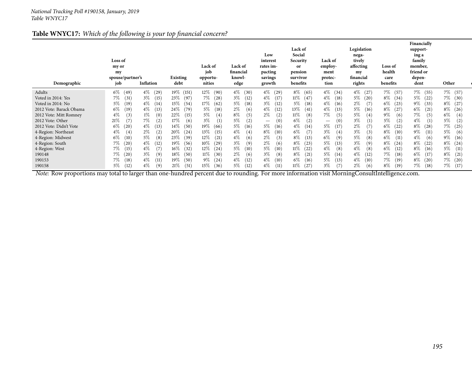#### **Table WNYC17:** *Which of the following is your top financial concern?*

| Demographic             | Loss of<br>my or<br>my<br>spouse/partner's<br>job | Inflation     | Existing<br>debt | Lack of<br>job<br>opportu-<br>nities | Lack of<br>financial<br>knowl-<br>edge | Low<br>interest<br>rates im-<br>pacting<br>savings<br>growth | Lack of<br>Social<br>Security<br><b>or</b><br>pension<br>survivor<br>benefits | <b>Lack of</b><br>employ-<br>ment<br>protec-<br>tion | Legislation<br>nega-<br>tively<br>affecting<br>my<br>financial<br>rights | Loss of<br>health<br>care<br>benefits | Financially<br>support-<br>ing a<br>family<br>member,<br>friend or<br>depen-<br>dent | Other   |
|-------------------------|---------------------------------------------------|---------------|------------------|--------------------------------------|----------------------------------------|--------------------------------------------------------------|-------------------------------------------------------------------------------|------------------------------------------------------|--------------------------------------------------------------------------|---------------------------------------|--------------------------------------------------------------------------------------|---------|
| Adults                  | $6\%$<br>(49)                                     | $4\%$<br>(29) | 19% (151)        | $12\%$<br>(90)                       | $4\%$ (30)                             | $4\%$<br>(29)                                                | $8\%$<br>(65)                                                                 | $4\%$ (34)                                           | $4\%$<br>(27)                                                            | 7%<br>(57)                            | 7%<br>(55)                                                                           | 7% (57) |
| Voted in 2014: Yes      | 7%                                                | $3\%$         | 23\%             | 7%                                   | $3\%$                                  | $4\%$                                                        | 11%                                                                           | $4\%$                                                | $5\%$                                                                    | $8\%$                                 | 5%                                                                                   | 7%      |
|                         | (31)                                              | (15)          | (97)             | (28)                                 | (12)                                   | (17)                                                         | (47)                                                                          | (18)                                                 | (20)                                                                     | (34)                                  | (22)                                                                                 | (30)    |
| Voted in 2014: No       | $5\%$                                             | $4\%$         | 15%              | 17%                                  | 5%                                     | $3\%$                                                        | $5\%$                                                                         | $4\%$                                                | (7)                                                                      | $6\%$                                 | $9\%$                                                                                | $8\%$   |
|                         | $^{(19)}$                                         | (14)          | (54)             | (62)                                 | (18)                                   | (12)                                                         | (18)                                                                          | (16)                                                 | $2\%$                                                                    | (23)                                  | (33)                                                                                 | (27)    |
| 2012 Vote: Barack Obama | $6\%$                                             | $4\%$         | 24\%             | $5\%$                                | $2\%$                                  | $4\%$                                                        | 13\%                                                                          | $4\%$                                                | $5\%$                                                                    | $8\%$                                 | $6\%$                                                                                | $8\%$   |
|                         | (19)                                              | (13)          | (79)             | (18)                                 | (6)                                    | (12)                                                         | (41)                                                                          | (13)                                                 | (16)                                                                     | (27)                                  | (21)                                                                                 | (26)    |
| 2012 Vote: Mitt Romney  | $4\%$                                             | $1\%$         | 22%              | $5\%$                                | 8%                                     | $2\%$                                                        | 11%                                                                           | 7%                                                   | 5%                                                                       | $9\%$                                 | 7%                                                                                   | $6\%$   |
|                         | (3)                                               | (0)           | (15)             | $\scriptstyle{(4)}$                  | (5)                                    | (2)                                                          | (8)                                                                           | (5)                                                  | (4)                                                                      | (6)                                   | (5)                                                                                  | (4)     |
| 2012 Vote: Other        | 21%                                               | 7%            | 17%              | $3\%$                                | 5%                                     | (0)                                                          | 6%                                                                            | (0)                                                  | $3\%$                                                                    | $5\%$                                 | $4\%$                                                                                | $5\%$   |
|                         | (7)                                               | (2)           | (6)              | (1)                                  | (2)                                    | $\hspace{0.1mm}-\hspace{0.1mm}$                              | (2)                                                                           | $\hspace{0.1mm}-\hspace{0.1mm}$                      | (1)                                                                      | (2)                                   | (1)                                                                                  | (2)     |
| 2012 Vote: Didn't Vote  | $6\%$                                             | $4\%$         | $14\%$           | 19%                                  | $5\%$                                  | $5\%$                                                        | $4\%$                                                                         | $5\%$                                                | $2\%$                                                                    | $6\%$                                 | $8\%$                                                                                | 7%      |
|                         | (20)                                              | (13)          | (50)             | (66)                                 | (16)                                   | (16)                                                         | (14)                                                                          | (17)                                                 | (7)                                                                      | $^{(22)}$                             | (28)                                                                                 | (25)    |
| 4-Region: Northeast     | $4\%$                                             | $2\%$         | $20\%$           | 13\%                                 | $4\%$                                  | $8\%$                                                        | $6\%$                                                                         | $3\%$                                                | $3\%$                                                                    | $8\%$                                 | $9\%$                                                                                | $5\%$   |
|                         | $\left(4\right)$                                  | (2)           | (24)             | (15)                                 | (4)                                    | (10)                                                         | (7)                                                                           | (4)                                                  | (3)                                                                      | (10)                                  | (11)                                                                                 | (6)     |
| 4-Region: Midwest       | $6\%$                                             | $5\%$         | 23\%             | $12\%$                               | 4%                                     | $2\%$                                                        | $8\%$                                                                         | 6%                                                   | $5\%$                                                                    | $6\%$                                 | $4\%$                                                                                | $9\%$   |
|                         | 10)                                               | (8)           | (39)             | (21)                                 | (6)                                    | (3)                                                          | (13)                                                                          | (9)                                                  | (8)                                                                      | (11)                                  | (6)                                                                                  | (16)    |
| 4-Region: South         | 7%                                                | $4\%$         | 19%              | $10\%$                               | $3\%$                                  | $2\%$                                                        | $8\%$                                                                         | $5\%$                                                | $3\%$                                                                    | $8\%$                                 | $8\%$                                                                                | $8\%$   |
|                         | (20)                                              | (12)          | (56)             | (29)                                 | (9)                                    | (6)                                                          | (23)                                                                          | (13)                                                 | (9)                                                                      | (24)                                  | (22)                                                                                 | (24)    |
| 4-Region: West          | 7%                                                | $4\%$         | $16\%$           | $12\%$                               | 5%                                     | $5\%$                                                        | 11%                                                                           | $4\%$                                                | $4\%$                                                                    | $6\%$                                 | $8\%$                                                                                | $5\%$   |
|                         | (15)                                              | (7)           | (32)             | (24)                                 | (10)                                   | (10)                                                         | (22)                                                                          | (8)                                                  | (8)                                                                      | (12)                                  | (16)                                                                                 | (11)    |
| 190148                  | $7\%$                                             | $3\%$         | $18\%$           | $11\%$                               | $2\%$                                  | $3\%$                                                        | $8\%$                                                                         | $5\%$                                                | $4\%$                                                                    | 7%                                    | $6\%$                                                                                | $8\%$   |
|                         | (20)                                              | (9)           | (50)             | (30)                                 | (6)                                    | (8)                                                          | (21)                                                                          | (14)                                                 | (12)                                                                     | (18)                                  | (17)                                                                                 | (21)    |
| 190153                  | $7\%$                                             | $4\%$         | 19%              | $9\%$                                | $4\%$                                  | $4\%$                                                        | $6\%$                                                                         | $5\%$                                                | $4\%$                                                                    | 7%                                    | $8\%$                                                                                | 7%      |
|                         | (18)                                              | (11)          | (50)             | (24)                                 | (12)                                   | (10)                                                         | (16)                                                                          | (13)                                                 | (10)                                                                     | (19)                                  | (20)                                                                                 | (20)    |
| 190158                  | $5\%$                                             | $4\%$         | 21%              | 15%                                  | $5\%$                                  | $4\%$                                                        | 11%                                                                           | $3\%$                                                | $2\%$                                                                    | $8\%$                                 | $7\%$                                                                                | 7%      |
|                         | (12)                                              | (9)           | (51)             | (36)                                 | (12)                                   | (11)                                                         | (27)                                                                          | (7)                                                  | (6)                                                                      | (19)                                  | (18)                                                                                 | (17)    |

*Note:* Row proportions may total to larger than one-hundred percen<sup>t</sup> due to rounding. For more information visit [MorningConsultIntelligence.com](https://morningconsultintelligence.com).

**opinion Total <sup>N</sup>**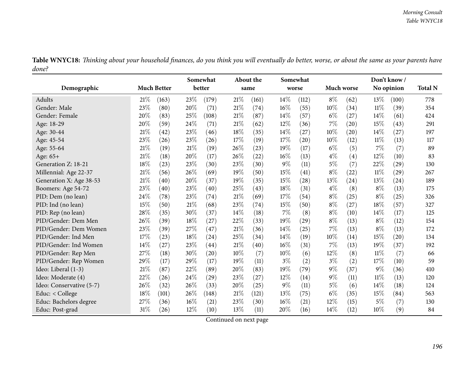|       | Table WNYC18: Thinking about your household finances, do you think you will eventually do better, worse, or about the same as your parents have |  |  |  |
|-------|-------------------------------------------------------------------------------------------------------------------------------------------------|--|--|--|
| done? |                                                                                                                                                 |  |  |  |

|                          |        |                    |      | Somewhat |        | <b>About the</b> |        | Somewhat |            |                    |        | Don't know/ |                |
|--------------------------|--------|--------------------|------|----------|--------|------------------|--------|----------|------------|--------------------|--------|-------------|----------------|
| Demographic              |        | <b>Much Better</b> |      | better   |        | same             | worse  |          | Much worse |                    |        | No opinion  | <b>Total N</b> |
| Adults                   | 21%    | (163)              | 23\% | (179)    | 21%    | (161)            | 14%    | (112)    | $8\%$      | (62)               | $13\%$ | (100)       | 778            |
| Gender: Male             | 23%    | (80)               | 20%  | (71)     | 21%    | (74)             | 16%    | (55)     | 10%        | (34)               | $11\%$ | (39)        | 354            |
| Gender: Female           | 20%    | (83)               | 25%  | (108)    | 21%    | (87)             | 14%    | (57)     | $6\%$      | (27)               | 14%    | (61)        | 424            |
| Age: 18-29               | 20%    | (59)               | 24\% | (71)     | 21%    | (62)             | 12%    | (36)     | 7%         | (20)               | 15%    | (43)        | 291            |
| Age: 30-44               | 21\%   | (42)               | 23%  | (46)     | 18%    | (35)             | 14%    | (27)     | 10%        | (20)               | 14%    | (27)        | 197            |
| Age: 45-54               | 23%    | (26)               | 23%  | (26)     | 17%    | (19)             | 17%    | (20)     | 10%        | (12)               | $11\%$ | (13)        | 117            |
| Age: 55-64               | 21\%   | (19)               | 21%  | (19)     | 26%    | (23)             | 19%    | (17)     | $6\%$      | (5)                | 7%     | (7)         | 89             |
| Age: 65+                 | 21\%   | (18)               | 20%  | (17)     | 26%    | (22)             | 16%    | (13)     | $4\%$      | (4)                | 12%    | (10)        | 83             |
| Generation Z: 18-21      | 18%    | (23)               | 23%  | (30)     | 23%    | (30)             | $9\%$  | (11)     | $5\%$      | (7)                | 22%    | (29)        | 130            |
| Millennial: Age 22-37    | $21\%$ | (56)               | 26%  | (69)     | 19%    | (50)             | 15\%   | (41)     | $8\%$      | (22)               | $11\%$ | (29)        | 267            |
| Generation X: Age 38-53  | $21\%$ | (40)               | 20%  | (37)     | 19%    | (35)             | 15%    | (28)     | 13%        | $\left( 24\right)$ | 13%    | (24)        | 189            |
| Boomers: Age 54-72       | $23\%$ | $\left( 40\right)$ | 23%  | (40)     | 25%    | (43)             | 18%    | (31)     | $4\%$      | (8)                | $8\%$  | (13)        | 175            |
| PID: Dem (no lean)       | 24\%   | (78)               | 23%  | (74)     | 21%    | (69)             | 17%    | (54)     | $8\%$      | (25)               | $8\%$  | (25)        | 326            |
| PID: Ind (no lean)       | 15%    | (50)               | 21%  | (68)     | 23%    | (74)             | 15%    | (50)     | $8\%$      | (27)               | 18%    | (57)        | 327            |
| PID: Rep (no lean)       | 28%    | (35)               | 30%  | (37)     | 14%    | (18)             | 7%     | (8)      | $8\%$      | (10)               | 14%    | (17)        | 125            |
| PID/Gender: Dem Men      | 26%    | (39)               | 18%  | (27)     | 22%    | (33)             | 19%    | (29)     | $8\%$      | (13)               | $8\%$  | (12)        | 154            |
| PID/Gender: Dem Women    | 23%    | (39)               | 27%  | (47)     | $21\%$ | (36)             | 14%    | (25)     | 7%         | (13)               | $8\%$  | (13)        | 172            |
| PID/Gender: Ind Men      | $17\%$ | (23)               | 18%  | (24)     | 25%    | (34)             | 14%    | (19)     | 10%        | (14)               | 15%    | (20)        | 134            |
| PID/Gender: Ind Women    | 14%    | (27)               | 23%  | (44)     | $21\%$ | (40)             | 16%    | (31)     | 7%         | (13)               | 19%    | (37)        | 192            |
| PID/Gender: Rep Men      | 27%    | (18)               | 30%  | (20)     | 10%    | (7)              | 10%    | (6)      | 12%        | (8)                | $11\%$ | (7)         | 66             |
| PID/Gender: Rep Women    | 29%    | (17)               | 29%  | (17)     | 19%    | (11)             | $3\%$  | (2)      | $3\%$      | (2)                | 17%    | (10)        | 59             |
| Ideo: Liberal (1-3)      | $21\%$ | (87)               | 22%  | (89)     | 20%    | (83)             | $19\%$ | (79)     | $9\%$      | (37)               | $9\%$  | (36)        | 410            |
| Ideo: Moderate (4)       | 22%    | (26)               | 24%  | (29)     | 23%    | (27)             | 12%    | (14)     | $9\%$      | (11)               | $11\%$ | (13)        | 120            |
| Ideo: Conservative (5-7) | 26%    | (32)               | 26%  | (33)     | 20%    | (25)             | $9\%$  | (11)     | $5\%$      | (6)                | 14\%   | (18)        | 124            |
| Educ: < College          | 18%    | (101)              | 26%  | (148)    | $21\%$ | (121)            | 13%    | (75)     | $6\%$      | (35)               | 15%    | (84)        | 563            |
| Educ: Bachelors degree   | 27%    | (36)               | 16%  | (21)     | 23%    | (30)             | 16%    | (21)     | 12%        | (15)               | $5\%$  | (7)         | 130            |
| Educ: Post-grad          | 31%    | (26)               | 12%  | (10)     | 13%    | (11)             | 20%    | (16)     | 14%        | (12)               | 10%    | (9)         | 84             |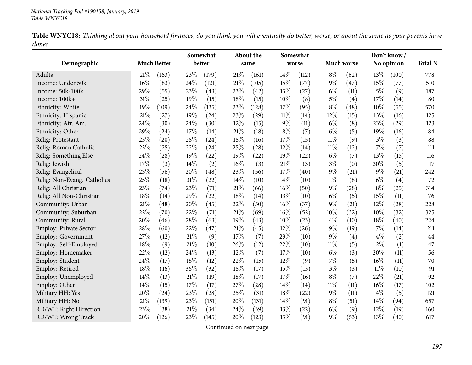|       |  |  | Table WNYC18: Thinking about your household finances, do you think you will eventually do better, worse, or about the same as your parents have |  |
|-------|--|--|-------------------------------------------------------------------------------------------------------------------------------------------------|--|
| done? |  |  |                                                                                                                                                 |  |

|                             |      |                    |      | Somewhat           |        | About the |       | Somewhat |            |      |        | Don't know/ |                |
|-----------------------------|------|--------------------|------|--------------------|--------|-----------|-------|----------|------------|------|--------|-------------|----------------|
| Demographic                 |      | <b>Much Better</b> |      | better             |        | same      |       | worse    | Much worse |      |        | No opinion  | <b>Total N</b> |
| Adults                      | 21%  | (163)              | 23%  | (179)              | 21\%   | (161)     | 14%   | (112)    | $8\%$      | (62) | 13%    | (100)       | 778            |
| Income: Under 50k           | 16%  | (83)               | 24%  | (121)              | $21\%$ | (105)     | 15%   | (77)     | $9\%$      | (47) | 15%    | (77)        | 510            |
| Income: 50k-100k            | 29%  | (55)               | 23%  | (43)               | 23%    | (42)      | 15%   | (27)     | $6\%$      | (11) | $5\%$  | (9)         | 187            |
| Income: 100k+               | 31%  | (25)               | 19%  | (15)               | 18%    | (15)      | 10%   | (8)      | $5\%$      | (4)  | 17%    | (14)        | 80             |
| Ethnicity: White            | 19%  | (109)              | 24%  | (135)              | 23%    | (128)     | 17%   | (95)     | $8\%$      | (48) | 10%    | (55)        | 570            |
| Ethnicity: Hispanic         | 21\% | (27)               | 19%  | (24)               | 23%    | (29)      | 11%   | (14)     | 12%        | (15) | 13%    | (16)        | 125            |
| Ethnicity: Afr. Am.         | 24%  | (30)               | 24%  | (30)               | 12%    | (15)      | $9\%$ | (11)     | $6\%$      | (8)  | 23%    | (29)        | 123            |
| Ethnicity: Other            | 29%  | (24)               | 17%  | (14)               | $21\%$ | (18)      | $8\%$ | (7)      | $6\%$      | (5)  | 19%    | (16)        | 84             |
| Relig: Protestant           | 23%  | (20)               | 28%  | (24)               | 18%    | (16)      | 17%   | (15)     | $11\%$     | (9)  | $3\%$  | (3)         | 88             |
| Relig: Roman Catholic       | 23%  | (25)               | 22%  | (24)               | 25%    | (28)      | 12%   | (14)     | $11\%$     | (12) | 7%     | (7)         | 111            |
| Relig: Something Else       | 24%  | (28)               | 19%  | (22)               | 19%    | (22)      | 19%   | (22)     | $6\%$      | (7)  | 13%    | (15)        | 116            |
| Relig: Jewish               | 17%  | (3)                | 14\% | (2)                | 16%    | (3)       | 21%   | (3)      | $3\%$      | (0)  | 30%    | (5)         | 17             |
| Relig: Evangelical          | 23%  | (56)               | 20%  | (48)               | 23%    | (56)      | 17%   | (40)     | $9\%$      | (21) | $9\%$  | (21)        | 242            |
| Relig: Non-Evang. Catholics | 25%  | (18)               | 31%  | $\left( 22\right)$ | 14%    | (10)      | 14%   | (10)     | $11\%$     | (8)  | $6\%$  | (4)         | 72             |
| Relig: All Christian        | 23%  | (74)               | 23%  | (71)               | 21%    | (66)      | 16%   | (50)     | $9\%$      | (28) | $8\%$  | (25)        | 314            |
| Relig: All Non-Christian    | 18%  | (14)               | 29%  | (22)               | 18%    | (14)      | 13%   | (10)     | $6\%$      | (5)  | 15%    | (11)        | 76             |
| Community: Urban            | 21%  | (48)               | 20%  | (45)               | 22%    | (50)      | 16%   | (37)     | $9\%$      | (21) | 12%    | (28)        | 228            |
| Community: Suburban         | 22%  | (70)               | 22%  | (71)               | 21%    | (69)      | 16%   | (52)     | 10%        | (32) | 10%    | (32)        | 325            |
| Community: Rural            | 20%  | (46)               | 28%  | (63)               | 19%    | (43)      | 10%   | (23)     | $4\%$      | (10) | 18%    | (40)        | 224            |
| Employ: Private Sector      | 28%  | (60)               | 22%  | (47)               | 21%    | (45)      | 12%   | (26)     | $9\%$      | (19) | 7%     | (14)        | 211            |
| Employ: Government          | 27%  | (12)               | 21\% | (9)                | 17%    | (7)       | 23%   | (10)     | $9\%$      | (4)  | $4\%$  | (2)         | 44             |
| Employ: Self-Employed       | 18%  | (9)                | 21%  | (10)               | 26%    | (12)      | 22%   | (10)     | $11\%$     | (5)  | $2\%$  | (1)         | 47             |
| Employ: Homemaker           | 22%  | (12)               | 24%  | (13)               | $12\%$ | (7)       | 17%   | (10)     | $6\%$      | (3)  | 20%    | (11)        | 56             |
| Employ: Student             | 24%  | (17)               | 18%  | (12)               | 22%    | (15)      | 12%   | (9)      | $7\%$      | (5)  | 16%    | (11)        | 70             |
| Employ: Retired             | 18%  | (16)               | 36%  | (32)               | 18%    | (17)      | 15%   | (13)     | $3\%$      | (3)  | $11\%$ | (10)        | 91             |
| Employ: Unemployed          | 14%  | (13)               | 21%  | (19)               | 18%    | (17)      | 17%   | (16)     | $8\%$      | (7)  | 22%    | (21)        | 92             |
| Employ: Other               | 14%  | (15)               | 17%  | (17)               | 27%    | (28)      | 14%   | (14)     | $11\%$     | (11) | 16%    | (17)        | 102            |
| Military HH: Yes            | 20%  | (24)               | 23%  | (28)               | 25%    | (31)      | 18%   | (22)     | $9\%$      | (11) | 4%     | (5)         | 121            |
| Military HH: No             | 21%  | (139)              | 23%  | (151)              | 20%    | (131)     | 14%   | (91)     | $8\%$      | (51) | 14%    | (94)        | 657            |
| RD/WT: Right Direction      | 23%  | (38)               | 21%  | (34)               | 24%    | (39)      | 13%   | (22)     | $6\%$      | (9)  | 12%    | (19)        | 160            |
| RD/WT: Wrong Track          | 20%  | (126)              | 23%  | (145)              | 20%    | (123)     | 15%   | (91)     | $9\%$      | (53) | 13%    | (80)        | 617            |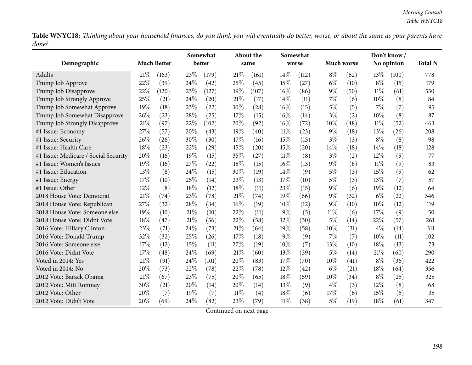Table WNYC18: Thinking about your household finances, do you think you will eventually do better, worse, or about the same as your parents have *done?*

|                                      |     |                    |      | Somewhat |     | About the |        | Somewhat |        |            |        | Don't know/ |                |
|--------------------------------------|-----|--------------------|------|----------|-----|-----------|--------|----------|--------|------------|--------|-------------|----------------|
| Demographic                          |     | <b>Much Better</b> |      | better   |     | same      |        | worse    |        | Much worse |        | No opinion  | <b>Total N</b> |
| Adults                               | 21% | (163)              | 23%  | (179)    | 21% | (161)     | $14\%$ | (112)    | $8\%$  | (62)       | $13\%$ | (100)       | 778            |
| Trump Job Approve                    | 22% | (39)               | 24%  | (42)     | 25% | (45)      | 15%    | (27)     | $6\%$  | (10)       | $8\%$  | (15)        | 179            |
| Trump Job Disapprove                 | 22% | (120)              | 23%  | (127)    | 19% | (107)     | 16%    | (86)     | $9\%$  | (50)       | $11\%$ | (61)        | 550            |
| Trump Job Strongly Approve           | 25% | (21)               | 24\% | (20)     | 21% | (17)      | 14%    | (11)     | 7%     | (6)        | $10\%$ | (8)         | 84             |
| Trump Job Somewhat Approve           | 19% | (18)               | 23%  | (22)     | 30% | (28)      | 16%    | (15)     | $5\%$  | (5)        | 7%     | (7)         | 95             |
| Trump Job Somewhat Disapprove        | 26% | (23)               | 28%  | (25)     | 17% | (15)      | 16%    | (14)     | $3\%$  | (2)        | 10%    | (8)         | 87             |
| Trump Job Strongly Disapprove        | 21% | (97)               | 22%  | (102)    | 20% | (92)      | 16%    | (72)     | 10%    | (48)       | $11\%$ | (52)        | 463            |
| #1 Issue: Economy                    | 27% | (57)               | 20%  | (43)     | 19% | (40)      | $11\%$ | (23)     | $9\%$  | (18)       | 13%    | (26)        | 208            |
| #1 Issue: Security                   | 26% | (26)               | 30%  | (30)     | 17% | (16)      | 15%    | (15)     | $3\%$  | (3)        | $8\%$  | (8)         | 98             |
| #1 Issue: Health Care                | 18% | (23)               | 22%  | (29)     | 15% | (20)      | 15%    | (20)     | 14%    | (18)       | 14\%   | (18)        | 128            |
| #1 Issue: Medicare / Social Security | 20% | (16)               | 19%  | (15)     | 35% | (27)      | $11\%$ | (8)      | $3\%$  | (2)        | 12%    | (9)         | 77             |
| #1 Issue: Women's Issues             | 19% | (16)               | 27%  | (22)     | 18% | (15)      | 16%    | (13)     | $9\%$  | (8)        | $11\%$ | (9)         | 83             |
| #1 Issue: Education                  | 13% | (8)                | 24\% | (15)     | 30% | (19)      | 14\%   | (9)      | $5\%$  | (3)        | 15%    | (9)         | 62             |
| #1 Issue: Energy                     | 17% | (10)               | 25%  | (14)     | 23% | (13)      | 17%    | (10)     | $5\%$  | (3)        | 13%    | (7)         | 57             |
| #1 Issue: Other                      | 12% | (8)                | 18%  | (12)     | 18% | (11)      | 23%    | (15)     | $9\%$  | (6)        | 19%    | (12)        | 64             |
| 2018 House Vote: Democrat            | 21% | (74)               | 23%  | (78)     | 21% | (74)      | 19%    | (66)     | $9\%$  | (32)       | $6\%$  | (22)        | 346            |
| 2018 House Vote: Republican          | 27% | (32)               | 28%  | (34)     | 16% | (19)      | 10%    | (12)     | $9\%$  | (10)       | 10%    | (12)        | 119            |
| 2018 House Vote: Someone else        | 19% | (10)               | 21%  | (10)     | 22% | (11)      | $9\%$  | (5)      | $11\%$ | (6)        | 17%    | (9)         | 50             |
| 2018 House Vote: Didnt Vote          | 18% | (47)               | 21%  | (56)     | 22% | (58)      | 12%    | (30)     | $5\%$  | (14)       | 22%    | (57)        | 261            |
| 2016 Vote: Hillary Clinton           | 23% | (71)               | 24%  | (73)     | 21% | (64)      | 19%    | (58)     | $10\%$ | (31)       | $4\%$  | (14)        | 311            |
| 2016 Vote: Donald Trump              | 32% | (32)               | 25%  | (26)     | 17% | (18)      | $9\%$  | (9)      | $7\%$  | (7)        | 10%    | (11)        | 102            |
| 2016 Vote: Someone else              | 17% | (12)               | 15%  | (11)     | 27% | (19)      | 10%    | (7)      | 13%    | (10)       | 18%    | (13)        | 73             |
| 2016 Vote: Didnt Vote                | 17% | (48)               | 24\% | (69)     | 21% | (60)      | 13%    | (39)     | $5\%$  | (14)       | 21%    | (60)        | 290            |
| Voted in 2014: Yes                   | 21% | (91)               | 24\% | (101)    | 20% | (83)      | 17%    | (70)     | 10%    | (41)       | $8\%$  | (36)        | 422            |
| Voted in 2014: No                    | 20% | (73)               | 22%  | (78)     | 22% | (78)      | 12%    | (42)     | $6\%$  | (21)       | 18%    | (64)        | 356            |
| 2012 Vote: Barack Obama              | 21% | (67)               | 23%  | (75)     | 20% | (65)      | 18%    | (59)     | $10\%$ | (34)       | $8\%$  | (25)        | 325            |
| 2012 Vote: Mitt Romney               | 30% | (21)               | 20%  | (14)     | 20% | (14)      | 13%    | (9)      | $4\%$  | (3)        | $12\%$ | (8)         | 68             |
| 2012 Vote: Other                     | 20% | (7)                | 19%  | (7)      | 11% | (4)       | 18%    | (6)      | 17%    | (6)        | 15%    | (5)         | 35             |
| 2012 Vote: Didn't Vote               | 20% | (69)               | 24%  | (82)     | 23% | (79)      | $11\%$ | (38)     | 5%     | (19)       | 18%    | (61)        | 347            |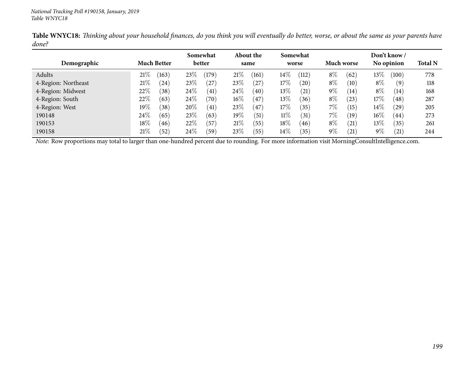|                     |                          | Somewhat         | About the            | Somewhat                   |               | Don't know /                |                |
|---------------------|--------------------------|------------------|----------------------|----------------------------|---------------|-----------------------------|----------------|
| Demographic         | <b>Much Better</b>       | better           | same                 | worse                      | Much worse    | No opinion                  | <b>Total N</b> |
| Adults              | $21\%$<br>(163)          | (179)<br>23%     | 21%<br>161           | $14\%$<br>(112)            | $8\%$<br>(62) | $13\%$<br>(100)             | 778            |
| 4-Region: Northeast | $21\%$<br>24)            | 23\%<br>(27      | 23\%<br>$^{'}27$     | 17%<br>(20)                | $8\%$<br>(10) | $8\%$<br>$\left( 9\right)$  | 118            |
| 4-Region: Midwest   | 22%<br>$\left(38\right)$ | 24\%<br>(41)     | 24\%<br>(40)         | 13\%<br>$\left( 21\right)$ | $9\%$<br>(14) | $8\%$<br>(14)               | 168            |
| 4-Region: South     | 22%<br>(63)              | 24\%<br>(70)     | $16\%$<br>47         | 13\%<br>(36)               | $8\%$<br>(23) | $17\%$<br>(48)              | 287            |
| 4-Region: West      | 19 $\%$<br>(38)          | 20%<br>(41)      | 23\%<br>47           | $17\%$<br>$^{\prime}35)$   | $7\%$<br>(15) | $14\%$<br>$^{'}29$          | 205            |
| 190148              | 24\%<br>(65)             | 23\%<br>(63)     | 19%<br>$\sqrt{51}$   | $11\%$<br>(31)             | $7\%$<br>(19  | $16\%$<br>$\left(44\right)$ | 273            |
| 190153              | $18\%$<br>(46)           | 22%<br>(57       | 21%<br>55            | $18\%$<br>(46)             | $8\%$<br>(21) | $13\%$<br>(35)              | 261            |
| 190158              | $21\%$<br>(52)           | 24\%<br>$^{'}59$ | 23\%<br>$55^{\circ}$ | $14\%$<br>35)              | $9\%$<br>(21) | $9\%$<br>(21)               | 244            |

Table WNYC18: Thinking about your household finances, do you think you will eventually do better, worse, or about the same as your parents have *done?*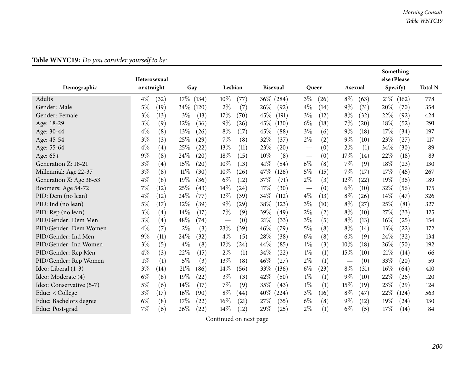| Demographic              | Heterosexual<br>or straight | Gay                       | Lesbian       | <b>Bisexual</b> | Queer         | Asexual                                | Something<br>else (Please<br>Specify) | <b>Total N</b> |
|--------------------------|-----------------------------|---------------------------|---------------|-----------------|---------------|----------------------------------------|---------------------------------------|----------------|
|                          |                             |                           |               |                 |               |                                        |                                       |                |
| Adults                   | $4\%$<br>(32)               | 17%<br>(134)              | 10%<br>(77)   | 36\% (284)      | $3\%$<br>(26) | $8\%$<br>(63)                          | 21\%<br>(162)                         | 778            |
| Gender: Male             | $5\%$<br>(19)               | 34\%<br>(120)             | $2\%$<br>(7)  | 26%<br>(92)     | $4\%$<br>(14) | $9\%$<br>(31)                          | 20%<br>(70)                           | 354            |
| Gender: Female           | $3\%$<br>(13)               | $3\%$<br>(13)             | 17%<br>(70)   | 45\%<br>(191)   | $3\%$<br>(12) | $8\%$<br>(32)                          | 22%<br>(92)                           | 424            |
| Age: 18-29               | $3\%$<br>(9)                | 12%<br>(36)               | $9\%$<br>(26) | 45%<br>(130)    | $6\%$<br>(18) | $7\%$<br>(20)                          | 18%<br>(52)                           | 291            |
| Age: 30-44               | $4\%$<br>(8)                | 13%<br>(26)               | $8\%$<br>(17) | 45%<br>(88)     | $3\%$<br>(6)  | $9\%$<br>(18)                          | 17%<br>(34)                           | 197            |
| Age: 45-54               | $3\%$<br>(3)                | 25%<br>(29)               | $7\%$<br>(8)  | 32%<br>(37)     | $2\%$<br>(2)  | $9\%$<br>(10)                          | 23%<br>(27)                           | 117            |
| Age: 55-64               | $4\%$<br>(4)                | 25%<br>(22)               | 13%<br>(11)   | 23%<br>(20)     | (0)           | $2\%$<br>(1)                           | 34%<br>(30)                           | 89             |
| Age: 65+                 | 9%<br>(8)                   | 24%<br>(20)               | 18%<br>(15)   | 10%<br>(8)      | (0)           | 17%<br>(14)                            | 22%<br>(18)                           | 83             |
| Generation Z: 18-21      | $3\%$<br>(4)                | 15%<br>$\left( 20\right)$ | 10%<br>(13)   | 41\%<br>(54)    | $6\%$<br>(8)  | $7\%$<br>(9)                           | 18%<br>(23)                           | 130            |
| Millennial: Age 22-37    | $3\%$<br>(8)                | $11\%$<br>(30)            | 10%<br>(26)   | 47%<br>(126)    | $5\%$<br>(15) | 7%<br>(17)                             | 17%<br>(45)                           | 267            |
| Generation X: Age 38-53  | $4\%$<br>(8)                | 19%<br>(36)               | $6\%$<br>(12) | 37%<br>(71)     | $2\%$<br>(3)  | $12\%$<br>(22)                         | 19%<br>(36)                           | 189            |
| Boomers: Age 54-72       | 7%<br>(12)                  | 25%<br>(43)               | 14%<br>(24)   | 17%<br>(30)     | (0)           | $6\%$<br>(10)                          | 32%<br>(56)                           | 175            |
| PID: Dem (no lean)       | $4\%$<br>(12)               | 24%<br>(77)               | 12%<br>(39)   | 34%<br>(112)    | $4\%$<br>(13) | $8\%$<br>(26)                          | 14%<br>(47)                           | 326            |
| PID: Ind (no lean)       | $5\%$<br>(17)               | 12%<br>(39)               | $9\%$<br>(29) | 38\%<br>(123)   | $3\%$<br>(10) | $8\%$<br>(27)                          | 25%<br>(81)                           | 327            |
| PID: Rep (no lean)       | $3\%$<br>(4)                | 14\%<br>(17)              | $7\%$<br>(9)  | 39%<br>(49)     | $2\%$<br>(2)  | $8\%$<br>(10)                          | 27%<br>(33)                           | 125            |
| PID/Gender: Dem Men      | $3\%$<br>(4)                | 48\%<br>(74)              | (0)           | 21%<br>(33)     | $3\%$<br>(5)  | $8\%$<br>(13)                          | 16%<br>(25)                           | 154            |
| PID/Gender: Dem Women    | $4\%$<br>(7)                | $2\%$<br>(3)              | 23%<br>(39)   | 46%<br>(79)     | $5\%$<br>(8)  | $8\%$<br>(14)                          | 13%<br>(22)                           | 172            |
| PID/Gender: Ind Men      | $9\%$<br>(11)               | 24%<br>(32)               | $4\%$<br>(5)  | 28%<br>(38)     | $6\%$<br>(8)  | $6\%$<br>(9)                           | 24%<br>(32)                           | 134            |
| PID/Gender: Ind Women    | $3\%$<br>(5)                | $4\%$<br>(8)              | 12%<br>(24)   | 44%<br>(85)     | $1\%$<br>(3)  | 10%<br>(18)                            | 26%<br>(50)                           | 192            |
| PID/Gender: Rep Men      | $4\%$<br>(3)                | 22%<br>(15)               | $2\%$<br>(1)  | 34%<br>(22)     | $1\%$<br>(1)  | 15%<br>(10)                            | 21%<br>(14)                           | 66             |
| PID/Gender: Rep Women    | $1\%$<br>(1)                | $5\%$<br>(3)              | 13%<br>(8)    | 46%<br>(27)     | $2\%$<br>(1)  | (0)<br>$\hspace{0.1mm}-\hspace{0.1mm}$ | 33%<br>(20)                           | 59             |
| Ideo: Liberal (1-3)      | $3\%$<br>(14)               | 21%<br>(86)               | 14%<br>(56)   | 33\%<br>(136)   | $6\%$<br>(23) | $8\%$<br>(31)                          | $16\%$<br>(64)                        | 410            |
| Ideo: Moderate (4)       | $6\%$<br>(8)                | 19%<br>(22)               | $3\%$<br>(3)  | 42%<br>(50)     | $1\%$<br>(1)  | $9\%$<br>(10)                          | 22%<br>(26)                           | 120            |
| Ideo: Conservative (5-7) | $5\%$<br>(6)                | 14\%<br>(17)              | $7\%$<br>(9)  | 35%<br>(43)     | $1\%$<br>(1)  | 15%<br>(19)                            | 23%<br>(29)                           | 124            |
| Educ: $<$ College        | $3\%$<br>(17)               | 16%<br>(90)               | $8\%$<br>(44) | $40\%$ (224)    | $3\%$<br>(16) | $8\%$<br>(47)                          | 22%<br>(124)                          | 563            |
| Educ: Bachelors degree   | $6\%$<br>(8)                | 17%<br>(22)               | 16%<br>(21)   | 27%<br>(35)     | $6\%$<br>(8)  | $9\%$<br>(12)                          | 19%<br>(24)                           | 130            |
| Educ: Post-grad          | 7%<br>(6)                   | 26%<br>(22)               | 14\%<br>(12)  | 29%<br>(25)     | $2\%$<br>(1)  | $6\%$<br>(5)                           | 17%<br>(14)                           | 84             |

## **Table WNYC19:** *Do you consider yourself to be:*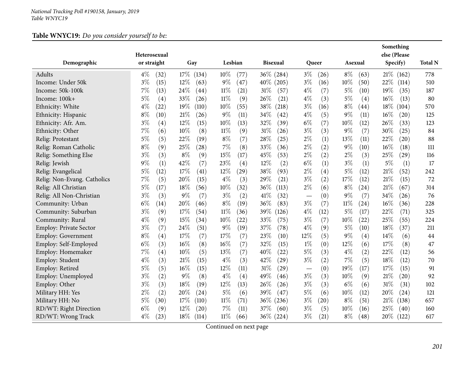## **Table WNYC19:** *Do you consider yourself to be:*

|                               | Heterosexual  |        |                 |         |                 |                                   |       |         |                    | Something<br>else (Please |       |                |
|-------------------------------|---------------|--------|-----------------|---------|-----------------|-----------------------------------|-------|---------|--------------------|---------------------------|-------|----------------|
| Demographic                   | or straight   | Gay    |                 | Lesbian | <b>Bisexual</b> |                                   | Queer | Asexual |                    | Specify)                  |       | <b>Total N</b> |
| Adults                        | $4\%$<br>(32) | 17\%   | 10%<br>(134)    | (77)    | 36\% (284)      | $3\%$                             | (26)  | $8\%$   | (63)               | 21%                       | (162) | 778            |
| Income: Under 50k             | $3\%$<br>(15) | 12%    | $9\%$<br>(63)   | (47)    | 40\% (205)      | $3\%$                             | (16)  | 10%     | (50)               | 22%                       | (114) | 510            |
| Income: 50k-100k              | 7%<br>(13)    | 24%    | $11\%$<br>(44)  | (21)    | $31\%$<br>(57)  | $4\%$                             | (7)   | $5\%$   | (10)               | 19%                       | (35)  | 187            |
| Income: 100k+                 | 5%<br>(4)     | 33%    | $11\%$<br>(26)  | (9)     | 26%<br>(21)     | $4\%$                             | (3)   | $5\%$   | (4)                | $16\%$                    | (13)  | 80             |
| Ethnicity: White              | $4\%$<br>(22) | 19%    | 10%<br>(110)    | (55)    | 38%<br>(218)    | $3\%$                             | (16)  | $8\%$   | (44)               | $18\%$                    | (104) | 570            |
| Ethnicity: Hispanic           | $8\%$<br>(10) | 21%    | $9\%$<br>(26)   | (11)    | $34\%$<br>(42)  | $4\%$                             | (5)   | $9\%$   | (11)               | $16\%$                    | (20)  | 125            |
| Ethnicity: Afr. Am.           | $3\%$<br>(4)  | 12%    | 10%<br>(15)     | (13)    | 32%<br>(39)     | $6\%$                             | (7)   | 10%     | (12)               | 26%                       | (33)  | 123            |
| Ethnicity: Other              | 7%<br>(6)     | 10%    | 11%<br>(8)      | (9)     | $31\%$<br>(26)  | $3\%$                             | (3)   | $9\%$   | (7)                | 30%                       | (25)  | 84             |
| Relig: Protestant             | 5%<br>(5)     | 22%    | $8\%$<br>(19)   | (7)     | 28\%<br>(25)    | $2\%$                             | (1)   | 13%     | (11)               | 22%                       | (20)  | 88             |
| Relig: Roman Catholic         | $8\%$<br>(9)  | 25%    | (28)<br>7%      | (8)     | 33%<br>(36)     | $2\%$                             | (2)   | $9\%$   | (10)               | 16%                       | (18)  | 111            |
| Relig: Something Else         | $3\%$<br>(3)  | $8\%$  | 15%<br>(9)      | (17)    | 45%<br>(53)     | $2\%$                             | (2)   | $2\%$   | (3)                | 25%                       | (29)  | 116            |
| Relig: Jewish                 | 9%<br>(1)     | 42%    | 23%<br>(7)      | (4)     | 12%<br>(2)      | $6\%$                             | (1)   | $3\%$   | (1)                | $5\%$                     | (1)   | 17             |
| Relig: Evangelical            | $5\%$<br>(12) | 17%    | 12%<br>(41)     | (29)    | 38%<br>(93)     | $2\%$                             | (4)   | $5\%$   | (12)               | 21%                       | (52)  | 242            |
| Relig: Non-Evang. Catholics   | 7%<br>(5)     | 20%    | $4\%$<br>(15)   | (3)     | 29%<br>(21)     | $3\%$                             | (2)   | 17%     | (12)               | 21%                       | (15)  | 72             |
| Relig: All Christian          | 5%<br>(17)    | 18%    | 10%<br>(56)     | (32)    | 36%<br>(113)    | $2\%$                             | (6)   | $8\%$   | $\left( 24\right)$ | $21\%$                    | (67)  | 314            |
| Relig: All Non-Christian      | $3\%$<br>(3)  | 9%     | $3\%$<br>(7)    | (2)     | 41\%<br>(32)    | $\overbrace{\phantom{123221111}}$ | (0)   | 9%      | (7)                | 34%                       | (26)  | 76             |
| Community: Urban              | $6\%$<br>(14) | 20%    | $8\%$<br>(46)   | (19)    | 36\%<br>(83)    | $3\%$                             | (7)   | 11%     | $\left( 24\right)$ | 16%                       | (36)  | 228            |
| Community: Suburban           | $3\%$<br>(9)  | 17%    | 11%<br>(54)     | (36)    | 39%<br>(126)    | $4\%$                             | (12)  | $5\%$   | (17)               | 22%                       | (71)  | 325            |
| Community: Rural              | $4\%$<br>(9)  | 15%    | 10%<br>(34)     | (22)    | 33%<br>(75)     | $3\%$                             | (7)   | 10%     | (22)               | 25%                       | (55)  | 224            |
| <b>Employ: Private Sector</b> | $3\%$<br>(7)  | 24%    | $9\%$<br>(51)   | (19)    | 37\%<br>(78)    | $4\%$                             | (9)   | 5%      | (10)               | 18%                       | (37)  | 211            |
| <b>Employ: Government</b>     | $8\%$<br>(4)  | 17%    | 17%<br>(7)      | (7)     | 23%<br>(10)     | 12%                               | (5)   | $9\%$   | (4)                | 14\%                      | (6)   | 44             |
| Employ: Self-Employed         | $6\%$<br>(3)  | 16%    | 16%<br>(8)      | (7)     | 32%<br>(15)     | $1\%$                             | (0)   | 12%     | (6)                | 17%                       | (8)   | 47             |
| Employ: Homemaker             | 7%<br>(4)     | 10%    | (5)<br>13%      | (7)     | 40%<br>(22)     | $5\%$                             | (3)   | $4\%$   | (2)                | 22%                       | (12)  | 56             |
| Employ: Student               | $4\%$<br>(3)  | 21\%   | $4\%$<br>(15)   | (3)     | 42\%<br>(29)    | $3\%$                             | (2)   | 7%      | (5)                | 18%                       | (12)  | 70             |
| Employ: Retired               | $5\%$<br>(5)  | 16%    | 12%<br>(15)     | (11)    | $31\%$<br>(29)  | $\overbrace{\phantom{123221111}}$ | (0)   | 19%     | (17)               | 17%                       | (15)  | 91             |
| Employ: Unemployed            | $3\%$<br>(2)  | $9\%$  | $4\%$<br>(8)    | (4)     | 49%<br>(46)     | $3\%$                             | (3)   | 10%     | (9)                | 21%                       | (20)  | 92             |
| Employ: Other                 | $3\%$<br>(3)  | 18%    | 12%<br>(19)     | (13)    | 26\%<br>(26)    | $3\%$                             | (3)   | $6\%$   | (6)                | $31\%$                    | (31)  | 102            |
| Military HH: Yes              | $2\%$<br>(2)  | 20%    | $5\%$<br>(24)   | (6)     | 39%<br>(47)     | $5\%$                             | (6)   | 10%     | (12)               | 20%                       | (24)  | 121            |
| Military HH: No               | $5\%$<br>(30) | 17\%   | $11\%$<br>(110) | (71)    | 36\%<br>(236)   | $3\%$                             | (20)  | $8\%$   | (51)               | 21%                       | (138) | 657            |
| RD/WT: Right Direction        | $6\%$<br>(9)  | 12%    | 7%<br>(20)      | (11)    | 37\%<br>(60)    | $3\%$                             | (5)   | 10%     | (16)               | 25%                       | (40)  | 160            |
| RD/WT: Wrong Track            | $4\%$<br>(23) | $18\%$ | $11\%$<br>(114) | (66)    | $36\%$ (224)    | $3\%$                             | (21)  | $8\%$   | (48)               | $20\%$                    | (122) | 617            |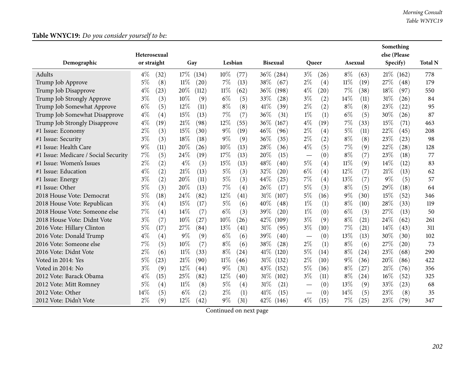## **Table WNYC19:** *Do you consider yourself to be:*

|                                      | Heterosexual  |                |               |                 |                                        |                | Something<br>else (Please |                |
|--------------------------------------|---------------|----------------|---------------|-----------------|----------------------------------------|----------------|---------------------------|----------------|
| Demographic                          | or straight   | Gay            | Lesbian       | <b>Bisexual</b> | Queer                                  | Asexual        | Specify)                  | <b>Total N</b> |
| Adults                               | $4\%$<br>(32) | 17\%<br>(134)  | 10%<br>(77)   | $36\%$ (284)    | $3\%$<br>(26)                          | $8\%$<br>(63)  | 21%<br>(162)              | 778            |
| Trump Job Approve                    | $5\%$<br>(8)  | 11%<br>(20)    | $7\%$<br>(13) | 38%<br>(67)     | $2\%$<br>(4)                           | $11\%$<br>(19) | 27%<br>(48)               | 179            |
| Trump Job Disapprove                 | $4\%$<br>(23) | 20%<br>(112)   | 11%<br>(62)   | $36\%$<br>(198) | $4\%$<br>$\left( 20\right)$            | $7\%$<br>(38)  | 18%<br>(97)               | 550            |
| Trump Job Strongly Approve           | $3\%$<br>(3)  | 10%<br>(9)     | $6\%$<br>(5)  | 33%<br>(28)     | $3\%$<br>(2)                           | 14%<br>(11)    | 31%<br>(26)               | 84             |
| Trump Job Somewhat Approve           | $6\%$<br>(5)  | 12%<br>(11)    | $8\%$<br>(8)  | 41\%<br>(39)    | $2\%$<br>(2)                           | $8\%$<br>(8)   | 23%<br>(22)               | 95             |
| Trump Job Somewhat Disapprove        | $4\%$<br>(4)  | 15%<br>(13)    | 7%<br>(7)     | 36%<br>(31)     | $1\%$<br>(1)                           | $6\%$<br>(5)   | 30%<br>(26)               | 87             |
| Trump Job Strongly Disapprove        | $4\%$<br>(19) | 21\%<br>(98)   | 12%<br>(55)   | 36\%<br>(167)   | $4\%$<br>(19)                          | 7%<br>(33)     | 15%<br>(71)               | 463            |
| #1 Issue: Economy                    | $2\%$<br>(3)  | 15%<br>(30)    | $9\%$<br>(19) | 46%<br>(96)     | $2\%$<br>(4)                           | $5\%$<br>(11)  | 22%<br>(45)               | 208            |
| #1 Issue: Security                   | $3\%$<br>(3)  | 18\%<br>(18)   | $9\%$<br>(9)  | 36%<br>(35)     | $2\%$<br>(2)                           | $8\%$<br>(8)   | 23%<br>(23)               | 98             |
| #1 Issue: Health Care                | $9\%$<br>(11) | 20%<br>(26)    | 10%<br>(13)   | 28%<br>(36)     | $4\%$<br>(5)                           | 7%<br>(9)      | 22%<br>(28)               | 128            |
| #1 Issue: Medicare / Social Security | $7\%$<br>(5)  | 24\%<br>(19)   | 17%<br>(13)   | 20%<br>(15)     | (0)                                    | $8\%$<br>(7)   | 23%<br>(18)               | 77             |
| #1 Issue: Women's Issues             | $2\%$<br>(2)  | $4\%$<br>(3)   | 15%<br>(13)   | 48%<br>(40)     | 5%<br>(4)                              | $11\%$<br>(9)  | 14%<br>(12)               | 83             |
| #1 Issue: Education                  | $4\%$<br>(2)  | 21%<br>(13)    | $5\%$<br>(3)  | 32%<br>(20)     | $6\%$<br>(4)                           | 12%<br>(7)     | 21%<br>(13)               | 62             |
| #1 Issue: Energy                     | $3\%$<br>(2)  | 20%<br>(11)    | $5\%$<br>(3)  | 44%<br>(25)     | 7%<br>(4)                              | $13\%$<br>(7)  | 9%<br>(5)                 | 57             |
| #1 Issue: Other                      | $5\%$<br>(3)  | 20%<br>(13)    | $7\%$<br>(4)  | 26%<br>(17)     | 5%<br>(3)                              | $8\%$<br>(5)   | 29%<br>(18)               | 64             |
| 2018 House Vote: Democrat            | $5\%$<br>(18) | 24%<br>(82)    | 12%<br>(41)   | $31\%$<br>(107) | $5\%$<br>(16)                          | $9\%$<br>(30)  | 15%<br>(52)               | 346            |
| 2018 House Vote: Republican          | $3\%$<br>(4)  | 15%<br>(17)    | $5\%$<br>(6)  | 40%<br>(48)     | $1\%$<br>(1)                           | $8\%$<br>(10)  | 28%<br>(33)               | 119            |
| 2018 House Vote: Someone else        | $7\%$<br>(4)  | 14%<br>(7)     | $6\%$<br>(3)  | 39%<br>(20)     | $1\%$<br>(0)                           | $6\%$<br>(3)   | 27%<br>(13)               | 50             |
| 2018 House Vote: Didnt Vote          | $3\%$<br>(7)  | $10\%$<br>(27) | 10%<br>(26)   | 42%<br>(109)    | $3\%$<br>(9)                           | $8\%$<br>(21)  | 24%<br>(62)               | 261            |
| 2016 Vote: Hillary Clinton           | $5\%$<br>(17) | 27%<br>(84)    | 13%<br>(41)   | 31%<br>(95)     | $3\%$<br>(10)                          | $7\%$<br>(21)  | 14\%<br>(43)              | 311            |
| 2016 Vote: Donald Trump              | $4\%$<br>(4)  | $9\%$<br>(9)   | $6\%$<br>(6)  | 39%<br>(40)     | (0)<br>$\hspace{0.1mm}-\hspace{0.1mm}$ | $13\%$<br>(13) | 30%<br>(30)               | 102            |
| 2016 Vote: Someone else              | $7\%$<br>(5)  | $10\%$<br>(7)  | $8\%$<br>(6)  | 38%<br>(28)     | $2\%$<br>(1)                           | $8\%$<br>(6)   | 27%<br>(20)               | 73             |
| 2016 Vote: Didnt Vote                | $2\%$<br>(6)  | 11%<br>(33)    | $8\%$<br>(24) | 41\%<br>(120)   | 5%<br>(14)                             | $8\%$<br>(24)  | 23%<br>(68)               | 290            |
| Voted in 2014: Yes                   | $5\%$<br>(23) | 21%<br>(90)    | 11%<br>(46)   | 31%<br>(132)    | $2\%$<br>(10)                          | $9\%$<br>(36)  | 20%<br>(86)               | 422            |
| Voted in 2014: No                    | $3\%$<br>(9)  | 12%<br>(44)    | $9\%$<br>(31) | 43\%<br>(152)   | $5\%$<br>(16)                          | $8\%$<br>(27)  | 21%<br>(76)               | 356            |
| 2012 Vote: Barack Obama              | $4\%$<br>(15) | 25%<br>(82)    | 12%<br>(40)   | $31\%$<br>(102) | $3\%$<br>(11)                          | $8\%$<br>(24)  | 16%<br>(52)               | 325            |
| 2012 Vote: Mitt Romney               | $5\%$<br>(4)  | 11%<br>(8)     | $5\%$<br>(4)  | 31%<br>(21)     | (0)                                    | $13\%$<br>(9)  | 33%<br>(23)               | 68             |
| 2012 Vote: Other                     | 14%<br>(5)    | $6\%$<br>(2)   | $2\%$<br>(1)  | 41\%<br>(15)    | (0)<br>$\hspace{0.05cm}$               | 14\%<br>(5)    | 23%<br>(8)                | 35             |
| 2012 Vote: Didn't Vote               | $2\%$<br>(9)  | 12%<br>(42)    | $9\%$<br>(31) | 42\%<br>(146)   | $4\%$<br>(15)                          | $7\%$<br>(25)  | 23%<br>(79)               | 347            |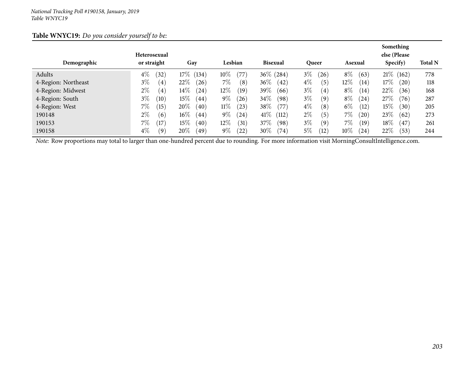|--|

| Demographic         | Heterosexual<br>or straight | Gay                 | Lesbian                     | <b>Bisexual</b>               | <b>Queer</b>  | Asexual                     | Something<br>else (Please<br>Specify) | <b>Total N</b> |
|---------------------|-----------------------------|---------------------|-----------------------------|-------------------------------|---------------|-----------------------------|---------------------------------------|----------------|
|                     |                             |                     |                             |                               |               |                             |                                       |                |
| Adults              | $4\%$<br>$\left(32\right)$  | $17\%$ (134)        | $10\%$<br>$^{\prime}77$     | $36\%$<br>(284)               | $3\%$<br>(26) | $8\%$<br>(63)               | $21\%$ (162)                          | 778            |
| 4-Region: Northeast | $3\%$<br>(4,                | $22\%$<br>$^{(26)}$ | $7\%$<br>(8)                | $36\%$<br>$^{(42)}$           | $4\%$<br>(5)  | $12\%$<br>$\left(14\right)$ | $17\%$<br>(20)                        | 118            |
| 4-Region: Midwest   | $2\%$<br>(4)                | $14\%$<br>(24)      | $12\%$<br>(19)              | 39%<br>(66)                   | $3\%$<br>(4)  | $8\%$<br>(14)               | 22%<br>(36)                           | 168            |
| 4-Region: South     | $3\%$<br>$\left(10\right)$  | $15\%$<br>(44)      | $9\%$<br>26                 | 34\%<br>(98)                  | $3\%$<br>(9)  | $8\%$<br>(24                | 27%<br>(76)                           | 287            |
| 4-Region: West      | $7\%$<br>(15)               | $20\%$<br>(40)      | $11\%$<br>(23)              | 38\%<br>(77)                  | $4\%$<br>(8)  | $6\%$<br>(12)               | 15%<br>(30)                           | 205            |
| 190148              | $2\%$<br>(6)                | $16\%$<br>(44)      | $9\%$<br>(24)               | 41\%<br>$\langle 112 \rangle$ | $2\%$<br>(5)  | 7%<br>$^{'}20$              | $23\%$<br>(62)                        | 273            |
| 190153              | 7%<br>17                    | 15 $\%$<br>(40)     | $12\%$<br>$\left(31\right)$ | 37\%<br>(98`                  | $3\%$<br>(9)  | 7%<br>(19                   | 18%<br>(47)                           | 261            |
| 190158              | $4\%$<br>(9)                | 20%<br>(49)         | $9\%$<br>$\left(22\right)$  | $30\%$<br>(74)                | $5\%$<br>(12) | 10%<br>24                   | 22%<br>(53)                           | 244            |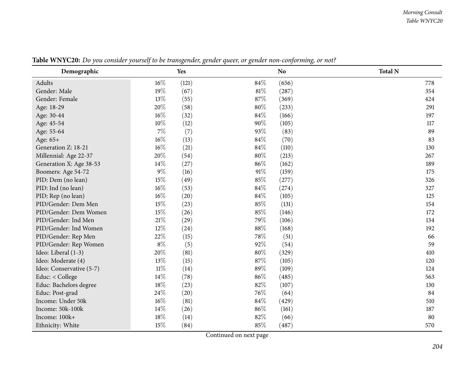| Demographic              |        | Yes   |      | N <sub>o</sub> | <b>Total N</b> |
|--------------------------|--------|-------|------|----------------|----------------|
| Adults                   | $16\%$ | (121) | 84%  | (656)          | 778            |
| Gender: Male             | 19%    | (67)  | 81%  | (287)          | 354            |
| Gender: Female           | 13\%   | (55)  | 87%  | (369)          | 424            |
| Age: 18-29               | 20%    | (58)  | 80%  | (233)          | 291            |
| Age: 30-44               | 16%    | (32)  | 84%  | (166)          | 197            |
| Age: 45-54               | 10%    | (12)  | 90%  | (105)          | 117            |
| Age: 55-64               | $7\%$  | (7)   | 93%  | (83)           | 89             |
| Age: 65+                 | 16%    | (13)  | 84%  | (70)           | 83             |
| Generation Z: 18-21      | 16%    | (21)  | 84%  | (110)          | 130            |
| Millennial: Age 22-37    | 20%    | (54)  | 80%  | (213)          | 267            |
| Generation X: Age 38-53  | 14\%   | (27)  | 86%  | (162)          | 189            |
| Boomers: Age 54-72       | $9\%$  | (16)  | 91%  | (159)          | 175            |
| PID: Dem (no lean)       | 15%    | (49)  | 85%  | (277)          | 326            |
| PID: Ind (no lean)       | $16\%$ | (53)  | 84%  | (274)          | 327            |
| PID: Rep (no lean)       | $16\%$ | (20)  | 84%  | (105)          | 125            |
| PID/Gender: Dem Men      | 15%    | (23)  | 85%  | (131)          | 154            |
| PID/Gender: Dem Women    | 15%    | (26)  | 85%  | (146)          | 172            |
| PID/Gender: Ind Men      | $21\%$ | (29)  | 79%  | (106)          | 134            |
| PID/Gender: Ind Women    | 12%    | (24)  | 88%  | (168)          | 192            |
| PID/Gender: Rep Men      | 22%    | (15)  | 78%  | (51)           | 66             |
| PID/Gender: Rep Women    | $8\%$  | (5)   | 92%  | (54)           | 59             |
| Ideo: Liberal (1-3)      | 20%    | (81)  | 80%  | (329)          | 410            |
| Ideo: Moderate (4)       | 13%    | (15)  | 87%  | (105)          | 120            |
| Ideo: Conservative (5-7) | $11\%$ | (14)  | 89%  | (109)          | 124            |
| Educ: < College          | 14\%   | (78)  | 86%  | (485)          | 563            |
| Educ: Bachelors degree   | 18%    | (23)  | 82%  | (107)          | 130            |
| Educ: Post-grad          | 24%    | (20)  | 76\% | (64)           | 84             |
| Income: Under 50k        | 16%    | (81)  | 84%  | (429)          | 510            |
| Income: 50k-100k         | 14%    | (26)  | 86%  | (161)          | 187            |
| Income: 100k+            | 18%    | (14)  | 82%  | (66)           | 80             |
| Ethnicity: White         | 15%    | (84)  | 85%  | (487)          | 570            |

Table WNYC20: Do you consider yourself to be transgender, gender queer, or gender non-conforming, or not?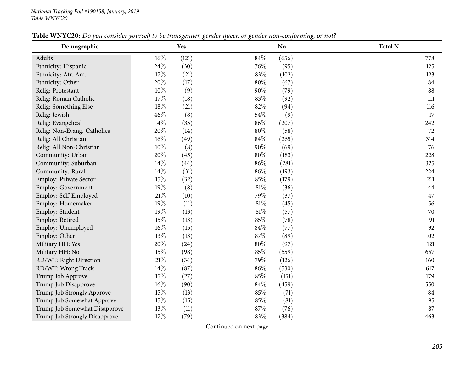| Demographic                   |        | Yes   |     | N <sub>o</sub> | <b>Total N</b> |
|-------------------------------|--------|-------|-----|----------------|----------------|
| Adults                        | $16\%$ | (121) | 84% | (656)          | 778            |
| Ethnicity: Hispanic           | 24\%   | (30)  | 76% | (95)           | 125            |
| Ethnicity: Afr. Am.           | 17%    | (21)  | 83% | (102)          | 123            |
| Ethnicity: Other              | 20%    | (17)  | 80% | (67)           | 84             |
| Relig: Protestant             | 10%    | (9)   | 90% | (79)           | 88             |
| Relig: Roman Catholic         | 17%    | (18)  | 83% | (92)           | 111            |
| Relig: Something Else         | 18%    | (21)  | 82% | (94)           | 116            |
| Relig: Jewish                 | 46%    | (8)   | 54% | (9)            | 17             |
| Relig: Evangelical            | 14%    | (35)  | 86% | (207)          | 242            |
| Relig: Non-Evang. Catholics   | 20%    | (14)  | 80% | (58)           | 72             |
| Relig: All Christian          | 16%    | (49)  | 84% | (265)          | 314            |
| Relig: All Non-Christian      | $10\%$ | (8)   | 90% | (69)           | 76             |
| Community: Urban              | 20%    | (45)  | 80% | (183)          | 228            |
| Community: Suburban           | 14%    | (44)  | 86% | (281)          | 325            |
| Community: Rural              | 14%    | (31)  | 86% | (193)          | 224            |
| Employ: Private Sector        | 15%    | (32)  | 85% | (179)          | 211            |
| Employ: Government            | 19%    | (8)   | 81% | (36)           | 44             |
| Employ: Self-Employed         | 21\%   | (10)  | 79% | (37)           | 47             |
| Employ: Homemaker             | 19%    | (11)  | 81% | (45)           | 56             |
| Employ: Student               | 19%    | (13)  | 81% | (57)           | 70             |
| Employ: Retired               | 15%    | (13)  | 85% | (78)           | 91             |
| Employ: Unemployed            | 16%    | (15)  | 84% | (77)           | 92             |
| Employ: Other                 | 13%    | (13)  | 87% | (89)           | 102            |
| Military HH: Yes              | 20%    | (24)  | 80% | (97)           | 121            |
| Military HH: No               | 15%    | (98)  | 85% | (559)          | 657            |
| RD/WT: Right Direction        | 21%    | (34)  | 79% | (126)          | 160            |
| RD/WT: Wrong Track            | 14%    | (87)  | 86% | (530)          | 617            |
| Trump Job Approve             | 15%    | (27)  | 85% | (151)          | 179            |
| Trump Job Disapprove          | 16%    | (90)  | 84% | (459)          | 550            |
| Trump Job Strongly Approve    | 15%    | (13)  | 85% | (71)           | 84             |
| Trump Job Somewhat Approve    | 15%    | (15)  | 85% | (81)           | 95             |
| Trump Job Somewhat Disapprove | 13%    | (11)  | 87% | (76)           | 87             |
| Trump Job Strongly Disapprove | 17%    | (79)  | 83% | (384)          | 463            |

Table WNYC20: Do you consider yourself to be transgender, gender queer, or gender non-conforming, or not?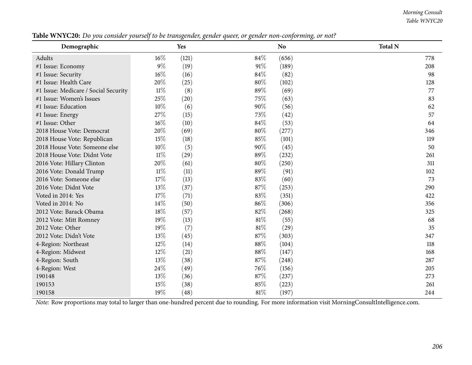#### *Morning Consult Table WNYC20*

| Demographic                          |        | Yes   |      | N <sub>o</sub> | <b>Total N</b> |
|--------------------------------------|--------|-------|------|----------------|----------------|
| Adults                               | $16\%$ | (121) | 84%  | (656)          | 778            |
| #1 Issue: Economy                    | $9\%$  | (19)  | 91\% | (189)          | 208            |
| #1 Issue: Security                   | 16%    | (16)  | 84%  | (82)           | 98             |
| #1 Issue: Health Care                | 20%    | (25)  | 80%  | (102)          | 128            |
| #1 Issue: Medicare / Social Security | $11\%$ | (8)   | 89%  | (69)           | 77             |
| #1 Issue: Women's Issues             | 25%    | (20)  | 75%  | (63)           | 83             |
| #1 Issue: Education                  | 10%    | (6)   | 90%  | (56)           | 62             |
| #1 Issue: Energy                     | 27%    | (15)  | 73%  | (42)           | 57             |
| #1 Issue: Other                      | $16\%$ | (10)  | 84%  | (53)           | 64             |
| 2018 House Vote: Democrat            | 20%    | (69)  | 80%  | (277)          | 346            |
| 2018 House Vote: Republican          | 15%    | (18)  | 85%  | (101)          | 119            |
| 2018 House Vote: Someone else        | $10\%$ | (5)   | 90%  | (45)           | 50             |
| 2018 House Vote: Didnt Vote          | 11%    | (29)  | 89%  | (232)          | 261            |
| 2016 Vote: Hillary Clinton           | 20%    | (61)  | 80%  | (250)          | 311            |
| 2016 Vote: Donald Trump              | $11\%$ | (11)  | 89%  | (91)           | 102            |
| 2016 Vote: Someone else              | 17%    | (13)  | 83%  | (60)           | 73             |
| 2016 Vote: Didnt Vote                | 13%    | (37)  | 87%  | (253)          | 290            |
| Voted in 2014: Yes                   | 17%    | (71)  | 83%  | (351)          | 422            |
| Voted in 2014: No                    | 14%    | (50)  | 86%  | (306)          | 356            |
| 2012 Vote: Barack Obama              | 18%    | (57)  | 82%  | (268)          | 325            |
| 2012 Vote: Mitt Romney               | 19%    | (13)  | 81%  | (55)           | 68             |
| 2012 Vote: Other                     | 19%    | (7)   | 81\% | (29)           | 35             |
| 2012 Vote: Didn't Vote               | 13%    | (45)  | 87%  | (303)          | 347            |
| 4-Region: Northeast                  | 12%    | (14)  | 88%  | (104)          | 118            |
| 4-Region: Midwest                    | 12%    | (21)  | 88%  | (147)          | 168            |
| 4-Region: South                      | 13%    | (38)  | 87%  | (248)          | 287            |
| 4-Region: West                       | 24%    | (49)  | 76%  | (156)          | 205            |
| 190148                               | 13%    | (36)  | 87\% | (237)          | 273            |
| 190153                               | 15%    | (38)  | 85%  | (223)          | 261            |
| 190158                               | 19%    | (48)  | 81%  | (197)          | 244            |

Table WNYC20: Do you consider yourself to be transgender, gender queer, or gender non-conforming, or not?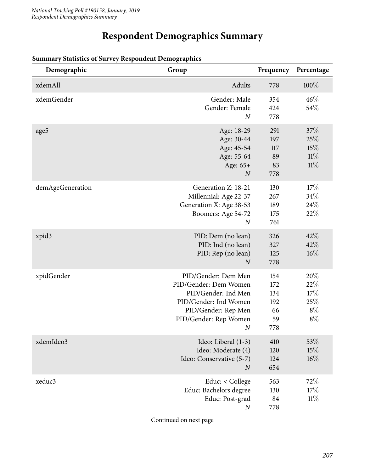## **Respondent Demographics Summary**

| Demographic      | Group                                                                                                                                                          | Frequency                                   | Percentage                                 |
|------------------|----------------------------------------------------------------------------------------------------------------------------------------------------------------|---------------------------------------------|--------------------------------------------|
| xdemAll          | Adults                                                                                                                                                         | 778                                         | 100%                                       |
| xdemGender       | Gender: Male<br>Gender: Female<br>$\boldsymbol{N}$                                                                                                             | 354<br>424<br>778                           | 46%<br>54%                                 |
| age5             | Age: 18-29<br>Age: 30-44<br>Age: 45-54<br>Age: 55-64<br>Age: 65+<br>$\boldsymbol{N}$                                                                           | 291<br>197<br>117<br>89<br>83<br>778        | 37%<br>25%<br>15%<br>11%<br>11%            |
| demAgeGeneration | Generation Z: 18-21<br>Millennial: Age 22-37<br>Generation X: Age 38-53<br>Boomers: Age 54-72<br>$\boldsymbol{N}$                                              | 130<br>267<br>189<br>175<br>761             | 17%<br>34%<br>24%<br>22%                   |
| xpid3            | PID: Dem (no lean)<br>PID: Ind (no lean)<br>PID: Rep (no lean)<br>$\overline{N}$                                                                               | 326<br>327<br>125<br>778                    | 42%<br>42%<br>$16\%$                       |
| xpidGender       | PID/Gender: Dem Men<br>PID/Gender: Dem Women<br>PID/Gender: Ind Men<br>PID/Gender: Ind Women<br>PID/Gender: Rep Men<br>PID/Gender: Rep Women<br>$\overline{N}$ | 154<br>172<br>134<br>192<br>66<br>59<br>778 | 20%<br>22%<br>17%<br>25%<br>$8\%$<br>$8\%$ |
| xdemIdeo3        | Ideo: Liberal (1-3)<br>Ideo: Moderate (4)<br>Ideo: Conservative (5-7)<br>$\boldsymbol{N}$                                                                      | 410<br>120<br>124<br>654                    | 53%<br>15%<br>$16\%$                       |
| xeduc3           | Educ: < College<br>Educ: Bachelors degree<br>Educ: Post-grad<br>$\boldsymbol{N}$                                                                               | 563<br>130<br>84<br>778                     | 72%<br>17%<br>$11\%$                       |

#### **Summary Statistics of Survey Respondent Demographics**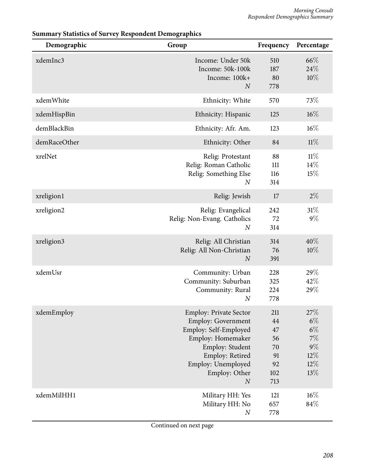| Demographic  | Group                                                                                                                                                                                              | Frequency                                             | Percentage                                                         |
|--------------|----------------------------------------------------------------------------------------------------------------------------------------------------------------------------------------------------|-------------------------------------------------------|--------------------------------------------------------------------|
| xdemInc3     | Income: Under 50k<br>Income: 50k-100k<br>Income: 100k+<br>$\overline{N}$                                                                                                                           | 510<br>187<br>80<br>778                               | 66\%<br>24%<br>10%                                                 |
| xdemWhite    | Ethnicity: White                                                                                                                                                                                   | 570                                                   | 73%                                                                |
| xdemHispBin  | Ethnicity: Hispanic                                                                                                                                                                                | 125                                                   | $16\%$                                                             |
| demBlackBin  | Ethnicity: Afr. Am.                                                                                                                                                                                | 123                                                   | 16%                                                                |
| demRaceOther | Ethnicity: Other                                                                                                                                                                                   | 84                                                    | $11\%$                                                             |
| xrelNet      | Relig: Protestant<br>Relig: Roman Catholic<br>Relig: Something Else<br>$\boldsymbol{N}$                                                                                                            | 88<br>111<br>116<br>314                               | $11\%$<br>14%<br>15%                                               |
| xreligion1   | Relig: Jewish                                                                                                                                                                                      | 17                                                    | $2\%$                                                              |
| xreligion2   | Relig: Evangelical<br>Relig: Non-Evang. Catholics<br>$\overline{N}$                                                                                                                                | 242<br>72<br>314                                      | $31\%$<br>$9\%$                                                    |
| xreligion3   | Relig: All Christian<br>Relig: All Non-Christian<br>$\boldsymbol{N}$                                                                                                                               | 314<br>76<br>391                                      | 40%<br>10%                                                         |
| xdemUsr      | Community: Urban<br>Community: Suburban<br>Community: Rural<br>$\boldsymbol{N}$                                                                                                                    | 228<br>325<br>224<br>778                              | 29%<br>42%<br>29%                                                  |
| xdemEmploy   | <b>Employ: Private Sector</b><br>Employ: Government<br>Employ: Self-Employed<br>Employ: Homemaker<br>Employ: Student<br>Employ: Retired<br>Employ: Unemployed<br>Employ: Other<br>$\boldsymbol{N}$ | 211<br>44<br>47<br>56<br>70<br>91<br>92<br>102<br>713 | 27%<br>$6\%$<br>$6\%$<br>$7\%$<br>$9\%$<br>$12\%$<br>$12\%$<br>13% |
| xdemMilHH1   | Military HH: Yes<br>Military HH: No<br>$\boldsymbol{N}$                                                                                                                                            | 121<br>657<br>778                                     | $16\%$<br>84%                                                      |

## **Summary Statistics of Survey Respondent Demographics**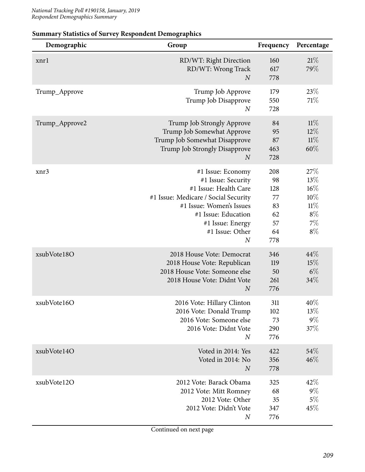| Demographic    | Group                                                                                                                                                                                                                  | Frequency                                             | Percentage                                                           |
|----------------|------------------------------------------------------------------------------------------------------------------------------------------------------------------------------------------------------------------------|-------------------------------------------------------|----------------------------------------------------------------------|
| xnr1           | RD/WT: Right Direction<br>RD/WT: Wrong Track<br>$\overline{N}$                                                                                                                                                         | 160<br>617<br>778                                     | 21%<br>79%                                                           |
| Trump_Approve  | Trump Job Approve<br>Trump Job Disapprove<br>$\boldsymbol{N}$                                                                                                                                                          | 179<br>550<br>728                                     | 23%<br>71\%                                                          |
| Trump_Approve2 | Trump Job Strongly Approve<br>Trump Job Somewhat Approve<br>Trump Job Somewhat Disapprove<br>Trump Job Strongly Disapprove<br>$\boldsymbol{N}$                                                                         | 84<br>95<br>87<br>463<br>728                          | 11%<br>$12\%$<br>$11\%$<br>60%                                       |
| xnr3           | #1 Issue: Economy<br>#1 Issue: Security<br>#1 Issue: Health Care<br>#1 Issue: Medicare / Social Security<br>#1 Issue: Women's Issues<br>#1 Issue: Education<br>#1 Issue: Energy<br>#1 Issue: Other<br>$\boldsymbol{N}$ | 208<br>98<br>128<br>77<br>83<br>62<br>57<br>64<br>778 | 27\%<br>$13\%$<br>$16\%$<br>$10\%$<br>11%<br>$8\%$<br>$7\%$<br>$8\%$ |
| xsubVote18O    | 2018 House Vote: Democrat<br>2018 House Vote: Republican<br>2018 House Vote: Someone else<br>2018 House Vote: Didnt Vote<br>$\boldsymbol{N}$                                                                           | 346<br>119<br>50<br>261<br>776                        | 44%<br>15%<br>$6\%$<br>34%                                           |
| xsubVote16O    | 2016 Vote: Hillary Clinton<br>2016 Vote: Donald Trump<br>2016 Vote: Someone else<br>2016 Vote: Didnt Vote<br>$\boldsymbol{N}$                                                                                          | 311<br>102<br>73<br>290<br>776                        | 40%<br>13%<br>$9\%$<br>37%                                           |
| xsubVote14O    | Voted in 2014: Yes<br>Voted in 2014: No<br>$\boldsymbol{N}$                                                                                                                                                            | 422<br>356<br>778                                     | 54\%<br>46%                                                          |
| xsubVote12O    | 2012 Vote: Barack Obama<br>2012 Vote: Mitt Romney<br>2012 Vote: Other<br>2012 Vote: Didn't Vote<br>$\boldsymbol{N}$                                                                                                    | 325<br>68<br>35<br>347<br>776                         | 42%<br>$9\%$<br>$5\%$<br>45%                                         |

## **Summary Statistics of Survey Respondent Demographics**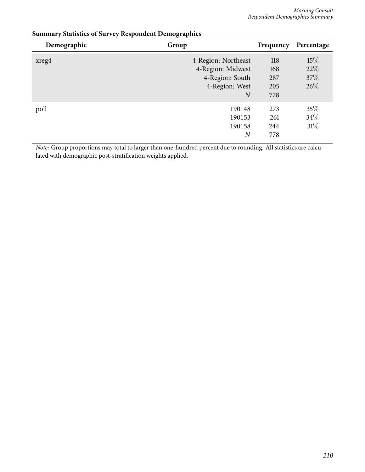| Demographic | Group                                                                                           | Frequency                       | Percentage                 |
|-------------|-------------------------------------------------------------------------------------------------|---------------------------------|----------------------------|
| xreg4       | 4-Region: Northeast<br>4-Region: Midwest<br>4-Region: South<br>4-Region: West<br>$\overline{N}$ | 118<br>168<br>287<br>205<br>778 | 15%<br>22%<br>37\%<br>26\% |
| poll        | 190148<br>190153<br>190158<br>$_{N}$                                                            | 273<br>261<br>244<br>778        | 35%<br>$34\%$<br>$31\%$    |

## **Summary Statistics of Survey Respondent Demographics**

*Note:* Group proportions may total to larger than one-hundred percent due to rounding. All statistics are calculated with demographic post-stratification weights applied.